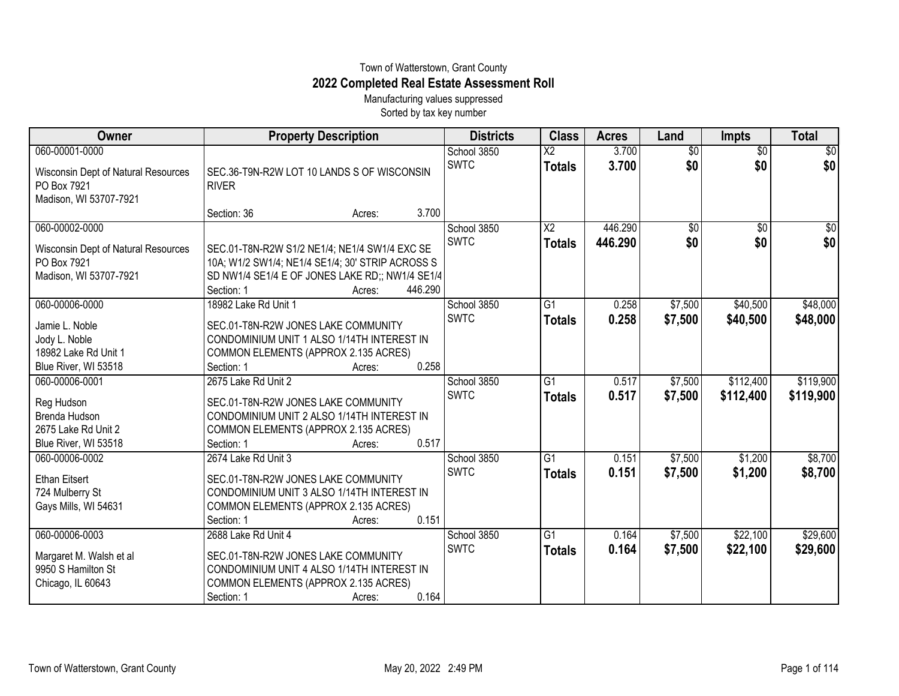## Town of Watterstown, Grant County **2022 Completed Real Estate Assessment Roll**

Manufacturing values suppressed Sorted by tax key number

| Owner                                                                                             | <b>Property Description</b>                                                                                                                                                                                           | <b>Districts</b>           | <b>Class</b>                              | <b>Acres</b>       | Land                   | <b>Impts</b>           | <b>Total</b>           |
|---------------------------------------------------------------------------------------------------|-----------------------------------------------------------------------------------------------------------------------------------------------------------------------------------------------------------------------|----------------------------|-------------------------------------------|--------------------|------------------------|------------------------|------------------------|
| 060-00001-0000<br>Wisconsin Dept of Natural Resources<br>PO Box 7921<br>Madison, WI 53707-7921    | SEC.36-T9N-R2W LOT 10 LANDS S OF WISCONSIN<br><b>RIVER</b>                                                                                                                                                            | School 3850<br><b>SWTC</b> | $\overline{\mathsf{x2}}$<br><b>Totals</b> | 3.700<br>3.700     | $\overline{30}$<br>\$0 | $\overline{50}$<br>\$0 | $\overline{50}$<br>\$0 |
|                                                                                                   | 3.700<br>Section: 36<br>Acres:                                                                                                                                                                                        |                            |                                           |                    |                        |                        |                        |
| 060-00002-0000<br>Wisconsin Dept of Natural Resources<br>PO Box 7921<br>Madison, WI 53707-7921    | SEC.01-T8N-R2W S1/2 NE1/4; NE1/4 SW1/4 EXC SE<br>10A; W1/2 SW1/4; NE1/4 SE1/4; 30' STRIP ACROSS S<br>SD NW1/4 SE1/4 E OF JONES LAKE RD;; NW1/4 SE1/4                                                                  | School 3850<br><b>SWTC</b> | $\overline{\text{X2}}$<br><b>Totals</b>   | 446.290<br>446.290 | $\overline{50}$<br>\$0 | $\overline{50}$<br>\$0 | $\frac{1}{2}$<br>\$0   |
| 060-00006-0000<br>Jamie L. Noble<br>Jody L. Noble<br>18982 Lake Rd Unit 1<br>Blue River, WI 53518 | Section: 1<br>446.290<br>Acres:<br>18982 Lake Rd Unit 1<br>SEC.01-T8N-R2W JONES LAKE COMMUNITY<br>CONDOMINIUM UNIT 1 ALSO 1/14TH INTEREST IN<br>COMMON ELEMENTS (APPROX 2.135 ACRES)<br>0.258<br>Section: 1<br>Acres: | School 3850<br><b>SWTC</b> | G1<br><b>Totals</b>                       | 0.258<br>0.258     | \$7,500<br>\$7,500     | \$40,500<br>\$40,500   | \$48,000<br>\$48,000   |
| 060-00006-0001<br>Reg Hudson<br>Brenda Hudson<br>2675 Lake Rd Unit 2<br>Blue River, WI 53518      | 2675 Lake Rd Unit 2<br>SEC.01-T8N-R2W JONES LAKE COMMUNITY<br>CONDOMINIUM UNIT 2 ALSO 1/14TH INTEREST IN<br>COMMON ELEMENTS (APPROX 2.135 ACRES)<br>0.517<br>Section: 1<br>Acres:                                     | School 3850<br><b>SWTC</b> | $\overline{G1}$<br><b>Totals</b>          | 0.517<br>0.517     | \$7,500<br>\$7,500     | \$112,400<br>\$112,400 | \$119,900<br>\$119,900 |
| 060-00006-0002<br><b>Ethan Eitsert</b><br>724 Mulberry St<br>Gays Mills, WI 54631                 | 2674 Lake Rd Unit 3<br>SEC.01-T8N-R2W JONES LAKE COMMUNITY<br>CONDOMINIUM UNIT 3 ALSO 1/14TH INTEREST IN<br>COMMON ELEMENTS (APPROX 2.135 ACRES)<br>0.151<br>Section: 1<br>Acres:                                     | School 3850<br><b>SWTC</b> | $\overline{G1}$<br><b>Totals</b>          | 0.151<br>0.151     | \$7,500<br>\$7,500     | \$1,200<br>\$1,200     | \$8,700<br>\$8,700     |
| 060-00006-0003<br>Margaret M. Walsh et al<br>9950 S Hamilton St<br>Chicago, IL 60643              | 2688 Lake Rd Unit 4<br>SEC.01-T8N-R2W JONES LAKE COMMUNITY<br>CONDOMINIUM UNIT 4 ALSO 1/14TH INTEREST IN<br>COMMON ELEMENTS (APPROX 2.135 ACRES)<br>0.164<br>Section: 1<br>Acres:                                     | School 3850<br><b>SWTC</b> | $\overline{G1}$<br><b>Totals</b>          | 0.164<br>0.164     | \$7,500<br>\$7,500     | \$22,100<br>\$22,100   | \$29,600<br>\$29,600   |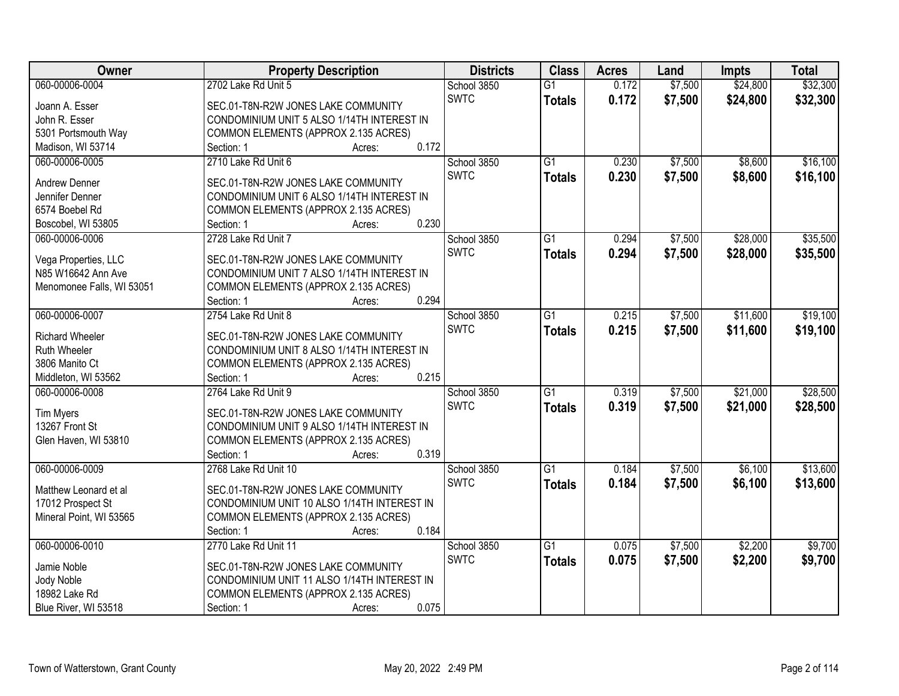| <b>Owner</b>              | <b>Property Description</b>                 | <b>Districts</b> | <b>Class</b>    | <b>Acres</b> | Land    | <b>Impts</b> | <b>Total</b> |
|---------------------------|---------------------------------------------|------------------|-----------------|--------------|---------|--------------|--------------|
| 060-00006-0004            | 2702 Lake Rd Unit 5                         | School 3850      | $\overline{G1}$ | 0.172        | \$7,500 | \$24,800     | \$32,300     |
| Joann A. Esser            | SEC.01-T8N-R2W JONES LAKE COMMUNITY         | <b>SWTC</b>      | <b>Totals</b>   | 0.172        | \$7,500 | \$24,800     | \$32,300     |
| John R. Esser             | CONDOMINIUM UNIT 5 ALSO 1/14TH INTEREST IN  |                  |                 |              |         |              |              |
| 5301 Portsmouth Way       | COMMON ELEMENTS (APPROX 2.135 ACRES)        |                  |                 |              |         |              |              |
| Madison, WI 53714         | 0.172<br>Section: 1<br>Acres:               |                  |                 |              |         |              |              |
| 060-00006-0005            | 2710 Lake Rd Unit 6                         | School 3850      | $\overline{G1}$ | 0.230        | \$7,500 | \$8,600      | \$16,100     |
|                           |                                             | <b>SWTC</b>      | <b>Totals</b>   | 0.230        | \$7,500 | \$8,600      | \$16,100     |
| <b>Andrew Denner</b>      | SEC.01-T8N-R2W JONES LAKE COMMUNITY         |                  |                 |              |         |              |              |
| Jennifer Denner           | CONDOMINIUM UNIT 6 ALSO 1/14TH INTEREST IN  |                  |                 |              |         |              |              |
| 6574 Boebel Rd            | COMMON ELEMENTS (APPROX 2.135 ACRES)        |                  |                 |              |         |              |              |
| Boscobel, WI 53805        | 0.230<br>Section: 1<br>Acres:               |                  |                 |              |         |              |              |
| 060-00006-0006            | 2728 Lake Rd Unit 7                         | School 3850      | $\overline{G1}$ | 0.294        | \$7,500 | \$28,000     | \$35,500     |
| Vega Properties, LLC      | SEC.01-T8N-R2W JONES LAKE COMMUNITY         | <b>SWTC</b>      | <b>Totals</b>   | 0.294        | \$7,500 | \$28,000     | \$35,500     |
| N85 W16642 Ann Ave        | CONDOMINIUM UNIT 7 ALSO 1/14TH INTEREST IN  |                  |                 |              |         |              |              |
| Menomonee Falls, WI 53051 | COMMON ELEMENTS (APPROX 2.135 ACRES)        |                  |                 |              |         |              |              |
|                           | 0.294<br>Section: 1<br>Acres:               |                  |                 |              |         |              |              |
| 060-00006-0007            | 2754 Lake Rd Unit 8                         | School 3850      | G1              | 0.215        | \$7,500 | \$11,600     | \$19,100     |
|                           |                                             | <b>SWTC</b>      | <b>Totals</b>   | 0.215        | \$7,500 | \$11,600     | \$19,100     |
| Richard Wheeler           | SEC.01-T8N-R2W JONES LAKE COMMUNITY         |                  |                 |              |         |              |              |
| <b>Ruth Wheeler</b>       | CONDOMINIUM UNIT 8 ALSO 1/14TH INTEREST IN  |                  |                 |              |         |              |              |
| 3806 Manito Ct            | COMMON ELEMENTS (APPROX 2.135 ACRES)        |                  |                 |              |         |              |              |
| Middleton, WI 53562       | 0.215<br>Section: 1<br>Acres:               |                  |                 |              |         |              |              |
| 060-00006-0008            | 2764 Lake Rd Unit 9                         | School 3850      | $\overline{G1}$ | 0.319        | \$7,500 | \$21,000     | \$28,500     |
| <b>Tim Myers</b>          | SEC.01-T8N-R2W JONES LAKE COMMUNITY         | <b>SWTC</b>      | <b>Totals</b>   | 0.319        | \$7,500 | \$21,000     | \$28,500     |
| 13267 Front St            | CONDOMINIUM UNIT 9 ALSO 1/14TH INTEREST IN  |                  |                 |              |         |              |              |
| Glen Haven, WI 53810      | COMMON ELEMENTS (APPROX 2.135 ACRES)        |                  |                 |              |         |              |              |
|                           | 0.319<br>Section: 1<br>Acres:               |                  |                 |              |         |              |              |
| 060-00006-0009            | 2768 Lake Rd Unit 10                        | School 3850      | G1              | 0.184        | \$7,500 | \$6,100      | \$13,600     |
|                           |                                             | <b>SWTC</b>      | <b>Totals</b>   | 0.184        | \$7,500 | \$6,100      | \$13,600     |
| Matthew Leonard et al     | SEC.01-T8N-R2W JONES LAKE COMMUNITY         |                  |                 |              |         |              |              |
| 17012 Prospect St         | CONDOMINIUM UNIT 10 ALSO 1/14TH INTEREST IN |                  |                 |              |         |              |              |
| Mineral Point, WI 53565   | COMMON ELEMENTS (APPROX 2.135 ACRES)        |                  |                 |              |         |              |              |
|                           | 0.184<br>Section: 1<br>Acres:               |                  |                 |              |         |              |              |
| 060-00006-0010            | 2770 Lake Rd Unit 11                        | School 3850      | $\overline{G1}$ | 0.075        | \$7,500 | \$2,200      | \$9,700      |
| Jamie Noble               | SEC.01-T8N-R2W JONES LAKE COMMUNITY         | <b>SWTC</b>      | <b>Totals</b>   | 0.075        | \$7,500 | \$2,200      | \$9,700      |
| Jody Noble                | CONDOMINIUM UNIT 11 ALSO 1/14TH INTEREST IN |                  |                 |              |         |              |              |
| 18982 Lake Rd             | COMMON ELEMENTS (APPROX 2.135 ACRES)        |                  |                 |              |         |              |              |
| Blue River, WI 53518      | 0.075<br>Section: 1<br>Acres:               |                  |                 |              |         |              |              |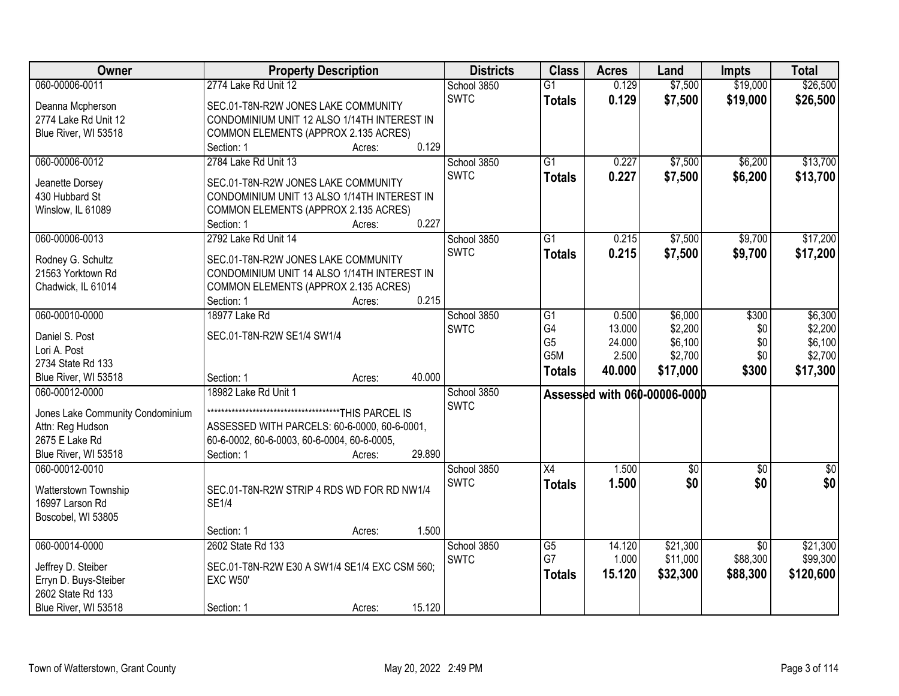| Owner                            | <b>Property Description</b>                            |        | <b>Districts</b>           | <b>Class</b>    | <b>Acres</b>    | Land                         | <b>Impts</b>    | <b>Total</b>       |
|----------------------------------|--------------------------------------------------------|--------|----------------------------|-----------------|-----------------|------------------------------|-----------------|--------------------|
| 060-00006-0011                   | 2774 Lake Rd Unit 12                                   |        | School 3850                | $\overline{G1}$ | 0.129           | \$7,500                      | \$19,000        | \$26,500           |
| Deanna Mcpherson                 | SEC.01-T8N-R2W JONES LAKE COMMUNITY                    |        | <b>SWTC</b>                | <b>Totals</b>   | 0.129           | \$7,500                      | \$19,000        | \$26,500           |
| 2774 Lake Rd Unit 12             | CONDOMINIUM UNIT 12 ALSO 1/14TH INTEREST IN            |        |                            |                 |                 |                              |                 |                    |
| Blue River, WI 53518             | COMMON ELEMENTS (APPROX 2.135 ACRES)                   |        |                            |                 |                 |                              |                 |                    |
|                                  | Section: 1<br>Acres:                                   | 0.129  |                            |                 |                 |                              |                 |                    |
| 060-00006-0012                   | 2784 Lake Rd Unit 13                                   |        | School 3850                | $\overline{G1}$ | 0.227           | \$7,500                      | \$6,200         | \$13,700           |
| Jeanette Dorsey                  | SEC.01-T8N-R2W JONES LAKE COMMUNITY                    |        | <b>SWTC</b>                | <b>Totals</b>   | 0.227           | \$7,500                      | \$6,200         | \$13,700           |
| 430 Hubbard St                   | CONDOMINIUM UNIT 13 ALSO 1/14TH INTEREST IN            |        |                            |                 |                 |                              |                 |                    |
| Winslow, IL 61089                | COMMON ELEMENTS (APPROX 2.135 ACRES)                   |        |                            |                 |                 |                              |                 |                    |
|                                  | Section: 1<br>Acres:                                   | 0.227  |                            |                 |                 |                              |                 |                    |
| 060-00006-0013                   | 2792 Lake Rd Unit 14                                   |        | School 3850                | $\overline{G1}$ | 0.215           | \$7,500                      | \$9,700         | \$17,200           |
|                                  |                                                        |        | <b>SWTC</b>                | <b>Totals</b>   | 0.215           | \$7,500                      | \$9,700         | \$17,200           |
| Rodney G. Schultz                | SEC.01-T8N-R2W JONES LAKE COMMUNITY                    |        |                            |                 |                 |                              |                 |                    |
| 21563 Yorktown Rd                | CONDOMINIUM UNIT 14 ALSO 1/14TH INTEREST IN            |        |                            |                 |                 |                              |                 |                    |
| Chadwick, IL 61014               | COMMON ELEMENTS (APPROX 2.135 ACRES)                   | 0.215  |                            |                 |                 |                              |                 |                    |
|                                  | Section: 1<br>Acres:<br>18977 Lake Rd                  |        |                            |                 |                 |                              |                 |                    |
| 060-00010-0000                   |                                                        |        | School 3850<br><b>SWTC</b> | G1<br>G4        | 0.500<br>13.000 | \$6,000<br>\$2,200           | \$300           | \$6,300<br>\$2,200 |
| Daniel S. Post                   | SEC.01-T8N-R2W SE1/4 SW1/4                             |        |                            | G <sub>5</sub>  | 24.000          | \$6,100                      | \$0<br>\$0      | \$6,100            |
| Lori A. Post                     |                                                        |        |                            | G5M             | 2.500           | \$2,700                      | \$0             | \$2,700            |
| 2734 State Rd 133                |                                                        |        |                            |                 | 40.000          | \$17,000                     | \$300           | \$17,300           |
| Blue River, WI 53518             | Section: 1<br>Acres:                                   | 40.000 |                            | <b>Totals</b>   |                 |                              |                 |                    |
| 060-00012-0000                   | 18982 Lake Rd Unit 1                                   |        | School 3850                |                 |                 | Assessed with 060-00006-0000 |                 |                    |
| Jones Lake Community Condominium | ********************************<br>****THIS PARCEL IS |        | <b>SWTC</b>                |                 |                 |                              |                 |                    |
| Attn: Reg Hudson                 | ASSESSED WITH PARCELS: 60-6-0000, 60-6-0001,           |        |                            |                 |                 |                              |                 |                    |
| 2675 E Lake Rd                   | 60-6-0002, 60-6-0003, 60-6-0004, 60-6-0005,            |        |                            |                 |                 |                              |                 |                    |
| Blue River, WI 53518             | Section: 1<br>Acres:                                   | 29.890 |                            |                 |                 |                              |                 |                    |
| 060-00012-0010                   |                                                        |        | School 3850                | X4              | 1.500           | $\sqrt{6}$                   | \$0             | \$0                |
| Watterstown Township             | SEC.01-T8N-R2W STRIP 4 RDS WD FOR RD NW1/4             |        | <b>SWTC</b>                | <b>Totals</b>   | 1.500           | \$0                          | \$0             | \$0                |
| 16997 Larson Rd                  | <b>SE1/4</b>                                           |        |                            |                 |                 |                              |                 |                    |
| Boscobel, WI 53805               |                                                        |        |                            |                 |                 |                              |                 |                    |
|                                  | Section: 1<br>Acres:                                   | 1.500  |                            |                 |                 |                              |                 |                    |
| 060-00014-0000                   | 2602 State Rd 133                                      |        | School 3850                | G5              | 14.120          | \$21,300                     | $\overline{30}$ | \$21,300           |
|                                  |                                                        |        | <b>SWTC</b>                | G7              | 1.000           | \$11,000                     | \$88,300        | \$99,300           |
| Jeffrey D. Steiber               | SEC.01-T8N-R2W E30 A SW1/4 SE1/4 EXC CSM 560;          |        |                            | <b>Totals</b>   | 15.120          | \$32,300                     | \$88,300        | \$120,600          |
| Erryn D. Buys-Steiber            | <b>EXC W50'</b>                                        |        |                            |                 |                 |                              |                 |                    |
| 2602 State Rd 133                |                                                        |        |                            |                 |                 |                              |                 |                    |
| Blue River, WI 53518             | Section: 1<br>Acres:                                   | 15.120 |                            |                 |                 |                              |                 |                    |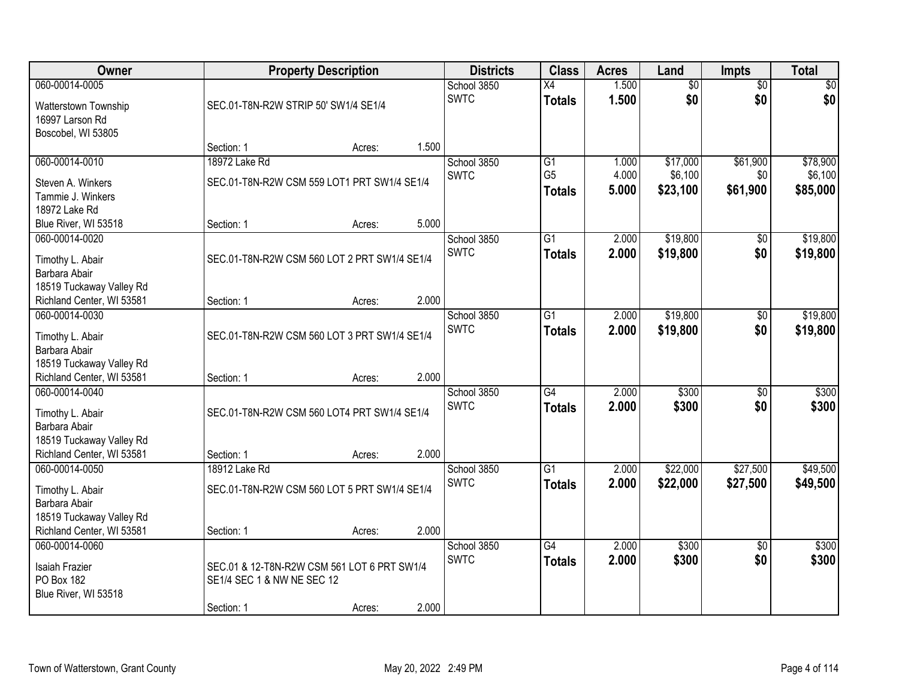| Owner                     |                                              | <b>Property Description</b> |       |             | <b>Class</b>    | <b>Acres</b> | Land            | <b>Impts</b>    | <b>Total</b>    |
|---------------------------|----------------------------------------------|-----------------------------|-------|-------------|-----------------|--------------|-----------------|-----------------|-----------------|
| 060-00014-0005            |                                              |                             |       | School 3850 | $\overline{X4}$ | 1.500        | $\overline{50}$ | $\overline{50}$ | $\overline{30}$ |
| Watterstown Township      | SEC.01-T8N-R2W STRIP 50' SW1/4 SE1/4         |                             |       | <b>SWTC</b> | <b>Totals</b>   | 1.500        | \$0             | \$0             | \$0             |
| 16997 Larson Rd           |                                              |                             |       |             |                 |              |                 |                 |                 |
| Boscobel, WI 53805        |                                              |                             |       |             |                 |              |                 |                 |                 |
|                           | Section: 1                                   | Acres:                      | 1.500 |             |                 |              |                 |                 |                 |
| 060-00014-0010            | 18972 Lake Rd                                |                             |       | School 3850 | G1              | 1.000        | \$17,000        | \$61,900        | \$78,900        |
| Steven A. Winkers         | SEC.01-T8N-R2W CSM 559 LOT1 PRT SW1/4 SE1/4  |                             |       | <b>SWTC</b> | G <sub>5</sub>  | 4.000        | \$6,100         | \$0             | \$6,100         |
| Tammie J. Winkers         |                                              |                             |       |             | <b>Totals</b>   | 5.000        | \$23,100        | \$61,900        | \$85,000        |
| 18972 Lake Rd             |                                              |                             |       |             |                 |              |                 |                 |                 |
| Blue River, WI 53518      | Section: 1                                   | Acres:                      | 5.000 |             |                 |              |                 |                 |                 |
| 060-00014-0020            |                                              |                             |       | School 3850 | $\overline{G1}$ | 2.000        | \$19,800        | \$0             | \$19,800        |
| Timothy L. Abair          | SEC.01-T8N-R2W CSM 560 LOT 2 PRT SW1/4 SE1/4 |                             |       | <b>SWTC</b> | <b>Totals</b>   | 2.000        | \$19,800        | \$0             | \$19,800        |
| Barbara Abair             |                                              |                             |       |             |                 |              |                 |                 |                 |
| 18519 Tuckaway Valley Rd  |                                              |                             |       |             |                 |              |                 |                 |                 |
| Richland Center, WI 53581 | Section: 1                                   | Acres:                      | 2.000 |             |                 |              |                 |                 |                 |
| 060-00014-0030            |                                              |                             |       | School 3850 | $\overline{G1}$ | 2.000        | \$19,800        | \$0             | \$19,800        |
| Timothy L. Abair          | SEC.01-T8N-R2W CSM 560 LOT 3 PRT SW1/4 SE1/4 |                             |       | <b>SWTC</b> | <b>Totals</b>   | 2.000        | \$19,800        | \$0             | \$19,800        |
| Barbara Abair             |                                              |                             |       |             |                 |              |                 |                 |                 |
| 18519 Tuckaway Valley Rd  |                                              |                             |       |             |                 |              |                 |                 |                 |
| Richland Center, WI 53581 | Section: 1                                   | Acres:                      | 2.000 |             |                 |              |                 |                 |                 |
| 060-00014-0040            |                                              |                             |       | School 3850 | $\overline{G4}$ | 2.000        | \$300           | $\overline{50}$ | \$300           |
| Timothy L. Abair          | SEC.01-T8N-R2W CSM 560 LOT4 PRT SW1/4 SE1/4  |                             |       | <b>SWTC</b> | <b>Totals</b>   | 2.000        | \$300           | \$0             | \$300           |
| Barbara Abair             |                                              |                             |       |             |                 |              |                 |                 |                 |
| 18519 Tuckaway Valley Rd  |                                              |                             |       |             |                 |              |                 |                 |                 |
| Richland Center, WI 53581 | Section: 1                                   | Acres:                      | 2.000 |             |                 |              |                 |                 |                 |
| 060-00014-0050            | 18912 Lake Rd                                |                             |       | School 3850 | $\overline{G1}$ | 2.000        | \$22,000        | \$27,500        | \$49,500        |
| Timothy L. Abair          | SEC.01-T8N-R2W CSM 560 LOT 5 PRT SW1/4 SE1/4 |                             |       | <b>SWTC</b> | <b>Totals</b>   | 2.000        | \$22,000        | \$27,500        | \$49,500        |
| Barbara Abair             |                                              |                             |       |             |                 |              |                 |                 |                 |
| 18519 Tuckaway Valley Rd  |                                              |                             |       |             |                 |              |                 |                 |                 |
| Richland Center, WI 53581 | Section: 1                                   | Acres:                      | 2.000 |             |                 |              |                 |                 |                 |
| 060-00014-0060            |                                              |                             |       | School 3850 | $\overline{G4}$ | 2.000        | \$300           | $\overline{50}$ | \$300           |
| Isaiah Frazier            | SEC.01 & 12-T8N-R2W CSM 561 LOT 6 PRT SW1/4  |                             |       | <b>SWTC</b> | <b>Totals</b>   | 2.000        | \$300           | \$0             | \$300           |
| PO Box 182                | SE1/4 SEC 1 & NW NE SEC 12                   |                             |       |             |                 |              |                 |                 |                 |
| Blue River, WI 53518      |                                              |                             |       |             |                 |              |                 |                 |                 |
|                           | Section: 1                                   | Acres:                      | 2.000 |             |                 |              |                 |                 |                 |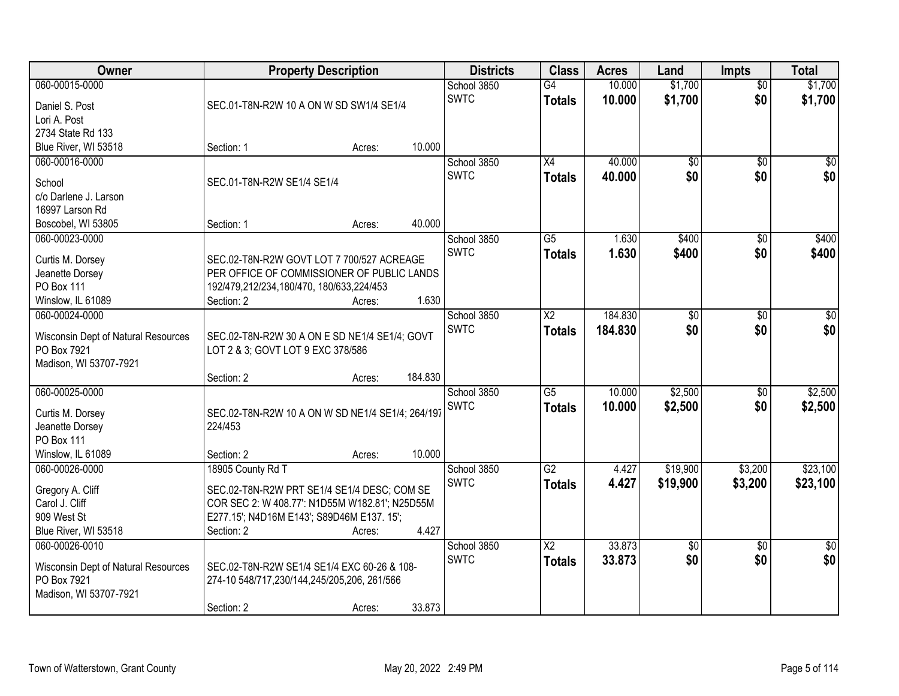| <b>Owner</b>                        | <b>Property Description</b>                      |        |         | <b>Districts</b> | <b>Class</b>             | <b>Acres</b> | Land            | <b>Impts</b>    | <b>Total</b>    |
|-------------------------------------|--------------------------------------------------|--------|---------|------------------|--------------------------|--------------|-----------------|-----------------|-----------------|
| 060-00015-0000                      |                                                  |        |         | School 3850      | G4                       | 10.000       | \$1,700         | $\overline{50}$ | \$1,700         |
| Daniel S. Post                      | SEC.01-T8N-R2W 10 A ON W SD SW1/4 SE1/4          |        |         | <b>SWTC</b>      | <b>Totals</b>            | 10.000       | \$1,700         | \$0             | \$1,700         |
| Lori A. Post                        |                                                  |        |         |                  |                          |              |                 |                 |                 |
| 2734 State Rd 133                   |                                                  |        |         |                  |                          |              |                 |                 |                 |
| Blue River, WI 53518                | Section: 1                                       | Acres: | 10.000  |                  |                          |              |                 |                 |                 |
| 060-00016-0000                      |                                                  |        |         | School 3850      | X4                       | 40.000       | $\overline{50}$ | $\overline{50}$ | \$0             |
| School                              | SEC.01-T8N-R2W SE1/4 SE1/4                       |        |         | <b>SWTC</b>      | <b>Totals</b>            | 40.000       | \$0             | \$0             | \$0             |
| c/o Darlene J. Larson               |                                                  |        |         |                  |                          |              |                 |                 |                 |
| 16997 Larson Rd                     |                                                  |        |         |                  |                          |              |                 |                 |                 |
| Boscobel, WI 53805                  | Section: 1                                       | Acres: | 40.000  |                  |                          |              |                 |                 |                 |
| 060-00023-0000                      |                                                  |        |         | School 3850      | $\overline{G5}$          | 1.630        | \$400           | \$0             | \$400           |
|                                     |                                                  |        |         | <b>SWTC</b>      | <b>Totals</b>            | 1.630        | \$400           | \$0             | \$400           |
| Curtis M. Dorsey                    | SEC.02-T8N-R2W GOVT LOT 7 700/527 ACREAGE        |        |         |                  |                          |              |                 |                 |                 |
| Jeanette Dorsey                     | PER OFFICE OF COMMISSIONER OF PUBLIC LANDS       |        |         |                  |                          |              |                 |                 |                 |
| <b>PO Box 111</b>                   | 192/479,212/234,180/470, 180/633,224/453         |        |         |                  |                          |              |                 |                 |                 |
| Winslow, IL 61089                   | Section: 2                                       | Acres: | 1.630   |                  |                          |              |                 |                 |                 |
| 060-00024-0000                      |                                                  |        |         | School 3850      | $\overline{X2}$          | 184.830      | $\overline{50}$ | \$0             | \$0             |
| Wisconsin Dept of Natural Resources | SEC.02-T8N-R2W 30 A ON E SD NE1/4 SE1/4; GOVT    |        |         | <b>SWTC</b>      | <b>Totals</b>            | 184.830      | \$0             | \$0             | \$0             |
| PO Box 7921                         | LOT 2 & 3; GOVT LOT 9 EXC 378/586                |        |         |                  |                          |              |                 |                 |                 |
| Madison, WI 53707-7921              |                                                  |        |         |                  |                          |              |                 |                 |                 |
|                                     | Section: 2                                       | Acres: | 184.830 |                  |                          |              |                 |                 |                 |
| 060-00025-0000                      |                                                  |        |         | School 3850      | $\overline{G5}$          | 10.000       | \$2,500         | \$0             | \$2,500         |
| Curtis M. Dorsey                    | SEC.02-T8N-R2W 10 A ON W SD NE1/4 SE1/4; 264/197 |        |         | <b>SWTC</b>      | <b>Totals</b>            | 10.000       | \$2,500         | \$0             | \$2,500         |
| Jeanette Dorsey                     | 224/453                                          |        |         |                  |                          |              |                 |                 |                 |
| PO Box 111                          |                                                  |        |         |                  |                          |              |                 |                 |                 |
| Winslow, IL 61089                   | Section: 2                                       | Acres: | 10.000  |                  |                          |              |                 |                 |                 |
| 060-00026-0000                      | 18905 County Rd T                                |        |         | School 3850      | $\overline{G2}$          | 4.427        | \$19,900        | \$3,200         | \$23,100        |
|                                     |                                                  |        |         | <b>SWTC</b>      | <b>Totals</b>            | 4.427        | \$19,900        | \$3,200         | \$23,100        |
| Gregory A. Cliff                    | SEC.02-T8N-R2W PRT SE1/4 SE1/4 DESC; COM SE      |        |         |                  |                          |              |                 |                 |                 |
| Carol J. Cliff                      | COR SEC 2: W 408.77': N1D55M W182.81'; N25D55M   |        |         |                  |                          |              |                 |                 |                 |
| 909 West St                         | E277.15'; N4D16M E143'; S89D46M E137. 15';       |        |         |                  |                          |              |                 |                 |                 |
| Blue River, WI 53518                | Section: 2                                       | Acres: | 4.427   |                  |                          |              |                 |                 |                 |
| 060-00026-0010                      |                                                  |        |         | School 3850      | $\overline{\mathsf{X2}}$ | 33.873       | $\overline{30}$ | $\overline{50}$ | $\overline{50}$ |
| Wisconsin Dept of Natural Resources | SEC.02-T8N-R2W SE1/4 SE1/4 EXC 60-26 & 108-      |        |         | <b>SWTC</b>      | <b>Totals</b>            | 33.873       | \$0             | \$0             | \$0             |
| PO Box 7921                         | 274-10 548/717,230/144,245/205,206, 261/566      |        |         |                  |                          |              |                 |                 |                 |
| Madison, WI 53707-7921              |                                                  |        |         |                  |                          |              |                 |                 |                 |
|                                     | Section: 2                                       | Acres: | 33.873  |                  |                          |              |                 |                 |                 |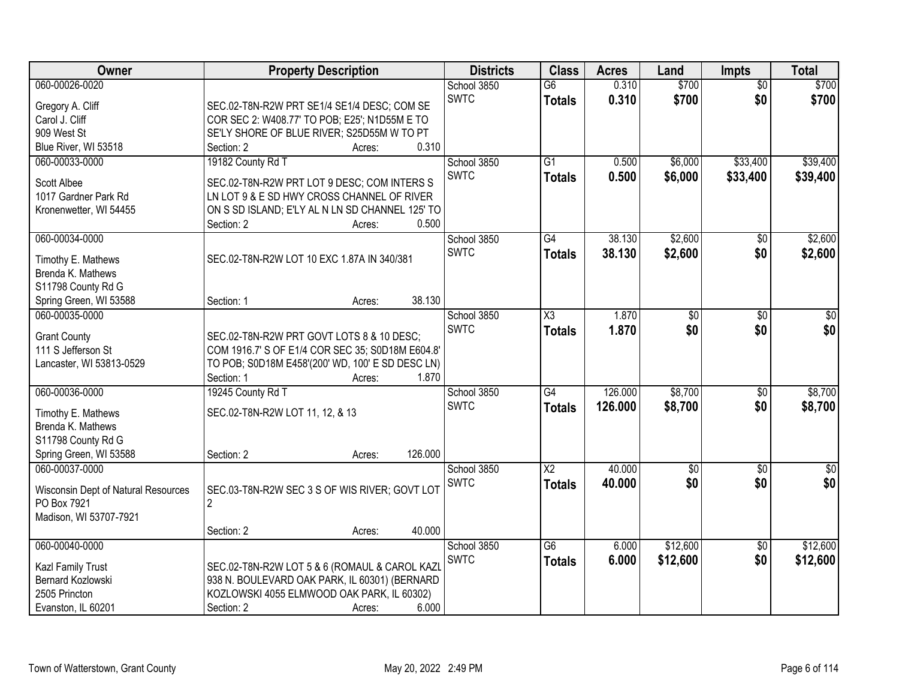| Owner                                    | <b>Property Description</b>                                                               |                  | <b>Districts</b> | <b>Class</b>        | <b>Acres</b> | Land             | <b>Impts</b>    | <b>Total</b>     |
|------------------------------------------|-------------------------------------------------------------------------------------------|------------------|------------------|---------------------|--------------|------------------|-----------------|------------------|
| 060-00026-0020                           |                                                                                           |                  | School 3850      | $\overline{G6}$     | 0.310        | \$700            | $\overline{50}$ | \$700            |
| Gregory A. Cliff                         | SEC.02-T8N-R2W PRT SE1/4 SE1/4 DESC; COM SE                                               |                  | <b>SWTC</b>      | <b>Totals</b>       | 0.310        | \$700            | \$0             | \$700            |
| Carol J. Cliff                           | COR SEC 2: W408.77' TO POB; E25'; N1D55M E TO                                             |                  |                  |                     |              |                  |                 |                  |
| 909 West St                              | SE'LY SHORE OF BLUE RIVER; S25D55M W TO PT                                                |                  |                  |                     |              |                  |                 |                  |
| Blue River, WI 53518                     | Section: 2                                                                                | 0.310<br>Acres:  |                  |                     |              |                  |                 |                  |
| 060-00033-0000                           | 19182 County Rd T                                                                         |                  | School 3850      | $\overline{G1}$     | 0.500        | \$6,000          | \$33,400        | \$39,400         |
|                                          |                                                                                           |                  | <b>SWTC</b>      | <b>Totals</b>       | 0.500        | \$6,000          | \$33,400        | \$39,400         |
| Scott Albee                              | SEC.02-T8N-R2W PRT LOT 9 DESC; COM INTERS S<br>LN LOT 9 & E SD HWY CROSS CHANNEL OF RIVER |                  |                  |                     |              |                  |                 |                  |
| 1017 Gardner Park Rd                     | ON S SD ISLAND; E'LY AL N LN SD CHANNEL 125' TO                                           |                  |                  |                     |              |                  |                 |                  |
| Kronenwetter, WI 54455                   | Section: 2                                                                                | 0.500            |                  |                     |              |                  |                 |                  |
| 060-00034-0000                           |                                                                                           | Acres:           | School 3850      | G4                  | 38.130       | \$2,600          | $\sqrt[6]{}$    | \$2,600          |
|                                          |                                                                                           |                  | <b>SWTC</b>      |                     | 38.130       | \$2,600          | \$0             | \$2,600          |
| Timothy E. Mathews                       | SEC.02-T8N-R2W LOT 10 EXC 1.87A IN 340/381                                                |                  |                  | <b>Totals</b>       |              |                  |                 |                  |
| Brenda K. Mathews                        |                                                                                           |                  |                  |                     |              |                  |                 |                  |
| S11798 County Rd G                       |                                                                                           |                  |                  |                     |              |                  |                 |                  |
| Spring Green, WI 53588                   | Section: 1                                                                                | 38.130<br>Acres: |                  |                     |              |                  |                 |                  |
| 060-00035-0000                           |                                                                                           |                  | School 3850      | $\overline{\chi_3}$ | 1.870        | $\overline{50}$  | $\sqrt[6]{3}$   | $\sqrt{50}$      |
| <b>Grant County</b>                      | SEC.02-T8N-R2W PRT GOVT LOTS 8 & 10 DESC;                                                 |                  | <b>SWTC</b>      | <b>Totals</b>       | 1.870        | \$0              | \$0             | \$0              |
| 111 S Jefferson St                       | COM 1916.7' S OF E1/4 COR SEC 35; S0D18M E604.8'                                          |                  |                  |                     |              |                  |                 |                  |
| Lancaster, WI 53813-0529                 | TO POB; S0D18M E458'(200' WD, 100' E SD DESC LN)                                          |                  |                  |                     |              |                  |                 |                  |
|                                          | Section: 1                                                                                | 1.870<br>Acres:  |                  |                     |              |                  |                 |                  |
| 060-00036-0000                           | 19245 County Rd T                                                                         |                  | School 3850      | $\overline{G4}$     | 126,000      | \$8,700          | \$0             | \$8,700          |
|                                          |                                                                                           |                  | <b>SWTC</b>      | <b>Totals</b>       | 126,000      | \$8,700          | \$0             | \$8,700          |
| Timothy E. Mathews                       | SEC.02-T8N-R2W LOT 11, 12, & 13                                                           |                  |                  |                     |              |                  |                 |                  |
| Brenda K. Mathews                        |                                                                                           |                  |                  |                     |              |                  |                 |                  |
| S11798 County Rd G                       |                                                                                           | 126.000          |                  |                     |              |                  |                 |                  |
| Spring Green, WI 53588<br>060-00037-0000 | Section: 2                                                                                | Acres:           |                  | $\overline{X2}$     | 40.000       |                  |                 |                  |
|                                          |                                                                                           |                  | School 3850      |                     |              | $\overline{\$0}$ | $\overline{50}$ | $\overline{\$0}$ |
| Wisconsin Dept of Natural Resources      | SEC.03-T8N-R2W SEC 3 S OF WIS RIVER; GOVT LOT                                             |                  | <b>SWTC</b>      | <b>Totals</b>       | 40.000       | \$0              | \$0             | \$0              |
| PO Box 7921                              | $\overline{2}$                                                                            |                  |                  |                     |              |                  |                 |                  |
| Madison, WI 53707-7921                   |                                                                                           |                  |                  |                     |              |                  |                 |                  |
|                                          | Section: 2                                                                                | 40.000<br>Acres: |                  |                     |              |                  |                 |                  |
| 060-00040-0000                           |                                                                                           |                  | School 3850      | $\overline{G6}$     | 6.000        | \$12,600         | \$0             | \$12,600         |
| Kazl Family Trust                        | SEC.02-T8N-R2W LOT 5 & 6 (ROMAUL & CAROL KAZL                                             |                  | <b>SWTC</b>      | <b>Totals</b>       | 6.000        | \$12,600         | \$0             | \$12,600         |
| Bernard Kozlowski                        | 938 N. BOULEVARD OAK PARK, IL 60301) (BERNARD                                             |                  |                  |                     |              |                  |                 |                  |
| 2505 Princton                            | KOZLOWSKI 4055 ELMWOOD OAK PARK, IL 60302)                                                |                  |                  |                     |              |                  |                 |                  |
| Evanston, IL 60201                       | Section: 2                                                                                | 6.000<br>Acres:  |                  |                     |              |                  |                 |                  |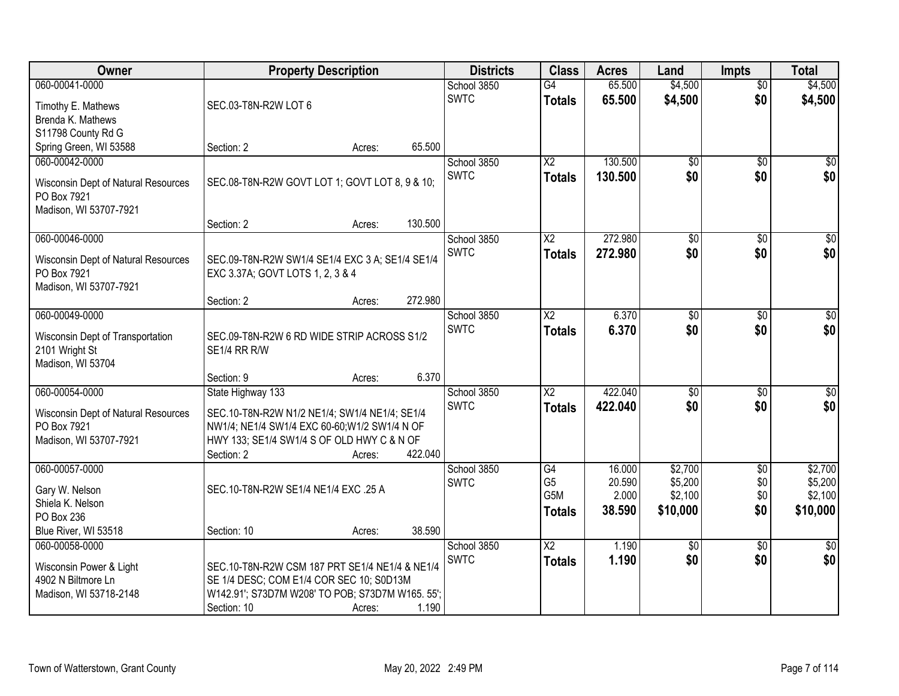| Owner                               | <b>Property Description</b>                      |        |         | <b>Districts</b> | <b>Class</b>           | <b>Acres</b> | Land            | <b>Impts</b>    | <b>Total</b>     |
|-------------------------------------|--------------------------------------------------|--------|---------|------------------|------------------------|--------------|-----------------|-----------------|------------------|
| 060-00041-0000                      |                                                  |        |         | School 3850      | $\overline{G4}$        | 65.500       | \$4,500         | $\overline{50}$ | \$4,500          |
| Timothy E. Mathews                  | SEC.03-T8N-R2W LOT 6                             |        |         | <b>SWTC</b>      | <b>Totals</b>          | 65.500       | \$4,500         | \$0             | \$4,500          |
| Brenda K. Mathews                   |                                                  |        |         |                  |                        |              |                 |                 |                  |
| S11798 County Rd G                  |                                                  |        |         |                  |                        |              |                 |                 |                  |
| Spring Green, WI 53588              | Section: 2                                       | Acres: | 65.500  |                  |                        |              |                 |                 |                  |
| 060-00042-0000                      |                                                  |        |         | School 3850      | $\overline{X2}$        | 130.500      | $\overline{50}$ | $\overline{50}$ | \$0              |
| Wisconsin Dept of Natural Resources | SEC.08-T8N-R2W GOVT LOT 1; GOVT LOT 8, 9 & 10;   |        |         | <b>SWTC</b>      | <b>Totals</b>          | 130.500      | \$0             | \$0             | \$0              |
| PO Box 7921                         |                                                  |        |         |                  |                        |              |                 |                 |                  |
| Madison, WI 53707-7921              |                                                  |        |         |                  |                        |              |                 |                 |                  |
|                                     | Section: 2                                       | Acres: | 130.500 |                  |                        |              |                 |                 |                  |
| 060-00046-0000                      |                                                  |        |         | School 3850      | $\overline{X2}$        | 272.980      | $\overline{50}$ | \$0             | $\overline{\$0}$ |
| Wisconsin Dept of Natural Resources | SEC.09-T8N-R2W SW1/4 SE1/4 EXC 3 A; SE1/4 SE1/4  |        |         | <b>SWTC</b>      | <b>Totals</b>          | 272.980      | \$0             | \$0             | \$0              |
| PO Box 7921                         | EXC 3.37A; GOVT LOTS 1, 2, 3 & 4                 |        |         |                  |                        |              |                 |                 |                  |
| Madison, WI 53707-7921              |                                                  |        |         |                  |                        |              |                 |                 |                  |
|                                     | Section: 2                                       | Acres: | 272.980 |                  |                        |              |                 |                 |                  |
| 060-00049-0000                      |                                                  |        |         | School 3850      | $\overline{\text{X2}}$ | 6.370        | \$0             | $\sqrt[6]{3}$   | $\sqrt{50}$      |
| Wisconsin Dept of Transportation    | SEC.09-T8N-R2W 6 RD WIDE STRIP ACROSS S1/2       |        |         | <b>SWTC</b>      | <b>Totals</b>          | 6.370        | \$0             | \$0             | \$0              |
| 2101 Wright St                      | SE1/4 RR R/W                                     |        |         |                  |                        |              |                 |                 |                  |
| Madison, WI 53704                   |                                                  |        |         |                  |                        |              |                 |                 |                  |
|                                     | Section: 9                                       | Acres: | 6.370   |                  |                        |              |                 |                 |                  |
| 060-00054-0000                      | State Highway 133                                |        |         | School 3850      | $\overline{X2}$        | 422.040      | $\overline{50}$ | $\overline{50}$ | $\sqrt{50}$      |
| Wisconsin Dept of Natural Resources | SEC.10-T8N-R2W N1/2 NE1/4; SW1/4 NE1/4; SE1/4    |        |         | <b>SWTC</b>      | <b>Totals</b>          | 422.040      | \$0             | \$0             | \$0              |
| PO Box 7921                         | NW1/4; NE1/4 SW1/4 EXC 60-60; W1/2 SW1/4 N OF    |        |         |                  |                        |              |                 |                 |                  |
| Madison, WI 53707-7921              | HWY 133; SE1/4 SW1/4 S OF OLD HWY C & N OF       |        |         |                  |                        |              |                 |                 |                  |
|                                     | Section: 2                                       | Acres: | 422.040 |                  |                        |              |                 |                 |                  |
| 060-00057-0000                      |                                                  |        |         | School 3850      | G4                     | 16.000       | \$2,700         | $\sqrt{6}$      | \$2,700          |
| Gary W. Nelson                      | SEC.10-T8N-R2W SE1/4 NE1/4 EXC .25 A             |        |         | <b>SWTC</b>      | G <sub>5</sub>         | 20.590       | \$5,200         | \$0             | \$5,200          |
| Shiela K. Nelson                    |                                                  |        |         |                  | G5M                    | 2.000        | \$2,100         | \$0             | \$2,100          |
| PO Box 236                          |                                                  |        |         |                  | <b>Totals</b>          | 38.590       | \$10,000        | \$0             | \$10,000         |
| Blue River, WI 53518                | Section: 10                                      | Acres: | 38.590  |                  |                        |              |                 |                 |                  |
| 060-00058-0000                      |                                                  |        |         | School 3850      | $\overline{X2}$        | 1.190        | $\overline{50}$ | $\overline{30}$ | \$0              |
| Wisconsin Power & Light             | SEC.10-T8N-R2W CSM 187 PRT SE1/4 NE1/4 & NE1/4   |        |         | <b>SWTC</b>      | <b>Totals</b>          | 1.190        | \$0             | \$0             | \$0              |
| 4902 N Biltmore Ln                  | SE 1/4 DESC; COM E1/4 COR SEC 10; S0D13M         |        |         |                  |                        |              |                 |                 |                  |
| Madison, WI 53718-2148              | W142.91'; S73D7M W208' TO POB; S73D7M W165. 55'; |        |         |                  |                        |              |                 |                 |                  |
|                                     | Section: 10                                      | Acres: | 1.190   |                  |                        |              |                 |                 |                  |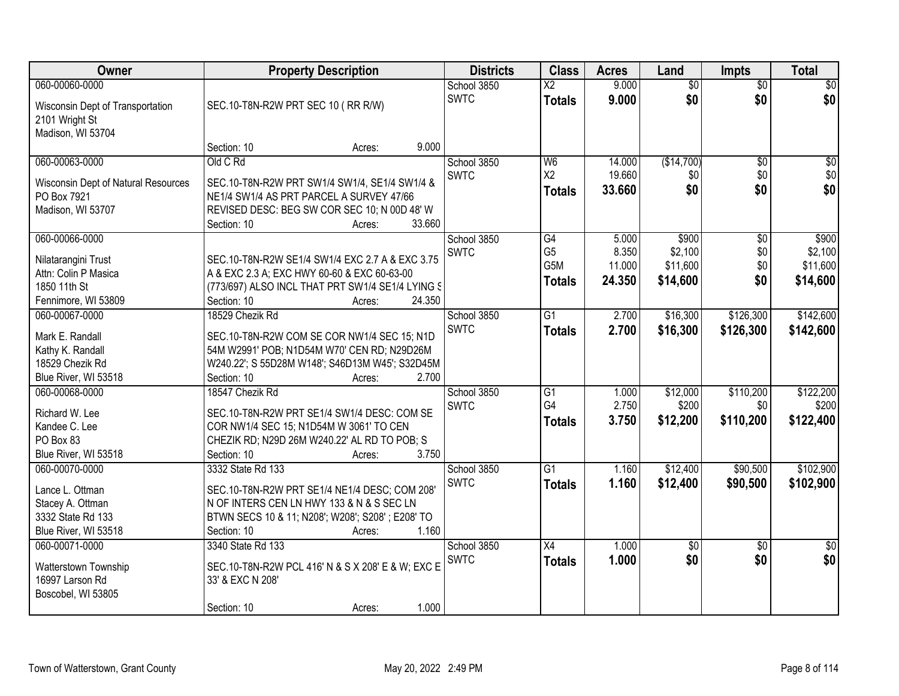| Owner                                 | <b>Property Description</b>                                                                | <b>Districts</b> | <b>Class</b> | <b>Acres</b>    | Land   | <b>Impts</b>    | <b>Total</b>    |                 |
|---------------------------------------|--------------------------------------------------------------------------------------------|------------------|--------------|-----------------|--------|-----------------|-----------------|-----------------|
| 060-00060-0000                        |                                                                                            |                  | School 3850  | $\overline{X2}$ | 9.000  | $\overline{50}$ | $\overline{50}$ | $\sqrt{50}$     |
| Wisconsin Dept of Transportation      | SEC.10-T8N-R2W PRT SEC 10 (RR R/W)                                                         |                  | <b>SWTC</b>  | <b>Totals</b>   | 9.000  | \$0             | \$0             | \$0             |
| 2101 Wright St                        |                                                                                            |                  |              |                 |        |                 |                 |                 |
| Madison, WI 53704                     |                                                                                            |                  |              |                 |        |                 |                 |                 |
|                                       | Section: 10<br>Acres:                                                                      | 9.000            |              |                 |        |                 |                 |                 |
| 060-00063-0000                        | Old C Rd                                                                                   |                  | School 3850  | W <sub>6</sub>  | 14.000 | (\$14,700)      | $\overline{50}$ | $\overline{50}$ |
| Wisconsin Dept of Natural Resources   | SEC.10-T8N-R2W PRT SW1/4 SW1/4, SE1/4 SW1/4 &                                              |                  | <b>SWTC</b>  | X2              | 19.660 | \$0             | \$0             | \$0             |
| PO Box 7921                           | NE1/4 SW1/4 AS PRT PARCEL A SURVEY 47/66                                                   |                  |              | Totals          | 33.660 | \$0             | \$0             | \$0             |
| Madison, WI 53707                     | REVISED DESC: BEG SW COR SEC 10; N 00D 48' W                                               |                  |              |                 |        |                 |                 |                 |
|                                       | Section: 10<br>Acres:                                                                      | 33.660           |              |                 |        |                 |                 |                 |
| 060-00066-0000                        |                                                                                            |                  | School 3850  | $\overline{G4}$ | 5.000  | \$900           | $\overline{50}$ | \$900           |
| Nilatarangini Trust                   | SEC.10-T8N-R2W SE1/4 SW1/4 EXC 2.7 A & EXC 3.75                                            |                  | <b>SWTC</b>  | G <sub>5</sub>  | 8.350  | \$2,100         | \$0             | \$2,100         |
| Attn: Colin P Masica                  | A & EXC 2.3 A; EXC HWY 60-60 & EXC 60-63-00                                                |                  |              | G5M             | 11.000 | \$11,600        | \$0             | \$11,600        |
| 1850 11th St                          | (773/697) ALSO INCL THAT PRT SW1/4 SE1/4 LYING S                                           |                  |              | <b>Totals</b>   | 24.350 | \$14,600        | \$0             | \$14,600        |
| Fennimore, WI 53809                   | Section: 10<br>Acres:                                                                      | 24.350           |              |                 |        |                 |                 |                 |
| 060-00067-0000                        | 18529 Chezik Rd                                                                            |                  | School 3850  | $\overline{G1}$ | 2.700  | \$16,300        | \$126,300       | \$142,600       |
| Mark E. Randall                       | SEC.10-T8N-R2W COM SE COR NW1/4 SEC 15; N1D                                                |                  | <b>SWTC</b>  | <b>Totals</b>   | 2.700  | \$16,300        | \$126,300       | \$142,600       |
| Kathy K. Randall                      | 54M W2991' POB; N1D54M W70' CEN RD; N29D26M                                                |                  |              |                 |        |                 |                 |                 |
| 18529 Chezik Rd                       | W240.22'; S 55D28M W148'; S46D13M W45'; S32D45M                                            |                  |              |                 |        |                 |                 |                 |
| Blue River, WI 53518                  | Section: 10<br>Acres:                                                                      | 2.700            |              |                 |        |                 |                 |                 |
| 060-00068-0000                        | 18547 Chezik Rd                                                                            |                  | School 3850  | $\overline{G1}$ | 1.000  | \$12,000        | \$110,200       | \$122,200       |
| Richard W. Lee                        | SEC.10-T8N-R2W PRT SE1/4 SW1/4 DESC: COM SE                                                |                  | <b>SWTC</b>  | G <sub>4</sub>  | 2.750  | \$200           | \$0             | \$200           |
| Kandee C. Lee                         | COR NW1/4 SEC 15; N1D54M W 3061' TO CEN                                                    |                  |              | <b>Totals</b>   | 3.750  | \$12,200        | \$110,200       | \$122,400       |
| PO Box 83                             | CHEZIK RD; N29D 26M W240.22' AL RD TO POB; S                                               |                  |              |                 |        |                 |                 |                 |
| Blue River, WI 53518                  | Section: 10<br>Acres:                                                                      | 3.750            |              |                 |        |                 |                 |                 |
| 060-00070-0000                        | 3332 State Rd 133                                                                          |                  | School 3850  | $\overline{G1}$ | 1.160  | \$12,400        | \$90,500        | \$102,900       |
|                                       |                                                                                            |                  | <b>SWTC</b>  | <b>Totals</b>   | 1.160  | \$12,400        | \$90,500        | \$102,900       |
| Lance L. Ottman                       | SEC.10-T8N-R2W PRT SE1/4 NE1/4 DESC; COM 208'<br>N OF INTERS CEN LN HWY 133 & N & S SEC LN |                  |              |                 |        |                 |                 |                 |
| Stacey A. Ottman<br>3332 State Rd 133 | BTWN SECS 10 & 11; N208'; W208'; S208'; E208' TO                                           |                  |              |                 |        |                 |                 |                 |
| Blue River, WI 53518                  | Section: 10<br>Acres:                                                                      | 1.160            |              |                 |        |                 |                 |                 |
| 060-00071-0000                        | 3340 State Rd 133                                                                          |                  | School 3850  | X4              | 1.000  | $\overline{50}$ | $\overline{30}$ | $\overline{30}$ |
|                                       |                                                                                            |                  | <b>SWTC</b>  | <b>Totals</b>   | 1.000  | \$0             | \$0             | \$0             |
| Watterstown Township                  | SEC.10-T8N-R2W PCL 416' N & S X 208' E & W; EXC E                                          |                  |              |                 |        |                 |                 |                 |
| 16997 Larson Rd                       | 33' & EXC N 208'                                                                           |                  |              |                 |        |                 |                 |                 |
| Boscobel, WI 53805                    |                                                                                            | 1.000            |              |                 |        |                 |                 |                 |
|                                       | Section: 10<br>Acres:                                                                      |                  |              |                 |        |                 |                 |                 |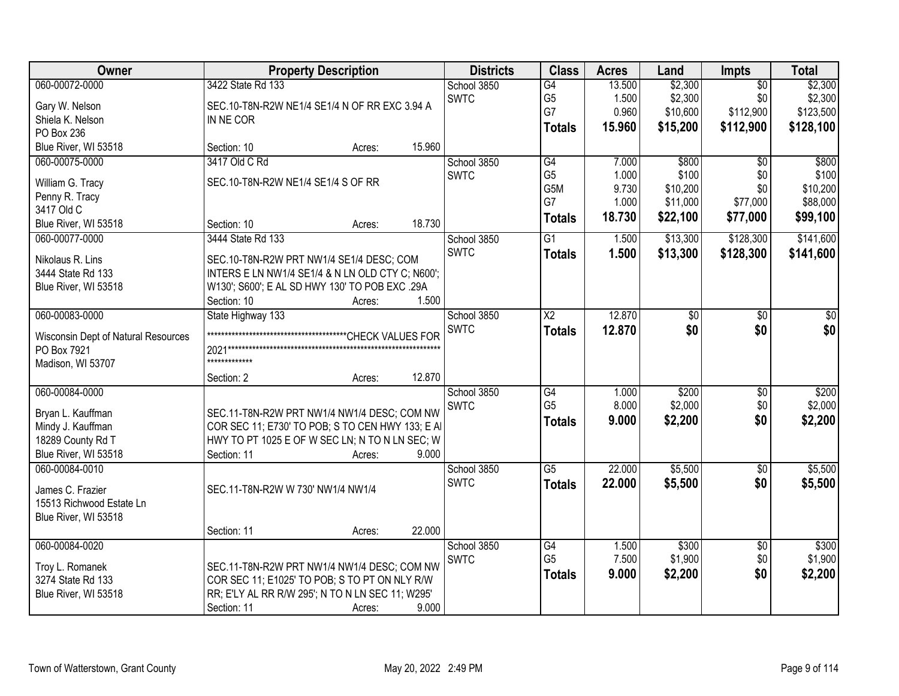| Owner                               | <b>Property Description</b>                      | <b>Districts</b> | <b>Class</b>    | <b>Acres</b> | Land     | Impts           | <b>Total</b> |
|-------------------------------------|--------------------------------------------------|------------------|-----------------|--------------|----------|-----------------|--------------|
| 060-00072-0000                      | 3422 State Rd 133                                | School 3850      | G4              | 13.500       | \$2,300  | $\overline{50}$ | \$2,300      |
| Gary W. Nelson                      | SEC.10-T8N-R2W NE1/4 SE1/4 N OF RR EXC 3.94 A    | <b>SWTC</b>      | G <sub>5</sub>  | 1.500        | \$2,300  | \$0             | \$2,300      |
| Shiela K. Nelson                    | IN NE COR                                        |                  | G7              | 0.960        | \$10,600 | \$112,900       | \$123,500    |
| PO Box 236                          |                                                  |                  | <b>Totals</b>   | 15.960       | \$15,200 | \$112,900       | \$128,100    |
| Blue River, WI 53518                | 15.960<br>Section: 10<br>Acres:                  |                  |                 |              |          |                 |              |
| 060-00075-0000                      | 3417 Old C Rd                                    | School 3850      | G4              | 7.000        | \$800    | $\overline{50}$ | \$800        |
|                                     | SEC.10-T8N-R2W NE1/4 SE1/4 S OF RR               | <b>SWTC</b>      | G <sub>5</sub>  | 1.000        | \$100    | \$0             | \$100        |
| William G. Tracy                    |                                                  |                  | G5M             | 9.730        | \$10,200 | \$0             | \$10,200     |
| Penny R. Tracy<br>3417 Old C        |                                                  |                  | G7              | 1.000        | \$11,000 | \$77,000        | \$88,000     |
| Blue River, WI 53518                | 18.730<br>Section: 10<br>Acres:                  |                  | <b>Totals</b>   | 18.730       | \$22,100 | \$77,000        | \$99,100     |
| 060-00077-0000                      | 3444 State Rd 133                                | School 3850      | $\overline{G1}$ | 1.500        | \$13,300 | \$128,300       | \$141,600    |
|                                     |                                                  | <b>SWTC</b>      | <b>Totals</b>   | 1.500        | \$13,300 | \$128,300       | \$141,600    |
| Nikolaus R. Lins                    | SEC.10-T8N-R2W PRT NW1/4 SE1/4 DESC; COM         |                  |                 |              |          |                 |              |
| 3444 State Rd 133                   | INTERS E LN NW1/4 SE1/4 & N LN OLD CTY C; N600'; |                  |                 |              |          |                 |              |
| Blue River, WI 53518                | W130'; S600'; E AL SD HWY 130' TO POB EXC .29A   |                  |                 |              |          |                 |              |
|                                     | Section: 10<br>1.500<br>Acres:                   |                  |                 |              |          |                 |              |
| 060-00083-0000                      | State Highway 133                                | School 3850      | X2              | 12.870       | \$0      | \$0             | \$0          |
| Wisconsin Dept of Natural Resources |                                                  | <b>SWTC</b>      | <b>Totals</b>   | 12.870       | \$0      | \$0             | \$0          |
| PO Box 7921                         | 2021*******                                      |                  |                 |              |          |                 |              |
| Madison, WI 53707                   | *************                                    |                  |                 |              |          |                 |              |
|                                     | 12.870<br>Section: 2<br>Acres:                   |                  |                 |              |          |                 |              |
| 060-00084-0000                      |                                                  | School 3850      | $\overline{G4}$ | 1.000        | \$200    | $\overline{50}$ | \$200        |
| Bryan L. Kauffman                   | SEC.11-T8N-R2W PRT NW1/4 NW1/4 DESC; COM NW      | <b>SWTC</b>      | G <sub>5</sub>  | 8.000        | \$2,000  | \$0             | \$2,000      |
| Mindy J. Kauffman                   | COR SEC 11; E730' TO POB; S TO CEN HWY 133; E AI |                  | <b>Totals</b>   | 9.000        | \$2,200  | \$0             | \$2,200      |
| 18289 County Rd T                   | HWY TO PT 1025 E OF W SEC LN; N TO N LN SEC; W   |                  |                 |              |          |                 |              |
| Blue River, WI 53518                | 9.000<br>Section: 11<br>Acres:                   |                  |                 |              |          |                 |              |
| 060-00084-0010                      |                                                  | School 3850      | $\overline{G5}$ | 22.000       | \$5,500  | $\sqrt{6}$      | \$5,500      |
|                                     |                                                  | <b>SWTC</b>      | <b>Totals</b>   | 22.000       | \$5,500  | \$0             | \$5,500      |
| James C. Frazier                    | SEC.11-T8N-R2W W 730' NW1/4 NW1/4                |                  |                 |              |          |                 |              |
| 15513 Richwood Estate Ln            |                                                  |                  |                 |              |          |                 |              |
| Blue River, WI 53518                |                                                  |                  |                 |              |          |                 |              |
|                                     | 22.000<br>Section: 11<br>Acres:                  |                  |                 |              |          |                 |              |
| 060-00084-0020                      |                                                  | School 3850      | G4              | 1.500        | \$300    | $\overline{30}$ | \$300        |
| Troy L. Romanek                     | SEC.11-T8N-R2W PRT NW1/4 NW1/4 DESC; COM NW      | <b>SWTC</b>      | G <sub>5</sub>  | 7.500        | \$1,900  | \$0             | \$1,900      |
| 3274 State Rd 133                   | COR SEC 11; E1025' TO POB; S TO PT ON NLY R/W    |                  | <b>Totals</b>   | 9.000        | \$2,200  | \$0             | \$2,200      |
| Blue River, WI 53518                | RR; E'LY AL RR R/W 295'; N TO N LN SEC 11; W295' |                  |                 |              |          |                 |              |
|                                     | 9.000<br>Section: 11<br>Acres:                   |                  |                 |              |          |                 |              |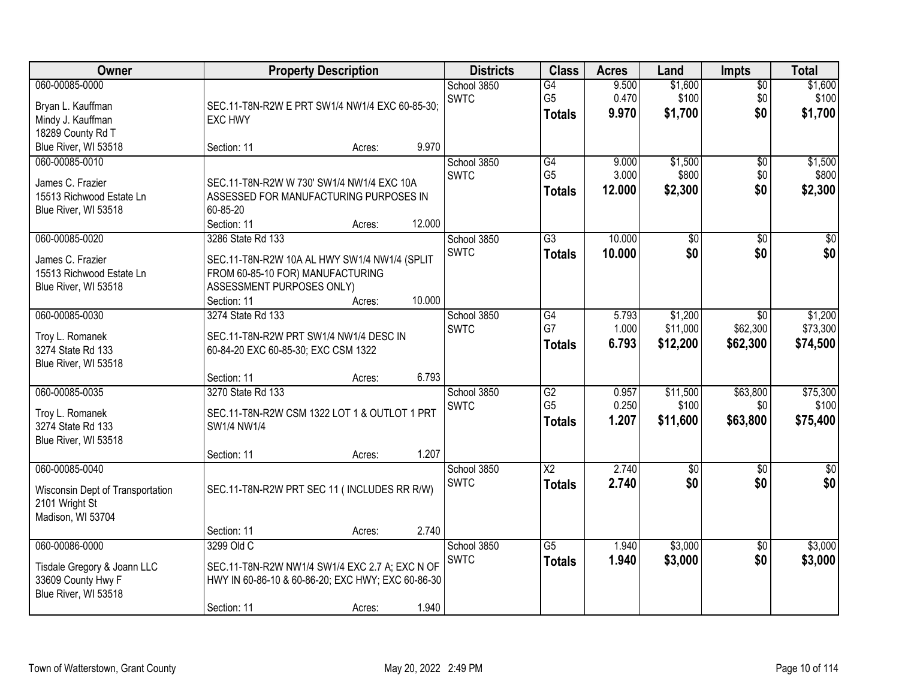| Owner                                                                                       | <b>Property Description</b>                                                                                                                       |        |        | <b>Districts</b>           | <b>Class</b>                                       | <b>Acres</b>             | Land                            | <b>Impts</b>                       | <b>Total</b>                    |
|---------------------------------------------------------------------------------------------|---------------------------------------------------------------------------------------------------------------------------------------------------|--------|--------|----------------------------|----------------------------------------------------|--------------------------|---------------------------------|------------------------------------|---------------------------------|
| 060-00085-0000<br>Bryan L. Kauffman<br>Mindy J. Kauffman<br>18289 County Rd T               | SEC.11-T8N-R2W E PRT SW1/4 NW1/4 EXC 60-85-30;<br><b>EXC HWY</b>                                                                                  |        |        | School 3850<br><b>SWTC</b> | G4<br>G <sub>5</sub><br><b>Totals</b>              | 9.500<br>0.470<br>9.970  | \$1,600<br>\$100<br>\$1,700     | $\overline{50}$<br>\$0<br>\$0      | \$1,600<br>\$100<br>\$1,700     |
| Blue River, WI 53518                                                                        | Section: 11                                                                                                                                       | Acres: | 9.970  |                            |                                                    |                          |                                 |                                    |                                 |
| 060-00085-0010<br>James C. Frazier<br>15513 Richwood Estate Ln<br>Blue River, WI 53518      | SEC.11-T8N-R2W W 730' SW1/4 NW1/4 EXC 10A<br>ASSESSED FOR MANUFACTURING PURPOSES IN<br>60-85-20<br>Section: 11                                    | Acres: | 12.000 | School 3850<br><b>SWTC</b> | G4<br>G <sub>5</sub><br><b>Totals</b>              | 9.000<br>3.000<br>12.000 | \$1,500<br>\$800<br>\$2,300     | \$0<br>\$0<br>\$0                  | \$1,500<br>\$800<br>\$2,300     |
| 060-00085-0020<br>James C. Frazier<br>15513 Richwood Estate Ln<br>Blue River, WI 53518      | 3286 State Rd 133<br>SEC.11-T8N-R2W 10A AL HWY SW1/4 NW1/4 (SPLIT<br>FROM 60-85-10 FOR) MANUFACTURING<br>ASSESSMENT PURPOSES ONLY)<br>Section: 11 | Acres: | 10.000 | School 3850<br><b>SWTC</b> | $\overline{G3}$<br><b>Totals</b>                   | 10.000<br>10.000         | $\overline{50}$<br>\$0          | $\overline{50}$<br>\$0             | $\overline{30}$<br>\$0          |
| 060-00085-0030<br>Troy L. Romanek<br>3274 State Rd 133<br>Blue River, WI 53518              | 3274 State Rd 133<br>SEC.11-T8N-R2W PRT SW1/4 NW1/4 DESC IN<br>60-84-20 EXC 60-85-30; EXC CSM 1322<br>Section: 11                                 | Acres: | 6.793  | School 3850<br><b>SWTC</b> | G4<br>G7<br><b>Totals</b>                          | 5.793<br>1.000<br>6.793  | \$1,200<br>\$11,000<br>\$12,200 | $\sqrt{6}$<br>\$62,300<br>\$62,300 | \$1,200<br>\$73,300<br>\$74,500 |
| 060-00085-0035<br>Troy L. Romanek<br>3274 State Rd 133<br>Blue River, WI 53518              | 3270 State Rd 133<br>SEC.11-T8N-R2W CSM 1322 LOT 1 & OUTLOT 1 PRT<br>SW1/4 NW1/4<br>Section: 11                                                   | Acres: | 1.207  | School 3850<br><b>SWTC</b> | $\overline{G2}$<br>G <sub>5</sub><br><b>Totals</b> | 0.957<br>0.250<br>1.207  | \$11,500<br>\$100<br>\$11,600   | \$63,800<br>\$0<br>\$63,800        | \$75,300<br>\$100<br>\$75,400   |
| 060-00085-0040<br>Wisconsin Dept of Transportation<br>2101 Wright St<br>Madison, WI 53704   | SEC.11-T8N-R2W PRT SEC 11 (INCLUDES RR R/W)<br>Section: 11                                                                                        | Acres: | 2.740  | School 3850<br><b>SWTC</b> | $\overline{X2}$<br><b>Totals</b>                   | 2.740<br>2.740           | $\sqrt{$0}$<br>\$0              | $\sqrt{6}$<br>\$0                  | $\frac{1}{6}$<br>\$0            |
| 060-00086-0000<br>Tisdale Gregory & Joann LLC<br>33609 County Hwy F<br>Blue River, WI 53518 | 3299 Old C<br>SEC.11-T8N-R2W NW1/4 SW1/4 EXC 2.7 A; EXC N OF<br>HWY IN 60-86-10 & 60-86-20; EXC HWY; EXC 60-86-30<br>Section: 11                  | Acres: | 1.940  | School 3850<br><b>SWTC</b> | $\overline{G5}$<br><b>Totals</b>                   | 1.940<br>1.940           | \$3,000<br>\$3,000              | $\overline{30}$<br>\$0             | \$3,000<br>\$3,000              |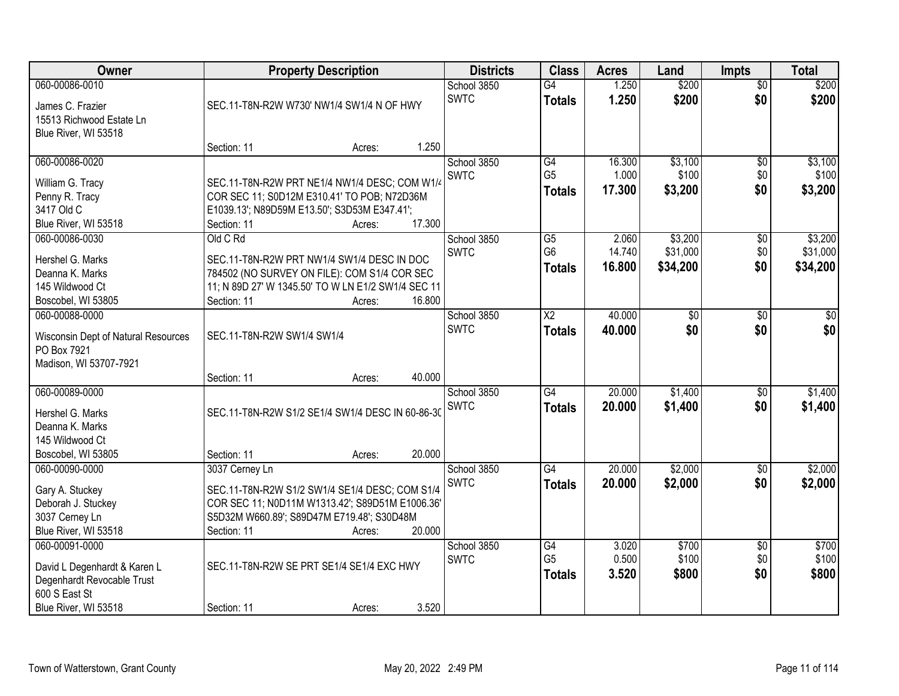| <b>Owner</b>                                               | <b>Property Description</b>                        |        |        | <b>Districts</b>           | <b>Class</b>         | <b>Acres</b>    | Land             | <b>Impts</b>    | <b>Total</b>     |
|------------------------------------------------------------|----------------------------------------------------|--------|--------|----------------------------|----------------------|-----------------|------------------|-----------------|------------------|
| 060-00086-0010                                             |                                                    |        |        | School 3850<br><b>SWTC</b> | $\overline{G4}$      | 1.250           | \$200            | $\overline{50}$ | \$200            |
| James C. Frazier                                           | SEC.11-T8N-R2W W730' NW1/4 SW1/4 N OF HWY          |        |        |                            | <b>Totals</b>        | 1.250           | \$200            | \$0             | \$200            |
| 15513 Richwood Estate Ln                                   |                                                    |        |        |                            |                      |                 |                  |                 |                  |
| Blue River, WI 53518                                       |                                                    |        |        |                            |                      |                 |                  |                 |                  |
|                                                            | Section: 11                                        | Acres: | 1.250  |                            |                      |                 |                  |                 |                  |
| 060-00086-0020                                             |                                                    |        |        | School 3850<br><b>SWTC</b> | G4<br>G <sub>5</sub> | 16.300<br>1.000 | \$3,100<br>\$100 | \$0<br>\$0      | \$3,100<br>\$100 |
| William G. Tracy                                           | SEC.11-T8N-R2W PRT NE1/4 NW1/4 DESC; COM W1/4      |        |        |                            |                      | 17.300          | \$3,200          | \$0             | \$3,200          |
| Penny R. Tracy                                             | COR SEC 11; S0D12M E310.41' TO POB; N72D36M        |        |        |                            | <b>Totals</b>        |                 |                  |                 |                  |
| 3417 Old C                                                 | E1039.13'; N89D59M E13.50'; S3D53M E347.41';       |        |        |                            |                      |                 |                  |                 |                  |
| Blue River, WI 53518                                       | Section: 11                                        | Acres: | 17.300 |                            |                      |                 |                  |                 |                  |
| 060-00086-0030                                             | Old C Rd                                           |        |        | School 3850                | $\overline{G5}$      | 2.060           | \$3,200          | \$0             | \$3,200          |
| Hershel G. Marks                                           | SEC.11-T8N-R2W PRT NW1/4 SW1/4 DESC IN DOC         |        |        | <b>SWTC</b>                | G <sub>6</sub>       | 14.740          | \$31,000         | \$0             | \$31,000         |
| Deanna K. Marks                                            | 784502 (NO SURVEY ON FILE): COM S1/4 COR SEC       |        |        |                            | <b>Totals</b>        | 16,800          | \$34,200         | \$0             | \$34,200         |
| 145 Wildwood Ct                                            | 11; N 89D 27' W 1345.50' TO W LN E1/2 SW1/4 SEC 11 |        |        |                            |                      |                 |                  |                 |                  |
| Boscobel, WI 53805                                         | Section: 11                                        | Acres: | 16.800 |                            |                      |                 |                  |                 |                  |
| 060-00088-0000                                             |                                                    |        |        | School 3850                | $\overline{X2}$      | 40.000          | \$0              | $\sqrt[6]{3}$   | $\sqrt{50}$      |
| Wisconsin Dept of Natural Resources                        | SEC.11-T8N-R2W SW1/4 SW1/4                         |        |        | <b>SWTC</b>                | <b>Totals</b>        | 40.000          | \$0              | \$0             | \$0              |
| PO Box 7921                                                |                                                    |        |        |                            |                      |                 |                  |                 |                  |
| Madison, WI 53707-7921                                     |                                                    |        |        |                            |                      |                 |                  |                 |                  |
|                                                            | Section: 11                                        | Acres: | 40.000 |                            |                      |                 |                  |                 |                  |
| 060-00089-0000                                             |                                                    |        |        | School 3850                | $\overline{G4}$      | 20.000          | \$1,400          | \$0             | \$1,400          |
| Hershel G. Marks                                           | SEC.11-T8N-R2W S1/2 SE1/4 SW1/4 DESC IN 60-86-30   |        |        | <b>SWTC</b>                | <b>Totals</b>        | 20,000          | \$1,400          | \$0             | \$1,400          |
| Deanna K. Marks                                            |                                                    |        |        |                            |                      |                 |                  |                 |                  |
| 145 Wildwood Ct                                            |                                                    |        |        |                            |                      |                 |                  |                 |                  |
| Boscobel, WI 53805                                         | Section: 11                                        | Acres: | 20.000 |                            |                      |                 |                  |                 |                  |
| 060-00090-0000                                             | 3037 Cerney Ln                                     |        |        | School 3850                | G4                   | 20.000          | \$2,000          | \$0             | \$2,000          |
| Gary A. Stuckey                                            | SEC.11-T8N-R2W S1/2 SW1/4 SE1/4 DESC; COM S1/4     |        |        | <b>SWTC</b>                | <b>Totals</b>        | 20.000          | \$2,000          | \$0             | \$2,000          |
| Deborah J. Stuckey                                         | COR SEC 11; N0D11M W1313.42'; S89D51M E1006.36'    |        |        |                            |                      |                 |                  |                 |                  |
| 3037 Cerney Ln                                             | S5D32M W660.89'; S89D47M E719.48'; S30D48M         |        |        |                            |                      |                 |                  |                 |                  |
| Blue River, WI 53518                                       | Section: 11                                        | Acres: | 20.000 |                            |                      |                 |                  |                 |                  |
| 060-00091-0000                                             |                                                    |        |        | School 3850                | G4                   | 3.020           | \$700            | $\overline{60}$ | \$700            |
|                                                            |                                                    |        |        | <b>SWTC</b>                | G <sub>5</sub>       | 0.500           | \$100            | \$0             | \$100            |
| David L Degenhardt & Karen L<br>Degenhardt Revocable Trust | SEC.11-T8N-R2W SE PRT SE1/4 SE1/4 EXC HWY          |        |        |                            | <b>Totals</b>        | 3.520           | \$800            | \$0             | \$800            |
| 600 S East St                                              |                                                    |        |        |                            |                      |                 |                  |                 |                  |
| Blue River, WI 53518                                       | Section: 11                                        | Acres: | 3.520  |                            |                      |                 |                  |                 |                  |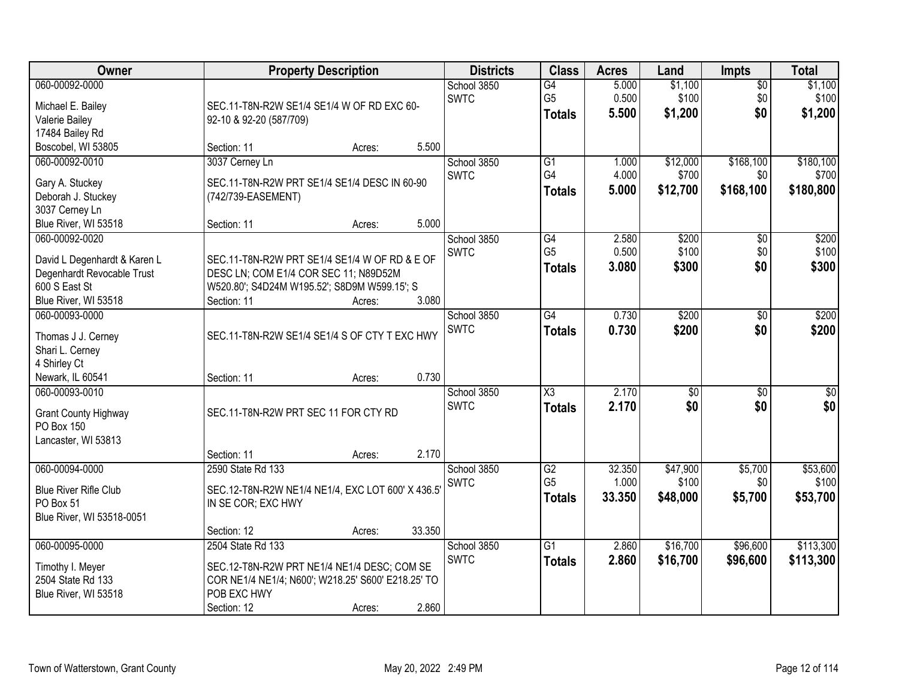| Owner                                                                                                                                         | <b>Property Description</b>                                                                                                                                                                                | <b>Districts</b>           | <b>Class</b>                                       | <b>Acres</b>              | Land                          | <b>Impts</b>                  | <b>Total</b>                    |
|-----------------------------------------------------------------------------------------------------------------------------------------------|------------------------------------------------------------------------------------------------------------------------------------------------------------------------------------------------------------|----------------------------|----------------------------------------------------|---------------------------|-------------------------------|-------------------------------|---------------------------------|
| 060-00092-0000<br>Michael E. Bailey<br>Valerie Bailey<br>17484 Bailey Rd                                                                      | SEC.11-T8N-R2W SE1/4 SE1/4 W OF RD EXC 60-<br>92-10 & 92-20 (587/709)                                                                                                                                      | School 3850<br><b>SWTC</b> | $\overline{G4}$<br>G <sub>5</sub><br><b>Totals</b> | 5.000<br>0.500<br>5.500   | \$1,100<br>\$100<br>\$1,200   | \$0<br>\$0<br>\$0             | \$1,100<br>\$100<br>\$1,200     |
| Boscobel, WI 53805                                                                                                                            | 5.500<br>Section: 11<br>Acres:                                                                                                                                                                             |                            |                                                    |                           |                               |                               |                                 |
| 060-00092-0010<br>Gary A. Stuckey<br>Deborah J. Stuckey<br>3037 Cerney Ln                                                                     | 3037 Cerney Ln<br>SEC.11-T8N-R2W PRT SE1/4 SE1/4 DESC IN 60-90<br>(742/739-EASEMENT)                                                                                                                       | School 3850<br><b>SWTC</b> | $\overline{G1}$<br>G4<br><b>Totals</b>             | 1.000<br>4.000<br>5.000   | \$12,000<br>\$700<br>\$12,700 | \$168,100<br>\$0<br>\$168,100 | \$180,100<br>\$700<br>\$180,800 |
| Blue River, WI 53518<br>060-00092-0020<br>David L Degenhardt & Karen L<br>Degenhardt Revocable Trust<br>600 S East St<br>Blue River, WI 53518 | 5.000<br>Section: 11<br>Acres:<br>SEC.11-T8N-R2W PRT SE1/4 SE1/4 W OF RD & E OF<br>DESC LN; COM E1/4 COR SEC 11; N89D52M<br>W520.80'; S4D24M W195.52'; S8D9M W599.15'; S<br>3.080<br>Section: 11<br>Acres: | School 3850<br><b>SWTC</b> | G4<br>G <sub>5</sub><br><b>Totals</b>              | 2.580<br>0.500<br>3.080   | \$200<br>\$100<br>\$300       | \$0<br>\$0<br>\$0             | \$200<br>\$100<br>\$300         |
| 060-00093-0000<br>Thomas J J. Cerney<br>Shari L. Cerney<br>4 Shirley Ct<br>Newark, IL 60541                                                   | SEC.11-T8N-R2W SE1/4 SE1/4 S OF CTY T EXC HWY<br>0.730<br>Section: 11<br>Acres:                                                                                                                            | School 3850<br><b>SWTC</b> | $\overline{G4}$<br><b>Totals</b>                   | 0.730<br>0.730            | \$200<br>\$200                | $\sqrt[6]{3}$<br>\$0          | \$200<br>\$200                  |
| 060-00093-0010<br><b>Grant County Highway</b><br>PO Box 150<br>Lancaster, WI 53813                                                            | SEC.11-T8N-R2W PRT SEC 11 FOR CTY RD<br>2.170<br>Section: 11<br>Acres:                                                                                                                                     | School 3850<br><b>SWTC</b> | $\overline{\chi_3}$<br><b>Totals</b>               | 2.170<br>2.170            | $\overline{50}$<br>\$0        | $\overline{50}$<br>\$0        | $\overline{50}$<br>\$0          |
| 060-00094-0000<br><b>Blue River Rifle Club</b><br>PO Box 51<br>Blue River, WI 53518-0051                                                      | 2590 State Rd 133<br>SEC.12-T8N-R2W NE1/4 NE1/4, EXC LOT 600' X 436.5'<br>IN SE COR; EXC HWY<br>33.350<br>Section: 12<br>Acres:                                                                            | School 3850<br><b>SWTC</b> | G2<br>G <sub>5</sub><br><b>Totals</b>              | 32.350<br>1.000<br>33.350 | \$47,900<br>\$100<br>\$48,000 | \$5,700<br>\$0<br>\$5,700     | \$53,600<br>\$100<br>\$53,700   |
| 060-00095-0000<br>Timothy I. Meyer<br>2504 State Rd 133<br>Blue River, WI 53518                                                               | 2504 State Rd 133<br>SEC.12-T8N-R2W PRT NE1/4 NE1/4 DESC; COM SE<br>COR NE1/4 NE1/4; N600'; W218.25' S600' E218.25' TO<br>POB EXC HWY<br>2.860<br>Section: 12<br>Acres:                                    | School 3850<br><b>SWTC</b> | $\overline{G1}$<br><b>Totals</b>                   | 2.860<br>2.860            | \$16,700<br>\$16,700          | \$96,600<br>\$96,600          | \$113,300<br>\$113,300          |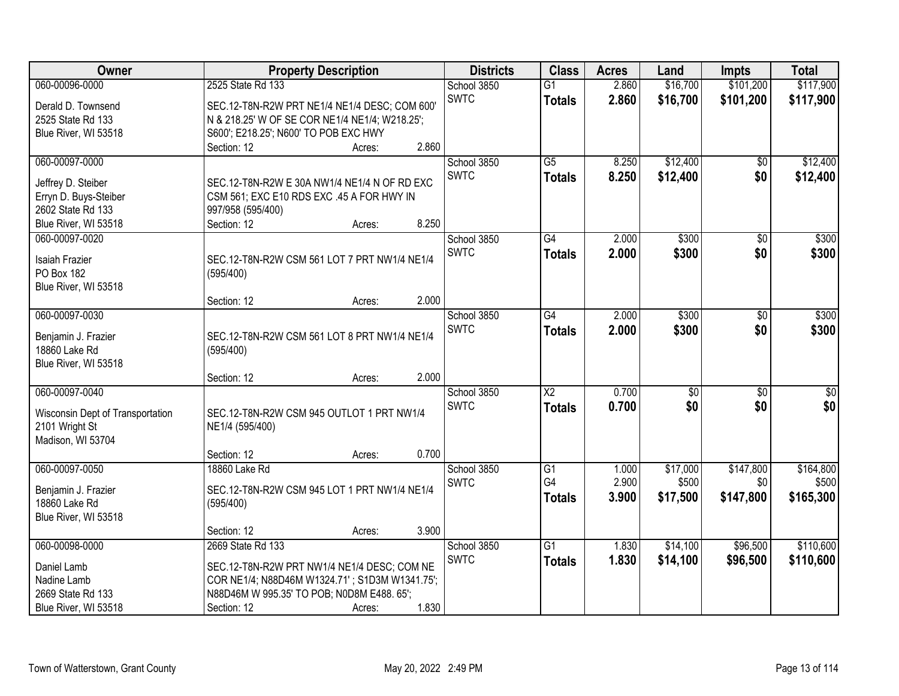| <b>Owner</b>                     |                                                | <b>Property Description</b> |       | <b>Districts</b> | <b>Class</b>           | <b>Acres</b> | Land            | <b>Impts</b>    | <b>Total</b> |
|----------------------------------|------------------------------------------------|-----------------------------|-------|------------------|------------------------|--------------|-----------------|-----------------|--------------|
| 060-00096-0000                   | 2525 State Rd 133                              |                             |       | School 3850      | $\overline{G1}$        | 2.860        | \$16,700        | \$101,200       | \$117,900    |
| Derald D. Townsend               | SEC.12-T8N-R2W PRT NE1/4 NE1/4 DESC; COM 600'  |                             |       | <b>SWTC</b>      | <b>Totals</b>          | 2.860        | \$16,700        | \$101,200       | \$117,900    |
| 2525 State Rd 133                | N & 218.25' W OF SE COR NE1/4 NE1/4; W218.25'; |                             |       |                  |                        |              |                 |                 |              |
| Blue River, WI 53518             | S600'; E218.25'; N600' TO POB EXC HWY          |                             |       |                  |                        |              |                 |                 |              |
|                                  | Section: 12                                    | Acres:                      | 2.860 |                  |                        |              |                 |                 |              |
| 060-00097-0000                   |                                                |                             |       | School 3850      | $\overline{G5}$        | 8.250        | \$12,400        | $\overline{50}$ | \$12,400     |
| Jeffrey D. Steiber               | SEC.12-T8N-R2W E 30A NW1/4 NE1/4 N OF RD EXC   |                             |       | <b>SWTC</b>      | <b>Totals</b>          | 8.250        | \$12,400        | \$0             | \$12,400     |
| Erryn D. Buys-Steiber            | CSM 561; EXC E10 RDS EXC .45 A FOR HWY IN      |                             |       |                  |                        |              |                 |                 |              |
| 2602 State Rd 133                | 997/958 (595/400)                              |                             |       |                  |                        |              |                 |                 |              |
| Blue River, WI 53518             | Section: 12                                    | Acres:                      | 8.250 |                  |                        |              |                 |                 |              |
| 060-00097-0020                   |                                                |                             |       | School 3850      | $\overline{G4}$        | 2.000        | \$300           | $\overline{50}$ | \$300        |
|                                  |                                                |                             |       | <b>SWTC</b>      | <b>Totals</b>          | 2.000        | \$300           | \$0             | \$300        |
| <b>Isaiah Frazier</b>            | SEC.12-T8N-R2W CSM 561 LOT 7 PRT NW1/4 NE1/4   |                             |       |                  |                        |              |                 |                 |              |
| PO Box 182                       | (595/400)                                      |                             |       |                  |                        |              |                 |                 |              |
| Blue River, WI 53518             |                                                |                             |       |                  |                        |              |                 |                 |              |
|                                  | Section: 12                                    | Acres:                      | 2.000 |                  |                        |              |                 |                 |              |
| 060-00097-0030                   |                                                |                             |       | School 3850      | $\overline{G4}$        | 2.000        | \$300           | \$0             | \$300        |
| Benjamin J. Frazier              | SEC.12-T8N-R2W CSM 561 LOT 8 PRT NW1/4 NE1/4   |                             |       | <b>SWTC</b>      | <b>Totals</b>          | 2.000        | \$300           | \$0             | \$300        |
| 18860 Lake Rd                    | (595/400)                                      |                             |       |                  |                        |              |                 |                 |              |
| Blue River, WI 53518             |                                                |                             |       |                  |                        |              |                 |                 |              |
|                                  | Section: 12                                    | Acres:                      | 2.000 |                  |                        |              |                 |                 |              |
| 060-00097-0040                   |                                                |                             |       | School 3850      | $\overline{\text{X2}}$ | 0.700        | $\overline{50}$ | $\overline{30}$ | $\sqrt{50}$  |
| Wisconsin Dept of Transportation | SEC.12-T8N-R2W CSM 945 OUTLOT 1 PRT NW1/4      |                             |       | <b>SWTC</b>      | <b>Totals</b>          | 0.700        | \$0             | \$0             | \$0          |
| 2101 Wright St                   | NE1/4 (595/400)                                |                             |       |                  |                        |              |                 |                 |              |
| Madison, WI 53704                |                                                |                             |       |                  |                        |              |                 |                 |              |
|                                  | Section: 12                                    | Acres:                      | 0.700 |                  |                        |              |                 |                 |              |
| 060-00097-0050                   | 18860 Lake Rd                                  |                             |       | School 3850      | $\overline{G1}$        | 1.000        | \$17,000        | \$147,800       | \$164,800    |
| Benjamin J. Frazier              | SEC.12-T8N-R2W CSM 945 LOT 1 PRT NW1/4 NE1/4   |                             |       | <b>SWTC</b>      | G4                     | 2.900        | \$500           | \$0             | \$500        |
| 18860 Lake Rd                    | (595/400)                                      |                             |       |                  | <b>Totals</b>          | 3.900        | \$17,500        | \$147,800       | \$165,300    |
| Blue River, WI 53518             |                                                |                             |       |                  |                        |              |                 |                 |              |
|                                  | Section: 12                                    | Acres:                      | 3.900 |                  |                        |              |                 |                 |              |
| 060-00098-0000                   | 2669 State Rd 133                              |                             |       | School 3850      | $\overline{G1}$        | 1.830        | \$14,100        | \$96,500        | \$110,600    |
|                                  |                                                |                             |       | <b>SWTC</b>      | <b>Totals</b>          | 1.830        | \$14,100        | \$96,500        | \$110,600    |
| Daniel Lamb                      | SEC.12-T8N-R2W PRT NW1/4 NE1/4 DESC; COM NE    |                             |       |                  |                        |              |                 |                 |              |
| Nadine Lamb                      | COR NE1/4; N88D46M W1324.71'; S1D3M W1341.75'; |                             |       |                  |                        |              |                 |                 |              |
| 2669 State Rd 133                | N88D46M W 995.35' TO POB; N0D8M E488. 65';     |                             |       |                  |                        |              |                 |                 |              |
| Blue River, WI 53518             | Section: 12                                    | Acres:                      | 1.830 |                  |                        |              |                 |                 |              |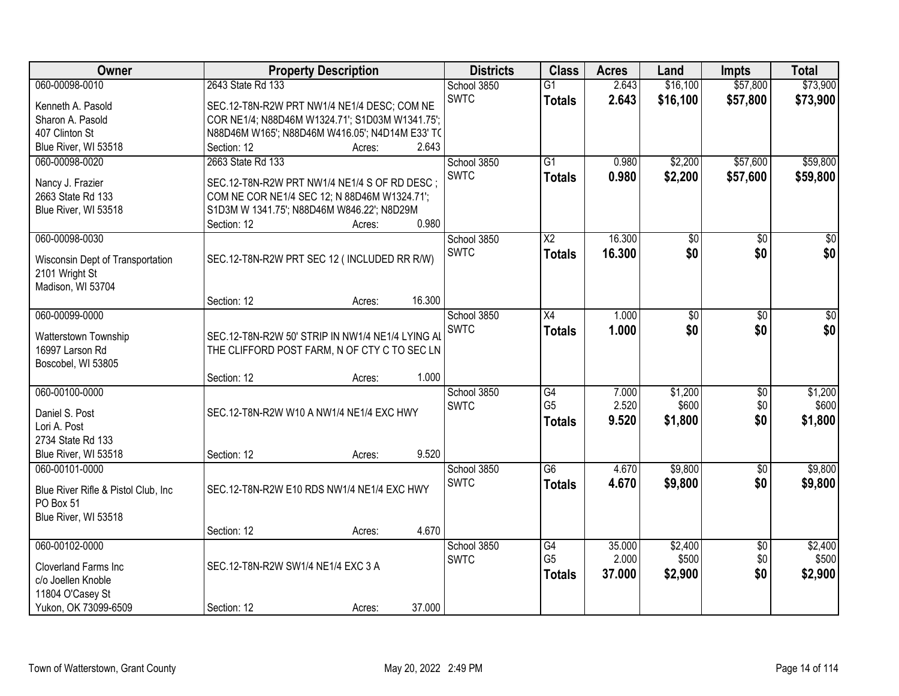| \$73,900<br>060-00098-0010<br>2643 State Rd 133<br>2.643<br>\$16,100<br>\$57,800<br>School 3850<br>$\overline{G1}$<br><b>SWTC</b><br>2.643<br>\$16,100<br>\$57,800<br>\$73,900<br><b>Totals</b><br>Kenneth A. Pasold<br>SEC.12-T8N-R2W PRT NW1/4 NE1/4 DESC; COM NE<br>COR NE1/4; N88D46M W1324.71'; S1D03M W1341.75';<br>Sharon A. Pasold<br>N88D46M W165'; N88D46M W416.05'; N4D14M E33' TC<br>407 Clinton St<br>Blue River, WI 53518<br>2.643<br>Section: 12<br>Acres:<br>\$57,600<br>060-00098-0020<br>2663 State Rd 133<br>$\overline{G1}$<br>\$2,200<br>\$59,800<br>School 3850<br>0.980<br><b>SWTC</b><br>0.980<br>\$2,200<br>\$57,600<br>\$59,800<br><b>Totals</b><br>Nancy J. Frazier<br>SEC.12-T8N-R2W PRT NW1/4 NE1/4 S OF RD DESC ; |
|-------------------------------------------------------------------------------------------------------------------------------------------------------------------------------------------------------------------------------------------------------------------------------------------------------------------------------------------------------------------------------------------------------------------------------------------------------------------------------------------------------------------------------------------------------------------------------------------------------------------------------------------------------------------------------------------------------------------------------------------------|
|                                                                                                                                                                                                                                                                                                                                                                                                                                                                                                                                                                                                                                                                                                                                                 |
|                                                                                                                                                                                                                                                                                                                                                                                                                                                                                                                                                                                                                                                                                                                                                 |
|                                                                                                                                                                                                                                                                                                                                                                                                                                                                                                                                                                                                                                                                                                                                                 |
|                                                                                                                                                                                                                                                                                                                                                                                                                                                                                                                                                                                                                                                                                                                                                 |
|                                                                                                                                                                                                                                                                                                                                                                                                                                                                                                                                                                                                                                                                                                                                                 |
|                                                                                                                                                                                                                                                                                                                                                                                                                                                                                                                                                                                                                                                                                                                                                 |
|                                                                                                                                                                                                                                                                                                                                                                                                                                                                                                                                                                                                                                                                                                                                                 |
| 2663 State Rd 133<br>COM NE COR NE1/4 SEC 12; N 88D46M W1324.71';                                                                                                                                                                                                                                                                                                                                                                                                                                                                                                                                                                                                                                                                               |
| S1D3M W 1341.75'; N88D46M W846.22'; N8D29M<br>Blue River, WI 53518                                                                                                                                                                                                                                                                                                                                                                                                                                                                                                                                                                                                                                                                              |
| 0.980<br>Section: 12<br>Acres:                                                                                                                                                                                                                                                                                                                                                                                                                                                                                                                                                                                                                                                                                                                  |
| 16.300<br>060-00098-0030<br>$\overline{X2}$<br>$\overline{30}$<br>School 3850<br>\$0<br>\$0                                                                                                                                                                                                                                                                                                                                                                                                                                                                                                                                                                                                                                                     |
| \$0<br>\$0 <br><b>SWTC</b><br>16.300<br>\$0<br><b>Totals</b>                                                                                                                                                                                                                                                                                                                                                                                                                                                                                                                                                                                                                                                                                    |
| SEC.12-T8N-R2W PRT SEC 12 (INCLUDED RR R/W)<br>Wisconsin Dept of Transportation                                                                                                                                                                                                                                                                                                                                                                                                                                                                                                                                                                                                                                                                 |
| 2101 Wright St                                                                                                                                                                                                                                                                                                                                                                                                                                                                                                                                                                                                                                                                                                                                  |
| Madison, WI 53704<br>16.300                                                                                                                                                                                                                                                                                                                                                                                                                                                                                                                                                                                                                                                                                                                     |
| Section: 12<br>Acres:<br>060-00099-0000<br>$\overline{X4}$<br>1.000<br>$\overline{50}$<br>$\overline{30}$<br>School 3850<br>\$0                                                                                                                                                                                                                                                                                                                                                                                                                                                                                                                                                                                                                 |
| \$0<br><b>SWTC</b><br>\$0                                                                                                                                                                                                                                                                                                                                                                                                                                                                                                                                                                                                                                                                                                                       |
| \$0<br>1.000<br><b>Totals</b><br>SEC.12-T8N-R2W 50' STRIP IN NW1/4 NE1/4 LYING AL<br>Watterstown Township                                                                                                                                                                                                                                                                                                                                                                                                                                                                                                                                                                                                                                       |
| 16997 Larson Rd<br>THE CLIFFORD POST FARM, N OF CTY C TO SEC LN                                                                                                                                                                                                                                                                                                                                                                                                                                                                                                                                                                                                                                                                                 |
| Boscobel, WI 53805                                                                                                                                                                                                                                                                                                                                                                                                                                                                                                                                                                                                                                                                                                                              |
| 1.000<br>Section: 12<br>Acres:                                                                                                                                                                                                                                                                                                                                                                                                                                                                                                                                                                                                                                                                                                                  |
| \$1,200<br>060-00100-0000<br>$\overline{G4}$<br>\$1,200<br>7.000<br>\$0<br>School 3850                                                                                                                                                                                                                                                                                                                                                                                                                                                                                                                                                                                                                                                          |
| G <sub>5</sub><br>2.520<br>\$600<br>\$0<br>\$600<br><b>SWTC</b><br>Daniel S. Post<br>SEC.12-T8N-R2W W10 A NW1/4 NE1/4 EXC HWY                                                                                                                                                                                                                                                                                                                                                                                                                                                                                                                                                                                                                   |
| 9.520<br>\$0<br>\$1,800<br>\$1,800<br><b>Totals</b><br>Lori A. Post                                                                                                                                                                                                                                                                                                                                                                                                                                                                                                                                                                                                                                                                             |
| 2734 State Rd 133                                                                                                                                                                                                                                                                                                                                                                                                                                                                                                                                                                                                                                                                                                                               |
| Blue River, WI 53518<br>9.520<br>Section: 12<br>Acres:                                                                                                                                                                                                                                                                                                                                                                                                                                                                                                                                                                                                                                                                                          |
| $\overline{G6}$<br>\$9,800<br>\$9,800<br>School 3850<br>4.670<br>060-00101-0000<br>$\sqrt{$0}$                                                                                                                                                                                                                                                                                                                                                                                                                                                                                                                                                                                                                                                  |
| <b>SWTC</b><br>\$9,800<br>\$0<br>4.670<br>\$9,800<br><b>Totals</b><br>SEC.12-T8N-R2W E10 RDS NW1/4 NE1/4 EXC HWY<br>Blue River Rifle & Pistol Club, Inc.                                                                                                                                                                                                                                                                                                                                                                                                                                                                                                                                                                                        |
| PO Box 51                                                                                                                                                                                                                                                                                                                                                                                                                                                                                                                                                                                                                                                                                                                                       |
| Blue River, WI 53518                                                                                                                                                                                                                                                                                                                                                                                                                                                                                                                                                                                                                                                                                                                            |
| 4.670<br>Section: 12<br>Acres:                                                                                                                                                                                                                                                                                                                                                                                                                                                                                                                                                                                                                                                                                                                  |
| 060-00102-0000<br>\$2,400<br>\$2,400<br>School 3850<br>G4<br>35.000<br>$\overline{50}$                                                                                                                                                                                                                                                                                                                                                                                                                                                                                                                                                                                                                                                          |
| G <sub>5</sub><br>2.000<br>\$500<br>\$0<br>\$500<br><b>SWTC</b>                                                                                                                                                                                                                                                                                                                                                                                                                                                                                                                                                                                                                                                                                 |
| SEC.12-T8N-R2W SW1/4 NE1/4 EXC 3 A<br><b>Cloverland Farms Inc.</b><br>\$0<br>37.000<br>\$2,900<br>\$2,900<br><b>Totals</b>                                                                                                                                                                                                                                                                                                                                                                                                                                                                                                                                                                                                                      |
| c/o Joellen Knoble<br>11804 O'Casey St                                                                                                                                                                                                                                                                                                                                                                                                                                                                                                                                                                                                                                                                                                          |
| Yukon, OK 73099-6509<br>37.000<br>Section: 12<br>Acres:                                                                                                                                                                                                                                                                                                                                                                                                                                                                                                                                                                                                                                                                                         |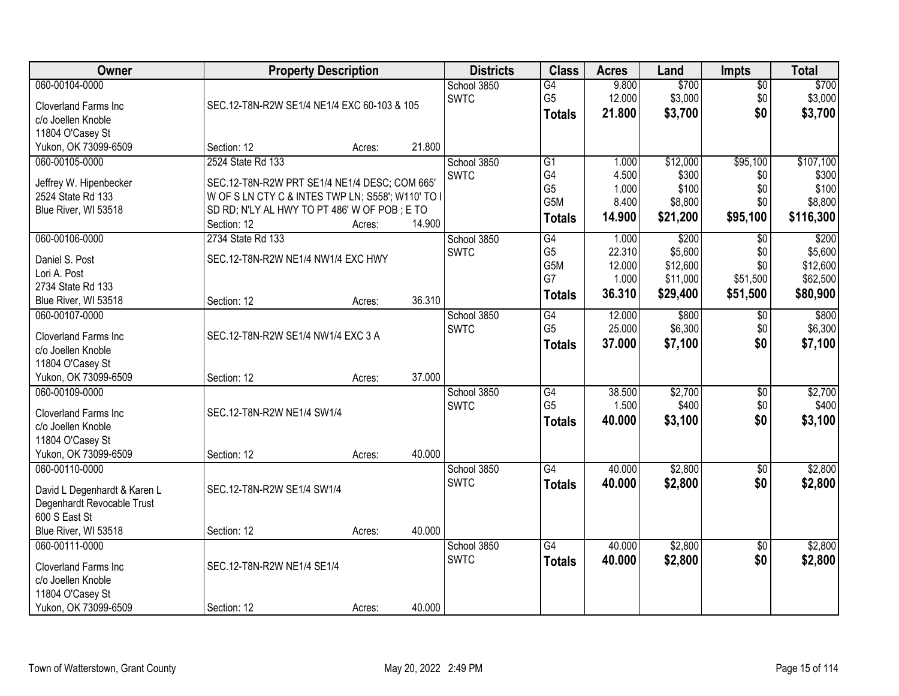| Owner                                                                                                                            |                                                                                                                                                                                        | <b>Property Description</b> |        | <b>Districts</b>           | <b>Class</b>                                                                 | <b>Acres</b>                                 | Land                                                 | <b>Impts</b>                              | <b>Total</b>                                         |
|----------------------------------------------------------------------------------------------------------------------------------|----------------------------------------------------------------------------------------------------------------------------------------------------------------------------------------|-----------------------------|--------|----------------------------|------------------------------------------------------------------------------|----------------------------------------------|------------------------------------------------------|-------------------------------------------|------------------------------------------------------|
| 060-00104-0000<br>Cloverland Farms Inc<br>c/o Joellen Knoble                                                                     | SEC.12-T8N-R2W SE1/4 NE1/4 EXC 60-103 & 105                                                                                                                                            |                             |        | School 3850<br><b>SWTC</b> | $\overline{G4}$<br>G <sub>5</sub><br><b>Totals</b>                           | 9.800<br>12.000<br>21.800                    | \$700<br>\$3,000<br>\$3,700                          | \$0<br>\$0<br>\$0                         | \$700<br>\$3,000<br>\$3,700                          |
| 11804 O'Casey St<br>Yukon, OK 73099-6509                                                                                         | Section: 12                                                                                                                                                                            | Acres:                      | 21.800 |                            |                                                                              |                                              |                                                      |                                           |                                                      |
| 060-00105-0000<br>Jeffrey W. Hipenbecker<br>2524 State Rd 133<br>Blue River, WI 53518                                            | 2524 State Rd 133<br>SEC.12-T8N-R2W PRT SE1/4 NE1/4 DESC; COM 665'<br>W OF S LN CTY C & INTES TWP LN; S558'; W110' TO I<br>SD RD; N'LY AL HWY TO PT 486' W OF POB; E TO<br>Section: 12 | Acres:                      | 14.900 | School 3850<br><b>SWTC</b> | $\overline{G1}$<br>G4<br>G <sub>5</sub><br>G <sub>5</sub> M<br><b>Totals</b> | 1.000<br>4.500<br>1.000<br>8.400<br>14.900   | \$12,000<br>\$300<br>\$100<br>\$8,800<br>\$21,200    | \$95,100<br>\$0<br>\$0<br>\$0<br>\$95,100 | \$107,100<br>\$300<br>\$100<br>\$8,800<br>\$116,300  |
| 060-00106-0000<br>Daniel S. Post<br>Lori A. Post<br>2734 State Rd 133<br>Blue River, WI 53518                                    | 2734 State Rd 133<br>SEC.12-T8N-R2W NE1/4 NW1/4 EXC HWY<br>Section: 12                                                                                                                 | Acres:                      | 36.310 | School 3850<br><b>SWTC</b> | $\overline{G4}$<br>G <sub>5</sub><br>G <sub>5</sub> M<br>G7<br><b>Totals</b> | 1.000<br>22.310<br>12.000<br>1.000<br>36.310 | \$200<br>\$5,600<br>\$12,600<br>\$11,000<br>\$29,400 | \$0<br>\$0<br>\$0<br>\$51,500<br>\$51,500 | \$200<br>\$5,600<br>\$12,600<br>\$62,500<br>\$80,900 |
| 060-00107-0000<br><b>Cloverland Farms Inc.</b><br>c/o Joellen Knoble<br>11804 O'Casey St<br>Yukon, OK 73099-6509                 | SEC.12-T8N-R2W SE1/4 NW1/4 EXC 3 A<br>Section: 12                                                                                                                                      | Acres:                      | 37.000 | School 3850<br><b>SWTC</b> | G4<br>G <sub>5</sub><br><b>Totals</b>                                        | 12.000<br>25.000<br>37.000                   | \$800<br>\$6,300<br>\$7,100                          | $\sqrt[6]{3}$<br>\$0<br>\$0               | \$800<br>\$6,300<br>\$7,100                          |
| 060-00109-0000<br>Cloverland Farms Inc<br>c/o Joellen Knoble<br>11804 O'Casey St<br>Yukon, OK 73099-6509                         | SEC.12-T8N-R2W NE1/4 SW1/4<br>Section: 12                                                                                                                                              | Acres:                      | 40.000 | School 3850<br><b>SWTC</b> | $\overline{G4}$<br>G <sub>5</sub><br><b>Totals</b>                           | 38.500<br>1.500<br>40.000                    | \$2,700<br>\$400<br>\$3,100                          | $\overline{50}$<br>\$0<br>\$0             | \$2,700<br>\$400<br>\$3,100                          |
| 060-00110-0000<br>David L Degenhardt & Karen L<br>Degenhardt Revocable Trust<br>600 S East St                                    | SEC.12-T8N-R2W SE1/4 SW1/4                                                                                                                                                             |                             | 40.000 | School 3850<br><b>SWTC</b> | G4<br><b>Totals</b>                                                          | 40.000<br>40.000                             | \$2,800<br>\$2,800                                   | \$0<br>\$0                                | \$2,800<br>\$2,800                                   |
| Blue River, WI 53518<br>060-00111-0000<br>Cloverland Farms Inc<br>c/o Joellen Knoble<br>11804 O'Casey St<br>Yukon, OK 73099-6509 | Section: 12<br>SEC.12-T8N-R2W NE1/4 SE1/4<br>Section: 12                                                                                                                               | Acres:<br>Acres:            | 40.000 | School 3850<br><b>SWTC</b> | $\overline{G4}$<br><b>Totals</b>                                             | 40.000<br>40.000                             | \$2,800<br>\$2,800                                   | $\overline{50}$<br>\$0                    | \$2,800<br>\$2,800                                   |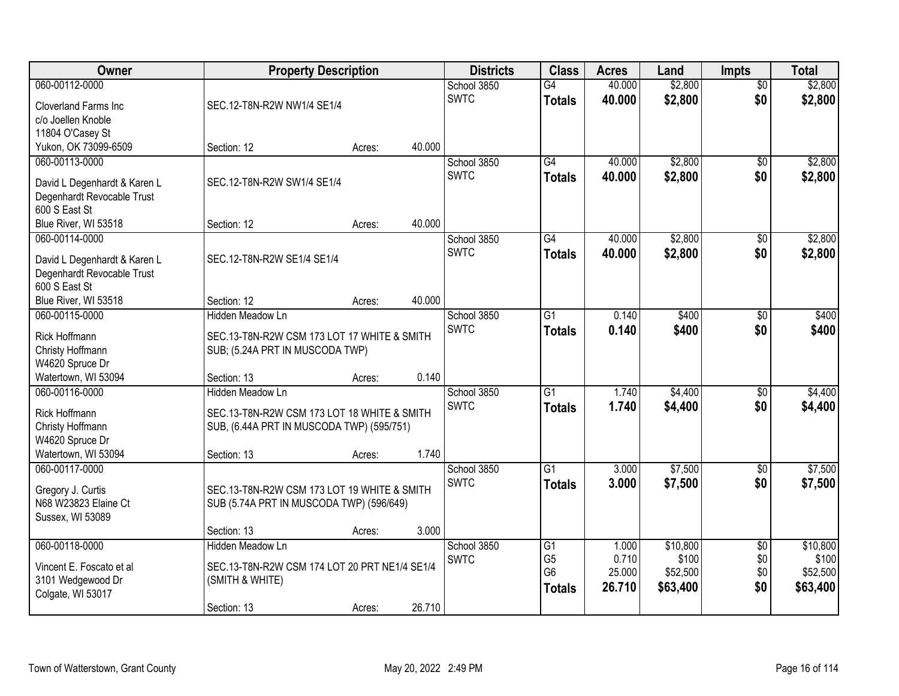| Owner                        | <b>Property Description</b>                   |        |        | <b>Districts</b> | <b>Class</b>    | <b>Acres</b>     | Land     | <b>Impts</b>    | <b>Total</b> |
|------------------------------|-----------------------------------------------|--------|--------|------------------|-----------------|------------------|----------|-----------------|--------------|
| 060-00112-0000               |                                               |        |        | School 3850      | $\overline{G4}$ | 40.000           | \$2,800  | $\overline{50}$ | \$2,800      |
| Cloverland Farms Inc.        | SEC.12-T8N-R2W NW1/4 SE1/4                    |        |        | <b>SWTC</b>      | <b>Totals</b>   | 40.000           | \$2,800  | \$0             | \$2,800      |
| c/o Joellen Knoble           |                                               |        |        |                  |                 |                  |          |                 |              |
| 11804 O'Casey St             |                                               |        |        |                  |                 |                  |          |                 |              |
| Yukon, OK 73099-6509         | Section: 12                                   | Acres: | 40.000 |                  |                 |                  |          |                 |              |
| 060-00113-0000               |                                               |        |        | School 3850      | $\overline{G4}$ | 40.000           | \$2,800  | \$0             | \$2,800      |
| David L Degenhardt & Karen L | SEC.12-T8N-R2W SW1/4 SE1/4                    |        |        | <b>SWTC</b>      | <b>Totals</b>   | 40.000           | \$2,800  | \$0             | \$2,800      |
| Degenhardt Revocable Trust   |                                               |        |        |                  |                 |                  |          |                 |              |
| 600 S East St                |                                               |        |        |                  |                 |                  |          |                 |              |
| Blue River, WI 53518         | Section: 12                                   | Acres: | 40.000 |                  |                 |                  |          |                 |              |
| 060-00114-0000               |                                               |        |        | School 3850      | $\overline{G4}$ | 40.000           | \$2,800  | \$0             | \$2,800      |
| David L Degenhardt & Karen L | SEC.12-T8N-R2W SE1/4 SE1/4                    |        |        | <b>SWTC</b>      | <b>Totals</b>   | 40.000           | \$2,800  | \$0             | \$2,800      |
| Degenhardt Revocable Trust   |                                               |        |        |                  |                 |                  |          |                 |              |
| 600 S East St                |                                               |        |        |                  |                 |                  |          |                 |              |
| Blue River, WI 53518         | Section: 12                                   | Acres: | 40.000 |                  |                 |                  |          |                 |              |
| 060-00115-0000               | <b>Hidden Meadow Ln</b>                       |        |        | School 3850      | $\overline{G1}$ | 0.140            | \$400    | \$0             | \$400        |
| Rick Hoffmann                | SEC.13-T8N-R2W CSM 173 LOT 17 WHITE & SMITH   |        |        | <b>SWTC</b>      | <b>Totals</b>   | 0.140            | \$400    | \$0             | \$400        |
| Christy Hoffmann             | SUB; (5.24A PRT IN MUSCODA TWP)               |        |        |                  |                 |                  |          |                 |              |
| W4620 Spruce Dr              |                                               |        |        |                  |                 |                  |          |                 |              |
| Watertown, WI 53094          | Section: 13                                   | Acres: | 0.140  |                  |                 |                  |          |                 |              |
| 060-00116-0000               | Hidden Meadow Ln                              |        |        | School 3850      | $\overline{G1}$ | 1.740            | \$4,400  | $\overline{50}$ | \$4,400      |
| <b>Rick Hoffmann</b>         | SEC.13-T8N-R2W CSM 173 LOT 18 WHITE & SMITH   |        |        | <b>SWTC</b>      | <b>Totals</b>   | 1.740            | \$4,400  | \$0             | \$4,400      |
| Christy Hoffmann             | SUB, (6.44A PRT IN MUSCODA TWP) (595/751)     |        |        |                  |                 |                  |          |                 |              |
| W4620 Spruce Dr              |                                               |        |        |                  |                 |                  |          |                 |              |
| Watertown, WI 53094          | Section: 13                                   | Acres: | 1.740  |                  |                 |                  |          |                 |              |
| 060-00117-0000               |                                               |        |        | School 3850      | $\overline{G1}$ | 3.000            | \$7,500  | \$0             | \$7,500      |
| Gregory J. Curtis            | SEC.13-T8N-R2W CSM 173 LOT 19 WHITE & SMITH   |        |        | <b>SWTC</b>      | <b>Totals</b>   | 3.000            | \$7,500  | \$0             | \$7,500      |
| N68 W23823 Elaine Ct         | SUB (5.74A PRT IN MUSCODA TWP) (596/649)      |        |        |                  |                 |                  |          |                 |              |
| Sussex, WI 53089             |                                               |        |        |                  |                 |                  |          |                 |              |
|                              | Section: 13                                   | Acres: | 3.000  |                  |                 |                  |          |                 |              |
| 060-00118-0000               | Hidden Meadow Ln                              |        |        | School 3850      | G1              | 1.000            | \$10,800 | $\overline{50}$ | \$10,800     |
| Vincent E. Foscato et al     | SEC.13-T8N-R2W CSM 174 LOT 20 PRT NE1/4 SE1/4 |        |        | <b>SWTC</b>      | G <sub>5</sub>  | 0.710            | \$100    | \$0             | \$100        |
| 3101 Wedgewood Dr            | (SMITH & WHITE)                               |        |        |                  | G <sub>6</sub>  | 25.000<br>26.710 | \$52,500 | \$0<br>\$0      | \$52,500     |
| Colgate, WI 53017            |                                               |        |        |                  | <b>Totals</b>   |                  | \$63,400 |                 | \$63,400     |
|                              | Section: 13                                   | Acres: | 26.710 |                  |                 |                  |          |                 |              |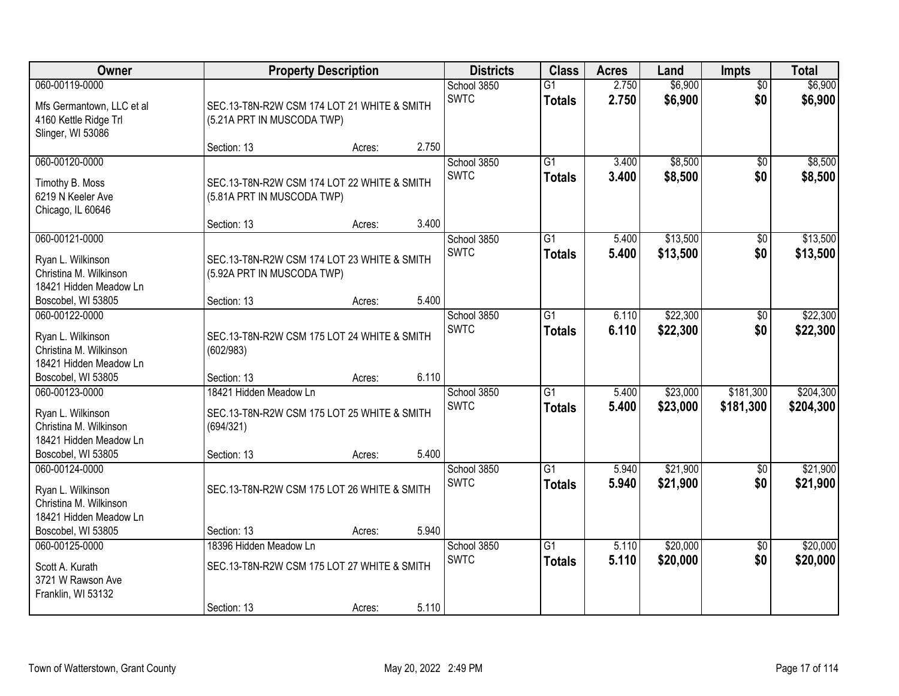| Owner                                                                                                         |                                                                                                   | <b>Property Description</b> |       | <b>Districts</b>           | <b>Class</b>                     | <b>Acres</b>   | Land                 | <b>Impts</b>           | <b>Total</b>           |
|---------------------------------------------------------------------------------------------------------------|---------------------------------------------------------------------------------------------------|-----------------------------|-------|----------------------------|----------------------------------|----------------|----------------------|------------------------|------------------------|
| 060-00119-0000<br>Mfs Germantown, LLC et al<br>4160 Kettle Ridge Trl<br>Slinger, WI 53086                     | SEC.13-T8N-R2W CSM 174 LOT 21 WHITE & SMITH<br>(5.21A PRT IN MUSCODA TWP)                         |                             |       | School 3850<br><b>SWTC</b> | $\overline{G1}$<br><b>Totals</b> | 2.750<br>2.750 | \$6,900<br>\$6,900   | $\overline{50}$<br>\$0 | \$6,900<br>\$6,900     |
|                                                                                                               | Section: 13                                                                                       | Acres:                      | 2.750 |                            |                                  |                |                      |                        |                        |
| 060-00120-0000<br>Timothy B. Moss<br>6219 N Keeler Ave<br>Chicago, IL 60646                                   | SEC.13-T8N-R2W CSM 174 LOT 22 WHITE & SMITH<br>(5.81A PRT IN MUSCODA TWP)                         |                             |       | School 3850<br><b>SWTC</b> | $\overline{G1}$<br><b>Totals</b> | 3.400<br>3.400 | \$8,500<br>\$8,500   | $\overline{50}$<br>\$0 | \$8,500<br>\$8,500     |
| 060-00121-0000                                                                                                | Section: 13                                                                                       | Acres:                      | 3.400 |                            | $\overline{G1}$                  | 5.400          | \$13,500             |                        | \$13,500               |
| Ryan L. Wilkinson<br>Christina M. Wilkinson<br>18421 Hidden Meadow Ln                                         | SEC.13-T8N-R2W CSM 174 LOT 23 WHITE & SMITH<br>(5.92A PRT IN MUSCODA TWP)                         |                             |       | School 3850<br><b>SWTC</b> | <b>Totals</b>                    | 5.400          | \$13,500             | \$0<br>\$0             | \$13,500               |
| Boscobel, WI 53805                                                                                            | Section: 13                                                                                       | Acres:                      | 5.400 |                            |                                  |                |                      |                        |                        |
| 060-00122-0000<br>Ryan L. Wilkinson<br>Christina M. Wilkinson<br>18421 Hidden Meadow Ln                       | SEC.13-T8N-R2W CSM 175 LOT 24 WHITE & SMITH<br>(602/983)                                          |                             |       | School 3850<br><b>SWTC</b> | $\overline{G1}$<br><b>Totals</b> | 6.110<br>6.110 | \$22,300<br>\$22,300 | \$0<br>\$0             | \$22,300<br>\$22,300   |
| Boscobel, WI 53805                                                                                            | Section: 13                                                                                       | Acres:                      | 6.110 |                            |                                  |                |                      |                        |                        |
| 060-00123-0000<br>Ryan L. Wilkinson<br>Christina M. Wilkinson<br>18421 Hidden Meadow Ln<br>Boscobel, WI 53805 | 18421 Hidden Meadow Ln<br>SEC.13-T8N-R2W CSM 175 LOT 25 WHITE & SMITH<br>(694/321)<br>Section: 13 | Acres:                      | 5.400 | School 3850<br><b>SWTC</b> | $\overline{G1}$<br><b>Totals</b> | 5.400<br>5.400 | \$23,000<br>\$23,000 | \$181,300<br>\$181,300 | \$204,300<br>\$204,300 |
| 060-00124-0000<br>Ryan L. Wilkinson<br>Christina M. Wilkinson<br>18421 Hidden Meadow Ln                       | SEC.13-T8N-R2W CSM 175 LOT 26 WHITE & SMITH                                                       |                             |       | School 3850<br><b>SWTC</b> | $\overline{G1}$<br><b>Totals</b> | 5.940<br>5.940 | \$21,900<br>\$21,900 | \$0<br>\$0             | \$21,900<br>\$21,900   |
| Boscobel, WI 53805                                                                                            | Section: 13                                                                                       | Acres:                      | 5.940 |                            |                                  |                |                      |                        |                        |
| 060-00125-0000<br>Scott A. Kurath<br>3721 W Rawson Ave<br>Franklin, WI 53132                                  | 18396 Hidden Meadow Ln<br>SEC.13-T8N-R2W CSM 175 LOT 27 WHITE & SMITH<br>Section: 13              | Acres:                      | 5.110 | School 3850<br><b>SWTC</b> | $\overline{G1}$<br><b>Totals</b> | 5.110<br>5.110 | \$20,000<br>\$20,000 | $\overline{50}$<br>\$0 | \$20,000<br>\$20,000   |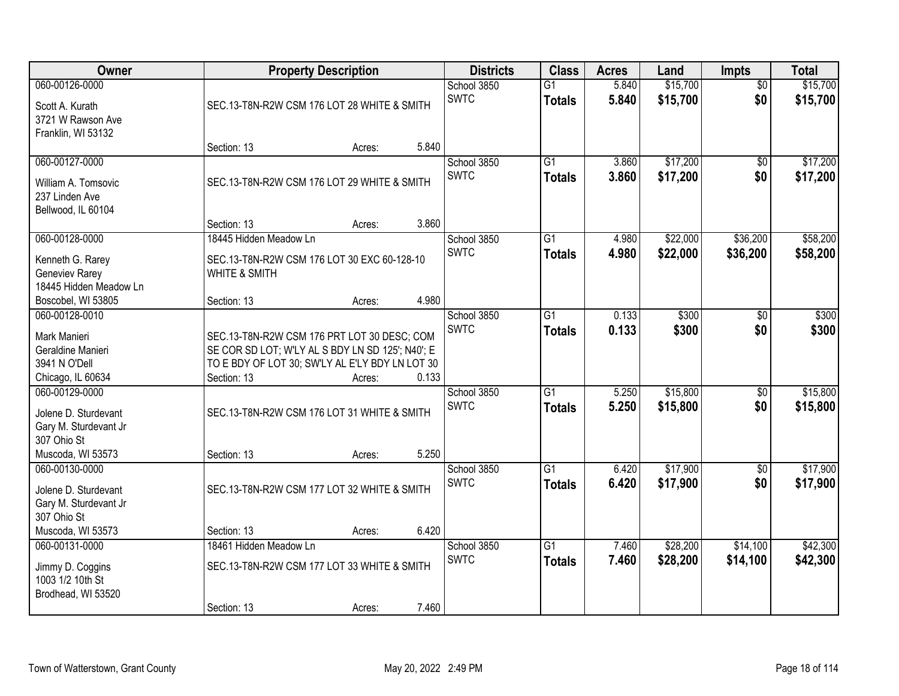| Owner                                                                                               |                                                                                                                                                                   | <b>Property Description</b> |       | <b>Districts</b>           | <b>Class</b>                     | <b>Acres</b>   | Land                 | Impts                  | <b>Total</b>         |
|-----------------------------------------------------------------------------------------------------|-------------------------------------------------------------------------------------------------------------------------------------------------------------------|-----------------------------|-------|----------------------------|----------------------------------|----------------|----------------------|------------------------|----------------------|
| 060-00126-0000<br>Scott A. Kurath<br>3721 W Rawson Ave                                              | SEC.13-T8N-R2W CSM 176 LOT 28 WHITE & SMITH                                                                                                                       |                             |       | School 3850<br><b>SWTC</b> | $\overline{G1}$<br><b>Totals</b> | 5.840<br>5.840 | \$15,700<br>\$15,700 | $\overline{50}$<br>\$0 | \$15,700<br>\$15,700 |
| Franklin, WI 53132                                                                                  | Section: 13                                                                                                                                                       | Acres:                      | 5.840 |                            |                                  |                |                      |                        |                      |
| 060-00127-0000<br>William A. Tomsovic<br>237 Linden Ave<br>Bellwood, IL 60104                       | SEC.13-T8N-R2W CSM 176 LOT 29 WHITE & SMITH                                                                                                                       |                             |       | School 3850<br><b>SWTC</b> | $\overline{G1}$<br><b>Totals</b> | 3.860<br>3.860 | \$17,200<br>\$17,200 | \$0<br>\$0             | \$17,200<br>\$17,200 |
|                                                                                                     | Section: 13                                                                                                                                                       | Acres:                      | 3.860 |                            |                                  |                |                      |                        |                      |
| 060-00128-0000<br>Kenneth G. Rarey<br>Geneviev Rarey<br>18445 Hidden Meadow Ln                      | 18445 Hidden Meadow Ln<br>SEC.13-T8N-R2W CSM 176 LOT 30 EXC 60-128-10<br><b>WHITE &amp; SMITH</b>                                                                 |                             |       | School 3850<br><b>SWTC</b> | $\overline{G1}$<br><b>Totals</b> | 4.980<br>4.980 | \$22,000<br>\$22,000 | \$36,200<br>\$36,200   | \$58,200<br>\$58,200 |
| Boscobel, WI 53805                                                                                  | Section: 13                                                                                                                                                       | Acres:                      | 4.980 |                            |                                  |                |                      |                        |                      |
| 060-00128-0010<br>Mark Manieri<br>Geraldine Manieri<br>3941 N O'Dell<br>Chicago, IL 60634           | SEC.13-T8N-R2W CSM 176 PRT LOT 30 DESC; COM<br>SE COR SD LOT; W'LY AL S BDY LN SD 125'; N40'; E<br>TO E BDY OF LOT 30; SW'LY AL E'LY BDY LN LOT 30<br>Section: 13 | Acres:                      | 0.133 | School 3850<br><b>SWTC</b> | G1<br><b>Totals</b>              | 0.133<br>0.133 | \$300<br>\$300       | \$0<br>\$0             | \$300<br>\$300       |
| 060-00129-0000<br>Jolene D. Sturdevant<br>Gary M. Sturdevant Jr<br>307 Ohio St<br>Muscoda, WI 53573 | SEC.13-T8N-R2W CSM 176 LOT 31 WHITE & SMITH<br>Section: 13                                                                                                        | Acres:                      | 5.250 | School 3850<br><b>SWTC</b> | $\overline{G1}$<br><b>Totals</b> | 5.250<br>5.250 | \$15,800<br>\$15,800 | $\overline{50}$<br>\$0 | \$15,800<br>\$15,800 |
| 060-00130-0000<br>Jolene D. Sturdevant<br>Gary M. Sturdevant Jr<br>307 Ohio St                      | SEC.13-T8N-R2W CSM 177 LOT 32 WHITE & SMITH                                                                                                                       |                             |       | School 3850<br><b>SWTC</b> | $\overline{G1}$<br><b>Totals</b> | 6.420<br>6.420 | \$17,900<br>\$17,900 | $\sqrt{6}$<br>\$0      | \$17,900<br>\$17,900 |
| Muscoda, WI 53573                                                                                   | Section: 13                                                                                                                                                       | Acres:                      | 6.420 |                            | $\overline{G1}$                  |                |                      |                        | \$42,300             |
| 060-00131-0000<br>Jimmy D. Coggins<br>1003 1/2 10th St<br>Brodhead, WI 53520                        | 18461 Hidden Meadow Ln<br>SEC.13-T8N-R2W CSM 177 LOT 33 WHITE & SMITH<br>Section: 13                                                                              | Acres:                      | 7.460 | School 3850<br><b>SWTC</b> | <b>Totals</b>                    | 7.460<br>7.460 | \$28,200<br>\$28,200 | \$14,100<br>\$14,100   | \$42,300             |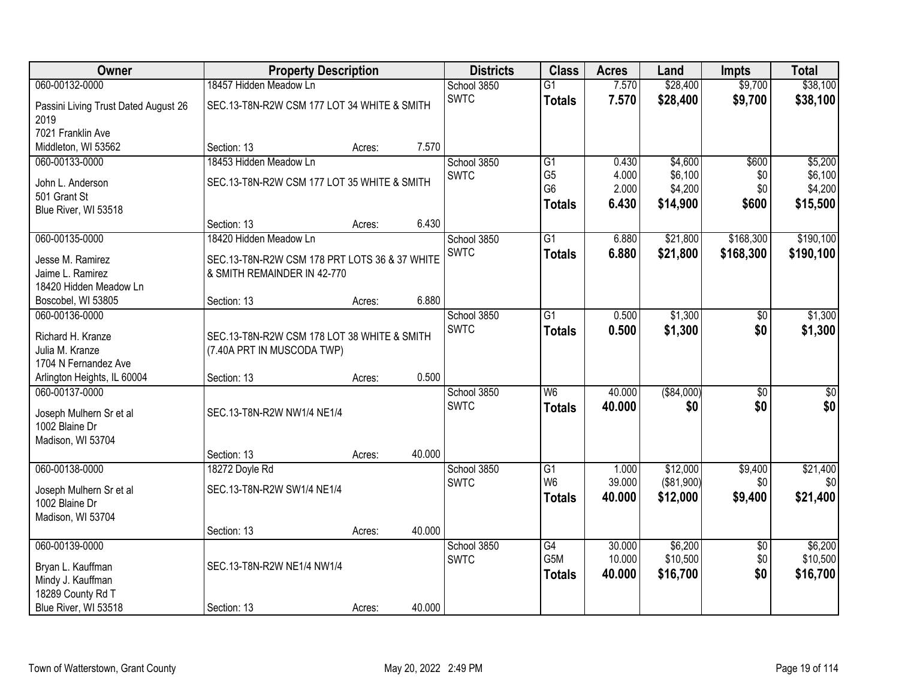| Owner                                        | <b>Property Description</b>                   |        |        | <b>Districts</b> | <b>Class</b>    | <b>Acres</b> | Land        | <b>Impts</b>    | <b>Total</b> |
|----------------------------------------------|-----------------------------------------------|--------|--------|------------------|-----------------|--------------|-------------|-----------------|--------------|
| 060-00132-0000                               | 18457 Hidden Meadow Ln                        |        |        | School 3850      | $\overline{G1}$ | 7.570        | \$28,400    | \$9,700         | \$38,100     |
| Passini Living Trust Dated August 26<br>2019 | SEC.13-T8N-R2W CSM 177 LOT 34 WHITE & SMITH   |        |        | <b>SWTC</b>      | <b>Totals</b>   | 7.570        | \$28,400    | \$9,700         | \$38,100     |
| 7021 Franklin Ave                            |                                               |        |        |                  |                 |              |             |                 |              |
| Middleton, WI 53562                          | Section: 13                                   | Acres: | 7.570  |                  |                 |              |             |                 |              |
| 060-00133-0000                               | 18453 Hidden Meadow Ln                        |        |        | School 3850      | G1              | 0.430        | \$4,600     | \$600           | \$5,200      |
| John L. Anderson                             | SEC.13-T8N-R2W CSM 177 LOT 35 WHITE & SMITH   |        |        | <b>SWTC</b>      | G <sub>5</sub>  | 4.000        | \$6,100     | \$0             | \$6,100      |
| 501 Grant St                                 |                                               |        |        |                  | G <sub>6</sub>  | 2.000        | \$4,200     | \$0             | \$4,200      |
| Blue River, WI 53518                         |                                               |        |        |                  | <b>Totals</b>   | 6.430        | \$14,900    | \$600           | \$15,500     |
|                                              | Section: 13                                   | Acres: | 6.430  |                  |                 |              |             |                 |              |
| 060-00135-0000                               | 18420 Hidden Meadow Ln                        |        |        | School 3850      | $\overline{G1}$ | 6.880        | \$21,800    | \$168,300       | \$190,100    |
| Jesse M. Ramirez                             | SEC.13-T8N-R2W CSM 178 PRT LOTS 36 & 37 WHITE |        |        | <b>SWTC</b>      | <b>Totals</b>   | 6.880        | \$21,800    | \$168,300       | \$190,100    |
| Jaime L. Ramirez                             | & SMITH REMAINDER IN 42-770                   |        |        |                  |                 |              |             |                 |              |
| 18420 Hidden Meadow Ln                       |                                               |        |        |                  |                 |              |             |                 |              |
| Boscobel, WI 53805                           | Section: 13                                   | Acres: | 6.880  |                  |                 |              |             |                 |              |
| 060-00136-0000                               |                                               |        |        | School 3850      | $\overline{G1}$ | 0.500        | \$1,300     | \$0             | \$1,300      |
| Richard H. Kranze                            | SEC.13-T8N-R2W CSM 178 LOT 38 WHITE & SMITH   |        |        | <b>SWTC</b>      | <b>Totals</b>   | 0.500        | \$1,300     | \$0             | \$1,300      |
| Julia M. Kranze                              | (7.40A PRT IN MUSCODA TWP)                    |        |        |                  |                 |              |             |                 |              |
| 1704 N Fernandez Ave                         |                                               |        |        |                  |                 |              |             |                 |              |
| Arlington Heights, IL 60004                  | Section: 13                                   | Acres: | 0.500  |                  |                 |              |             |                 |              |
| 060-00137-0000                               |                                               |        |        | School 3850      | W <sub>6</sub>  | 40.000       | ( \$84,000) | \$0             | \$0          |
|                                              |                                               |        |        | <b>SWTC</b>      | <b>Totals</b>   | 40.000       | \$0         | \$0             | \$0          |
| Joseph Mulhern Sr et al<br>1002 Blaine Dr    | SEC.13-T8N-R2W NW1/4 NE1/4                    |        |        |                  |                 |              |             |                 |              |
| Madison, WI 53704                            |                                               |        |        |                  |                 |              |             |                 |              |
|                                              | Section: 13                                   | Acres: | 40.000 |                  |                 |              |             |                 |              |
| 060-00138-0000                               | 18272 Doyle Rd                                |        |        | School 3850      | G1              | 1.000        | \$12,000    | \$9,400         | \$21,400     |
|                                              |                                               |        |        | <b>SWTC</b>      | W <sub>6</sub>  | 39.000       | (\$81,900)  | \$0             | \$0          |
| Joseph Mulhern Sr et al                      | SEC.13-T8N-R2W SW1/4 NE1/4                    |        |        |                  | <b>Totals</b>   | 40.000       | \$12,000    | \$9,400         | \$21,400     |
| 1002 Blaine Dr                               |                                               |        |        |                  |                 |              |             |                 |              |
| Madison, WI 53704                            | Section: 13                                   | Acres: | 40.000 |                  |                 |              |             |                 |              |
| 060-00139-0000                               |                                               |        |        | School 3850      | G4              | 30.000       | \$6,200     | $\overline{30}$ | \$6,200      |
|                                              |                                               |        |        | <b>SWTC</b>      | G5M             | 10.000       | \$10,500    | \$0             | \$10,500     |
| Bryan L. Kauffman                            | SEC.13-T8N-R2W NE1/4 NW1/4                    |        |        |                  | <b>Totals</b>   | 40.000       | \$16,700    | \$0             | \$16,700     |
| Mindy J. Kauffman                            |                                               |        |        |                  |                 |              |             |                 |              |
| 18289 County Rd T                            |                                               |        |        |                  |                 |              |             |                 |              |
| Blue River, WI 53518                         | Section: 13                                   | Acres: | 40.000 |                  |                 |              |             |                 |              |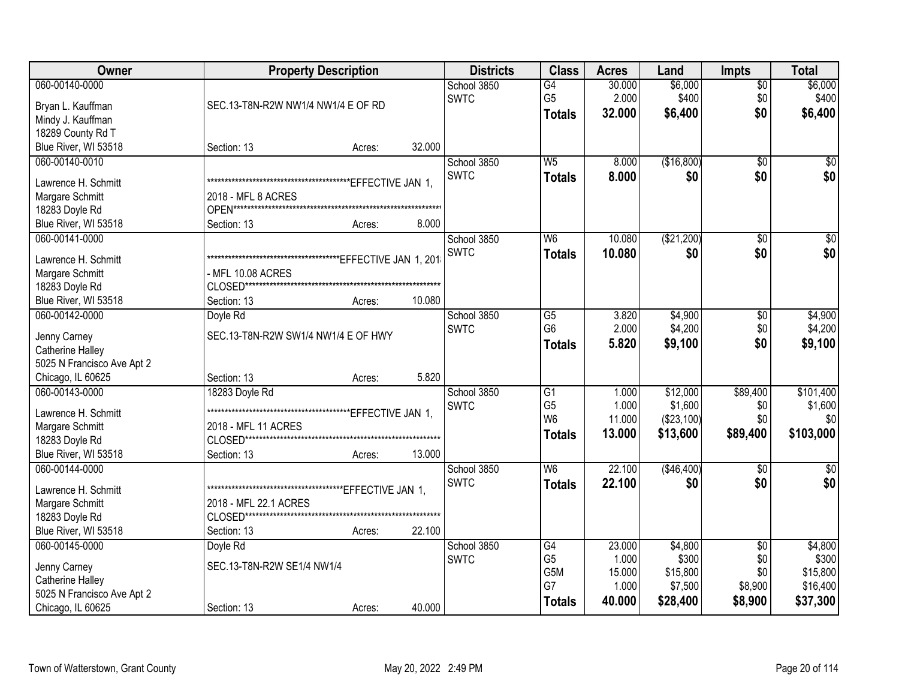| Owner                      |                                     | <b>Property Description</b> |        | <b>Districts</b> | <b>Class</b>     | <b>Acres</b> | Land       | <b>Impts</b>    | <b>Total</b>    |
|----------------------------|-------------------------------------|-----------------------------|--------|------------------|------------------|--------------|------------|-----------------|-----------------|
| 060-00140-0000             |                                     |                             |        | School 3850      | $\overline{G4}$  | 30.000       | \$6,000    | $\overline{30}$ | \$6,000         |
| Bryan L. Kauffman          | SEC.13-T8N-R2W NW1/4 NW1/4 E OF RD  |                             |        | <b>SWTC</b>      | G <sub>5</sub>   | 2.000        | \$400      | \$0             | \$400           |
| Mindy J. Kauffman          |                                     |                             |        |                  | <b>Totals</b>    | 32.000       | \$6,400    | \$0             | \$6,400         |
| 18289 County Rd T          |                                     |                             |        |                  |                  |              |            |                 |                 |
| Blue River, WI 53518       | Section: 13                         | Acres:                      | 32.000 |                  |                  |              |            |                 |                 |
| 060-00140-0010             |                                     |                             |        | School 3850      | W <sub>5</sub>   | 8.000        | (\$16,800) | $\overline{30}$ | \$0             |
|                            |                                     |                             |        | <b>SWTC</b>      | <b>Totals</b>    | 8.000        | \$0        | \$0             | \$0             |
| Lawrence H. Schmitt        |                                     |                             |        |                  |                  |              |            |                 |                 |
| Margare Schmitt            | 2018 - MFL 8 ACRES                  |                             |        |                  |                  |              |            |                 |                 |
| 18283 Doyle Rd             |                                     |                             |        |                  |                  |              |            |                 |                 |
| Blue River, WI 53518       | Section: 13                         | Acres:                      | 8.000  |                  |                  |              |            |                 |                 |
| 060-00141-0000             |                                     |                             |        | School 3850      | W <sub>6</sub>   | 10.080       | (\$21,200) | $\overline{50}$ | $\overline{50}$ |
| Lawrence H. Schmitt        |                                     |                             |        | <b>SWTC</b>      | <b>Totals</b>    | 10.080       | \$0        | \$0             | \$0             |
| Margare Schmitt            | MFL 10.08 ACRES                     |                             |        |                  |                  |              |            |                 |                 |
| 18283 Doyle Rd             |                                     |                             |        |                  |                  |              |            |                 |                 |
| Blue River, WI 53518       | Section: 13                         | Acres:                      | 10.080 |                  |                  |              |            |                 |                 |
| 060-00142-0000             | Doyle Rd                            |                             |        | School 3850      | G5               | 3.820        | \$4,900    | \$0             | \$4,900         |
|                            |                                     |                             |        | <b>SWTC</b>      | G <sub>6</sub>   | 2.000        | \$4,200    | \$0             | \$4,200         |
| Jenny Carney               | SEC.13-T8N-R2W SW1/4 NW1/4 E OF HWY |                             |        |                  | <b>Totals</b>    | 5.820        | \$9,100    | \$0             | \$9,100         |
| Catherine Halley           |                                     |                             |        |                  |                  |              |            |                 |                 |
| 5025 N Francisco Ave Apt 2 |                                     |                             |        |                  |                  |              |            |                 |                 |
| Chicago, IL 60625          | Section: 13                         | Acres:                      | 5.820  |                  |                  |              |            |                 |                 |
| 060-00143-0000             | 18283 Doyle Rd                      |                             |        | School 3850      | $\overline{G1}$  | 1.000        | \$12,000   | \$89,400        | \$101,400       |
| Lawrence H. Schmitt        |                                     |                             |        | <b>SWTC</b>      | G <sub>5</sub>   | 1.000        | \$1,600    | \$0             | \$1,600         |
| Margare Schmitt            | 2018 - MFL 11 ACRES                 |                             |        |                  | W <sub>6</sub>   | 11.000       | (\$23,100) | \$0             | \$0             |
| 18283 Doyle Rd             |                                     |                             |        |                  | <b>Totals</b>    | 13.000       | \$13,600   | \$89,400        | \$103,000       |
| Blue River, WI 53518       | Section: 13                         | Acres:                      | 13.000 |                  |                  |              |            |                 |                 |
| 060-00144-0000             |                                     |                             |        | School 3850      | W6               | 22.100       | (\$46,400) | $\overline{50}$ | $\overline{50}$ |
|                            |                                     |                             |        | <b>SWTC</b>      | <b>Totals</b>    | 22.100       | \$0        | \$0             | \$0             |
| Lawrence H. Schmitt        |                                     |                             |        |                  |                  |              |            |                 |                 |
| Margare Schmitt            | 2018 - MFL 22.1 ACRES               |                             |        |                  |                  |              |            |                 |                 |
| 18283 Doyle Rd             |                                     |                             |        |                  |                  |              |            |                 |                 |
| Blue River, WI 53518       | Section: 13                         | Acres:                      | 22.100 |                  |                  |              |            |                 |                 |
| 060-00145-0000             | Doyle Rd                            |                             |        | School 3850      | G4               | 23.000       | \$4,800    | $\overline{30}$ | \$4,800         |
| Jenny Carney               | SEC.13-T8N-R2W SE1/4 NW1/4          |                             |        | <b>SWTC</b>      | G <sub>5</sub>   | 1.000        | \$300      | \$0             | \$300           |
| Catherine Halley           |                                     |                             |        |                  | G <sub>5</sub> M | 15.000       | \$15,800   | \$0             | \$15,800        |
| 5025 N Francisco Ave Apt 2 |                                     |                             |        |                  | G7               | 1.000        | \$7,500    | \$8,900         | \$16,400        |
| Chicago, IL 60625          | Section: 13                         | Acres:                      | 40.000 |                  | <b>Totals</b>    | 40.000       | \$28,400   | \$8,900         | \$37,300        |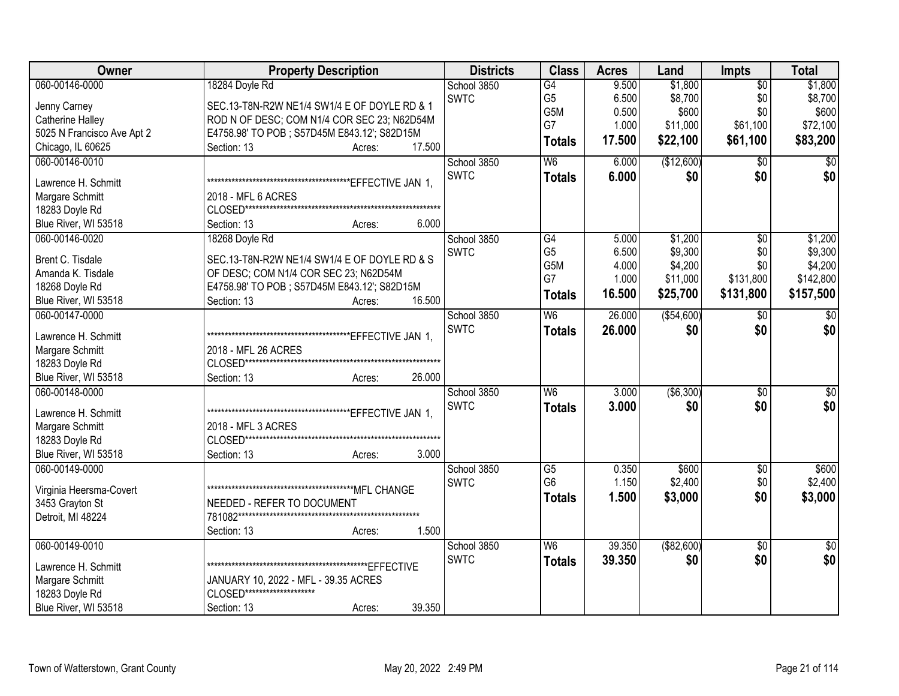| Owner                      | <b>Property Description</b>                  | <b>Districts</b> | <b>Class</b>                      | <b>Acres</b>   | Land               | <b>Impts</b>    | <b>Total</b>       |
|----------------------------|----------------------------------------------|------------------|-----------------------------------|----------------|--------------------|-----------------|--------------------|
| 060-00146-0000             | 18284 Doyle Rd                               | School 3850      | G4                                | 9.500          | \$1,800            | $\overline{50}$ | \$1,800            |
| Jenny Carney               | SEC.13-T8N-R2W NE1/4 SW1/4 E OF DOYLE RD & 1 | <b>SWTC</b>      | G <sub>5</sub>                    | 6.500          | \$8,700            | \$0             | \$8,700            |
| Catherine Halley           | ROD N OF DESC; COM N1/4 COR SEC 23; N62D54M  |                  | G5M                               | 0.500          | \$600              | \$0             | \$600              |
| 5025 N Francisco Ave Apt 2 | E4758.98' TO POB; S57D45M E843.12'; S82D15M  |                  | G7                                | 1.000          | \$11,000           | \$61,100        | \$72,100           |
| Chicago, IL 60625          | Section: 13<br>17.500<br>Acres:              |                  | <b>Totals</b>                     | 17.500         | \$22,100           | \$61,100        | \$83,200           |
| 060-00146-0010             |                                              | School 3850      | W6                                | 6.000          | (\$12,600)         | $\overline{30}$ | $\overline{50}$    |
|                            |                                              | <b>SWTC</b>      | <b>Totals</b>                     | 6.000          | \$0                | \$0             | \$0                |
| Lawrence H. Schmitt        |                                              |                  |                                   |                |                    |                 |                    |
| Margare Schmitt            | 2018 - MFL 6 ACRES                           |                  |                                   |                |                    |                 |                    |
| 18283 Doyle Rd             |                                              |                  |                                   |                |                    |                 |                    |
| Blue River, WI 53518       | 6.000<br>Section: 13<br>Acres:               |                  |                                   |                |                    |                 |                    |
| 060-00146-0020             | 18268 Doyle Rd                               | School 3850      | $\overline{G4}$<br>G <sub>5</sub> | 5.000          | \$1,200            | $\overline{50}$ | \$1,200            |
| Brent C. Tisdale           | SEC.13-T8N-R2W NE1/4 SW1/4 E OF DOYLE RD & S | <b>SWTC</b>      | G5M                               | 6.500<br>4.000 | \$9,300<br>\$4,200 | \$0<br>\$0      | \$9,300<br>\$4,200 |
| Amanda K. Tisdale          | OF DESC; COM N1/4 COR SEC 23; N62D54M        |                  | G7                                | 1.000          | \$11,000           | \$131,800       | \$142,800          |
| 18268 Doyle Rd             | E4758.98' TO POB; S57D45M E843.12'; S82D15M  |                  |                                   |                |                    |                 |                    |
| Blue River, WI 53518       | 16.500<br>Section: 13<br>Acres:              |                  | <b>Totals</b>                     | 16.500         | \$25,700           | \$131,800       | \$157,500          |
| 060-00147-0000             |                                              | School 3850      | W6                                | 26.000         | ( \$54,600)        | \$0             | \$0                |
| Lawrence H. Schmitt        |                                              | <b>SWTC</b>      | <b>Totals</b>                     | 26.000         | \$0                | \$0             | \$0                |
| Margare Schmitt            | 2018 - MFL 26 ACRES                          |                  |                                   |                |                    |                 |                    |
| 18283 Doyle Rd             |                                              |                  |                                   |                |                    |                 |                    |
| Blue River, WI 53518       | Section: 13<br>26.000<br>Acres:              |                  |                                   |                |                    |                 |                    |
| 060-00148-0000             |                                              | School 3850      | $\overline{W6}$                   | 3.000          | ( \$6,300)         | $\overline{50}$ | \$0                |
|                            |                                              | <b>SWTC</b>      | <b>Totals</b>                     | 3.000          | \$0                | \$0             | \$0                |
| Lawrence H. Schmitt        |                                              |                  |                                   |                |                    |                 |                    |
| Margare Schmitt            | 2018 - MFL 3 ACRES                           |                  |                                   |                |                    |                 |                    |
| 18283 Doyle Rd             |                                              |                  |                                   |                |                    |                 |                    |
| Blue River, WI 53518       | 3.000<br>Section: 13<br>Acres:               |                  |                                   |                |                    |                 |                    |
| 060-00149-0000             |                                              | School 3850      | $\overline{G5}$                   | 0.350          | \$600              | $\overline{50}$ | \$600              |
| Virginia Heersma-Covert    |                                              | <b>SWTC</b>      | G <sub>6</sub>                    | 1.150          | \$2,400            | \$0             | \$2,400            |
| 3453 Grayton St            | NEEDED - REFER TO DOCUMENT                   |                  | <b>Totals</b>                     | 1.500          | \$3,000            | \$0             | \$3,000            |
| Detroit, MI 48224          |                                              |                  |                                   |                |                    |                 |                    |
|                            | 1.500<br>Section: 13<br>Acres:               |                  |                                   |                |                    |                 |                    |
| 060-00149-0010             |                                              | School 3850      | $\overline{\mathsf{W6}}$          | 39.350         | ( \$82,600)        | $\overline{30}$ | $\overline{50}$    |
|                            |                                              | <b>SWTC</b>      | <b>Totals</b>                     | 39.350         | \$0                | \$0             | \$0                |
| Lawrence H. Schmitt        |                                              |                  |                                   |                |                    |                 |                    |
| Margare Schmitt            | JANUARY 10, 2022 - MFL - 39.35 ACRES         |                  |                                   |                |                    |                 |                    |
| 18283 Doyle Rd             | CLOSED*********************                  |                  |                                   |                |                    |                 |                    |
| Blue River, WI 53518       | 39.350<br>Section: 13<br>Acres:              |                  |                                   |                |                    |                 |                    |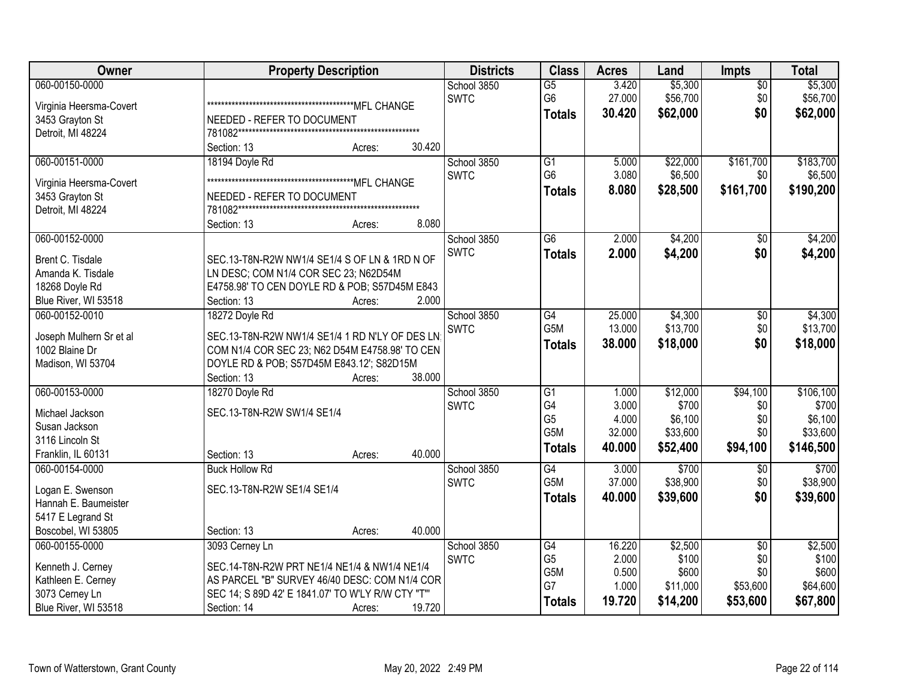| Owner                                      | <b>Property Description</b>                      | <b>Districts</b> | <b>Class</b>    | <b>Acres</b> | Land     | <b>Impts</b>    | <b>Total</b> |
|--------------------------------------------|--------------------------------------------------|------------------|-----------------|--------------|----------|-----------------|--------------|
| 060-00150-0000                             |                                                  | School 3850      | $\overline{G5}$ | 3.420        | \$5,300  | $\overline{50}$ | \$5,300      |
| Virginia Heersma-Covert                    |                                                  | <b>SWTC</b>      | G <sub>6</sub>  | 27.000       | \$56,700 | \$0             | \$56,700     |
| 3453 Grayton St                            | NEEDED - REFER TO DOCUMENT                       |                  | <b>Totals</b>   | 30.420       | \$62,000 | \$0             | \$62,000     |
| Detroit, MI 48224                          |                                                  |                  |                 |              |          |                 |              |
|                                            | 30.420<br>Section: 13<br>Acres:                  |                  |                 |              |          |                 |              |
| 060-00151-0000                             | 18194 Doyle Rd                                   | School 3850      | $\overline{G1}$ | 5.000        | \$22,000 | \$161,700       | \$183,700    |
|                                            |                                                  | <b>SWTC</b>      | G <sub>6</sub>  | 3.080        | \$6,500  | \$0             | \$6,500      |
| Virginia Heersma-Covert<br>3453 Grayton St | NEEDED - REFER TO DOCUMENT                       |                  | <b>Totals</b>   | 8.080        | \$28,500 | \$161,700       | \$190,200    |
| Detroit, MI 48224                          |                                                  |                  |                 |              |          |                 |              |
|                                            | 8.080<br>Section: 13<br>Acres:                   |                  |                 |              |          |                 |              |
| 060-00152-0000                             |                                                  | School 3850      | G6              | 2.000        | \$4,200  | \$0             | \$4,200      |
|                                            |                                                  | <b>SWTC</b>      | <b>Totals</b>   | 2.000        | \$4,200  | \$0             | \$4,200      |
| Brent C. Tisdale                           | SEC.13-T8N-R2W NW1/4 SE1/4 S OF LN & 1RD N OF    |                  |                 |              |          |                 |              |
| Amanda K. Tisdale                          | LN DESC; COM N1/4 COR SEC 23; N62D54M            |                  |                 |              |          |                 |              |
| 18268 Doyle Rd                             | E4758.98' TO CEN DOYLE RD & POB; S57D45M E843    |                  |                 |              |          |                 |              |
| Blue River, WI 53518                       | 2.000<br>Section: 13<br>Acres:                   |                  |                 |              |          |                 |              |
| 060-00152-0010                             | 18272 Doyle Rd                                   | School 3850      | G4              | 25.000       | \$4,300  | \$0             | \$4,300      |
| Joseph Mulhern Sr et al                    | SEC.13-T8N-R2W NW1/4 SE1/4 1 RD N'LY OF DES LN   | <b>SWTC</b>      | G5M             | 13.000       | \$13,700 | \$0             | \$13,700     |
| 1002 Blaine Dr                             | COM N1/4 COR SEC 23; N62 D54M E4758.98' TO CEN   |                  | <b>Totals</b>   | 38.000       | \$18,000 | \$0             | \$18,000     |
| Madison, WI 53704                          | DOYLE RD & POB; S57D45M E843.12'; S82D15M        |                  |                 |              |          |                 |              |
|                                            | 38.000<br>Section: 13<br>Acres:                  |                  |                 |              |          |                 |              |
| 060-00153-0000                             | 18270 Doyle Rd                                   | School 3850      | G1              | 1.000        | \$12,000 | \$94,100        | \$106,100    |
|                                            |                                                  | <b>SWTC</b>      | G4              | 3.000        | \$700    | \$0             | \$700        |
| Michael Jackson                            | SEC.13-T8N-R2W SW1/4 SE1/4                       |                  | G <sub>5</sub>  | 4.000        | \$6,100  | \$0             | \$6,100      |
| Susan Jackson                              |                                                  |                  | G5M             | 32.000       | \$33,600 | \$0             | \$33,600     |
| 3116 Lincoln St                            |                                                  |                  | <b>Totals</b>   | 40.000       | \$52,400 | \$94,100        | \$146,500    |
| Franklin, IL 60131                         | 40.000<br>Section: 13<br>Acres:                  |                  |                 |              |          |                 |              |
| 060-00154-0000                             | <b>Buck Hollow Rd</b>                            | School 3850      | G4              | 3.000        | \$700    | $\overline{30}$ | \$700        |
| Logan E. Swenson                           | SEC.13-T8N-R2W SE1/4 SE1/4                       | <b>SWTC</b>      | G5M             | 37.000       | \$38,900 | \$0             | \$38,900     |
| Hannah E. Baumeister                       |                                                  |                  | <b>Totals</b>   | 40.000       | \$39,600 | \$0             | \$39,600     |
| 5417 E Legrand St                          |                                                  |                  |                 |              |          |                 |              |
| Boscobel, WI 53805                         | 40.000<br>Section: 13<br>Acres:                  |                  |                 |              |          |                 |              |
| 060-00155-0000                             | 3093 Cerney Ln                                   | School 3850      | G4              | 16.220       | \$2,500  | $\overline{50}$ | \$2,500      |
|                                            |                                                  | <b>SWTC</b>      | G <sub>5</sub>  | 2.000        | \$100    | \$0             | \$100        |
| Kenneth J. Cerney                          | SEC.14-T8N-R2W PRT NE1/4 NE1/4 & NW1/4 NE1/4     |                  | G5M             | 0.500        | \$600    | \$0             | \$600        |
| Kathleen E. Cerney                         | AS PARCEL "B" SURVEY 46/40 DESC: COM N1/4 COR    |                  | G7              | 1.000        | \$11,000 | \$53,600        | \$64,600     |
| 3073 Cerney Ln                             | SEC 14; S 89D 42' E 1841.07' TO W'LY R/W CTY "T" |                  | <b>Totals</b>   | 19.720       | \$14,200 | \$53,600        | \$67,800     |
| Blue River, WI 53518                       | 19.720<br>Section: 14<br>Acres:                  |                  |                 |              |          |                 |              |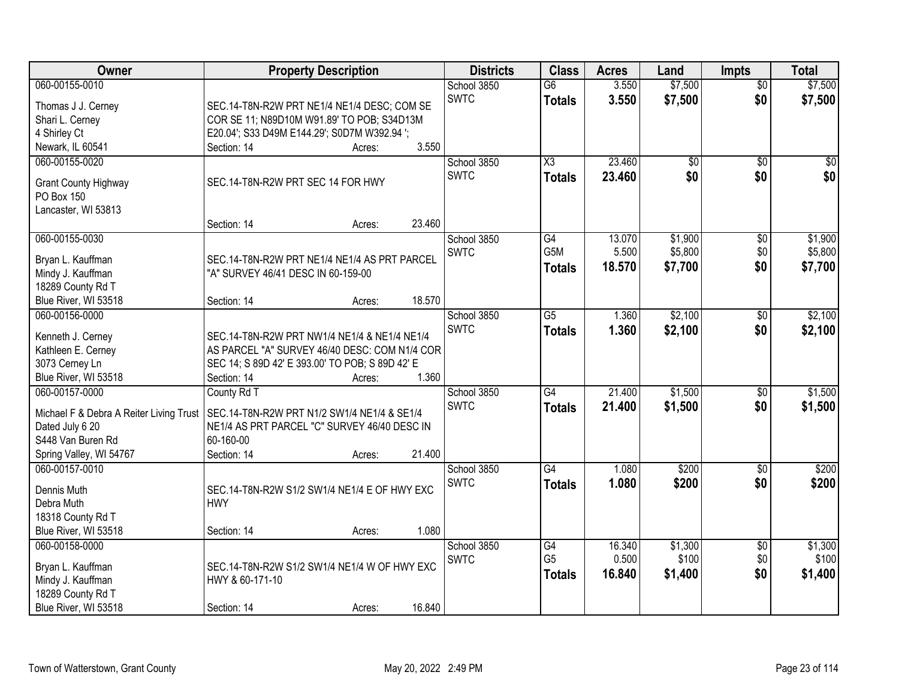| Owner                                   | <b>Property Description</b>                                |        |        | <b>Districts</b> | <b>Class</b>           | <b>Acres</b> | Land            | <b>Impts</b>    | <b>Total</b> |
|-----------------------------------------|------------------------------------------------------------|--------|--------|------------------|------------------------|--------------|-----------------|-----------------|--------------|
| 060-00155-0010                          |                                                            |        |        | School 3850      | $\overline{G6}$        | 3.550        | \$7,500         | $\overline{50}$ | \$7,500      |
| Thomas J J. Cerney                      | SEC.14-T8N-R2W PRT NE1/4 NE1/4 DESC; COM SE                |        |        | <b>SWTC</b>      | <b>Totals</b>          | 3.550        | \$7,500         | \$0             | \$7,500      |
| Shari L. Cerney                         | COR SE 11; N89D10M W91.89' TO POB; S34D13M                 |        |        |                  |                        |              |                 |                 |              |
| 4 Shirley Ct                            | E20.04'; S33 D49M E144.29'; S0D7M W392.94 ';               |        |        |                  |                        |              |                 |                 |              |
| Newark, IL 60541                        | Section: 14                                                | Acres: | 3.550  |                  |                        |              |                 |                 |              |
| 060-00155-0020                          |                                                            |        |        | School 3850      | $\overline{\text{X3}}$ | 23.460       | $\overline{50}$ | $\overline{50}$ | \$0          |
| <b>Grant County Highway</b>             | SEC.14-T8N-R2W PRT SEC 14 FOR HWY                          |        |        | <b>SWTC</b>      | <b>Totals</b>          | 23.460       | \$0             | \$0             | \$0          |
| PO Box 150                              |                                                            |        |        |                  |                        |              |                 |                 |              |
| Lancaster, WI 53813                     |                                                            |        |        |                  |                        |              |                 |                 |              |
|                                         | Section: 14                                                | Acres: | 23.460 |                  |                        |              |                 |                 |              |
| 060-00155-0030                          |                                                            |        |        | School 3850      | G4                     | 13.070       | \$1,900         | $\overline{60}$ | \$1,900      |
|                                         |                                                            |        |        | <b>SWTC</b>      | G5M                    | 5.500        | \$5,800         | \$0             | \$5,800      |
| Bryan L. Kauffman                       | SEC.14-T8N-R2W PRT NE1/4 NE1/4 AS PRT PARCEL               |        |        |                  | Totals                 | 18.570       | \$7,700         | \$0             | \$7,700      |
| Mindy J. Kauffman                       | "A" SURVEY 46/41 DESC IN 60-159-00                         |        |        |                  |                        |              |                 |                 |              |
| 18289 County Rd T                       | Section: 14                                                |        | 18.570 |                  |                        |              |                 |                 |              |
| Blue River, WI 53518<br>060-00156-0000  |                                                            | Acres: |        | School 3850      | $\overline{G5}$        | 1.360        | \$2,100         |                 | \$2,100      |
|                                         |                                                            |        |        | <b>SWTC</b>      |                        |              |                 | $\sqrt[6]{}$    |              |
| Kenneth J. Cerney                       | SEC.14-T8N-R2W PRT NW1/4 NE1/4 & NE1/4 NE1/4               |        |        |                  | <b>Totals</b>          | 1.360        | \$2,100         | \$0             | \$2,100      |
| Kathleen E. Cerney                      | AS PARCEL "A" SURVEY 46/40 DESC: COM N1/4 COR              |        |        |                  |                        |              |                 |                 |              |
| 3073 Cerney Ln                          | SEC 14; S 89D 42' E 393.00' TO POB; S 89D 42' E            |        |        |                  |                        |              |                 |                 |              |
| Blue River, WI 53518                    | Section: 14                                                | Acres: | 1.360  |                  |                        |              |                 |                 |              |
| 060-00157-0000                          | County Rd T                                                |        |        | School 3850      | $\overline{G4}$        | 21.400       | \$1,500         | \$0             | \$1,500      |
| Michael F & Debra A Reiter Living Trust | SEC.14-T8N-R2W PRT N1/2 SW1/4 NE1/4 & SE1/4                |        |        | <b>SWTC</b>      | <b>Totals</b>          | 21.400       | \$1,500         | \$0             | \$1,500      |
| Dated July 6 20                         | NE1/4 AS PRT PARCEL "C" SURVEY 46/40 DESC IN               |        |        |                  |                        |              |                 |                 |              |
| S448 Van Buren Rd                       | 60-160-00                                                  |        |        |                  |                        |              |                 |                 |              |
| Spring Valley, WI 54767                 | Section: 14                                                | Acres: | 21.400 |                  |                        |              |                 |                 |              |
| 060-00157-0010                          |                                                            |        |        | School 3850      | $\overline{G4}$        | 1.080        | \$200           | $\overline{50}$ | \$200        |
|                                         |                                                            |        |        | <b>SWTC</b>      | <b>Totals</b>          | 1.080        | \$200           | \$0             | \$200        |
| Dennis Muth<br>Debra Muth               | SEC.14-T8N-R2W S1/2 SW1/4 NE1/4 E OF HWY EXC<br><b>HWY</b> |        |        |                  |                        |              |                 |                 |              |
| 18318 County Rd T                       |                                                            |        |        |                  |                        |              |                 |                 |              |
| Blue River, WI 53518                    | Section: 14                                                | Acres: | 1.080  |                  |                        |              |                 |                 |              |
| 060-00158-0000                          |                                                            |        |        | School 3850      | G4                     | 16.340       | \$1,300         | $\overline{50}$ | \$1,300      |
|                                         |                                                            |        |        | <b>SWTC</b>      | G <sub>5</sub>         | 0.500        | \$100           | \$0             | \$100        |
| Bryan L. Kauffman                       | SEC.14-T8N-R2W S1/2 SW1/4 NE1/4 W OF HWY EXC               |        |        |                  | <b>Totals</b>          | 16.840       | \$1,400         | \$0             | \$1,400      |
| Mindy J. Kauffman                       | HWY & 60-171-10                                            |        |        |                  |                        |              |                 |                 |              |
| 18289 County Rd T                       |                                                            |        |        |                  |                        |              |                 |                 |              |
| Blue River, WI 53518                    | Section: 14                                                | Acres: | 16.840 |                  |                        |              |                 |                 |              |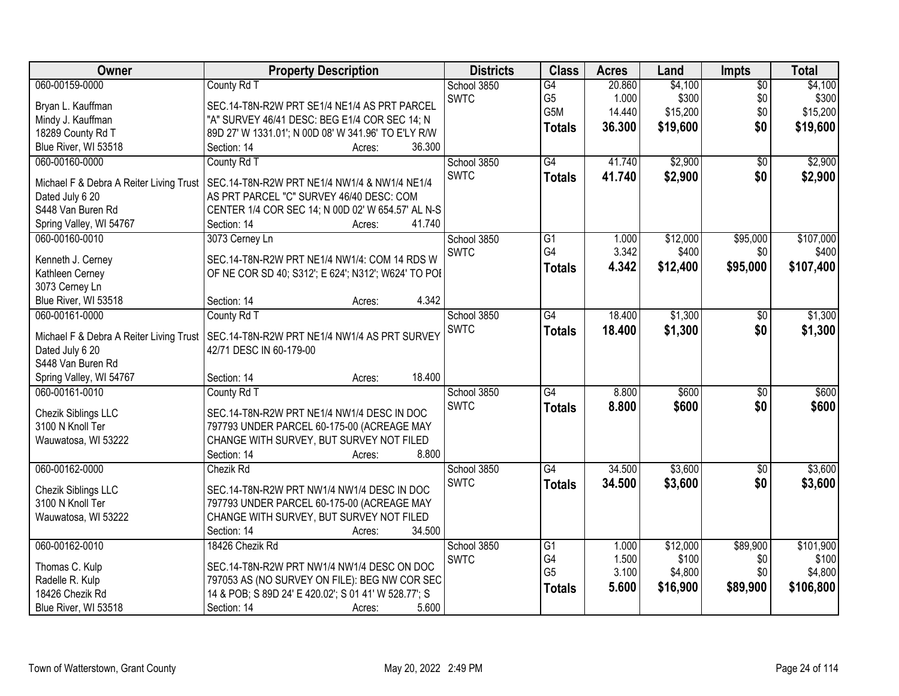| Owner                                     | <b>Property Description</b>                                 | <b>Districts</b>           | <b>Class</b>    | <b>Acres</b>   | Land     | Impts           | <b>Total</b>       |
|-------------------------------------------|-------------------------------------------------------------|----------------------------|-----------------|----------------|----------|-----------------|--------------------|
| 060-00159-0000                            | County Rd T                                                 | School 3850                | G4              | 20.860         | \$4,100  | $\overline{50}$ | \$4,100            |
| Bryan L. Kauffman                         | SEC.14-T8N-R2W PRT SE1/4 NE1/4 AS PRT PARCEL                | <b>SWTC</b>                | G <sub>5</sub>  | 1.000          | \$300    | \$0             | \$300              |
| Mindy J. Kauffman                         | "A" SURVEY 46/41 DESC: BEG E1/4 COR SEC 14; N               |                            | G5M             | 14.440         | \$15,200 | \$0             | \$15,200           |
| 18289 County Rd T                         | 89D 27' W 1331.01'; N 00D 08' W 341.96' TO E'LY R/W         |                            | <b>Totals</b>   | 36.300         | \$19,600 | \$0             | \$19,600           |
| Blue River, WI 53518                      | 36.300<br>Section: 14<br>Acres:                             |                            |                 |                |          |                 |                    |
| 060-00160-0000                            | County Rd T                                                 | School 3850                | G4              | 41.740         | \$2,900  | $\overline{30}$ | \$2,900            |
|                                           |                                                             | <b>SWTC</b>                | <b>Totals</b>   | 41.740         | \$2,900  | \$0             | \$2,900            |
| Michael F & Debra A Reiter Living Trust   | SEC.14-T8N-R2W PRT NE1/4 NW1/4 & NW1/4 NE1/4                |                            |                 |                |          |                 |                    |
| Dated July 6 20                           | AS PRT PARCEL "C" SURVEY 46/40 DESC: COM                    |                            |                 |                |          |                 |                    |
| S448 Van Buren Rd                         | CENTER 1/4 COR SEC 14; N 00D 02' W 654.57' AL N-S<br>41.740 |                            |                 |                |          |                 |                    |
| Spring Valley, WI 54767<br>060-00160-0010 | Section: 14<br>Acres:                                       |                            |                 |                | \$12,000 | \$95,000        |                    |
|                                           | 3073 Cerney Ln                                              | School 3850<br><b>SWTC</b> | G1<br>G4        | 1.000<br>3.342 | \$400    | \$0             | \$107,000<br>\$400 |
| Kenneth J. Cerney                         | SEC.14-T8N-R2W PRT NE1/4 NW1/4: COM 14 RDS W                |                            |                 | 4.342          |          |                 |                    |
| Kathleen Cerney                           | OF NE COR SD 40; S312'; E 624'; N312'; W624' TO POI         |                            | <b>Totals</b>   |                | \$12,400 | \$95,000        | \$107,400          |
| 3073 Cerney Ln                            |                                                             |                            |                 |                |          |                 |                    |
| Blue River, WI 53518                      | 4.342<br>Section: 14<br>Acres:                              |                            |                 |                |          |                 |                    |
| 060-00161-0000                            | County Rd T                                                 | School 3850                | $\overline{G4}$ | 18.400         | \$1,300  | \$0             | \$1,300            |
| Michael F & Debra A Reiter Living Trust   | SEC.14-T8N-R2W PRT NE1/4 NW1/4 AS PRT SURVEY                | <b>SWTC</b>                | <b>Totals</b>   | 18.400         | \$1,300  | \$0             | \$1,300            |
| Dated July 6 20                           | 42/71 DESC IN 60-179-00                                     |                            |                 |                |          |                 |                    |
| S448 Van Buren Rd                         |                                                             |                            |                 |                |          |                 |                    |
| Spring Valley, WI 54767                   | 18.400<br>Section: 14<br>Acres:                             |                            |                 |                |          |                 |                    |
| 060-00161-0010                            | County Rd T                                                 | School 3850                | $\overline{G4}$ | 8.800          | \$600    | $\overline{50}$ | \$600              |
|                                           |                                                             | <b>SWTC</b>                | <b>Totals</b>   | 8.800          | \$600    | \$0             | \$600              |
| Chezik Siblings LLC                       | SEC.14-T8N-R2W PRT NE1/4 NW1/4 DESC IN DOC                  |                            |                 |                |          |                 |                    |
| 3100 N Knoll Ter                          | 797793 UNDER PARCEL 60-175-00 (ACREAGE MAY                  |                            |                 |                |          |                 |                    |
| Wauwatosa, WI 53222                       | CHANGE WITH SURVEY, BUT SURVEY NOT FILED                    |                            |                 |                |          |                 |                    |
|                                           | 8.800<br>Section: 14<br>Acres:                              |                            |                 |                |          |                 |                    |
| 060-00162-0000                            | Chezik Rd                                                   | School 3850                | $\overline{G4}$ | 34.500         | \$3,600  | $\sqrt{6}$      | \$3,600            |
| Chezik Siblings LLC                       | SEC.14-T8N-R2W PRT NW1/4 NW1/4 DESC IN DOC                  | <b>SWTC</b>                | <b>Totals</b>   | 34.500         | \$3,600  | \$0             | \$3,600            |
| 3100 N Knoll Ter                          | 797793 UNDER PARCEL 60-175-00 (ACREAGE MAY                  |                            |                 |                |          |                 |                    |
| Wauwatosa, WI 53222                       | CHANGE WITH SURVEY, BUT SURVEY NOT FILED                    |                            |                 |                |          |                 |                    |
|                                           | Section: 14<br>34.500<br>Acres:                             |                            |                 |                |          |                 |                    |
| 060-00162-0010                            | 18426 Chezik Rd                                             | School 3850                | $\overline{G1}$ | 1.000          | \$12,000 | \$89,900        | \$101,900          |
|                                           |                                                             | <b>SWTC</b>                | G4              | 1.500          | \$100    | \$0             | \$100              |
| Thomas C. Kulp                            | SEC.14-T8N-R2W PRT NW1/4 NW1/4 DESC ON DOC                  |                            | G <sub>5</sub>  | 3.100          | \$4,800  | \$0             | \$4,800            |
| Radelle R. Kulp                           | 797053 AS (NO SURVEY ON FILE): BEG NW COR SEC               |                            | <b>Totals</b>   | 5.600          | \$16,900 | \$89,900        | \$106,800          |
| 18426 Chezik Rd                           | 14 & POB; S 89D 24' E 420.02'; S 01 41' W 528.77'; S        |                            |                 |                |          |                 |                    |
| Blue River, WI 53518                      | 5.600<br>Section: 14<br>Acres:                              |                            |                 |                |          |                 |                    |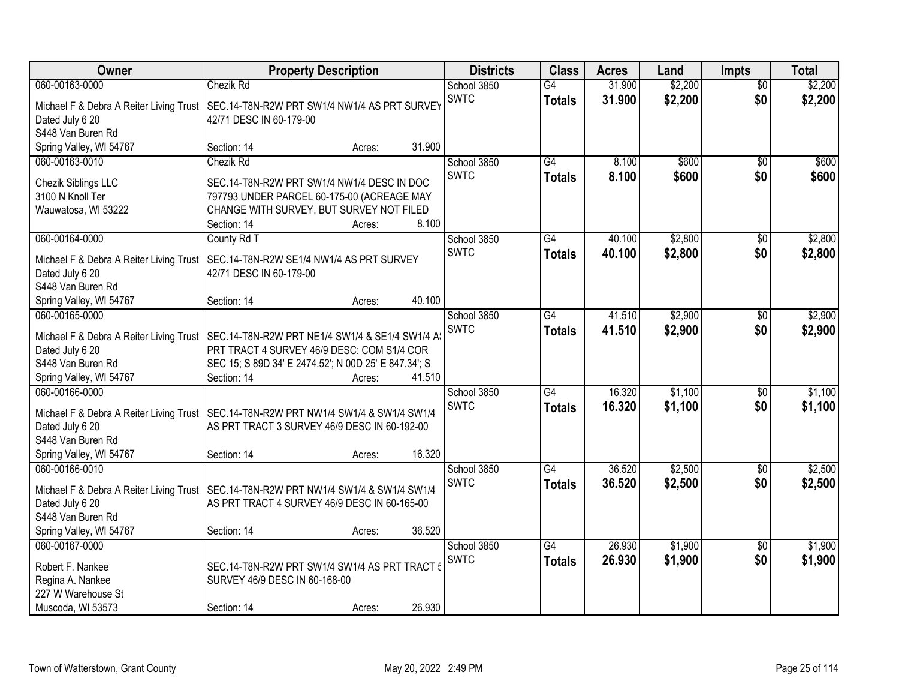| Owner                                                                                                                        | <b>Property Description</b>                                                                                                                                                             | <b>Districts</b>           | <b>Class</b>                     | <b>Acres</b>     | Land               | <b>Impts</b>           | <b>Total</b>       |
|------------------------------------------------------------------------------------------------------------------------------|-----------------------------------------------------------------------------------------------------------------------------------------------------------------------------------------|----------------------------|----------------------------------|------------------|--------------------|------------------------|--------------------|
| 060-00163-0000<br>Michael F & Debra A Reiter Living Trust<br>Dated July 6 20<br>S448 Van Buren Rd                            | <b>Chezik Rd</b><br>SEC.14-T8N-R2W PRT SW1/4 NW1/4 AS PRT SURVEY<br>42/71 DESC IN 60-179-00                                                                                             | School 3850<br><b>SWTC</b> | G4<br><b>Totals</b>              | 31.900<br>31.900 | \$2,200<br>\$2,200 | $\overline{50}$<br>\$0 | \$2,200<br>\$2,200 |
| Spring Valley, WI 54767                                                                                                      | 31.900<br>Section: 14<br>Acres:                                                                                                                                                         |                            |                                  |                  |                    |                        |                    |
| 060-00163-0010<br>Chezik Siblings LLC<br>3100 N Knoll Ter<br>Wauwatosa, WI 53222                                             | Chezik Rd<br>SEC.14-T8N-R2W PRT SW1/4 NW1/4 DESC IN DOC<br>797793 UNDER PARCEL 60-175-00 (ACREAGE MAY<br>CHANGE WITH SURVEY, BUT SURVEY NOT FILED<br>8.100<br>Section: 14<br>Acres:     | School 3850<br><b>SWTC</b> | $\overline{G4}$<br><b>Totals</b> | 8.100<br>8.100   | \$600<br>\$600     | $\overline{50}$<br>\$0 | \$600<br>\$600     |
| 060-00164-0000<br>Michael F & Debra A Reiter Living Trust<br>Dated July 6 20<br>S448 Van Buren Rd<br>Spring Valley, WI 54767 | County Rd T<br>SEC.14-T8N-R2W SE1/4 NW1/4 AS PRT SURVEY<br>42/71 DESC IN 60-179-00<br>40.100<br>Section: 14<br>Acres:                                                                   | School 3850<br><b>SWTC</b> | G4<br><b>Totals</b>              | 40.100<br>40.100 | \$2,800<br>\$2,800 | \$0<br>\$0             | \$2,800<br>\$2,800 |
| 060-00165-0000<br>Michael F & Debra A Reiter Living Trust<br>Dated July 6 20<br>S448 Van Buren Rd<br>Spring Valley, WI 54767 | SEC.14-T8N-R2W PRT NE1/4 SW1/4 & SE1/4 SW1/4 A<br>PRT TRACT 4 SURVEY 46/9 DESC: COM S1/4 COR<br>SEC 15; S 89D 34' E 2474.52'; N 00D 25' E 847.34'; S<br>Section: 14<br>41.510<br>Acres: | School 3850<br><b>SWTC</b> | G4<br><b>Totals</b>              | 41.510<br>41.510 | \$2,900<br>\$2,900 | $\sqrt[6]{3}$<br>\$0   | \$2,900<br>\$2,900 |
| 060-00166-0000<br>Michael F & Debra A Reiter Living Trust<br>Dated July 6 20<br>S448 Van Buren Rd<br>Spring Valley, WI 54767 | SEC.14-T8N-R2W PRT NW1/4 SW1/4 & SW1/4 SW1/4<br>AS PRT TRACT 3 SURVEY 46/9 DESC IN 60-192-00<br>16.320<br>Section: 14<br>Acres:                                                         | School 3850<br><b>SWTC</b> | $\overline{G4}$<br><b>Totals</b> | 16.320<br>16.320 | \$1,100<br>\$1,100 | $\overline{50}$<br>\$0 | \$1,100<br>\$1,100 |
| 060-00166-0010<br>Michael F & Debra A Reiter Living Trust<br>Dated July 6 20<br>S448 Van Buren Rd<br>Spring Valley, WI 54767 | SEC.14-T8N-R2W PRT NW1/4 SW1/4 & SW1/4 SW1/4<br>AS PRT TRACT 4 SURVEY 46/9 DESC IN 60-165-00<br>36.520<br>Section: 14<br>Acres:                                                         | School 3850<br><b>SWTC</b> | $\overline{G4}$<br><b>Totals</b> | 36.520<br>36.520 | \$2,500<br>\$2,500 | $\overline{50}$<br>\$0 | \$2,500<br>\$2,500 |
| 060-00167-0000<br>Robert F. Nankee<br>Regina A. Nankee<br>227 W Warehouse St<br>Muscoda, WI 53573                            | SEC.14-T8N-R2W PRT SW1/4 SW1/4 AS PRT TRACT 5<br>SURVEY 46/9 DESC IN 60-168-00<br>26.930<br>Section: 14<br>Acres:                                                                       | School 3850<br><b>SWTC</b> | $\overline{G4}$<br><b>Totals</b> | 26.930<br>26.930 | \$1,900<br>\$1,900 | $\overline{50}$<br>\$0 | \$1,900<br>\$1,900 |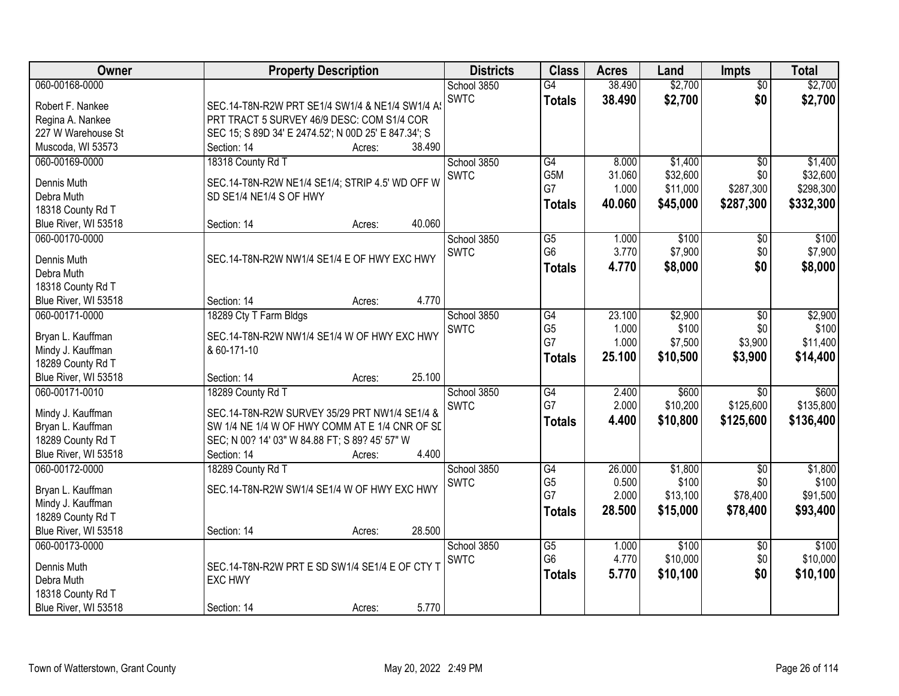| Owner                                                   | <b>Property Description</b>                                                | <b>Districts</b> | <b>Class</b>         | <b>Acres</b> | Land     | <b>Impts</b>    | <b>Total</b> |
|---------------------------------------------------------|----------------------------------------------------------------------------|------------------|----------------------|--------------|----------|-----------------|--------------|
| 060-00168-0000                                          |                                                                            | School 3850      | $\overline{G4}$      | 38.490       | \$2,700  | $\overline{50}$ | \$2,700      |
| Robert F. Nankee                                        | SEC.14-T8N-R2W PRT SE1/4 SW1/4 & NE1/4 SW1/4 A                             | <b>SWTC</b>      | <b>Totals</b>        | 38.490       | \$2,700  | \$0             | \$2,700      |
| Regina A. Nankee                                        | PRT TRACT 5 SURVEY 46/9 DESC: COM S1/4 COR                                 |                  |                      |              |          |                 |              |
| 227 W Warehouse St                                      | SEC 15; S 89D 34' E 2474.52'; N 00D 25' E 847.34'; S                       |                  |                      |              |          |                 |              |
| Muscoda, WI 53573                                       | Section: 14<br>38.490<br>Acres:                                            |                  |                      |              |          |                 |              |
| 060-00169-0000                                          | 18318 County Rd T                                                          | School 3850      | G4                   | 8.000        | \$1,400  | $\overline{50}$ | \$1,400      |
| Dennis Muth                                             |                                                                            | <b>SWTC</b>      | G5M                  | 31.060       | \$32,600 | \$0             | \$32,600     |
| Debra Muth                                              | SEC.14-T8N-R2W NE1/4 SE1/4; STRIP 4.5' WD OFF W<br>SD SE1/4 NE1/4 S OF HWY |                  | G7                   | 1.000        | \$11,000 | \$287,300       | \$298,300    |
| 18318 County Rd T                                       |                                                                            |                  | <b>Totals</b>        | 40.060       | \$45,000 | \$287,300       | \$332,300    |
| Blue River, WI 53518                                    | 40.060<br>Section: 14<br>Acres:                                            |                  |                      |              |          |                 |              |
| 060-00170-0000                                          |                                                                            | School 3850      | $\overline{G5}$      | 1.000        | \$100    | \$0             | \$100        |
|                                                         |                                                                            | <b>SWTC</b>      | G <sub>6</sub>       | 3.770        | \$7,900  | \$0             | \$7,900      |
| Dennis Muth                                             | SEC.14-T8N-R2W NW1/4 SE1/4 E OF HWY EXC HWY                                |                  | <b>Totals</b>        | 4.770        | \$8,000  | \$0             | \$8,000      |
| Debra Muth                                              |                                                                            |                  |                      |              |          |                 |              |
| 18318 County Rd T                                       |                                                                            |                  |                      |              |          |                 |              |
| Blue River, WI 53518                                    | 4.770<br>Section: 14<br>Acres:                                             |                  |                      |              |          |                 |              |
| 060-00171-0000                                          | 18289 Cty T Farm Bldgs                                                     | School 3850      | G4                   | 23.100       | \$2,900  | $\sqrt[6]{3}$   | \$2,900      |
| Bryan L. Kauffman                                       | SEC.14-T8N-R2W NW1/4 SE1/4 W OF HWY EXC HWY                                | <b>SWTC</b>      | G <sub>5</sub>       | 1.000        | \$100    | \$0             | \$100        |
| Mindy J. Kauffman                                       | & 60-171-10                                                                |                  | G7                   | 1.000        | \$7,500  | \$3,900         | \$11,400     |
| 18289 County Rd T                                       |                                                                            |                  | <b>Totals</b>        | 25.100       | \$10,500 | \$3,900         | \$14,400     |
| Blue River, WI 53518                                    | 25.100<br>Section: 14<br>Acres:                                            |                  |                      |              |          |                 |              |
| 060-00171-0010                                          | 18289 County Rd T                                                          | School 3850      | G4                   | 2.400        | \$600    | $\overline{30}$ | \$600        |
|                                                         |                                                                            | <b>SWTC</b>      | G7                   | 2.000        | \$10,200 | \$125,600       | \$135,800    |
| Mindy J. Kauffman                                       | SEC.14-T8N-R2W SURVEY 35/29 PRT NW1/4 SE1/4 &                              |                  | <b>Totals</b>        | 4.400        | \$10,800 | \$125,600       | \$136,400    |
| Bryan L. Kauffman                                       | SW 1/4 NE 1/4 W OF HWY COMM AT E 1/4 CNR OF SL                             |                  |                      |              |          |                 |              |
| 18289 County Rd T                                       | SEC; N 00? 14' 03" W 84.88 FT; S 89? 45' 57" W                             |                  |                      |              |          |                 |              |
| Blue River, WI 53518                                    | 4.400<br>Section: 14<br>Acres:                                             |                  |                      |              |          |                 |              |
| 060-00172-0000                                          | 18289 County Rd T                                                          | School 3850      | G4                   | 26.000       | \$1,800  | $\overline{50}$ | \$1,800      |
| Bryan L. Kauffman                                       | SEC.14-T8N-R2W SW1/4 SE1/4 W OF HWY EXC HWY                                | <b>SWTC</b>      | G <sub>5</sub><br>G7 | 0.500        | \$100    | \$0             | \$100        |
| Mindy J. Kauffman                                       |                                                                            |                  |                      | 2.000        | \$13,100 | \$78,400        | \$91,500     |
| 18289 County Rd T                                       |                                                                            |                  | <b>Totals</b>        | 28,500       | \$15,000 | \$78,400        | \$93,400     |
| Blue River, WI 53518                                    | 28.500<br>Section: 14<br>Acres:                                            |                  |                      |              |          |                 |              |
| 060-00173-0000                                          |                                                                            | School 3850      | $\overline{G5}$      | 1.000        | \$100    | $\overline{60}$ | \$100        |
| Dennis Muth                                             | SEC.14-T8N-R2W PRT E SD SW1/4 SE1/4 E OF CTY T                             | <b>SWTC</b>      | G <sub>6</sub>       | 4.770        | \$10,000 | \$0             | \$10,000     |
|                                                         |                                                                            |                  | <b>Totals</b>        | 5.770        | \$10,100 | \$0             | \$10,100     |
|                                                         |                                                                            |                  |                      |              |          |                 |              |
|                                                         |                                                                            |                  |                      |              |          |                 |              |
| Debra Muth<br>18318 County Rd T<br>Blue River, WI 53518 | <b>EXC HWY</b><br>5.770<br>Section: 14<br>Acres:                           |                  |                      |              |          |                 |              |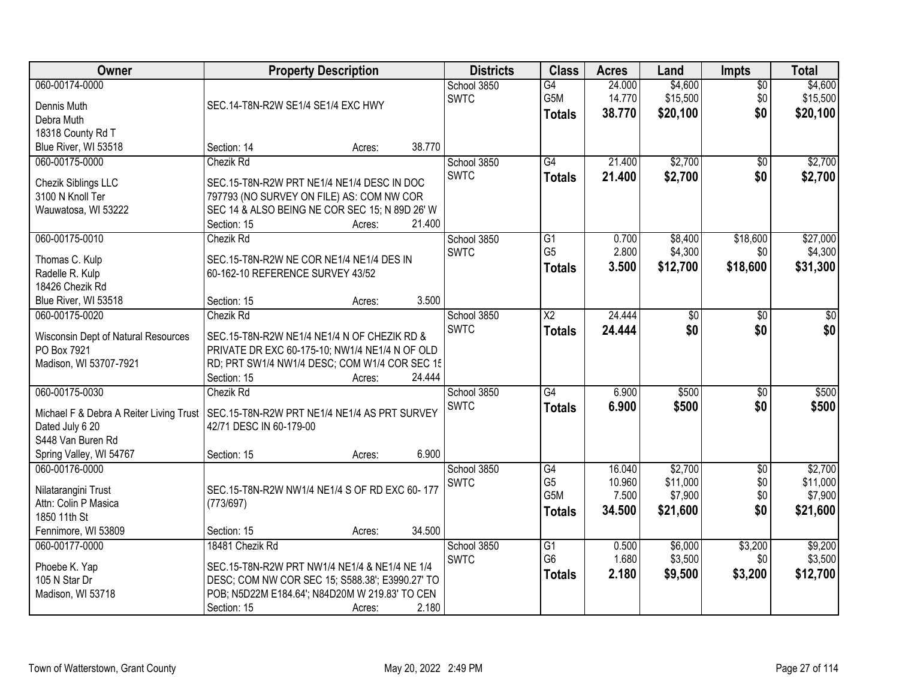| Owner                                                                                                                        | <b>Property Description</b>                                                                                                                                                                             | <b>Districts</b>           | <b>Class</b>                                | <b>Acres</b>                        | Land                                       | <b>Impts</b>                    | <b>Total</b>                               |
|------------------------------------------------------------------------------------------------------------------------------|---------------------------------------------------------------------------------------------------------------------------------------------------------------------------------------------------------|----------------------------|---------------------------------------------|-------------------------------------|--------------------------------------------|---------------------------------|--------------------------------------------|
| 060-00174-0000<br>Dennis Muth<br>Debra Muth<br>18318 County Rd T                                                             | SEC.14-T8N-R2W SE1/4 SE1/4 EXC HWY                                                                                                                                                                      | School 3850<br><b>SWTC</b> | $\overline{G4}$<br>G5M<br><b>Totals</b>     | 24.000<br>14.770<br>38.770          | \$4,600<br>\$15,500<br>\$20,100            | $\overline{50}$<br>\$0<br>\$0   | \$4,600<br>\$15,500<br>\$20,100            |
| Blue River, WI 53518                                                                                                         | 38.770<br>Section: 14<br>Acres:                                                                                                                                                                         |                            |                                             |                                     |                                            |                                 |                                            |
| 060-00175-0000<br>Chezik Siblings LLC<br>3100 N Knoll Ter<br>Wauwatosa, WI 53222                                             | <b>Chezik Rd</b><br>SEC.15-T8N-R2W PRT NE1/4 NE1/4 DESC IN DOC<br>797793 (NO SURVEY ON FILE) AS: COM NW COR<br>SEC 14 & ALSO BEING NE COR SEC 15; N 89D 26' W<br>21.400<br>Section: 15<br>Acres:        | School 3850<br><b>SWTC</b> | G4<br><b>Totals</b>                         | 21.400<br>21.400                    | \$2,700<br>\$2,700                         | $\overline{50}$<br>\$0          | \$2,700<br>\$2,700                         |
| 060-00175-0010<br>Thomas C. Kulp<br>Radelle R. Kulp<br>18426 Chezik Rd<br>Blue River, WI 53518                               | Chezik Rd<br>SEC.15-T8N-R2W NE COR NE1/4 NE1/4 DES IN<br>60-162-10 REFERENCE SURVEY 43/52<br>3.500<br>Section: 15<br>Acres:                                                                             | School 3850<br><b>SWTC</b> | $\overline{G1}$<br>G <sub>5</sub><br>Totals | 0.700<br>2.800<br>3.500             | \$8,400<br>\$4,300<br>\$12,700             | \$18,600<br>\$0<br>\$18,600     | \$27,000<br>\$4,300<br>\$31,300            |
| 060-00175-0020<br>Wisconsin Dept of Natural Resources<br>PO Box 7921<br>Madison, WI 53707-7921                               | <b>Chezik Rd</b><br>SEC.15-T8N-R2W NE1/4 NE1/4 N OF CHEZIK RD &<br>PRIVATE DR EXC 60-175-10; NW1/4 NE1/4 N OF OLD<br>RD; PRT SW1/4 NW1/4 DESC; COM W1/4 COR SEC 15<br>24.444<br>Section: 15<br>Acres:   | School 3850<br><b>SWTC</b> | $\overline{X2}$<br><b>Totals</b>            | 24.444<br>24.444                    | \$0<br>\$0                                 | \$0<br>\$0                      | \$0<br>\$0                                 |
| 060-00175-0030<br>Michael F & Debra A Reiter Living Trust<br>Dated July 6 20<br>S448 Van Buren Rd<br>Spring Valley, WI 54767 | Chezik Rd<br>SEC.15-T8N-R2W PRT NE1/4 NE1/4 AS PRT SURVEY<br>42/71 DESC IN 60-179-00<br>6.900<br>Section: 15<br>Acres:                                                                                  | School 3850<br><b>SWTC</b> | G4<br><b>Totals</b>                         | 6.900<br>6.900                      | \$500<br>\$500                             | $\overline{30}$<br>\$0          | \$500<br>\$500                             |
| 060-00176-0000<br>Nilatarangini Trust<br>Attn: Colin P Masica<br>1850 11th St<br>Fennimore, WI 53809                         | SEC.15-T8N-R2W NW1/4 NE1/4 S OF RD EXC 60-177<br>(773/697)<br>34.500<br>Section: 15<br>Acres:                                                                                                           | School 3850<br><b>SWTC</b> | G4<br>G <sub>5</sub><br>G5M<br>Totals       | 16.040<br>10.960<br>7.500<br>34.500 | \$2,700<br>\$11,000<br>\$7,900<br>\$21,600 | $\sqrt{6}$<br>\$0<br>\$0<br>\$0 | \$2,700<br>\$11,000<br>\$7,900<br>\$21,600 |
| 060-00177-0000<br>Phoebe K. Yap<br>105 N Star Dr<br>Madison, WI 53718                                                        | 18481 Chezik Rd<br>SEC.15-T8N-R2W PRT NW1/4 NE1/4 & NE1/4 NE 1/4<br>DESC; COM NW COR SEC 15; S588.38'; E3990.27' TO<br>POB; N5D22M E184.64'; N84D20M W 219.83' TO CEN<br>2.180<br>Section: 15<br>Acres: | School 3850<br><b>SWTC</b> | G1<br>G <sub>6</sub><br><b>Totals</b>       | 0.500<br>1.680<br>2.180             | \$6,000<br>\$3,500<br>\$9,500              | \$3,200<br>\$0<br>\$3,200       | \$9,200<br>\$3,500<br>\$12,700             |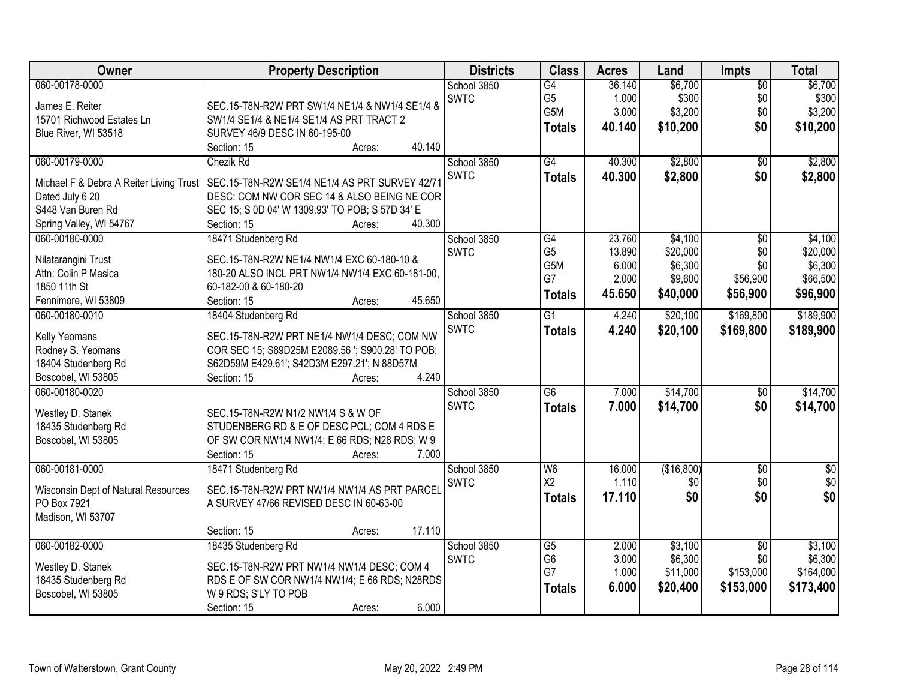| Owner                                   | <b>Property Description</b>                      | <b>Districts</b> | <b>Class</b>    | <b>Acres</b> | Land       | <b>Impts</b>    | <b>Total</b>    |
|-----------------------------------------|--------------------------------------------------|------------------|-----------------|--------------|------------|-----------------|-----------------|
| 060-00178-0000                          |                                                  | School 3850      | $\overline{G4}$ | 36.140       | \$6,700    | $\overline{50}$ | \$6,700         |
| James E. Reiter                         | SEC.15-T8N-R2W PRT SW1/4 NE1/4 & NW1/4 SE1/4 &   | <b>SWTC</b>      | G <sub>5</sub>  | 1.000        | \$300      | \$0             | \$300           |
| 15701 Richwood Estates Ln               | SW1/4 SE1/4 & NE1/4 SE1/4 AS PRT TRACT 2         |                  | G5M             | 3.000        | \$3,200    | \$0             | \$3,200         |
| Blue River, WI 53518                    | SURVEY 46/9 DESC IN 60-195-00                    |                  | <b>Totals</b>   | 40.140       | \$10,200   | \$0             | \$10,200        |
|                                         | 40.140<br>Section: 15<br>Acres:                  |                  |                 |              |            |                 |                 |
| 060-00179-0000                          | Chezik Rd                                        | School 3850      | $\overline{G4}$ | 40.300       | \$2,800    | $\overline{50}$ | \$2,800         |
|                                         |                                                  | <b>SWTC</b>      | <b>Totals</b>   | 40.300       | \$2,800    | \$0             | \$2,800         |
| Michael F & Debra A Reiter Living Trust | SEC.15-T8N-R2W SE1/4 NE1/4 AS PRT SURVEY 42/7    |                  |                 |              |            |                 |                 |
| Dated July 6 20                         | DESC: COM NW COR SEC 14 & ALSO BEING NE COR      |                  |                 |              |            |                 |                 |
| S448 Van Buren Rd                       | SEC 15; S 0D 04' W 1309.93' TO POB; S 57D 34' E  |                  |                 |              |            |                 |                 |
| Spring Valley, WI 54767                 | 40.300<br>Section: 15<br>Acres:                  |                  |                 |              |            |                 |                 |
| 060-00180-0000                          | 18471 Studenberg Rd                              | School 3850      | $\overline{G4}$ | 23.760       | \$4,100    | $\overline{50}$ | \$4,100         |
| Nilatarangini Trust                     | SEC.15-T8N-R2W NE1/4 NW1/4 EXC 60-180-10 &       | <b>SWTC</b>      | G <sub>5</sub>  | 13.890       | \$20,000   | \$0             | \$20,000        |
| Attn: Colin P Masica                    | 180-20 ALSO INCL PRT NW1/4 NW1/4 EXC 60-181-00,  |                  | G5M             | 6.000        | \$6,300    | \$0             | \$6,300         |
| 1850 11th St                            | 60-182-00 & 60-180-20                            |                  | G7              | 2.000        | \$9,600    | \$56,900        | \$66,500        |
| Fennimore, WI 53809                     | 45.650<br>Section: 15<br>Acres:                  |                  | <b>Totals</b>   | 45.650       | \$40,000   | \$56,900        | \$96,900        |
| 060-00180-0010                          | 18404 Studenberg Rd                              | School 3850      | $\overline{G1}$ | 4.240        | \$20,100   | \$169,800       | \$189,900       |
|                                         |                                                  | <b>SWTC</b>      | <b>Totals</b>   | 4.240        | \$20,100   | \$169,800       | \$189,900       |
| Kelly Yeomans                           | SEC.15-T8N-R2W PRT NE1/4 NW1/4 DESC; COM NW      |                  |                 |              |            |                 |                 |
| Rodney S. Yeomans                       | COR SEC 15; S89D25M E2089.56 '; S900.28' TO POB; |                  |                 |              |            |                 |                 |
| 18404 Studenberg Rd                     | S62D59M E429.61'; S42D3M E297.21'; N 88D57M      |                  |                 |              |            |                 |                 |
| Boscobel, WI 53805                      | 4.240<br>Section: 15<br>Acres:                   |                  |                 |              |            |                 |                 |
| 060-00180-0020                          |                                                  | School 3850      | $\overline{G6}$ | 7.000        | \$14,700   | \$0             | \$14,700        |
| Westley D. Stanek                       | SEC.15-T8N-R2W N1/2 NW1/4 S & W OF               | <b>SWTC</b>      | <b>Totals</b>   | 7.000        | \$14,700   | \$0             | \$14,700        |
| 18435 Studenberg Rd                     | STUDENBERG RD & E OF DESC PCL; COM 4 RDS E       |                  |                 |              |            |                 |                 |
| Boscobel, WI 53805                      | OF SW COR NW1/4 NW1/4; E 66 RDS; N28 RDS; W 9    |                  |                 |              |            |                 |                 |
|                                         | Section: 15<br>7.000<br>Acres:                   |                  |                 |              |            |                 |                 |
| 060-00181-0000                          | 18471 Studenberg Rd                              | School 3850      | W <sub>6</sub>  | 16.000       | (\$16,800) | $\overline{60}$ | $\overline{50}$ |
|                                         |                                                  | <b>SWTC</b>      | X2              | 1.110        | \$0        | \$0             | \$0             |
| Wisconsin Dept of Natural Resources     | SEC.15-T8N-R2W PRT NW1/4 NW1/4 AS PRT PARCEL     |                  |                 |              |            |                 | \$0             |
| PO Box 7921                             | A SURVEY 47/66 REVISED DESC IN 60-63-00          |                  | <b>Totals</b>   | 17.110       | \$0        | \$0             |                 |
| Madison, WI 53707                       |                                                  |                  |                 |              |            |                 |                 |
|                                         | 17.110<br>Section: 15<br>Acres:                  |                  |                 |              |            |                 |                 |
| 060-00182-0000                          | 18435 Studenberg Rd                              | School 3850      | $\overline{G5}$ | 2.000        | \$3,100    | $\overline{30}$ | \$3,100         |
|                                         |                                                  | <b>SWTC</b>      | G <sub>6</sub>  | 3.000        | \$6,300    | \$0             | \$6,300         |
| Westley D. Stanek                       | SEC.15-T8N-R2W PRT NW1/4 NW1/4 DESC; COM 4       |                  | G7              | 1.000        | \$11,000   | \$153,000       | \$164,000       |
| 18435 Studenberg Rd                     | RDS E OF SW COR NW1/4 NW1/4; E 66 RDS; N28RDS    |                  | <b>Totals</b>   | 6.000        | \$20,400   | \$153,000       | \$173,400       |
| Boscobel, WI 53805                      | W 9 RDS; S'LY TO POB                             |                  |                 |              |            |                 |                 |
|                                         | 6.000<br>Section: 15<br>Acres:                   |                  |                 |              |            |                 |                 |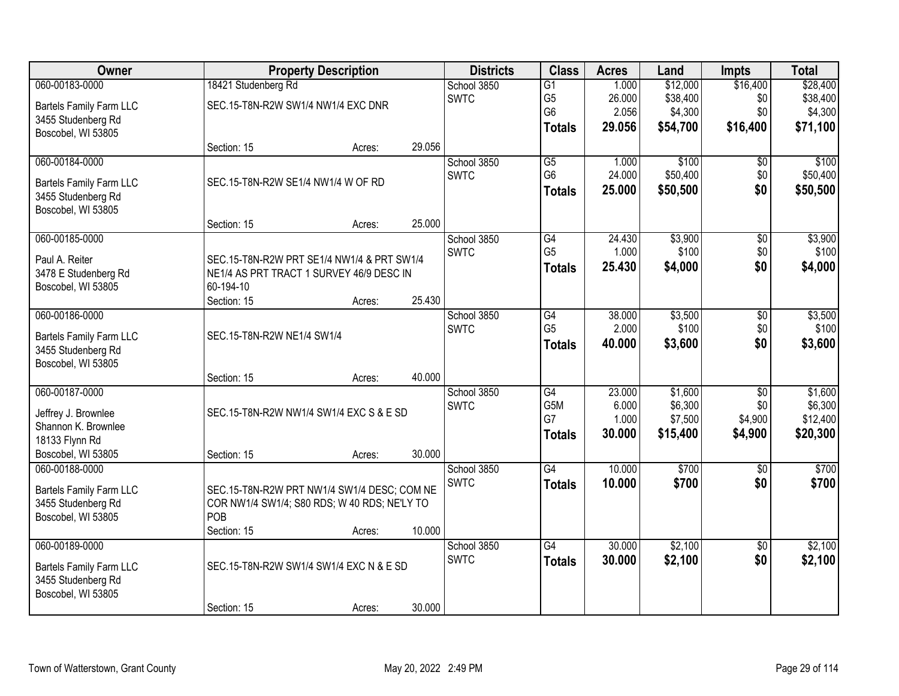| Owner                          |                                    | <b>Property Description</b>                  |        | <b>Districts</b> | <b>Class</b>    | <b>Acres</b> | Land     | <b>Impts</b>    | <b>Total</b> |
|--------------------------------|------------------------------------|----------------------------------------------|--------|------------------|-----------------|--------------|----------|-----------------|--------------|
| 060-00183-0000                 | 18421 Studenberg Rd                |                                              |        | School 3850      | $\overline{G1}$ | 1.000        | \$12,000 | \$16,400        | \$28,400     |
| <b>Bartels Family Farm LLC</b> | SEC.15-T8N-R2W SW1/4 NW1/4 EXC DNR |                                              |        | <b>SWTC</b>      | G <sub>5</sub>  | 26.000       | \$38,400 | \$0             | \$38,400     |
| 3455 Studenberg Rd             |                                    |                                              |        |                  | G <sub>6</sub>  | 2.056        | \$4,300  | \$0             | \$4,300      |
| Boscobel, WI 53805             |                                    |                                              |        |                  | <b>Totals</b>   | 29.056       | \$54,700 | \$16,400        | \$71,100     |
|                                | Section: 15                        | Acres:                                       | 29.056 |                  |                 |              |          |                 |              |
| 060-00184-0000                 |                                    |                                              |        | School 3850      | $\overline{G5}$ | 1.000        | \$100    | \$0             | \$100        |
| <b>Bartels Family Farm LLC</b> | SEC.15-T8N-R2W SE1/4 NW1/4 W OF RD |                                              |        | <b>SWTC</b>      | G <sub>6</sub>  | 24.000       | \$50,400 | \$0             | \$50,400     |
| 3455 Studenberg Rd             |                                    |                                              |        |                  | <b>Totals</b>   | 25.000       | \$50,500 | \$0             | \$50,500     |
| Boscobel, WI 53805             |                                    |                                              |        |                  |                 |              |          |                 |              |
|                                | Section: 15                        | Acres:                                       | 25.000 |                  |                 |              |          |                 |              |
| 060-00185-0000                 |                                    |                                              |        | School 3850      | G4              | 24.430       | \$3,900  | \$0             | \$3,900      |
| Paul A. Reiter                 |                                    | SEC.15-T8N-R2W PRT SE1/4 NW1/4 & PRT SW1/4   |        | <b>SWTC</b>      | G <sub>5</sub>  | 1.000        | \$100    | \$0             | \$100        |
| 3478 E Studenberg Rd           |                                    | NE1/4 AS PRT TRACT 1 SURVEY 46/9 DESC IN     |        |                  | <b>Totals</b>   | 25.430       | \$4,000  | \$0             | \$4,000      |
| Boscobel, WI 53805             | 60-194-10                          |                                              |        |                  |                 |              |          |                 |              |
|                                | Section: 15                        | Acres:                                       | 25.430 |                  |                 |              |          |                 |              |
| 060-00186-0000                 |                                    |                                              |        | School 3850      | G4              | 38.000       | \$3,500  | \$0             | \$3,500      |
| <b>Bartels Family Farm LLC</b> | SEC.15-T8N-R2W NE1/4 SW1/4         |                                              |        | <b>SWTC</b>      | G <sub>5</sub>  | 2.000        | \$100    | \$0             | \$100        |
| 3455 Studenberg Rd             |                                    |                                              |        |                  | <b>Totals</b>   | 40.000       | \$3,600  | \$0             | \$3,600      |
| Boscobel, WI 53805             |                                    |                                              |        |                  |                 |              |          |                 |              |
|                                | Section: 15                        | Acres:                                       | 40.000 |                  |                 |              |          |                 |              |
| 060-00187-0000                 |                                    |                                              |        | School 3850      | $\overline{G4}$ | 23.000       | \$1,600  | $\overline{50}$ | \$1,600      |
| Jeffrey J. Brownlee            |                                    | SEC.15-T8N-R2W NW1/4 SW1/4 EXC S & E SD      |        | <b>SWTC</b>      | G5M             | 6.000        | \$6,300  | \$0             | \$6,300      |
| Shannon K. Brownlee            |                                    |                                              |        |                  | G7              | 1.000        | \$7,500  | \$4,900         | \$12,400     |
| 18133 Flynn Rd                 |                                    |                                              |        |                  | <b>Totals</b>   | 30.000       | \$15,400 | \$4,900         | \$20,300     |
| Boscobel, WI 53805             | Section: 15                        | Acres:                                       | 30.000 |                  |                 |              |          |                 |              |
| 060-00188-0000                 |                                    |                                              |        | School 3850      | $\overline{G4}$ | 10.000       | \$700    | $\overline{50}$ | \$700        |
| <b>Bartels Family Farm LLC</b> |                                    | SEC.15-T8N-R2W PRT NW1/4 SW1/4 DESC; COM NE  |        | <b>SWTC</b>      | <b>Totals</b>   | 10.000       | \$700    | \$0             | \$700        |
| 3455 Studenberg Rd             |                                    | COR NW1/4 SW1/4; S80 RDS; W 40 RDS; NE'LY TO |        |                  |                 |              |          |                 |              |
| Boscobel, WI 53805             | POB                                |                                              |        |                  |                 |              |          |                 |              |
|                                | Section: 15                        | Acres:                                       | 10.000 |                  |                 |              |          |                 |              |
| 060-00189-0000                 |                                    |                                              |        | School 3850      | $\overline{G4}$ | 30.000       | \$2,100  | $\overline{50}$ | \$2,100      |
| <b>Bartels Family Farm LLC</b> |                                    | SEC.15-T8N-R2W SW1/4 SW1/4 EXC N & E SD      |        | <b>SWTC</b>      | <b>Totals</b>   | 30.000       | \$2,100  | \$0             | \$2,100      |
| 3455 Studenberg Rd             |                                    |                                              |        |                  |                 |              |          |                 |              |
| Boscobel, WI 53805             |                                    |                                              |        |                  |                 |              |          |                 |              |
|                                | Section: 15                        | Acres:                                       | 30.000 |                  |                 |              |          |                 |              |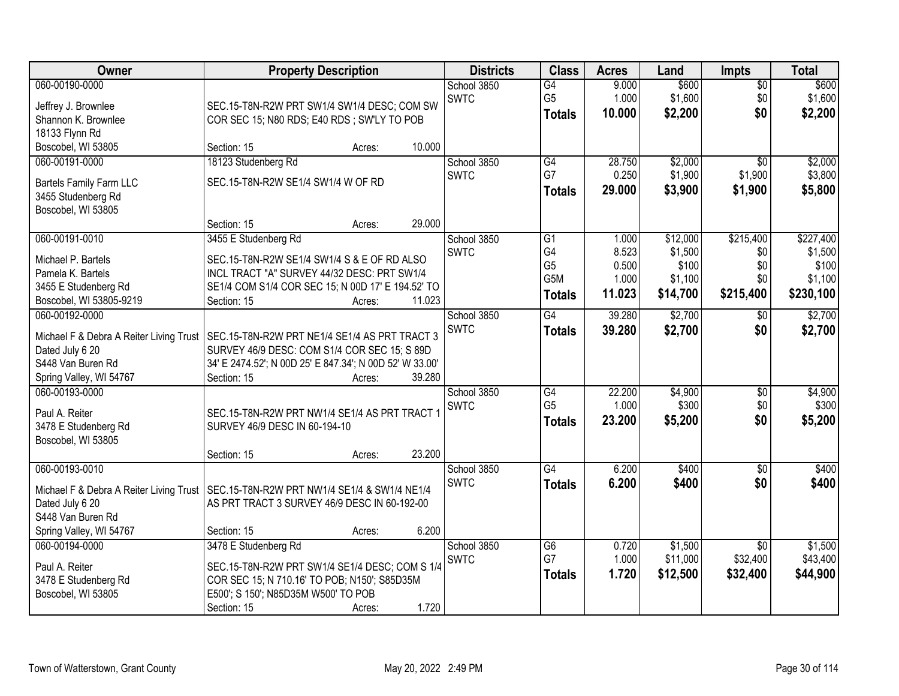| Owner                                   | <b>Property Description</b>                                                    | <b>Districts</b> | <b>Class</b>    | <b>Acres</b> | Land     | <b>Impts</b>    | <b>Total</b> |
|-----------------------------------------|--------------------------------------------------------------------------------|------------------|-----------------|--------------|----------|-----------------|--------------|
| 060-00190-0000                          |                                                                                | School 3850      | G4              | 9.000        | \$600    | $\overline{50}$ | \$600        |
| Jeffrey J. Brownlee                     | SEC.15-T8N-R2W PRT SW1/4 SW1/4 DESC; COM SW                                    | <b>SWTC</b>      | G <sub>5</sub>  | 1.000        | \$1,600  | \$0             | \$1,600      |
| Shannon K. Brownlee                     | COR SEC 15; N80 RDS; E40 RDS; SW'LY TO POB                                     |                  | <b>Totals</b>   | 10.000       | \$2,200  | \$0             | \$2,200      |
| 18133 Flynn Rd                          |                                                                                |                  |                 |              |          |                 |              |
| Boscobel, WI 53805                      | 10.000<br>Section: 15<br>Acres:                                                |                  |                 |              |          |                 |              |
| 060-00191-0000                          | 18123 Studenberg Rd                                                            | School 3850      | G4              | 28.750       | \$2,000  | $\overline{50}$ | \$2,000      |
| <b>Bartels Family Farm LLC</b>          | SEC.15-T8N-R2W SE1/4 SW1/4 W OF RD                                             | <b>SWTC</b>      | G7              | 0.250        | \$1,900  | \$1,900         | \$3,800      |
| 3455 Studenberg Rd                      |                                                                                |                  | <b>Totals</b>   | 29.000       | \$3,900  | \$1,900         | \$5,800      |
| Boscobel, WI 53805                      |                                                                                |                  |                 |              |          |                 |              |
|                                         | 29.000<br>Section: 15<br>Acres:                                                |                  |                 |              |          |                 |              |
| 060-00191-0010                          | 3455 E Studenberg Rd                                                           | School 3850      | $\overline{G1}$ | 1.000        | \$12,000 | \$215,400       | \$227,400    |
| Michael P. Bartels                      | SEC.15-T8N-R2W SE1/4 SW1/4 S & E OF RD ALSO                                    | <b>SWTC</b>      | G4              | 8.523        | \$1,500  | \$0             | \$1,500      |
| Pamela K. Bartels                       | INCL TRACT "A" SURVEY 44/32 DESC: PRT SW1/4                                    |                  | G <sub>5</sub>  | 0.500        | \$100    | \$0             | \$100        |
| 3455 E Studenberg Rd                    | SE1/4 COM S1/4 COR SEC 15; N 00D 17' E 194.52' TO                              |                  | G5M             | 1.000        | \$1,100  | \$0             | \$1,100      |
| Boscobel, WI 53805-9219                 | 11.023<br>Section: 15<br>Acres:                                                |                  | <b>Totals</b>   | 11.023       | \$14,700 | \$215,400       | \$230,100    |
| 060-00192-0000                          |                                                                                | School 3850      | G4              | 39.280       | \$2,700  | \$0             | \$2,700      |
| Michael F & Debra A Reiter Living Trust | SEC.15-T8N-R2W PRT NE1/4 SE1/4 AS PRT TRACT 3                                  | <b>SWTC</b>      | <b>Totals</b>   | 39.280       | \$2,700  | \$0             | \$2,700      |
| Dated July 6 20                         | SURVEY 46/9 DESC: COM S1/4 COR SEC 15; S 89D                                   |                  |                 |              |          |                 |              |
| S448 Van Buren Rd                       | 34' E 2474.52'; N 00D 25' E 847.34'; N 00D 52' W 33.00'                        |                  |                 |              |          |                 |              |
| Spring Valley, WI 54767                 | 39.280<br>Section: 15<br>Acres:                                                |                  |                 |              |          |                 |              |
| 060-00193-0000                          |                                                                                | School 3850      | $\overline{G4}$ | 22.200       | \$4,900  | $\overline{50}$ | \$4,900      |
|                                         |                                                                                | <b>SWTC</b>      | G <sub>5</sub>  | 1.000        | \$300    | \$0             | \$300        |
| Paul A. Reiter<br>3478 E Studenberg Rd  | SEC.15-T8N-R2W PRT NW1/4 SE1/4 AS PRT TRACT 1<br>SURVEY 46/9 DESC IN 60-194-10 |                  | <b>Totals</b>   | 23.200       | \$5,200  | \$0             | \$5,200      |
| Boscobel, WI 53805                      |                                                                                |                  |                 |              |          |                 |              |
|                                         | 23.200<br>Section: 15<br>Acres:                                                |                  |                 |              |          |                 |              |
| 060-00193-0010                          |                                                                                | School 3850      | G4              | 6.200        | \$400    | $\sqrt{$0}$     | \$400        |
|                                         |                                                                                | <b>SWTC</b>      | <b>Totals</b>   | 6.200        | \$400    | \$0             | \$400        |
| Michael F & Debra A Reiter Living Trust | SEC.15-T8N-R2W PRT NW1/4 SE1/4 & SW1/4 NE1/4                                   |                  |                 |              |          |                 |              |
| Dated July 6 20<br>S448 Van Buren Rd    | AS PRT TRACT 3 SURVEY 46/9 DESC IN 60-192-00                                   |                  |                 |              |          |                 |              |
| Spring Valley, WI 54767                 | 6.200<br>Section: 15<br>Acres:                                                 |                  |                 |              |          |                 |              |
| 060-00194-0000                          | 3478 E Studenberg Rd                                                           | School 3850      | G6              | 0.720        | \$1,500  | $\overline{30}$ | \$1,500      |
|                                         |                                                                                | <b>SWTC</b>      | G7              | 1.000        | \$11,000 | \$32,400        | \$43,400     |
| Paul A. Reiter                          | SEC.15-T8N-R2W PRT SW1/4 SE1/4 DESC; COM S 1/4                                 |                  | <b>Totals</b>   | 1.720        | \$12,500 | \$32,400        | \$44,900     |
| 3478 E Studenberg Rd                    | COR SEC 15; N 710.16' TO POB; N150'; S85D35M                                   |                  |                 |              |          |                 |              |
| Boscobel, WI 53805                      | E500'; S 150'; N85D35M W500' TO POB                                            |                  |                 |              |          |                 |              |
|                                         | 1.720<br>Section: 15<br>Acres:                                                 |                  |                 |              |          |                 |              |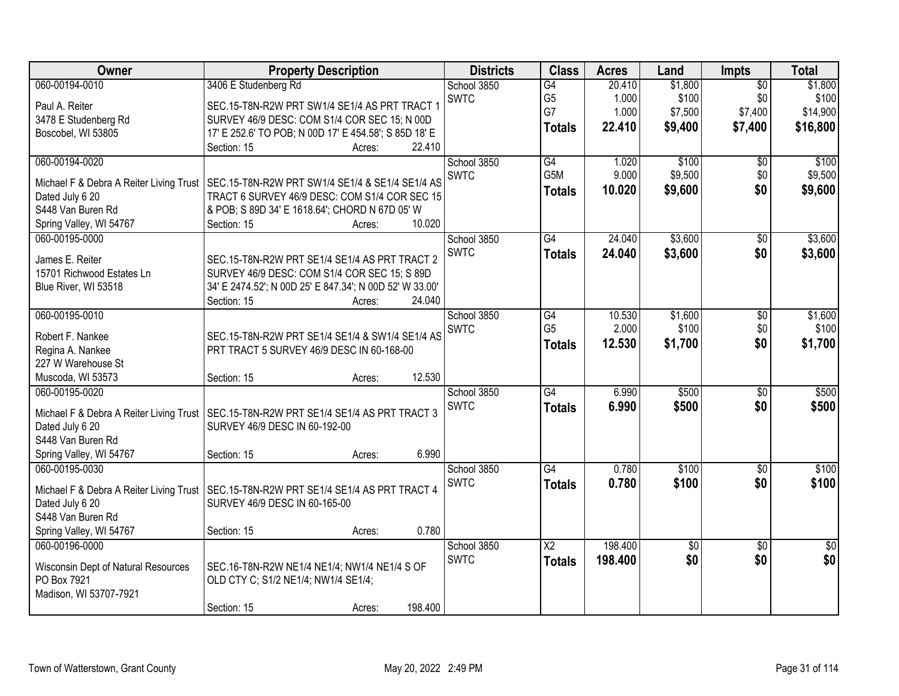| Owner                                   | <b>Property Description</b>                                                             | <b>Districts</b> | <b>Class</b>    | <b>Acres</b> | Land            | <b>Impts</b>    | <b>Total</b>    |
|-----------------------------------------|-----------------------------------------------------------------------------------------|------------------|-----------------|--------------|-----------------|-----------------|-----------------|
| 060-00194-0010                          | 3406 E Studenberg Rd                                                                    | School 3850      | $\overline{G4}$ | 20.410       | \$1,800         | $\overline{50}$ | \$1,800         |
| Paul A. Reiter                          | SEC.15-T8N-R2W PRT SW1/4 SE1/4 AS PRT TRACT 1                                           | <b>SWTC</b>      | G <sub>5</sub>  | 1.000        | \$100           | \$0             | \$100           |
| 3478 E Studenberg Rd                    | SURVEY 46/9 DESC: COM S1/4 COR SEC 15; N 00D                                            |                  | G7              | 1.000        | \$7,500         | \$7,400         | \$14,900        |
| Boscobel, WI 53805                      | 17' E 252.6' TO POB; N 00D 17' E 454.58'; S 85D 18' E                                   |                  | <b>Totals</b>   | 22.410       | \$9,400         | \$7,400         | \$16,800        |
|                                         | Section: 15<br>22.410<br>Acres:                                                         |                  |                 |              |                 |                 |                 |
| 060-00194-0020                          |                                                                                         | School 3850      | G4              | 1.020        | \$100           | $\overline{50}$ | \$100           |
|                                         |                                                                                         | <b>SWTC</b>      | G5M             | 9.000        | \$9,500         | \$0             | \$9,500         |
| Michael F & Debra A Reiter Living Trust | SEC.15-T8N-R2W PRT SW1/4 SE1/4 & SE1/4 SE1/4 AS                                         |                  | <b>Totals</b>   | 10.020       | \$9,600         | \$0             | \$9,600         |
| Dated July 6 20                         | TRACT 6 SURVEY 46/9 DESC: COM S1/4 COR SEC 15                                           |                  |                 |              |                 |                 |                 |
| S448 Van Buren Rd                       | & POB; S 89D 34' E 1618.64'; CHORD N 67D 05' W                                          |                  |                 |              |                 |                 |                 |
| Spring Valley, WI 54767                 | 10.020<br>Section: 15<br>Acres:                                                         |                  |                 |              |                 |                 |                 |
| 060-00195-0000                          |                                                                                         | School 3850      | G4              | 24.040       | \$3,600         | $\overline{50}$ | \$3,600         |
| James E. Reiter                         | SEC.15-T8N-R2W PRT SE1/4 SE1/4 AS PRT TRACT 2                                           | <b>SWTC</b>      | <b>Totals</b>   | 24.040       | \$3,600         | \$0             | \$3,600         |
| 15701 Richwood Estates Ln               | SURVEY 46/9 DESC: COM S1/4 COR SEC 15; S 89D                                            |                  |                 |              |                 |                 |                 |
| Blue River, WI 53518                    | 34' E 2474.52'; N 00D 25' E 847.34'; N 00D 52' W 33.00'                                 |                  |                 |              |                 |                 |                 |
|                                         | 24.040<br>Section: 15<br>Acres:                                                         |                  |                 |              |                 |                 |                 |
| 060-00195-0010                          |                                                                                         | School 3850      | G4              | 10.530       | \$1,600         | \$0             | \$1,600         |
|                                         |                                                                                         | <b>SWTC</b>      | G <sub>5</sub>  | 2.000        | \$100           | \$0             | \$100           |
| Robert F. Nankee                        | SEC.15-T8N-R2W PRT SE1/4 SE1/4 & SW1/4 SE1/4 AS                                         |                  | <b>Totals</b>   | 12.530       | \$1,700         | \$0             | \$1,700         |
| Regina A. Nankee                        | PRT TRACT 5 SURVEY 46/9 DESC IN 60-168-00                                               |                  |                 |              |                 |                 |                 |
| 227 W Warehouse St                      |                                                                                         |                  |                 |              |                 |                 |                 |
| Muscoda, WI 53573                       | 12.530<br>Section: 15<br>Acres:                                                         |                  |                 |              |                 |                 |                 |
| 060-00195-0020                          |                                                                                         | School 3850      | G4              | 6.990        | \$500           | $\overline{30}$ | \$500           |
|                                         | Michael F & Debra A Reiter Living Trust   SEC.15-T8N-R2W PRT SE1/4 SE1/4 AS PRT TRACT 3 | <b>SWTC</b>      | <b>Totals</b>   | 6.990        | \$500           | \$0             | \$500           |
| Dated July 6 20                         | SURVEY 46/9 DESC IN 60-192-00                                                           |                  |                 |              |                 |                 |                 |
| S448 Van Buren Rd                       |                                                                                         |                  |                 |              |                 |                 |                 |
| Spring Valley, WI 54767                 | 6.990<br>Section: 15<br>Acres:                                                          |                  |                 |              |                 |                 |                 |
| 060-00195-0030                          |                                                                                         | School 3850      | $\overline{G4}$ | 0.780        | \$100           | $\overline{50}$ | \$100           |
|                                         |                                                                                         | <b>SWTC</b>      | <b>Totals</b>   | 0.780        | \$100           | \$0             | \$100           |
| Michael F & Debra A Reiter Living Trust | SEC.15-T8N-R2W PRT SE1/4 SE1/4 AS PRT TRACT 4                                           |                  |                 |              |                 |                 |                 |
| Dated July 6 20                         | SURVEY 46/9 DESC IN 60-165-00                                                           |                  |                 |              |                 |                 |                 |
| S448 Van Buren Rd                       |                                                                                         |                  |                 |              |                 |                 |                 |
| Spring Valley, WI 54767                 | 0.780<br>Section: 15<br>Acres:                                                          |                  |                 |              |                 |                 |                 |
| 060-00196-0000                          |                                                                                         | School 3850      | $\overline{X2}$ | 198.400      | $\overline{50}$ | $\overline{50}$ | $\overline{50}$ |
| Wisconsin Dept of Natural Resources     | SEC.16-T8N-R2W NE1/4 NE1/4; NW1/4 NE1/4 S OF                                            | <b>SWTC</b>      | <b>Totals</b>   | 198.400      | \$0             | \$0             | \$0             |
| PO Box 7921                             | OLD CTY C; S1/2 NE1/4; NW1/4 SE1/4;                                                     |                  |                 |              |                 |                 |                 |
| Madison, WI 53707-7921                  |                                                                                         |                  |                 |              |                 |                 |                 |
|                                         | 198.400<br>Section: 15<br>Acres:                                                        |                  |                 |              |                 |                 |                 |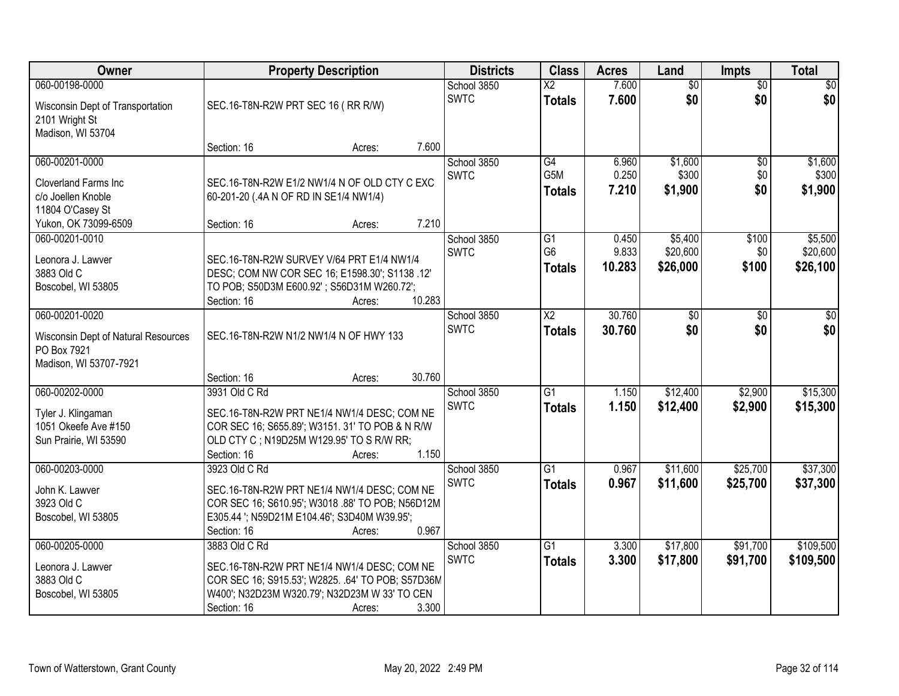| <b>Owner</b>                                                                                   | <b>Property Description</b>                                                                                                                                                                                                             | <b>Districts</b>           | <b>Class</b>                                         | <b>Acres</b>            | Land                        | <b>Impts</b>           | <b>Total</b>                |
|------------------------------------------------------------------------------------------------|-----------------------------------------------------------------------------------------------------------------------------------------------------------------------------------------------------------------------------------------|----------------------------|------------------------------------------------------|-------------------------|-----------------------------|------------------------|-----------------------------|
| 060-00198-0000<br>Wisconsin Dept of Transportation<br>2101 Wright St<br>Madison, WI 53704      | SEC.16-T8N-R2W PRT SEC 16 (RR R/W)                                                                                                                                                                                                      | School 3850<br><b>SWTC</b> | $\overline{\text{X2}}$<br><b>Totals</b>              | 7.600<br>7.600          | $\overline{50}$<br>\$0      | $\overline{50}$<br>\$0 | $\overline{30}$<br>\$0      |
|                                                                                                | 7.600<br>Section: 16<br>Acres:                                                                                                                                                                                                          |                            |                                                      |                         |                             |                        |                             |
| 060-00201-0000<br><b>Cloverland Farms Inc.</b><br>c/o Joellen Knoble<br>11804 O'Casey St       | SEC.16-T8N-R2W E1/2 NW1/4 N OF OLD CTY C EXC<br>60-201-20 (.4A N OF RD IN SE1/4 NW1/4)<br>7.210                                                                                                                                         | School 3850<br><b>SWTC</b> | $\overline{G4}$<br>G <sub>5</sub> M<br><b>Totals</b> | 6.960<br>0.250<br>7.210 | \$1,600<br>\$300<br>\$1,900 | \$0<br>\$0<br>\$0      | \$1,600<br>\$300<br>\$1,900 |
| Yukon, OK 73099-6509<br>060-00201-0010                                                         | Section: 16<br>Acres:                                                                                                                                                                                                                   | School 3850                | $\overline{G1}$                                      | 0.450                   | \$5,400                     | \$100                  | \$5,500                     |
| Leonora J. Lawver<br>3883 Old C<br>Boscobel, WI 53805                                          | SEC.16-T8N-R2W SURVEY V/64 PRT E1/4 NW1/4<br>DESC; COM NW COR SEC 16; E1598.30'; S1138.12'<br>TO POB; S50D3M E600.92'; S56D31M W260.72';<br>10.283<br>Section: 16<br>Acres:                                                             | <b>SWTC</b>                | G <sub>6</sub><br><b>Totals</b>                      | 9.833<br>10.283         | \$20,600<br>\$26,000        | \$0<br>\$100           | \$20,600<br>\$26,100        |
| 060-00201-0020<br>Wisconsin Dept of Natural Resources<br>PO Box 7921<br>Madison, WI 53707-7921 | SEC.16-T8N-R2W N1/2 NW1/4 N OF HWY 133<br>30.760<br>Section: 16                                                                                                                                                                         | School 3850<br><b>SWTC</b> | $\overline{\text{X2}}$<br><b>Totals</b>              | 30.760<br>30.760        | \$0<br>\$0                  | \$0<br>\$0             | \$0<br>\$0                  |
| 060-00202-0000<br>Tyler J. Klingaman<br>1051 Okeefe Ave #150                                   | Acres:<br>3931 Old C Rd<br>SEC.16-T8N-R2W PRT NE1/4 NW1/4 DESC; COM NE<br>COR SEC 16; S655.89'; W3151. 31' TO POB & N R/W                                                                                                               | School 3850<br><b>SWTC</b> | $\overline{G1}$<br><b>Totals</b>                     | 1.150<br>1.150          | \$12,400<br>\$12,400        | \$2,900<br>\$2,900     | \$15,300<br>\$15,300        |
| Sun Prairie, WI 53590                                                                          | OLD CTY C; N19D25M W129.95' TO S R/W RR;<br>1.150<br>Section: 16<br>Acres:                                                                                                                                                              |                            |                                                      |                         |                             |                        |                             |
| 060-00203-0000<br>John K. Lawver<br>3923 Old C<br>Boscobel, WI 53805                           | 3923 Old C Rd<br>SEC.16-T8N-R2W PRT NE1/4 NW1/4 DESC; COM NE<br>COR SEC 16; S610.95'; W3018 .88' TO POB; N56D12M<br>E305.44 '; N59D21M E104.46'; S3D40M W39.95';                                                                        | School 3850<br><b>SWTC</b> | $\overline{G1}$<br><b>Totals</b>                     | 0.967<br>0.967          | \$11,600<br>\$11,600        | \$25,700<br>\$25,700   | \$37,300<br>\$37,300        |
| 060-00205-0000<br>Leonora J. Lawver<br>3883 Old C<br>Boscobel, WI 53805                        | 0.967<br>Section: 16<br>Acres:<br>3883 Old C Rd<br>SEC.16-T8N-R2W PRT NE1/4 NW1/4 DESC; COM NE<br>COR SEC 16; S915.53'; W2825. . 64' TO POB; S57D36M<br>W400'; N32D23M W320.79'; N32D23M W 33' TO CEN<br>3.300<br>Section: 16<br>Acres: | School 3850<br><b>SWTC</b> | G1<br><b>Totals</b>                                  | 3.300<br>3.300          | \$17,800<br>\$17,800        | \$91,700<br>\$91,700   | \$109,500<br>\$109,500      |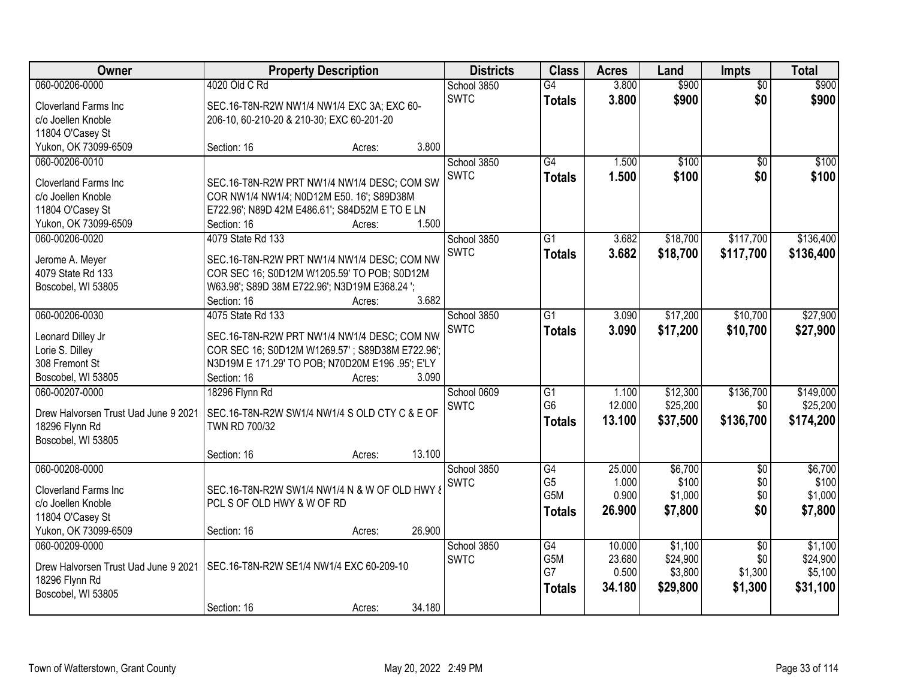| Owner                                    | <b>Property Description</b>                                             |        | <b>Districts</b> | <b>Class</b>    | <b>Acres</b> | Land     | <b>Impts</b>    | <b>Total</b> |
|------------------------------------------|-------------------------------------------------------------------------|--------|------------------|-----------------|--------------|----------|-----------------|--------------|
| 060-00206-0000                           | 4020 Old C Rd                                                           |        | School 3850      | $\overline{G4}$ | 3.800        | \$900    | $\overline{50}$ | \$900        |
| <b>Cloverland Farms Inc</b>              | SEC.16-T8N-R2W NW1/4 NW1/4 EXC 3A; EXC 60-                              |        | <b>SWTC</b>      | <b>Totals</b>   | 3.800        | \$900    | \$0             | \$900        |
| c/o Joellen Knoble                       | 206-10, 60-210-20 & 210-30; EXC 60-201-20                               |        |                  |                 |              |          |                 |              |
| 11804 O'Casey St                         |                                                                         |        |                  |                 |              |          |                 |              |
| Yukon, OK 73099-6509                     | Section: 16<br>Acres:                                                   | 3.800  |                  |                 |              |          |                 |              |
| 060-00206-0010                           |                                                                         |        | School 3850      | $\overline{G4}$ | 1.500        | \$100    | $\overline{50}$ | \$100        |
|                                          |                                                                         |        | <b>SWTC</b>      | <b>Totals</b>   | 1.500        | \$100    | \$0             | \$100        |
| <b>Cloverland Farms Inc</b>              | SEC.16-T8N-R2W PRT NW1/4 NW1/4 DESC; COM SW                             |        |                  |                 |              |          |                 |              |
| c/o Joellen Knoble                       | COR NW1/4 NW1/4; N0D12M E50. 16'; S89D38M                               |        |                  |                 |              |          |                 |              |
| 11804 O'Casey St<br>Yukon, OK 73099-6509 | E722.96'; N89D 42M E486.61'; S84D52M E TO E LN<br>Section: 16<br>Acres: | 1.500  |                  |                 |              |          |                 |              |
| 060-00206-0020                           | 4079 State Rd 133                                                       |        | School 3850      | $\overline{G1}$ | 3.682        | \$18,700 | \$117,700       | \$136,400    |
|                                          |                                                                         |        | <b>SWTC</b>      |                 |              |          |                 |              |
| Jerome A. Meyer                          | SEC.16-T8N-R2W PRT NW1/4 NW1/4 DESC; COM NW                             |        |                  | <b>Totals</b>   | 3.682        | \$18,700 | \$117,700       | \$136,400    |
| 4079 State Rd 133                        | COR SEC 16; S0D12M W1205.59' TO POB; S0D12M                             |        |                  |                 |              |          |                 |              |
| Boscobel, WI 53805                       | W63.98'; S89D 38M E722.96'; N3D19M E368.24 ';                           |        |                  |                 |              |          |                 |              |
|                                          | Section: 16<br>Acres:                                                   | 3.682  |                  |                 |              |          |                 |              |
| 060-00206-0030                           | 4075 State Rd 133                                                       |        | School 3850      | $\overline{G1}$ | 3.090        | \$17,200 | \$10,700        | \$27,900     |
| Leonard Dilley Jr                        | SEC.16-T8N-R2W PRT NW1/4 NW1/4 DESC; COM NW                             |        | <b>SWTC</b>      | <b>Totals</b>   | 3.090        | \$17,200 | \$10,700        | \$27,900     |
| Lorie S. Dilley                          | COR SEC 16; S0D12M W1269.57'; S89D38M E722.96';                         |        |                  |                 |              |          |                 |              |
| 308 Fremont St                           | N3D19M E 171.29' TO POB; N70D20M E196 .95'; E'LY                        |        |                  |                 |              |          |                 |              |
| Boscobel, WI 53805                       | Section: 16<br>Acres:                                                   | 3.090  |                  |                 |              |          |                 |              |
| 060-00207-0000                           | 18296 Flynn Rd                                                          |        | School 0609      | $\overline{G1}$ | 1.100        | \$12,300 | \$136,700       | \$149,000    |
|                                          |                                                                         |        | <b>SWTC</b>      | G <sub>6</sub>  | 12.000       | \$25,200 | \$0             | \$25,200     |
| Drew Halvorsen Trust Uad June 9 2021     | SEC.16-T8N-R2W SW1/4 NW1/4 S OLD CTY C & E OF                           |        |                  | <b>Totals</b>   | 13.100       | \$37,500 | \$136,700       | \$174,200    |
| 18296 Flynn Rd                           | TWN RD 700/32                                                           |        |                  |                 |              |          |                 |              |
| Boscobel, WI 53805                       |                                                                         |        |                  |                 |              |          |                 |              |
|                                          | Section: 16<br>Acres:                                                   | 13.100 |                  |                 |              |          |                 |              |
| 060-00208-0000                           |                                                                         |        | School 3850      | G4              | 25.000       | \$6,700  | $\sqrt{6}$      | \$6,700      |
| <b>Cloverland Farms Inc.</b>             | SEC.16-T8N-R2W SW1/4 NW1/4 N & W OF OLD HWY &                           |        | <b>SWTC</b>      | G <sub>5</sub>  | 1.000        | \$100    | \$0             | \$100        |
| c/o Joellen Knoble                       | PCL S OF OLD HWY & W OF RD                                              |        |                  | G5M             | 0.900        | \$1,000  | \$0             | \$1,000      |
| 11804 O'Casey St                         |                                                                         |        |                  | Totals          | 26,900       | \$7,800  | \$0             | \$7,800      |
| Yukon, OK 73099-6509                     | Section: 16<br>Acres:                                                   | 26.900 |                  |                 |              |          |                 |              |
| 060-00209-0000                           |                                                                         |        | School 3850      | G4              | 10.000       | \$1,100  | $\overline{50}$ | \$1,100      |
|                                          |                                                                         |        | <b>SWTC</b>      | G5M             | 23.680       | \$24,900 | \$0             | \$24,900     |
| Drew Halvorsen Trust Uad June 9 2021     | SEC.16-T8N-R2W SE1/4 NW1/4 EXC 60-209-10                                |        |                  | G7              | 0.500        | \$3,800  | \$1,300         | \$5,100      |
| 18296 Flynn Rd                           |                                                                         |        |                  | Totals          | 34.180       | \$29,800 | \$1,300         | \$31,100     |
| Boscobel, WI 53805                       |                                                                         |        |                  |                 |              |          |                 |              |
|                                          | Section: 16<br>Acres:                                                   | 34.180 |                  |                 |              |          |                 |              |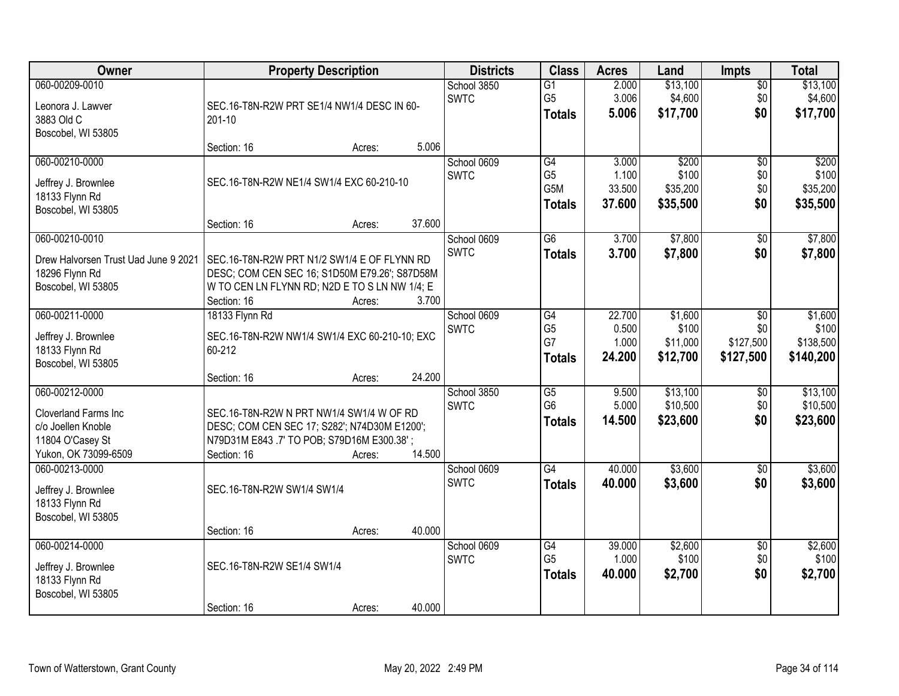| Owner                                                                                                            | <b>Property Description</b>                                                                                                                                                     | <b>Districts</b>           | <b>Class</b>                                       | <b>Acres</b>                       | Land                                   | <b>Impts</b>                  | <b>Total</b>                           |
|------------------------------------------------------------------------------------------------------------------|---------------------------------------------------------------------------------------------------------------------------------------------------------------------------------|----------------------------|----------------------------------------------------|------------------------------------|----------------------------------------|-------------------------------|----------------------------------------|
| 060-00209-0010<br>Leonora J. Lawver<br>3883 Old C<br>Boscobel, WI 53805                                          | SEC.16-T8N-R2W PRT SE1/4 NW1/4 DESC IN 60-<br>201-10                                                                                                                            | School 3850<br><b>SWTC</b> | $\overline{G1}$<br>G <sub>5</sub><br><b>Totals</b> | 2.000<br>3.006<br>5.006            | \$13,100<br>\$4,600<br>\$17,700        | $\overline{50}$<br>\$0<br>\$0 | \$13,100<br>\$4,600<br>\$17,700        |
|                                                                                                                  | 5.006<br>Section: 16<br>Acres:                                                                                                                                                  |                            |                                                    |                                    |                                        |                               |                                        |
| 060-00210-0000<br>Jeffrey J. Brownlee<br>18133 Flynn Rd<br>Boscobel, WI 53805                                    | SEC.16-T8N-R2W NE1/4 SW1/4 EXC 60-210-10<br>37.600<br>Section: 16<br>Acres:                                                                                                     | School 0609<br><b>SWTC</b> | G4<br>G <sub>5</sub><br>G5M<br><b>Totals</b>       | 3.000<br>1.100<br>33.500<br>37.600 | \$200<br>\$100<br>\$35,200<br>\$35,500 | \$0<br>\$0<br>\$0<br>\$0      | \$200<br>\$100<br>\$35,200<br>\$35,500 |
| 060-00210-0010                                                                                                   |                                                                                                                                                                                 | School 0609                | G6                                                 | 3.700                              | \$7,800                                | $\overline{50}$               | \$7,800                                |
| Drew Halvorsen Trust Uad June 9 2021<br>18296 Flynn Rd<br>Boscobel, WI 53805                                     | SEC.16-T8N-R2W PRT N1/2 SW1/4 E OF FLYNN RD<br>DESC; COM CEN SEC 16; S1D50M E79.26'; S87D58M<br>W TO CEN LN FLYNN RD; N2D E TO S LN NW 1/4; E<br>Section: 16<br>3.700<br>Acres: | <b>SWTC</b>                | <b>Totals</b>                                      | 3.700                              | \$7,800                                | \$0                           | \$7,800                                |
| 060-00211-0000                                                                                                   | 18133 Flynn Rd                                                                                                                                                                  | School 0609                | G4                                                 | 22.700                             | \$1,600                                | $\overline{50}$               | \$1,600                                |
| Jeffrey J. Brownlee<br>18133 Flynn Rd<br>Boscobel, WI 53805                                                      | SEC.16-T8N-R2W NW1/4 SW1/4 EXC 60-210-10; EXC<br>60-212                                                                                                                         | <b>SWTC</b>                | G <sub>5</sub><br>G7<br><b>Totals</b>              | 0.500<br>1.000<br>24.200           | \$100<br>\$11,000<br>\$12,700          | \$0<br>\$127,500<br>\$127,500 | \$100<br>\$138,500<br>\$140,200        |
|                                                                                                                  | 24.200<br>Section: 16<br>Acres:                                                                                                                                                 |                            |                                                    |                                    |                                        |                               |                                        |
| 060-00212-0000<br><b>Cloverland Farms Inc.</b><br>c/o Joellen Knoble<br>11804 O'Casey St<br>Yukon, OK 73099-6509 | SEC.16-T8N-R2W N PRT NW1/4 SW1/4 W OF RD<br>DESC; COM CEN SEC 17; S282'; N74D30M E1200';<br>N79D31M E843 .7' TO POB; S79D16M E300.38';<br>14.500<br>Section: 16<br>Acres:       | School 3850<br><b>SWTC</b> | G5<br>G <sub>6</sub><br><b>Totals</b>              | 9.500<br>5.000<br>14.500           | \$13,100<br>\$10,500<br>\$23,600       | \$0<br>\$0<br>\$0             | \$13,100<br>\$10,500<br>\$23,600       |
| 060-00213-0000<br>Jeffrey J. Brownlee                                                                            | SEC.16-T8N-R2W SW1/4 SW1/4                                                                                                                                                      | School 0609<br><b>SWTC</b> | G4<br><b>Totals</b>                                | 40.000<br>40.000                   | \$3,600<br>\$3,600                     | $\sqrt{6}$<br>\$0             | \$3,600<br>\$3,600                     |
| 18133 Flynn Rd<br>Boscobel, WI 53805                                                                             |                                                                                                                                                                                 |                            |                                                    |                                    |                                        |                               |                                        |
| 060-00214-0000                                                                                                   | 40.000<br>Section: 16<br>Acres:                                                                                                                                                 | School 0609                | $\overline{G4}$                                    | 39.000                             | \$2,600                                | $\overline{50}$               | \$2,600                                |
| Jeffrey J. Brownlee<br>18133 Flynn Rd<br>Boscobel, WI 53805                                                      | SEC.16-T8N-R2W SE1/4 SW1/4                                                                                                                                                      | <b>SWTC</b>                | G <sub>5</sub><br><b>Totals</b>                    | 1.000<br>40.000                    | \$100<br>\$2,700                       | \$0<br>\$0                    | \$100<br>\$2,700                       |
|                                                                                                                  | 40.000<br>Section: 16<br>Acres:                                                                                                                                                 |                            |                                                    |                                    |                                        |                               |                                        |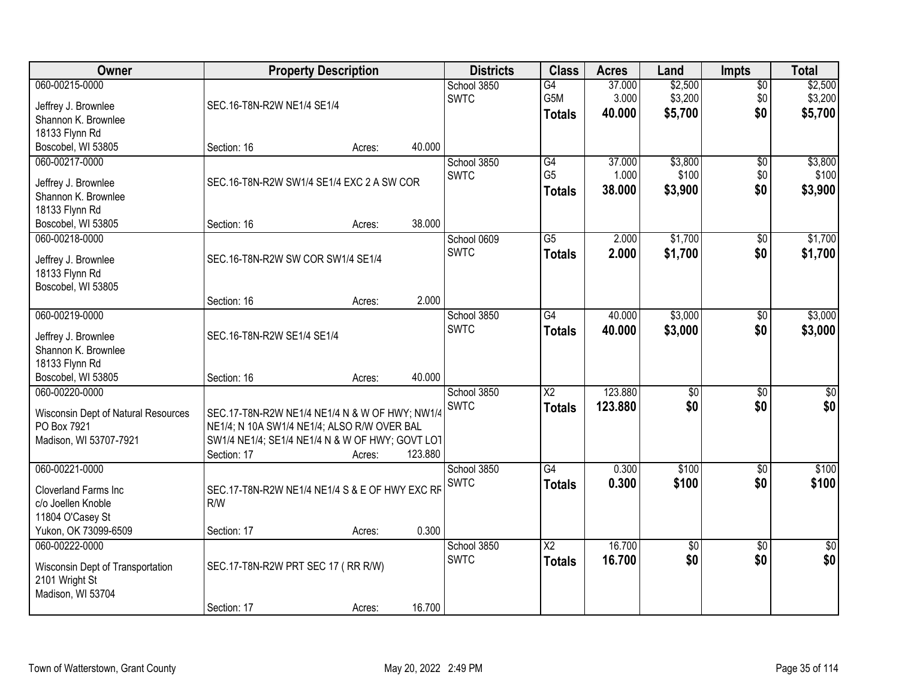| <b>Owner</b>                             |                                                 | <b>Property Description</b> |         | <b>Districts</b>           | <b>Class</b>           | <b>Acres</b>    | Land               | <b>Impts</b>           | <b>Total</b>       |
|------------------------------------------|-------------------------------------------------|-----------------------------|---------|----------------------------|------------------------|-----------------|--------------------|------------------------|--------------------|
| 060-00215-0000                           |                                                 |                             |         | School 3850<br><b>SWTC</b> | G4<br>G5M              | 37.000<br>3.000 | \$2,500<br>\$3,200 | $\overline{50}$<br>\$0 | \$2,500<br>\$3,200 |
| Jeffrey J. Brownlee                      | SEC.16-T8N-R2W NE1/4 SE1/4                      |                             |         |                            | <b>Totals</b>          | 40.000          | \$5,700            | \$0                    | \$5,700            |
| Shannon K. Brownlee                      |                                                 |                             |         |                            |                        |                 |                    |                        |                    |
| 18133 Flynn Rd<br>Boscobel, WI 53805     | Section: 16                                     | Acres:                      | 40.000  |                            |                        |                 |                    |                        |                    |
| 060-00217-0000                           |                                                 |                             |         | School 3850                | G4                     | 37.000          | \$3,800            | \$0                    | \$3,800            |
|                                          |                                                 |                             |         | <b>SWTC</b>                | G <sub>5</sub>         | 1.000           | \$100              | \$0                    | \$100              |
| Jeffrey J. Brownlee                      | SEC.16-T8N-R2W SW1/4 SE1/4 EXC 2 A SW COR       |                             |         |                            | <b>Totals</b>          | 38.000          | \$3,900            | \$0                    | \$3,900            |
| Shannon K. Brownlee<br>18133 Flynn Rd    |                                                 |                             |         |                            |                        |                 |                    |                        |                    |
| Boscobel, WI 53805                       | Section: 16                                     | Acres:                      | 38.000  |                            |                        |                 |                    |                        |                    |
| 060-00218-0000                           |                                                 |                             |         | School 0609                | $\overline{G5}$        | 2.000           | \$1,700            | \$0                    | \$1,700            |
|                                          | SEC.16-T8N-R2W SW COR SW1/4 SE1/4               |                             |         | <b>SWTC</b>                | <b>Totals</b>          | 2.000           | \$1,700            | \$0                    | \$1,700            |
| Jeffrey J. Brownlee<br>18133 Flynn Rd    |                                                 |                             |         |                            |                        |                 |                    |                        |                    |
| Boscobel, WI 53805                       |                                                 |                             |         |                            |                        |                 |                    |                        |                    |
|                                          | Section: 16                                     | Acres:                      | 2.000   |                            |                        |                 |                    |                        |                    |
| 060-00219-0000                           |                                                 |                             |         | School 3850                | $\overline{G4}$        | 40.000          | \$3,000            | \$0                    | \$3,000            |
| Jeffrey J. Brownlee                      | SEC.16-T8N-R2W SE1/4 SE1/4                      |                             |         | <b>SWTC</b>                | <b>Totals</b>          | 40.000          | \$3,000            | \$0                    | \$3,000            |
| Shannon K. Brownlee                      |                                                 |                             |         |                            |                        |                 |                    |                        |                    |
| 18133 Flynn Rd                           |                                                 |                             |         |                            |                        |                 |                    |                        |                    |
| Boscobel, WI 53805                       | Section: 16                                     | Acres:                      | 40.000  |                            |                        |                 |                    |                        |                    |
| 060-00220-0000                           |                                                 |                             |         | School 3850                | $\overline{\text{X2}}$ | 123.880         | $\overline{50}$    | $\overline{30}$        | $\overline{\$0}$   |
| Wisconsin Dept of Natural Resources      | SEC.17-T8N-R2W NE1/4 NE1/4 N & W OF HWY; NW1/4  |                             |         | <b>SWTC</b>                | <b>Totals</b>          | 123,880         | \$0                | \$0                    | \$0                |
| PO Box 7921                              | NE1/4; N 10A SW1/4 NE1/4; ALSO R/W OVER BAL     |                             |         |                            |                        |                 |                    |                        |                    |
| Madison, WI 53707-7921                   | SW1/4 NE1/4; SE1/4 NE1/4 N & W OF HWY; GOVT LOT |                             |         |                            |                        |                 |                    |                        |                    |
|                                          | Section: 17                                     | Acres:                      | 123.880 |                            |                        |                 |                    |                        |                    |
| 060-00221-0000                           |                                                 |                             |         | School 3850<br><b>SWTC</b> | $\overline{G4}$        | 0.300<br>0.300  | \$100<br>\$100     | $\sqrt{6}$<br>\$0      | \$100<br>\$100     |
| <b>Cloverland Farms Inc.</b>             | SEC.17-T8N-R2W NE1/4 NE1/4 S & E OF HWY EXC RF  |                             |         |                            | <b>Totals</b>          |                 |                    |                        |                    |
| c/o Joellen Knoble                       | R/W                                             |                             |         |                            |                        |                 |                    |                        |                    |
| 11804 O'Casey St<br>Yukon, OK 73099-6509 | Section: 17                                     | Acres:                      | 0.300   |                            |                        |                 |                    |                        |                    |
| 060-00222-0000                           |                                                 |                             |         | School 3850                | $\overline{\text{X2}}$ | 16.700          | $\overline{50}$    | $\overline{50}$        | $\frac{1}{6}$      |
|                                          |                                                 |                             |         | <b>SWTC</b>                | <b>Totals</b>          | 16.700          | \$0                | \$0                    | \$0                |
| Wisconsin Dept of Transportation         | SEC.17-T8N-R2W PRT SEC 17 (RR R/W)              |                             |         |                            |                        |                 |                    |                        |                    |
| 2101 Wright St<br>Madison, WI 53704      |                                                 |                             |         |                            |                        |                 |                    |                        |                    |
|                                          | Section: 17                                     | Acres:                      | 16.700  |                            |                        |                 |                    |                        |                    |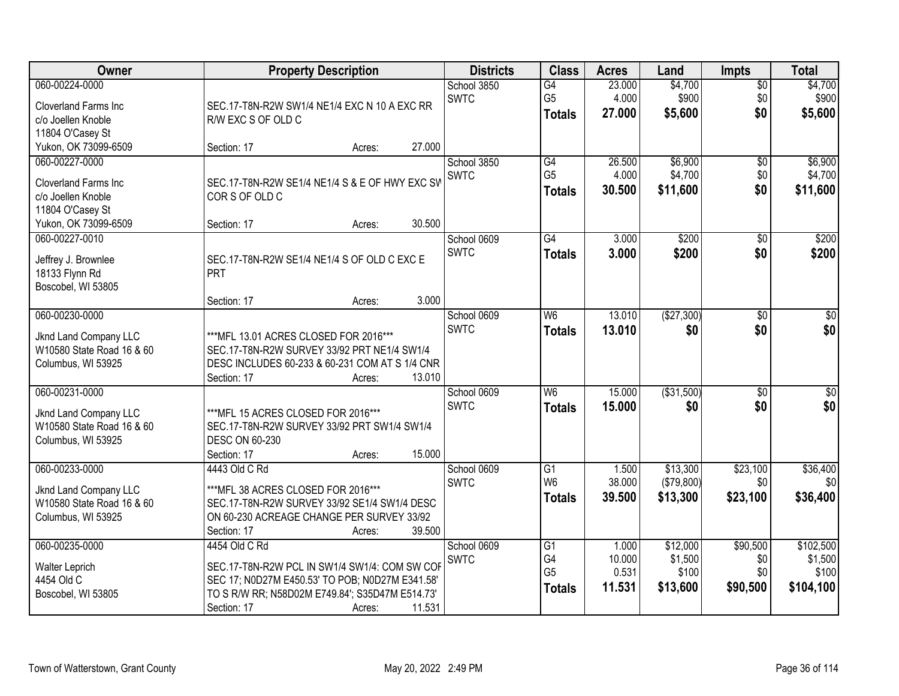| <b>Owner</b>                                                                                                    | <b>Property Description</b>                                                                                                                                                                             | <b>Districts</b>           | <b>Class</b>                                       | <b>Acres</b>                       | Land                                     | <b>Impts</b>                       | <b>Total</b>                               |
|-----------------------------------------------------------------------------------------------------------------|---------------------------------------------------------------------------------------------------------------------------------------------------------------------------------------------------------|----------------------------|----------------------------------------------------|------------------------------------|------------------------------------------|------------------------------------|--------------------------------------------|
| 060-00224-0000<br>Cloverland Farms Inc.<br>c/o Joellen Knoble                                                   | SEC.17-T8N-R2W SW1/4 NE1/4 EXC N 10 A EXC RR<br>R/W EXC S OF OLD C                                                                                                                                      | School 3850<br><b>SWTC</b> | $\overline{G4}$<br>G <sub>5</sub><br><b>Totals</b> | 23.000<br>4.000<br>27,000          | \$4,700<br>\$900<br>\$5,600              | $\sqrt{$0}$<br>\$0<br>\$0          | \$4,700<br>\$900<br>\$5,600                |
| 11804 O'Casey St<br>Yukon, OK 73099-6509                                                                        | 27.000<br>Section: 17<br>Acres:                                                                                                                                                                         |                            |                                                    |                                    |                                          |                                    |                                            |
| 060-00227-0000<br><b>Cloverland Farms Inc</b><br>c/o Joellen Knoble<br>11804 O'Casey St<br>Yukon, OK 73099-6509 | SEC.17-T8N-R2W SE1/4 NE1/4 S & E OF HWY EXC SV<br>CORS OF OLD C<br>30.500<br>Section: 17<br>Acres:                                                                                                      | School 3850<br><b>SWTC</b> | G4<br>G <sub>5</sub><br><b>Totals</b>              | 26.500<br>4.000<br>30.500          | \$6,900<br>\$4,700<br>\$11,600           | \$0<br>\$0<br>\$0                  | \$6,900<br>\$4,700<br>\$11,600             |
| 060-00227-0010<br>Jeffrey J. Brownlee<br>18133 Flynn Rd<br>Boscobel, WI 53805                                   | SEC.17-T8N-R2W SE1/4 NE1/4 S OF OLD C EXC E<br>PRT<br>3.000<br>Section: 17<br>Acres:                                                                                                                    | School 0609<br><b>SWTC</b> | $\overline{G4}$<br><b>Totals</b>                   | 3.000<br>3.000                     | \$200<br>\$200                           | \$0<br>\$0                         | \$200<br>\$200                             |
| 060-00230-0000<br>Jknd Land Company LLC<br>W10580 State Road 16 & 60<br>Columbus, WI 53925                      | *** MFL 13.01 ACRES CLOSED FOR 2016***<br>SEC.17-T8N-R2W SURVEY 33/92 PRT NE1/4 SW1/4<br>DESC INCLUDES 60-233 & 60-231 COM AT S 1/4 CNR<br>13.010<br>Section: 17<br>Acres:                              | School 0609<br><b>SWTC</b> | W <sub>6</sub><br><b>Totals</b>                    | 13.010<br>13.010                   | (\$27,300)<br>\$0                        | $\sqrt[6]{3}$<br>\$0               | $\sqrt{50}$<br>\$0                         |
| 060-00231-0000<br>Jknd Land Company LLC<br>W10580 State Road 16 & 60<br>Columbus, WI 53925                      | *** MFL 15 ACRES CLOSED FOR 2016***<br>SEC.17-T8N-R2W SURVEY 33/92 PRT SW1/4 SW1/4<br><b>DESC ON 60-230</b><br>15.000<br>Section: 17<br>Acres:                                                          | School 0609<br><b>SWTC</b> | W <sub>6</sub><br><b>Totals</b>                    | 15.000<br>15,000                   | ( \$31,500)<br>\$0                       | $\overline{50}$<br>\$0             | $\sqrt{50}$<br>\$0                         |
| 060-00233-0000<br>Jknd Land Company LLC<br>W10580 State Road 16 & 60<br>Columbus, WI 53925                      | 4443 Old C Rd<br>*** MFL 38 ACRES CLOSED FOR 2016***<br>SEC.17-T8N-R2W SURVEY 33/92 SE1/4 SW1/4 DESC<br>ON 60-230 ACREAGE CHANGE PER SURVEY 33/92<br>39.500<br>Section: 17<br>Acres:                    | School 0609<br><b>SWTC</b> | G1<br>W <sub>6</sub><br><b>Totals</b>              | 1.500<br>38.000<br>39.500          | \$13,300<br>(\$79,800)<br>\$13,300       | \$23,100<br>\$0<br>\$23,100        | \$36,400<br>\$0 <sub>1</sub><br>\$36,400   |
| 060-00235-0000<br>Walter Leprich<br>4454 Old C<br>Boscobel, WI 53805                                            | 4454 Old C Rd<br>SEC.17-T8N-R2W PCL IN SW1/4 SW1/4: COM SW COF<br>SEC 17; N0D27M E450.53' TO POB; N0D27M E341.58'<br>TO S R/W RR; N58D02M E749.84'; S35D47M E514.73'<br>11.531<br>Section: 17<br>Acres: | School 0609<br><b>SWTC</b> | G1<br>G4<br>G <sub>5</sub><br><b>Totals</b>        | 1.000<br>10.000<br>0.531<br>11.531 | \$12,000<br>\$1,500<br>\$100<br>\$13,600 | \$90,500<br>\$0<br>\$0<br>\$90,500 | \$102,500<br>\$1,500<br>\$100<br>\$104,100 |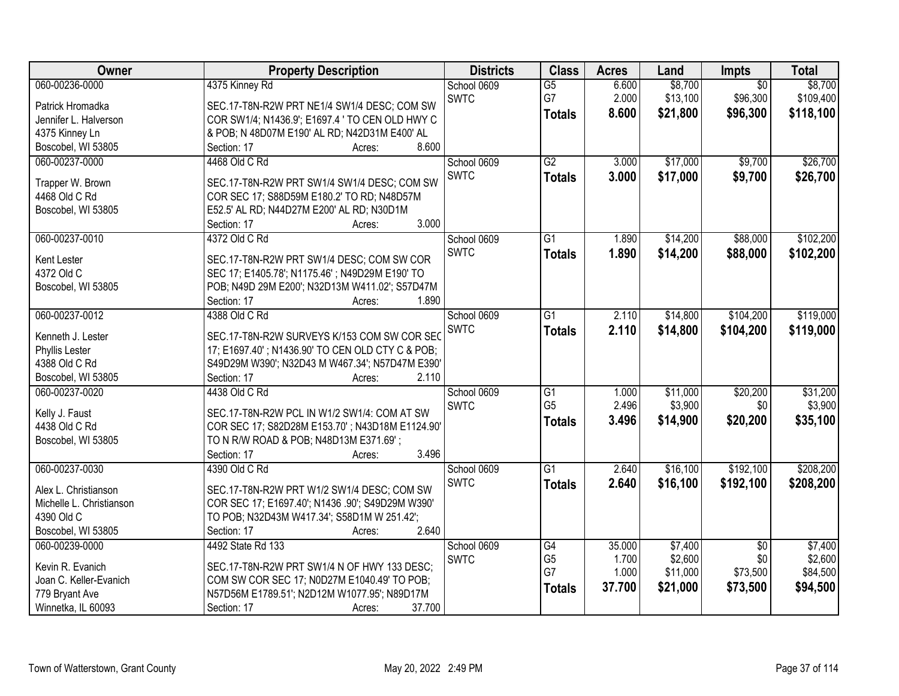| Owner                    | <b>Property Description</b>                        | <b>Districts</b> | <b>Class</b>    | <b>Acres</b> | Land     | Impts           | <b>Total</b> |
|--------------------------|----------------------------------------------------|------------------|-----------------|--------------|----------|-----------------|--------------|
| 060-00236-0000           | 4375 Kinney Rd                                     | School 0609      | $\overline{G5}$ | 6.600        | \$8,700  | $\overline{50}$ | \$8,700      |
| Patrick Hromadka         | SEC.17-T8N-R2W PRT NE1/4 SW1/4 DESC; COM SW        | <b>SWTC</b>      | G7              | 2.000        | \$13,100 | \$96,300        | \$109,400    |
| Jennifer L. Halverson    | COR SW1/4; N1436.9'; E1697.4 ' TO CEN OLD HWY C    |                  | <b>Totals</b>   | 8.600        | \$21,800 | \$96,300        | \$118,100    |
| 4375 Kinney Ln           | & POB; N 48D07M E190' AL RD; N42D31M E400' AL      |                  |                 |              |          |                 |              |
| Boscobel, WI 53805       | 8.600<br>Section: 17<br>Acres:                     |                  |                 |              |          |                 |              |
| 060-00237-0000           | 4468 Old C Rd                                      | School 0609      | $\overline{G2}$ | 3.000        | \$17,000 | \$9,700         | \$26,700     |
|                          |                                                    | <b>SWTC</b>      | <b>Totals</b>   | 3.000        | \$17,000 | \$9,700         | \$26,700     |
| Trapper W. Brown         | SEC.17-T8N-R2W PRT SW1/4 SW1/4 DESC; COM SW        |                  |                 |              |          |                 |              |
| 4468 Old C Rd            | COR SEC 17; S88D59M E180.2' TO RD; N48D57M         |                  |                 |              |          |                 |              |
| Boscobel, WI 53805       | E52.5' AL RD; N44D27M E200' AL RD; N30D1M<br>3.000 |                  |                 |              |          |                 |              |
|                          | Section: 17<br>Acres:                              |                  |                 |              |          |                 |              |
| 060-00237-0010           | 4372 Old C Rd                                      | School 0609      | G1              | 1.890        | \$14,200 | \$88,000        | \$102,200    |
| Kent Lester              | SEC.17-T8N-R2W PRT SW1/4 DESC; COM SW COR          | <b>SWTC</b>      | <b>Totals</b>   | 1.890        | \$14,200 | \$88,000        | \$102,200    |
| 4372 Old C               | SEC 17; E1405.78'; N1175.46'; N49D29M E190' TO     |                  |                 |              |          |                 |              |
| Boscobel, WI 53805       | POB; N49D 29M E200'; N32D13M W411.02'; S57D47M     |                  |                 |              |          |                 |              |
|                          | 1.890<br>Section: 17<br>Acres:                     |                  |                 |              |          |                 |              |
| 060-00237-0012           | 4388 Old C Rd                                      | School 0609      | $\overline{G1}$ | 2.110        | \$14,800 | \$104,200       | \$119,000    |
| Kenneth J. Lester        | SEC.17-T8N-R2W SURVEYS K/153 COM SW COR SEC        | <b>SWTC</b>      | <b>Totals</b>   | 2.110        | \$14,800 | \$104,200       | \$119,000    |
| Phyllis Lester           | 17; E1697.40'; N1436.90' TO CEN OLD CTY C & POB;   |                  |                 |              |          |                 |              |
| 4388 Old C Rd            | S49D29M W390'; N32D43 M W467.34'; N57D47M E390'    |                  |                 |              |          |                 |              |
| Boscobel, WI 53805       | Section: 17<br>2.110<br>Acres:                     |                  |                 |              |          |                 |              |
| 060-00237-0020           | 4438 Old C Rd                                      | School 0609      | $\overline{G1}$ | 1.000        | \$11,000 | \$20,200        | \$31,200     |
|                          |                                                    | <b>SWTC</b>      | G <sub>5</sub>  | 2.496        | \$3,900  | \$0             | \$3,900      |
| Kelly J. Faust           | SEC.17-T8N-R2W PCL IN W1/2 SW1/4: COM AT SW        |                  | <b>Totals</b>   | 3.496        | \$14,900 | \$20,200        | \$35,100     |
| 4438 Old C Rd            | COR SEC 17; S82D28M E153.70'; N43D18M E1124.90'    |                  |                 |              |          |                 |              |
| Boscobel, WI 53805       | TO N R/W ROAD & POB; N48D13M E371.69';             |                  |                 |              |          |                 |              |
|                          | 3.496<br>Section: 17<br>Acres:                     |                  |                 |              |          |                 |              |
| 060-00237-0030           | 4390 Old C Rd                                      | School 0609      | $\overline{G1}$ | 2.640        | \$16,100 | \$192,100       | \$208,200    |
| Alex L. Christianson     | SEC.17-T8N-R2W PRT W1/2 SW1/4 DESC; COM SW         | <b>SWTC</b>      | <b>Totals</b>   | 2.640        | \$16,100 | \$192,100       | \$208,200    |
| Michelle L. Christianson | COR SEC 17; E1697.40'; N1436 .90'; S49D29M W390'   |                  |                 |              |          |                 |              |
| 4390 Old C               | TO POB; N32D43M W417.34'; S58D1M W 251.42';        |                  |                 |              |          |                 |              |
| Boscobel, WI 53805       | 2.640<br>Section: 17<br>Acres:                     |                  |                 |              |          |                 |              |
| 060-00239-0000           | 4492 State Rd 133                                  | School 0609      | G4              | 35.000       | \$7,400  | $\overline{50}$ | \$7,400      |
|                          |                                                    | <b>SWTC</b>      | G <sub>5</sub>  | 1.700        | \$2,600  | \$0             | \$2,600      |
| Kevin R. Evanich         | SEC.17-T8N-R2W PRT SW1/4 N OF HWY 133 DESC:        |                  | G7              | 1.000        | \$11,000 | \$73,500        | \$84,500     |
| Joan C. Keller-Evanich   | COM SW COR SEC 17; N0D27M E1040.49' TO POB;        |                  | <b>Totals</b>   | 37.700       | \$21,000 | \$73,500        | \$94,500     |
| 779 Bryant Ave           | N57D56M E1789.51'; N2D12M W1077.95'; N89D17M       |                  |                 |              |          |                 |              |
| Winnetka, IL 60093       | 37.700<br>Section: 17<br>Acres:                    |                  |                 |              |          |                 |              |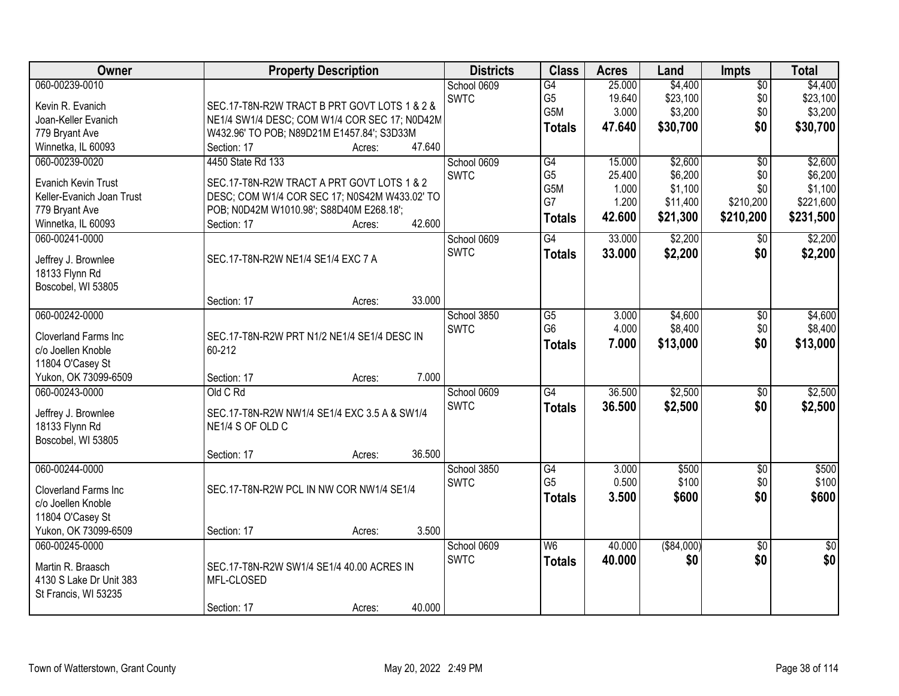| <b>Owner</b>                 | <b>Property Description</b>                        | <b>Districts</b> | <b>Class</b>    | <b>Acres</b> | Land        | <b>Impts</b>    | <b>Total</b>    |
|------------------------------|----------------------------------------------------|------------------|-----------------|--------------|-------------|-----------------|-----------------|
| 060-00239-0010               |                                                    | School 0609      | $\overline{G4}$ | 25.000       | \$4,400     | $\sqrt{$0}$     | \$4,400         |
| Kevin R. Evanich             | SEC.17-T8N-R2W TRACT B PRT GOVT LOTS 1 & 2 &       | <b>SWTC</b>      | G <sub>5</sub>  | 19.640       | \$23,100    | \$0             | \$23,100        |
| Joan-Keller Evanich          | NE1/4 SW1/4 DESC; COM W1/4 COR SEC 17; N0D42M      |                  | G5M             | 3.000        | \$3,200     | \$0             | \$3,200         |
| 779 Bryant Ave               | W432.96' TO POB; N89D21M E1457.84'; S3D33M         |                  | <b>Totals</b>   | 47.640       | \$30,700    | \$0             | \$30,700        |
| Winnetka, IL 60093           | 47.640<br>Section: 17<br>Acres:                    |                  |                 |              |             |                 |                 |
| 060-00239-0020               | 4450 State Rd 133                                  | School 0609      | G4              | 15.000       | \$2,600     | $\overline{50}$ | \$2,600         |
|                              |                                                    | <b>SWTC</b>      | G <sub>5</sub>  | 25.400       | \$6,200     | \$0             | \$6,200         |
| Evanich Kevin Trust          | SEC.17-T8N-R2W TRACT A PRT GOVT LOTS 1 & 2         |                  | G5M             | 1.000        | \$1,100     | \$0             | \$1,100         |
| Keller-Evanich Joan Trust    | DESC; COM W1/4 COR SEC 17; N0S42M W433.02' TO      |                  | G7              | 1.200        | \$11,400    | \$210,200       | \$221,600       |
| 779 Bryant Ave               | POB; N0D42M W1010.98'; S88D40M E268.18';<br>42.600 |                  | <b>Totals</b>   | 42.600       | \$21,300    | \$210,200       | \$231,500       |
| Winnetka, IL 60093           | Section: 17<br>Acres:                              |                  |                 |              |             |                 |                 |
| 060-00241-0000               |                                                    | School 0609      | G4              | 33.000       | \$2,200     | \$0             | \$2,200         |
| Jeffrey J. Brownlee          | SEC.17-T8N-R2W NE1/4 SE1/4 EXC 7 A                 | <b>SWTC</b>      | <b>Totals</b>   | 33.000       | \$2,200     | \$0             | \$2,200         |
| 18133 Flynn Rd               |                                                    |                  |                 |              |             |                 |                 |
| Boscobel, WI 53805           |                                                    |                  |                 |              |             |                 |                 |
|                              | 33.000<br>Section: 17<br>Acres:                    |                  |                 |              |             |                 |                 |
| 060-00242-0000               |                                                    | School 3850      | $\overline{G5}$ | 3.000        | \$4,600     | \$0             | \$4,600         |
| Cloverland Farms Inc         | SEC.17-T8N-R2W PRT N1/2 NE1/4 SE1/4 DESC IN        | <b>SWTC</b>      | G <sub>6</sub>  | 4.000        | \$8,400     | \$0             | \$8,400         |
| c/o Joellen Knoble           | 60-212                                             |                  | <b>Totals</b>   | 7.000        | \$13,000    | \$0             | \$13,000        |
| 11804 O'Casey St             |                                                    |                  |                 |              |             |                 |                 |
| Yukon, OK 73099-6509         | 7.000<br>Section: 17<br>Acres:                     |                  |                 |              |             |                 |                 |
| 060-00243-0000               | Old C Rd                                           | School 0609      | $\overline{G4}$ | 36.500       | \$2,500     | \$0             | \$2,500         |
|                              |                                                    | <b>SWTC</b>      | <b>Totals</b>   | 36,500       | \$2,500     | \$0             | \$2,500         |
| Jeffrey J. Brownlee          | SEC.17-T8N-R2W NW1/4 SE1/4 EXC 3.5 A & SW1/4       |                  |                 |              |             |                 |                 |
| 18133 Flynn Rd               | NE1/4 S OF OLD C                                   |                  |                 |              |             |                 |                 |
| Boscobel, WI 53805           |                                                    |                  |                 |              |             |                 |                 |
|                              | 36.500<br>Section: 17<br>Acres:                    |                  |                 |              |             |                 |                 |
| 060-00244-0000               |                                                    | School 3850      | $\overline{G4}$ | 3.000        | \$500       | $\overline{$0}$ | \$500           |
| <b>Cloverland Farms Inc.</b> | SEC.17-T8N-R2W PCL IN NW COR NW1/4 SE1/4           | <b>SWTC</b>      | G <sub>5</sub>  | 0.500        | \$100       | \$0             | \$100           |
| c/o Joellen Knoble           |                                                    |                  | <b>Totals</b>   | 3.500        | \$600       | \$0             | \$600           |
| 11804 O'Casey St             |                                                    |                  |                 |              |             |                 |                 |
| Yukon, OK 73099-6509         | 3.500<br>Section: 17<br>Acres:                     |                  |                 |              |             |                 |                 |
| 060-00245-0000               |                                                    | School 0609      | W6              | 40.000       | ( \$84,000) | $\overline{30}$ | $\overline{30}$ |
|                              |                                                    | <b>SWTC</b>      | <b>Totals</b>   | 40.000       | \$0         | \$0             | \$0             |
| Martin R. Braasch            | SEC.17-T8N-R2W SW1/4 SE1/4 40.00 ACRES IN          |                  |                 |              |             |                 |                 |
| 4130 S Lake Dr Unit 383      | MFL-CLOSED                                         |                  |                 |              |             |                 |                 |
| St Francis, WI 53235         |                                                    |                  |                 |              |             |                 |                 |
|                              | 40.000<br>Section: 17<br>Acres:                    |                  |                 |              |             |                 |                 |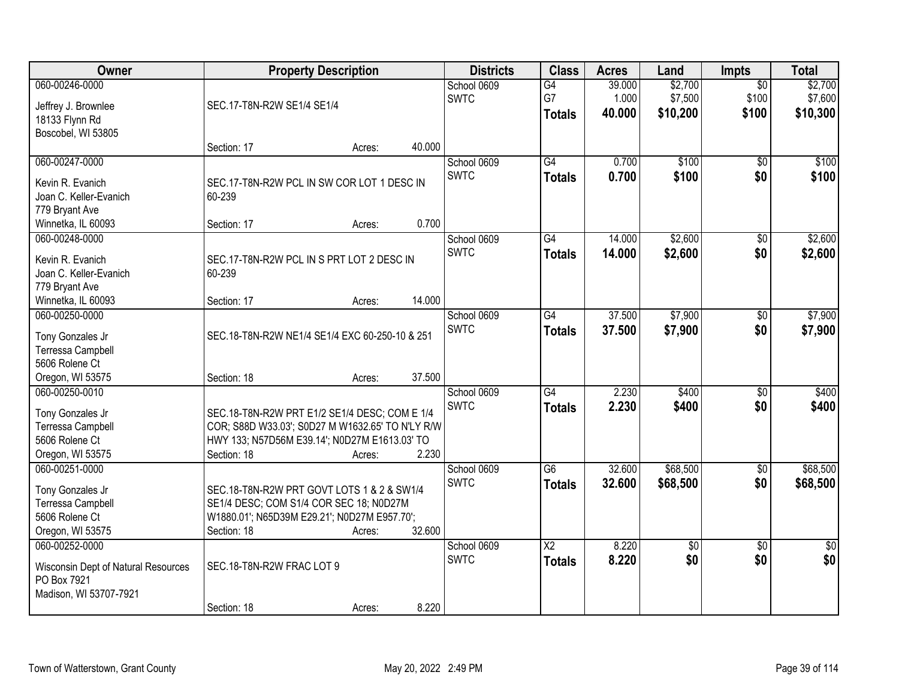| Owner                                              | <b>Property Description</b>                      |        |        | <b>Districts</b>           | <b>Class</b>           | <b>Acres</b>    | Land                | <b>Impts</b>    | <b>Total</b>    |
|----------------------------------------------------|--------------------------------------------------|--------|--------|----------------------------|------------------------|-----------------|---------------------|-----------------|-----------------|
| 060-00246-0000                                     |                                                  |        |        | School 0609                | G4                     | 39.000          | \$2,700             | $\overline{50}$ | \$2,700         |
| Jeffrey J. Brownlee                                | SEC.17-T8N-R2W SE1/4 SE1/4                       |        |        | <b>SWTC</b>                | G7                     | 1.000<br>40.000 | \$7,500<br>\$10,200 | \$100<br>\$100  | \$7,600         |
| 18133 Flynn Rd                                     |                                                  |        |        |                            | <b>Totals</b>          |                 |                     |                 | \$10,300        |
| Boscobel, WI 53805                                 |                                                  |        |        |                            |                        |                 |                     |                 |                 |
|                                                    | Section: 17                                      | Acres: | 40.000 |                            |                        |                 |                     |                 |                 |
| 060-00247-0000                                     |                                                  |        |        | School 0609<br><b>SWTC</b> | G4                     | 0.700           | \$100               | $\overline{50}$ | \$100           |
| Kevin R. Evanich                                   | SEC.17-T8N-R2W PCL IN SW COR LOT 1 DESC IN       |        |        |                            | <b>Totals</b>          | 0.700           | \$100               | \$0             | \$100           |
| Joan C. Keller-Evanich                             | 60-239                                           |        |        |                            |                        |                 |                     |                 |                 |
| 779 Bryant Ave                                     |                                                  |        |        |                            |                        |                 |                     |                 |                 |
| Winnetka, IL 60093                                 | Section: 17                                      | Acres: | 0.700  |                            |                        |                 |                     |                 |                 |
| 060-00248-0000                                     |                                                  |        |        | School 0609                | G4                     | 14.000          | \$2,600             | \$0             | \$2,600         |
| Kevin R. Evanich                                   | SEC.17-T8N-R2W PCL IN S PRT LOT 2 DESC IN        |        |        | <b>SWTC</b>                | <b>Totals</b>          | 14.000          | \$2,600             | \$0             | \$2,600         |
| Joan C. Keller-Evanich                             | 60-239                                           |        |        |                            |                        |                 |                     |                 |                 |
| 779 Bryant Ave                                     |                                                  |        |        |                            |                        |                 |                     |                 |                 |
| Winnetka, IL 60093                                 | Section: 17                                      | Acres: | 14.000 |                            |                        |                 |                     |                 |                 |
| 060-00250-0000                                     |                                                  |        |        | School 0609                | G4                     | 37.500          | \$7,900             | \$0             | \$7,900         |
| Tony Gonzales Jr                                   | SEC.18-T8N-R2W NE1/4 SE1/4 EXC 60-250-10 & 251   |        |        | <b>SWTC</b>                | <b>Totals</b>          | 37,500          | \$7,900             | \$0             | \$7,900         |
| Terressa Campbell                                  |                                                  |        |        |                            |                        |                 |                     |                 |                 |
| 5606 Rolene Ct                                     |                                                  |        |        |                            |                        |                 |                     |                 |                 |
| Oregon, WI 53575                                   | Section: 18                                      | Acres: | 37.500 |                            |                        |                 |                     |                 |                 |
| 060-00250-0010                                     |                                                  |        |        | School 0609                | $\overline{G4}$        | 2.230           | \$400               | $\overline{30}$ | \$400           |
| Tony Gonzales Jr                                   | SEC.18-T8N-R2W PRT E1/2 SE1/4 DESC; COM E 1/4    |        |        | <b>SWTC</b>                | <b>Totals</b>          | 2.230           | \$400               | \$0             | \$400           |
| Terressa Campbell                                  | COR; S88D W33.03'; S0D27 M W1632.65' TO N'LY R/W |        |        |                            |                        |                 |                     |                 |                 |
| 5606 Rolene Ct                                     | HWY 133; N57D56M E39.14'; N0D27M E1613.03' TO    |        |        |                            |                        |                 |                     |                 |                 |
| Oregon, WI 53575                                   | Section: 18                                      | Acres: | 2.230  |                            |                        |                 |                     |                 |                 |
| 060-00251-0000                                     |                                                  |        |        | School 0609                | $\overline{G6}$        | 32.600          | \$68,500            | $\sqrt{6}$      | \$68,500        |
| Tony Gonzales Jr                                   | SEC.18-T8N-R2W PRT GOVT LOTS 1 & 2 & SW1/4       |        |        | <b>SWTC</b>                | <b>Totals</b>          | 32.600          | \$68,500            | \$0             | \$68,500        |
| Terressa Campbell                                  | SE1/4 DESC; COM S1/4 COR SEC 18; N0D27M          |        |        |                            |                        |                 |                     |                 |                 |
| 5606 Rolene Ct                                     | W1880.01'; N65D39M E29.21'; N0D27M E957.70';     |        |        |                            |                        |                 |                     |                 |                 |
| Oregon, WI 53575                                   | Section: 18                                      | Acres: | 32.600 |                            |                        |                 |                     |                 |                 |
| 060-00252-0000                                     |                                                  |        |        | School 0609                | $\overline{\text{X2}}$ | 8.220           | $\overline{50}$     | $\overline{50}$ | $\overline{50}$ |
|                                                    | SEC.18-T8N-R2W FRAC LOT 9                        |        |        | <b>SWTC</b>                | <b>Totals</b>          | 8.220           | \$0                 | \$0             | \$0             |
| Wisconsin Dept of Natural Resources<br>PO Box 7921 |                                                  |        |        |                            |                        |                 |                     |                 |                 |
| Madison, WI 53707-7921                             |                                                  |        |        |                            |                        |                 |                     |                 |                 |
|                                                    | Section: 18                                      | Acres: | 8.220  |                            |                        |                 |                     |                 |                 |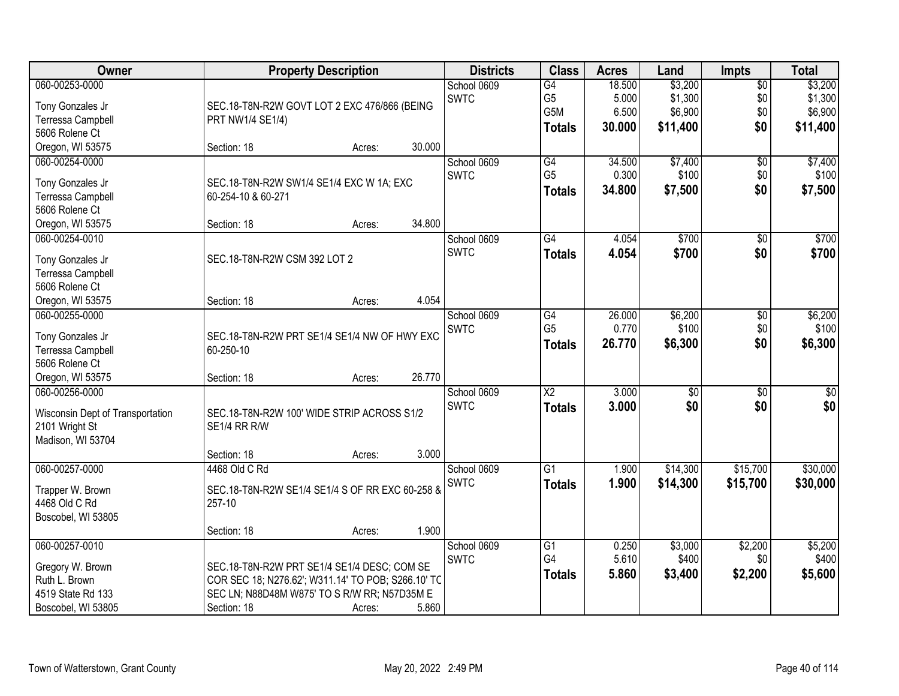| Owner                            |                                                    | <b>Property Description</b> |        | <b>Districts</b> | <b>Class</b>           | <b>Acres</b> | Land            | <b>Impts</b>    | <b>Total</b> |
|----------------------------------|----------------------------------------------------|-----------------------------|--------|------------------|------------------------|--------------|-----------------|-----------------|--------------|
| 060-00253-0000                   |                                                    |                             |        | School 0609      | G4                     | 18.500       | \$3,200         | $\overline{60}$ | \$3,200      |
| Tony Gonzales Jr                 | SEC.18-T8N-R2W GOVT LOT 2 EXC 476/866 (BEING       |                             |        | <b>SWTC</b>      | G <sub>5</sub>         | 5.000        | \$1,300         | \$0             | \$1,300      |
| Terressa Campbell                | PRT NW1/4 SE1/4)                                   |                             |        |                  | G <sub>5</sub> M       | 6.500        | \$6,900         | \$0             | \$6,900      |
| 5606 Rolene Ct                   |                                                    |                             |        |                  | <b>Totals</b>          | 30.000       | \$11,400        | \$0             | \$11,400     |
| Oregon, WI 53575                 | Section: 18                                        | Acres:                      | 30.000 |                  |                        |              |                 |                 |              |
| 060-00254-0000                   |                                                    |                             |        | School 0609      | G4                     | 34.500       | \$7,400         | $\overline{50}$ | \$7,400      |
|                                  |                                                    |                             |        | <b>SWTC</b>      | G <sub>5</sub>         | 0.300        | \$100           | \$0             | \$100        |
| Tony Gonzales Jr                 | SEC.18-T8N-R2W SW1/4 SE1/4 EXC W 1A; EXC           |                             |        |                  | <b>Totals</b>          | 34.800       | \$7,500         | \$0             | \$7,500      |
| Terressa Campbell                | 60-254-10 & 60-271                                 |                             |        |                  |                        |              |                 |                 |              |
| 5606 Rolene Ct                   |                                                    |                             |        |                  |                        |              |                 |                 |              |
| Oregon, WI 53575                 | Section: 18                                        | Acres:                      | 34.800 |                  |                        |              |                 |                 |              |
| 060-00254-0010                   |                                                    |                             |        | School 0609      | $\overline{G4}$        | 4.054        | \$700           | \$0             | \$700        |
| Tony Gonzales Jr                 | SEC.18-T8N-R2W CSM 392 LOT 2                       |                             |        | <b>SWTC</b>      | <b>Totals</b>          | 4.054        | \$700           | \$0             | \$700        |
| Terressa Campbell                |                                                    |                             |        |                  |                        |              |                 |                 |              |
| 5606 Rolene Ct                   |                                                    |                             |        |                  |                        |              |                 |                 |              |
| Oregon, WI 53575                 | Section: 18                                        | Acres:                      | 4.054  |                  |                        |              |                 |                 |              |
| 060-00255-0000                   |                                                    |                             |        | School 0609      | G4                     | 26.000       | \$6,200         | \$0             | \$6,200      |
|                                  |                                                    |                             |        | <b>SWTC</b>      | G <sub>5</sub>         | 0.770        | \$100           | \$0             | \$100        |
| Tony Gonzales Jr                 | SEC.18-T8N-R2W PRT SE1/4 SE1/4 NW OF HWY EXC       |                             |        |                  | <b>Totals</b>          | 26.770       | \$6,300         | \$0             | \$6,300      |
| Terressa Campbell                | 60-250-10                                          |                             |        |                  |                        |              |                 |                 |              |
| 5606 Rolene Ct                   |                                                    |                             |        |                  |                        |              |                 |                 |              |
| Oregon, WI 53575                 | Section: 18                                        | Acres:                      | 26.770 |                  |                        |              |                 |                 |              |
| 060-00256-0000                   |                                                    |                             |        | School 0609      | $\overline{\text{X2}}$ | 3.000        | $\overline{50}$ | \$0             | $\sqrt{50}$  |
| Wisconsin Dept of Transportation | SEC.18-T8N-R2W 100' WIDE STRIP ACROSS S1/2         |                             |        | <b>SWTC</b>      | <b>Totals</b>          | 3.000        | \$0             | \$0             | \$0          |
| 2101 Wright St                   | SE1/4 RR R/W                                       |                             |        |                  |                        |              |                 |                 |              |
| Madison, WI 53704                |                                                    |                             |        |                  |                        |              |                 |                 |              |
|                                  | Section: 18                                        | Acres:                      | 3.000  |                  |                        |              |                 |                 |              |
| 060-00257-0000                   | 4468 Old C Rd                                      |                             |        | School 0609      | $\overline{G1}$        | 1.900        | \$14,300        | \$15,700        | \$30,000     |
|                                  |                                                    |                             |        | SWTC             | <b>Totals</b>          | 1.900        | \$14,300        | \$15,700        | \$30,000     |
| Trapper W. Brown                 | SEC.18-T8N-R2W SE1/4 SE1/4 S OF RR EXC 60-258 &    |                             |        |                  |                        |              |                 |                 |              |
| 4468 Old C Rd                    | 257-10                                             |                             |        |                  |                        |              |                 |                 |              |
| Boscobel, WI 53805               |                                                    |                             |        |                  |                        |              |                 |                 |              |
|                                  | Section: 18                                        | Acres:                      | 1.900  |                  |                        |              |                 |                 |              |
| 060-00257-0010                   |                                                    |                             |        | School 0609      | $\overline{G1}$        | 0.250        | \$3,000         | \$2,200         | \$5,200      |
| Gregory W. Brown                 | SEC.18-T8N-R2W PRT SE1/4 SE1/4 DESC; COM SE        |                             |        | <b>SWTC</b>      | G4                     | 5.610        | \$400           | \$0             | \$400        |
| Ruth L. Brown                    | COR SEC 18; N276.62'; W311.14' TO POB; S266.10' TC |                             |        |                  | <b>Totals</b>          | 5.860        | \$3,400         | \$2,200         | \$5,600      |
| 4519 State Rd 133                | SEC LN; N88D48M W875' TO S R/W RR; N57D35M E       |                             |        |                  |                        |              |                 |                 |              |
| Boscobel, WI 53805               | Section: 18                                        | Acres:                      | 5.860  |                  |                        |              |                 |                 |              |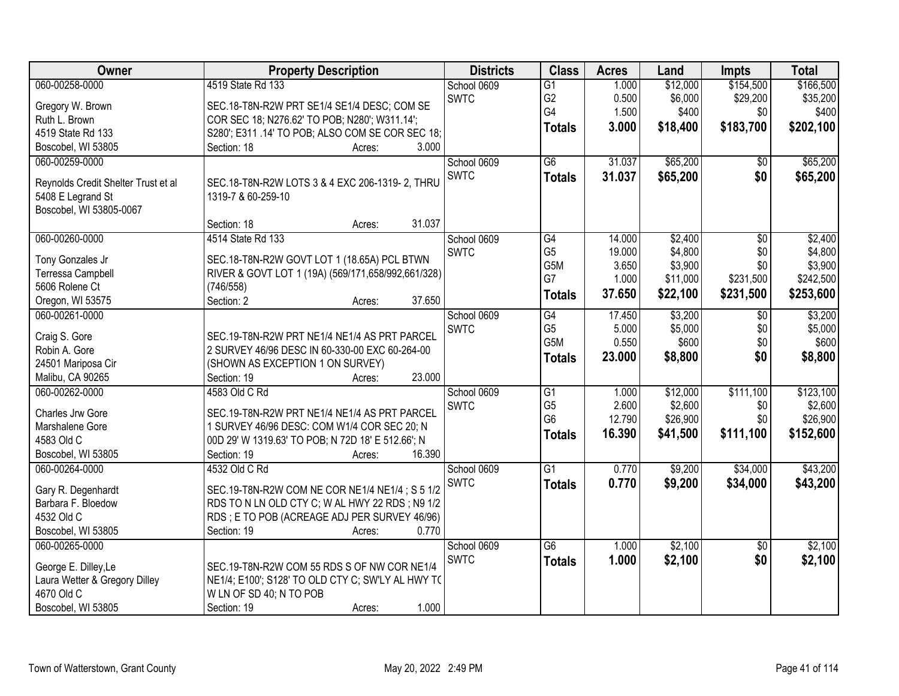| Owner                               | <b>Property Description</b>                        | <b>Districts</b> | <b>Class</b>    | <b>Acres</b> | Land     | Impts           | <b>Total</b> |
|-------------------------------------|----------------------------------------------------|------------------|-----------------|--------------|----------|-----------------|--------------|
| 060-00258-0000                      | 4519 State Rd 133                                  | School 0609      | $\overline{G1}$ | 1.000        | \$12,000 | \$154,500       | \$166,500    |
| Gregory W. Brown                    | SEC.18-T8N-R2W PRT SE1/4 SE1/4 DESC; COM SE        | <b>SWTC</b>      | G <sub>2</sub>  | 0.500        | \$6,000  | \$29,200        | \$35,200     |
| Ruth L. Brown                       | COR SEC 18; N276.62' TO POB; N280'; W311.14';      |                  | G4              | 1.500        | \$400    | \$0             | \$400        |
| 4519 State Rd 133                   | S280'; E311 .14' TO POB; ALSO COM SE COR SEC 18;   |                  | <b>Totals</b>   | 3.000        | \$18,400 | \$183,700       | \$202,100    |
| Boscobel, WI 53805                  | 3.000<br>Section: 18<br>Acres:                     |                  |                 |              |          |                 |              |
| 060-00259-0000                      |                                                    | School 0609      | $\overline{G6}$ | 31.037       | \$65,200 | $\overline{50}$ | \$65,200     |
|                                     |                                                    | <b>SWTC</b>      |                 | 31.037       |          | \$0             |              |
| Reynolds Credit Shelter Trust et al | SEC.18-T8N-R2W LOTS 3 & 4 EXC 206-1319-2, THRU     |                  | <b>Totals</b>   |              | \$65,200 |                 | \$65,200     |
| 5408 E Legrand St                   | 1319-7 & 60-259-10                                 |                  |                 |              |          |                 |              |
| Boscobel, WI 53805-0067             |                                                    |                  |                 |              |          |                 |              |
|                                     | 31.037<br>Section: 18<br>Acres:                    |                  |                 |              |          |                 |              |
| 060-00260-0000                      | 4514 State Rd 133                                  | School 0609      | G4              | 14.000       | \$2,400  | $\overline{50}$ | \$2,400      |
|                                     |                                                    | <b>SWTC</b>      | G <sub>5</sub>  | 19.000       | \$4,800  | \$0             | \$4,800      |
| Tony Gonzales Jr                    | SEC.18-T8N-R2W GOVT LOT 1 (18.65A) PCL BTWN        |                  | G5M             | 3.650        | \$3,900  | \$0             | \$3,900      |
| Terressa Campbell                   | RIVER & GOVT LOT 1 (19A) (569/171,658/992,661/328) |                  | G7              | 1.000        | \$11,000 | \$231,500       | \$242,500    |
| 5606 Rolene Ct                      | (746/558)<br>37.650                                |                  | <b>Totals</b>   | 37.650       | \$22,100 | \$231,500       | \$253,600    |
| Oregon, WI 53575                    | Section: 2<br>Acres:                               |                  |                 |              |          |                 |              |
| 060-00261-0000                      |                                                    | School 0609      | G4              | 17.450       | \$3,200  | \$0             | \$3,200      |
| Craig S. Gore                       | SEC.19-T8N-R2W PRT NE1/4 NE1/4 AS PRT PARCEL       | <b>SWTC</b>      | G <sub>5</sub>  | 5.000        | \$5,000  | \$0             | \$5,000      |
| Robin A. Gore                       | 2 SURVEY 46/96 DESC IN 60-330-00 EXC 60-264-00     |                  | G5M             | 0.550        | \$600    | \$0             | \$600        |
| 24501 Mariposa Cir                  | (SHOWN AS EXCEPTION 1 ON SURVEY)                   |                  | <b>Totals</b>   | 23.000       | \$8,800  | \$0             | \$8,800      |
| Malibu, CA 90265                    | 23.000<br>Section: 19<br>Acres:                    |                  |                 |              |          |                 |              |
| 060-00262-0000                      | 4583 Old C Rd                                      | School 0609      | $\overline{G1}$ | 1.000        | \$12,000 | \$111,100       | \$123,100    |
|                                     |                                                    | <b>SWTC</b>      | G <sub>5</sub>  | 2.600        | \$2,600  | \$0             | \$2,600      |
| Charles Jrw Gore                    | SEC.19-T8N-R2W PRT NE1/4 NE1/4 AS PRT PARCEL       |                  | G <sub>6</sub>  | 12.790       | \$26,900 | \$0             | \$26,900     |
| Marshalene Gore                     | 1 SURVEY 46/96 DESC: COM W1/4 COR SEC 20; N        |                  | <b>Totals</b>   | 16.390       | \$41,500 | \$111,100       | \$152,600    |
| 4583 Old C                          | 00D 29' W 1319.63' TO POB; N 72D 18' E 512.66'; N  |                  |                 |              |          |                 |              |
| Boscobel, WI 53805                  | 16.390<br>Section: 19<br>Acres:                    |                  |                 |              |          |                 |              |
| 060-00264-0000                      | 4532 Old C Rd                                      | School 0609      | $\overline{G1}$ | 0.770        | \$9,200  | \$34,000        | \$43,200     |
| Gary R. Degenhardt                  | SEC.19-T8N-R2W COM NE COR NE1/4 NE1/4; S 5 1/2     | <b>SWTC</b>      | <b>Totals</b>   | 0.770        | \$9,200  | \$34,000        | \$43,200     |
| Barbara F. Bloedow                  | RDS TO N LN OLD CTY C; W AL HWY 22 RDS; N9 1/2     |                  |                 |              |          |                 |              |
| 4532 Old C                          | RDS; E TO POB (ACREAGE ADJ PER SURVEY 46/96)       |                  |                 |              |          |                 |              |
| Boscobel, WI 53805                  | Section: 19<br>0.770<br>Acres:                     |                  |                 |              |          |                 |              |
| 060-00265-0000                      |                                                    | School 0609      | $\overline{G6}$ | 1.000        | \$2,100  | \$0             | \$2,100      |
|                                     |                                                    | <b>SWTC</b>      | <b>Totals</b>   | 1.000        | \$2,100  | \$0             | \$2,100      |
| George E. Dilley, Le                | SEC.19-T8N-R2W COM 55 RDS S OF NW COR NE1/4        |                  |                 |              |          |                 |              |
| Laura Wetter & Gregory Dilley       | NE1/4; E100'; S128' TO OLD CTY C; SW'LY AL HWY TO  |                  |                 |              |          |                 |              |
| 4670 Old C                          | W LN OF SD 40; N TO POB                            |                  |                 |              |          |                 |              |
| Boscobel, WI 53805                  | 1.000<br>Section: 19<br>Acres:                     |                  |                 |              |          |                 |              |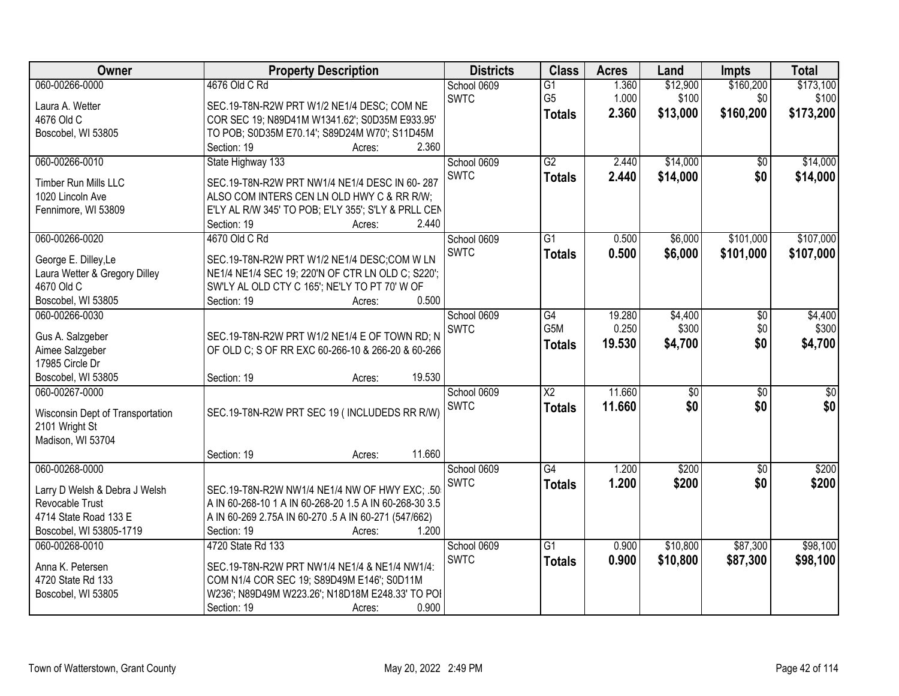| Owner                                     | <b>Property Description</b>                            | <b>Districts</b> | <b>Class</b>           | <b>Acres</b> | Land            | <b>Impts</b>    | <b>Total</b> |
|-------------------------------------------|--------------------------------------------------------|------------------|------------------------|--------------|-----------------|-----------------|--------------|
| 060-00266-0000                            | 4676 Old C Rd                                          | School 0609      | $\overline{G1}$        | 1.360        | \$12,900        | \$160,200       | \$173,100    |
| Laura A. Wetter                           | SEC.19-T8N-R2W PRT W1/2 NE1/4 DESC; COM NE             | <b>SWTC</b>      | G <sub>5</sub>         | 1.000        | \$100           | \$0             | \$100        |
| 4676 Old C                                | COR SEC 19; N89D41M W1341.62'; S0D35M E933.95'         |                  | <b>Totals</b>          | 2.360        | \$13,000        | \$160,200       | \$173,200    |
| Boscobel, WI 53805                        | TO POB; S0D35M E70.14'; S89D24M W70'; S11D45M          |                  |                        |              |                 |                 |              |
|                                           | 2.360<br>Section: 19<br>Acres:                         |                  |                        |              |                 |                 |              |
| 060-00266-0010                            | State Highway 133                                      | School 0609      | $\overline{G2}$        | 2.440        | \$14,000        | $\overline{50}$ | \$14,000     |
|                                           | SEC.19-T8N-R2W PRT NW1/4 NE1/4 DESC IN 60-287          | <b>SWTC</b>      | <b>Totals</b>          | 2.440        | \$14,000        | \$0             | \$14,000     |
| Timber Run Mills LLC<br>1020 Lincoln Ave  | ALSO COM INTERS CEN LN OLD HWY C & RR R/W;             |                  |                        |              |                 |                 |              |
| Fennimore, WI 53809                       | E'LY AL R/W 345' TO POB; E'LY 355'; S'LY & PRLL CEN    |                  |                        |              |                 |                 |              |
|                                           | 2.440<br>Section: 19<br>Acres:                         |                  |                        |              |                 |                 |              |
| 060-00266-0020                            | 4670 Old C Rd                                          | School 0609      | $\overline{G1}$        | 0.500        | \$6,000         | \$101,000       | \$107,000    |
|                                           |                                                        | <b>SWTC</b>      | <b>Totals</b>          | 0.500        | \$6,000         | \$101,000       | \$107,000    |
| George E. Dilley, Le                      | SEC.19-T8N-R2W PRT W1/2 NE1/4 DESC;COM W LN            |                  |                        |              |                 |                 |              |
| Laura Wetter & Gregory Dilley             | NE1/4 NE1/4 SEC 19; 220'N OF CTR LN OLD C; S220';      |                  |                        |              |                 |                 |              |
| 4670 Old C                                | SW'LY AL OLD CTY C 165'; NE'LY TO PT 70' W OF          |                  |                        |              |                 |                 |              |
| Boscobel, WI 53805                        | 0.500<br>Section: 19<br>Acres:                         |                  |                        |              |                 |                 |              |
| 060-00266-0030                            |                                                        | School 0609      | G4                     | 19.280       | \$4,400         | \$0             | \$4,400      |
| Gus A. Salzgeber                          | SEC.19-T8N-R2W PRT W1/2 NE1/4 E OF TOWN RD; N          | <b>SWTC</b>      | G5M                    | 0.250        | \$300           | \$0             | \$300        |
| Aimee Salzgeber                           | OF OLD C; S OF RR EXC 60-266-10 & 266-20 & 60-266      |                  | <b>Totals</b>          | 19.530       | \$4,700         | \$0             | \$4,700      |
| 17985 Circle Dr                           |                                                        |                  |                        |              |                 |                 |              |
| Boscobel, WI 53805                        | 19.530<br>Section: 19<br>Acres:                        |                  |                        |              |                 |                 |              |
| 060-00267-0000                            |                                                        | School 0609      | $\overline{\text{X2}}$ | 11.660       | $\overline{50}$ | $\overline{50}$ | \$0          |
| Wisconsin Dept of Transportation          | SEC.19-T8N-R2W PRT SEC 19 (INCLUDEDS RR R/W)           | <b>SWTC</b>      | <b>Totals</b>          | 11.660       | \$0             | \$0             | \$0          |
| 2101 Wright St                            |                                                        |                  |                        |              |                 |                 |              |
| Madison, WI 53704                         |                                                        |                  |                        |              |                 |                 |              |
|                                           | 11.660<br>Section: 19<br>Acres:                        |                  |                        |              |                 |                 |              |
| 060-00268-0000                            |                                                        | School 0609      | $\overline{G4}$        | 1.200        | \$200           | $\overline{60}$ | \$200        |
|                                           |                                                        | SWTC             | <b>Totals</b>          | 1.200        | \$200           | \$0             | \$200        |
| Larry D Welsh & Debra J Welsh             | SEC.19-T8N-R2W NW1/4 NE1/4 NW OF HWY EXC; .50          |                  |                        |              |                 |                 |              |
| Revocable Trust                           | A IN 60-268-10 1 A IN 60-268-20 1.5 A IN 60-268-30 3.5 |                  |                        |              |                 |                 |              |
| 4714 State Road 133 E                     | A IN 60-269 2.75A IN 60-270 .5 A IN 60-271 (547/662)   |                  |                        |              |                 |                 |              |
| Boscobel, WI 53805-1719<br>060-00268-0010 | 1.200<br>Section: 19<br>Acres:<br>4720 State Rd 133    |                  | $\overline{G1}$        |              |                 | \$87,300        | \$98,100     |
|                                           |                                                        | School 0609      |                        | 0.900        | \$10,800        |                 |              |
| Anna K. Petersen                          | SEC.19-T8N-R2W PRT NW1/4 NE1/4 & NE1/4 NW1/4:          | <b>SWTC</b>      | <b>Totals</b>          | 0.900        | \$10,800        | \$87,300        | \$98,100     |
| 4720 State Rd 133                         | COM N1/4 COR SEC 19; S89D49M E146'; S0D11M             |                  |                        |              |                 |                 |              |
| Boscobel, WI 53805                        | W236'; N89D49M W223.26'; N18D18M E248.33' TO POI       |                  |                        |              |                 |                 |              |
|                                           | 0.900<br>Section: 19<br>Acres:                         |                  |                        |              |                 |                 |              |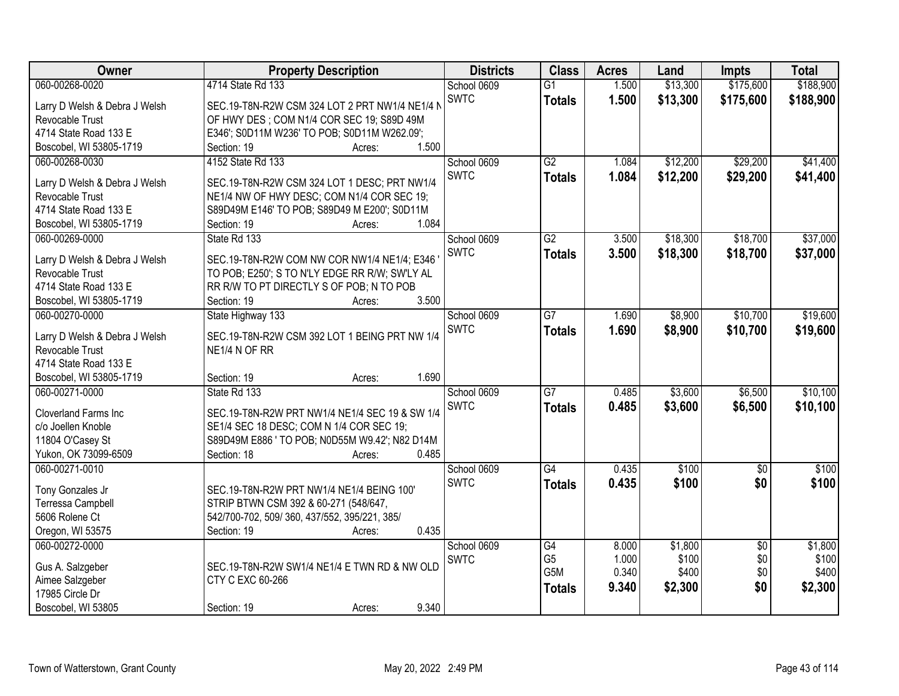| Owner                         | <b>Property Description</b>                    | <b>Districts</b> | <b>Class</b>     | <b>Acres</b> | Land     | <b>Impts</b>    | <b>Total</b> |
|-------------------------------|------------------------------------------------|------------------|------------------|--------------|----------|-----------------|--------------|
| 060-00268-0020                | 4714 State Rd 133                              | School 0609      | $\overline{G1}$  | 1.500        | \$13,300 | \$175,600       | \$188,900    |
| Larry D Welsh & Debra J Welsh | SEC.19-T8N-R2W CSM 324 LOT 2 PRT NW1/4 NE1/4 N | <b>SWTC</b>      | <b>Totals</b>    | 1.500        | \$13,300 | \$175,600       | \$188,900    |
| Revocable Trust               | OF HWY DES; COM N1/4 COR SEC 19; S89D 49M      |                  |                  |              |          |                 |              |
| 4714 State Road 133 E         | E346'; S0D11M W236' TO POB; S0D11M W262.09';   |                  |                  |              |          |                 |              |
| Boscobel, WI 53805-1719       | 1.500<br>Section: 19<br>Acres:                 |                  |                  |              |          |                 |              |
| 060-00268-0030                | 4152 State Rd 133                              | School 0609      | $\overline{G2}$  | 1.084        | \$12,200 | \$29,200        | \$41,400     |
|                               |                                                | <b>SWTC</b>      | <b>Totals</b>    | 1.084        | \$12,200 | \$29,200        | \$41,400     |
| Larry D Welsh & Debra J Welsh | SEC.19-T8N-R2W CSM 324 LOT 1 DESC; PRT NW1/4   |                  |                  |              |          |                 |              |
| <b>Revocable Trust</b>        | NE1/4 NW OF HWY DESC; COM N1/4 COR SEC 19;     |                  |                  |              |          |                 |              |
| 4714 State Road 133 E         | S89D49M E146' TO POB; S89D49 M E200'; S0D11M   |                  |                  |              |          |                 |              |
| Boscobel, WI 53805-1719       | 1.084<br>Section: 19<br>Acres:                 |                  |                  |              |          |                 |              |
| 060-00269-0000                | State Rd 133                                   | School 0609      | $\overline{G2}$  | 3.500        | \$18,300 | \$18,700        | \$37,000     |
| Larry D Welsh & Debra J Welsh | SEC.19-T8N-R2W COM NW COR NW1/4 NE1/4; E346    | <b>SWTC</b>      | <b>Totals</b>    | 3.500        | \$18,300 | \$18,700        | \$37,000     |
| Revocable Trust               | TO POB; E250'; S TO N'LY EDGE RR R/W; SW'LY AL |                  |                  |              |          |                 |              |
| 4714 State Road 133 E         | RR R/W TO PT DIRECTLY S OF POB; N TO POB       |                  |                  |              |          |                 |              |
| Boscobel, WI 53805-1719       | 3.500<br>Section: 19<br>Acres:                 |                  |                  |              |          |                 |              |
| 060-00270-0000                | State Highway 133                              | School 0609      | $\overline{G7}$  | 1.690        | \$8,900  | \$10,700        | \$19,600     |
|                               |                                                | <b>SWTC</b>      | <b>Totals</b>    | 1.690        | \$8,900  | \$10,700        | \$19,600     |
| Larry D Welsh & Debra J Welsh | SEC.19-T8N-R2W CSM 392 LOT 1 BEING PRT NW 1/4  |                  |                  |              |          |                 |              |
| Revocable Trust               | NE1/4 N OF RR                                  |                  |                  |              |          |                 |              |
| 4714 State Road 133 E         |                                                |                  |                  |              |          |                 |              |
| Boscobel, WI 53805-1719       | 1.690<br>Section: 19<br>Acres:                 |                  |                  |              |          |                 |              |
| 060-00271-0000                | State Rd 133                                   | School 0609      | $\overline{G}$   | 0.485        | \$3,600  | \$6,500         | \$10,100     |
| Cloverland Farms Inc          | SEC.19-T8N-R2W PRT NW1/4 NE1/4 SEC 19 & SW 1/4 | <b>SWTC</b>      | <b>Totals</b>    | 0.485        | \$3,600  | \$6,500         | \$10,100     |
| c/o Joellen Knoble            | SE1/4 SEC 18 DESC; COM N 1/4 COR SEC 19;       |                  |                  |              |          |                 |              |
| 11804 O'Casey St              | S89D49M E886 ' TO POB; N0D55M W9.42'; N82 D14M |                  |                  |              |          |                 |              |
| Yukon, OK 73099-6509          | Section: 18<br>0.485<br>Acres:                 |                  |                  |              |          |                 |              |
| 060-00271-0010                |                                                | School 0609      | $\overline{G4}$  | 0.435        | \$100    | $\overline{50}$ | \$100        |
|                               |                                                | <b>SWTC</b>      | <b>Totals</b>    | 0.435        | \$100    | \$0             | \$100        |
| Tony Gonzales Jr              | SEC.19-T8N-R2W PRT NW1/4 NE1/4 BEING 100'      |                  |                  |              |          |                 |              |
| Terressa Campbell             | STRIP BTWN CSM 392 & 60-271 (548/647,          |                  |                  |              |          |                 |              |
| 5606 Rolene Ct                | 542/700-702, 509/360, 437/552, 395/221, 385/   |                  |                  |              |          |                 |              |
| Oregon, WI 53575              | 0.435<br>Section: 19<br>Acres:                 |                  |                  |              |          |                 |              |
| 060-00272-0000                |                                                | School 0609      | G4               | 8.000        | \$1,800  | $\overline{30}$ | \$1,800      |
| Gus A. Salzgeber              | SEC.19-T8N-R2W SW1/4 NE1/4 E TWN RD & NW OLD   | <b>SWTC</b>      | G <sub>5</sub>   | 1.000        | \$100    | \$0             | \$100        |
| Aimee Salzgeber               | CTY C EXC 60-266                               |                  | G <sub>5</sub> M | 0.340        | \$400    | \$0             | \$400        |
| 17985 Circle Dr               |                                                |                  | <b>Totals</b>    | 9.340        | \$2,300  | \$0             | \$2,300      |
| Boscobel, WI 53805            | 9.340<br>Section: 19<br>Acres:                 |                  |                  |              |          |                 |              |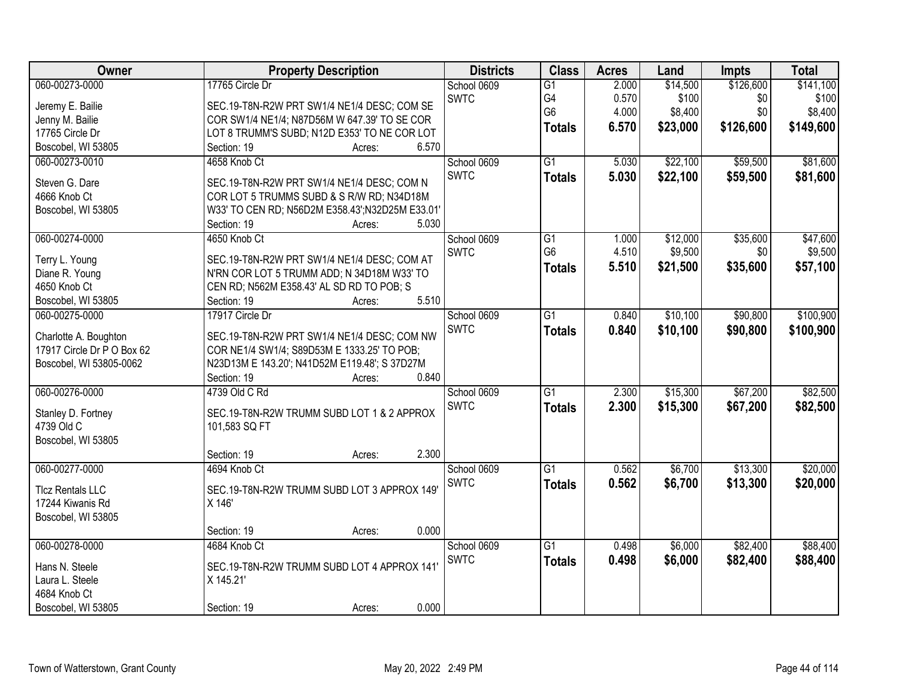| Owner                                       | <b>Property Description</b>                           | <b>Districts</b> | <b>Class</b>    | <b>Acres</b> | Land     | <b>Impts</b> | <b>Total</b> |
|---------------------------------------------|-------------------------------------------------------|------------------|-----------------|--------------|----------|--------------|--------------|
| 060-00273-0000                              | 17765 Circle Dr                                       | School 0609      | $\overline{G1}$ | 2.000        | \$14,500 | \$126,600    | \$141,100    |
| Jeremy E. Bailie                            | SEC.19-T8N-R2W PRT SW1/4 NE1/4 DESC; COM SE           | <b>SWTC</b>      | G4              | 0.570        | \$100    | \$0          | \$100        |
| Jenny M. Bailie                             | COR SW1/4 NE1/4; N87D56M W 647.39' TO SE COR          |                  | G <sub>6</sub>  | 4.000        | \$8,400  | \$0          | \$8,400      |
| 17765 Circle Dr                             | LOT 8 TRUMM'S SUBD; N12D E353' TO NE COR LOT          |                  | <b>Totals</b>   | 6.570        | \$23,000 | \$126,600    | \$149,600    |
| Boscobel, WI 53805                          | 6.570<br>Section: 19<br>Acres:                        |                  |                 |              |          |              |              |
| 060-00273-0010                              | 4658 Knob Ct                                          | School 0609      | $\overline{G1}$ | 5.030        | \$22,100 | \$59,500     | \$81,600     |
|                                             |                                                       | <b>SWTC</b>      | <b>Totals</b>   | 5.030        | \$22,100 | \$59,500     | \$81,600     |
| Steven G. Dare                              | SEC.19-T8N-R2W PRT SW1/4 NE1/4 DESC; COM N            |                  |                 |              |          |              |              |
| 4666 Knob Ct                                | COR LOT 5 TRUMMS SUBD & S R/W RD; N34D18M             |                  |                 |              |          |              |              |
| Boscobel, WI 53805                          | W33' TO CEN RD; N56D2M E358.43'; N32D25M E33.01'      |                  |                 |              |          |              |              |
|                                             | 5.030<br>Section: 19<br>Acres:                        |                  |                 |              |          |              |              |
| 060-00274-0000                              | 4650 Knob Ct                                          | School 0609      | G1              | 1.000        | \$12,000 | \$35,600     | \$47,600     |
| Terry L. Young                              | SEC.19-T8N-R2W PRT SW1/4 NE1/4 DESC; COM AT           | <b>SWTC</b>      | G <sub>6</sub>  | 4.510        | \$9,500  | \$0          | \$9,500      |
| Diane R. Young                              | N'RN COR LOT 5 TRUMM ADD; N 34D18M W33' TO            |                  | <b>Totals</b>   | 5.510        | \$21,500 | \$35,600     | \$57,100     |
| 4650 Knob Ct                                | CEN RD; N562M E358.43' AL SD RD TO POB; S             |                  |                 |              |          |              |              |
| Boscobel, WI 53805                          | 5.510<br>Section: 19<br>Acres:                        |                  |                 |              |          |              |              |
| 060-00275-0000                              | 17917 Circle Dr                                       | School 0609      | $\overline{G1}$ | 0.840        | \$10,100 | \$90,800     | \$100,900    |
|                                             |                                                       | <b>SWTC</b>      | <b>Totals</b>   | 0.840        | \$10,100 | \$90,800     | \$100,900    |
| Charlotte A. Boughton                       | SEC.19-T8N-R2W PRT SW1/4 NE1/4 DESC; COM NW           |                  |                 |              |          |              |              |
| 17917 Circle Dr P O Box 62                  | COR NE1/4 SW1/4; S89D53M E 1333.25' TO POB;           |                  |                 |              |          |              |              |
| Boscobel, WI 53805-0062                     | N23D13M E 143.20'; N41D52M E119.48'; S 37D27M         |                  |                 |              |          |              |              |
|                                             | 0.840<br>Section: 19<br>Acres:                        |                  |                 |              |          |              |              |
| 060-00276-0000                              | 4739 Old C Rd                                         | School 0609      | $\overline{G1}$ | 2.300        | \$15,300 | \$67,200     | \$82,500     |
| Stanley D. Fortney                          | SEC.19-T8N-R2W TRUMM SUBD LOT 1 & 2 APPROX            | <b>SWTC</b>      | <b>Totals</b>   | 2.300        | \$15,300 | \$67,200     | \$82,500     |
| 4739 Old C                                  | 101,583 SQ FT                                         |                  |                 |              |          |              |              |
| Boscobel, WI 53805                          |                                                       |                  |                 |              |          |              |              |
|                                             | 2.300<br>Section: 19<br>Acres:                        |                  |                 |              |          |              |              |
| 060-00277-0000                              | 4694 Knob Ct                                          | School 0609      | G1              | 0.562        | \$6,700  | \$13,300     | \$20,000     |
|                                             |                                                       | <b>SWTC</b>      | <b>Totals</b>   | 0.562        | \$6,700  | \$13,300     | \$20,000     |
| <b>Tlcz Rentals LLC</b><br>17244 Kiwanis Rd | SEC.19-T8N-R2W TRUMM SUBD LOT 3 APPROX 149'<br>X 146' |                  |                 |              |          |              |              |
|                                             |                                                       |                  |                 |              |          |              |              |
| Boscobel, WI 53805                          | 0.000<br>Section: 19                                  |                  |                 |              |          |              |              |
| 060-00278-0000                              | Acres:<br>4684 Knob Ct                                | School 0609      | $\overline{G1}$ | 0.498        | \$6,000  | \$82,400     | \$88,400     |
|                                             |                                                       |                  |                 |              |          |              |              |
| Hans N. Steele                              | SEC.19-T8N-R2W TRUMM SUBD LOT 4 APPROX 141'           | <b>SWTC</b>      | <b>Totals</b>   | 0.498        | \$6,000  | \$82,400     | \$88,400     |
| Laura L. Steele                             | X 145.21'                                             |                  |                 |              |          |              |              |
| 4684 Knob Ct                                |                                                       |                  |                 |              |          |              |              |
| Boscobel, WI 53805                          | 0.000<br>Section: 19<br>Acres:                        |                  |                 |              |          |              |              |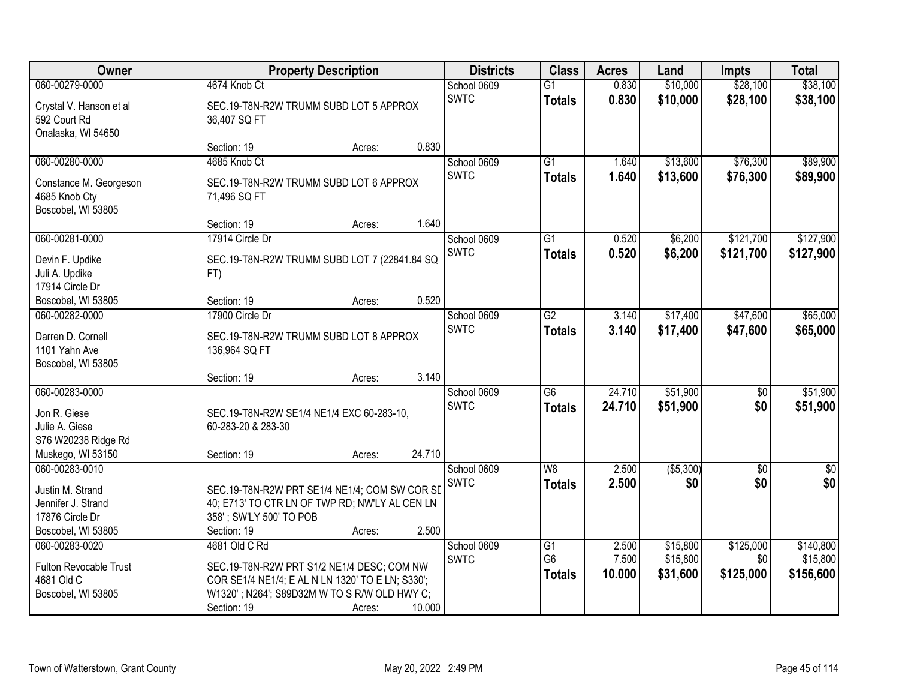| <b>Owner</b>                                                  | <b>Property Description</b>                                               |                  | <b>Districts</b>           | <b>Class</b>                     | <b>Acres</b>     | Land                 | <b>Impts</b>         | <b>Total</b>         |
|---------------------------------------------------------------|---------------------------------------------------------------------------|------------------|----------------------------|----------------------------------|------------------|----------------------|----------------------|----------------------|
| 060-00279-0000                                                | 4674 Knob Ct                                                              |                  | School 0609                | $\overline{G1}$                  | 0.830            | \$10,000             | \$28,100             | \$38,100             |
| Crystal V. Hanson et al<br>592 Court Rd<br>Onalaska, WI 54650 | SEC.19-T8N-R2W TRUMM SUBD LOT 5 APPROX<br>36,407 SQ FT                    |                  | <b>SWTC</b>                | <b>Totals</b>                    | 0.830            | \$10,000             | \$28,100             | \$38,100             |
|                                                               | Section: 19                                                               | 0.830<br>Acres:  |                            |                                  |                  |                      |                      |                      |
| 060-00280-0000<br>Constance M. Georgeson                      | 4685 Knob Ct<br>SEC.19-T8N-R2W TRUMM SUBD LOT 6 APPROX                    |                  | School 0609<br><b>SWTC</b> | $\overline{G1}$<br>Totals        | 1.640<br>1.640   | \$13,600<br>\$13,600 | \$76,300<br>\$76,300 | \$89,900<br>\$89,900 |
| 4685 Knob Cty<br>Boscobel, WI 53805                           | 71,496 SQ FT<br>Section: 19<br>Acres:                                     | 1.640            |                            |                                  |                  |                      |                      |                      |
| 060-00281-0000                                                | 17914 Circle Dr                                                           |                  | School 0609                | G1                               | 0.520            | \$6,200              | \$121,700            | \$127,900            |
| Devin F. Updike<br>Juli A. Updike<br>17914 Circle Dr          | SEC.19-T8N-R2W TRUMM SUBD LOT 7 (22841.84 SQ<br>FT)                       |                  | <b>SWTC</b>                | <b>Totals</b>                    | 0.520            | \$6,200              | \$121,700            | \$127,900            |
| Boscobel, WI 53805                                            | Section: 19<br>Acres:                                                     | 0.520            |                            |                                  |                  |                      |                      |                      |
| 060-00282-0000                                                | 17900 Circle Dr                                                           |                  | School 0609                | $\overline{G2}$                  | 3.140            | \$17,400             | \$47,600             | \$65,000             |
| Darren D. Cornell<br>1101 Yahn Ave<br>Boscobel, WI 53805      | SEC.19-T8N-R2W TRUMM SUBD LOT 8 APPROX<br>136,964 SQ FT                   |                  | <b>SWTC</b>                | <b>Totals</b>                    | 3.140            | \$17,400             | \$47,600             | \$65,000             |
|                                                               | Section: 19<br>Acres:                                                     | 3.140            |                            |                                  |                  |                      |                      |                      |
| 060-00283-0000                                                |                                                                           |                  | School 0609<br><b>SWTC</b> | $\overline{G6}$<br><b>Totals</b> | 24.710<br>24.710 | \$51,900<br>\$51,900 | \$0<br>\$0           | \$51,900<br>\$51,900 |
| Jon R. Giese<br>Julie A. Giese<br>S76 W20238 Ridge Rd         | SEC.19-T8N-R2W SE1/4 NE1/4 EXC 60-283-10,<br>60-283-20 & 283-30           |                  |                            |                                  |                  |                      |                      |                      |
| Muskego, WI 53150                                             | Section: 19<br>Acres:                                                     | 24.710           |                            |                                  |                  |                      |                      |                      |
| 060-00283-0010                                                |                                                                           |                  | School 0609                | W <sub>8</sub>                   | 2.500            | ( \$5,300)           | $\overline{60}$      | $\sqrt{50}$          |
| Justin M. Strand                                              | SEC.19-T8N-R2W PRT SE1/4 NE1/4; COM SW COR SL                             |                  | SWTC                       | <b>Totals</b>                    | 2.500            | \$0                  | \$0                  | \$0                  |
| Jennifer J. Strand<br>17876 Circle Dr                         | 40; E713' TO CTR LN OF TWP RD; NW'LY AL CEN LN<br>358'; SW'LY 500' TO POB |                  |                            |                                  |                  |                      |                      |                      |
| Boscobel, WI 53805                                            | Section: 19                                                               | 2.500<br>Acres:  |                            |                                  |                  |                      |                      |                      |
| 060-00283-0020                                                | 4681 Old C Rd                                                             |                  | School 0609                | G1                               | 2.500            | \$15,800             | \$125,000            | \$140,800            |
| Fulton Revocable Trust                                        | SEC.19-T8N-R2W PRT S1/2 NE1/4 DESC; COM NW                                |                  | <b>SWTC</b>                | G <sub>6</sub>                   | 7.500            | \$15,800             | \$0                  | \$15,800             |
| 4681 Old C                                                    | COR SE1/4 NE1/4; E AL N LN 1320' TO E LN; S330';                          |                  |                            | <b>Totals</b>                    | 10.000           | \$31,600             | \$125,000            | \$156,600            |
| Boscobel, WI 53805                                            | W1320'; N264'; S89D32M W TO S R/W OLD HWY C;                              |                  |                            |                                  |                  |                      |                      |                      |
|                                                               | Section: 19                                                               | 10.000<br>Acres: |                            |                                  |                  |                      |                      |                      |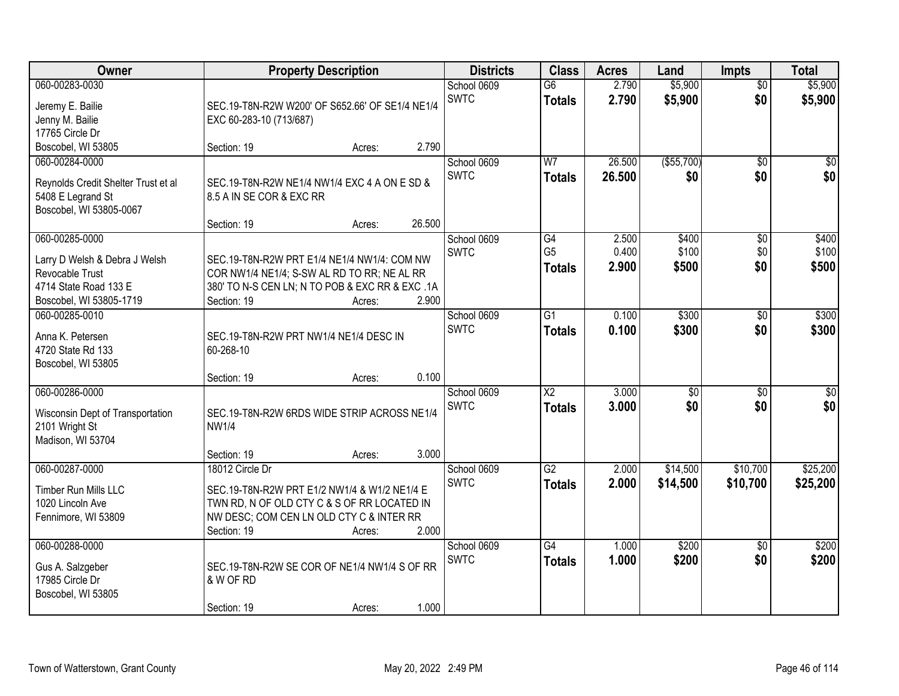| Owner                                                                                                                  | <b>Property Description</b>                                                                                                                                                                  | <b>Districts</b>           | <b>Class</b>                            | <b>Acres</b>            | Land                    | <b>Impts</b>           | <b>Total</b>            |
|------------------------------------------------------------------------------------------------------------------------|----------------------------------------------------------------------------------------------------------------------------------------------------------------------------------------------|----------------------------|-----------------------------------------|-------------------------|-------------------------|------------------------|-------------------------|
| 060-00283-0030<br>Jeremy E. Bailie<br>Jenny M. Bailie<br>17765 Circle Dr                                               | SEC.19-T8N-R2W W200' OF S652.66' OF SE1/4 NE1/4<br>EXC 60-283-10 (713/687)                                                                                                                   | School 0609<br><b>SWTC</b> | $\overline{G6}$<br><b>Totals</b>        | 2.790<br>2.790          | \$5,900<br>\$5,900      | $\overline{50}$<br>\$0 | \$5,900<br>\$5,900      |
| Boscobel, WI 53805                                                                                                     | 2.790<br>Section: 19<br>Acres:                                                                                                                                                               |                            |                                         |                         |                         |                        |                         |
| 060-00284-0000<br>Reynolds Credit Shelter Trust et al<br>5408 E Legrand St<br>Boscobel, WI 53805-0067                  | SEC.19-T8N-R2W NE1/4 NW1/4 EXC 4 A ON E SD &<br>8.5 A IN SE COR & EXC RR<br>26.500<br>Section: 19<br>Acres:                                                                                  | School 0609<br><b>SWTC</b> | W <sub>7</sub><br><b>Totals</b>         | 26.500<br>26.500        | (\$55,700)<br>\$0       | $\overline{50}$<br>\$0 | $\overline{30}$<br>\$0  |
| 060-00285-0000<br>Larry D Welsh & Debra J Welsh<br>Revocable Trust<br>4714 State Road 133 E<br>Boscobel, WI 53805-1719 | SEC.19-T8N-R2W PRT E1/4 NE1/4 NW1/4: COM NW<br>COR NW1/4 NE1/4; S-SW AL RD TO RR; NE AL RR<br>380' TO N-S CEN LN; N TO POB & EXC RR & EXC .1A<br>2.900<br>Section: 19<br>Acres:              | School 0609<br><b>SWTC</b> | G4<br>G <sub>5</sub><br><b>Totals</b>   | 2.500<br>0.400<br>2.900 | \$400<br>\$100<br>\$500 | \$0<br>\$0<br>\$0      | \$400<br>\$100<br>\$500 |
| 060-00285-0010<br>Anna K. Petersen<br>4720 State Rd 133<br>Boscobel, WI 53805                                          | SEC.19-T8N-R2W PRT NW1/4 NE1/4 DESC IN<br>60-268-10<br>0.100<br>Section: 19<br>Acres:                                                                                                        | School 0609<br><b>SWTC</b> | $\overline{G1}$<br><b>Totals</b>        | 0.100<br>0.100          | \$300<br>\$300          | $\sqrt[6]{3}$<br>\$0   | \$300<br>\$300          |
| 060-00286-0000<br>Wisconsin Dept of Transportation<br>2101 Wright St<br>Madison, WI 53704                              | SEC.19-T8N-R2W 6RDS WIDE STRIP ACROSS NE1/4<br><b>NW1/4</b><br>3.000<br>Section: 19<br>Acres:                                                                                                | School 0609<br><b>SWTC</b> | $\overline{\text{X2}}$<br><b>Totals</b> | 3.000<br>3.000          | \$0<br>\$0              | $\overline{50}$<br>\$0 | $\sqrt{50}$<br>\$0      |
| 060-00287-0000<br>Timber Run Mills LLC<br>1020 Lincoln Ave<br>Fennimore, WI 53809                                      | 18012 Circle Dr<br>SEC.19-T8N-R2W PRT E1/2 NW1/4 & W1/2 NE1/4 E<br>TWN RD, N OF OLD CTY C & S OF RR LOCATED IN<br>NW DESC; COM CEN LN OLD CTY C & INTER RR<br>2.000<br>Section: 19<br>Acres: | School 0609<br><b>SWTC</b> | $\overline{G2}$<br><b>Totals</b>        | 2.000<br>2.000          | \$14,500<br>\$14,500    | \$10,700<br>\$10,700   | \$25,200<br>\$25,200    |
| 060-00288-0000<br>Gus A. Salzgeber<br>17985 Circle Dr<br>Boscobel, WI 53805                                            | SEC.19-T8N-R2W SE COR OF NE1/4 NW1/4 S OF RR<br>& W OF RD<br>1.000<br>Section: 19<br>Acres:                                                                                                  | School 0609<br><b>SWTC</b> | $\overline{G4}$<br><b>Totals</b>        | 1.000<br>1.000          | \$200<br>\$200          | $\overline{50}$<br>\$0 | \$200<br>\$200          |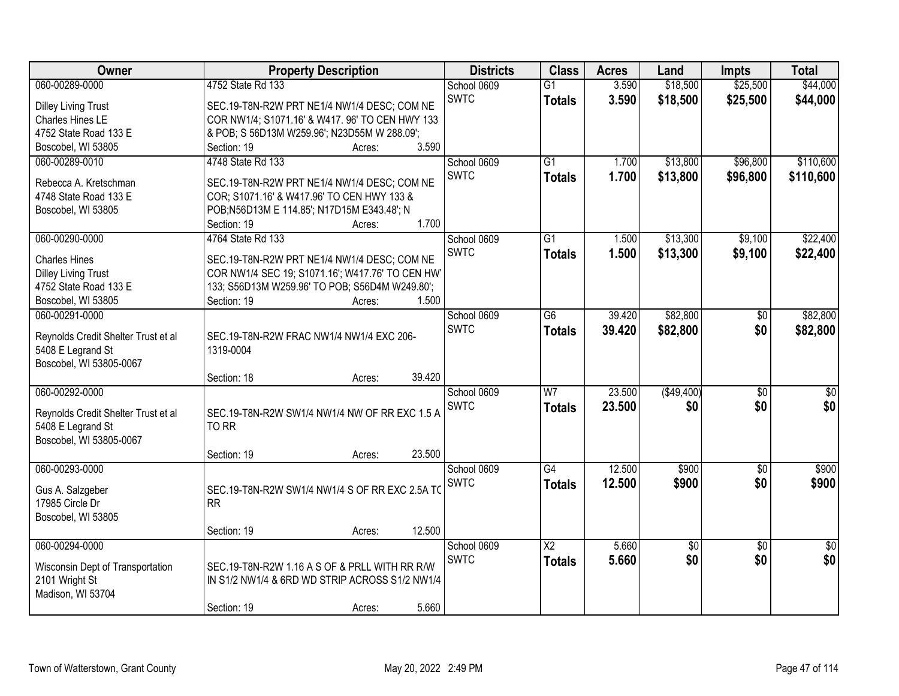| Owner                               | <b>Property Description</b>                     | <b>Districts</b> | <b>Class</b>           | <b>Acres</b> | Land        | <b>Impts</b>    | <b>Total</b>    |
|-------------------------------------|-------------------------------------------------|------------------|------------------------|--------------|-------------|-----------------|-----------------|
| 060-00289-0000                      | 4752 State Rd 133                               | School 0609      | $\overline{G1}$        | 3.590        | \$18,500    | \$25,500        | \$44,000        |
| <b>Dilley Living Trust</b>          | SEC.19-T8N-R2W PRT NE1/4 NW1/4 DESC; COM NE     | <b>SWTC</b>      | <b>Totals</b>          | 3.590        | \$18,500    | \$25,500        | \$44,000        |
| Charles Hines LE                    | COR NW1/4; S1071.16' & W417. 96' TO CEN HWY 133 |                  |                        |              |             |                 |                 |
| 4752 State Road 133 E               | & POB; S 56D13M W259.96'; N23D55M W 288.09';    |                  |                        |              |             |                 |                 |
| Boscobel, WI 53805                  | 3.590<br>Section: 19<br>Acres:                  |                  |                        |              |             |                 |                 |
| 060-00289-0010                      | 4748 State Rd 133                               | School 0609      | $\overline{G1}$        | 1.700        | \$13,800    | \$96,800        | \$110,600       |
|                                     |                                                 | <b>SWTC</b>      | <b>Totals</b>          | 1.700        | \$13,800    | \$96,800        | \$110,600       |
| Rebecca A. Kretschman               | SEC.19-T8N-R2W PRT NE1/4 NW1/4 DESC; COM NE     |                  |                        |              |             |                 |                 |
| 4748 State Road 133 E               | COR; S1071.16' & W417.96' TO CEN HWY 133 &      |                  |                        |              |             |                 |                 |
| Boscobel, WI 53805                  | POB;N56D13M E 114.85'; N17D15M E343.48'; N      |                  |                        |              |             |                 |                 |
|                                     | 1.700<br>Section: 19<br>Acres:                  |                  |                        |              |             |                 |                 |
| 060-00290-0000                      | 4764 State Rd 133                               | School 0609      | $\overline{G1}$        | 1.500        | \$13,300    | \$9,100         | \$22,400        |
| <b>Charles Hines</b>                | SEC.19-T8N-R2W PRT NE1/4 NW1/4 DESC; COM NE     | <b>SWTC</b>      | <b>Totals</b>          | 1.500        | \$13,300    | \$9,100         | \$22,400        |
| <b>Dilley Living Trust</b>          | COR NW1/4 SEC 19; S1071.16'; W417.76' TO CEN HW |                  |                        |              |             |                 |                 |
| 4752 State Road 133 E               | 133; S56D13M W259.96' TO POB; S56D4M W249.80';  |                  |                        |              |             |                 |                 |
| Boscobel, WI 53805                  | 1.500<br>Section: 19<br>Acres:                  |                  |                        |              |             |                 |                 |
| 060-00291-0000                      |                                                 | School 0609      | G6                     | 39.420       | \$82,800    | \$0             | \$82,800        |
|                                     |                                                 | <b>SWTC</b>      | <b>Totals</b>          | 39.420       | \$82,800    | \$0             | \$82,800        |
| Reynolds Credit Shelter Trust et al | SEC.19-T8N-R2W FRAC NW1/4 NW1/4 EXC 206-        |                  |                        |              |             |                 |                 |
| 5408 E Legrand St                   | 1319-0004                                       |                  |                        |              |             |                 |                 |
| Boscobel, WI 53805-0067             |                                                 |                  |                        |              |             |                 |                 |
|                                     | 39.420<br>Section: 18<br>Acres:                 |                  | $\overline{W}$         |              |             |                 |                 |
| 060-00292-0000                      |                                                 | School 0609      |                        | 23.500       | ( \$49,400) | $\overline{50}$ | \$0             |
| Reynolds Credit Shelter Trust et al | SEC.19-T8N-R2W SW1/4 NW1/4 NW OF RR EXC 1.5 A   | <b>SWTC</b>      | <b>Totals</b>          | 23.500       | \$0         | \$0             | \$0             |
| 5408 E Legrand St                   | TO RR                                           |                  |                        |              |             |                 |                 |
| Boscobel, WI 53805-0067             |                                                 |                  |                        |              |             |                 |                 |
|                                     | 23.500<br>Section: 19<br>Acres:                 |                  |                        |              |             |                 |                 |
| 060-00293-0000                      |                                                 | School 0609      | $\overline{G4}$        | 12.500       | \$900       | $\overline{50}$ | \$900           |
|                                     | SEC.19-T8N-R2W SW1/4 NW1/4 S OF RR EXC 2.5A TO  | <b>SWTC</b>      | <b>Totals</b>          | 12.500       | \$900       | \$0             | \$900           |
| Gus A. Salzgeber<br>17985 Circle Dr | RR                                              |                  |                        |              |             |                 |                 |
|                                     |                                                 |                  |                        |              |             |                 |                 |
| Boscobel, WI 53805                  | 12.500<br>Section: 19                           |                  |                        |              |             |                 |                 |
| 060-00294-0000                      | Acres:                                          | School 0609      | $\overline{\text{X2}}$ | 5.660        | \$0         | $\overline{30}$ | $\overline{50}$ |
|                                     |                                                 | <b>SWTC</b>      |                        |              |             |                 | \$0             |
| Wisconsin Dept of Transportation    | SEC.19-T8N-R2W 1.16 A S OF & PRLL WITH RR R/W   |                  | <b>Totals</b>          | 5.660        | \$0         | \$0             |                 |
| 2101 Wright St                      | IN S1/2 NW1/4 & 6RD WD STRIP ACROSS S1/2 NW1/4  |                  |                        |              |             |                 |                 |
| Madison, WI 53704                   |                                                 |                  |                        |              |             |                 |                 |
|                                     | 5.660<br>Section: 19<br>Acres:                  |                  |                        |              |             |                 |                 |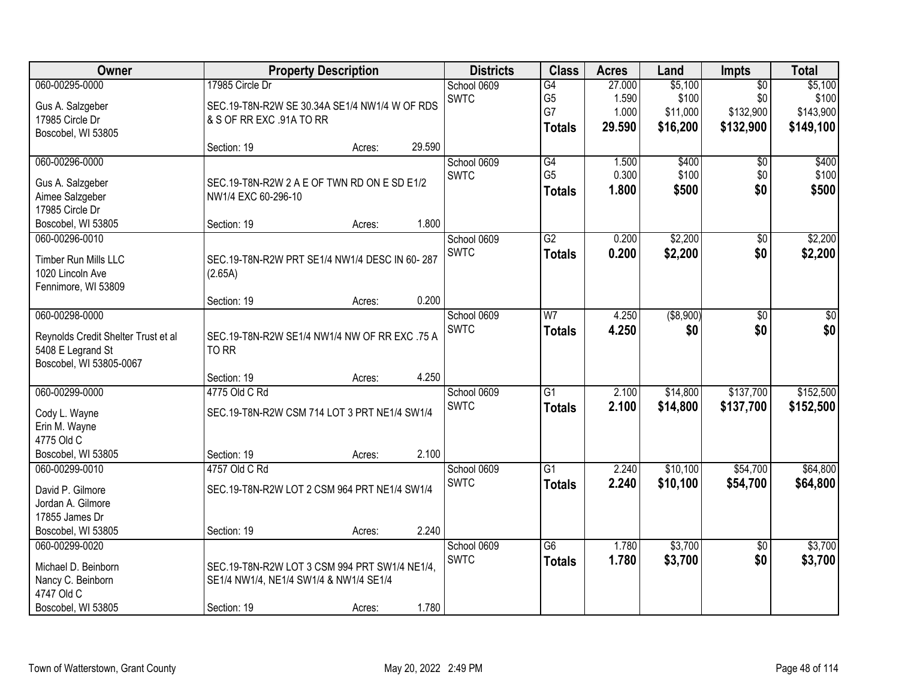| <b>Owner</b>                             |                                               | <b>Property Description</b> |        | <b>Districts</b> | <b>Class</b>    | <b>Acres</b> | Land       | <b>Impts</b>    | <b>Total</b> |
|------------------------------------------|-----------------------------------------------|-----------------------------|--------|------------------|-----------------|--------------|------------|-----------------|--------------|
| 060-00295-0000                           | 17985 Circle Dr                               |                             |        | School 0609      | G4              | 27.000       | \$5,100    | $\overline{50}$ | \$5,100      |
| Gus A. Salzgeber                         | SEC.19-T8N-R2W SE 30.34A SE1/4 NW1/4 W OF RDS |                             |        | <b>SWTC</b>      | G <sub>5</sub>  | 1.590        | \$100      | \$0             | \$100        |
| 17985 Circle Dr                          | & S OF RR EXC .91A TO RR                      |                             |        |                  | G7              | 1.000        | \$11,000   | \$132,900       | \$143,900    |
| Boscobel, WI 53805                       |                                               |                             |        |                  | <b>Totals</b>   | 29.590       | \$16,200   | \$132,900       | \$149,100    |
|                                          | Section: 19                                   | Acres:                      | 29.590 |                  |                 |              |            |                 |              |
| 060-00296-0000                           |                                               |                             |        | School 0609      | G4              | 1.500        | \$400      | $\overline{50}$ | \$400        |
| Gus A. Salzgeber                         | SEC.19-T8N-R2W 2 A E OF TWN RD ON E SD E1/2   |                             |        | <b>SWTC</b>      | G <sub>5</sub>  | 0.300        | \$100      | \$0             | \$100        |
| Aimee Salzgeber                          | NW1/4 EXC 60-296-10                           |                             |        |                  | <b>Totals</b>   | 1.800        | \$500      | \$0             | \$500        |
| 17985 Circle Dr                          |                                               |                             |        |                  |                 |              |            |                 |              |
| Boscobel, WI 53805                       | Section: 19                                   | Acres:                      | 1.800  |                  |                 |              |            |                 |              |
| 060-00296-0010                           |                                               |                             |        | School 0609      | $\overline{G2}$ | 0.200        | \$2,200    | $\overline{50}$ | \$2,200      |
|                                          |                                               |                             |        | <b>SWTC</b>      | <b>Totals</b>   | 0.200        | \$2,200    | \$0             | \$2,200      |
| Timber Run Mills LLC<br>1020 Lincoln Ave | SEC.19-T8N-R2W PRT SE1/4 NW1/4 DESC IN 60-287 |                             |        |                  |                 |              |            |                 |              |
| Fennimore, WI 53809                      | (2.65A)                                       |                             |        |                  |                 |              |            |                 |              |
|                                          | Section: 19                                   | Acres:                      | 0.200  |                  |                 |              |            |                 |              |
| 060-00298-0000                           |                                               |                             |        | School 0609      | W <sub>7</sub>  | 4.250        | ( \$8,900) | \$0             | \$0          |
|                                          |                                               |                             |        | <b>SWTC</b>      | <b>Totals</b>   | 4.250        | \$0        | \$0             | \$0          |
| Reynolds Credit Shelter Trust et al      | SEC.19-T8N-R2W SE1/4 NW1/4 NW OF RR EXC .75 A |                             |        |                  |                 |              |            |                 |              |
| 5408 E Legrand St                        | TO RR                                         |                             |        |                  |                 |              |            |                 |              |
| Boscobel, WI 53805-0067                  |                                               |                             |        |                  |                 |              |            |                 |              |
|                                          | Section: 19                                   | Acres:                      | 4.250  |                  |                 |              |            |                 |              |
| 060-00299-0000                           | 4775 Old C Rd                                 |                             |        | School 0609      | $\overline{G1}$ | 2.100        | \$14,800   | \$137,700       | \$152,500    |
| Cody L. Wayne                            | SEC.19-T8N-R2W CSM 714 LOT 3 PRT NE1/4 SW1/4  |                             |        | <b>SWTC</b>      | <b>Totals</b>   | 2.100        | \$14,800   | \$137,700       | \$152,500    |
| Erin M. Wayne                            |                                               |                             |        |                  |                 |              |            |                 |              |
| 4775 Old C                               |                                               |                             |        |                  |                 |              |            |                 |              |
| Boscobel, WI 53805                       | Section: 19                                   | Acres:                      | 2.100  |                  |                 |              |            |                 |              |
| 060-00299-0010                           | 4757 Old C Rd                                 |                             |        | School 0609      | G1              | 2.240        | \$10,100   | \$54,700        | \$64,800     |
| David P. Gilmore                         | SEC.19-T8N-R2W LOT 2 CSM 964 PRT NE1/4 SW1/4  |                             |        | <b>SWTC</b>      | <b>Totals</b>   | 2.240        | \$10,100   | \$54,700        | \$64,800     |
| Jordan A. Gilmore                        |                                               |                             |        |                  |                 |              |            |                 |              |
| 17855 James Dr                           |                                               |                             |        |                  |                 |              |            |                 |              |
| Boscobel, WI 53805                       | Section: 19                                   | Acres:                      | 2.240  |                  |                 |              |            |                 |              |
| 060-00299-0020                           |                                               |                             |        | School 0609      | $\overline{G6}$ | 1.780        | \$3,700    | $\overline{50}$ | \$3,700      |
| Michael D. Beinborn                      | SEC.19-T8N-R2W LOT 3 CSM 994 PRT SW1/4 NE1/4, |                             |        | <b>SWTC</b>      | <b>Totals</b>   | 1.780        | \$3,700    | \$0             | \$3,700      |
| Nancy C. Beinborn                        | SE1/4 NW1/4, NE1/4 SW1/4 & NW1/4 SE1/4        |                             |        |                  |                 |              |            |                 |              |
| 4747 Old C                               |                                               |                             |        |                  |                 |              |            |                 |              |
| Boscobel, WI 53805                       | Section: 19                                   | Acres:                      | 1.780  |                  |                 |              |            |                 |              |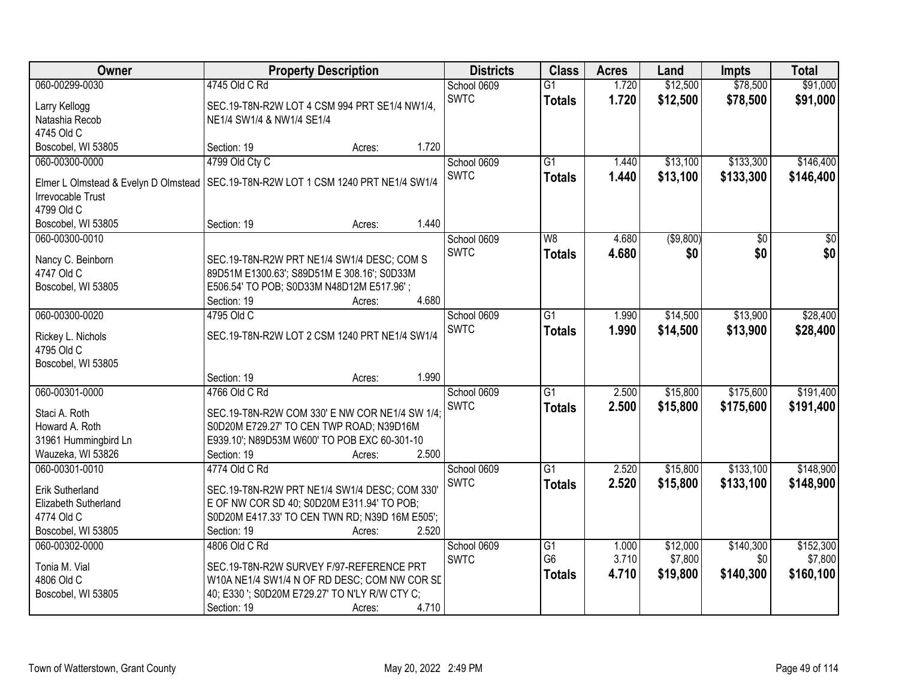| Owner                                  | <b>Property Description</b>                                                              | <b>Districts</b> | <b>Class</b>               | <b>Acres</b>                      | Land           | <b>Impts</b> | <b>Total</b>    |                 |
|----------------------------------------|------------------------------------------------------------------------------------------|------------------|----------------------------|-----------------------------------|----------------|--------------|-----------------|-----------------|
| 060-00299-0030                         | 4745 Old C Rd                                                                            |                  | School 0609                | $\overline{G1}$                   | 1.720          | \$12,500     | \$78,500        | \$91,000        |
| Larry Kellogg                          | SEC.19-T8N-R2W LOT 4 CSM 994 PRT SE1/4 NW1/4,                                            |                  | <b>SWTC</b>                | <b>Totals</b>                     | 1.720          | \$12,500     | \$78,500        | \$91,000        |
| Natashia Recob                         | NE1/4 SW1/4 & NW1/4 SE1/4                                                                |                  |                            |                                   |                |              |                 |                 |
| 4745 Old C                             |                                                                                          |                  |                            |                                   |                |              |                 |                 |
| Boscobel, WI 53805                     | Section: 19                                                                              | 1.720<br>Acres:  |                            |                                   |                |              |                 |                 |
| 060-00300-0000                         | 4799 Old Cty C                                                                           |                  | School 0609                | $\overline{G1}$                   | 1.440          | \$13,100     | \$133,300       | \$146,400       |
| Elmer L Olmstead & Evelyn D Olmstead   | SEC.19-T8N-R2W LOT 1 CSM 1240 PRT NE1/4 SW1/4                                            |                  | <b>SWTC</b>                | <b>Totals</b>                     | 1.440          | \$13,100     | \$133,300       | \$146,400       |
| <b>Irrevocable Trust</b>               |                                                                                          |                  |                            |                                   |                |              |                 |                 |
| 4799 Old C                             |                                                                                          |                  |                            |                                   |                |              |                 |                 |
| Boscobel, WI 53805                     | Section: 19                                                                              | 1.440<br>Acres:  |                            |                                   |                |              |                 |                 |
| 060-00300-0010                         |                                                                                          |                  | School 0609                | W8                                | 4.680          | ( \$9,800)   | $\overline{50}$ | $\overline{50}$ |
| Nancy C. Beinborn                      | SEC.19-T8N-R2W PRT NE1/4 SW1/4 DESC; COM S                                               |                  | <b>SWTC</b>                | <b>Totals</b>                     | 4.680          | \$0          | \$0             | \$0             |
| 4747 Old C                             | 89D51M E1300.63'; S89D51M E 308.16'; S0D33M                                              |                  |                            |                                   |                |              |                 |                 |
| Boscobel, WI 53805                     | E506.54' TO POB; S0D33M N48D12M E517.96';                                                |                  |                            |                                   |                |              |                 |                 |
|                                        | Section: 19                                                                              | 4.680<br>Acres:  |                            |                                   |                |              |                 |                 |
| 060-00300-0020                         | 4795 Old C                                                                               |                  | School 0609                | G1                                | 1.990          | \$14,500     | \$13,900        | \$28,400        |
|                                        | SEC.19-T8N-R2W LOT 2 CSM 1240 PRT NE1/4 SW1/4                                            |                  | <b>SWTC</b>                | <b>Totals</b>                     | 1.990          | \$14,500     | \$13,900        | \$28,400        |
| Rickey L. Nichols<br>4795 Old C        |                                                                                          |                  |                            |                                   |                |              |                 |                 |
| Boscobel, WI 53805                     |                                                                                          |                  |                            |                                   |                |              |                 |                 |
|                                        | Section: 19                                                                              | 1.990<br>Acres:  |                            |                                   |                |              |                 |                 |
| 060-00301-0000                         | 4766 Old C Rd                                                                            |                  | School 0609                | $\overline{G1}$                   | 2.500          | \$15,800     | \$175,600       | \$191,400       |
|                                        |                                                                                          |                  | <b>SWTC</b>                | <b>Totals</b>                     | 2.500          | \$15,800     | \$175,600       | \$191,400       |
| Staci A. Roth                          | SEC.19-T8N-R2W COM 330' E NW COR NE1/4 SW 1/4;                                           |                  |                            |                                   |                |              |                 |                 |
| Howard A. Roth<br>31961 Hummingbird Ln | S0D20M E729.27' TO CEN TWP ROAD; N39D16M<br>E939.10'; N89D53M W600' TO POB EXC 60-301-10 |                  |                            |                                   |                |              |                 |                 |
| Wauzeka, WI 53826                      | Section: 19                                                                              | 2.500<br>Acres:  |                            |                                   |                |              |                 |                 |
| 060-00301-0010                         | 4774 Old C Rd                                                                            |                  | School 0609                | $\overline{G1}$                   | 2.520          | \$15,800     | \$133,100       | \$148,900       |
|                                        |                                                                                          |                  | <b>SWTC</b>                | <b>Totals</b>                     | 2.520          | \$15,800     | \$133,100       | \$148,900       |
| Erik Sutherland                        | SEC.19-T8N-R2W PRT NE1/4 SW1/4 DESC; COM 330'                                            |                  |                            |                                   |                |              |                 |                 |
| Elizabeth Sutherland                   | E OF NW COR SD 40; S0D20M E311.94' TO POB;                                               |                  |                            |                                   |                |              |                 |                 |
| 4774 Old C<br>Boscobel, WI 53805       | S0D20M E417.33' TO CEN TWN RD; N39D 16M E505';                                           | 2.520            |                            |                                   |                |              |                 |                 |
| 060-00302-0000                         | Section: 19                                                                              | Acres:           |                            |                                   |                | \$12,000     | \$140,300       | \$152,300       |
|                                        | 4806 Old C Rd                                                                            |                  | School 0609<br><b>SWTC</b> | $\overline{G1}$<br>G <sub>6</sub> | 1.000<br>3.710 | \$7,800      | \$0             | \$7,800         |
| Tonia M. Vial                          | SEC.19-T8N-R2W SURVEY F/97-REFERENCE PRT                                                 |                  |                            | <b>Totals</b>                     | 4.710          | \$19,800     | \$140,300       | \$160,100       |
| 4806 Old C                             | W10A NE1/4 SW1/4 N OF RD DESC; COM NW COR SE                                             |                  |                            |                                   |                |              |                 |                 |
| Boscobel, WI 53805                     | 40; E330 '; S0D20M E729.27' TO N'LY R/W CTY C;                                           |                  |                            |                                   |                |              |                 |                 |
|                                        | Section: 19                                                                              | 4.710<br>Acres:  |                            |                                   |                |              |                 |                 |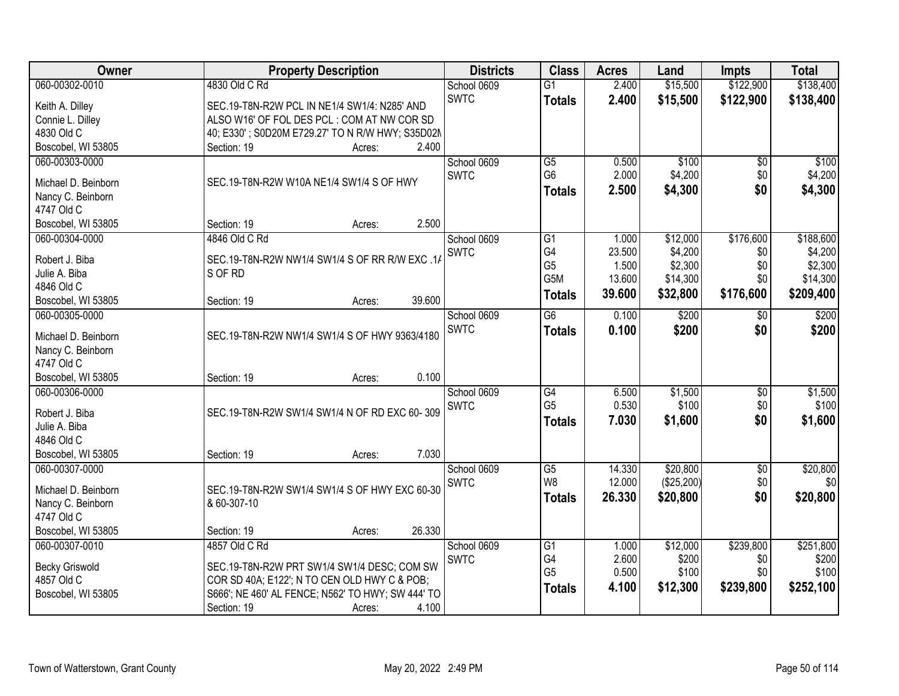| Owner                                | <b>Property Description</b>                                                                 | <b>Districts</b>           | <b>Class</b>    | <b>Acres</b> | Land       | <b>Impts</b>    | <b>Total</b> |
|--------------------------------------|---------------------------------------------------------------------------------------------|----------------------------|-----------------|--------------|------------|-----------------|--------------|
| 060-00302-0010                       | 4830 Old C Rd                                                                               | School 0609                | $\overline{G1}$ | 2.400        | \$15,500   | \$122,900       | \$138,400    |
| Keith A. Dilley                      | SEC.19-T8N-R2W PCL IN NE1/4 SW1/4: N285' AND                                                | <b>SWTC</b>                | <b>Totals</b>   | 2.400        | \$15,500   | \$122,900       | \$138,400    |
| Connie L. Dilley                     | ALSO W16' OF FOL DES PCL: COM AT NW COR SD                                                  |                            |                 |              |            |                 |              |
| 4830 Old C                           | 40; E330'; S0D20M E729.27' TO N R/W HWY; S35D02M                                            |                            |                 |              |            |                 |              |
| Boscobel, WI 53805                   | 2.400<br>Section: 19<br>Acres:                                                              |                            |                 |              |            |                 |              |
| 060-00303-0000                       |                                                                                             | School 0609                | $\overline{G5}$ | 0.500        | \$100      | \$0             | \$100        |
| Michael D. Beinborn                  | SEC.19-T8N-R2W W10A NE1/4 SW1/4 S OF HWY                                                    | <b>SWTC</b>                | G <sub>6</sub>  | 2.000        | \$4,200    | \$0             | \$4,200      |
| Nancy C. Beinborn                    |                                                                                             |                            | <b>Totals</b>   | 2.500        | \$4,300    | \$0             | \$4,300      |
| 4747 Old C                           |                                                                                             |                            |                 |              |            |                 |              |
| Boscobel, WI 53805                   | 2.500<br>Section: 19<br>Acres:                                                              |                            |                 |              |            |                 |              |
| 060-00304-0000                       | 4846 Old C Rd                                                                               | School 0609                | G1              | 1.000        | \$12,000   | \$176,600       | \$188,600    |
|                                      |                                                                                             | SWTC                       | G4              | 23.500       | \$4,200    | \$0             | \$4,200      |
| Robert J. Biba                       | SEC.19-T8N-R2W NW1/4 SW1/4 S OF RR R/W EXC .14                                              |                            | G <sub>5</sub>  | 1.500        | \$2,300    | \$0             | \$2,300      |
| Julie A. Biba                        | S OF RD                                                                                     |                            | G5M             | 13.600       | \$14,300   | \$0             | \$14,300     |
| 4846 Old C                           | 39.600                                                                                      |                            | <b>Totals</b>   | 39.600       | \$32,800   | \$176,600       | \$209,400    |
| Boscobel, WI 53805<br>060-00305-0000 | Section: 19<br>Acres:                                                                       |                            | $\overline{G6}$ | 0.100        | \$200      |                 | \$200        |
|                                      |                                                                                             | School 0609<br><b>SWTC</b> |                 |              |            | \$0<br>\$0      |              |
| Michael D. Beinborn                  | SEC.19-T8N-R2W NW1/4 SW1/4 S OF HWY 9363/4180                                               |                            | <b>Totals</b>   | 0.100        | \$200      |                 | \$200        |
| Nancy C. Beinborn                    |                                                                                             |                            |                 |              |            |                 |              |
| 4747 Old C                           |                                                                                             |                            |                 |              |            |                 |              |
| Boscobel, WI 53805                   | 0.100<br>Section: 19<br>Acres:                                                              |                            |                 |              |            |                 |              |
| 060-00306-0000                       |                                                                                             | School 0609                | $\overline{G4}$ | 6.500        | \$1,500    | $\overline{50}$ | \$1,500      |
| Robert J. Biba                       | SEC.19-T8N-R2W SW1/4 SW1/4 N OF RD EXC 60-309                                               | <b>SWTC</b>                | G <sub>5</sub>  | 0.530        | \$100      | \$0             | \$100        |
| Julie A. Biba                        |                                                                                             |                            | <b>Totals</b>   | 7.030        | \$1,600    | \$0             | \$1,600      |
| 4846 Old C                           |                                                                                             |                            |                 |              |            |                 |              |
| Boscobel, WI 53805                   | 7.030<br>Section: 19<br>Acres:                                                              |                            |                 |              |            |                 |              |
| 060-00307-0000                       |                                                                                             | School 0609                | $\overline{G5}$ | 14.330       | \$20,800   | $\overline{60}$ | \$20,800     |
| Michael D. Beinborn                  | SEC.19-T8N-R2W SW1/4 SW1/4 S OF HWY EXC 60-30                                               | <b>SWTC</b>                | W <sub>8</sub>  | 12.000       | (\$25,200) | \$0             | \$0          |
| Nancy C. Beinborn                    | & 60-307-10                                                                                 |                            | <b>Totals</b>   | 26.330       | \$20,800   | \$0             | \$20,800     |
| 4747 Old C                           |                                                                                             |                            |                 |              |            |                 |              |
| Boscobel, WI 53805                   | 26.330<br>Section: 19<br>Acres:                                                             |                            |                 |              |            |                 |              |
| 060-00307-0010                       | 4857 Old C Rd                                                                               | School 0609                | G1              | 1.000        | \$12,000   | \$239,800       | \$251,800    |
|                                      |                                                                                             | <b>SWTC</b>                | G4              | 2.600        | \$200      | \$0             | \$200        |
| <b>Becky Griswold</b><br>4857 Old C  | SEC.19-T8N-R2W PRT SW1/4 SW1/4 DESC; COM SW<br>COR SD 40A; E122'; N TO CEN OLD HWY C & POB; |                            | G <sub>5</sub>  | 0.500        | \$100      | \$0             | \$100        |
| Boscobel, WI 53805                   | S666'; NE 460' AL FENCE; N562' TO HWY; SW 444' TO                                           |                            | <b>Totals</b>   | 4.100        | \$12,300   | \$239,800       | \$252,100    |
|                                      | 4.100<br>Section: 19<br>Acres:                                                              |                            |                 |              |            |                 |              |
|                                      |                                                                                             |                            |                 |              |            |                 |              |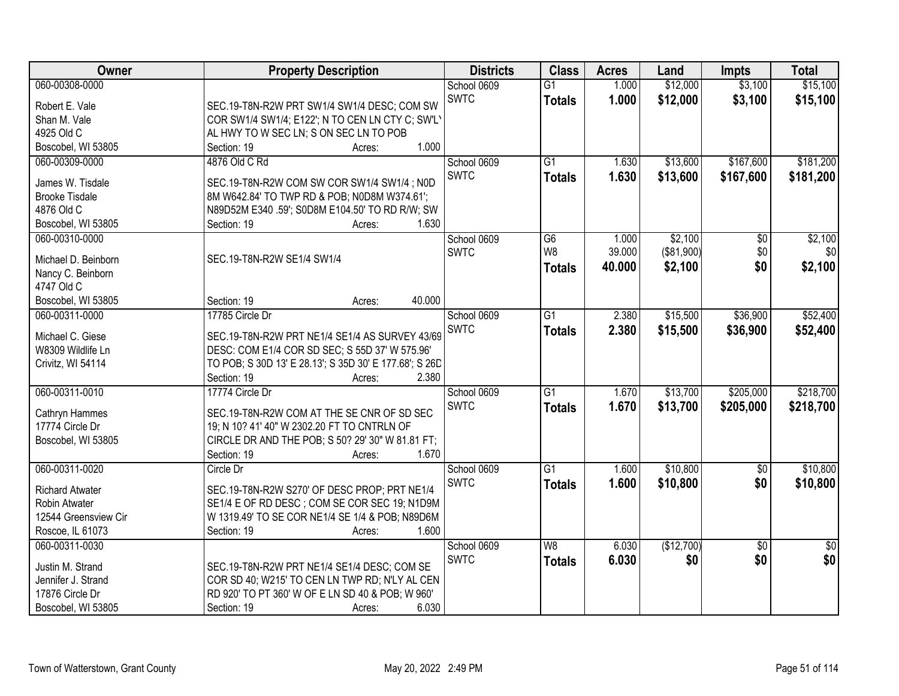| Owner                  | <b>Property Description</b>                            | <b>Districts</b> | <b>Class</b>    | <b>Acres</b> | Land              | <b>Impts</b>    | <b>Total</b>    |
|------------------------|--------------------------------------------------------|------------------|-----------------|--------------|-------------------|-----------------|-----------------|
| 060-00308-0000         |                                                        | School 0609      | $\overline{G1}$ | 1.000        | \$12,000          | \$3,100         | \$15,100        |
| Robert E. Vale         | SEC.19-T8N-R2W PRT SW1/4 SW1/4 DESC; COM SW            | <b>SWTC</b>      | <b>Totals</b>   | 1.000        | \$12,000          | \$3,100         | \$15,100        |
| Shan M. Vale           | COR SW1/4 SW1/4; E122'; N TO CEN LN CTY C; SW'L'       |                  |                 |              |                   |                 |                 |
| 4925 Old C             | AL HWY TO W SEC LN; S ON SEC LN TO POB                 |                  |                 |              |                   |                 |                 |
| Boscobel, WI 53805     | 1.000<br>Section: 19<br>Acres:                         |                  |                 |              |                   |                 |                 |
| 060-00309-0000         | 4876 Old C Rd                                          | School 0609      | $\overline{G1}$ | 1.630        | \$13,600          | \$167,600       | \$181,200       |
|                        |                                                        | <b>SWTC</b>      | <b>Totals</b>   | 1.630        | \$13,600          | \$167,600       | \$181,200       |
| James W. Tisdale       | SEC.19-T8N-R2W COM SW COR SW1/4 SW1/4; N0D             |                  |                 |              |                   |                 |                 |
| <b>Brooke Tisdale</b>  | 8M W642.84' TO TWP RD & POB; N0D8M W374.61';           |                  |                 |              |                   |                 |                 |
| 4876 Old C             | N89D52M E340 .59'; S0D8M E104.50' TO RD R/W; SW        |                  |                 |              |                   |                 |                 |
| Boscobel, WI 53805     | 1.630<br>Section: 19<br>Acres:                         |                  |                 |              |                   |                 |                 |
| 060-00310-0000         |                                                        | School 0609      | G6              | 1.000        | \$2,100           | $\overline{50}$ | \$2,100         |
| Michael D. Beinborn    | SEC.19-T8N-R2W SE1/4 SW1/4                             | <b>SWTC</b>      | W8              | 39.000       | $($ \$81,900) $ $ | \$0             | \$0             |
| Nancy C. Beinborn      |                                                        |                  | <b>Totals</b>   | 40.000       | \$2,100           | \$0             | \$2,100         |
| 4747 Old C             |                                                        |                  |                 |              |                   |                 |                 |
| Boscobel, WI 53805     | 40.000<br>Section: 19<br>Acres:                        |                  |                 |              |                   |                 |                 |
| 060-00311-0000         | 17785 Circle Dr                                        | School 0609      | $\overline{G1}$ | 2.380        | \$15,500          | \$36,900        | \$52,400        |
|                        |                                                        | <b>SWTC</b>      | <b>Totals</b>   | 2.380        | \$15,500          | \$36,900        | \$52,400        |
| Michael C. Giese       | SEC.19-T8N-R2W PRT NE1/4 SE1/4 AS SURVEY 43/69         |                  |                 |              |                   |                 |                 |
| W8309 Wildlife Ln      | DESC: COM E1/4 COR SD SEC; S 55D 37' W 575.96'         |                  |                 |              |                   |                 |                 |
| Crivitz, WI 54114      | TO POB; S 30D 13' E 28.13'; S 35D 30' E 177.68'; S 26D |                  |                 |              |                   |                 |                 |
|                        | Section: 19<br>2.380<br>Acres:                         |                  |                 |              |                   |                 |                 |
| 060-00311-0010         | 17774 Circle Dr                                        | School 0609      | $\overline{G1}$ | 1.670        | \$13,700          | \$205,000       | \$218,700       |
| Cathryn Hammes         | SEC.19-T8N-R2W COM AT THE SE CNR OF SD SEC             | <b>SWTC</b>      | <b>Totals</b>   | 1.670        | \$13,700          | \$205,000       | \$218,700       |
| 17774 Circle Dr        | 19; N 10? 41' 40" W 2302.20 FT TO CNTRLN OF            |                  |                 |              |                   |                 |                 |
| Boscobel, WI 53805     | CIRCLE DR AND THE POB; S 50? 29' 30" W 81.81 FT;       |                  |                 |              |                   |                 |                 |
|                        | 1.670<br>Section: 19<br>Acres:                         |                  |                 |              |                   |                 |                 |
| 060-00311-0020         | Circle Dr                                              | School 0609      | $\overline{G1}$ | 1.600        | \$10,800          | $\overline{60}$ | \$10,800        |
|                        |                                                        | <b>SWTC</b>      | <b>Totals</b>   | 1.600        | \$10,800          | \$0             | \$10,800        |
| <b>Richard Atwater</b> | SEC.19-T8N-R2W S270' OF DESC PROP; PRT NE1/4           |                  |                 |              |                   |                 |                 |
| Robin Atwater          | SE1/4 E OF RD DESC; COM SE COR SEC 19; N1D9M           |                  |                 |              |                   |                 |                 |
| 12544 Greensview Cir   | W 1319.49' TO SE COR NE1/4 SE 1/4 & POB; N89D6M        |                  |                 |              |                   |                 |                 |
| Roscoe, IL 61073       | Section: 19<br>1.600<br>Acres:                         |                  |                 |              |                   |                 |                 |
| 060-00311-0030         |                                                        | School 0609      | W8              | 6.030        | (\$12,700)        | $\overline{50}$ | $\overline{50}$ |
| Justin M. Strand       | SEC.19-T8N-R2W PRT NE1/4 SE1/4 DESC; COM SE            | <b>SWTC</b>      | <b>Totals</b>   | 6.030        | \$0               | \$0             | \$0             |
| Jennifer J. Strand     | COR SD 40; W215' TO CEN LN TWP RD; N'LY AL CEN         |                  |                 |              |                   |                 |                 |
| 17876 Circle Dr        | RD 920' TO PT 360' W OF E LN SD 40 & POB; W 960'       |                  |                 |              |                   |                 |                 |
| Boscobel, WI 53805     | Section: 19<br>6.030<br>Acres:                         |                  |                 |              |                   |                 |                 |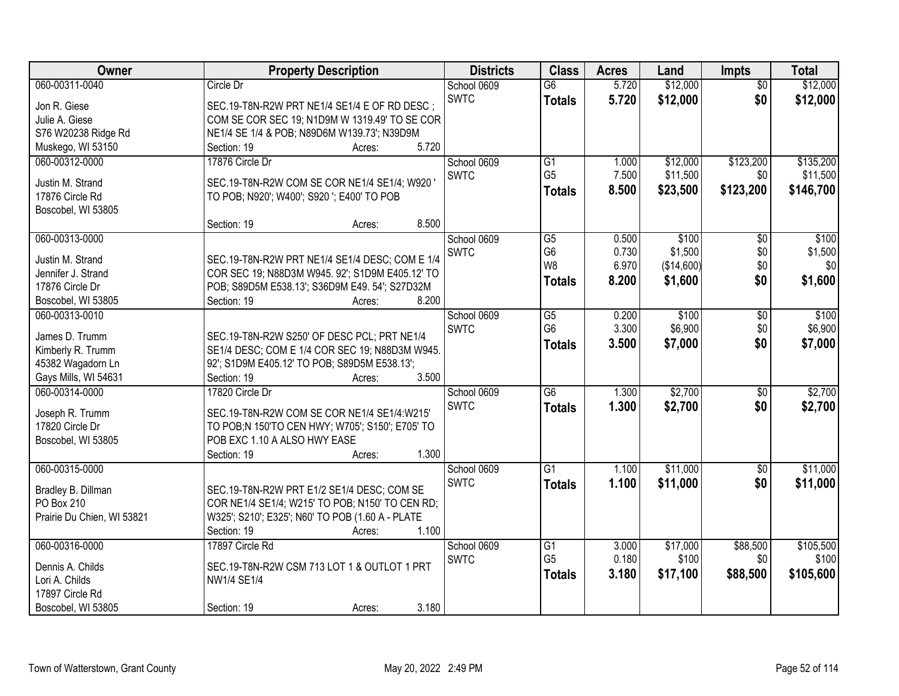| <b>Owner</b>               | <b>Property Description</b>                      | <b>Districts</b> | <b>Class</b>                      | <b>Acres</b>   | Land       | <b>Impts</b>    | <b>Total</b> |
|----------------------------|--------------------------------------------------|------------------|-----------------------------------|----------------|------------|-----------------|--------------|
| 060-00311-0040             | Circle Dr                                        | School 0609      | $\overline{G6}$                   | 5.720          | \$12,000   | $\overline{50}$ | \$12,000     |
| Jon R. Giese               | SEC.19-T8N-R2W PRT NE1/4 SE1/4 E OF RD DESC;     | <b>SWTC</b>      | <b>Totals</b>                     | 5.720          | \$12,000   | \$0             | \$12,000     |
| Julie A. Giese             | COM SE COR SEC 19; N1D9M W 1319.49' TO SE COR    |                  |                                   |                |            |                 |              |
| S76 W20238 Ridge Rd        | NE1/4 SE 1/4 & POB; N89D6M W139.73'; N39D9M      |                  |                                   |                |            |                 |              |
| Muskego, WI 53150          | 5.720<br>Section: 19<br>Acres:                   |                  |                                   |                |            |                 |              |
| 060-00312-0000             | 17876 Circle Dr                                  | School 0609      | $\overline{G1}$                   | 1.000          | \$12,000   | \$123,200       | \$135,200    |
|                            |                                                  | <b>SWTC</b>      | G <sub>5</sub>                    | 7.500          | \$11,500   | \$0             | \$11,500     |
| Justin M. Strand           | SEC.19-T8N-R2W COM SE COR NE1/4 SE1/4; W920      |                  | <b>Totals</b>                     | 8.500          | \$23,500   | \$123,200       | \$146,700    |
| 17876 Circle Rd            | TO POB; N920'; W400'; S920 '; E400' TO POB       |                  |                                   |                |            |                 |              |
| Boscobel, WI 53805         |                                                  |                  |                                   |                |            |                 |              |
|                            | 8.500<br>Section: 19<br>Acres:                   |                  |                                   |                |            |                 |              |
| 060-00313-0000             |                                                  | School 0609      | $\overline{G5}$                   | 0.500          | \$100      | \$0             | \$100        |
| Justin M. Strand           | SEC.19-T8N-R2W PRT NE1/4 SE1/4 DESC; COM E 1/4   | SWTC             | G <sub>6</sub>                    | 0.730          | \$1,500    | \$0             | \$1,500      |
| Jennifer J. Strand         | COR SEC 19; N88D3M W945. 92'; S1D9M E405.12' TO  |                  | W <sub>8</sub>                    | 6.970          | (\$14,600) | \$0             | \$0          |
| 17876 Circle Dr            | POB; S89D5M E538.13'; S36D9M E49. 54'; S27D32M   |                  | <b>Totals</b>                     | 8.200          | \$1,600    | \$0             | \$1,600      |
| Boscobel, WI 53805         | 8.200<br>Section: 19<br>Acres:                   |                  |                                   |                |            |                 |              |
| 060-00313-0010             |                                                  | School 0609      | $\overline{G5}$                   | 0.200          | \$100      | \$0             | \$100        |
|                            |                                                  | <b>SWTC</b>      | G <sub>6</sub>                    | 3.300          | \$6,900    | \$0             | \$6,900      |
| James D. Trumm             | SEC.19-T8N-R2W S250' OF DESC PCL; PRT NE1/4      |                  | <b>Totals</b>                     | 3.500          | \$7,000    | \$0             | \$7,000      |
| Kimberly R. Trumm          | SE1/4 DESC; COM E 1/4 COR SEC 19; N88D3M W945.   |                  |                                   |                |            |                 |              |
| 45382 Wagadorn Ln          | 92'; S1D9M E405.12' TO POB; S89D5M E538.13';     |                  |                                   |                |            |                 |              |
| Gays Mills, WI 54631       | 3.500<br>Section: 19<br>Acres:                   |                  |                                   |                |            |                 |              |
| 060-00314-0000             | 17820 Circle Dr                                  | School 0609      | $\overline{G6}$                   | 1.300          | \$2,700    | \$0             | \$2,700      |
| Joseph R. Trumm            | SEC.19-T8N-R2W COM SE COR NE1/4 SE1/4:W215'      | <b>SWTC</b>      | <b>Totals</b>                     | 1.300          | \$2,700    | \$0             | \$2,700      |
| 17820 Circle Dr            | TO POB;N 150'TO CEN HWY; W705'; S150'; E705' TO  |                  |                                   |                |            |                 |              |
| Boscobel, WI 53805         | POB EXC 1.10 A ALSO HWY EASE                     |                  |                                   |                |            |                 |              |
|                            | 1.300<br>Section: 19<br>Acres:                   |                  |                                   |                |            |                 |              |
| 060-00315-0000             |                                                  | School 0609      | $\overline{G1}$                   | 1.100          | \$11,000   | $\sqrt{$0}$     | \$11,000     |
|                            |                                                  | <b>SWTC</b>      | <b>Totals</b>                     | 1.100          | \$11,000   | \$0             | \$11,000     |
| Bradley B. Dillman         | SEC.19-T8N-R2W PRT E1/2 SE1/4 DESC; COM SE       |                  |                                   |                |            |                 |              |
| PO Box 210                 | COR NE1/4 SE1/4; W215' TO POB; N150' TO CEN RD;  |                  |                                   |                |            |                 |              |
| Prairie Du Chien, WI 53821 | W325'; S210'; E325'; N60' TO POB (1.60 A - PLATE |                  |                                   |                |            |                 |              |
|                            | 1.100<br>Section: 19<br>Acres:                   |                  |                                   |                |            |                 |              |
| 060-00316-0000             | 17897 Circle Rd                                  | School 0609      | $\overline{G1}$<br>G <sub>5</sub> | 3.000<br>0.180 | \$17,000   | \$88,500        | \$105,500    |
| Dennis A. Childs           | SEC.19-T8N-R2W CSM 713 LOT 1 & OUTLOT 1 PRT      | <b>SWTC</b>      |                                   |                | \$100      | \$0             | \$100        |
| Lori A. Childs             | NW1/4 SE1/4                                      |                  | <b>Totals</b>                     | 3.180          | \$17,100   | \$88,500        | \$105,600    |
| 17897 Circle Rd            |                                                  |                  |                                   |                |            |                 |              |
| Boscobel, WI 53805         | 3.180<br>Section: 19<br>Acres:                   |                  |                                   |                |            |                 |              |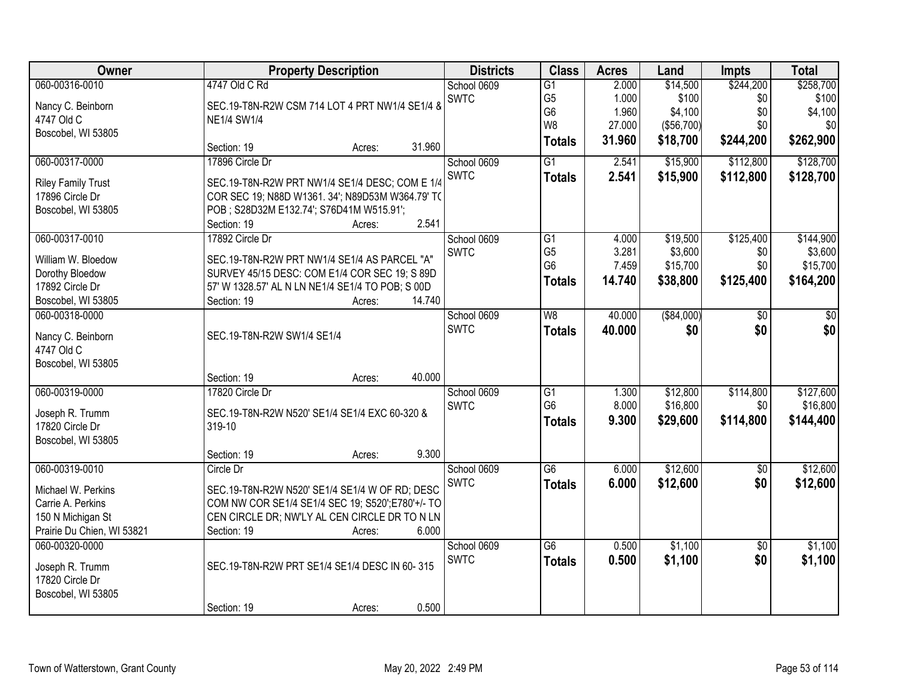| Owner                      |                                          | <b>Property Description</b>                      |             |                 | <b>Acres</b> | Land        | <b>Impts</b>    | <b>Total</b> |
|----------------------------|------------------------------------------|--------------------------------------------------|-------------|-----------------|--------------|-------------|-----------------|--------------|
| 060-00316-0010             | 4747 Old C Rd                            |                                                  | School 0609 | $\overline{G1}$ | 2.000        | \$14,500    | \$244,200       | \$258,700    |
| Nancy C. Beinborn          |                                          | SEC.19-T8N-R2W CSM 714 LOT 4 PRT NW1/4 SE1/4 &   | <b>SWTC</b> | G <sub>5</sub>  | 1.000        | \$100       | \$0             | \$100        |
| 4747 Old C                 | <b>NE1/4 SW1/4</b>                       |                                                  |             | G <sub>6</sub>  | 1.960        | \$4,100     | \$0             | \$4,100      |
| Boscobel, WI 53805         |                                          |                                                  |             | W <sub>8</sub>  | 27.000       | (\$56,700)  | \$0             | \$0          |
|                            | Section: 19                              | 31.960<br>Acres:                                 |             | <b>Totals</b>   | 31.960       | \$18,700    | \$244,200       | \$262,900    |
| 060-00317-0000             | 17896 Circle Dr                          |                                                  | School 0609 | $\overline{G1}$ | 2.541        | \$15,900    | \$112,800       | \$128,700    |
| <b>Riley Family Trust</b>  |                                          | SEC.19-T8N-R2W PRT NW1/4 SE1/4 DESC; COM E 1/4   | <b>SWTC</b> | <b>Totals</b>   | 2.541        | \$15,900    | \$112,800       | \$128,700    |
| 17896 Circle Dr            |                                          | COR SEC 19; N88D W1361. 34'; N89D53M W364.79' TO |             |                 |              |             |                 |              |
| Boscobel, WI 53805         | POB; S28D32M E132.74'; S76D41M W515.91'; |                                                  |             |                 |              |             |                 |              |
|                            | Section: 19                              | 2.541<br>Acres:                                  |             |                 |              |             |                 |              |
| 060-00317-0010             | 17892 Circle Dr                          |                                                  | School 0609 | G1              | 4.000        | \$19,500    | \$125,400       | \$144,900    |
| William W. Bloedow         |                                          | SEC.19-T8N-R2W PRT NW1/4 SE1/4 AS PARCEL "A"     | <b>SWTC</b> | G <sub>5</sub>  | 3.281        | \$3,600     | \$0             | \$3,600      |
| Dorothy Bloedow            |                                          | SURVEY 45/15 DESC: COM E1/4 COR SEC 19; S 89D    |             | G <sub>6</sub>  | 7.459        | \$15,700    | \$0             | \$15,700     |
| 17892 Circle Dr            |                                          | 57' W 1328.57' AL N LN NE1/4 SE1/4 TO POB; S 00D |             | <b>Totals</b>   | 14.740       | \$38,800    | \$125,400       | \$164,200    |
| Boscobel, WI 53805         | Section: 19                              | 14.740<br>Acres:                                 |             |                 |              |             |                 |              |
| 060-00318-0000             |                                          |                                                  | School 0609 | W8              | 40.000       | ( \$84,000) | \$0             | \$0          |
|                            |                                          |                                                  | <b>SWTC</b> | <b>Totals</b>   | 40.000       | \$0         | \$0             | \$0          |
| Nancy C. Beinborn          | SEC.19-T8N-R2W SW1/4 SE1/4               |                                                  |             |                 |              |             |                 |              |
| 4747 Old C                 |                                          |                                                  |             |                 |              |             |                 |              |
| Boscobel, WI 53805         | Section: 19                              | 40.000<br>Acres:                                 |             |                 |              |             |                 |              |
| 060-00319-0000             | 17820 Circle Dr                          |                                                  | School 0609 | $\overline{G1}$ | 1.300        | \$12,800    | \$114,800       | \$127,600    |
|                            |                                          |                                                  | <b>SWTC</b> | G <sub>6</sub>  | 8.000        | \$16,800    | \$0             | \$16,800     |
| Joseph R. Trumm            |                                          | SEC.19-T8N-R2W N520' SE1/4 SE1/4 EXC 60-320 &    |             | <b>Totals</b>   | 9.300        | \$29,600    | \$114,800       | \$144,400    |
| 17820 Circle Dr            | 319-10                                   |                                                  |             |                 |              |             |                 |              |
| Boscobel, WI 53805         |                                          |                                                  |             |                 |              |             |                 |              |
|                            | Section: 19                              | 9.300<br>Acres:                                  |             |                 |              |             |                 |              |
| 060-00319-0010             | Circle Dr                                |                                                  | School 0609 | $\overline{G6}$ | 6.000        | \$12,600    | $\overline{50}$ | \$12,600     |
| Michael W. Perkins         |                                          | SEC.19-T8N-R2W N520' SE1/4 SE1/4 W OF RD; DESC   | SWTC        | <b>Totals</b>   | 6.000        | \$12,600    | \$0             | \$12,600     |
| Carrie A. Perkins          |                                          | COM NW COR SE1/4 SE1/4 SEC 19; S520';E780'+/- TO |             |                 |              |             |                 |              |
| 150 N Michigan St          |                                          | CEN CIRCLE DR; NW'LY AL CEN CIRCLE DR TO N LN    |             |                 |              |             |                 |              |
| Prairie Du Chien, WI 53821 | Section: 19                              | 6.000<br>Acres:                                  |             |                 |              |             |                 |              |
| 060-00320-0000             |                                          |                                                  | School 0609 | $\overline{G6}$ | 0.500        | \$1,100     | $\overline{50}$ | \$1,100      |
| Joseph R. Trumm            |                                          | SEC.19-T8N-R2W PRT SE1/4 SE1/4 DESC IN 60-315    | <b>SWTC</b> | <b>Totals</b>   | 0.500        | \$1,100     | \$0             | \$1,100      |
| 17820 Circle Dr            |                                          |                                                  |             |                 |              |             |                 |              |
| Boscobel, WI 53805         |                                          |                                                  |             |                 |              |             |                 |              |
|                            | Section: 19                              | 0.500<br>Acres:                                  |             |                 |              |             |                 |              |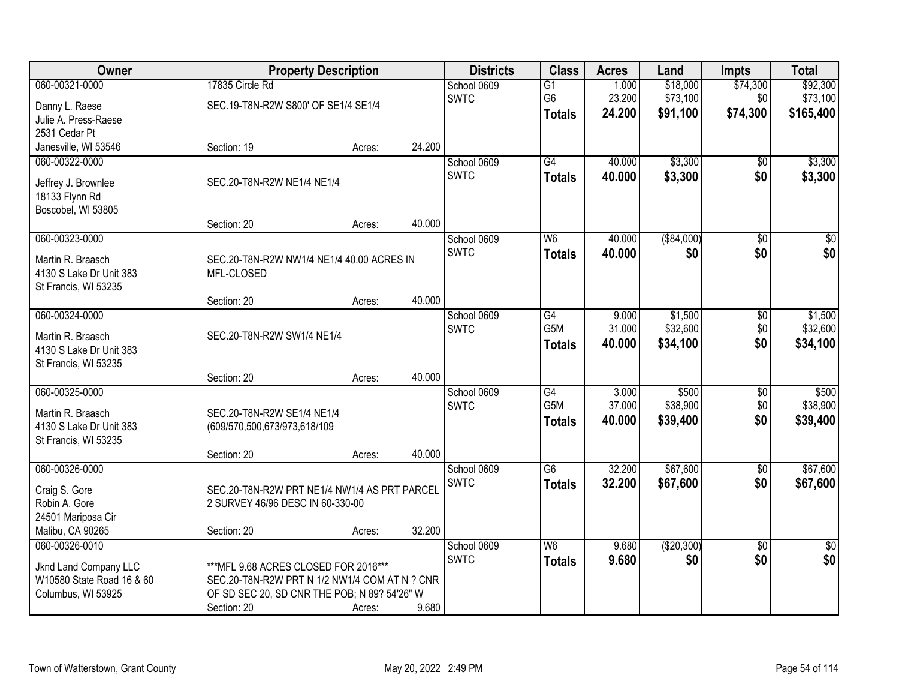| Owner                     | <b>Property Description</b>                   |        |        | <b>Districts</b> | <b>Class</b>     | <b>Acres</b> | Land        | <b>Impts</b>    | <b>Total</b>    |
|---------------------------|-----------------------------------------------|--------|--------|------------------|------------------|--------------|-------------|-----------------|-----------------|
| 060-00321-0000            | 17835 Circle Rd                               |        |        | School 0609      | $\overline{G1}$  | 1.000        | \$18,000    | \$74,300        | \$92,300        |
| Danny L. Raese            | SEC.19-T8N-R2W S800' OF SE1/4 SE1/4           |        |        | <b>SWTC</b>      | G <sub>6</sub>   | 23.200       | \$73,100    | \$0             | \$73,100        |
| Julie A. Press-Raese      |                                               |        |        |                  | <b>Totals</b>    | 24.200       | \$91,100    | \$74,300        | \$165,400       |
| 2531 Cedar Pt             |                                               |        |        |                  |                  |              |             |                 |                 |
| Janesville, WI 53546      | Section: 19                                   | Acres: | 24.200 |                  |                  |              |             |                 |                 |
| 060-00322-0000            |                                               |        |        | School 0609      | G4               | 40.000       | \$3,300     | \$0             | \$3,300         |
| Jeffrey J. Brownlee       | SEC.20-T8N-R2W NE1/4 NE1/4                    |        |        | <b>SWTC</b>      | <b>Totals</b>    | 40.000       | \$3,300     | \$0             | \$3,300         |
| 18133 Flynn Rd            |                                               |        |        |                  |                  |              |             |                 |                 |
| Boscobel, WI 53805        |                                               |        |        |                  |                  |              |             |                 |                 |
|                           | Section: 20                                   | Acres: | 40.000 |                  |                  |              |             |                 |                 |
| 060-00323-0000            |                                               |        |        | School 0609      | W <sub>6</sub>   | 40.000       | ( \$84,000) | $\overline{50}$ | $\overline{50}$ |
| Martin R. Braasch         | SEC.20-T8N-R2W NW1/4 NE1/4 40.00 ACRES IN     |        |        | <b>SWTC</b>      | <b>Totals</b>    | 40.000       | \$0         | \$0             | \$0             |
| 4130 S Lake Dr Unit 383   | MFL-CLOSED                                    |        |        |                  |                  |              |             |                 |                 |
| St Francis, WI 53235      |                                               |        |        |                  |                  |              |             |                 |                 |
|                           | Section: 20                                   | Acres: | 40.000 |                  |                  |              |             |                 |                 |
| 060-00324-0000            |                                               |        |        | School 0609      | G4               | 9.000        | \$1,500     | \$0             | \$1,500         |
| Martin R. Braasch         | SEC.20-T8N-R2W SW1/4 NE1/4                    |        |        | <b>SWTC</b>      | G5M              | 31.000       | \$32,600    | \$0             | \$32,600        |
| 4130 S Lake Dr Unit 383   |                                               |        |        |                  | <b>Totals</b>    | 40.000       | \$34,100    | \$0             | \$34,100        |
| St Francis, WI 53235      |                                               |        |        |                  |                  |              |             |                 |                 |
|                           | Section: 20                                   | Acres: | 40.000 |                  |                  |              |             |                 |                 |
| 060-00325-0000            |                                               |        |        | School 0609      | G4               | 3.000        | \$500       | $\overline{50}$ | \$500           |
| Martin R. Braasch         | SEC.20-T8N-R2W SE1/4 NE1/4                    |        |        | <b>SWTC</b>      | G <sub>5</sub> M | 37.000       | \$38,900    | \$0             | \$38,900        |
| 4130 S Lake Dr Unit 383   | (609/570,500,673/973,618/109                  |        |        |                  | <b>Totals</b>    | 40.000       | \$39,400    | \$0             | \$39,400        |
| St Francis, WI 53235      |                                               |        |        |                  |                  |              |             |                 |                 |
|                           | Section: 20                                   | Acres: | 40.000 |                  |                  |              |             |                 |                 |
| 060-00326-0000            |                                               |        |        | School 0609      | $\overline{G6}$  | 32.200       | \$67,600    | $\overline{60}$ | \$67,600        |
| Craig S. Gore             | SEC.20-T8N-R2W PRT NE1/4 NW1/4 AS PRT PARCEL  |        |        | <b>SWTC</b>      | <b>Totals</b>    | 32.200       | \$67,600    | \$0             | \$67,600        |
| Robin A. Gore             | 2 SURVEY 46/96 DESC IN 60-330-00              |        |        |                  |                  |              |             |                 |                 |
| 24501 Mariposa Cir        |                                               |        |        |                  |                  |              |             |                 |                 |
| Malibu, CA 90265          | Section: 20                                   | Acres: | 32.200 |                  |                  |              |             |                 |                 |
| 060-00326-0010            |                                               |        |        | School 0609      | W6               | 9.680        | (\$20,300)  | $\overline{30}$ | $\overline{50}$ |
| Jknd Land Company LLC     | *** MFL 9.68 ACRES CLOSED FOR 2016***         |        |        | <b>SWTC</b>      | <b>Totals</b>    | 9.680        | \$0         | \$0             | \$0             |
| W10580 State Road 16 & 60 | SEC.20-T8N-R2W PRT N 1/2 NW1/4 COM AT N ? CNR |        |        |                  |                  |              |             |                 |                 |
| Columbus, WI 53925        | OF SD SEC 20, SD CNR THE POB; N 89? 54'26" W  |        |        |                  |                  |              |             |                 |                 |
|                           | Section: 20                                   | Acres: | 9.680  |                  |                  |              |             |                 |                 |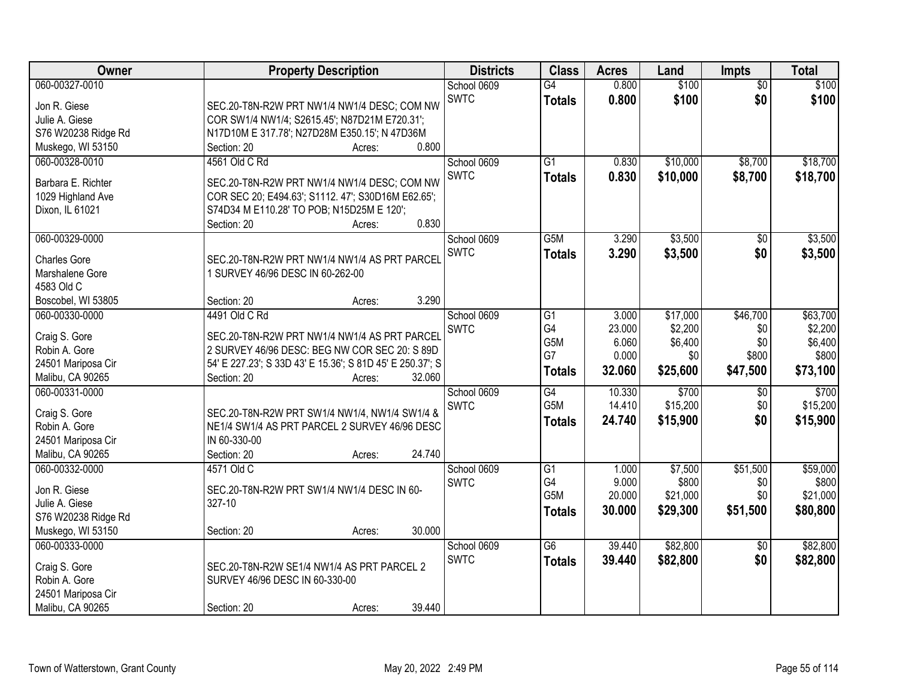| Owner                                | <b>Property Description</b>                                                                     | <b>Districts</b> | <b>Class</b>     | <b>Acres</b> | Land     | <b>Impts</b>    | <b>Total</b> |
|--------------------------------------|-------------------------------------------------------------------------------------------------|------------------|------------------|--------------|----------|-----------------|--------------|
| 060-00327-0010                       |                                                                                                 | School 0609      | $\overline{G4}$  | 0.800        | \$100    | $\overline{50}$ | \$100        |
| Jon R. Giese                         | SEC.20-T8N-R2W PRT NW1/4 NW1/4 DESC; COM NW                                                     | <b>SWTC</b>      | <b>Totals</b>    | 0.800        | \$100    | \$0             | \$100        |
| Julie A. Giese                       | COR SW1/4 NW1/4; S2615.45'; N87D21M E720.31';                                                   |                  |                  |              |          |                 |              |
| S76 W20238 Ridge Rd                  | N17D10M E 317.78'; N27D28M E350.15'; N 47D36M                                                   |                  |                  |              |          |                 |              |
| Muskego, WI 53150                    | 0.800<br>Section: 20<br>Acres:                                                                  |                  |                  |              |          |                 |              |
| 060-00328-0010                       | 4561 Old C Rd                                                                                   | School 0609      | $\overline{G1}$  | 0.830        | \$10,000 | \$8,700         | \$18,700     |
|                                      |                                                                                                 | <b>SWTC</b>      | <b>Totals</b>    | 0.830        | \$10,000 | \$8,700         | \$18,700     |
| Barbara E. Richter                   | SEC.20-T8N-R2W PRT NW1/4 NW1/4 DESC; COM NW                                                     |                  |                  |              |          |                 |              |
| 1029 Highland Ave<br>Dixon, IL 61021 | COR SEC 20; E494.63'; S1112. 47'; S30D16M E62.65';<br>S74D34 M E110.28' TO POB; N15D25M E 120'; |                  |                  |              |          |                 |              |
|                                      | 0.830<br>Section: 20<br>Acres:                                                                  |                  |                  |              |          |                 |              |
| 060-00329-0000                       |                                                                                                 | School 0609      | G <sub>5</sub> M | 3.290        | \$3,500  | \$0             | \$3,500      |
|                                      |                                                                                                 | SWTC             |                  | 3.290        | \$3,500  | \$0             | \$3,500      |
| <b>Charles Gore</b>                  | SEC.20-T8N-R2W PRT NW1/4 NW1/4 AS PRT PARCEL                                                    |                  | <b>Totals</b>    |              |          |                 |              |
| Marshalene Gore                      | 1 SURVEY 46/96 DESC IN 60-262-00                                                                |                  |                  |              |          |                 |              |
| 4583 Old C                           |                                                                                                 |                  |                  |              |          |                 |              |
| Boscobel, WI 53805                   | 3.290<br>Section: 20<br>Acres:                                                                  |                  |                  |              |          |                 |              |
| 060-00330-0000                       | 4491 Old C Rd                                                                                   | School 0609      | G1               | 3.000        | \$17,000 | \$46,700        | \$63,700     |
| Craig S. Gore                        | SEC.20-T8N-R2W PRT NW1/4 NW1/4 AS PRT PARCEL                                                    | <b>SWTC</b>      | G4               | 23.000       | \$2,200  | \$0             | \$2,200      |
| Robin A. Gore                        | 2 SURVEY 46/96 DESC: BEG NW COR SEC 20: S 89D                                                   |                  | G5M              | 6.060        | \$6,400  | \$0             | \$6,400      |
| 24501 Mariposa Cir                   | 54' E 227.23'; S 33D 43' E 15.36'; S 81D 45' E 250.37'; S                                       |                  | G7               | 0.000        | \$0      | \$800           | \$800        |
| Malibu, CA 90265                     | 32.060<br>Section: 20<br>Acres:                                                                 |                  | <b>Totals</b>    | 32.060       | \$25,600 | \$47,500        | \$73,100     |
| 060-00331-0000                       |                                                                                                 | School 0609      | G4               | 10.330       | \$700    | \$0             | \$700        |
|                                      |                                                                                                 | <b>SWTC</b>      | G <sub>5</sub> M | 14.410       | \$15,200 | \$0             | \$15,200     |
| Craig S. Gore                        | SEC.20-T8N-R2W PRT SW1/4 NW1/4, NW1/4 SW1/4 &                                                   |                  | <b>Totals</b>    | 24.740       | \$15,900 | \$0             | \$15,900     |
| Robin A. Gore                        | NE1/4 SW1/4 AS PRT PARCEL 2 SURVEY 46/96 DESC                                                   |                  |                  |              |          |                 |              |
| 24501 Mariposa Cir                   | IN 60-330-00                                                                                    |                  |                  |              |          |                 |              |
| Malibu, CA 90265                     | 24.740<br>Section: 20<br>Acres:                                                                 |                  |                  |              |          |                 |              |
| 060-00332-0000                       | 4571 Old C                                                                                      | School 0609      | G1               | 1.000        | \$7,500  | \$51,500        | \$59,000     |
| Jon R. Giese                         | SEC.20-T8N-R2W PRT SW1/4 NW1/4 DESC IN 60-                                                      | <b>SWTC</b>      | G4               | 9.000        | \$800    | \$0             | \$800        |
| Julie A. Giese                       | 327-10                                                                                          |                  | G5M              | 20.000       | \$21,000 | \$0             | \$21,000     |
| S76 W20238 Ridge Rd                  |                                                                                                 |                  | <b>Totals</b>    | 30.000       | \$29,300 | \$51,500        | \$80,800     |
| Muskego, WI 53150                    | 30.000<br>Section: 20<br>Acres:                                                                 |                  |                  |              |          |                 |              |
| 060-00333-0000                       |                                                                                                 | School 0609      | $\overline{G6}$  | 39.440       | \$82,800 | $\overline{50}$ | \$82,800     |
|                                      |                                                                                                 | <b>SWTC</b>      | <b>Totals</b>    | 39.440       | \$82,800 | \$0             | \$82,800     |
| Craig S. Gore<br>Robin A. Gore       | SEC.20-T8N-R2W SE1/4 NW1/4 AS PRT PARCEL 2<br>SURVEY 46/96 DESC IN 60-330-00                    |                  |                  |              |          |                 |              |
| 24501 Mariposa Cir                   |                                                                                                 |                  |                  |              |          |                 |              |
|                                      |                                                                                                 |                  |                  |              |          |                 |              |
| Malibu, CA 90265                     | 39.440<br>Section: 20<br>Acres:                                                                 |                  |                  |              |          |                 |              |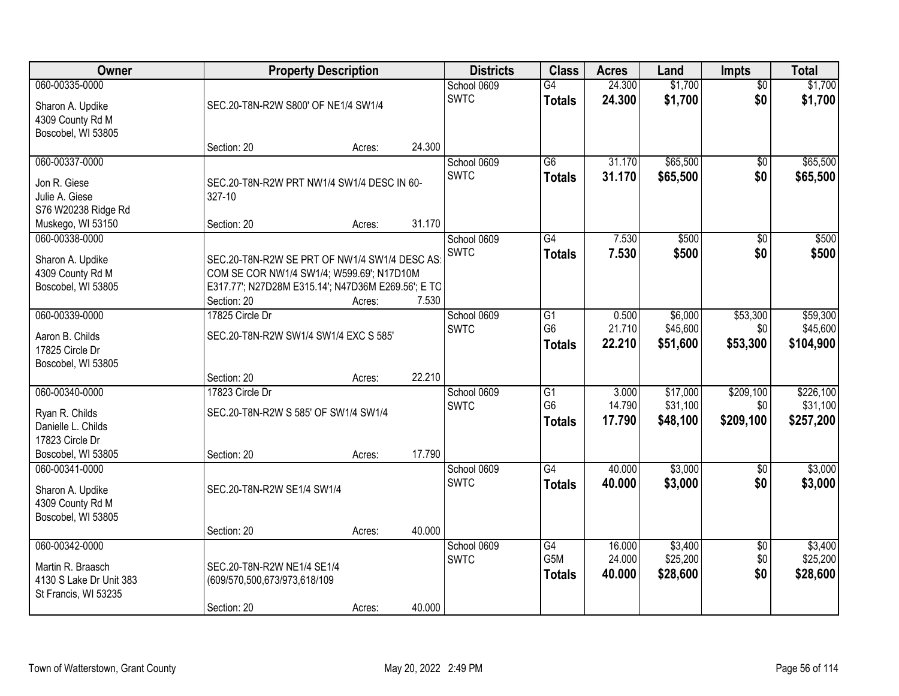| Owner                                                                                             | <b>Property Description</b>                                                                                                                                                    |                  |                 | <b>Districts</b>           | <b>Class</b>                                       | <b>Acres</b>               | Land                             | <b>Impts</b>                  | <b>Total</b>                       |
|---------------------------------------------------------------------------------------------------|--------------------------------------------------------------------------------------------------------------------------------------------------------------------------------|------------------|-----------------|----------------------------|----------------------------------------------------|----------------------------|----------------------------------|-------------------------------|------------------------------------|
| 060-00335-0000<br>Sharon A. Updike<br>4309 County Rd M                                            | SEC.20-T8N-R2W S800' OF NE1/4 SW1/4                                                                                                                                            |                  |                 | School 0609<br><b>SWTC</b> | G4<br><b>Totals</b>                                | 24.300<br>24.300           | \$1,700<br>\$1,700               | $\overline{50}$<br>\$0        | \$1,700<br>\$1,700                 |
| Boscobel, WI 53805                                                                                | Section: 20                                                                                                                                                                    | Acres:           | 24.300          |                            |                                                    |                            |                                  |                               |                                    |
| 060-00337-0000<br>Jon R. Giese<br>Julie A. Giese<br>S76 W20238 Ridge Rd                           | SEC.20-T8N-R2W PRT NW1/4 SW1/4 DESC IN 60-<br>327-10                                                                                                                           |                  |                 | School 0609<br><b>SWTC</b> | $\overline{G6}$<br><b>Totals</b>                   | 31.170<br>31.170           | \$65,500<br>\$65,500             | \$0<br>\$0                    | \$65,500<br>\$65,500               |
| Muskego, WI 53150<br>060-00338-0000<br>Sharon A. Updike<br>4309 County Rd M<br>Boscobel, WI 53805 | Section: 20<br>SEC.20-T8N-R2W SE PRT OF NW1/4 SW1/4 DESC AS:<br>COM SE COR NW1/4 SW1/4; W599.69'; N17D10M<br>E317.77'; N27D28M E315.14'; N47D36M E269.56'; E TO<br>Section: 20 | Acres:<br>Acres: | 31.170<br>7.530 | School 0609<br>SWTC        | G4<br><b>Totals</b>                                | 7.530<br>7.530             | \$500<br>\$500                   | $\overline{50}$<br>\$0        | \$500<br>\$500                     |
| 060-00339-0000<br>Aaron B. Childs<br>17825 Circle Dr<br>Boscobel, WI 53805                        | 17825 Circle Dr<br>SEC.20-T8N-R2W SW1/4 SW1/4 EXC S 585'<br>Section: 20                                                                                                        | Acres:           | 22.210          | School 0609<br><b>SWTC</b> | G1<br>G <sub>6</sub><br><b>Totals</b>              | 0.500<br>21.710<br>22.210  | \$6,000<br>\$45,600<br>\$51,600  | \$53,300<br>\$0<br>\$53,300   | \$59,300<br>\$45,600<br>\$104,900  |
| 060-00340-0000<br>Ryan R. Childs<br>Danielle L. Childs<br>17823 Circle Dr<br>Boscobel, WI 53805   | 17823 Circle Dr<br>SEC.20-T8N-R2W S 585' OF SW1/4 SW1/4<br>Section: 20                                                                                                         | Acres:           | 17.790          | School 0609<br><b>SWTC</b> | $\overline{G1}$<br>G <sub>6</sub><br><b>Totals</b> | 3.000<br>14.790<br>17.790  | \$17,000<br>\$31,100<br>\$48,100 | \$209,100<br>\$0<br>\$209,100 | \$226,100<br>\$31,100<br>\$257,200 |
| 060-00341-0000<br>Sharon A. Updike<br>4309 County Rd M<br>Boscobel, WI 53805                      | SEC.20-T8N-R2W SE1/4 SW1/4<br>Section: 20                                                                                                                                      | Acres:           | 40.000          | School 0609<br><b>SWTC</b> | $\overline{G4}$<br><b>Totals</b>                   | 40.000<br>40.000           | \$3,000<br>\$3,000               | $\sqrt{$0}$<br>\$0            | \$3,000<br>\$3,000                 |
| 060-00342-0000<br>Martin R. Braasch<br>4130 S Lake Dr Unit 383<br>St Francis, WI 53235            | SEC.20-T8N-R2W NE1/4 SE1/4<br>(609/570,500,673/973,618/109<br>Section: 20                                                                                                      | Acres:           | 40.000          | School 0609<br><b>SWTC</b> | $\overline{G4}$<br>G5M<br><b>Totals</b>            | 16.000<br>24.000<br>40.000 | \$3,400<br>\$25,200<br>\$28,600  | $\overline{50}$<br>\$0<br>\$0 | \$3,400<br>\$25,200<br>\$28,600    |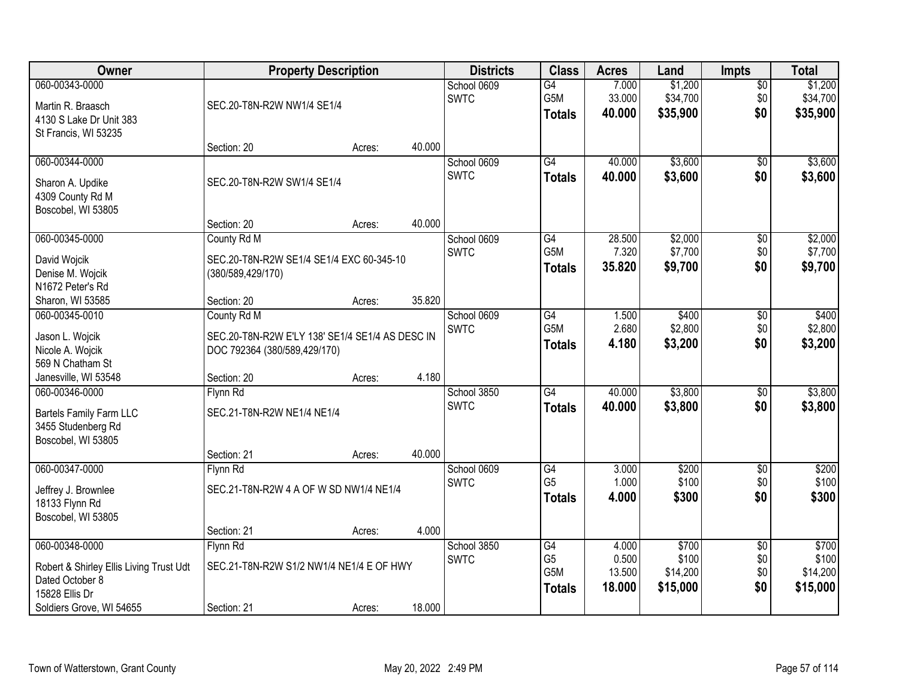| <b>Owner</b>                                                                                                               | <b>Property Description</b>                                                                    |        |        | <b>Districts</b>           | <b>Class</b>                                 | <b>Acres</b>                       | Land                                   | <b>Impts</b>                         | <b>Total</b>                           |
|----------------------------------------------------------------------------------------------------------------------------|------------------------------------------------------------------------------------------------|--------|--------|----------------------------|----------------------------------------------|------------------------------------|----------------------------------------|--------------------------------------|----------------------------------------|
| 060-00343-0000<br>Martin R. Braasch<br>4130 S Lake Dr Unit 383<br>St Francis, WI 53235                                     | SEC.20-T8N-R2W NW1/4 SE1/4                                                                     |        |        | School 0609<br><b>SWTC</b> | $\overline{G4}$<br>G5M<br><b>Totals</b>      | 7.000<br>33.000<br>40.000          | \$1,200<br>\$34,700<br>\$35,900        | $\sqrt{$0}$<br>\$0<br>\$0            | \$1,200<br>\$34,700<br>\$35,900        |
|                                                                                                                            | Section: 20                                                                                    | Acres: | 40.000 |                            |                                              |                                    |                                        |                                      |                                        |
| 060-00344-0000<br>Sharon A. Updike<br>4309 County Rd M<br>Boscobel, WI 53805                                               | SEC.20-T8N-R2W SW1/4 SE1/4                                                                     |        |        | School 0609<br><b>SWTC</b> | $\overline{G4}$<br><b>Totals</b>             | 40.000<br>40.000                   | \$3,600<br>\$3,600                     | \$0<br>\$0                           | \$3,600<br>\$3,600                     |
|                                                                                                                            | Section: 20                                                                                    | Acres: | 40.000 |                            |                                              |                                    |                                        |                                      |                                        |
| 060-00345-0000<br>David Wojcik<br>Denise M. Wojcik<br>N1672 Peter's Rd                                                     | County Rd M<br>SEC.20-T8N-R2W SE1/4 SE1/4 EXC 60-345-10<br>(380/589,429/170)                   |        |        | School 0609<br><b>SWTC</b> | G4<br>G5M<br><b>Totals</b>                   | 28.500<br>7.320<br>35.820          | \$2,000<br>\$7,700<br>\$9,700          | \$0<br>\$0<br>\$0                    | \$2,000<br>\$7,700<br>\$9,700          |
| Sharon, WI 53585                                                                                                           | Section: 20                                                                                    | Acres: | 35.820 |                            |                                              |                                    |                                        |                                      |                                        |
| 060-00345-0010<br>Jason L. Wojcik<br>Nicole A. Wojcik<br>569 N Chatham St                                                  | County Rd M<br>SEC.20-T8N-R2W E'LY 138' SE1/4 SE1/4 AS DESC IN<br>DOC 792364 (380/589,429/170) |        |        | School 0609<br><b>SWTC</b> | G4<br>G5M<br><b>Totals</b>                   | 1.500<br>2.680<br>4.180            | \$400<br>\$2,800<br>\$3,200            | $\sqrt[6]{3}$<br>\$0<br>\$0          | \$400<br>\$2,800<br>\$3,200            |
| Janesville, WI 53548                                                                                                       | Section: 20                                                                                    | Acres: | 4.180  |                            |                                              |                                    |                                        |                                      |                                        |
| 060-00346-0000<br><b>Bartels Family Farm LLC</b><br>3455 Studenberg Rd<br>Boscobel, WI 53805                               | Flynn Rd<br>SEC.21-T8N-R2W NE1/4 NE1/4                                                         |        |        | School 3850<br><b>SWTC</b> | G4<br><b>Totals</b>                          | 40.000<br>40.000                   | \$3,800<br>\$3,800                     | $\overline{50}$<br>\$0               | \$3,800<br>\$3,800                     |
|                                                                                                                            | Section: 21                                                                                    | Acres: | 40.000 |                            |                                              |                                    |                                        |                                      |                                        |
| 060-00347-0000<br>Jeffrey J. Brownlee<br>18133 Flynn Rd<br>Boscobel, WI 53805                                              | Flynn Rd<br>SEC.21-T8N-R2W 4 A OF W SD NW1/4 NE1/4                                             |        |        | School 0609<br><b>SWTC</b> | G4<br>G <sub>5</sub><br><b>Totals</b>        | 3.000<br>1.000<br>4.000            | \$200<br>\$100<br>\$300                | $\sqrt{6}$<br>\$0<br>\$0             | \$200<br>\$100<br>\$300                |
|                                                                                                                            | Section: 21                                                                                    | Acres: | 4.000  |                            |                                              |                                    |                                        |                                      |                                        |
| 060-00348-0000<br>Robert & Shirley Ellis Living Trust Udt<br>Dated October 8<br>15828 Ellis Dr<br>Soldiers Grove, WI 54655 | Flynn Rd<br>SEC.21-T8N-R2W S1/2 NW1/4 NE1/4 E OF HWY<br>Section: 21                            | Acres: | 18.000 | School 3850<br><b>SWTC</b> | G4<br>G <sub>5</sub><br>G5M<br><b>Totals</b> | 4.000<br>0.500<br>13.500<br>18.000 | \$700<br>\$100<br>\$14,200<br>\$15,000 | $\overline{50}$<br>\$0<br>\$0<br>\$0 | \$700<br>\$100<br>\$14,200<br>\$15,000 |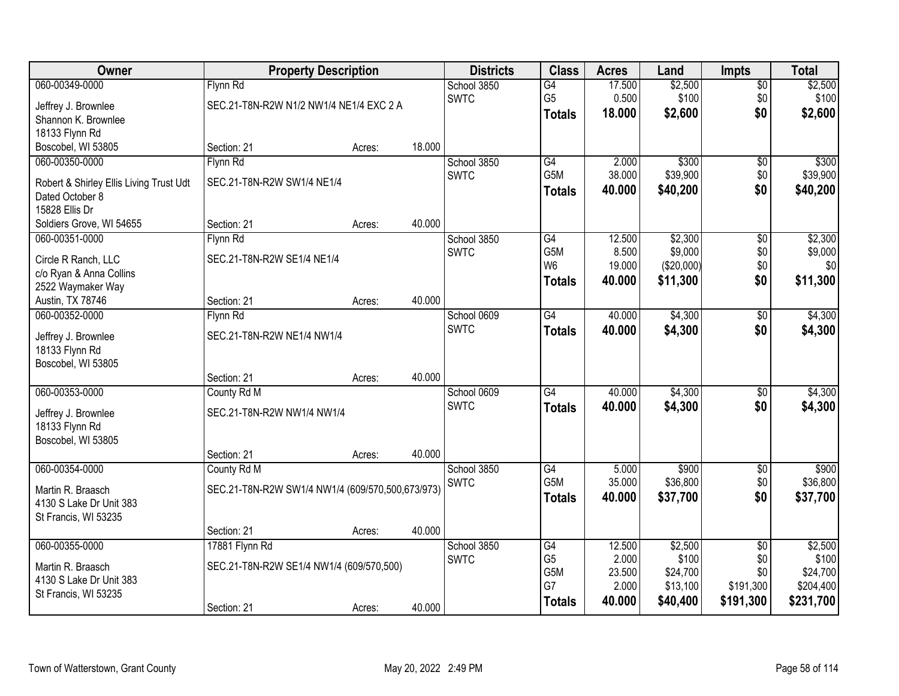| Owner                                   | <b>Property Description</b>                      |        |        | <b>Districts</b> | <b>Class</b>     | <b>Acres</b> | Land       | <b>Impts</b>    | <b>Total</b> |
|-----------------------------------------|--------------------------------------------------|--------|--------|------------------|------------------|--------------|------------|-----------------|--------------|
| 060-00349-0000                          | Flynn Rd                                         |        |        | School 3850      | $\overline{G4}$  | 17.500       | \$2,500    | \$0             | \$2,500      |
| Jeffrey J. Brownlee                     | SEC.21-T8N-R2W N1/2 NW1/4 NE1/4 EXC 2 A          |        |        | <b>SWTC</b>      | G <sub>5</sub>   | 0.500        | \$100      | \$0             | \$100        |
| Shannon K. Brownlee                     |                                                  |        |        |                  | <b>Totals</b>    | 18.000       | \$2,600    | \$0             | \$2,600      |
| 18133 Flynn Rd                          |                                                  |        |        |                  |                  |              |            |                 |              |
| Boscobel, WI 53805                      | Section: 21                                      | Acres: | 18.000 |                  |                  |              |            |                 |              |
| 060-00350-0000                          | Flynn Rd                                         |        |        | School 3850      | G4               | 2.000        | \$300      | \$0             | \$300        |
| Robert & Shirley Ellis Living Trust Udt | SEC.21-T8N-R2W SW1/4 NE1/4                       |        |        | <b>SWTC</b>      | G <sub>5</sub> M | 38.000       | \$39,900   | \$0             | \$39,900     |
| Dated October 8                         |                                                  |        |        |                  | <b>Totals</b>    | 40.000       | \$40,200   | \$0             | \$40,200     |
| 15828 Ellis Dr                          |                                                  |        |        |                  |                  |              |            |                 |              |
| Soldiers Grove, WI 54655                | Section: 21                                      | Acres: | 40.000 |                  |                  |              |            |                 |              |
| 060-00351-0000                          | Flynn Rd                                         |        |        | School 3850      | $\overline{G4}$  | 12.500       | \$2,300    | \$0             | \$2,300      |
| Circle R Ranch, LLC                     | SEC.21-T8N-R2W SE1/4 NE1/4                       |        |        | <b>SWTC</b>      | G5M              | 8.500        | \$9,000    | \$0             | \$9,000      |
| c/o Ryan & Anna Collins                 |                                                  |        |        |                  | W <sub>6</sub>   | 19.000       | (\$20,000) | \$0             | \$0          |
| 2522 Waymaker Way                       |                                                  |        |        |                  | <b>Totals</b>    | 40.000       | \$11,300   | \$0             | \$11,300     |
| Austin, TX 78746                        | Section: 21                                      | Acres: | 40.000 |                  |                  |              |            |                 |              |
| 060-00352-0000                          | Flynn Rd                                         |        |        | School 0609      | G4               | 40.000       | \$4,300    | $\sqrt[6]{3}$   | \$4,300      |
| Jeffrey J. Brownlee                     | SEC.21-T8N-R2W NE1/4 NW1/4                       |        |        | <b>SWTC</b>      | <b>Totals</b>    | 40.000       | \$4,300    | \$0             | \$4,300      |
| 18133 Flynn Rd                          |                                                  |        |        |                  |                  |              |            |                 |              |
| Boscobel, WI 53805                      |                                                  |        |        |                  |                  |              |            |                 |              |
|                                         | Section: 21                                      | Acres: | 40.000 |                  |                  |              |            |                 |              |
| 060-00353-0000                          | County Rd M                                      |        |        | School 0609      | $\overline{G4}$  | 40.000       | \$4,300    | $\overline{50}$ | \$4,300      |
| Jeffrey J. Brownlee                     | SEC.21-T8N-R2W NW1/4 NW1/4                       |        |        | <b>SWTC</b>      | <b>Totals</b>    | 40.000       | \$4,300    | \$0             | \$4,300      |
| 18133 Flynn Rd                          |                                                  |        |        |                  |                  |              |            |                 |              |
| Boscobel, WI 53805                      |                                                  |        |        |                  |                  |              |            |                 |              |
|                                         | Section: 21                                      | Acres: | 40.000 |                  |                  |              |            |                 |              |
| 060-00354-0000                          | County Rd M                                      |        |        | School 3850      | $\overline{G4}$  | 5.000        | \$900      | $\sqrt{6}$      | \$900        |
| Martin R. Braasch                       | SEC.21-T8N-R2W SW1/4 NW1/4 (609/570,500,673/973) |        |        | <b>SWTC</b>      | G <sub>5</sub> M | 35.000       | \$36,800   | \$0             | \$36,800     |
| 4130 S Lake Dr Unit 383                 |                                                  |        |        |                  | <b>Totals</b>    | 40.000       | \$37,700   | \$0             | \$37,700     |
| St Francis, WI 53235                    |                                                  |        |        |                  |                  |              |            |                 |              |
|                                         | Section: 21                                      | Acres: | 40.000 |                  |                  |              |            |                 |              |
| 060-00355-0000                          | 17881 Flynn Rd                                   |        |        | School 3850      | G4               | 12.500       | \$2,500    | $\overline{50}$ | \$2,500      |
| Martin R. Braasch                       | SEC.21-T8N-R2W SE1/4 NW1/4 (609/570,500)         |        |        | <b>SWTC</b>      | G <sub>5</sub>   | 2.000        | \$100      | \$0             | \$100        |
| 4130 S Lake Dr Unit 383                 |                                                  |        |        |                  | G <sub>5</sub> M | 23.500       | \$24,700   | \$0             | \$24,700     |
| St Francis, WI 53235                    |                                                  |        |        |                  | G7               | 2.000        | \$13,100   | \$191,300       | \$204,400    |
|                                         | Section: 21                                      | Acres: | 40.000 |                  | <b>Totals</b>    | 40.000       | \$40,400   | \$191,300       | \$231,700    |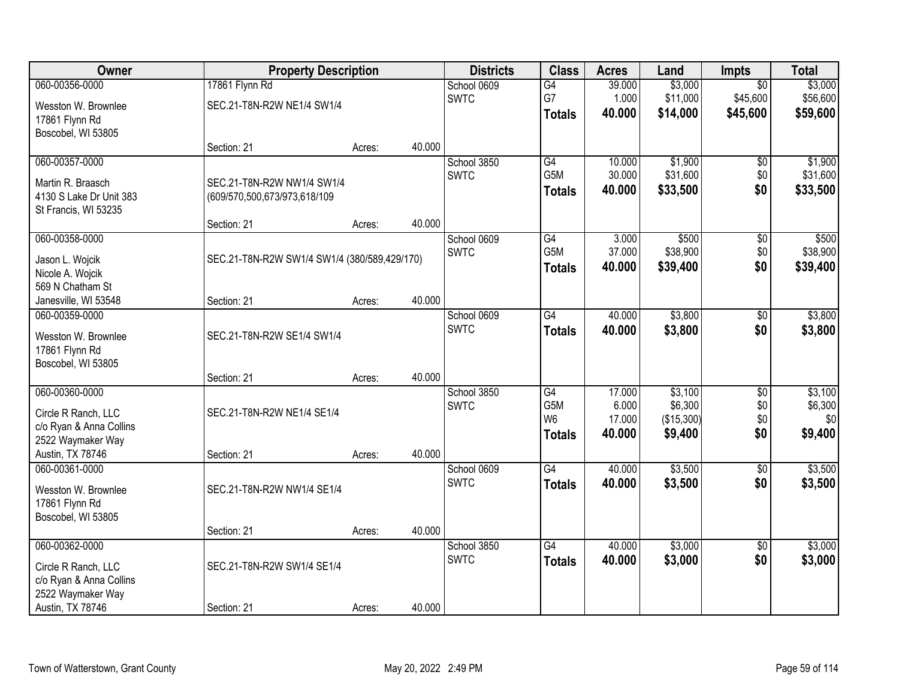| Owner                                                                                                     |                                                            | <b>Property Description</b> |        |                            | <b>Class</b>                                                           | <b>Acres</b>                        | Land                                        | <b>Impts</b>                         | <b>Total</b>                         |
|-----------------------------------------------------------------------------------------------------------|------------------------------------------------------------|-----------------------------|--------|----------------------------|------------------------------------------------------------------------|-------------------------------------|---------------------------------------------|--------------------------------------|--------------------------------------|
| 060-00356-0000                                                                                            | 17861 Flynn Rd                                             |                             |        | School 0609<br><b>SWTC</b> | G4<br>G7                                                               | 39.000<br>1.000                     | \$3,000<br>\$11,000                         | $\overline{50}$<br>\$45,600          | \$3,000<br>\$56,600                  |
| Wesston W. Brownlee<br>17861 Flynn Rd<br>Boscobel, WI 53805                                               | SEC.21-T8N-R2W NE1/4 SW1/4                                 |                             |        |                            | <b>Totals</b>                                                          | 40.000                              | \$14,000                                    | \$45,600                             | \$59,600                             |
|                                                                                                           | Section: 21                                                | Acres:                      | 40.000 |                            |                                                                        |                                     |                                             |                                      |                                      |
| 060-00357-0000<br>Martin R. Braasch<br>4130 S Lake Dr Unit 383                                            | SEC.21-T8N-R2W NW1/4 SW1/4<br>(609/570,500,673/973,618/109 |                             |        | School 3850<br><b>SWTC</b> | G4<br>G5M<br><b>Totals</b>                                             | 10.000<br>30.000<br>40.000          | \$1,900<br>\$31,600<br>\$33,500             | $\overline{50}$<br>\$0<br>\$0        | \$1,900<br>\$31,600<br>\$33,500      |
| St Francis, WI 53235                                                                                      | Section: 21                                                | Acres:                      | 40.000 |                            |                                                                        |                                     |                                             |                                      |                                      |
| 060-00358-0000<br>Jason L. Wojcik<br>Nicole A. Wojcik<br>569 N Chatham St                                 | SEC.21-T8N-R2W SW1/4 SW1/4 (380/589,429/170)               |                             |        | School 0609<br><b>SWTC</b> | G4<br>G5M<br><b>Totals</b>                                             | 3.000<br>37.000<br>40.000           | \$500<br>\$38,900<br>\$39,400               | \$0<br>\$0<br>\$0                    | \$500<br>\$38,900<br>\$39,400        |
| Janesville, WI 53548                                                                                      | Section: 21                                                | Acres:                      | 40.000 |                            |                                                                        |                                     |                                             |                                      |                                      |
| 060-00359-0000<br>Wesston W. Brownlee<br>17861 Flynn Rd<br>Boscobel, WI 53805                             | SEC.21-T8N-R2W SE1/4 SW1/4                                 |                             |        | School 0609<br><b>SWTC</b> | $\overline{G4}$<br><b>Totals</b>                                       | 40.000<br>40.000                    | \$3,800<br>\$3,800                          | \$0<br>\$0                           | \$3,800<br>\$3,800                   |
|                                                                                                           | Section: 21                                                | Acres:                      | 40.000 |                            |                                                                        |                                     |                                             |                                      |                                      |
| 060-00360-0000<br>Circle R Ranch, LLC<br>c/o Ryan & Anna Collins<br>2522 Waymaker Way<br>Austin, TX 78746 | SEC.21-T8N-R2W NE1/4 SE1/4<br>Section: 21                  | Acres:                      | 40.000 | School 3850<br><b>SWTC</b> | $\overline{G4}$<br>G <sub>5</sub> M<br>W <sub>6</sub><br><b>Totals</b> | 17.000<br>6.000<br>17.000<br>40.000 | \$3,100<br>\$6,300<br>(\$15,300)<br>\$9,400 | $\overline{30}$<br>\$0<br>\$0<br>\$0 | \$3,100<br>\$6,300<br>\$0<br>\$9,400 |
| 060-00361-0000<br>Wesston W. Brownlee<br>17861 Flynn Rd<br>Boscobel, WI 53805                             | SEC.21-T8N-R2W NW1/4 SE1/4                                 |                             |        | School 0609<br><b>SWTC</b> | $\overline{G4}$<br><b>Totals</b>                                       | 40.000<br>40.000                    | \$3,500<br>\$3,500                          | $\overline{50}$<br>\$0               | \$3,500<br>\$3,500                   |
|                                                                                                           | Section: 21                                                | Acres:                      | 40.000 |                            |                                                                        |                                     |                                             |                                      |                                      |
| 060-00362-0000<br>Circle R Ranch, LLC<br>c/o Ryan & Anna Collins<br>2522 Waymaker Way                     | SEC.21-T8N-R2W SW1/4 SE1/4                                 |                             |        | School 3850<br><b>SWTC</b> | $\overline{G4}$<br><b>Totals</b>                                       | 40.000<br>40.000                    | \$3,000<br>\$3,000                          | $\overline{50}$<br>\$0               | \$3,000<br>\$3,000                   |
| Austin, TX 78746                                                                                          | Section: 21                                                | Acres:                      | 40.000 |                            |                                                                        |                                     |                                             |                                      |                                      |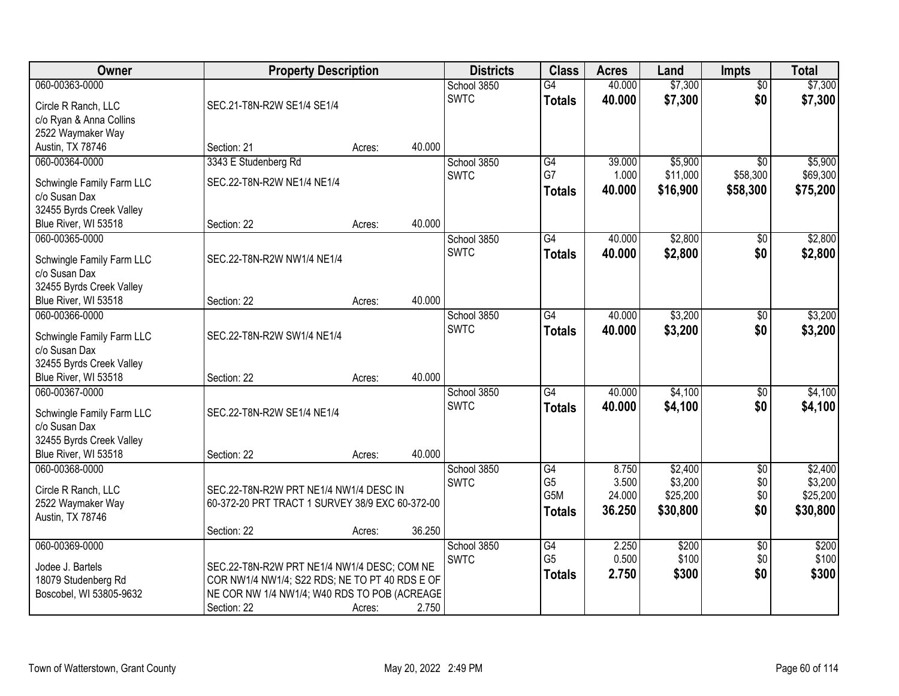| Owner                                          |                                                                                                | <b>Property Description</b> |        |             | <b>Class</b>     | <b>Acres</b> | Land     | <b>Impts</b>    | <b>Total</b> |
|------------------------------------------------|------------------------------------------------------------------------------------------------|-----------------------------|--------|-------------|------------------|--------------|----------|-----------------|--------------|
| 060-00363-0000                                 |                                                                                                |                             |        | School 3850 | $\overline{G4}$  | 40.000       | \$7,300  | $\overline{50}$ | \$7,300      |
| Circle R Ranch, LLC                            | SEC.21-T8N-R2W SE1/4 SE1/4                                                                     |                             |        | <b>SWTC</b> | <b>Totals</b>    | 40.000       | \$7,300  | \$0             | \$7,300      |
| c/o Ryan & Anna Collins                        |                                                                                                |                             |        |             |                  |              |          |                 |              |
| 2522 Waymaker Way                              |                                                                                                |                             |        |             |                  |              |          |                 |              |
| Austin, TX 78746                               | Section: 21                                                                                    | Acres:                      | 40.000 |             |                  |              |          |                 |              |
| 060-00364-0000                                 | 3343 E Studenberg Rd                                                                           |                             |        | School 3850 | $\overline{G4}$  | 39.000       | \$5,900  | $\overline{50}$ | \$5,900      |
| Schwingle Family Farm LLC                      | SEC.22-T8N-R2W NE1/4 NE1/4                                                                     |                             |        | <b>SWTC</b> | G7               | 1.000        | \$11,000 | \$58,300        | \$69,300     |
| c/o Susan Dax                                  |                                                                                                |                             |        |             | <b>Totals</b>    | 40.000       | \$16,900 | \$58,300        | \$75,200     |
| 32455 Byrds Creek Valley                       |                                                                                                |                             |        |             |                  |              |          |                 |              |
| Blue River, WI 53518                           | Section: 22                                                                                    | Acres:                      | 40.000 |             |                  |              |          |                 |              |
| 060-00365-0000                                 |                                                                                                |                             |        | School 3850 | $\overline{G4}$  | 40.000       | \$2,800  | $\sqrt[6]{}$    | \$2,800      |
| Schwingle Family Farm LLC                      | SEC.22-T8N-R2W NW1/4 NE1/4                                                                     |                             |        | <b>SWTC</b> | <b>Totals</b>    | 40.000       | \$2,800  | \$0             | \$2,800      |
| c/o Susan Dax                                  |                                                                                                |                             |        |             |                  |              |          |                 |              |
| 32455 Byrds Creek Valley                       |                                                                                                |                             |        |             |                  |              |          |                 |              |
| Blue River, WI 53518                           | Section: 22                                                                                    | Acres:                      | 40.000 |             |                  |              |          |                 |              |
| 060-00366-0000                                 |                                                                                                |                             |        | School 3850 | G4               | 40.000       | \$3,200  | $\sqrt[6]{3}$   | \$3,200      |
|                                                | SEC.22-T8N-R2W SW1/4 NE1/4                                                                     |                             |        | <b>SWTC</b> | <b>Totals</b>    | 40.000       | \$3,200  | \$0             | \$3,200      |
| Schwingle Family Farm LLC<br>c/o Susan Dax     |                                                                                                |                             |        |             |                  |              |          |                 |              |
| 32455 Byrds Creek Valley                       |                                                                                                |                             |        |             |                  |              |          |                 |              |
| Blue River, WI 53518                           | Section: 22                                                                                    | Acres:                      | 40.000 |             |                  |              |          |                 |              |
| 060-00367-0000                                 |                                                                                                |                             |        | School 3850 | $\overline{G4}$  | 40.000       | \$4,100  | \$0             | \$4,100      |
|                                                |                                                                                                |                             |        | <b>SWTC</b> | <b>Totals</b>    | 40.000       | \$4,100  | \$0             | \$4,100      |
| Schwingle Family Farm LLC<br>c/o Susan Dax     | SEC.22-T8N-R2W SE1/4 NE1/4                                                                     |                             |        |             |                  |              |          |                 |              |
| 32455 Byrds Creek Valley                       |                                                                                                |                             |        |             |                  |              |          |                 |              |
| Blue River, WI 53518                           | Section: 22                                                                                    | Acres:                      | 40.000 |             |                  |              |          |                 |              |
| 060-00368-0000                                 |                                                                                                |                             |        | School 3850 | $\overline{G4}$  | 8.750        | \$2,400  | $\overline{50}$ | \$2,400      |
|                                                |                                                                                                |                             |        | <b>SWTC</b> | G <sub>5</sub>   | 3.500        | \$3,200  | \$0             | \$3,200      |
| Circle R Ranch, LLC                            | SEC.22-T8N-R2W PRT NE1/4 NW1/4 DESC IN                                                         |                             |        |             | G <sub>5</sub> M | 24.000       | \$25,200 | \$0             | \$25,200     |
| 2522 Waymaker Way<br>Austin, TX 78746          | 60-372-20 PRT TRACT 1 SURVEY 38/9 EXC 60-372-00                                                |                             |        |             | <b>Totals</b>    | 36.250       | \$30,800 | \$0             | \$30,800     |
|                                                | Section: 22                                                                                    | Acres:                      | 36.250 |             |                  |              |          |                 |              |
| 060-00369-0000                                 |                                                                                                |                             |        | School 3850 | G4               | 2.250        | \$200    | $\overline{50}$ | \$200        |
|                                                |                                                                                                |                             |        | <b>SWTC</b> | G <sub>5</sub>   | 0.500        | \$100    | \$0             | \$100        |
| Jodee J. Bartels                               | SEC.22-T8N-R2W PRT NE1/4 NW1/4 DESC; COM NE                                                    |                             |        |             | <b>Totals</b>    | 2.750        | \$300    | \$0             | \$300        |
| 18079 Studenberg Rd<br>Boscobel, WI 53805-9632 | COR NW1/4 NW1/4; S22 RDS; NE TO PT 40 RDS E OF<br>NE COR NW 1/4 NW1/4; W40 RDS TO POB (ACREAGE |                             |        |             |                  |              |          |                 |              |
|                                                | Section: 22                                                                                    | Acres:                      | 2.750  |             |                  |              |          |                 |              |
|                                                |                                                                                                |                             |        |             |                  |              |          |                 |              |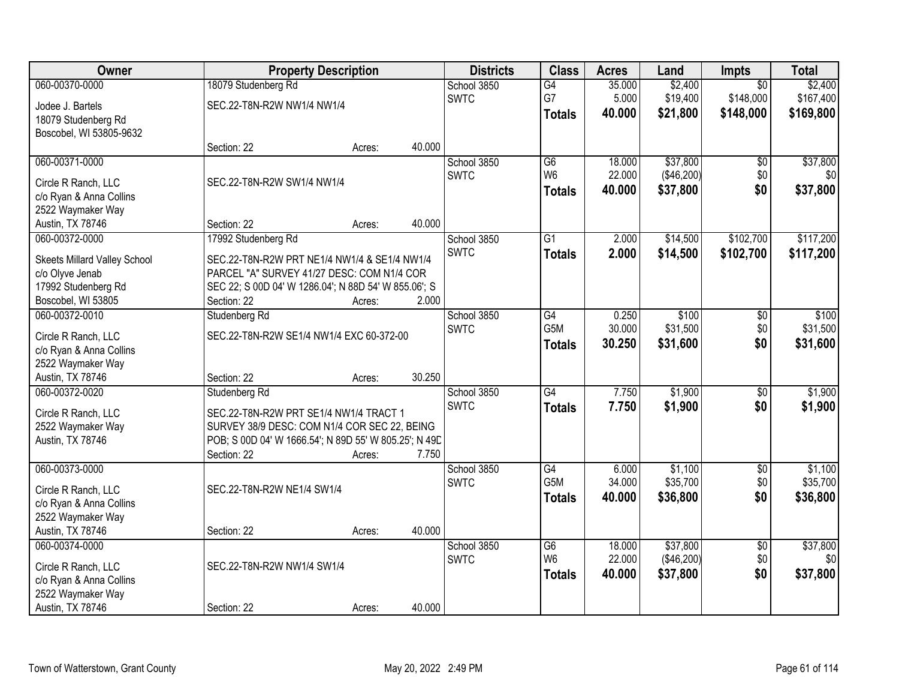| Owner                        | <b>Property Description</b>                           |        |        | <b>Districts</b> | <b>Class</b>    | <b>Acres</b> | Land       | Impts           | <b>Total</b> |
|------------------------------|-------------------------------------------------------|--------|--------|------------------|-----------------|--------------|------------|-----------------|--------------|
| 060-00370-0000               | 18079 Studenberg Rd                                   |        |        | School 3850      | G4              | 35.000       | \$2,400    | $\overline{50}$ | \$2,400      |
| Jodee J. Bartels             | SEC.22-T8N-R2W NW1/4 NW1/4                            |        |        | <b>SWTC</b>      | G7              | 5.000        | \$19,400   | \$148,000       | \$167,400    |
| 18079 Studenberg Rd          |                                                       |        |        |                  | <b>Totals</b>   | 40.000       | \$21,800   | \$148,000       | \$169,800    |
| Boscobel, WI 53805-9632      |                                                       |        |        |                  |                 |              |            |                 |              |
|                              | Section: 22                                           | Acres: | 40.000 |                  |                 |              |            |                 |              |
| 060-00371-0000               |                                                       |        |        | School 3850      | $\overline{G6}$ | 18.000       | \$37,800   | $\overline{50}$ | \$37,800     |
| Circle R Ranch, LLC          | SEC.22-T8N-R2W SW1/4 NW1/4                            |        |        | <b>SWTC</b>      | W <sub>6</sub>  | 22.000       | (\$46,200) | \$0             | \$0          |
| c/o Ryan & Anna Collins      |                                                       |        |        |                  | <b>Totals</b>   | 40.000       | \$37,800   | \$0             | \$37,800     |
| 2522 Waymaker Way            |                                                       |        |        |                  |                 |              |            |                 |              |
| Austin, TX 78746             | Section: 22                                           | Acres: | 40.000 |                  |                 |              |            |                 |              |
| 060-00372-0000               | 17992 Studenberg Rd                                   |        |        | School 3850      | G <sub>1</sub>  | 2.000        | \$14,500   | \$102,700       | \$117,200    |
| Skeets Millard Valley School | SEC.22-T8N-R2W PRT NE1/4 NW1/4 & SE1/4 NW1/4          |        |        | <b>SWTC</b>      | <b>Totals</b>   | 2.000        | \$14,500   | \$102,700       | \$117,200    |
| c/o Olyve Jenab              | PARCEL "A" SURVEY 41/27 DESC: COM N1/4 COR            |        |        |                  |                 |              |            |                 |              |
| 17992 Studenberg Rd          | SEC 22; S 00D 04' W 1286.04'; N 88D 54' W 855.06'; S  |        |        |                  |                 |              |            |                 |              |
| Boscobel, WI 53805           | Section: 22                                           | Acres: | 2.000  |                  |                 |              |            |                 |              |
| 060-00372-0010               | Studenberg Rd                                         |        |        | School 3850      | G4              | 0.250        | \$100      | \$0             | \$100        |
| Circle R Ranch, LLC          | SEC.22-T8N-R2W SE1/4 NW1/4 EXC 60-372-00              |        |        | <b>SWTC</b>      | G5M             | 30.000       | \$31,500   | \$0             | \$31,500     |
| c/o Ryan & Anna Collins      |                                                       |        |        |                  | <b>Totals</b>   | 30.250       | \$31,600   | \$0             | \$31,600     |
| 2522 Waymaker Way            |                                                       |        |        |                  |                 |              |            |                 |              |
| Austin, TX 78746             | Section: 22                                           | Acres: | 30.250 |                  |                 |              |            |                 |              |
| 060-00372-0020               | Studenberg Rd                                         |        |        | School 3850      | $\overline{G4}$ | 7.750        | \$1,900    | $\overline{50}$ | \$1,900      |
| Circle R Ranch, LLC          | SEC.22-T8N-R2W PRT SE1/4 NW1/4 TRACT 1                |        |        | <b>SWTC</b>      | <b>Totals</b>   | 7.750        | \$1,900    | \$0             | \$1,900      |
| 2522 Waymaker Way            | SURVEY 38/9 DESC: COM N1/4 COR SEC 22, BEING          |        |        |                  |                 |              |            |                 |              |
| Austin, TX 78746             | POB; S 00D 04' W 1666.54'; N 89D 55' W 805.25'; N 49D |        |        |                  |                 |              |            |                 |              |
|                              | Section: 22                                           | Acres: | 7.750  |                  |                 |              |            |                 |              |
| 060-00373-0000               |                                                       |        |        | School 3850      | G4              | 6.000        | \$1,100    | $\overline{50}$ | \$1,100      |
| Circle R Ranch, LLC          | SEC.22-T8N-R2W NE1/4 SW1/4                            |        |        | <b>SWTC</b>      | G5M             | 34.000       | \$35,700   | \$0             | \$35,700     |
| c/o Ryan & Anna Collins      |                                                       |        |        |                  | <b>Totals</b>   | 40.000       | \$36,800   | \$0             | \$36,800     |
| 2522 Waymaker Way            |                                                       |        |        |                  |                 |              |            |                 |              |
| Austin, TX 78746             | Section: 22                                           | Acres: | 40.000 |                  |                 |              |            |                 |              |
| 060-00374-0000               |                                                       |        |        | School 3850      | G6              | 18.000       | \$37,800   | $\overline{50}$ | \$37,800     |
| Circle R Ranch, LLC          | SEC.22-T8N-R2W NW1/4 SW1/4                            |        |        | <b>SWTC</b>      | W <sub>6</sub>  | 22.000       | (\$46,200) | \$0             | \$0          |
| c/o Ryan & Anna Collins      |                                                       |        |        |                  | <b>Totals</b>   | 40.000       | \$37,800   | \$0             | \$37,800     |
| 2522 Waymaker Way            |                                                       |        |        |                  |                 |              |            |                 |              |
| Austin, TX 78746             | Section: 22                                           | Acres: | 40.000 |                  |                 |              |            |                 |              |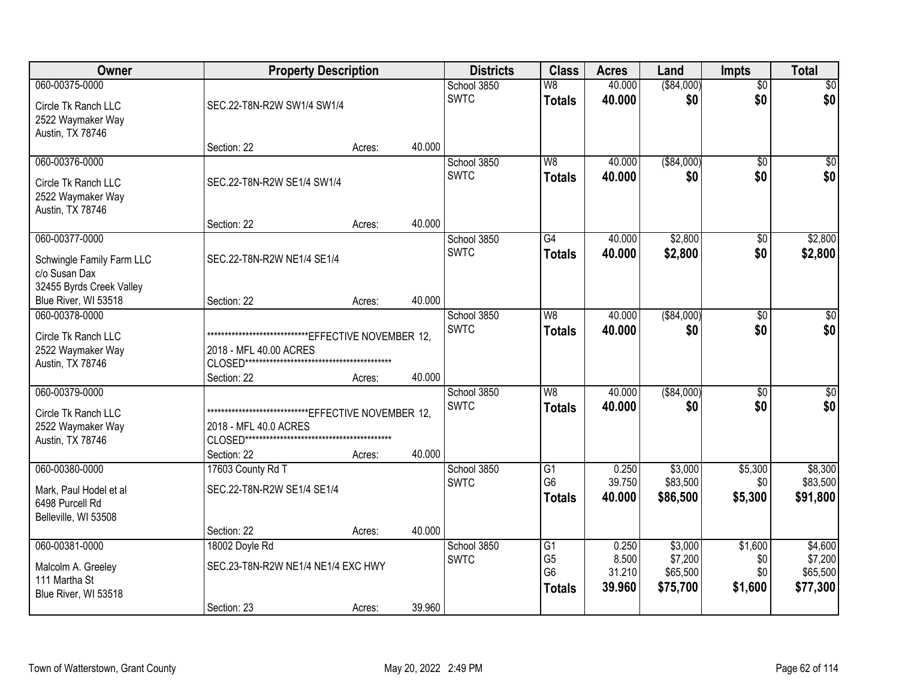| Owner                                            | <b>Property Description</b>        |                                                         |        | <b>Districts</b>           | <b>Class</b>                     | <b>Acres</b>     | Land                | <b>Impts</b>    | <b>Total</b>        |
|--------------------------------------------------|------------------------------------|---------------------------------------------------------|--------|----------------------------|----------------------------------|------------------|---------------------|-----------------|---------------------|
| 060-00375-0000                                   |                                    |                                                         |        | School 3850                | W8                               | 40.000           | ( \$84,000)         | $\overline{50}$ | \$0                 |
| Circle Tk Ranch LLC                              | SEC.22-T8N-R2W SW1/4 SW1/4         |                                                         |        | <b>SWTC</b>                | <b>Totals</b>                    | 40.000           | \$0                 | \$0             | \$0                 |
| 2522 Waymaker Way                                |                                    |                                                         |        |                            |                                  |                  |                     |                 |                     |
| Austin, TX 78746                                 |                                    |                                                         |        |                            |                                  |                  |                     |                 |                     |
|                                                  | Section: 22                        | Acres:                                                  | 40.000 |                            |                                  |                  |                     |                 |                     |
| 060-00376-0000                                   |                                    |                                                         |        | School 3850                | W8                               | 40.000           | ( \$84,000)         | $\overline{50}$ | \$0                 |
| Circle Tk Ranch LLC                              | SEC.22-T8N-R2W SE1/4 SW1/4         |                                                         |        | <b>SWTC</b>                | <b>Totals</b>                    | 40,000           | \$0                 | \$0             | \$0                 |
| 2522 Waymaker Way                                |                                    |                                                         |        |                            |                                  |                  |                     |                 |                     |
| Austin, TX 78746                                 |                                    |                                                         |        |                            |                                  |                  |                     |                 |                     |
|                                                  | Section: 22                        | Acres:                                                  | 40.000 |                            |                                  |                  |                     |                 |                     |
| 060-00377-0000                                   |                                    |                                                         |        | School 3850<br><b>SWTC</b> | $\overline{G4}$                  | 40.000<br>40.000 | \$2,800<br>\$2,800  | \$0<br>\$0      | \$2,800<br>\$2,800  |
| Schwingle Family Farm LLC                        | SEC.22-T8N-R2W NE1/4 SE1/4         |                                                         |        |                            | <b>Totals</b>                    |                  |                     |                 |                     |
| c/o Susan Dax                                    |                                    |                                                         |        |                            |                                  |                  |                     |                 |                     |
| 32455 Byrds Creek Valley<br>Blue River, WI 53518 | Section: 22                        | Acres:                                                  | 40.000 |                            |                                  |                  |                     |                 |                     |
| 060-00378-0000                                   |                                    |                                                         |        | School 3850                | W8                               | 40.000           | ( \$84,000)         | $\sqrt{6}$      | \$0                 |
|                                                  |                                    |                                                         |        | <b>SWTC</b>                | <b>Totals</b>                    | 40,000           | \$0                 | \$0             | \$0                 |
| Circle Tk Ranch LLC                              |                                    | *********************************EFFECTIVE NOVEMBER 12, |        |                            |                                  |                  |                     |                 |                     |
| 2522 Waymaker Way<br>Austin, TX 78746            | 2018 - MFL 40.00 ACRES             |                                                         |        |                            |                                  |                  |                     |                 |                     |
|                                                  | Section: 22                        | Acres:                                                  | 40.000 |                            |                                  |                  |                     |                 |                     |
| 060-00379-0000                                   |                                    |                                                         |        | School 3850                | W8                               | 40.000           | ( \$84,000)         | $\overline{50}$ | $\overline{50}$     |
|                                                  |                                    |                                                         |        | <b>SWTC</b>                | <b>Totals</b>                    | 40.000           | \$0                 | \$0             | \$0                 |
| Circle Tk Ranch LLC<br>2522 Waymaker Way         | 2018 - MFL 40.0 ACRES              |                                                         |        |                            |                                  |                  |                     |                 |                     |
| Austin, TX 78746                                 |                                    |                                                         |        |                            |                                  |                  |                     |                 |                     |
|                                                  | Section: 22                        | Acres:                                                  | 40.000 |                            |                                  |                  |                     |                 |                     |
| 060-00380-0000                                   | 17603 County Rd T                  |                                                         |        | School 3850                | $\overline{G1}$                  | 0.250            | \$3,000             | \$5,300         | \$8,300             |
| Mark, Paul Hodel et al                           | SEC.22-T8N-R2W SE1/4 SE1/4         |                                                         |        | <b>SWTC</b>                | G <sub>6</sub>                   | 39.750           | \$83,500            | \$0             | \$83,500            |
| 6498 Purcell Rd                                  |                                    |                                                         |        |                            | <b>Totals</b>                    | 40.000           | \$86,500            | \$5,300         | \$91,800            |
| Belleville, WI 53508                             |                                    |                                                         |        |                            |                                  |                  |                     |                 |                     |
|                                                  | Section: 22                        | Acres:                                                  | 40.000 |                            |                                  |                  |                     |                 |                     |
| 060-00381-0000                                   | 18002 Doyle Rd                     |                                                         |        | School 3850                | G1                               | 0.250            | \$3,000             | \$1,600         | \$4,600             |
| Malcolm A. Greeley                               | SEC.23-T8N-R2W NE1/4 NE1/4 EXC HWY |                                                         |        | <b>SWTC</b>                | G <sub>5</sub><br>G <sub>6</sub> | 8.500<br>31.210  | \$7,200<br>\$65,500 | \$0<br>\$0      | \$7,200<br>\$65,500 |
| 111 Martha St                                    |                                    |                                                         |        |                            | <b>Totals</b>                    | 39.960           | \$75,700            | \$1,600         | \$77,300            |
| Blue River, WI 53518                             |                                    |                                                         |        |                            |                                  |                  |                     |                 |                     |
|                                                  | Section: 23                        | Acres:                                                  | 39.960 |                            |                                  |                  |                     |                 |                     |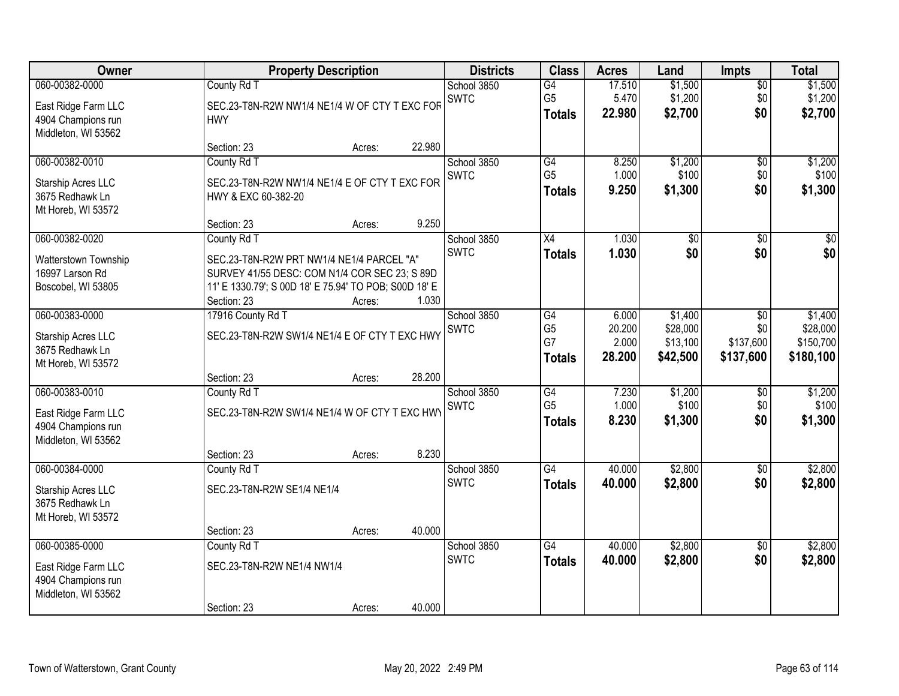| Owner                                 | <b>Property Description</b>                           | <b>Districts</b> | <b>Class</b>               | <b>Acres</b>                      | Land            | <b>Impts</b>         | <b>Total</b>           |                       |
|---------------------------------------|-------------------------------------------------------|------------------|----------------------------|-----------------------------------|-----------------|----------------------|------------------------|-----------------------|
| 060-00382-0000                        | County Rd T                                           |                  | School 3850                | G4                                | 17.510          | \$1,500              | $\overline{50}$        | \$1,500               |
| East Ridge Farm LLC                   | SEC.23-T8N-R2W NW1/4 NE1/4 W OF CTY T EXC FOR         |                  | <b>SWTC</b>                | G <sub>5</sub>                    | 5.470           | \$1,200              | \$0                    | \$1,200               |
| 4904 Champions run                    | <b>HWY</b>                                            |                  |                            | <b>Totals</b>                     | 22,980          | \$2,700              | \$0                    | \$2,700               |
| Middleton, WI 53562                   |                                                       | 22.980           |                            |                                   |                 |                      |                        |                       |
| 060-00382-0010                        | Section: 23<br>Acres:<br>County Rd T                  |                  | School 3850                | G4                                | 8.250           | \$1,200              | \$0                    | \$1,200               |
|                                       |                                                       |                  | <b>SWTC</b>                | G <sub>5</sub>                    | 1.000           | \$100                | \$0                    | \$100                 |
| Starship Acres LLC                    | SEC.23-T8N-R2W NW1/4 NE1/4 E OF CTY T EXC FOR         |                  |                            | <b>Totals</b>                     | 9.250           | \$1,300              | \$0                    | \$1,300               |
| 3675 Redhawk Ln<br>Mt Horeb, WI 53572 | HWY & EXC 60-382-20                                   |                  |                            |                                   |                 |                      |                        |                       |
|                                       | Section: 23<br>Acres:                                 | 9.250            |                            |                                   |                 |                      |                        |                       |
| 060-00382-0020                        | County Rd T                                           |                  | School 3850                | X4                                | 1.030           | \$0                  | \$0                    | \$0                   |
| Watterstown Township                  | SEC.23-T8N-R2W PRT NW1/4 NE1/4 PARCEL "A"             |                  | <b>SWTC</b>                | <b>Totals</b>                     | 1.030           | \$0                  | \$0                    | \$0                   |
| 16997 Larson Rd                       | SURVEY 41/55 DESC: COM N1/4 COR SEC 23; S 89D         |                  |                            |                                   |                 |                      |                        |                       |
| Boscobel, WI 53805                    | 11' E 1330.79'; S 00D 18' E 75.94' TO POB; S00D 18' E |                  |                            |                                   |                 |                      |                        |                       |
|                                       | Section: 23<br>Acres:                                 | 1.030            |                            |                                   |                 |                      |                        |                       |
| 060-00383-0000                        | 17916 County Rd T                                     |                  | School 3850                | G4                                | 6.000           | \$1,400              | \$0                    | \$1,400               |
| Starship Acres LLC                    | SEC.23-T8N-R2W SW1/4 NE1/4 E OF CTY T EXC HWY         |                  | <b>SWTC</b>                | G <sub>5</sub><br>G7              | 20.200<br>2.000 | \$28,000<br>\$13,100 | \$0<br>\$137,600       | \$28,000<br>\$150,700 |
| 3675 Redhawk Ln                       |                                                       |                  |                            | <b>Totals</b>                     | 28.200          | \$42,500             | \$137,600              | \$180,100             |
| Mt Horeb, WI 53572                    |                                                       |                  |                            |                                   |                 |                      |                        |                       |
|                                       | Section: 23<br>Acres:                                 | 28.200           |                            |                                   |                 |                      |                        |                       |
| 060-00383-0010                        | County Rd T                                           |                  | School 3850<br><b>SWTC</b> | $\overline{G4}$<br>G <sub>5</sub> | 7.230<br>1.000  | \$1,200<br>\$100     | $\overline{50}$<br>\$0 | \$1,200<br>\$100      |
| East Ridge Farm LLC                   | SEC.23-T8N-R2W SW1/4 NE1/4 W OF CTY T EXC HWY         |                  |                            | <b>Totals</b>                     | 8.230           | \$1,300              | \$0                    | \$1,300               |
| 4904 Champions run                    |                                                       |                  |                            |                                   |                 |                      |                        |                       |
| Middleton, WI 53562                   | Section: 23<br>Acres:                                 | 8.230            |                            |                                   |                 |                      |                        |                       |
| 060-00384-0000                        | County Rd T                                           |                  | School 3850                | $\overline{G4}$                   | 40.000          | \$2,800              | $\sqrt{6}$             | \$2,800               |
|                                       |                                                       |                  | <b>SWTC</b>                | <b>Totals</b>                     | 40.000          | \$2,800              | \$0                    | \$2,800               |
| Starship Acres LLC<br>3675 Redhawk Ln | SEC.23-T8N-R2W SE1/4 NE1/4                            |                  |                            |                                   |                 |                      |                        |                       |
| Mt Horeb, WI 53572                    |                                                       |                  |                            |                                   |                 |                      |                        |                       |
|                                       | Section: 23<br>Acres:                                 | 40.000           |                            |                                   |                 |                      |                        |                       |
| 060-00385-0000                        | County Rd T                                           |                  | School 3850                | $\overline{G4}$                   | 40.000          | \$2,800              | $\overline{30}$        | \$2,800               |
| East Ridge Farm LLC                   | SEC.23-T8N-R2W NE1/4 NW1/4                            |                  | <b>SWTC</b>                | <b>Totals</b>                     | 40.000          | \$2,800              | \$0                    | \$2,800               |
| 4904 Champions run                    |                                                       |                  |                            |                                   |                 |                      |                        |                       |
| Middleton, WI 53562                   |                                                       |                  |                            |                                   |                 |                      |                        |                       |
|                                       | Section: 23<br>Acres:                                 | 40.000           |                            |                                   |                 |                      |                        |                       |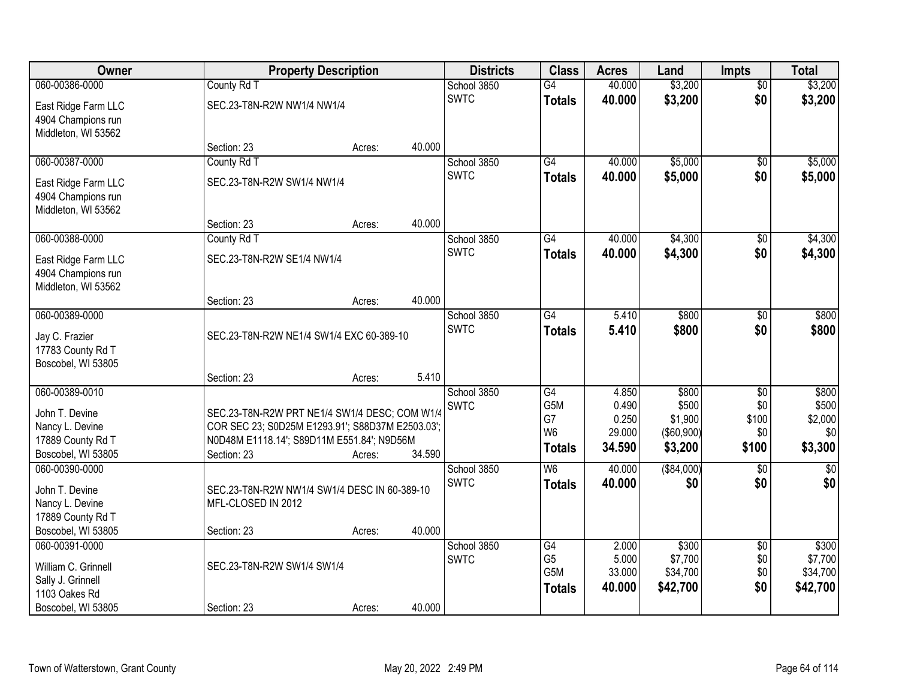| <b>Owner</b>        | <b>Property Description</b>                      |             |               | <b>Districts</b> | <b>Class</b>         | <b>Acres</b>    | Land                         | <b>Impts</b>    | <b>Total</b>     |
|---------------------|--------------------------------------------------|-------------|---------------|------------------|----------------------|-----------------|------------------------------|-----------------|------------------|
| 060-00386-0000      | County Rd T                                      |             |               | School 3850      | $\overline{G4}$      | 40.000          | \$3,200                      | $\overline{50}$ | \$3,200          |
| East Ridge Farm LLC | SEC.23-T8N-R2W NW1/4 NW1/4                       |             |               | <b>SWTC</b>      | <b>Totals</b>        | 40.000          | \$3,200                      | \$0             | \$3,200          |
| 4904 Champions run  |                                                  |             |               |                  |                      |                 |                              |                 |                  |
| Middleton, WI 53562 |                                                  |             |               |                  |                      |                 |                              |                 |                  |
|                     | Section: 23                                      | Acres:      | 40.000        |                  |                      |                 |                              |                 |                  |
| 060-00387-0000      | County Rd T                                      |             |               | School 3850      | G4                   | 40.000          | \$5,000                      | $\overline{50}$ | \$5,000          |
| East Ridge Farm LLC | SEC.23-T8N-R2W SW1/4 NW1/4                       |             |               | <b>SWTC</b>      | <b>Totals</b>        | 40.000          | \$5,000                      | \$0             | \$5,000          |
| 4904 Champions run  |                                                  |             |               |                  |                      |                 |                              |                 |                  |
| Middleton, WI 53562 |                                                  |             |               |                  |                      |                 |                              |                 |                  |
|                     | Section: 23                                      | Acres:      | 40.000        |                  |                      |                 |                              |                 |                  |
| 060-00388-0000      | County Rd T                                      |             |               | School 3850      | G4                   | 40.000          | \$4,300                      | \$0             | \$4,300          |
| East Ridge Farm LLC | SEC.23-T8N-R2W SE1/4 NW1/4                       |             |               | <b>SWTC</b>      | <b>Totals</b>        | 40.000          | \$4,300                      | \$0             | \$4,300          |
| 4904 Champions run  |                                                  |             |               |                  |                      |                 |                              |                 |                  |
| Middleton, WI 53562 |                                                  |             |               |                  |                      |                 |                              |                 |                  |
|                     | Section: 23                                      | Acres:      | 40.000        |                  |                      |                 |                              |                 |                  |
| 060-00389-0000      |                                                  |             |               | School 3850      | $\overline{G4}$      | 5.410           | \$800                        | \$0             | \$800            |
| Jay C. Frazier      | SEC.23-T8N-R2W NE1/4 SW1/4 EXC 60-389-10         | <b>SWTC</b> | <b>Totals</b> | 5.410            | \$800                | \$0             | \$800                        |                 |                  |
| 17783 County Rd T   |                                                  |             |               |                  |                      |                 |                              |                 |                  |
| Boscobel, WI 53805  |                                                  |             |               |                  |                      |                 |                              |                 |                  |
|                     | Section: 23                                      | Acres:      | 5.410         |                  |                      |                 |                              |                 |                  |
| 060-00389-0010      |                                                  |             |               | School 3850      | $\overline{G4}$      | 4.850           | \$800                        | \$0             | \$800            |
| John T. Devine      | SEC.23-T8N-R2W PRT NE1/4 SW1/4 DESC; COM W1/4    |             |               | <b>SWTC</b>      | G5M                  | 0.490           | \$500                        | \$0             | \$500            |
| Nancy L. Devine     | COR SEC 23; S0D25M E1293.91'; S88D37M E2503.03'; |             |               |                  | G7<br>W <sub>6</sub> | 0.250<br>29.000 | \$1,900<br>$($ \$60,900) $ $ | \$100<br>\$0    | \$2,000<br>\$0   |
| 17889 County Rd T   | N0D48M E1118.14'; S89D11M E551.84'; N9D56M       |             |               |                  |                      | 34.590          | \$3,200                      | \$100           | \$3,300          |
| Boscobel, WI 53805  | Section: 23                                      | Acres:      | 34.590        |                  | <b>Totals</b>        |                 |                              |                 |                  |
| 060-00390-0000      |                                                  |             |               | School 3850      | W <sub>6</sub>       | 40.000          | ( \$84,000)                  | $\overline{30}$ | $\overline{\$0}$ |
| John T. Devine      | SEC.23-T8N-R2W NW1/4 SW1/4 DESC IN 60-389-10     |             |               | <b>SWTC</b>      | <b>Totals</b>        | 40.000          | \$0                          | \$0             | \$0              |
| Nancy L. Devine     | MFL-CLOSED IN 2012                               |             |               |                  |                      |                 |                              |                 |                  |
| 17889 County Rd T   |                                                  |             |               |                  |                      |                 |                              |                 |                  |
| Boscobel, WI 53805  | Section: 23                                      | Acres:      | 40.000        |                  |                      |                 |                              |                 |                  |
| 060-00391-0000      |                                                  |             |               | School 3850      | G4                   | 2.000           | \$300                        | $\overline{50}$ | \$300            |
| William C. Grinnell | SEC.23-T8N-R2W SW1/4 SW1/4                       |             |               | <b>SWTC</b>      | G <sub>5</sub>       | 5.000           | \$7,700                      | \$0             | \$7,700          |
| Sally J. Grinnell   |                                                  |             |               |                  | G <sub>5</sub> M     | 33.000          | \$34,700                     | \$0             | \$34,700         |
| 1103 Oakes Rd       |                                                  |             |               |                  | <b>Totals</b>        | 40.000          | \$42,700                     | \$0             | \$42,700         |
| Boscobel, WI 53805  | Section: 23                                      | Acres:      | 40.000        |                  |                      |                 |                              |                 |                  |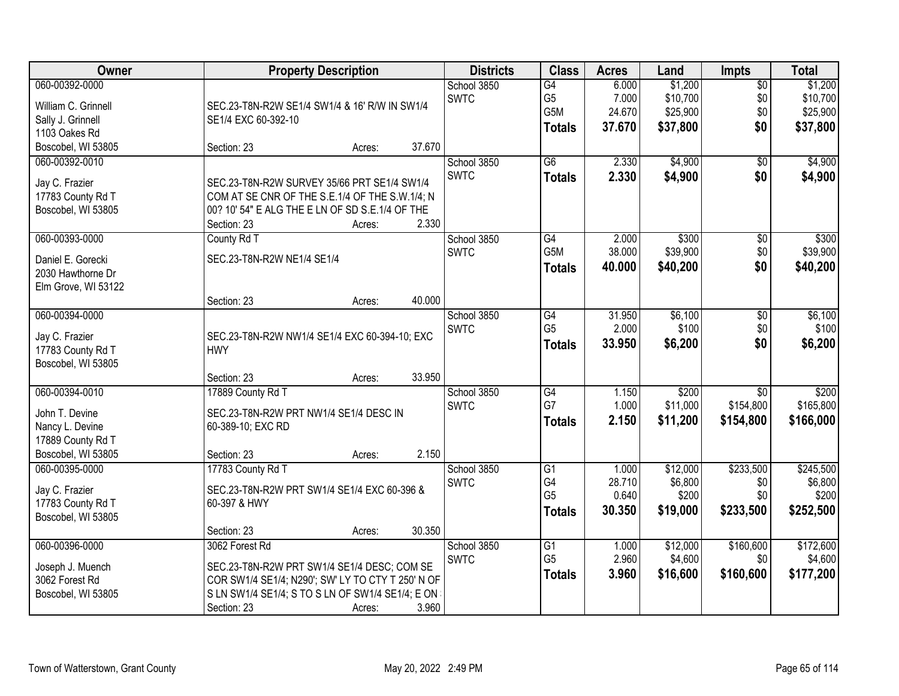| Owner                                                                                          | <b>Property Description</b>                                                                                                                                                                              | <b>Districts</b>           | <b>Class</b>                                              | <b>Acres</b>                       | Land                                        | <b>Impts</b>                              | <b>Total</b>                                |
|------------------------------------------------------------------------------------------------|----------------------------------------------------------------------------------------------------------------------------------------------------------------------------------------------------------|----------------------------|-----------------------------------------------------------|------------------------------------|---------------------------------------------|-------------------------------------------|---------------------------------------------|
| 060-00392-0000<br>William C. Grinnell<br>Sally J. Grinnell<br>1103 Oakes Rd                    | SEC.23-T8N-R2W SE1/4 SW1/4 & 16' R/W IN SW1/4<br>SE1/4 EXC 60-392-10                                                                                                                                     | School 3850<br><b>SWTC</b> | $\overline{G4}$<br>G <sub>5</sub><br>G5M<br><b>Totals</b> | 6.000<br>7.000<br>24.670<br>37.670 | \$1,200<br>\$10,700<br>\$25,900<br>\$37,800 | $\overline{50}$<br>\$0<br>\$0<br>\$0      | \$1,200<br>\$10,700<br>\$25,900<br>\$37,800 |
| Boscobel, WI 53805                                                                             | 37.670<br>Section: 23<br>Acres:                                                                                                                                                                          |                            |                                                           |                                    |                                             |                                           |                                             |
| 060-00392-0010<br>Jay C. Frazier<br>17783 County Rd T<br>Boscobel, WI 53805                    | SEC.23-T8N-R2W SURVEY 35/66 PRT SE1/4 SW1/4<br>COM AT SE CNR OF THE S.E.1/4 OF THE S.W.1/4; N<br>00? 10' 54" E ALG THE E LN OF SD S.E.1/4 OF THE<br>2.330<br>Section: 23<br>Acres:                       | School 3850<br><b>SWTC</b> | $\overline{G6}$<br><b>Totals</b>                          | 2.330<br>2.330                     | \$4,900<br>\$4,900                          | $\overline{50}$<br>\$0                    | \$4,900<br>\$4,900                          |
| 060-00393-0000<br>Daniel E. Gorecki<br>2030 Hawthorne Dr<br>Elm Grove, WI 53122                | County Rd T<br>SEC.23-T8N-R2W NE1/4 SE1/4<br>40.000<br>Section: 23<br>Acres:                                                                                                                             | School 3850<br><b>SWTC</b> | G4<br>G5M<br>Totals                                       | 2.000<br>38.000<br>40.000          | \$300<br>\$39,900<br>\$40,200               | $\overline{50}$<br>\$0<br>\$0             | \$300<br>\$39,900<br>\$40,200               |
| 060-00394-0000<br>Jay C. Frazier<br>17783 County Rd T<br>Boscobel, WI 53805                    | SEC.23-T8N-R2W NW1/4 SE1/4 EXC 60-394-10; EXC<br><b>HWY</b><br>33.950<br>Section: 23<br>Acres:                                                                                                           | School 3850<br><b>SWTC</b> | G4<br>G <sub>5</sub><br><b>Totals</b>                     | 31.950<br>2.000<br>33.950          | \$6,100<br>\$100<br>\$6,200                 | \$0<br>\$0<br>\$0                         | \$6,100<br>\$100<br>\$6,200                 |
| 060-00394-0010<br>John T. Devine<br>Nancy L. Devine<br>17889 County Rd T<br>Boscobel, WI 53805 | 17889 County Rd T<br>SEC.23-T8N-R2W PRT NW1/4 SE1/4 DESC IN<br>60-389-10; EXC RD<br>2.150<br>Section: 23<br>Acres:                                                                                       | School 3850<br><b>SWTC</b> | G4<br>G7<br><b>Totals</b>                                 | 1.150<br>1.000<br>2.150            | \$200<br>\$11,000<br>\$11,200               | $\overline{50}$<br>\$154,800<br>\$154,800 | \$200<br>\$165,800<br>\$166,000             |
| 060-00395-0000<br>Jay C. Frazier<br>17783 County Rd T<br>Boscobel, WI 53805                    | 17783 County Rd T<br>SEC.23-T8N-R2W PRT SW1/4 SE1/4 EXC 60-396 &<br>60-397 & HWY<br>30.350<br>Section: 23<br>Acres:                                                                                      | School 3850<br><b>SWTC</b> | $\overline{G1}$<br>G4<br>G <sub>5</sub><br><b>Totals</b>  | 1.000<br>28.710<br>0.640<br>30.350 | \$12,000<br>\$6,800<br>\$200<br>\$19,000    | \$233,500<br>\$0<br>\$0<br>\$233,500      | \$245,500<br>\$6,800<br>\$200<br>\$252,500  |
| 060-00396-0000<br>Joseph J. Muench<br>3062 Forest Rd<br>Boscobel, WI 53805                     | 3062 Forest Rd<br>SEC.23-T8N-R2W PRT SW1/4 SE1/4 DESC; COM SE<br>COR SW1/4 SE1/4; N290'; SW' LY TO CTY T 250' N OF<br>S LN SW1/4 SE1/4; S TO S LN OF SW1/4 SE1/4; E ON<br>3.960<br>Section: 23<br>Acres: | School 3850<br><b>SWTC</b> | $\overline{G1}$<br>G <sub>5</sub><br><b>Totals</b>        | 1.000<br>2.960<br>3.960            | \$12,000<br>\$4,600<br>\$16,600             | \$160,600<br>\$0<br>\$160,600             | \$172,600<br>\$4,600<br>\$177,200           |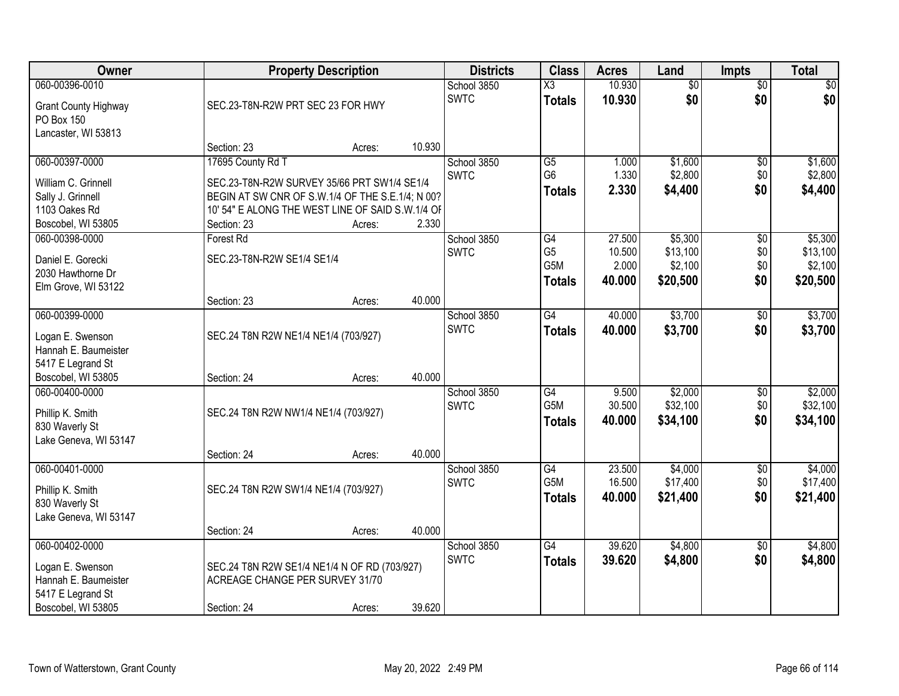| Owner                                                                                                 |                                                                                                                                                                                         | <b>Property Description</b> |        |                            | <b>Class</b>                                              | <b>Acres</b>                        | Land                                       | <b>Impts</b>             | <b>Total</b>                               |
|-------------------------------------------------------------------------------------------------------|-----------------------------------------------------------------------------------------------------------------------------------------------------------------------------------------|-----------------------------|--------|----------------------------|-----------------------------------------------------------|-------------------------------------|--------------------------------------------|--------------------------|--------------------------------------------|
| 060-00396-0010<br><b>Grant County Highway</b><br>PO Box 150<br>Lancaster, WI 53813                    | SEC.23-T8N-R2W PRT SEC 23 FOR HWY                                                                                                                                                       |                             |        | School 3850<br><b>SWTC</b> | $\overline{\text{X3}}$<br><b>Totals</b>                   | 10.930<br>10.930                    | $\overline{50}$<br>\$0                     | $\sqrt{$0}$<br>\$0       | \$0<br>\$0                                 |
|                                                                                                       | Section: 23                                                                                                                                                                             | Acres:                      | 10.930 |                            |                                                           |                                     |                                            |                          |                                            |
| 060-00397-0000<br>William C. Grinnell<br>Sally J. Grinnell<br>1103 Oakes Rd<br>Boscobel, WI 53805     | 17695 County Rd T<br>SEC.23-T8N-R2W SURVEY 35/66 PRT SW1/4 SE1/4<br>BEGIN AT SW CNR OF S.W.1/4 OF THE S.E.1/4; N 00?<br>10' 54" E ALONG THE WEST LINE OF SAID S.W.1/4 OF<br>Section: 23 | Acres:                      | 2.330  | School 3850<br><b>SWTC</b> | G5<br>G <sub>6</sub><br><b>Totals</b>                     | 1.000<br>1.330<br>2.330             | \$1,600<br>\$2,800<br>\$4,400              | \$0<br>\$0<br>\$0        | \$1,600<br>\$2,800<br>\$4,400              |
| 060-00398-0000<br>Daniel E. Gorecki<br>2030 Hawthorne Dr<br>Elm Grove, WI 53122                       | Forest Rd<br>SEC.23-T8N-R2W SE1/4 SE1/4<br>Section: 23                                                                                                                                  | Acres:                      | 40.000 | School 3850<br><b>SWTC</b> | $\overline{G4}$<br>G <sub>5</sub><br>G5M<br><b>Totals</b> | 27.500<br>10.500<br>2.000<br>40.000 | \$5,300<br>\$13,100<br>\$2,100<br>\$20,500 | \$0<br>\$0<br>\$0<br>\$0 | \$5,300<br>\$13,100<br>\$2,100<br>\$20,500 |
| 060-00399-0000<br>Logan E. Swenson<br>Hannah E. Baumeister<br>5417 E Legrand St<br>Boscobel, WI 53805 | SEC.24 T8N R2W NE1/4 NE1/4 (703/927)<br>Section: 24                                                                                                                                     | Acres:                      | 40.000 | School 3850<br><b>SWTC</b> | $\overline{G4}$<br><b>Totals</b>                          | 40.000<br>40.000                    | \$3,700<br>\$3,700                         | \$0<br>\$0               | \$3,700<br>\$3,700                         |
| 060-00400-0000<br>Phillip K. Smith<br>830 Waverly St<br>Lake Geneva, WI 53147                         | SEC.24 T8N R2W NW1/4 NE1/4 (703/927)<br>Section: 24                                                                                                                                     | Acres:                      | 40.000 | School 3850<br><b>SWTC</b> | $\overline{G4}$<br>G <sub>5</sub> M<br><b>Totals</b>      | 9.500<br>30.500<br>40.000           | \$2,000<br>\$32,100<br>\$34,100            | \$0<br>\$0<br>\$0        | \$2,000<br>\$32,100<br>\$34,100            |
| 060-00401-0000<br>Phillip K. Smith<br>830 Waverly St<br>Lake Geneva, WI 53147                         | SEC.24 T8N R2W SW1/4 NE1/4 (703/927)<br>Section: 24                                                                                                                                     | Acres:                      | 40.000 | School 3850<br><b>SWTC</b> | $\overline{G4}$<br>G <sub>5</sub> M<br><b>Totals</b>      | 23.500<br>16.500<br>40.000          | \$4,000<br>\$17,400<br>\$21,400            | $\sqrt{6}$<br>\$0<br>\$0 | \$4,000<br>\$17,400<br>\$21,400            |
| 060-00402-0000<br>Logan E. Swenson<br>Hannah E. Baumeister<br>5417 E Legrand St<br>Boscobel, WI 53805 | SEC.24 T8N R2W SE1/4 NE1/4 N OF RD (703/927)<br>ACREAGE CHANGE PER SURVEY 31/70<br>Section: 24                                                                                          | Acres:                      | 39.620 | School 3850<br><b>SWTC</b> | $\overline{G4}$<br><b>Totals</b>                          | 39.620<br>39.620                    | \$4,800<br>\$4,800                         | $\overline{30}$<br>\$0   | \$4,800<br>\$4,800                         |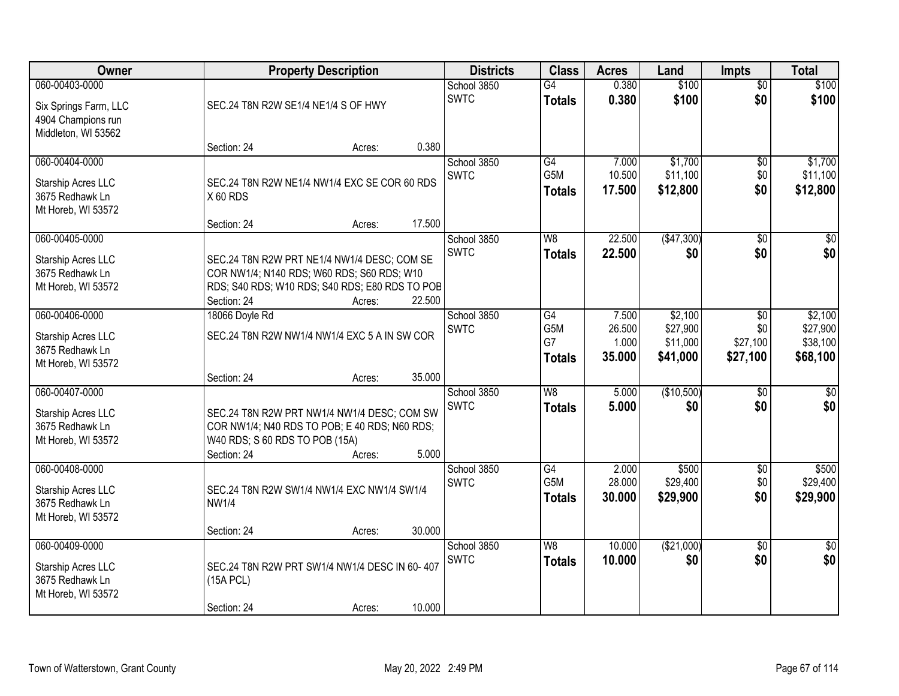| Owner                                                                         | <b>Property Description</b>                                                                                                                                                                                       | <b>Districts</b>           | <b>Class</b>                            | <b>Acres</b>                       | Land                                        | <b>Impts</b>                                 | <b>Total</b>                                |
|-------------------------------------------------------------------------------|-------------------------------------------------------------------------------------------------------------------------------------------------------------------------------------------------------------------|----------------------------|-----------------------------------------|------------------------------------|---------------------------------------------|----------------------------------------------|---------------------------------------------|
| 060-00403-0000<br>Six Springs Farm, LLC<br>4904 Champions run                 | SEC.24 T8N R2W SE1/4 NE1/4 S OF HWY                                                                                                                                                                               | School 3850<br><b>SWTC</b> | $\overline{G4}$<br><b>Totals</b>        | 0.380<br>0.380                     | \$100<br>\$100                              | $\overline{60}$<br>\$0                       | \$100<br>\$100                              |
| Middleton, WI 53562                                                           | 0.380<br>Section: 24<br>Acres:                                                                                                                                                                                    |                            |                                         |                                    |                                             |                                              |                                             |
| 060-00404-0000<br>Starship Acres LLC<br>3675 Redhawk Ln<br>Mt Horeb, WI 53572 | SEC.24 T8N R2W NE1/4 NW1/4 EXC SE COR 60 RDS<br>X60 RDS                                                                                                                                                           | School 3850<br><b>SWTC</b> | G4<br>G <sub>5</sub> M<br><b>Totals</b> | 7.000<br>10.500<br>17.500          | \$1,700<br>\$11,100<br>\$12,800             | \$0<br>\$0<br>\$0                            | \$1,700<br>\$11,100<br>\$12,800             |
| 060-00405-0000<br>Starship Acres LLC<br>3675 Redhawk Ln<br>Mt Horeb, WI 53572 | 17.500<br>Section: 24<br>Acres:<br>SEC.24 T8N R2W PRT NE1/4 NW1/4 DESC; COM SE<br>COR NW1/4; N140 RDS; W60 RDS; S60 RDS; W10<br>RDS; S40 RDS; W10 RDS; S40 RDS; E80 RDS TO POB<br>Section: 24<br>22.500<br>Acres: | School 3850<br><b>SWTC</b> | W8<br><b>Totals</b>                     | 22.500<br>22.500                   | (\$47,300)<br>\$0                           | \$0<br>\$0                                   | $\overline{\$0}$<br>\$0                     |
| 060-00406-0000<br>Starship Acres LLC<br>3675 Redhawk Ln<br>Mt Horeb, WI 53572 | 18066 Doyle Rd<br>SEC.24 T8N R2W NW1/4 NW1/4 EXC 5 A IN SW COR<br>35.000<br>Section: 24<br>Acres:                                                                                                                 | School 3850<br><b>SWTC</b> | G4<br>G5M<br>G7<br><b>Totals</b>        | 7.500<br>26.500<br>1.000<br>35.000 | \$2,100<br>\$27,900<br>\$11,000<br>\$41,000 | $\sqrt[6]{3}$<br>\$0<br>\$27,100<br>\$27,100 | \$2,100<br>\$27,900<br>\$38,100<br>\$68,100 |
| 060-00407-0000<br>Starship Acres LLC<br>3675 Redhawk Ln<br>Mt Horeb, WI 53572 | SEC.24 T8N R2W PRT NW1/4 NW1/4 DESC; COM SW<br>COR NW1/4; N40 RDS TO POB; E 40 RDS; N60 RDS;<br>W40 RDS; S 60 RDS TO POB (15A)<br>5.000<br>Section: 24<br>Acres:                                                  | School 3850<br><b>SWTC</b> | W <sub>8</sub><br><b>Totals</b>         | 5.000<br>5.000                     | (\$10,500)<br>\$0                           | $\overline{50}$<br>\$0                       | $\overline{50}$<br>\$0                      |
| 060-00408-0000<br>Starship Acres LLC<br>3675 Redhawk Ln<br>Mt Horeb, WI 53572 | SEC.24 T8N R2W SW1/4 NW1/4 EXC NW1/4 SW1/4<br><b>NW1/4</b><br>30.000<br>Section: 24<br>Acres:                                                                                                                     | School 3850<br><b>SWTC</b> | G4<br>G <sub>5</sub> M<br><b>Totals</b> | 2.000<br>28.000<br>30.000          | \$500<br>\$29,400<br>\$29,900               | $\sqrt{6}$<br>\$0<br>\$0                     | \$500<br>\$29,400<br>\$29,900               |
| 060-00409-0000<br>Starship Acres LLC<br>3675 Redhawk Ln<br>Mt Horeb, WI 53572 | SEC.24 T8N R2W PRT SW1/4 NW1/4 DESC IN 60-407<br>(15A PCL)<br>10.000<br>Section: 24<br>Acres:                                                                                                                     | School 3850<br><b>SWTC</b> | W8<br><b>Totals</b>                     | 10.000<br>10.000                   | (\$21,000)<br>\$0                           | $\overline{50}$<br>\$0                       | $\overline{50}$<br>\$0                      |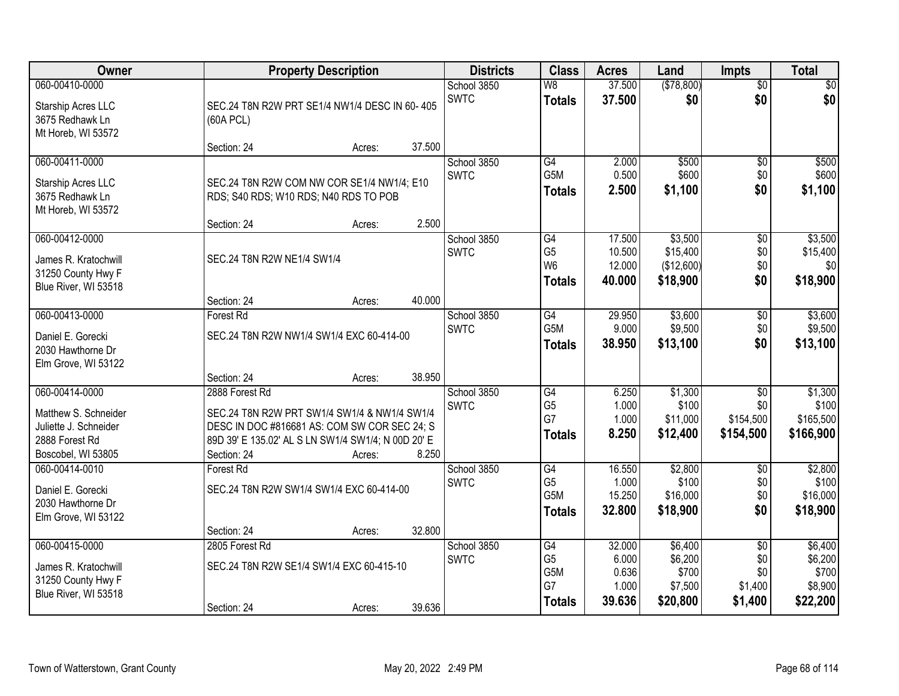| Owner                                                                                                   | <b>Property Description</b>                                                                                                                                                                            | <b>Districts</b>           | <b>Class</b>                                       | <b>Acres</b>                                | Land                                               | <b>Impts</b>                                        | <b>Total</b>                                       |
|---------------------------------------------------------------------------------------------------------|--------------------------------------------------------------------------------------------------------------------------------------------------------------------------------------------------------|----------------------------|----------------------------------------------------|---------------------------------------------|----------------------------------------------------|-----------------------------------------------------|----------------------------------------------------|
| 060-00410-0000<br>Starship Acres LLC<br>3675 Redhawk Ln<br>Mt Horeb, WI 53572                           | SEC.24 T8N R2W PRT SE1/4 NW1/4 DESC IN 60-405<br>(60A PCL)                                                                                                                                             | School 3850<br><b>SWTC</b> | W8<br><b>Totals</b>                                | 37.500<br>37.500                            | (\$78,800)<br>\$0                                  | $\overline{50}$<br>\$0                              | \$0<br>\$0                                         |
|                                                                                                         | 37.500<br>Section: 24<br>Acres:                                                                                                                                                                        |                            |                                                    |                                             |                                                    |                                                     |                                                    |
| 060-00411-0000<br>Starship Acres LLC<br>3675 Redhawk Ln<br>Mt Horeb, WI 53572                           | SEC.24 T8N R2W COM NW COR SE1/4 NW1/4; E10<br>RDS; S40 RDS; W10 RDS; N40 RDS TO POB                                                                                                                    | School 3850<br><b>SWTC</b> | G4<br>G5M<br><b>Totals</b>                         | 2.000<br>0.500<br>2.500                     | \$500<br>\$600<br>\$1,100                          | $\overline{50}$<br>\$0<br>\$0                       | \$500<br>\$600<br>\$1,100                          |
| 060-00412-0000                                                                                          | 2.500<br>Section: 24<br>Acres:                                                                                                                                                                         | School 3850                | G4                                                 | 17.500                                      | \$3,500                                            | \$0                                                 | \$3,500                                            |
| James R. Kratochwill<br>31250 County Hwy F<br>Blue River, WI 53518                                      | SEC.24 T8N R2W NE1/4 SW1/4                                                                                                                                                                             | <b>SWTC</b>                | G <sub>5</sub><br>W <sub>6</sub><br><b>Totals</b>  | 10.500<br>12.000<br>40.000                  | \$15,400<br>(\$12,600)<br>\$18,900                 | \$0<br>\$0<br>\$0                                   | \$15,400<br>\$0<br>\$18,900                        |
|                                                                                                         | 40.000<br>Section: 24<br>Acres:                                                                                                                                                                        |                            |                                                    |                                             |                                                    |                                                     |                                                    |
| 060-00413-0000<br>Daniel E. Gorecki<br>2030 Hawthorne Dr<br>Elm Grove, WI 53122                         | <b>Forest Rd</b><br>SEC.24 T8N R2W NW1/4 SW1/4 EXC 60-414-00                                                                                                                                           | School 3850<br><b>SWTC</b> | G4<br>G5M<br><b>Totals</b>                         | 29.950<br>9.000<br>38.950                   | \$3,600<br>\$9,500<br>\$13,100                     | $\sqrt[6]{3}$<br>\$0<br>\$0                         | \$3,600<br>\$9,500<br>\$13,100                     |
|                                                                                                         | 38.950<br>Section: 24<br>Acres:                                                                                                                                                                        |                            |                                                    |                                             |                                                    |                                                     |                                                    |
| 060-00414-0000<br>Matthew S. Schneider<br>Juliette J. Schneider<br>2888 Forest Rd<br>Boscobel, WI 53805 | 2888 Forest Rd<br>SEC.24 T8N R2W PRT SW1/4 SW1/4 & NW1/4 SW1/4<br>DESC IN DOC #816681 AS: COM SW COR SEC 24; S<br>89D 39' E 135.02' AL S LN SW1/4 SW1/4; N 00D 20' E<br>8.250<br>Section: 24<br>Acres: | School 3850<br><b>SWTC</b> | G4<br>G <sub>5</sub><br>G7<br><b>Totals</b>        | 6.250<br>1.000<br>1.000<br>8.250            | \$1,300<br>\$100<br>\$11,000<br>\$12,400           | $\overline{50}$<br>\$0<br>\$154,500<br>\$154,500    | \$1,300<br>\$100<br>\$165,500<br>\$166,900         |
| 060-00414-0010<br>Daniel E. Gorecki<br>2030 Hawthorne Dr<br>Elm Grove, WI 53122                         | <b>Forest Rd</b><br>SEC.24 T8N R2W SW1/4 SW1/4 EXC 60-414-00<br>32.800<br>Section: 24<br>Acres:                                                                                                        | School 3850<br><b>SWTC</b> | G4<br>G <sub>5</sub><br>G5M<br>Totals              | 16.550<br>1.000<br>15.250<br>32.800         | \$2,800<br>\$100<br>\$16,000<br>\$18,900           | $\overline{50}$<br>\$0<br>\$0<br>\$0                | \$2,800<br>\$100<br>\$16,000<br>\$18,900           |
| 060-00415-0000<br>James R. Kratochwill<br>31250 County Hwy F<br>Blue River, WI 53518                    | 2805 Forest Rd<br>SEC.24 T8N R2W SE1/4 SW1/4 EXC 60-415-10<br>39.636<br>Section: 24<br>Acres:                                                                                                          | School 3850<br><b>SWTC</b> | G4<br>G <sub>5</sub><br>G5M<br>G7<br><b>Totals</b> | 32,000<br>6.000<br>0.636<br>1.000<br>39.636 | \$6,400<br>\$6,200<br>\$700<br>\$7,500<br>\$20,800 | $\overline{50}$<br>\$0<br>\$0<br>\$1,400<br>\$1,400 | \$6,400<br>\$6,200<br>\$700<br>\$8,900<br>\$22,200 |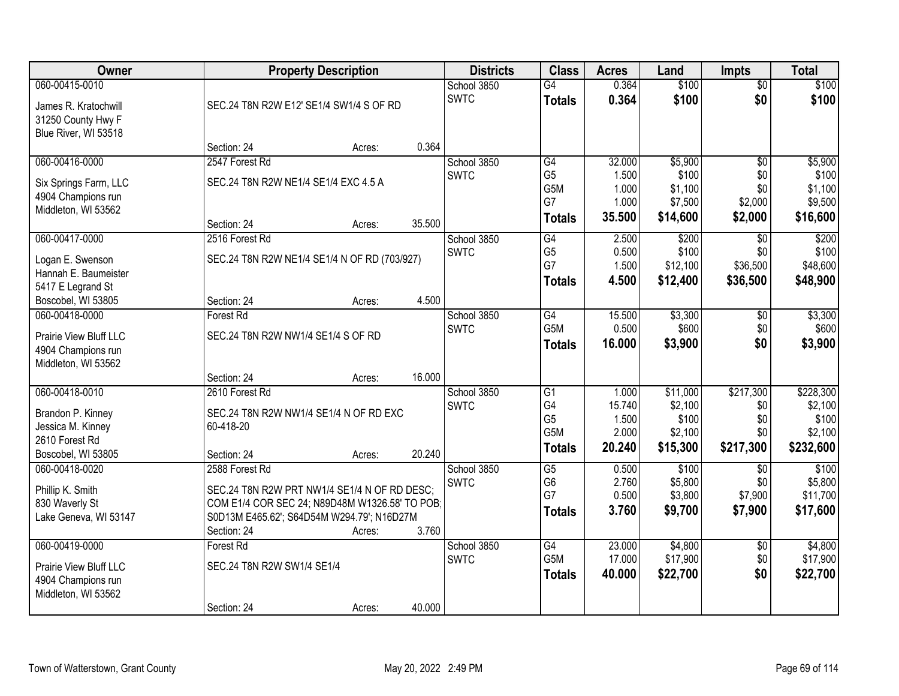| Owner                                     |                                      | <b>Property Description</b>                    |        |                            |                       | <b>Acres</b>   | Land             | <b>Impts</b>    | <b>Total</b>     |
|-------------------------------------------|--------------------------------------|------------------------------------------------|--------|----------------------------|-----------------------|----------------|------------------|-----------------|------------------|
| 060-00415-0010                            |                                      |                                                |        | School 3850                | $\overline{G4}$       | 0.364          | \$100            | $\overline{50}$ | \$100            |
| James R. Kratochwill                      |                                      | SEC.24 T8N R2W E12' SE1/4 SW1/4 S OF RD        |        | <b>SWTC</b>                | <b>Totals</b>         | 0.364          | \$100            | \$0             | \$100            |
| 31250 County Hwy F                        |                                      |                                                |        |                            |                       |                |                  |                 |                  |
| Blue River, WI 53518                      |                                      |                                                |        |                            |                       |                |                  |                 |                  |
|                                           | Section: 24                          | Acres:                                         | 0.364  |                            |                       |                |                  |                 |                  |
| 060-00416-0000                            | 2547 Forest Rd                       |                                                |        | School 3850                | G4                    | 32.000         | \$5,900          | $\overline{50}$ | \$5,900          |
| Six Springs Farm, LLC                     | SEC.24 T8N R2W NE1/4 SE1/4 EXC 4.5 A |                                                |        | <b>SWTC</b>                | G <sub>5</sub><br>G5M | 1.500<br>1.000 | \$100<br>\$1,100 | \$0<br>\$0      | \$100<br>\$1,100 |
| 4904 Champions run                        |                                      |                                                |        |                            | G7                    | 1.000          | \$7,500          | \$2,000         | \$9,500          |
| Middleton, WI 53562                       |                                      |                                                |        |                            | <b>Totals</b>         | 35.500         | \$14,600         | \$2,000         | \$16,600         |
|                                           | Section: 24                          | Acres:                                         | 35.500 |                            |                       |                |                  |                 |                  |
| 060-00417-0000                            | 2516 Forest Rd                       |                                                |        | School 3850<br><b>SWTC</b> | G4<br>G <sub>5</sub>  | 2.500<br>0.500 | \$200<br>\$100   | \$0<br>\$0      | \$200<br>\$100   |
| Logan E. Swenson                          |                                      | SEC.24 T8N R2W NE1/4 SE1/4 N OF RD (703/927)   |        |                            | G7                    | 1.500          | \$12,100         | \$36,500        | \$48,600         |
| Hannah E. Baumeister                      |                                      |                                                |        |                            | <b>Totals</b>         | 4.500          | \$12,400         | \$36,500        | \$48,900         |
| 5417 E Legrand St<br>Boscobel, WI 53805   | Section: 24                          |                                                | 4.500  |                            |                       |                |                  |                 |                  |
| 060-00418-0000                            | <b>Forest Rd</b>                     | Acres:                                         |        | School 3850                | G4                    | 15.500         | \$3,300          | \$0             | \$3,300          |
|                                           |                                      |                                                |        | <b>SWTC</b>                | G5M                   | 0.500          | \$600            | \$0             | \$600            |
| Prairie View Bluff LLC                    | SEC.24 T8N R2W NW1/4 SE1/4 S OF RD   |                                                |        |                            | <b>Totals</b>         | 16.000         | \$3,900          | \$0             | \$3,900          |
| 4904 Champions run<br>Middleton, WI 53562 |                                      |                                                |        |                            |                       |                |                  |                 |                  |
|                                           | Section: 24                          | Acres:                                         | 16.000 |                            |                       |                |                  |                 |                  |
| 060-00418-0010                            | 2610 Forest Rd                       |                                                |        | School 3850                | $\overline{G1}$       | 1.000          | \$11,000         | \$217,300       | \$228,300        |
|                                           |                                      |                                                |        | <b>SWTC</b>                | G4                    | 15.740         | \$2,100          | \$0             | \$2,100          |
| Brandon P. Kinney<br>Jessica M. Kinney    | 60-418-20                            | SEC.24 T8N R2W NW1/4 SE1/4 N OF RD EXC         |        |                            | G <sub>5</sub>        | 1.500          | \$100            | \$0             | \$100            |
| 2610 Forest Rd                            |                                      |                                                |        |                            | G <sub>5</sub> M      | 2.000          | \$2,100          | \$0             | \$2,100          |
| Boscobel, WI 53805                        | Section: 24                          | Acres:                                         | 20.240 |                            | <b>Totals</b>         | 20.240         | \$15,300         | \$217,300       | \$232,600        |
| 060-00418-0020                            | 2588 Forest Rd                       |                                                |        | School 3850                | $\overline{G5}$       | 0.500          | \$100            | \$0             | \$100            |
| Phillip K. Smith                          |                                      | SEC.24 T8N R2W PRT NW1/4 SE1/4 N OF RD DESC;   |        | <b>SWTC</b>                | G <sub>6</sub>        | 2.760          | \$5,800          | \$0             | \$5,800          |
| 830 Waverly St                            |                                      | COM E1/4 COR SEC 24; N89D48M W1326.58' TO POB; |        |                            | G7                    | 0.500          | \$3,800          | \$7,900         | \$11,700         |
| Lake Geneva, WI 53147                     |                                      | S0D13M E465.62'; S64D54M W294.79'; N16D27M     |        |                            | <b>Totals</b>         | 3.760          | \$9,700          | \$7,900         | \$17,600         |
|                                           | Section: 24                          | Acres:                                         | 3.760  |                            |                       |                |                  |                 |                  |
| 060-00419-0000                            | Forest Rd                            |                                                |        | School 3850                | $\overline{G4}$       | 23.000         | \$4,800          | $\overline{50}$ | \$4,800          |
| Prairie View Bluff LLC                    | SEC.24 T8N R2W SW1/4 SE1/4           |                                                |        | <b>SWTC</b>                | G5M                   | 17.000         | \$17,900         | \$0             | \$17,900         |
| 4904 Champions run                        |                                      |                                                |        |                            | <b>Totals</b>         | 40.000         | \$22,700         | \$0             | \$22,700         |
| Middleton, WI 53562                       |                                      |                                                |        |                            |                       |                |                  |                 |                  |
|                                           | Section: 24                          | Acres:                                         | 40.000 |                            |                       |                |                  |                 |                  |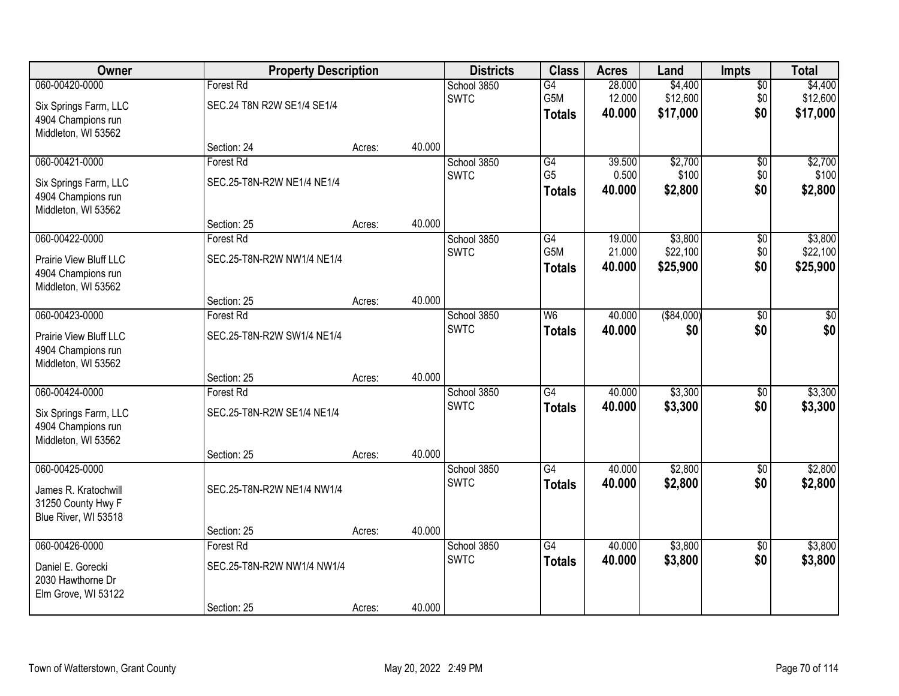| Owner                                                                                        |                                                               | <b>Property Description</b> |        | <b>Districts</b>           | <b>Class</b>                            | <b>Acres</b>               | Land                            | <b>Impts</b>                  | <b>Total</b>                    |
|----------------------------------------------------------------------------------------------|---------------------------------------------------------------|-----------------------------|--------|----------------------------|-----------------------------------------|----------------------------|---------------------------------|-------------------------------|---------------------------------|
| 060-00420-0000<br>Six Springs Farm, LLC<br>4904 Champions run<br>Middleton, WI 53562         | Forest Rd<br>SEC.24 T8N R2W SE1/4 SE1/4                       |                             |        | School 3850<br><b>SWTC</b> | $\overline{G4}$<br>G5M<br><b>Totals</b> | 28.000<br>12.000<br>40.000 | \$4,400<br>\$12,600<br>\$17,000 | $\overline{50}$<br>\$0<br>\$0 | \$4,400<br>\$12,600<br>\$17,000 |
|                                                                                              | Section: 24                                                   | Acres:                      | 40.000 |                            |                                         |                            |                                 |                               |                                 |
| 060-00421-0000<br>Six Springs Farm, LLC<br>4904 Champions run<br>Middleton, WI 53562         | <b>Forest Rd</b><br>SEC.25-T8N-R2W NE1/4 NE1/4                |                             |        | School 3850<br><b>SWTC</b> | G4<br>G <sub>5</sub><br><b>Totals</b>   | 39.500<br>0.500<br>40.000  | \$2,700<br>\$100<br>\$2,800     | $\overline{50}$<br>\$0<br>\$0 | \$2,700<br>\$100<br>\$2,800     |
|                                                                                              | Section: 25                                                   | Acres:                      | 40.000 |                            |                                         |                            |                                 |                               |                                 |
| 060-00422-0000<br><b>Prairie View Bluff LLC</b><br>4904 Champions run<br>Middleton, WI 53562 | Forest Rd<br>SEC.25-T8N-R2W NW1/4 NE1/4                       |                             |        | School 3850<br><b>SWTC</b> | G4<br>G5M<br><b>Totals</b>              | 19.000<br>21.000<br>40.000 | \$3,800<br>\$22,100<br>\$25,900 | $\sqrt[6]{30}$<br>\$0<br>\$0  | \$3,800<br>\$22,100<br>\$25,900 |
|                                                                                              | Section: 25                                                   | Acres:                      | 40.000 |                            |                                         |                            |                                 |                               |                                 |
| 060-00423-0000<br>Prairie View Bluff LLC<br>4904 Champions run<br>Middleton, WI 53562        | Forest Rd<br>SEC.25-T8N-R2W SW1/4 NE1/4                       |                             |        | School 3850<br><b>SWTC</b> | W <sub>6</sub><br><b>Totals</b>         | 40.000<br>40.000           | ( \$84,000)<br>\$0              | \$0<br>\$0                    | \$0<br>\$0                      |
|                                                                                              | Section: 25                                                   | Acres:                      | 40.000 |                            |                                         |                            |                                 |                               |                                 |
| 060-00424-0000<br>Six Springs Farm, LLC<br>4904 Champions run<br>Middleton, WI 53562         | Forest Rd<br>SEC.25-T8N-R2W SE1/4 NE1/4<br>Section: 25        | Acres:                      | 40.000 | School 3850<br><b>SWTC</b> | $\overline{G4}$<br><b>Totals</b>        | 40.000<br>40.000           | \$3,300<br>\$3,300              | $\overline{30}$<br>\$0        | \$3,300<br>\$3,300              |
| 060-00425-0000                                                                               |                                                               |                             |        | School 3850                | $\overline{G4}$                         | 40.000                     | \$2,800                         | $\overline{60}$               | \$2,800                         |
| James R. Kratochwill<br>31250 County Hwy F<br>Blue River, WI 53518                           | SEC.25-T8N-R2W NE1/4 NW1/4                                    |                             |        | <b>SWTC</b>                | <b>Totals</b>                           | 40.000                     | \$2,800                         | \$0                           | \$2,800                         |
|                                                                                              | Section: 25                                                   | Acres:                      | 40.000 |                            |                                         |                            |                                 |                               |                                 |
| 060-00426-0000<br>Daniel E. Gorecki<br>2030 Hawthorne Dr<br>Elm Grove, WI 53122              | <b>Forest Rd</b><br>SEC.25-T8N-R2W NW1/4 NW1/4<br>Section: 25 | Acres:                      | 40.000 | School 3850<br><b>SWTC</b> | $\overline{G4}$<br><b>Totals</b>        | 40.000<br>40.000           | \$3,800<br>\$3,800              | $\overline{50}$<br>\$0        | \$3,800<br>\$3,800              |
|                                                                                              |                                                               |                             |        |                            |                                         |                            |                                 |                               |                                 |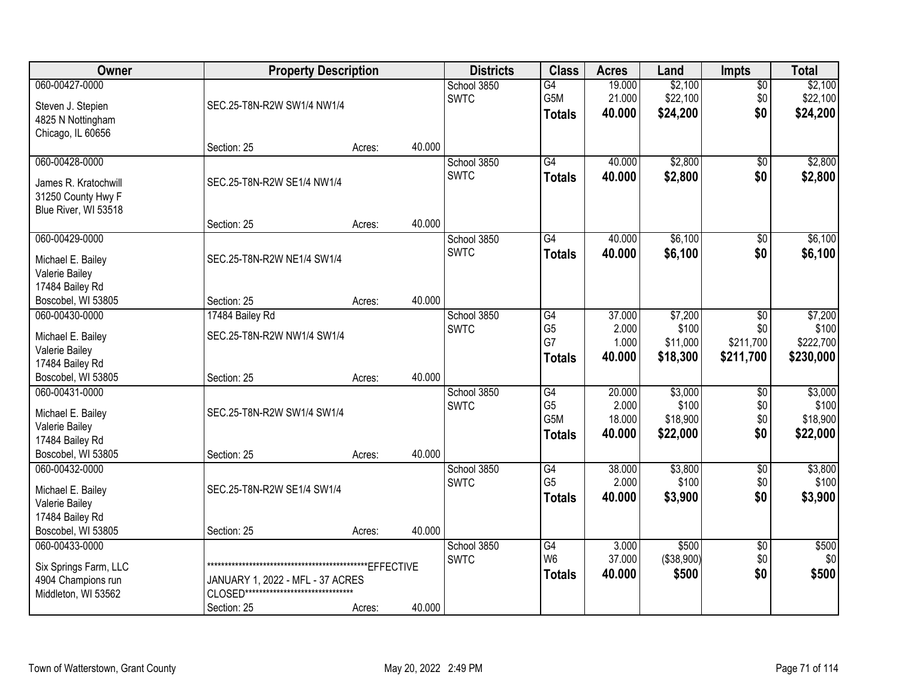| Owner                                                                                          |                                                                                           | <b>Property Description</b> |        |                            | <b>Class</b>                                              | <b>Acres</b>                        | Land                                     | <b>Impts</b>                         | <b>Total</b>                               |
|------------------------------------------------------------------------------------------------|-------------------------------------------------------------------------------------------|-----------------------------|--------|----------------------------|-----------------------------------------------------------|-------------------------------------|------------------------------------------|--------------------------------------|--------------------------------------------|
| 060-00427-0000<br>Steven J. Stepien<br>4825 N Nottingham<br>Chicago, IL 60656                  | SEC.25-T8N-R2W SW1/4 NW1/4                                                                |                             |        | School 3850<br><b>SWTC</b> | G4<br>G5M<br><b>Totals</b>                                | 19.000<br>21.000<br>40.000          | \$2,100<br>\$22,100<br>\$24,200          | $\overline{50}$<br>\$0<br>\$0        | \$2,100<br>\$22,100<br>\$24,200            |
|                                                                                                | Section: 25                                                                               | Acres:                      | 40.000 |                            |                                                           |                                     |                                          |                                      |                                            |
| 060-00428-0000<br>James R. Kratochwill<br>31250 County Hwy F<br>Blue River, WI 53518           | SEC.25-T8N-R2W SE1/4 NW1/4                                                                |                             |        | School 3850<br><b>SWTC</b> | $\overline{G4}$<br><b>Totals</b>                          | 40.000<br>40.000                    | \$2,800<br>\$2,800                       | $\overline{50}$<br>\$0               | \$2,800<br>\$2,800                         |
| 060-00429-0000                                                                                 | Section: 25                                                                               | Acres:                      | 40.000 |                            | $\overline{G4}$                                           | 40.000                              | \$6,100                                  |                                      | \$6,100                                    |
| Michael E. Bailey<br>Valerie Bailey<br>17484 Bailey Rd                                         | SEC.25-T8N-R2W NE1/4 SW1/4                                                                |                             |        | School 3850<br><b>SWTC</b> | <b>Totals</b>                                             | 40.000                              | \$6,100                                  | $\overline{50}$<br>\$0               | \$6,100                                    |
| Boscobel, WI 53805                                                                             | Section: 25                                                                               | Acres:                      | 40.000 |                            |                                                           |                                     |                                          |                                      |                                            |
| 060-00430-0000<br>Michael E. Bailey<br>Valerie Bailey<br>17484 Bailey Rd                       | 17484 Bailey Rd<br>SEC.25-T8N-R2W NW1/4 SW1/4                                             |                             |        | School 3850<br><b>SWTC</b> | G4<br>G <sub>5</sub><br>G7<br><b>Totals</b>               | 37.000<br>2.000<br>1.000<br>40.000  | \$7,200<br>\$100<br>\$11,000<br>\$18,300 | \$0<br>\$0<br>\$211,700<br>\$211,700 | \$7,200<br>\$100<br>\$222,700<br>\$230,000 |
| Boscobel, WI 53805                                                                             | Section: 25                                                                               | Acres:                      | 40.000 |                            |                                                           |                                     |                                          |                                      |                                            |
| 060-00431-0000<br>Michael E. Bailey<br>Valerie Bailey<br>17484 Bailey Rd<br>Boscobel, WI 53805 | SEC.25-T8N-R2W SW1/4 SW1/4<br>Section: 25                                                 | Acres:                      | 40.000 | School 3850<br><b>SWTC</b> | $\overline{G4}$<br>G <sub>5</sub><br>G5M<br><b>Totals</b> | 20.000<br>2.000<br>18.000<br>40.000 | \$3,000<br>\$100<br>\$18,900<br>\$22,000 | $\overline{50}$<br>\$0<br>\$0<br>\$0 | \$3,000<br>\$100<br>\$18,900<br>\$22,000   |
| 060-00432-0000<br>Michael E. Bailey<br>Valerie Bailey<br>17484 Bailey Rd<br>Boscobel, WI 53805 | SEC.25-T8N-R2W SE1/4 SW1/4<br>Section: 25                                                 | Acres:                      | 40.000 | School 3850<br><b>SWTC</b> | G4<br>G <sub>5</sub><br><b>Totals</b>                     | 38.000<br>2.000<br>40.000           | \$3,800<br>\$100<br>\$3,900              | $\sqrt{$0}$<br>\$0<br>\$0            | \$3,800<br>\$100<br>\$3,900                |
| 060-00433-0000<br>Six Springs Farm, LLC<br>4904 Champions run<br>Middleton, WI 53562           | JANUARY 1, 2022 - MFL - 37 ACRES<br>CLOSED********************************<br>Section: 25 | Acres:                      | 40.000 | School 3850<br><b>SWTC</b> | G4<br>W <sub>6</sub><br><b>Totals</b>                     | 3.000<br>37.000<br>40.000           | \$500<br>(\$38,900)<br>\$500             | $\overline{50}$<br>\$0<br>\$0        | \$500<br>\$0<br>\$500                      |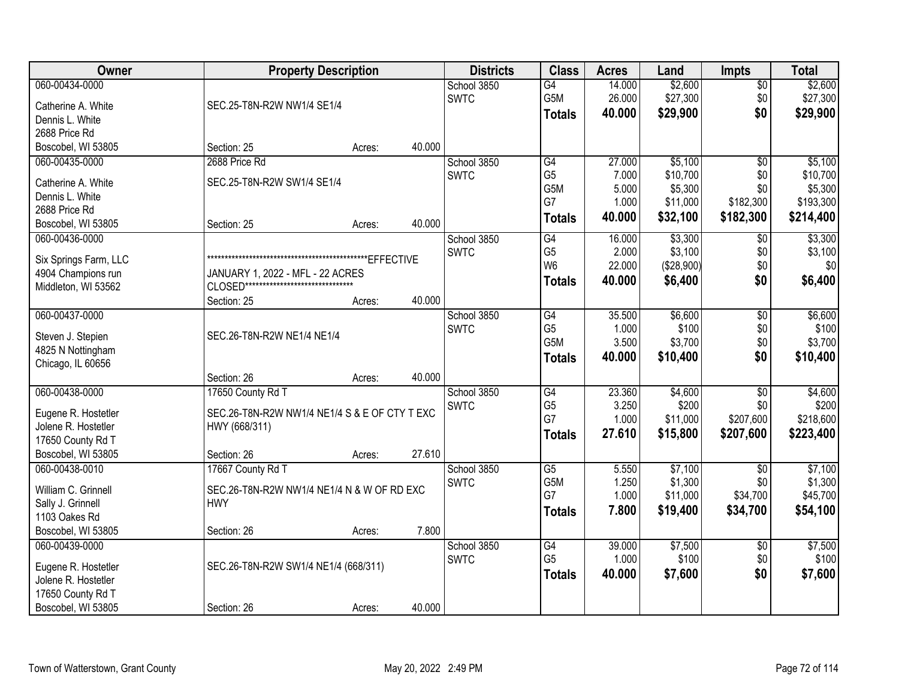| Owner                 | <b>Property Description</b>                   |        |        | <b>Districts</b> | <b>Class</b>    | <b>Acres</b> | Land       | <b>Impts</b>    | <b>Total</b> |
|-----------------------|-----------------------------------------------|--------|--------|------------------|-----------------|--------------|------------|-----------------|--------------|
| 060-00434-0000        |                                               |        |        | School 3850      | $\overline{G4}$ | 14.000       | \$2,600    | \$0             | \$2,600      |
| Catherine A. White    | SEC.25-T8N-R2W NW1/4 SE1/4                    |        |        | <b>SWTC</b>      | G5M             | 26.000       | \$27,300   | \$0             | \$27,300     |
| Dennis L. White       |                                               |        |        |                  | <b>Totals</b>   | 40.000       | \$29,900   | \$0             | \$29,900     |
| 2688 Price Rd         |                                               |        |        |                  |                 |              |            |                 |              |
| Boscobel, WI 53805    | Section: 25                                   | Acres: | 40.000 |                  |                 |              |            |                 |              |
| 060-00435-0000        | 2688 Price Rd                                 |        |        | School 3850      | G4              | 27.000       | \$5,100    | \$0             | \$5,100      |
| Catherine A. White    | SEC.25-T8N-R2W SW1/4 SE1/4                    |        |        | <b>SWTC</b>      | G <sub>5</sub>  | 7.000        | \$10,700   | \$0             | \$10,700     |
| Dennis L. White       |                                               |        |        |                  | G5M             | 5.000        | \$5,300    | \$0             | \$5,300      |
| 2688 Price Rd         |                                               |        |        |                  | G7              | 1.000        | \$11,000   | \$182,300       | \$193,300    |
| Boscobel, WI 53805    | Section: 25                                   | Acres: | 40.000 |                  | <b>Totals</b>   | 40.000       | \$32,100   | \$182,300       | \$214,400    |
| 060-00436-0000        |                                               |        |        | School 3850      | G4              | 16.000       | \$3,300    | $\sqrt[6]{}$    | \$3,300      |
| Six Springs Farm, LLC |                                               |        |        | <b>SWTC</b>      | G <sub>5</sub>  | 2.000        | \$3,100    | \$0             | \$3,100      |
| 4904 Champions run    | JANUARY 1, 2022 - MFL - 22 ACRES              |        |        |                  | W <sub>6</sub>  | 22.000       | (\$28,900) | \$0             | \$0          |
| Middleton, WI 53562   | CLOSED********************************        |        |        |                  | <b>Totals</b>   | 40.000       | \$6,400    | \$0             | \$6,400      |
|                       | Section: 25                                   | Acres: | 40.000 |                  |                 |              |            |                 |              |
| 060-00437-0000        |                                               |        |        | School 3850      | G4              | 35.500       | \$6,600    | $\sqrt[6]{3}$   | \$6,600      |
| Steven J. Stepien     | SEC.26-T8N-R2W NE1/4 NE1/4                    |        |        | <b>SWTC</b>      | G <sub>5</sub>  | 1.000        | \$100      | \$0             | \$100        |
| 4825 N Nottingham     |                                               |        |        |                  | G5M             | 3.500        | \$3,700    | \$0             | \$3,700      |
| Chicago, IL 60656     |                                               |        |        |                  | <b>Totals</b>   | 40.000       | \$10,400   | \$0             | \$10,400     |
|                       | Section: 26                                   | Acres: | 40.000 |                  |                 |              |            |                 |              |
| 060-00438-0000        | 17650 County Rd T                             |        |        | School 3850      | G4              | 23.360       | \$4,600    | $\overline{50}$ | \$4,600      |
| Eugene R. Hostetler   | SEC.26-T8N-R2W NW1/4 NE1/4 S & E OF CTY T EXC |        |        | <b>SWTC</b>      | G <sub>5</sub>  | 3.250        | \$200      | \$0             | \$200        |
| Jolene R. Hostetler   | HWY (668/311)                                 |        |        |                  | G7              | 1.000        | \$11,000   | \$207,600       | \$218,600    |
| 17650 County Rd T     |                                               |        |        |                  | <b>Totals</b>   | 27.610       | \$15,800   | \$207,600       | \$223,400    |
| Boscobel, WI 53805    | Section: 26                                   | Acres: | 27.610 |                  |                 |              |            |                 |              |
| 060-00438-0010        | 17667 County Rd T                             |        |        | School 3850      | $\overline{G5}$ | 5.550        | \$7,100    | $\overline{50}$ | \$7,100      |
| William C. Grinnell   | SEC.26-T8N-R2W NW1/4 NE1/4 N & W OF RD EXC    |        |        | <b>SWTC</b>      | G5M             | 1.250        | \$1,300    | \$0             | \$1,300      |
| Sally J. Grinnell     | <b>HWY</b>                                    |        |        |                  | G7              | 1.000        | \$11,000   | \$34,700        | \$45,700     |
| 1103 Oakes Rd         |                                               |        |        |                  | <b>Totals</b>   | 7.800        | \$19,400   | \$34,700        | \$54,100     |
| Boscobel, WI 53805    | Section: 26                                   | Acres: | 7.800  |                  |                 |              |            |                 |              |
| 060-00439-0000        |                                               |        |        | School 3850      | G4              | 39.000       | \$7,500    | $\overline{50}$ | \$7,500      |
| Eugene R. Hostetler   | SEC.26-T8N-R2W SW1/4 NE1/4 (668/311)          |        |        | <b>SWTC</b>      | G <sub>5</sub>  | 1.000        | \$100      | \$0             | \$100        |
| Jolene R. Hostetler   |                                               |        |        |                  | <b>Totals</b>   | 40.000       | \$7,600    | \$0             | \$7,600      |
| 17650 County Rd T     |                                               |        |        |                  |                 |              |            |                 |              |
| Boscobel, WI 53805    | Section: 26                                   | Acres: | 40.000 |                  |                 |              |            |                 |              |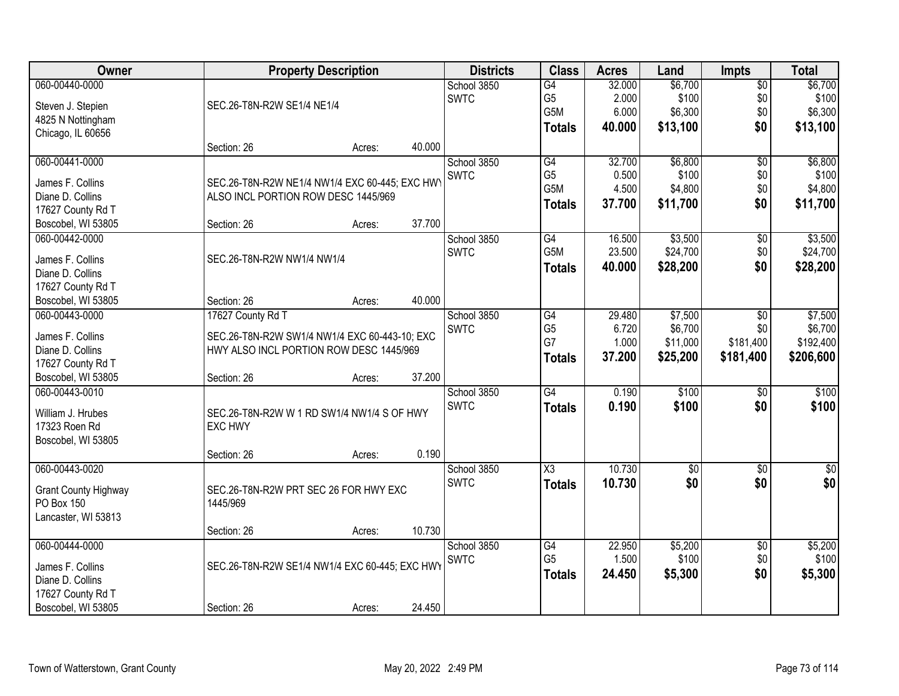| Owner                       | <b>Property Description</b>                    |        |        | <b>Districts</b> | <b>Class</b>           | <b>Acres</b> | Land            | <b>Impts</b>    | <b>Total</b>    |
|-----------------------------|------------------------------------------------|--------|--------|------------------|------------------------|--------------|-----------------|-----------------|-----------------|
| 060-00440-0000              |                                                |        |        | School 3850      | G4                     | 32.000       | \$6,700         | \$0             | \$6,700         |
| Steven J. Stepien           | SEC.26-T8N-R2W SE1/4 NE1/4                     |        |        | <b>SWTC</b>      | G <sub>5</sub>         | 2.000        | \$100           | \$0             | \$100           |
| 4825 N Nottingham           |                                                |        |        |                  | G5M                    | 6.000        | \$6,300         | \$0             | \$6,300         |
| Chicago, IL 60656           |                                                |        |        |                  | <b>Totals</b>          | 40.000       | \$13,100        | \$0             | \$13,100        |
|                             | Section: 26                                    | Acres: | 40.000 |                  |                        |              |                 |                 |                 |
| 060-00441-0000              |                                                |        |        | School 3850      | G4                     | 32.700       | \$6,800         | \$0             | \$6,800         |
|                             |                                                |        |        | <b>SWTC</b>      | G <sub>5</sub>         | 0.500        | \$100           | \$0             | \$100           |
| James F. Collins            | SEC.26-T8N-R2W NE1/4 NW1/4 EXC 60-445; EXC HWY |        |        |                  | G5M                    | 4.500        | \$4,800         | \$0             | \$4,800         |
| Diane D. Collins            | ALSO INCL PORTION ROW DESC 1445/969            |        |        |                  |                        |              |                 | \$0             |                 |
| 17627 County Rd T           |                                                |        |        |                  | <b>Totals</b>          | 37.700       | \$11,700        |                 | \$11,700        |
| Boscobel, WI 53805          | Section: 26                                    | Acres: | 37.700 |                  |                        |              |                 |                 |                 |
| 060-00442-0000              |                                                |        |        | School 3850      | G4                     | 16.500       | \$3,500         | \$0             | \$3,500         |
|                             |                                                |        |        | <b>SWTC</b>      | G5M                    | 23.500       | \$24,700        | \$0             | \$24,700        |
| James F. Collins            | SEC.26-T8N-R2W NW1/4 NW1/4                     |        |        |                  | <b>Totals</b>          | 40.000       | \$28,200        | \$0             | \$28,200        |
| Diane D. Collins            |                                                |        |        |                  |                        |              |                 |                 |                 |
| 17627 County Rd T           |                                                |        | 40.000 |                  |                        |              |                 |                 |                 |
| Boscobel, WI 53805          | Section: 26                                    | Acres: |        |                  |                        |              |                 |                 |                 |
| 060-00443-0000              | 17627 County Rd T                              |        |        | School 3850      | $\overline{G4}$        | 29.480       | \$7,500         | \$0             | \$7,500         |
| James F. Collins            | SEC.26-T8N-R2W SW1/4 NW1/4 EXC 60-443-10; EXC  |        |        | <b>SWTC</b>      | G <sub>5</sub>         | 6.720        | \$6,700         | \$0             | \$6,700         |
| Diane D. Collins            | HWY ALSO INCL PORTION ROW DESC 1445/969        |        |        |                  | G7                     | 1.000        | \$11,000        | \$181,400       | \$192,400       |
| 17627 County Rd T           |                                                |        |        |                  | <b>Totals</b>          | 37.200       | \$25,200        | \$181,400       | \$206,600       |
| Boscobel, WI 53805          | Section: 26                                    | Acres: | 37.200 |                  |                        |              |                 |                 |                 |
| 060-00443-0010              |                                                |        |        | School 3850      | $\overline{G4}$        | 0.190        | \$100           | $\overline{50}$ | \$100           |
|                             |                                                |        |        | <b>SWTC</b>      | <b>Totals</b>          | 0.190        | \$100           | \$0             | \$100           |
| William J. Hrubes           | SEC.26-T8N-R2W W 1 RD SW1/4 NW1/4 S OF HWY     |        |        |                  |                        |              |                 |                 |                 |
| 17323 Roen Rd               | <b>EXC HWY</b>                                 |        |        |                  |                        |              |                 |                 |                 |
| Boscobel, WI 53805          |                                                |        |        |                  |                        |              |                 |                 |                 |
|                             | Section: 26                                    | Acres: | 0.190  |                  |                        |              |                 |                 |                 |
| 060-00443-0020              |                                                |        |        | School 3850      | $\overline{\text{X3}}$ | 10.730       | $\overline{50}$ | $\overline{30}$ | $\overline{50}$ |
| <b>Grant County Highway</b> | SEC.26-T8N-R2W PRT SEC 26 FOR HWY EXC          |        |        | <b>SWTC</b>      | <b>Totals</b>          | 10.730       | \$0             | \$0             | \$0             |
| PO Box 150                  | 1445/969                                       |        |        |                  |                        |              |                 |                 |                 |
| Lancaster, WI 53813         |                                                |        |        |                  |                        |              |                 |                 |                 |
|                             | Section: 26                                    | Acres: | 10.730 |                  |                        |              |                 |                 |                 |
| 060-00444-0000              |                                                |        |        | School 3850      | G4                     | 22.950       | \$5,200         | $\overline{50}$ | \$5,200         |
|                             |                                                |        |        | <b>SWTC</b>      | G <sub>5</sub>         | 1.500        | \$100           | \$0             | \$100           |
| James F. Collins            | SEC.26-T8N-R2W SE1/4 NW1/4 EXC 60-445; EXC HWY |        |        |                  | <b>Totals</b>          | 24.450       | \$5,300         | \$0             | \$5,300         |
| Diane D. Collins            |                                                |        |        |                  |                        |              |                 |                 |                 |
| 17627 County Rd T           |                                                |        |        |                  |                        |              |                 |                 |                 |
| Boscobel, WI 53805          | Section: 26                                    | Acres: | 24.450 |                  |                        |              |                 |                 |                 |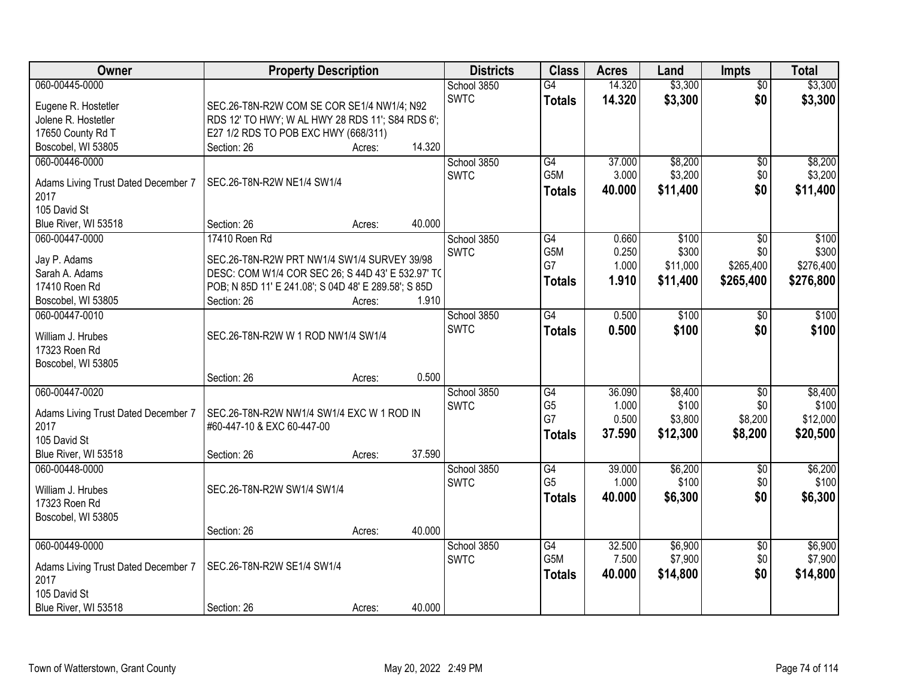| Owner                                       | <b>Property Description</b>                          |        |        | <b>Districts</b> | <b>Class</b>    | <b>Acres</b> | Land     | <b>Impts</b>    | <b>Total</b> |
|---------------------------------------------|------------------------------------------------------|--------|--------|------------------|-----------------|--------------|----------|-----------------|--------------|
| 060-00445-0000                              |                                                      |        |        | School 3850      | $\overline{G4}$ | 14.320       | \$3,300  | $\overline{50}$ | \$3,300      |
| Eugene R. Hostetler                         | SEC.26-T8N-R2W COM SE COR SE1/4 NW1/4; N92           |        |        | <b>SWTC</b>      | <b>Totals</b>   | 14.320       | \$3,300  | \$0             | \$3,300      |
| Jolene R. Hostetler                         | RDS 12' TO HWY; W AL HWY 28 RDS 11'; S84 RDS 6';     |        |        |                  |                 |              |          |                 |              |
| 17650 County Rd T                           | E27 1/2 RDS TO POB EXC HWY (668/311)                 |        |        |                  |                 |              |          |                 |              |
| Boscobel, WI 53805                          | Section: 26                                          | Acres: | 14.320 |                  |                 |              |          |                 |              |
| 060-00446-0000                              |                                                      |        |        | School 3850      | G4              | 37.000       | \$8,200  | \$0             | \$8,200      |
| Adams Living Trust Dated December 7         | SEC.26-T8N-R2W NE1/4 SW1/4                           |        |        | <b>SWTC</b>      | G5M             | 3.000        | \$3,200  | \$0             | \$3,200      |
| 2017                                        |                                                      |        |        |                  | <b>Totals</b>   | 40.000       | \$11,400 | \$0             | \$11,400     |
| 105 David St                                |                                                      |        |        |                  |                 |              |          |                 |              |
| Blue River, WI 53518                        | Section: 26                                          | Acres: | 40.000 |                  |                 |              |          |                 |              |
| 060-00447-0000                              | 17410 Roen Rd                                        |        |        | School 3850      | G4              | 0.660        | \$100    | \$0             | \$100        |
|                                             |                                                      |        |        | <b>SWTC</b>      | G5M             | 0.250        | \$300    | \$0             | \$300        |
| Jay P. Adams                                | SEC.26-T8N-R2W PRT NW1/4 SW1/4 SURVEY 39/98          |        |        |                  | G7              | 1.000        | \$11,000 | \$265,400       | \$276,400    |
| Sarah A. Adams                              | DESC: COM W1/4 COR SEC 26; S 44D 43' E 532.97' TO    |        |        |                  | <b>Totals</b>   | 1.910        | \$11,400 | \$265,400       | \$276,800    |
| 17410 Roen Rd                               | POB; N 85D 11' E 241.08'; S 04D 48' E 289.58'; S 85D |        |        |                  |                 |              |          |                 |              |
| Boscobel, WI 53805                          | Section: 26                                          | Acres: | 1.910  |                  |                 |              |          |                 |              |
| 060-00447-0010                              |                                                      |        |        | School 3850      | $\overline{G4}$ | 0.500        | \$100    | $\sqrt[6]{}$    | \$100        |
| William J. Hrubes                           | SEC.26-T8N-R2W W 1 ROD NW1/4 SW1/4                   |        |        | <b>SWTC</b>      | <b>Totals</b>   | 0.500        | \$100    | \$0             | \$100        |
| 17323 Roen Rd                               |                                                      |        |        |                  |                 |              |          |                 |              |
| Boscobel, WI 53805                          |                                                      |        |        |                  |                 |              |          |                 |              |
|                                             | Section: 26                                          | Acres: | 0.500  |                  |                 |              |          |                 |              |
| 060-00447-0020                              |                                                      |        |        | School 3850      | $\overline{G4}$ | 36.090       | \$8,400  | $\overline{50}$ | \$8,400      |
|                                             | SEC.26-T8N-R2W NW1/4 SW1/4 EXC W 1 ROD IN            |        |        | <b>SWTC</b>      | G <sub>5</sub>  | 1.000        | \$100    | \$0             | \$100        |
| Adams Living Trust Dated December 7<br>2017 | #60-447-10 & EXC 60-447-00                           |        |        |                  | G7              | 0.500        | \$3,800  | \$8,200         | \$12,000     |
| 105 David St                                |                                                      |        |        |                  | <b>Totals</b>   | 37.590       | \$12,300 | \$8,200         | \$20,500     |
| Blue River, WI 53518                        | Section: 26                                          | Acres: | 37.590 |                  |                 |              |          |                 |              |
| 060-00448-0000                              |                                                      |        |        | School 3850      | G4              | 39.000       | \$6,200  | \$0             | \$6,200      |
|                                             |                                                      |        |        | <b>SWTC</b>      | G <sub>5</sub>  | 1.000        | \$100    | \$0             | \$100        |
| William J. Hrubes                           | SEC.26-T8N-R2W SW1/4 SW1/4                           |        |        |                  |                 | 40.000       | \$6,300  | \$0             | \$6,300      |
| 17323 Roen Rd                               |                                                      |        |        |                  | <b>Totals</b>   |              |          |                 |              |
| Boscobel, WI 53805                          |                                                      |        |        |                  |                 |              |          |                 |              |
|                                             | Section: 26                                          | Acres: | 40.000 |                  |                 |              |          |                 |              |
| 060-00449-0000                              |                                                      |        |        | School 3850      | G4              | 32.500       | \$6,900  | $\overline{60}$ | \$6,900      |
| Adams Living Trust Dated December 7         | SEC.26-T8N-R2W SE1/4 SW1/4                           |        |        | <b>SWTC</b>      | G5M             | 7.500        | \$7,900  | \$0             | \$7,900      |
| 2017                                        |                                                      |        |        |                  | Totals          | 40.000       | \$14,800 | \$0             | \$14,800     |
| 105 David St                                |                                                      |        |        |                  |                 |              |          |                 |              |
| Blue River, WI 53518                        | Section: 26                                          | Acres: | 40.000 |                  |                 |              |          |                 |              |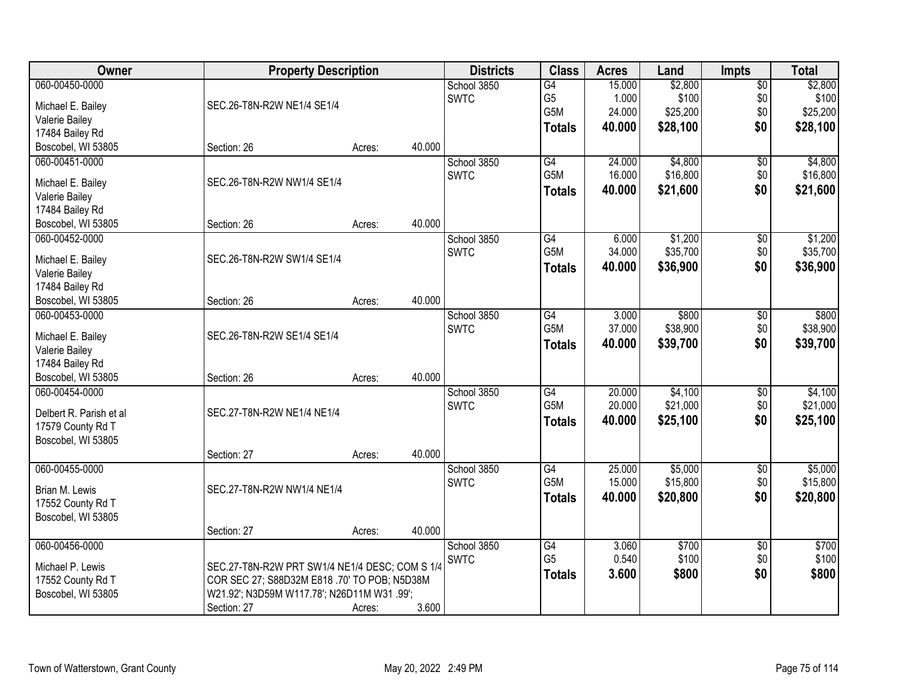| Owner                             | <b>Property Description</b>                    | <b>Districts</b> | <b>Class</b> | <b>Acres</b>    | Land   | Impts    | <b>Total</b>    |          |
|-----------------------------------|------------------------------------------------|------------------|--------------|-----------------|--------|----------|-----------------|----------|
| 060-00450-0000                    |                                                |                  | School 3850  | G4              | 15.000 | \$2,800  | $\overline{50}$ | \$2,800  |
| Michael E. Bailey                 | SEC.26-T8N-R2W NE1/4 SE1/4                     |                  | <b>SWTC</b>  | G <sub>5</sub>  | 1.000  | \$100    | \$0             | \$100    |
| Valerie Bailey                    |                                                |                  |              | G5M             | 24.000 | \$25,200 | \$0             | \$25,200 |
| 17484 Bailey Rd                   |                                                |                  |              | <b>Totals</b>   | 40.000 | \$28,100 | \$0             | \$28,100 |
| Boscobel, WI 53805                | Section: 26                                    | Acres:           | 40.000       |                 |        |          |                 |          |
| 060-00451-0000                    |                                                |                  | School 3850  | G4              | 24.000 | \$4,800  | $\overline{60}$ | \$4,800  |
|                                   | SEC.26-T8N-R2W NW1/4 SE1/4                     |                  | <b>SWTC</b>  | G5M             | 16.000 | \$16,800 | \$0             | \$16,800 |
| Michael E. Bailey                 |                                                |                  |              | <b>Totals</b>   | 40.000 | \$21,600 | \$0             | \$21,600 |
| Valerie Bailey<br>17484 Bailey Rd |                                                |                  |              |                 |        |          |                 |          |
| Boscobel, WI 53805                | Section: 26                                    | Acres:           | 40.000       |                 |        |          |                 |          |
| 060-00452-0000                    |                                                |                  | School 3850  | $\overline{G4}$ | 6.000  | \$1,200  | $\overline{50}$ | \$1,200  |
|                                   |                                                |                  | <b>SWTC</b>  | G5M             | 34.000 | \$35,700 | \$0             | \$35,700 |
| Michael E. Bailey                 | SEC.26-T8N-R2W SW1/4 SE1/4                     |                  |              | <b>Totals</b>   | 40.000 | \$36,900 | \$0             | \$36,900 |
| Valerie Bailey                    |                                                |                  |              |                 |        |          |                 |          |
| 17484 Bailey Rd                   |                                                |                  |              |                 |        |          |                 |          |
| Boscobel, WI 53805                | Section: 26                                    | Acres:           | 40.000       |                 |        |          |                 |          |
| 060-00453-0000                    |                                                |                  | School 3850  | G4              | 3.000  | \$800    | \$0             | \$800    |
| Michael E. Bailey                 | SEC.26-T8N-R2W SE1/4 SE1/4                     |                  | <b>SWTC</b>  | G5M             | 37.000 | \$38,900 | \$0             | \$38,900 |
| Valerie Bailey                    |                                                |                  |              | <b>Totals</b>   | 40.000 | \$39,700 | \$0             | \$39,700 |
| 17484 Bailey Rd                   |                                                |                  |              |                 |        |          |                 |          |
| Boscobel, WI 53805                | Section: 26                                    | Acres:           | 40.000       |                 |        |          |                 |          |
| 060-00454-0000                    |                                                |                  | School 3850  | $\overline{G4}$ | 20.000 | \$4,100  | $\overline{50}$ | \$4,100  |
|                                   |                                                |                  | <b>SWTC</b>  | G5M             | 20.000 | \$21,000 | \$0             | \$21,000 |
| Delbert R. Parish et al           | SEC.27-T8N-R2W NE1/4 NE1/4                     |                  |              | <b>Totals</b>   | 40.000 | \$25,100 | \$0             | \$25,100 |
| 17579 County Rd T                 |                                                |                  |              |                 |        |          |                 |          |
| Boscobel, WI 53805                | Section: 27                                    |                  | 40.000       |                 |        |          |                 |          |
| 060-00455-0000                    |                                                | Acres:           | School 3850  | G4              | 25.000 | \$5,000  | $\overline{50}$ | \$5,000  |
|                                   |                                                |                  | <b>SWTC</b>  | G5M             | 15.000 | \$15,800 | \$0             | \$15,800 |
| Brian M. Lewis                    | SEC.27-T8N-R2W NW1/4 NE1/4                     |                  |              |                 |        | \$20,800 | \$0             |          |
| 17552 County Rd T                 |                                                |                  |              | <b>Totals</b>   | 40.000 |          |                 | \$20,800 |
| Boscobel, WI 53805                |                                                |                  |              |                 |        |          |                 |          |
|                                   | Section: 27                                    | Acres:           | 40.000       |                 |        |          |                 |          |
| 060-00456-0000                    |                                                |                  | School 3850  | G4              | 3.060  | \$700    | $\overline{50}$ | \$700    |
| Michael P. Lewis                  | SEC.27-T8N-R2W PRT SW1/4 NE1/4 DESC; COM S 1/4 |                  | <b>SWTC</b>  | G <sub>5</sub>  | 0.540  | \$100    | \$0             | \$100    |
| 17552 County Rd T                 | COR SEC 27; S88D32M E818 .70' TO POB; N5D38M   |                  |              | <b>Totals</b>   | 3.600  | \$800    | \$0             | \$800    |
| Boscobel, WI 53805                | W21.92'; N3D59M W117.78'; N26D11M W31.99';     |                  |              |                 |        |          |                 |          |
|                                   | Section: 27                                    | Acres:           | 3.600        |                 |        |          |                 |          |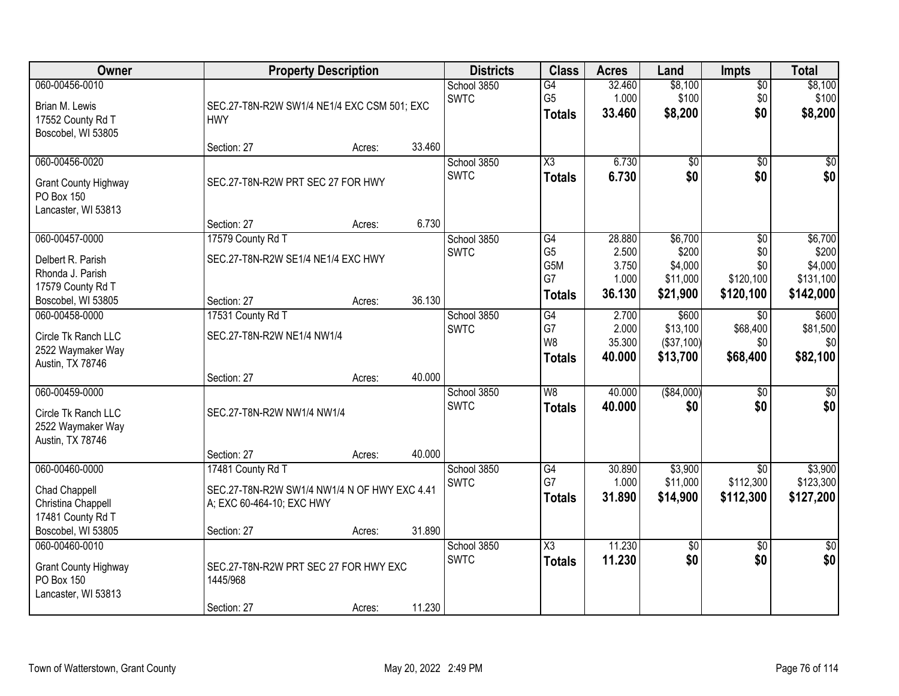| Owner                                                                                              |                                                                                                               | <b>Property Description</b> |        |                            | <b>Class</b>                                       | <b>Acres</b>                                | Land                                                | <b>Impts</b>                                | <b>Total</b>                                          |
|----------------------------------------------------------------------------------------------------|---------------------------------------------------------------------------------------------------------------|-----------------------------|--------|----------------------------|----------------------------------------------------|---------------------------------------------|-----------------------------------------------------|---------------------------------------------|-------------------------------------------------------|
| 060-00456-0010<br>Brian M. Lewis<br>17552 County Rd T<br>Boscobel, WI 53805                        | SEC.27-T8N-R2W SW1/4 NE1/4 EXC CSM 501; EXC<br><b>HWY</b>                                                     |                             |        | School 3850<br><b>SWTC</b> | G4<br>G <sub>5</sub><br><b>Totals</b>              | 32.460<br>1.000<br>33.460                   | \$8,100<br>\$100<br>\$8,200                         | $\overline{60}$<br>\$0<br>\$0               | \$8,100<br>\$100<br>\$8,200                           |
|                                                                                                    | Section: 27                                                                                                   | Acres:                      | 33.460 |                            |                                                    |                                             |                                                     |                                             |                                                       |
| 060-00456-0020<br><b>Grant County Highway</b><br>PO Box 150<br>Lancaster, WI 53813                 | SEC.27-T8N-R2W PRT SEC 27 FOR HWY                                                                             |                             |        | School 3850<br><b>SWTC</b> | $\overline{\text{X3}}$<br><b>Totals</b>            | 6.730<br>6.730                              | $\overline{50}$<br>\$0                              | $\overline{50}$<br>\$0                      | \$0<br>\$0                                            |
|                                                                                                    | Section: 27                                                                                                   | Acres:                      | 6.730  |                            |                                                    |                                             |                                                     |                                             |                                                       |
| 060-00457-0000<br>Delbert R. Parish<br>Rhonda J. Parish<br>17579 County Rd T<br>Boscobel, WI 53805 | 17579 County Rd T<br>SEC.27-T8N-R2W SE1/4 NE1/4 EXC HWY<br>Section: 27                                        | Acres:                      | 36.130 | School 3850<br><b>SWTC</b> | G4<br>G <sub>5</sub><br>G5M<br>G7<br><b>Totals</b> | 28.880<br>2.500<br>3.750<br>1.000<br>36.130 | \$6,700<br>\$200<br>\$4,000<br>\$11,000<br>\$21,900 | \$0<br>\$0<br>\$0<br>\$120,100<br>\$120,100 | \$6,700<br>\$200<br>\$4,000<br>\$131,100<br>\$142,000 |
| 060-00458-0000                                                                                     | 17531 County Rd T                                                                                             |                             |        | School 3850                | G4                                                 | 2.700                                       | \$600                                               | \$0                                         | \$600                                                 |
| Circle Tk Ranch LLC<br>2522 Waymaker Way<br>Austin, TX 78746                                       | SEC.27-T8N-R2W NE1/4 NW1/4                                                                                    |                             |        | <b>SWTC</b>                | G7<br>W <sub>8</sub><br><b>Totals</b>              | 2.000<br>35.300<br>40.000                   | \$13,100<br>( \$37, 100)<br>\$13,700                | \$68,400<br>\$0<br>\$68,400                 | \$81,500<br>\$0<br>\$82,100                           |
|                                                                                                    | Section: 27                                                                                                   | Acres:                      | 40.000 |                            |                                                    |                                             |                                                     |                                             |                                                       |
| 060-00459-0000<br>Circle Tk Ranch LLC<br>2522 Waymaker Way<br>Austin, TX 78746                     | SEC.27-T8N-R2W NW1/4 NW1/4                                                                                    |                             |        | School 3850<br><b>SWTC</b> | $\overline{W8}$<br><b>Totals</b>                   | 40.000<br>40.000                            | ( \$84,000)<br>\$0                                  | $\overline{50}$<br>\$0                      | \$0<br>\$0                                            |
|                                                                                                    | Section: 27                                                                                                   | Acres:                      | 40.000 |                            |                                                    |                                             |                                                     |                                             |                                                       |
| 060-00460-0000<br>Chad Chappell<br>Christina Chappell<br>17481 County Rd T<br>Boscobel, WI 53805   | 17481 County Rd T<br>SEC.27-T8N-R2W SW1/4 NW1/4 N OF HWY EXC 4.41<br>A; EXC 60-464-10; EXC HWY<br>Section: 27 | Acres:                      | 31.890 | School 3850<br><b>SWTC</b> | $\overline{G4}$<br>G7<br><b>Totals</b>             | 30.890<br>1.000<br>31.890                   | \$3,900<br>\$11,000<br>\$14,900                     | $\overline{50}$<br>\$112,300<br>\$112,300   | \$3,900<br>\$123,300<br>\$127,200                     |
| 060-00460-0010                                                                                     |                                                                                                               |                             |        | School 3850                | $\overline{\text{X3}}$                             | 11.230                                      | $\overline{50}$                                     | $\overline{50}$                             | $\frac{1}{2}$                                         |
| <b>Grant County Highway</b><br>PO Box 150<br>Lancaster, WI 53813                                   | SEC.27-T8N-R2W PRT SEC 27 FOR HWY EXC<br>1445/968<br>Section: 27                                              | Acres:                      | 11.230 | <b>SWTC</b>                | <b>Totals</b>                                      | 11.230                                      | \$0                                                 | \$0                                         | \$0                                                   |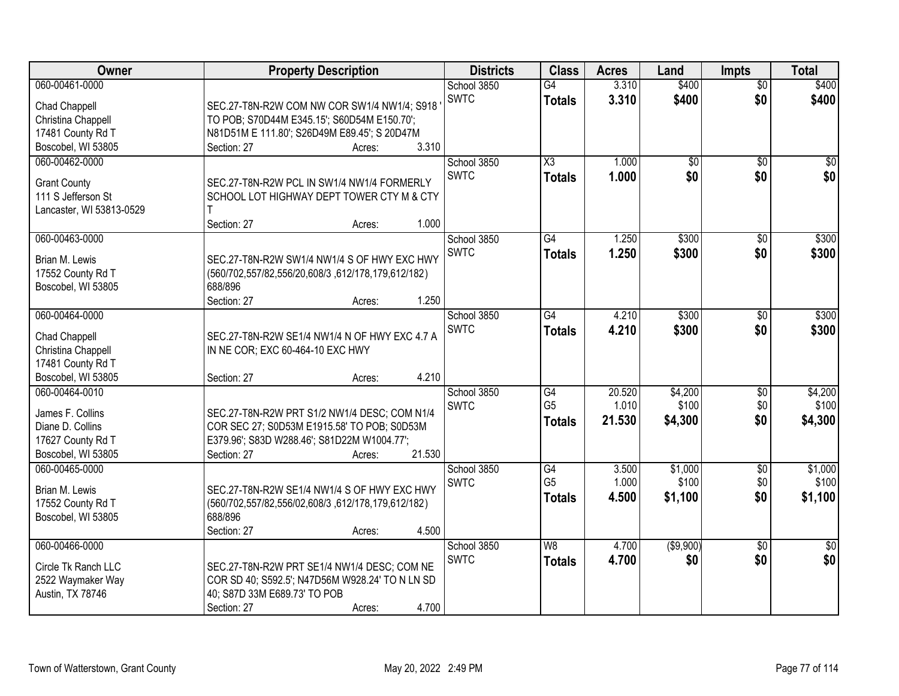| Owner                               | <b>Property Description</b>                                                       | <b>Districts</b> | <b>Class</b>           | <b>Acres</b> | Land            | <b>Impts</b>    | <b>Total</b>    |
|-------------------------------------|-----------------------------------------------------------------------------------|------------------|------------------------|--------------|-----------------|-----------------|-----------------|
| 060-00461-0000                      |                                                                                   | School 3850      | $\overline{G4}$        | 3.310        | \$400           | $\overline{50}$ | \$400           |
| Chad Chappell                       | SEC.27-T8N-R2W COM NW COR SW1/4 NW1/4; S918                                       | <b>SWTC</b>      | <b>Totals</b>          | 3.310        | \$400           | \$0             | \$400           |
| Christina Chappell                  | TO POB; S70D44M E345.15'; S60D54M E150.70';                                       |                  |                        |              |                 |                 |                 |
| 17481 County Rd T                   | N81D51M E 111.80'; S26D49M E89.45'; S 20D47M                                      |                  |                        |              |                 |                 |                 |
| Boscobel, WI 53805                  | 3.310<br>Section: 27<br>Acres:                                                    |                  |                        |              |                 |                 |                 |
| 060-00462-0000                      |                                                                                   | School 3850      | $\overline{\text{X3}}$ | 1.000        | $\overline{50}$ | $\overline{50}$ | $\overline{30}$ |
| <b>Grant County</b>                 | SEC.27-T8N-R2W PCL IN SW1/4 NW1/4 FORMERLY                                        | <b>SWTC</b>      | <b>Totals</b>          | 1.000        | \$0             | \$0             | \$0             |
| 111 S Jefferson St                  | SCHOOL LOT HIGHWAY DEPT TOWER CTY M & CTY                                         |                  |                        |              |                 |                 |                 |
| Lancaster, WI 53813-0529            |                                                                                   |                  |                        |              |                 |                 |                 |
|                                     | 1.000<br>Section: 27<br>Acres:                                                    |                  |                        |              |                 |                 |                 |
| 060-00463-0000                      |                                                                                   | School 3850      | $\overline{G4}$        | 1.250        | \$300           | \$0             | \$300           |
| Brian M. Lewis                      | SEC.27-T8N-R2W SW1/4 NW1/4 S OF HWY EXC HWY                                       | <b>SWTC</b>      | <b>Totals</b>          | 1.250        | \$300           | \$0             | \$300           |
| 17552 County Rd T                   | (560/702,557/82,556/20,608/3,612/178,179,612/182)                                 |                  |                        |              |                 |                 |                 |
| Boscobel, WI 53805                  | 688/896                                                                           |                  |                        |              |                 |                 |                 |
|                                     | 1.250<br>Section: 27<br>Acres:                                                    |                  |                        |              |                 |                 |                 |
| 060-00464-0000                      |                                                                                   | School 3850      | $\overline{G4}$        | 4.210        | \$300           | \$0             | \$300           |
|                                     |                                                                                   | <b>SWTC</b>      | <b>Totals</b>          | 4.210        | \$300           | \$0             | \$300           |
| Chad Chappell<br>Christina Chappell | SEC.27-T8N-R2W SE1/4 NW1/4 N OF HWY EXC 4.7 A<br>IN NE COR; EXC 60-464-10 EXC HWY |                  |                        |              |                 |                 |                 |
| 17481 County Rd T                   |                                                                                   |                  |                        |              |                 |                 |                 |
| Boscobel, WI 53805                  | 4.210<br>Section: 27<br>Acres:                                                    |                  |                        |              |                 |                 |                 |
| 060-00464-0010                      |                                                                                   | School 3850      | G4                     | 20.520       | \$4,200         | \$0             | \$4,200         |
|                                     |                                                                                   | <b>SWTC</b>      | G <sub>5</sub>         | 1.010        | \$100           | \$0             | \$100           |
| James F. Collins                    | SEC.27-T8N-R2W PRT S1/2 NW1/4 DESC; COM N1/4                                      |                  | <b>Totals</b>          | 21.530       | \$4,300         | \$0             | \$4,300         |
| Diane D. Collins                    | COR SEC 27; S0D53M E1915.58' TO POB; S0D53M                                       |                  |                        |              |                 |                 |                 |
| 17627 County Rd T                   | E379.96'; S83D W288.46'; S81D22M W1004.77';                                       |                  |                        |              |                 |                 |                 |
| Boscobel, WI 53805                  | 21.530<br>Section: 27<br>Acres:                                                   |                  |                        |              |                 |                 |                 |
| 060-00465-0000                      |                                                                                   | School 3850      | G4                     | 3.500        | \$1,000         | $\sqrt{$0}$     | \$1,000         |
| Brian M. Lewis                      | SEC.27-T8N-R2W SE1/4 NW1/4 S OF HWY EXC HWY                                       | <b>SWTC</b>      | G <sub>5</sub>         | 1.000        | \$100           | \$0             | \$100           |
| 17552 County Rd T                   | (560/702,557/82,556/02,608/3,612/178,179,612/182)                                 |                  | <b>Totals</b>          | 4.500        | \$1,100         | \$0             | \$1,100         |
| Boscobel, WI 53805                  | 688/896                                                                           |                  |                        |              |                 |                 |                 |
|                                     | Section: 27<br>4.500<br>Acres:                                                    |                  |                        |              |                 |                 |                 |
| 060-00466-0000                      |                                                                                   | School 3850      | W8                     | 4.700        | ( \$9,900)      | $\overline{50}$ | $\overline{50}$ |
| Circle Tk Ranch LLC                 | SEC.27-T8N-R2W PRT SE1/4 NW1/4 DESC; COM NE                                       | <b>SWTC</b>      | <b>Totals</b>          | 4.700        | \$0             | \$0             | \$0             |
| 2522 Waymaker Way                   | COR SD 40; S592.5'; N47D56M W928.24' TO N LN SD                                   |                  |                        |              |                 |                 |                 |
| Austin, TX 78746                    | 40; S87D 33M E689.73' TO POB                                                      |                  |                        |              |                 |                 |                 |
|                                     | 4.700<br>Section: 27<br>Acres:                                                    |                  |                        |              |                 |                 |                 |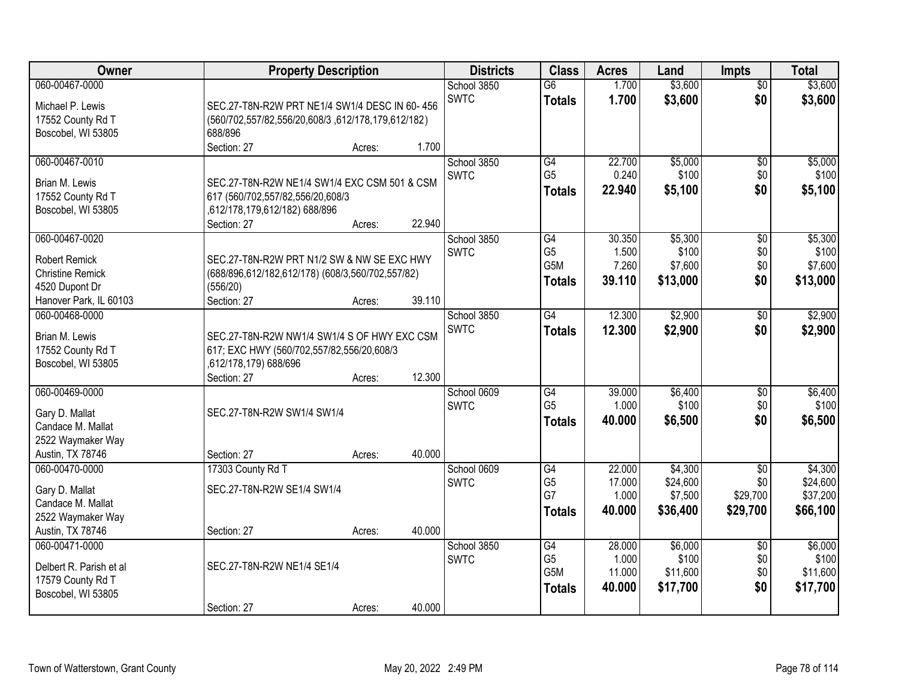| Owner                   | <b>Property Description</b>                       | <b>Districts</b> | <b>Class</b>               | <b>Acres</b>    | Land   | <b>Impts</b> | <b>Total</b>    |          |
|-------------------------|---------------------------------------------------|------------------|----------------------------|-----------------|--------|--------------|-----------------|----------|
| 060-00467-0000          |                                                   |                  | School 3850                | $\overline{G6}$ | 1.700  | \$3,600      | $\overline{50}$ | \$3,600  |
| Michael P. Lewis        | SEC.27-T8N-R2W PRT NE1/4 SW1/4 DESC IN 60-456     |                  | <b>SWTC</b>                | <b>Totals</b>   | 1.700  | \$3,600      | \$0             | \$3,600  |
| 17552 County Rd T       | (560/702,557/82,556/20,608/3,612/178,179,612/182) |                  |                            |                 |        |              |                 |          |
| Boscobel, WI 53805      | 688/896                                           |                  |                            |                 |        |              |                 |          |
|                         | Section: 27                                       | 1.700<br>Acres:  |                            |                 |        |              |                 |          |
| 060-00467-0010          |                                                   |                  | School 3850                | G4              | 22.700 | \$5,000      | $\overline{50}$ | \$5,000  |
| Brian M. Lewis          | SEC.27-T8N-R2W NE1/4 SW1/4 EXC CSM 501 & CSM      |                  | <b>SWTC</b>                | G <sub>5</sub>  | 0.240  | \$100        | \$0             | \$100    |
| 17552 County Rd T       | 617 (560/702,557/82,556/20,608/3                  |                  |                            | <b>Totals</b>   | 22.940 | \$5,100      | \$0             | \$5,100  |
| Boscobel, WI 53805      | ,612/178,179,612/182) 688/896                     |                  |                            |                 |        |              |                 |          |
|                         | Section: 27                                       | 22.940<br>Acres: |                            |                 |        |              |                 |          |
| 060-00467-0020          |                                                   |                  | School 3850                | G4              | 30.350 | \$5,300      | \$0             | \$5,300  |
|                         |                                                   |                  | <b>SWTC</b>                | G <sub>5</sub>  | 1.500  | \$100        | \$0             | \$100    |
| <b>Robert Remick</b>    | SEC.27-T8N-R2W PRT N1/2 SW & NW SE EXC HWY        |                  |                            | G5M             | 7.260  | \$7,600      | \$0             | \$7,600  |
| <b>Christine Remick</b> | (688/896,612/182,612/178) (608/3,560/702,557/82)  |                  |                            | <b>Totals</b>   | 39.110 | \$13,000     | \$0             | \$13,000 |
| 4520 Dupont Dr          | (556/20)                                          |                  |                            |                 |        |              |                 |          |
| Hanover Park, IL 60103  | Section: 27                                       | 39.110<br>Acres: |                            |                 |        |              |                 |          |
| 060-00468-0000          |                                                   |                  | School 3850<br><b>SWTC</b> | $\overline{G4}$ | 12.300 | \$2,900      | \$0             | \$2,900  |
| Brian M. Lewis          | SEC.27-T8N-R2W NW1/4 SW1/4 S OF HWY EXC CSM       |                  |                            | <b>Totals</b>   | 12.300 | \$2,900      | \$0             | \$2,900  |
| 17552 County Rd T       | 617; EXC HWY (560/702,557/82,556/20,608/3         |                  |                            |                 |        |              |                 |          |
| Boscobel, WI 53805      | ,612/178,179) 688/696                             |                  |                            |                 |        |              |                 |          |
|                         | Section: 27                                       | 12.300<br>Acres: |                            |                 |        |              |                 |          |
| 060-00469-0000          |                                                   |                  | School 0609                | G4              | 39.000 | \$6,400      | \$0             | \$6,400  |
| Gary D. Mallat          | SEC.27-T8N-R2W SW1/4 SW1/4                        |                  | <b>SWTC</b>                | G <sub>5</sub>  | 1.000  | \$100        | \$0             | \$100    |
| Candace M. Mallat       |                                                   |                  |                            | <b>Totals</b>   | 40.000 | \$6,500      | \$0             | \$6,500  |
| 2522 Waymaker Way       |                                                   |                  |                            |                 |        |              |                 |          |
| Austin, TX 78746        | Section: 27                                       | 40.000<br>Acres: |                            |                 |        |              |                 |          |
| 060-00470-0000          | 17303 County Rd T                                 |                  | School 0609                | G4              | 22.000 | \$4,300      | $\overline{50}$ | \$4,300  |
| Gary D. Mallat          | SEC.27-T8N-R2W SE1/4 SW1/4                        |                  | <b>SWTC</b>                | G <sub>5</sub>  | 17.000 | \$24,600     | \$0             | \$24,600 |
| Candace M. Mallat       |                                                   |                  |                            | G7              | 1.000  | \$7,500      | \$29,700        | \$37,200 |
| 2522 Waymaker Way       |                                                   |                  |                            | <b>Totals</b>   | 40.000 | \$36,400     | \$29,700        | \$66,100 |
| Austin, TX 78746        | Section: 27                                       | 40.000<br>Acres: |                            |                 |        |              |                 |          |
| 060-00471-0000          |                                                   |                  | School 3850                | G4              | 28.000 | \$6,000      | $\overline{50}$ | \$6,000  |
|                         |                                                   |                  | <b>SWTC</b>                | G <sub>5</sub>  | 1.000  | \$100        | \$0             | \$100    |
| Delbert R. Parish et al | SEC.27-T8N-R2W NE1/4 SE1/4                        |                  |                            | G5M             | 11.000 | \$11,600     | \$0             | \$11,600 |
| 17579 County Rd T       |                                                   |                  |                            | <b>Totals</b>   | 40.000 | \$17,700     | \$0             | \$17,700 |
| Boscobel, WI 53805      |                                                   | 40.000           |                            |                 |        |              |                 |          |
|                         | Section: 27                                       | Acres:           |                            |                 |        |              |                 |          |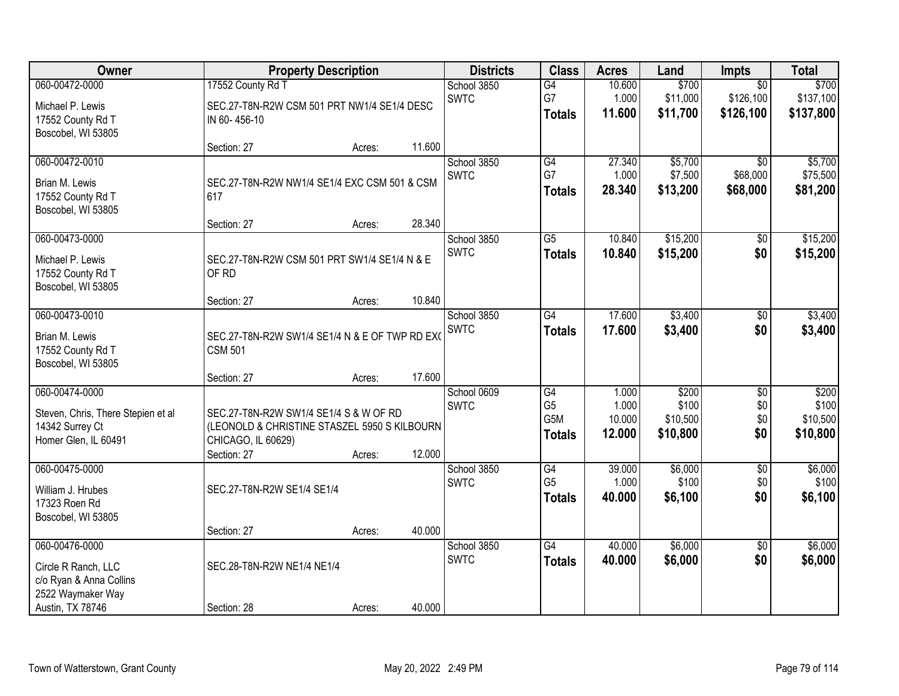| Owner                                                                                                     | <b>Property Description</b>                                                                                                 |        |        | <b>Districts</b>           | <b>Class</b>                                              | <b>Acres</b>                       | Land                                   | Impts                                     | <b>Total</b>                           |
|-----------------------------------------------------------------------------------------------------------|-----------------------------------------------------------------------------------------------------------------------------|--------|--------|----------------------------|-----------------------------------------------------------|------------------------------------|----------------------------------------|-------------------------------------------|----------------------------------------|
| 060-00472-0000<br>Michael P. Lewis<br>17552 County Rd T<br>Boscobel, WI 53805                             | 17552 County Rd T<br>SEC.27-T8N-R2W CSM 501 PRT NW1/4 SE1/4 DESC<br>IN 60-456-10                                            |        |        | School 3850<br><b>SWTC</b> | G4<br>G7<br><b>Totals</b>                                 | 10.600<br>1.000<br>11.600          | \$700<br>\$11,000<br>\$11,700          | $\overline{50}$<br>\$126,100<br>\$126,100 | \$700<br>\$137,100<br>\$137,800        |
|                                                                                                           | Section: 27                                                                                                                 | Acres: | 11.600 |                            |                                                           |                                    |                                        |                                           |                                        |
| 060-00472-0010<br>Brian M. Lewis<br>17552 County Rd T<br>Boscobel, WI 53805                               | SEC.27-T8N-R2W NW1/4 SE1/4 EXC CSM 501 & CSM<br>617<br>Section: 27                                                          | Acres: | 28.340 | School 3850<br><b>SWTC</b> | G4<br>G7<br><b>Totals</b>                                 | 27.340<br>1.000<br>28.340          | \$5,700<br>\$7,500<br>\$13,200         | $\overline{50}$<br>\$68,000<br>\$68,000   | \$5,700<br>\$75,500<br>\$81,200        |
| 060-00473-0000                                                                                            |                                                                                                                             |        |        | School 3850                | G5                                                        | 10.840                             | \$15,200                               | \$0                                       | \$15,200                               |
| Michael P. Lewis<br>17552 County Rd T<br>Boscobel, WI 53805                                               | SEC.27-T8N-R2W CSM 501 PRT SW1/4 SE1/4 N & E<br>OF RD                                                                       |        |        | <b>SWTC</b>                | <b>Totals</b>                                             | 10.840                             | \$15,200                               | \$0                                       | \$15,200                               |
|                                                                                                           | Section: 27                                                                                                                 | Acres: | 10.840 |                            |                                                           |                                    |                                        |                                           |                                        |
| 060-00473-0010<br>Brian M. Lewis<br>17552 County Rd T<br>Boscobel, WI 53805                               | SEC.27-T8N-R2W SW1/4 SE1/4 N & E OF TWP RD EX(<br><b>CSM 501</b>                                                            |        |        | School 3850<br><b>SWTC</b> | G4<br><b>Totals</b>                                       | 17.600<br>17.600                   | \$3,400<br>\$3,400                     | \$0<br>\$0                                | \$3,400<br>\$3,400                     |
|                                                                                                           | Section: 27                                                                                                                 | Acres: | 17.600 |                            |                                                           |                                    |                                        |                                           |                                        |
| 060-00474-0000<br>Steven, Chris, There Stepien et al<br>14342 Surrey Ct<br>Homer Glen, IL 60491           | SEC.27-T8N-R2W SW1/4 SE1/4 S & W OF RD<br>(LEONOLD & CHRISTINE STASZEL 5950 S KILBOURN<br>CHICAGO, IL 60629)<br>Section: 27 | Acres: | 12.000 | School 0609<br><b>SWTC</b> | $\overline{G4}$<br>G <sub>5</sub><br>G5M<br><b>Totals</b> | 1.000<br>1.000<br>10.000<br>12.000 | \$200<br>\$100<br>\$10,500<br>\$10,800 | $\overline{50}$<br>\$0<br>\$0<br>\$0      | \$200<br>\$100<br>\$10,500<br>\$10,800 |
| 060-00475-0000<br>William J. Hrubes<br>17323 Roen Rd<br>Boscobel, WI 53805                                | SEC.27-T8N-R2W SE1/4 SE1/4                                                                                                  |        |        | School 3850<br><b>SWTC</b> | G4<br>G <sub>5</sub><br><b>Totals</b>                     | 39.000<br>1.000<br>40.000          | \$6,000<br>\$100<br>\$6,100            | $\overline{50}$<br>\$0<br>\$0             | \$6,000<br>\$100<br>\$6,100            |
|                                                                                                           | Section: 27                                                                                                                 | Acres: | 40.000 |                            |                                                           |                                    |                                        |                                           |                                        |
| 060-00476-0000<br>Circle R Ranch, LLC<br>c/o Ryan & Anna Collins<br>2522 Waymaker Way<br>Austin, TX 78746 | SEC.28-T8N-R2W NE1/4 NE1/4<br>Section: 28                                                                                   | Acres: | 40.000 | School 3850<br><b>SWTC</b> | $\overline{G4}$<br><b>Totals</b>                          | 40.000<br>40.000                   | \$6,000<br>\$6,000                     | $\overline{50}$<br>\$0                    | \$6,000<br>\$6,000                     |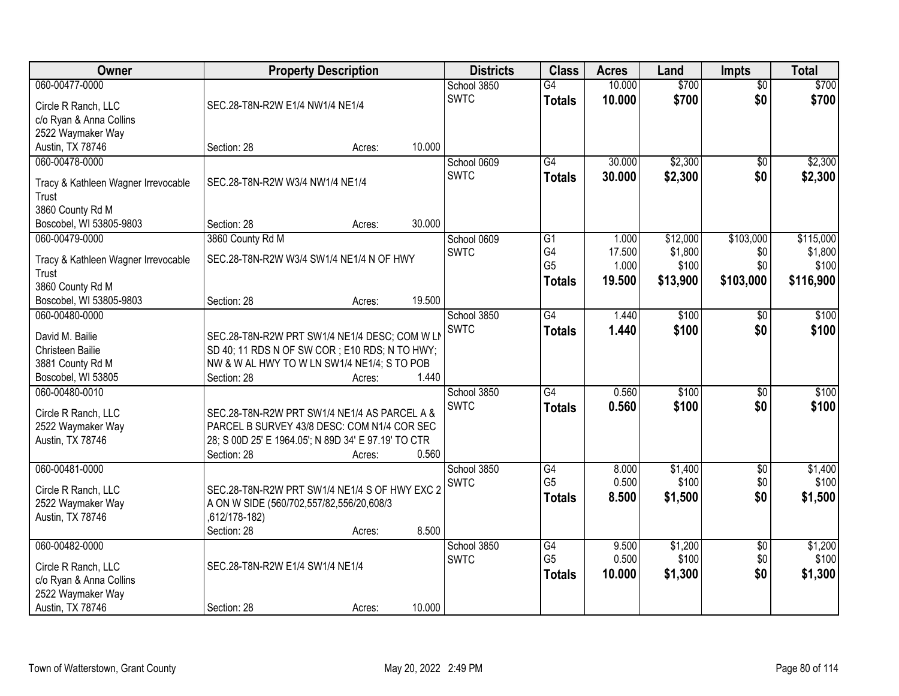| \$700<br>060-00477-0000<br>10.000<br>\$700<br>School 3850<br>$\overline{G4}$<br>$\overline{50}$<br>\$0<br>\$700<br><b>SWTC</b><br>10.000<br>\$700<br><b>Totals</b><br>Circle R Ranch, LLC<br>SEC.28-T8N-R2W E1/4 NW1/4 NE1/4<br>c/o Ryan & Anna Collins<br>2522 Waymaker Way<br>10.000<br>Austin, TX 78746<br>Section: 28<br>Acres:<br>$\overline{G4}$<br>\$2,300<br>\$2,300<br>060-00478-0000<br>School 0609<br>30.000<br>$\overline{50}$<br><b>SWTC</b><br>30.000<br>\$2,300<br>\$0<br>\$2,300<br><b>Totals</b><br>SEC.28-T8N-R2W W3/4 NW1/4 NE1/4<br>Tracy & Kathleen Wagner Irrevocable<br>Trust<br>3860 County Rd M<br>30.000<br>Boscobel, WI 53805-9803<br>Section: 28<br>Acres:<br>060-00479-0000<br>\$12,000<br>\$103,000<br>\$115,000<br>3860 County Rd M<br>School 0609<br>G1<br>1.000<br>G4<br>17.500<br>\$1,800<br><b>SWTC</b><br>\$0<br>\$1,800<br>SEC.28-T8N-R2W W3/4 SW1/4 NE1/4 N OF HWY<br>Tracy & Kathleen Wagner Irrevocable<br>G <sub>5</sub><br>\$100<br>\$0<br>\$100<br>1.000<br>Trust<br>\$13,900<br>\$103,000<br>\$116,900<br>19.500<br><b>Totals</b><br>3860 County Rd M<br>19.500<br>Boscobel, WI 53805-9803<br>Section: 28<br>Acres:<br>\$100<br>060-00480-0000<br>School 3850<br>$\overline{G4}$<br>\$100<br>1.440<br>\$0<br><b>SWTC</b><br>1.440<br>\$100<br>\$0<br>\$100<br><b>Totals</b><br>David M. Bailie<br>SEC.28-T8N-R2W PRT SW1/4 NE1/4 DESC; COM W LN<br>Christeen Bailie<br>SD 40; 11 RDS N OF SW COR; E10 RDS; N TO HWY;<br>3881 County Rd M<br>NW & W AL HWY TO W LN SW1/4 NE1/4; S TO POB<br>1.440<br>Boscobel, WI 53805<br>Section: 28<br>Acres:<br>$\overline{G4}$<br>\$100<br>\$100<br>060-00480-0010<br>0.560<br>\$0<br>School 3850<br><b>SWTC</b><br>0.560<br>\$100<br>\$0<br>\$100<br><b>Totals</b><br>Circle R Ranch, LLC<br>SEC.28-T8N-R2W PRT SW1/4 NE1/4 AS PARCEL A &<br>PARCEL B SURVEY 43/8 DESC: COM N1/4 COR SEC<br>2522 Waymaker Way<br>Austin, TX 78746<br>28; S 00D 25' E 1964.05'; N 89D 34' E 97.19' TO CTR<br>0.560<br>Section: 28<br>Acres:<br>\$1,400<br>060-00481-0000<br>School 3850<br>G4<br>8.000<br>\$0<br>G <sub>5</sub><br>0.500<br>\$100<br>\$0<br><b>SWTC</b><br>Circle R Ranch, LLC<br>SEC.28-T8N-R2W PRT SW1/4 NE1/4 S OF HWY EXC 2<br>\$0<br>\$1,500<br>8.500<br><b>Totals</b><br>2522 Waymaker Way<br>A ON W SIDE (560/702,557/82,556/20,608/3<br>Austin, TX 78746<br>,612/178-182)<br>8.500<br>Section: 28<br>Acres:<br>060-00482-0000<br>\$1,200<br>School 3850<br>G4<br>9.500<br>$\overline{50}$<br>G <sub>5</sub><br>0.500<br>\$100<br>\$0<br>\$100<br><b>SWTC</b><br>SEC.28-T8N-R2W E1/4 SW1/4 NE1/4<br>Circle R Ranch, LLC<br>\$0<br>\$1,300<br>10.000<br>\$1,300<br><b>Totals</b><br>c/o Ryan & Anna Collins<br>2522 Waymaker Way | Owner            | <b>Property Description</b> | <b>Districts</b> | <b>Class</b> | <b>Acres</b> | Land | <b>Impts</b> | <b>Total</b> |
|------------------------------------------------------------------------------------------------------------------------------------------------------------------------------------------------------------------------------------------------------------------------------------------------------------------------------------------------------------------------------------------------------------------------------------------------------------------------------------------------------------------------------------------------------------------------------------------------------------------------------------------------------------------------------------------------------------------------------------------------------------------------------------------------------------------------------------------------------------------------------------------------------------------------------------------------------------------------------------------------------------------------------------------------------------------------------------------------------------------------------------------------------------------------------------------------------------------------------------------------------------------------------------------------------------------------------------------------------------------------------------------------------------------------------------------------------------------------------------------------------------------------------------------------------------------------------------------------------------------------------------------------------------------------------------------------------------------------------------------------------------------------------------------------------------------------------------------------------------------------------------------------------------------------------------------------------------------------------------------------------------------------------------------------------------------------------------------------------------------------------------------------------------------------------------------------------------------------------------------------------------------------------------------------------------------------------------------------------------------------------------------------------------------------------------------------------------------------------------------------------------------------------------------------------------------------------------------------------------------------------------------------------------------------------------------------------------------------|------------------|-----------------------------|------------------|--------------|--------------|------|--------------|--------------|
|                                                                                                                                                                                                                                                                                                                                                                                                                                                                                                                                                                                                                                                                                                                                                                                                                                                                                                                                                                                                                                                                                                                                                                                                                                                                                                                                                                                                                                                                                                                                                                                                                                                                                                                                                                                                                                                                                                                                                                                                                                                                                                                                                                                                                                                                                                                                                                                                                                                                                                                                                                                                                                                                                                                        |                  |                             |                  |              |              |      |              |              |
|                                                                                                                                                                                                                                                                                                                                                                                                                                                                                                                                                                                                                                                                                                                                                                                                                                                                                                                                                                                                                                                                                                                                                                                                                                                                                                                                                                                                                                                                                                                                                                                                                                                                                                                                                                                                                                                                                                                                                                                                                                                                                                                                                                                                                                                                                                                                                                                                                                                                                                                                                                                                                                                                                                                        |                  |                             |                  |              |              |      |              |              |
|                                                                                                                                                                                                                                                                                                                                                                                                                                                                                                                                                                                                                                                                                                                                                                                                                                                                                                                                                                                                                                                                                                                                                                                                                                                                                                                                                                                                                                                                                                                                                                                                                                                                                                                                                                                                                                                                                                                                                                                                                                                                                                                                                                                                                                                                                                                                                                                                                                                                                                                                                                                                                                                                                                                        |                  |                             |                  |              |              |      |              |              |
|                                                                                                                                                                                                                                                                                                                                                                                                                                                                                                                                                                                                                                                                                                                                                                                                                                                                                                                                                                                                                                                                                                                                                                                                                                                                                                                                                                                                                                                                                                                                                                                                                                                                                                                                                                                                                                                                                                                                                                                                                                                                                                                                                                                                                                                                                                                                                                                                                                                                                                                                                                                                                                                                                                                        |                  |                             |                  |              |              |      |              |              |
|                                                                                                                                                                                                                                                                                                                                                                                                                                                                                                                                                                                                                                                                                                                                                                                                                                                                                                                                                                                                                                                                                                                                                                                                                                                                                                                                                                                                                                                                                                                                                                                                                                                                                                                                                                                                                                                                                                                                                                                                                                                                                                                                                                                                                                                                                                                                                                                                                                                                                                                                                                                                                                                                                                                        |                  |                             |                  |              |              |      |              |              |
|                                                                                                                                                                                                                                                                                                                                                                                                                                                                                                                                                                                                                                                                                                                                                                                                                                                                                                                                                                                                                                                                                                                                                                                                                                                                                                                                                                                                                                                                                                                                                                                                                                                                                                                                                                                                                                                                                                                                                                                                                                                                                                                                                                                                                                                                                                                                                                                                                                                                                                                                                                                                                                                                                                                        |                  |                             |                  |              |              |      |              |              |
|                                                                                                                                                                                                                                                                                                                                                                                                                                                                                                                                                                                                                                                                                                                                                                                                                                                                                                                                                                                                                                                                                                                                                                                                                                                                                                                                                                                                                                                                                                                                                                                                                                                                                                                                                                                                                                                                                                                                                                                                                                                                                                                                                                                                                                                                                                                                                                                                                                                                                                                                                                                                                                                                                                                        |                  |                             |                  |              |              |      |              |              |
|                                                                                                                                                                                                                                                                                                                                                                                                                                                                                                                                                                                                                                                                                                                                                                                                                                                                                                                                                                                                                                                                                                                                                                                                                                                                                                                                                                                                                                                                                                                                                                                                                                                                                                                                                                                                                                                                                                                                                                                                                                                                                                                                                                                                                                                                                                                                                                                                                                                                                                                                                                                                                                                                                                                        |                  |                             |                  |              |              |      |              |              |
|                                                                                                                                                                                                                                                                                                                                                                                                                                                                                                                                                                                                                                                                                                                                                                                                                                                                                                                                                                                                                                                                                                                                                                                                                                                                                                                                                                                                                                                                                                                                                                                                                                                                                                                                                                                                                                                                                                                                                                                                                                                                                                                                                                                                                                                                                                                                                                                                                                                                                                                                                                                                                                                                                                                        |                  |                             |                  |              |              |      |              |              |
|                                                                                                                                                                                                                                                                                                                                                                                                                                                                                                                                                                                                                                                                                                                                                                                                                                                                                                                                                                                                                                                                                                                                                                                                                                                                                                                                                                                                                                                                                                                                                                                                                                                                                                                                                                                                                                                                                                                                                                                                                                                                                                                                                                                                                                                                                                                                                                                                                                                                                                                                                                                                                                                                                                                        |                  |                             |                  |              |              |      |              |              |
|                                                                                                                                                                                                                                                                                                                                                                                                                                                                                                                                                                                                                                                                                                                                                                                                                                                                                                                                                                                                                                                                                                                                                                                                                                                                                                                                                                                                                                                                                                                                                                                                                                                                                                                                                                                                                                                                                                                                                                                                                                                                                                                                                                                                                                                                                                                                                                                                                                                                                                                                                                                                                                                                                                                        |                  |                             |                  |              |              |      |              |              |
|                                                                                                                                                                                                                                                                                                                                                                                                                                                                                                                                                                                                                                                                                                                                                                                                                                                                                                                                                                                                                                                                                                                                                                                                                                                                                                                                                                                                                                                                                                                                                                                                                                                                                                                                                                                                                                                                                                                                                                                                                                                                                                                                                                                                                                                                                                                                                                                                                                                                                                                                                                                                                                                                                                                        |                  |                             |                  |              |              |      |              |              |
|                                                                                                                                                                                                                                                                                                                                                                                                                                                                                                                                                                                                                                                                                                                                                                                                                                                                                                                                                                                                                                                                                                                                                                                                                                                                                                                                                                                                                                                                                                                                                                                                                                                                                                                                                                                                                                                                                                                                                                                                                                                                                                                                                                                                                                                                                                                                                                                                                                                                                                                                                                                                                                                                                                                        |                  |                             |                  |              |              |      |              |              |
| \$1,400<br>\$100<br>\$1,500<br>\$1,200                                                                                                                                                                                                                                                                                                                                                                                                                                                                                                                                                                                                                                                                                                                                                                                                                                                                                                                                                                                                                                                                                                                                                                                                                                                                                                                                                                                                                                                                                                                                                                                                                                                                                                                                                                                                                                                                                                                                                                                                                                                                                                                                                                                                                                                                                                                                                                                                                                                                                                                                                                                                                                                                                 |                  |                             |                  |              |              |      |              |              |
|                                                                                                                                                                                                                                                                                                                                                                                                                                                                                                                                                                                                                                                                                                                                                                                                                                                                                                                                                                                                                                                                                                                                                                                                                                                                                                                                                                                                                                                                                                                                                                                                                                                                                                                                                                                                                                                                                                                                                                                                                                                                                                                                                                                                                                                                                                                                                                                                                                                                                                                                                                                                                                                                                                                        |                  |                             |                  |              |              |      |              |              |
|                                                                                                                                                                                                                                                                                                                                                                                                                                                                                                                                                                                                                                                                                                                                                                                                                                                                                                                                                                                                                                                                                                                                                                                                                                                                                                                                                                                                                                                                                                                                                                                                                                                                                                                                                                                                                                                                                                                                                                                                                                                                                                                                                                                                                                                                                                                                                                                                                                                                                                                                                                                                                                                                                                                        |                  |                             |                  |              |              |      |              |              |
|                                                                                                                                                                                                                                                                                                                                                                                                                                                                                                                                                                                                                                                                                                                                                                                                                                                                                                                                                                                                                                                                                                                                                                                                                                                                                                                                                                                                                                                                                                                                                                                                                                                                                                                                                                                                                                                                                                                                                                                                                                                                                                                                                                                                                                                                                                                                                                                                                                                                                                                                                                                                                                                                                                                        |                  |                             |                  |              |              |      |              |              |
|                                                                                                                                                                                                                                                                                                                                                                                                                                                                                                                                                                                                                                                                                                                                                                                                                                                                                                                                                                                                                                                                                                                                                                                                                                                                                                                                                                                                                                                                                                                                                                                                                                                                                                                                                                                                                                                                                                                                                                                                                                                                                                                                                                                                                                                                                                                                                                                                                                                                                                                                                                                                                                                                                                                        |                  |                             |                  |              |              |      |              |              |
|                                                                                                                                                                                                                                                                                                                                                                                                                                                                                                                                                                                                                                                                                                                                                                                                                                                                                                                                                                                                                                                                                                                                                                                                                                                                                                                                                                                                                                                                                                                                                                                                                                                                                                                                                                                                                                                                                                                                                                                                                                                                                                                                                                                                                                                                                                                                                                                                                                                                                                                                                                                                                                                                                                                        |                  |                             |                  |              |              |      |              |              |
|                                                                                                                                                                                                                                                                                                                                                                                                                                                                                                                                                                                                                                                                                                                                                                                                                                                                                                                                                                                                                                                                                                                                                                                                                                                                                                                                                                                                                                                                                                                                                                                                                                                                                                                                                                                                                                                                                                                                                                                                                                                                                                                                                                                                                                                                                                                                                                                                                                                                                                                                                                                                                                                                                                                        |                  |                             |                  |              |              |      |              |              |
|                                                                                                                                                                                                                                                                                                                                                                                                                                                                                                                                                                                                                                                                                                                                                                                                                                                                                                                                                                                                                                                                                                                                                                                                                                                                                                                                                                                                                                                                                                                                                                                                                                                                                                                                                                                                                                                                                                                                                                                                                                                                                                                                                                                                                                                                                                                                                                                                                                                                                                                                                                                                                                                                                                                        |                  |                             |                  |              |              |      |              |              |
|                                                                                                                                                                                                                                                                                                                                                                                                                                                                                                                                                                                                                                                                                                                                                                                                                                                                                                                                                                                                                                                                                                                                                                                                                                                                                                                                                                                                                                                                                                                                                                                                                                                                                                                                                                                                                                                                                                                                                                                                                                                                                                                                                                                                                                                                                                                                                                                                                                                                                                                                                                                                                                                                                                                        |                  |                             |                  |              |              |      |              |              |
|                                                                                                                                                                                                                                                                                                                                                                                                                                                                                                                                                                                                                                                                                                                                                                                                                                                                                                                                                                                                                                                                                                                                                                                                                                                                                                                                                                                                                                                                                                                                                                                                                                                                                                                                                                                                                                                                                                                                                                                                                                                                                                                                                                                                                                                                                                                                                                                                                                                                                                                                                                                                                                                                                                                        |                  |                             |                  |              |              |      |              |              |
|                                                                                                                                                                                                                                                                                                                                                                                                                                                                                                                                                                                                                                                                                                                                                                                                                                                                                                                                                                                                                                                                                                                                                                                                                                                                                                                                                                                                                                                                                                                                                                                                                                                                                                                                                                                                                                                                                                                                                                                                                                                                                                                                                                                                                                                                                                                                                                                                                                                                                                                                                                                                                                                                                                                        |                  |                             |                  |              |              |      |              |              |
|                                                                                                                                                                                                                                                                                                                                                                                                                                                                                                                                                                                                                                                                                                                                                                                                                                                                                                                                                                                                                                                                                                                                                                                                                                                                                                                                                                                                                                                                                                                                                                                                                                                                                                                                                                                                                                                                                                                                                                                                                                                                                                                                                                                                                                                                                                                                                                                                                                                                                                                                                                                                                                                                                                                        |                  |                             |                  |              |              |      |              |              |
|                                                                                                                                                                                                                                                                                                                                                                                                                                                                                                                                                                                                                                                                                                                                                                                                                                                                                                                                                                                                                                                                                                                                                                                                                                                                                                                                                                                                                                                                                                                                                                                                                                                                                                                                                                                                                                                                                                                                                                                                                                                                                                                                                                                                                                                                                                                                                                                                                                                                                                                                                                                                                                                                                                                        |                  |                             |                  |              |              |      |              |              |
|                                                                                                                                                                                                                                                                                                                                                                                                                                                                                                                                                                                                                                                                                                                                                                                                                                                                                                                                                                                                                                                                                                                                                                                                                                                                                                                                                                                                                                                                                                                                                                                                                                                                                                                                                                                                                                                                                                                                                                                                                                                                                                                                                                                                                                                                                                                                                                                                                                                                                                                                                                                                                                                                                                                        |                  |                             |                  |              |              |      |              |              |
|                                                                                                                                                                                                                                                                                                                                                                                                                                                                                                                                                                                                                                                                                                                                                                                                                                                                                                                                                                                                                                                                                                                                                                                                                                                                                                                                                                                                                                                                                                                                                                                                                                                                                                                                                                                                                                                                                                                                                                                                                                                                                                                                                                                                                                                                                                                                                                                                                                                                                                                                                                                                                                                                                                                        |                  |                             |                  |              |              |      |              |              |
|                                                                                                                                                                                                                                                                                                                                                                                                                                                                                                                                                                                                                                                                                                                                                                                                                                                                                                                                                                                                                                                                                                                                                                                                                                                                                                                                                                                                                                                                                                                                                                                                                                                                                                                                                                                                                                                                                                                                                                                                                                                                                                                                                                                                                                                                                                                                                                                                                                                                                                                                                                                                                                                                                                                        |                  |                             |                  |              |              |      |              |              |
|                                                                                                                                                                                                                                                                                                                                                                                                                                                                                                                                                                                                                                                                                                                                                                                                                                                                                                                                                                                                                                                                                                                                                                                                                                                                                                                                                                                                                                                                                                                                                                                                                                                                                                                                                                                                                                                                                                                                                                                                                                                                                                                                                                                                                                                                                                                                                                                                                                                                                                                                                                                                                                                                                                                        |                  |                             |                  |              |              |      |              |              |
|                                                                                                                                                                                                                                                                                                                                                                                                                                                                                                                                                                                                                                                                                                                                                                                                                                                                                                                                                                                                                                                                                                                                                                                                                                                                                                                                                                                                                                                                                                                                                                                                                                                                                                                                                                                                                                                                                                                                                                                                                                                                                                                                                                                                                                                                                                                                                                                                                                                                                                                                                                                                                                                                                                                        |                  |                             |                  |              |              |      |              |              |
|                                                                                                                                                                                                                                                                                                                                                                                                                                                                                                                                                                                                                                                                                                                                                                                                                                                                                                                                                                                                                                                                                                                                                                                                                                                                                                                                                                                                                                                                                                                                                                                                                                                                                                                                                                                                                                                                                                                                                                                                                                                                                                                                                                                                                                                                                                                                                                                                                                                                                                                                                                                                                                                                                                                        |                  |                             |                  |              |              |      |              |              |
|                                                                                                                                                                                                                                                                                                                                                                                                                                                                                                                                                                                                                                                                                                                                                                                                                                                                                                                                                                                                                                                                                                                                                                                                                                                                                                                                                                                                                                                                                                                                                                                                                                                                                                                                                                                                                                                                                                                                                                                                                                                                                                                                                                                                                                                                                                                                                                                                                                                                                                                                                                                                                                                                                                                        |                  |                             |                  |              |              |      |              |              |
|                                                                                                                                                                                                                                                                                                                                                                                                                                                                                                                                                                                                                                                                                                                                                                                                                                                                                                                                                                                                                                                                                                                                                                                                                                                                                                                                                                                                                                                                                                                                                                                                                                                                                                                                                                                                                                                                                                                                                                                                                                                                                                                                                                                                                                                                                                                                                                                                                                                                                                                                                                                                                                                                                                                        |                  |                             |                  |              |              |      |              |              |
|                                                                                                                                                                                                                                                                                                                                                                                                                                                                                                                                                                                                                                                                                                                                                                                                                                                                                                                                                                                                                                                                                                                                                                                                                                                                                                                                                                                                                                                                                                                                                                                                                                                                                                                                                                                                                                                                                                                                                                                                                                                                                                                                                                                                                                                                                                                                                                                                                                                                                                                                                                                                                                                                                                                        |                  |                             |                  |              |              |      |              |              |
| Acres:                                                                                                                                                                                                                                                                                                                                                                                                                                                                                                                                                                                                                                                                                                                                                                                                                                                                                                                                                                                                                                                                                                                                                                                                                                                                                                                                                                                                                                                                                                                                                                                                                                                                                                                                                                                                                                                                                                                                                                                                                                                                                                                                                                                                                                                                                                                                                                                                                                                                                                                                                                                                                                                                                                                 | Austin, TX 78746 | 10.000<br>Section: 28       |                  |              |              |      |              |              |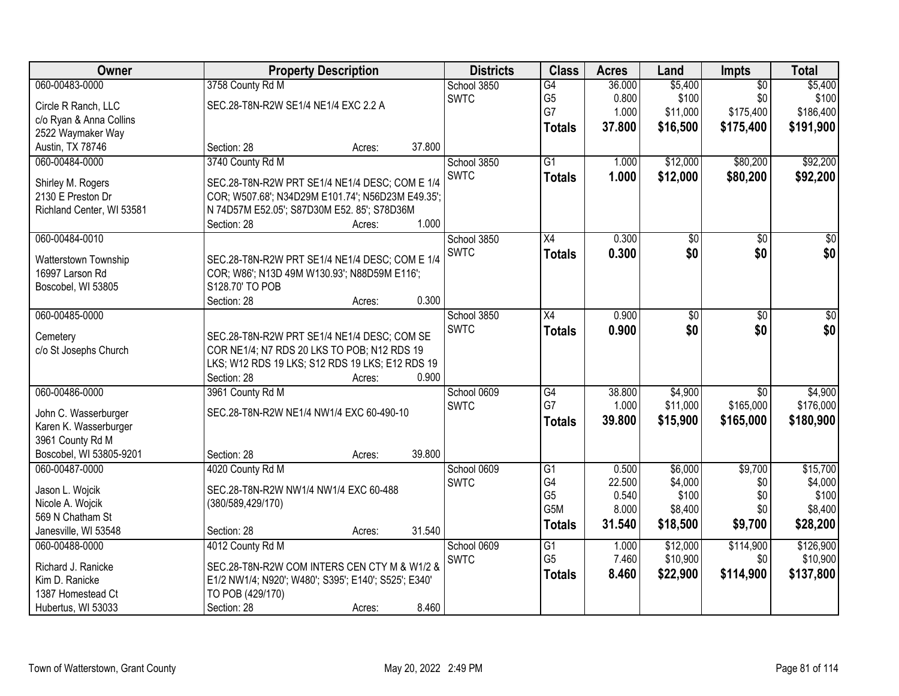| Owner                     |                                                      | <b>Property Description</b> |        |             | <b>Class</b>    | <b>Acres</b> | Land     | Impts           | <b>Total</b>    |
|---------------------------|------------------------------------------------------|-----------------------------|--------|-------------|-----------------|--------------|----------|-----------------|-----------------|
| 060-00483-0000            | 3758 County Rd M                                     |                             |        | School 3850 | G4              | 36.000       | \$5,400  | $\overline{50}$ | \$5,400         |
| Circle R Ranch, LLC       | SEC.28-T8N-R2W SE1/4 NE1/4 EXC 2.2 A                 |                             |        | <b>SWTC</b> | G <sub>5</sub>  | 0.800        | \$100    | \$0             | \$100           |
| c/o Ryan & Anna Collins   |                                                      |                             |        |             | G7              | 1.000        | \$11,000 | \$175,400       | \$186,400       |
| 2522 Waymaker Way         |                                                      |                             |        |             | <b>Totals</b>   | 37.800       | \$16,500 | \$175,400       | \$191,900       |
| Austin, TX 78746          | Section: 28                                          | Acres:                      | 37.800 |             |                 |              |          |                 |                 |
| 060-00484-0000            | 3740 County Rd M                                     |                             |        | School 3850 | $\overline{G1}$ | 1.000        | \$12,000 | \$80,200        | \$92,200        |
|                           |                                                      |                             |        | <b>SWTC</b> | <b>Totals</b>   | 1.000        | \$12,000 | \$80,200        | \$92,200        |
| Shirley M. Rogers         | SEC.28-T8N-R2W PRT SE1/4 NE1/4 DESC; COM E 1/4       |                             |        |             |                 |              |          |                 |                 |
| 2130 E Preston Dr         | COR; W507.68'; N34D29M E101.74'; N56D23M E49.35';    |                             |        |             |                 |              |          |                 |                 |
| Richland Center, WI 53581 | N 74D57M E52.05'; S87D30M E52. 85'; S78D36M          |                             | 1.000  |             |                 |              |          |                 |                 |
| 060-00484-0010            | Section: 28                                          | Acres:                      |        |             | $\overline{X4}$ | 0.300        |          |                 | $\overline{50}$ |
|                           |                                                      |                             |        | School 3850 |                 |              | \$0      | $\overline{50}$ |                 |
| Watterstown Township      | SEC.28-T8N-R2W PRT SE1/4 NE1/4 DESC; COM E 1/4       |                             |        | <b>SWTC</b> | <b>Totals</b>   | 0.300        | \$0      | \$0             | \$0             |
| 16997 Larson Rd           | COR; W86'; N13D 49M W130.93'; N88D59M E116';         |                             |        |             |                 |              |          |                 |                 |
| Boscobel, WI 53805        | S128.70' TO POB                                      |                             |        |             |                 |              |          |                 |                 |
|                           | Section: 28                                          | Acres:                      | 0.300  |             |                 |              |          |                 |                 |
| 060-00485-0000            |                                                      |                             |        | School 3850 | X4              | 0.900        | \$0      | \$0             | \$0             |
| Cemetery                  | SEC.28-T8N-R2W PRT SE1/4 NE1/4 DESC; COM SE          |                             |        | <b>SWTC</b> | <b>Totals</b>   | 0.900        | \$0      | \$0             | \$0             |
| c/o St Josephs Church     | COR NE1/4; N7 RDS 20 LKS TO POB; N12 RDS 19          |                             |        |             |                 |              |          |                 |                 |
|                           | LKS; W12 RDS 19 LKS; S12 RDS 19 LKS; E12 RDS 19      |                             |        |             |                 |              |          |                 |                 |
|                           | Section: 28                                          | Acres:                      | 0.900  |             |                 |              |          |                 |                 |
| 060-00486-0000            | 3961 County Rd M                                     |                             |        | School 0609 | $\overline{G4}$ | 38.800       | \$4,900  | $\overline{50}$ | \$4,900         |
|                           |                                                      |                             |        | <b>SWTC</b> | G7              | 1.000        | \$11,000 | \$165,000       | \$176,000       |
| John C. Wasserburger      | SEC.28-T8N-R2W NE1/4 NW1/4 EXC 60-490-10             |                             |        |             |                 | 39.800       | \$15,900 | \$165,000       | \$180,900       |
| Karen K. Wasserburger     |                                                      |                             |        |             | <b>Totals</b>   |              |          |                 |                 |
| 3961 County Rd M          |                                                      |                             |        |             |                 |              |          |                 |                 |
| Boscobel, WI 53805-9201   | Section: 28                                          | Acres:                      | 39.800 |             |                 |              |          |                 |                 |
| 060-00487-0000            | 4020 County Rd M                                     |                             |        | School 0609 | $\overline{G1}$ | 0.500        | \$6,000  | \$9,700         | \$15,700        |
| Jason L. Wojcik           | SEC.28-T8N-R2W NW1/4 NW1/4 EXC 60-488                |                             |        | <b>SWTC</b> | G4              | 22.500       | \$4,000  | \$0             | \$4,000         |
| Nicole A. Wojcik          | (380/589,429/170)                                    |                             |        |             | G <sub>5</sub>  | 0.540        | \$100    | \$0             | \$100           |
| 569 N Chatham St          |                                                      |                             |        |             | G5M             | 8.000        | \$8,400  | \$0             | \$8,400         |
| Janesville, WI 53548      | Section: 28                                          | Acres:                      | 31.540 |             | <b>Totals</b>   | 31.540       | \$18,500 | \$9,700         | \$28,200        |
| 060-00488-0000            | 4012 County Rd M                                     |                             |        | School 0609 | $\overline{G1}$ | 1.000        | \$12,000 | \$114,900       | \$126,900       |
|                           |                                                      |                             |        | <b>SWTC</b> | G <sub>5</sub>  | 7.460        | \$10,900 | \$0             | \$10,900        |
| Richard J. Ranicke        | SEC.28-T8N-R2W COM INTERS CEN CTY M & W1/2 &         |                             |        |             | <b>Totals</b>   | 8.460        | \$22,900 | \$114,900       | \$137,800       |
| Kim D. Ranicke            | E1/2 NW1/4; N920'; W480'; S395'; E140'; S525'; E340' |                             |        |             |                 |              |          |                 |                 |
| 1387 Homestead Ct         | TO POB (429/170)                                     |                             |        |             |                 |              |          |                 |                 |
| Hubertus, WI 53033        | Section: 28                                          | Acres:                      | 8.460  |             |                 |              |          |                 |                 |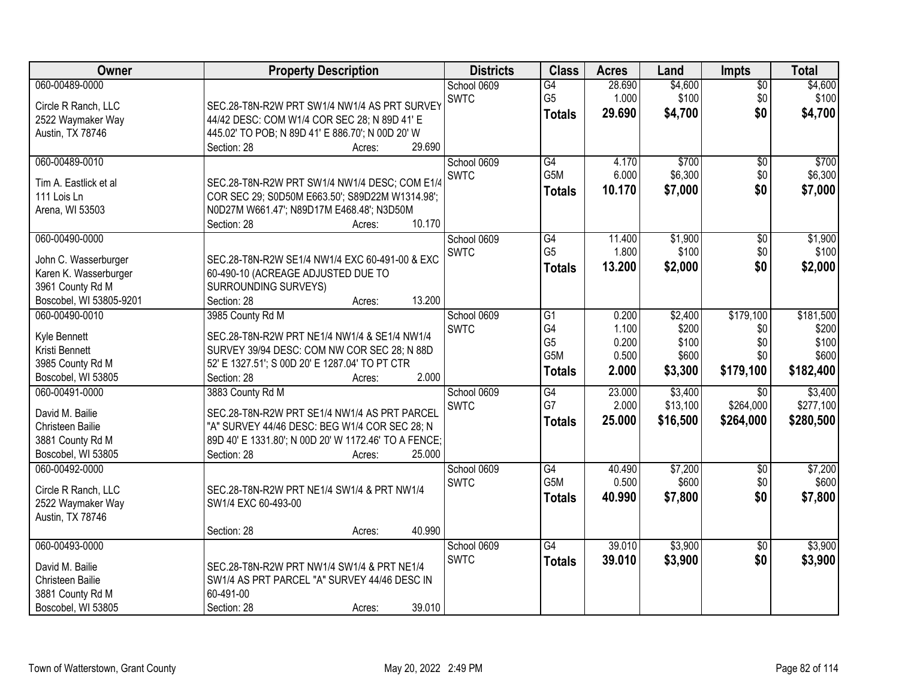| Owner                                | <b>Property Description</b>                          | <b>Districts</b>           | <b>Class</b>          | <b>Acres</b>    | Land                | <b>Impts</b>     | <b>Total</b>         |
|--------------------------------------|------------------------------------------------------|----------------------------|-----------------------|-----------------|---------------------|------------------|----------------------|
| 060-00489-0000                       |                                                      | School 0609                | G4                    | 28.690          | \$4,600             | \$0              | \$4,600              |
| Circle R Ranch, LLC                  | SEC.28-T8N-R2W PRT SW1/4 NW1/4 AS PRT SURVEY         | <b>SWTC</b>                | G <sub>5</sub>        | 1.000           | \$100               | \$0              | \$100                |
| 2522 Waymaker Way                    | 44/42 DESC: COM W1/4 COR SEC 28; N 89D 41' E         |                            | <b>Totals</b>         | 29.690          | \$4,700             | \$0              | \$4,700              |
| Austin, TX 78746                     | 445.02' TO POB; N 89D 41' E 886.70'; N 00D 20' W     |                            |                       |                 |                     |                  |                      |
|                                      | 29.690<br>Section: 28<br>Acres:                      |                            |                       |                 |                     |                  |                      |
| 060-00489-0010                       |                                                      | School 0609                | G4                    | 4.170           | \$700               | \$0              | \$700                |
| Tim A. Eastlick et al                | SEC.28-T8N-R2W PRT SW1/4 NW1/4 DESC; COM E1/4        | <b>SWTC</b>                | G5M                   | 6.000           | \$6,300             | \$0              | \$6,300              |
| 111 Lois Ln                          | COR SEC 29; S0D50M E663.50'; S89D22M W1314.98';      |                            | <b>Totals</b>         | 10.170          | \$7,000             | \$0              | \$7,000              |
| Arena, WI 53503                      | N0D27M W661.47'; N89D17M E468.48'; N3D50M            |                            |                       |                 |                     |                  |                      |
|                                      | 10.170<br>Section: 28<br>Acres:                      |                            |                       |                 |                     |                  |                      |
| 060-00490-0000                       |                                                      | School 0609                | G4                    | 11.400          | \$1,900             | $\overline{50}$  | \$1,900              |
| John C. Wasserburger                 | SEC.28-T8N-R2W SE1/4 NW1/4 EXC 60-491-00 & EXC       | <b>SWTC</b>                | G <sub>5</sub>        | 1.800           | \$100               | \$0              | \$100                |
| Karen K. Wasserburger                | 60-490-10 (ACREAGE ADJUSTED DUE TO                   |                            | <b>Totals</b>         | 13.200          | \$2,000             | \$0              | \$2,000              |
| 3961 County Rd M                     | SURROUNDING SURVEYS)                                 |                            |                       |                 |                     |                  |                      |
| Boscobel, WI 53805-9201              | 13.200<br>Section: 28<br>Acres:                      |                            |                       |                 |                     |                  |                      |
| 060-00490-0010                       | 3985 County Rd M                                     | School 0609                | $\overline{G1}$       | 0.200           | \$2,400             | \$179,100        | \$181,500            |
|                                      |                                                      | <b>SWTC</b>                | G4                    | 1.100           | \$200               | \$0              | \$200                |
| Kyle Bennett                         | SEC.28-T8N-R2W PRT NE1/4 NW1/4 & SE1/4 NW1/4         |                            | G <sub>5</sub>        | 0.200           | \$100               | \$0              | \$100                |
| Kristi Bennett                       | SURVEY 39/94 DESC: COM NW COR SEC 28; N 88D          |                            | G5M                   | 0.500           | \$600               | \$0              | \$600                |
| 3985 County Rd M                     | 52' E 1327.51'; S 00D 20' E 1287.04' TO PT CTR       |                            | <b>Totals</b>         | 2.000           | \$3,300             | \$179,100        | \$182,400            |
| Boscobel, WI 53805<br>060-00491-0000 | Section: 28<br>2.000<br>Acres:                       |                            |                       |                 |                     |                  |                      |
|                                      | 3883 County Rd M                                     | School 0609<br><b>SWTC</b> | $\overline{G4}$<br>G7 | 23.000<br>2.000 | \$3,400<br>\$13,100 | \$0<br>\$264,000 | \$3,400<br>\$277,100 |
| David M. Bailie                      | SEC.28-T8N-R2W PRT SE1/4 NW1/4 AS PRT PARCEL         |                            |                       | 25.000          | \$16,500            | \$264,000        |                      |
| Christeen Bailie                     | "A" SURVEY 44/46 DESC: BEG W1/4 COR SEC 28; N        |                            | Totals                |                 |                     |                  | \$280,500            |
| 3881 County Rd M                     | 89D 40' E 1331.80'; N 00D 20' W 1172.46' TO A FENCE; |                            |                       |                 |                     |                  |                      |
| Boscobel, WI 53805                   | 25.000<br>Section: 28<br>Acres:                      |                            |                       |                 |                     |                  |                      |
| 060-00492-0000                       |                                                      | School 0609                | $\overline{G4}$       | 40.490          | \$7,200             | $\overline{$0}$  | \$7,200              |
| Circle R Ranch, LLC                  | SEC.28-T8N-R2W PRT NE1/4 SW1/4 & PRT NW1/4           | <b>SWTC</b>                | G5M                   | 0.500           | \$600               | \$0              | \$600                |
| 2522 Waymaker Way                    | SW1/4 EXC 60-493-00                                  |                            | <b>Totals</b>         | 40.990          | \$7,800             | \$0              | \$7,800              |
| Austin, TX 78746                     |                                                      |                            |                       |                 |                     |                  |                      |
|                                      | 40.990<br>Section: 28<br>Acres:                      |                            |                       |                 |                     |                  |                      |
| 060-00493-0000                       |                                                      | School 0609                | G4                    | 39.010          | \$3,900             | $\overline{30}$  | \$3,900              |
| David M. Bailie                      | SEC.28-T8N-R2W PRT NW1/4 SW1/4 & PRT NE1/4           | <b>SWTC</b>                | <b>Totals</b>         | 39.010          | \$3,900             | \$0              | \$3,900              |
| Christeen Bailie                     | SW1/4 AS PRT PARCEL "A" SURVEY 44/46 DESC IN         |                            |                       |                 |                     |                  |                      |
| 3881 County Rd M                     | 60-491-00                                            |                            |                       |                 |                     |                  |                      |
| Boscobel, WI 53805                   | 39.010<br>Section: 28<br>Acres:                      |                            |                       |                 |                     |                  |                      |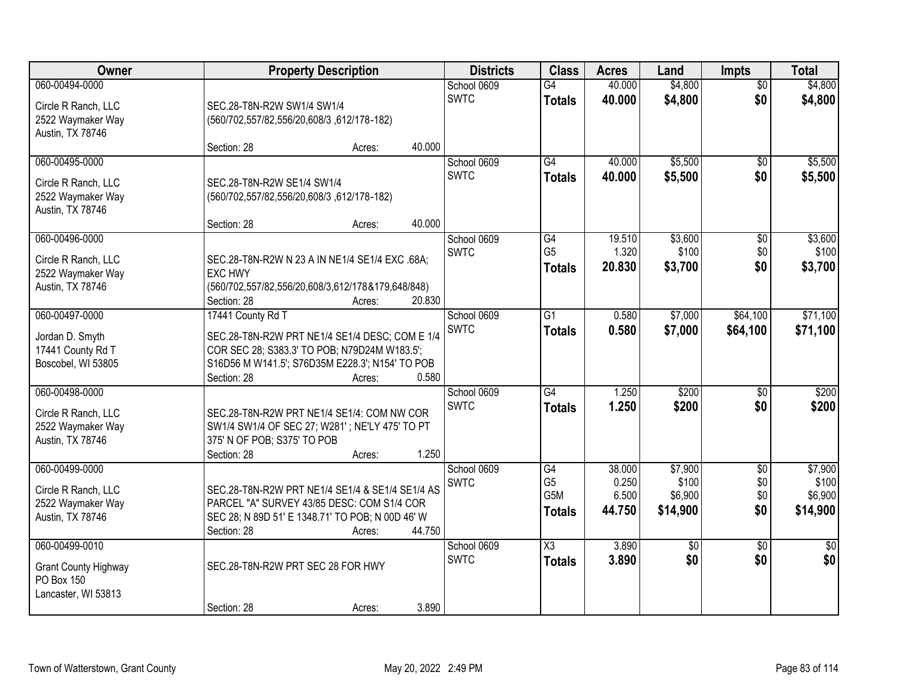| Owner                                                                              |                                                                                        | <b>Property Description</b>                                                                                                                                 |                                      |                                                           | <b>Acres</b>                       | Land                                    | <b>Impts</b>                    | <b>Total</b>                            |
|------------------------------------------------------------------------------------|----------------------------------------------------------------------------------------|-------------------------------------------------------------------------------------------------------------------------------------------------------------|--------------------------------------|-----------------------------------------------------------|------------------------------------|-----------------------------------------|---------------------------------|-----------------------------------------|
| 060-00494-0000<br>Circle R Ranch, LLC<br>2522 Waymaker Way<br>Austin, TX 78746     | SEC.28-T8N-R2W SW1/4 SW1/4<br>(560/702,557/82,556/20,608/3,612/178-182)                |                                                                                                                                                             | School 0609<br><b>SWTC</b>           | G4<br><b>Totals</b>                                       | 40.000<br>40.000                   | \$4,800<br>\$4,800                      | $\overline{50}$<br>\$0          | \$4,800<br>\$4,800                      |
|                                                                                    | Section: 28                                                                            | Acres:                                                                                                                                                      | 40.000                               |                                                           |                                    |                                         |                                 |                                         |
| 060-00495-0000<br>Circle R Ranch, LLC<br>2522 Waymaker Way<br>Austin, TX 78746     | SEC.28-T8N-R2W SE1/4 SW1/4<br>(560/702,557/82,556/20,608/3,612/178-182)<br>Section: 28 | Acres:                                                                                                                                                      | School 0609<br><b>SWTC</b><br>40.000 | G4<br><b>Totals</b>                                       | 40.000<br>40.000                   | \$5,500<br>\$5,500                      | $\overline{50}$<br>\$0          | \$5,500<br>\$5,500                      |
| 060-00496-0000<br>Circle R Ranch, LLC<br>2522 Waymaker Way<br>Austin, TX 78746     | <b>EXC HWY</b><br>Section: 28                                                          | SEC.28-T8N-R2W N 23 A IN NE1/4 SE1/4 EXC .68A;<br>(560/702,557/82,556/20,608/3,612/178&179,648/848)<br>Acres:                                               | School 0609<br><b>SWTC</b><br>20.830 | G4<br>G <sub>5</sub><br><b>Totals</b>                     | 19.510<br>1.320<br>20.830          | \$3,600<br>\$100<br>\$3,700             | \$0<br>\$0<br>\$0               | \$3,600<br>\$100<br>\$3,700             |
| 060-00497-0000<br>Jordan D. Smyth<br>17441 County Rd T<br>Boscobel, WI 53805       | 17441 County Rd T<br>Section: 28                                                       | SEC.28-T8N-R2W PRT NE1/4 SE1/4 DESC; COM E 1/4<br>COR SEC 28; S383.3' TO POB; N79D24M W183.5';<br>S16D56 M W141.5'; S76D35M E228.3'; N154' TO POB<br>Acres: | School 0609<br><b>SWTC</b><br>0.580  | $\overline{G1}$<br><b>Totals</b>                          | 0.580<br>0.580                     | \$7,000<br>\$7,000                      | \$64,100<br>\$64,100            | \$71,100<br>\$71,100                    |
| 060-00498-0000<br>Circle R Ranch, LLC<br>2522 Waymaker Way<br>Austin, TX 78746     | 375' N OF POB; S375' TO POB<br>Section: 28                                             | SEC.28-T8N-R2W PRT NE1/4 SE1/4: COM NW COR<br>SW1/4 SW1/4 OF SEC 27; W281'; NE'LY 475' TO PT<br>Acres:                                                      | School 0609<br><b>SWTC</b><br>1.250  | $\overline{G4}$<br><b>Totals</b>                          | 1.250<br>1.250                     | \$200<br>\$200                          | \$0<br>\$0                      | \$200<br>\$200                          |
| 060-00499-0000<br>Circle R Ranch, LLC<br>2522 Waymaker Way<br>Austin, TX 78746     | Section: 28                                                                            | SEC.28-T8N-R2W PRT NE1/4 SE1/4 & SE1/4 SE1/4 AS<br>PARCEL "A" SURVEY 43/85 DESC: COM S1/4 COR<br>SEC 28; N 89D 51' E 1348.71' TO POB; N 00D 46' W<br>Acres: | School 0609<br><b>SWTC</b><br>44.750 | G4<br>G <sub>5</sub><br>G <sub>5</sub> M<br><b>Totals</b> | 38.000<br>0.250<br>6.500<br>44.750 | \$7,900<br>\$100<br>\$6,900<br>\$14,900 | $\sqrt{6}$<br>\$0<br>\$0<br>\$0 | \$7,900<br>\$100<br>\$6,900<br>\$14,900 |
| 060-00499-0010<br><b>Grant County Highway</b><br>PO Box 150<br>Lancaster, WI 53813 | SEC.28-T8N-R2W PRT SEC 28 FOR HWY<br>Section: 28                                       | Acres:                                                                                                                                                      | School 0609<br><b>SWTC</b><br>3.890  | $\overline{\text{X3}}$<br><b>Totals</b>                   | 3.890<br>3.890                     | $\overline{50}$<br>\$0                  | $\overline{50}$<br>\$0          | $\frac{1}{30}$<br>\$0                   |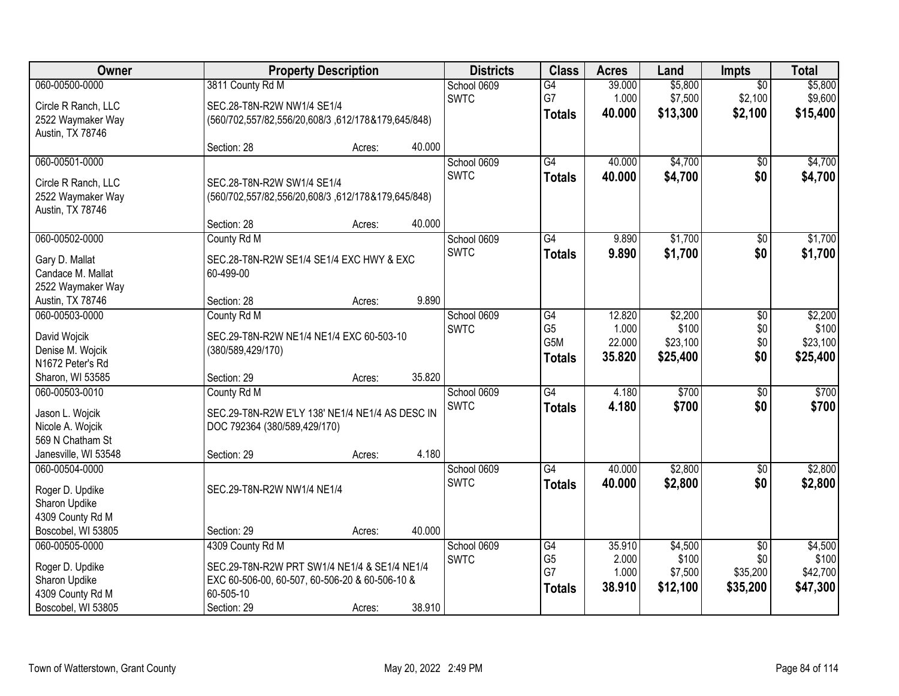| Owner                             | <b>Property Description</b>                                 |        |        | <b>Districts</b> | <b>Class</b>    | <b>Acres</b> | Land     | <b>Impts</b>    | <b>Total</b> |
|-----------------------------------|-------------------------------------------------------------|--------|--------|------------------|-----------------|--------------|----------|-----------------|--------------|
| 060-00500-0000                    | 3811 County Rd M                                            |        |        | School 0609      | $\overline{G4}$ | 39.000       | \$5,800  | $\overline{50}$ | \$5,800      |
| Circle R Ranch, LLC               | SEC.28-T8N-R2W NW1/4 SE1/4                                  |        |        | <b>SWTC</b>      | G7              | 1.000        | \$7,500  | \$2,100         | \$9,600      |
| 2522 Waymaker Way                 | (560/702,557/82,556/20,608/3,612/178&179,645/848)           |        |        |                  | <b>Totals</b>   | 40.000       | \$13,300 | \$2,100         | \$15,400     |
| Austin, TX 78746                  |                                                             |        |        |                  |                 |              |          |                 |              |
|                                   | Section: 28                                                 | Acres: | 40.000 |                  |                 |              |          |                 |              |
| 060-00501-0000                    |                                                             |        |        | School 0609      | $\overline{G4}$ | 40.000       | \$4,700  | $\overline{50}$ | \$4,700      |
| Circle R Ranch, LLC               | SEC.28-T8N-R2W SW1/4 SE1/4                                  |        |        | <b>SWTC</b>      | <b>Totals</b>   | 40.000       | \$4,700  | \$0             | \$4,700      |
| 2522 Waymaker Way                 | (560/702,557/82,556/20,608/3,612/178&179,645/848)           |        |        |                  |                 |              |          |                 |              |
| Austin, TX 78746                  |                                                             |        |        |                  |                 |              |          |                 |              |
|                                   | Section: 28                                                 | Acres: | 40.000 |                  |                 |              |          |                 |              |
| 060-00502-0000                    | County Rd M                                                 |        |        | School 0609      | $\overline{G4}$ | 9.890        | \$1,700  | $\overline{50}$ | \$1,700      |
| Gary D. Mallat                    | SEC.28-T8N-R2W SE1/4 SE1/4 EXC HWY & EXC                    |        |        | <b>SWTC</b>      | <b>Totals</b>   | 9.890        | \$1,700  | \$0             | \$1,700      |
| Candace M. Mallat                 | 60-499-00                                                   |        |        |                  |                 |              |          |                 |              |
| 2522 Waymaker Way                 |                                                             |        |        |                  |                 |              |          |                 |              |
| Austin, TX 78746                  | Section: 28                                                 | Acres: | 9.890  |                  |                 |              |          |                 |              |
| 060-00503-0000                    | County Rd M                                                 |        |        | School 0609      | G4              | 12.820       | \$2,200  | \$0             | \$2,200      |
| David Wojcik                      | SEC.29-T8N-R2W NE1/4 NE1/4 EXC 60-503-10                    |        |        | <b>SWTC</b>      | G <sub>5</sub>  | 1.000        | \$100    | \$0             | \$100        |
| Denise M. Wojcik                  | (380/589,429/170)                                           |        |        |                  | G5M             | 22.000       | \$23,100 | \$0             | \$23,100     |
| N1672 Peter's Rd                  |                                                             |        |        |                  | <b>Totals</b>   | 35.820       | \$25,400 | \$0             | \$25,400     |
| Sharon, WI 53585                  | Section: 29                                                 | Acres: | 35.820 |                  |                 |              |          |                 |              |
| 060-00503-0010                    | County Rd M                                                 |        |        | School 0609      | G4              | 4.180        | \$700    | $\overline{30}$ | \$700        |
| Jason L. Wojcik                   | SEC.29-T8N-R2W E'LY 138' NE1/4 NE1/4 AS DESC IN             |        |        | <b>SWTC</b>      | <b>Totals</b>   | 4.180        | \$700    | \$0             | \$700        |
| Nicole A. Wojcik                  | DOC 792364 (380/589,429/170)                                |        |        |                  |                 |              |          |                 |              |
| 569 N Chatham St                  |                                                             |        |        |                  |                 |              |          |                 |              |
| Janesville, WI 53548              | Section: 29                                                 | Acres: | 4.180  |                  |                 |              |          |                 |              |
| 060-00504-0000                    |                                                             |        |        | School 0609      | $\overline{G4}$ | 40.000       | \$2,800  | $\overline{60}$ | \$2,800      |
|                                   | SEC.29-T8N-R2W NW1/4 NE1/4                                  |        |        | <b>SWTC</b>      | <b>Totals</b>   | 40.000       | \$2,800  | \$0             | \$2,800      |
| Roger D. Updike<br>Sharon Updike  |                                                             |        |        |                  |                 |              |          |                 |              |
| 4309 County Rd M                  |                                                             |        |        |                  |                 |              |          |                 |              |
| Boscobel, WI 53805                | Section: 29                                                 | Acres: | 40.000 |                  |                 |              |          |                 |              |
| 060-00505-0000                    | 4309 County Rd M                                            |        |        | School 0609      | G4              | 35.910       | \$4,500  | $\overline{50}$ | \$4,500      |
|                                   |                                                             |        |        | <b>SWTC</b>      | G <sub>5</sub>  | 2.000        | \$100    | \$0             | \$100        |
| Roger D. Updike                   | SEC.29-T8N-R2W PRT SW1/4 NE1/4 & SE1/4 NE1/4                |        |        |                  | G7              | 1.000        | \$7,500  | \$35,200        | \$42,700     |
| Sharon Updike<br>4309 County Rd M | EXC 60-506-00, 60-507, 60-506-20 & 60-506-10 &<br>60-505-10 |        |        |                  | <b>Totals</b>   | 38.910       | \$12,100 | \$35,200        | \$47,300     |
| Boscobel, WI 53805                | Section: 29                                                 | Acres: | 38.910 |                  |                 |              |          |                 |              |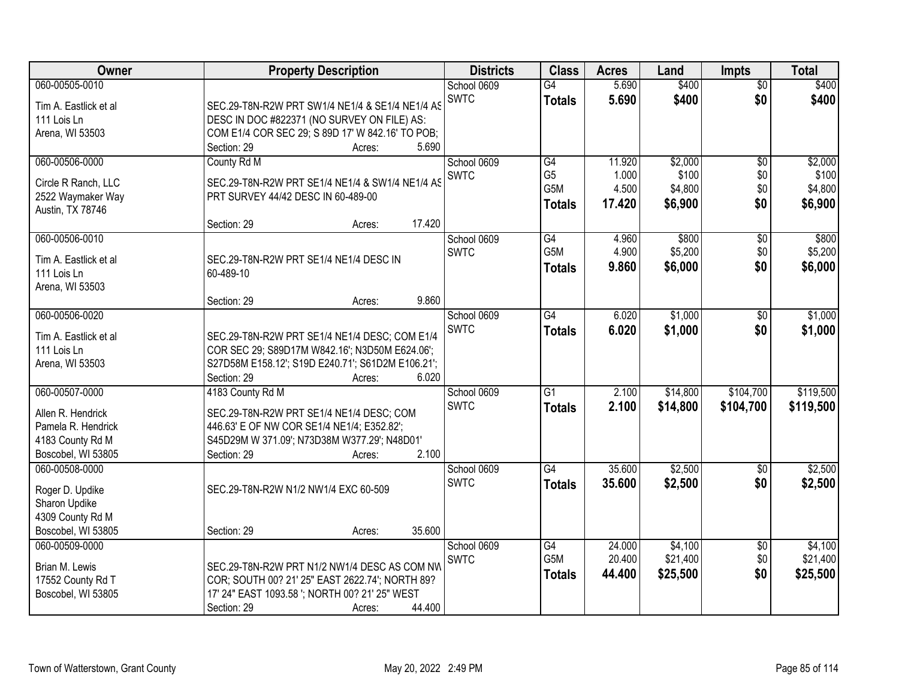| Owner                                  | <b>Property Description</b>                                          | <b>Districts</b> | <b>Class</b>     | <b>Acres</b> | Land     | <b>Impts</b>    | <b>Total</b> |
|----------------------------------------|----------------------------------------------------------------------|------------------|------------------|--------------|----------|-----------------|--------------|
| 060-00505-0010                         |                                                                      | School 0609      | $\overline{G4}$  | 5.690        | \$400    | $\overline{50}$ | \$400        |
| Tim A. Eastlick et al                  | SEC.29-T8N-R2W PRT SW1/4 NE1/4 & SE1/4 NE1/4 AS                      | <b>SWTC</b>      | <b>Totals</b>    | 5.690        | \$400    | \$0             | \$400        |
| 111 Lois Ln                            | DESC IN DOC #822371 (NO SURVEY ON FILE) AS:                          |                  |                  |              |          |                 |              |
| Arena, WI 53503                        | COM E1/4 COR SEC 29; S 89D 17' W 842.16' TO POB;                     |                  |                  |              |          |                 |              |
|                                        | 5.690<br>Section: 29<br>Acres:                                       |                  |                  |              |          |                 |              |
| 060-00506-0000                         | County Rd M                                                          | School 0609      | G4               | 11.920       | \$2,000  | $\overline{50}$ | \$2,000      |
| Circle R Ranch, LLC                    | SEC.29-T8N-R2W PRT SE1/4 NE1/4 & SW1/4 NE1/4 AS                      | <b>SWTC</b>      | G <sub>5</sub>   | 1.000        | \$100    | \$0             | \$100        |
| 2522 Waymaker Way                      | PRT SURVEY 44/42 DESC IN 60-489-00                                   |                  | G <sub>5</sub> M | 4.500        | \$4,800  | \$0             | \$4,800      |
| Austin, TX 78746                       |                                                                      |                  | <b>Totals</b>    | 17.420       | \$6,900  | \$0             | \$6,900      |
|                                        | 17.420<br>Section: 29<br>Acres:                                      |                  |                  |              |          |                 |              |
| 060-00506-0010                         |                                                                      | School 0609      | G4               | 4.960        | \$800    | $\overline{50}$ | \$800        |
| Tim A. Eastlick et al                  | SEC.29-T8N-R2W PRT SE1/4 NE1/4 DESC IN                               | <b>SWTC</b>      | G <sub>5</sub> M | 4.900        | \$5,200  | \$0             | \$5,200      |
| 111 Lois Ln                            | 60-489-10                                                            |                  | <b>Totals</b>    | 9.860        | \$6,000  | \$0             | \$6,000      |
| Arena, WI 53503                        |                                                                      |                  |                  |              |          |                 |              |
|                                        | 9.860<br>Section: 29<br>Acres:                                       |                  |                  |              |          |                 |              |
| 060-00506-0020                         |                                                                      | School 0609      | $\overline{G4}$  | 6.020        | \$1,000  | \$0             | \$1,000      |
| Tim A. Eastlick et al                  | SEC.29-T8N-R2W PRT SE1/4 NE1/4 DESC; COM E1/4                        | <b>SWTC</b>      | <b>Totals</b>    | 6.020        | \$1,000  | \$0             | \$1,000      |
| 111 Lois Ln                            | COR SEC 29; S89D17M W842.16'; N3D50M E624.06';                       |                  |                  |              |          |                 |              |
| Arena, WI 53503                        | S27D58M E158.12'; S19D E240.71'; S61D2M E106.21';                    |                  |                  |              |          |                 |              |
|                                        | Section: 29<br>6.020<br>Acres:                                       |                  |                  |              |          |                 |              |
| 060-00507-0000                         | 4183 County Rd M                                                     | School 0609      | $\overline{G1}$  | 2.100        | \$14,800 | \$104,700       | \$119,500    |
|                                        |                                                                      | <b>SWTC</b>      | <b>Totals</b>    | 2.100        | \$14,800 | \$104,700       | \$119,500    |
| Allen R. Hendrick                      | SEC.29-T8N-R2W PRT SE1/4 NE1/4 DESC; COM                             |                  |                  |              |          |                 |              |
| Pamela R. Hendrick                     | 446.63' E OF NW COR SE1/4 NE1/4; E352.82';                           |                  |                  |              |          |                 |              |
| 4183 County Rd M<br>Boscobel, WI 53805 | S45D29M W 371.09'; N73D38M W377.29'; N48D01'<br>2.100<br>Section: 29 |                  |                  |              |          |                 |              |
| 060-00508-0000                         | Acres:                                                               | School 0609      | $\overline{G4}$  | 35.600       | \$2,500  | $\overline{60}$ | \$2,500      |
|                                        |                                                                      | <b>SWTC</b>      |                  | 35.600       | \$2,500  | \$0             | \$2,500      |
| Roger D. Updike                        | SEC.29-T8N-R2W N1/2 NW1/4 EXC 60-509                                 |                  | <b>Totals</b>    |              |          |                 |              |
| Sharon Updike                          |                                                                      |                  |                  |              |          |                 |              |
| 4309 County Rd M                       |                                                                      |                  |                  |              |          |                 |              |
| Boscobel, WI 53805                     | 35.600<br>Section: 29<br>Acres:                                      |                  |                  |              |          |                 |              |
| 060-00509-0000                         |                                                                      | School 0609      | G4               | 24.000       | \$4,100  | $\overline{60}$ | \$4,100      |
| Brian M. Lewis                         | SEC.29-T8N-R2W PRT N1/2 NW1/4 DESC AS COM NW                         | <b>SWTC</b>      | G <sub>5</sub> M | 20.400       | \$21,400 | \$0             | \$21,400     |
| 17552 County Rd T                      | COR; SOUTH 00? 21' 25" EAST 2622.74'; NORTH 89?                      |                  | <b>Totals</b>    | 44.400       | \$25,500 | \$0             | \$25,500     |
| Boscobel, WI 53805                     | 17' 24" EAST 1093.58 '; NORTH 00? 21' 25" WEST                       |                  |                  |              |          |                 |              |
|                                        | 44.400<br>Section: 29<br>Acres:                                      |                  |                  |              |          |                 |              |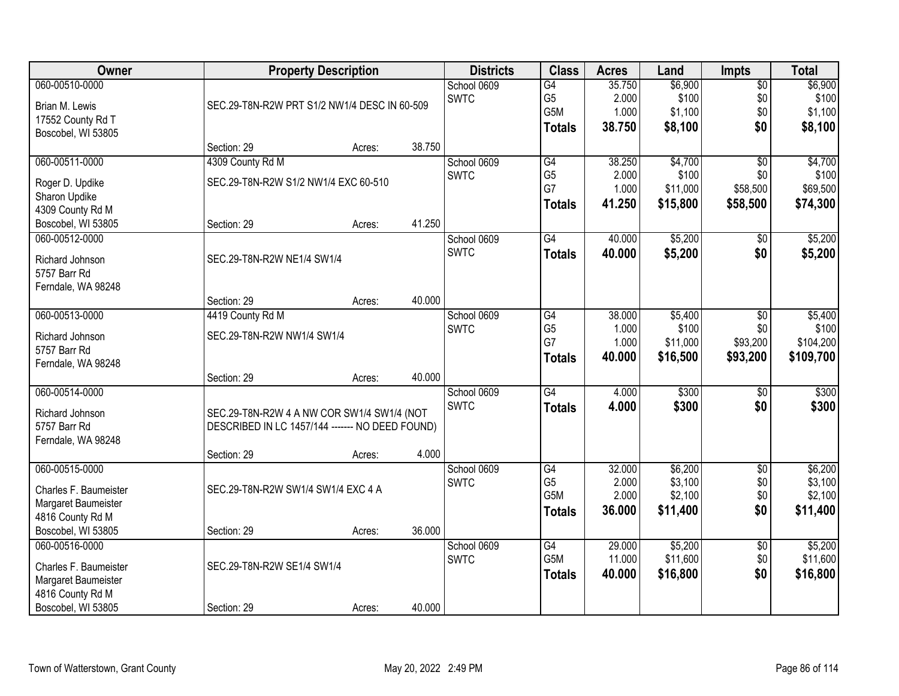| Owner                                   | <b>Property Description</b>                     |                                                                            |        | <b>Districts</b> | <b>Class</b>                             | <b>Acres</b>             | Land                        | <b>Impts</b>                  | <b>Total</b>                |
|-----------------------------------------|-------------------------------------------------|----------------------------------------------------------------------------|--------|------------------|------------------------------------------|--------------------------|-----------------------------|-------------------------------|-----------------------------|
| 060-00510-0000<br>Brian M. Lewis        |                                                 | School 0609<br><b>SWTC</b><br>SEC.29-T8N-R2W PRT S1/2 NW1/4 DESC IN 60-509 |        |                  | $\overline{G4}$<br>G <sub>5</sub><br>G5M | 35.750<br>2.000<br>1.000 | \$6,900<br>\$100<br>\$1,100 | $\overline{$0}$<br>\$0<br>\$0 | \$6,900<br>\$100<br>\$1,100 |
| 17552 County Rd T<br>Boscobel, WI 53805 |                                                 |                                                                            |        |                  | <b>Totals</b>                            | 38.750                   | \$8,100                     | \$0                           | \$8,100                     |
|                                         | Section: 29                                     | Acres:                                                                     | 38.750 |                  |                                          |                          |                             |                               |                             |
| 060-00511-0000                          | 4309 County Rd M                                |                                                                            |        | School 0609      | G4                                       | 38.250                   | \$4,700                     | $\overline{50}$               | \$4,700                     |
| Roger D. Updike                         | SEC.29-T8N-R2W S1/2 NW1/4 EXC 60-510            |                                                                            |        | <b>SWTC</b>      | G <sub>5</sub>                           | 2.000                    | \$100                       | \$0                           | \$100                       |
| Sharon Updike                           |                                                 |                                                                            |        |                  | G7                                       | 1.000                    | \$11,000                    | \$58,500                      | \$69,500                    |
| 4309 County Rd M                        |                                                 |                                                                            |        |                  | <b>Totals</b>                            | 41.250                   | \$15,800                    | \$58,500                      | \$74,300                    |
| Boscobel, WI 53805                      | Section: 29                                     | Acres:                                                                     | 41.250 |                  |                                          |                          |                             |                               |                             |
| 060-00512-0000                          |                                                 |                                                                            |        | School 0609      | G4                                       | 40.000                   | \$5,200                     | \$0                           | \$5,200                     |
| Richard Johnson                         | SEC.29-T8N-R2W NE1/4 SW1/4                      |                                                                            |        | <b>SWTC</b>      | <b>Totals</b>                            | 40.000                   | \$5,200                     | \$0                           | \$5,200                     |
| 5757 Barr Rd                            |                                                 |                                                                            |        |                  |                                          |                          |                             |                               |                             |
| Ferndale, WA 98248                      |                                                 |                                                                            |        |                  |                                          |                          |                             |                               |                             |
|                                         | Section: 29                                     | Acres:                                                                     | 40.000 |                  |                                          |                          |                             |                               |                             |
| 060-00513-0000                          | 4419 County Rd M                                |                                                                            |        | School 0609      | G4                                       | 38.000                   | \$5,400                     | $\sqrt[6]{3}$                 | \$5,400                     |
| Richard Johnson                         | SEC.29-T8N-R2W NW1/4 SW1/4                      |                                                                            |        | <b>SWTC</b>      | G <sub>5</sub>                           | 1.000                    | \$100                       | \$0                           | \$100                       |
| 5757 Barr Rd                            |                                                 |                                                                            |        |                  | G7                                       | 1.000<br>40.000          | \$11,000                    | \$93,200                      | \$104,200                   |
| Ferndale, WA 98248                      |                                                 |                                                                            |        |                  | <b>Totals</b>                            |                          | \$16,500                    | \$93,200                      | \$109,700                   |
|                                         | Section: 29                                     | Acres:                                                                     | 40.000 |                  |                                          |                          |                             |                               |                             |
| 060-00514-0000                          |                                                 |                                                                            |        | School 0609      | $\overline{G4}$                          | 4.000                    | \$300                       | \$0                           | \$300                       |
| Richard Johnson                         | SEC.29-T8N-R2W 4 A NW COR SW1/4 SW1/4 (NOT      |                                                                            |        | <b>SWTC</b>      | <b>Totals</b>                            | 4.000                    | \$300                       | \$0                           | \$300                       |
| 5757 Barr Rd                            | DESCRIBED IN LC 1457/144 ------- NO DEED FOUND) |                                                                            |        |                  |                                          |                          |                             |                               |                             |
| Ferndale, WA 98248                      |                                                 |                                                                            |        |                  |                                          |                          |                             |                               |                             |
|                                         | Section: 29                                     | Acres:                                                                     | 4.000  |                  |                                          |                          |                             |                               |                             |
| 060-00515-0000                          |                                                 |                                                                            |        | School 0609      | G4                                       | 32.000                   | \$6,200                     | $\sqrt{6}$                    | \$6,200                     |
| Charles F. Baumeister                   | SEC.29-T8N-R2W SW1/4 SW1/4 EXC 4 A              |                                                                            |        | <b>SWTC</b>      | G <sub>5</sub><br>G5M                    | 2.000<br>2.000           | \$3,100<br>\$2,100          | \$0<br>\$0                    | \$3,100<br>\$2,100          |
| Margaret Baumeister                     |                                                 |                                                                            |        |                  | <b>Totals</b>                            | 36.000                   | \$11,400                    | \$0                           | \$11,400                    |
| 4816 County Rd M                        |                                                 |                                                                            |        |                  |                                          |                          |                             |                               |                             |
| Boscobel, WI 53805                      | Section: 29                                     | Acres:                                                                     | 36.000 |                  |                                          |                          |                             |                               |                             |
| 060-00516-0000                          |                                                 |                                                                            |        | School 0609      | G4                                       | 29.000                   | \$5,200                     | $\overline{60}$               | \$5,200                     |
| Charles F. Baumeister                   | SEC.29-T8N-R2W SE1/4 SW1/4                      |                                                                            |        | <b>SWTC</b>      | G5M                                      | 11.000                   | \$11,600                    | \$0                           | \$11,600                    |
| Margaret Baumeister                     |                                                 |                                                                            |        |                  | <b>Totals</b>                            | 40.000                   | \$16,800                    | \$0                           | \$16,800                    |
| 4816 County Rd M                        |                                                 |                                                                            |        |                  |                                          |                          |                             |                               |                             |
| Boscobel, WI 53805                      | Section: 29                                     | Acres:                                                                     | 40.000 |                  |                                          |                          |                             |                               |                             |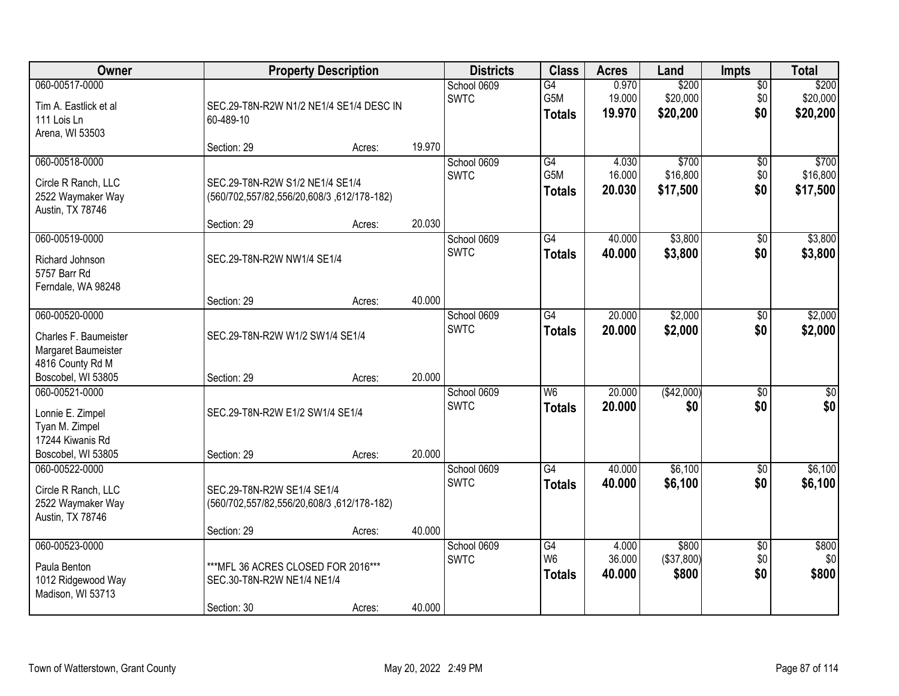| Owner                                                                              |                                                                                        | <b>Property Description</b> |        |                            | <b>Class</b>                            | <b>Acres</b>              | Land                          | <b>Impts</b>                  | <b>Total</b>                  |
|------------------------------------------------------------------------------------|----------------------------------------------------------------------------------------|-----------------------------|--------|----------------------------|-----------------------------------------|---------------------------|-------------------------------|-------------------------------|-------------------------------|
| 060-00517-0000<br>Tim A. Eastlick et al<br>111 Lois Ln<br>Arena, WI 53503          | SEC.29-T8N-R2W N1/2 NE1/4 SE1/4 DESC IN<br>60-489-10                                   |                             |        | School 0609<br><b>SWTC</b> | $\overline{G4}$<br>G5M<br><b>Totals</b> | 0.970<br>19.000<br>19.970 | \$200<br>\$20,000<br>\$20,200 | $\sqrt{$0}$<br>\$0<br>\$0     | \$200<br>\$20,000<br>\$20,200 |
|                                                                                    | Section: 29                                                                            | Acres:                      | 19.970 |                            |                                         |                           |                               |                               |                               |
| 060-00518-0000<br>Circle R Ranch, LLC<br>2522 Waymaker Way<br>Austin, TX 78746     | SEC.29-T8N-R2W S1/2 NE1/4 SE1/4<br>(560/702,557/82,556/20,608/3,612/178-182)           |                             |        | School 0609<br><b>SWTC</b> | G4<br>G5M<br><b>Totals</b>              | 4.030<br>16.000<br>20.030 | \$700<br>\$16,800<br>\$17,500 | \$0<br>\$0<br>\$0             | \$700<br>\$16,800<br>\$17,500 |
| 060-00519-0000                                                                     | Section: 29                                                                            | Acres:                      | 20.030 | School 0609                | G4                                      | 40.000                    | \$3,800                       | \$0                           | \$3,800                       |
| Richard Johnson<br>5757 Barr Rd<br>Ferndale, WA 98248                              | SEC.29-T8N-R2W NW1/4 SE1/4                                                             |                             |        | <b>SWTC</b>                | <b>Totals</b>                           | 40.000                    | \$3,800                       | \$0                           | \$3,800                       |
|                                                                                    | Section: 29                                                                            | Acres:                      | 40.000 |                            |                                         |                           |                               |                               |                               |
| 060-00520-0000<br>Charles F. Baumeister<br>Margaret Baumeister<br>4816 County Rd M | SEC.29-T8N-R2W W1/2 SW1/4 SE1/4                                                        |                             |        | School 0609<br><b>SWTC</b> | G4<br><b>Totals</b>                     | 20.000<br>20,000          | \$2,000<br>\$2,000            | $\sqrt[6]{3}$<br>\$0          | \$2,000<br>\$2,000            |
| Boscobel, WI 53805<br>060-00521-0000                                               | Section: 29                                                                            | Acres:                      | 20.000 | School 0609                | W6                                      | 20.000                    | (\$42,000)                    | $\overline{50}$               | $\overline{50}$               |
| Lonnie E. Zimpel<br>Tyan M. Zimpel<br>17244 Kiwanis Rd<br>Boscobel, WI 53805       | SEC.29-T8N-R2W E1/2 SW1/4 SE1/4<br>Section: 29                                         | Acres:                      | 20.000 | <b>SWTC</b>                | <b>Totals</b>                           | 20,000                    | \$0                           | \$0                           | \$0                           |
| 060-00522-0000<br>Circle R Ranch, LLC<br>2522 Waymaker Way<br>Austin, TX 78746     | SEC.29-T8N-R2W SE1/4 SE1/4<br>(560/702,557/82,556/20,608/3,612/178-182)<br>Section: 29 | Acres:                      | 40.000 | School 0609<br><b>SWTC</b> | $\overline{G4}$<br><b>Totals</b>        | 40.000<br>40.000          | \$6,100<br>\$6,100            | $\overline{30}$<br>\$0        | \$6,100<br>\$6,100            |
| 060-00523-0000<br>Paula Benton<br>1012 Ridgewood Way<br>Madison, WI 53713          | *** MFL 36 ACRES CLOSED FOR 2016***<br>SEC.30-T8N-R2W NE1/4 NE1/4<br>Section: 30       | Acres:                      | 40.000 | School 0609<br><b>SWTC</b> | G4<br>W <sub>6</sub><br><b>Totals</b>   | 4.000<br>36.000<br>40.000 | \$800<br>(\$37,800)<br>\$800  | $\overline{50}$<br>\$0<br>\$0 | \$800<br>\$0<br>\$800         |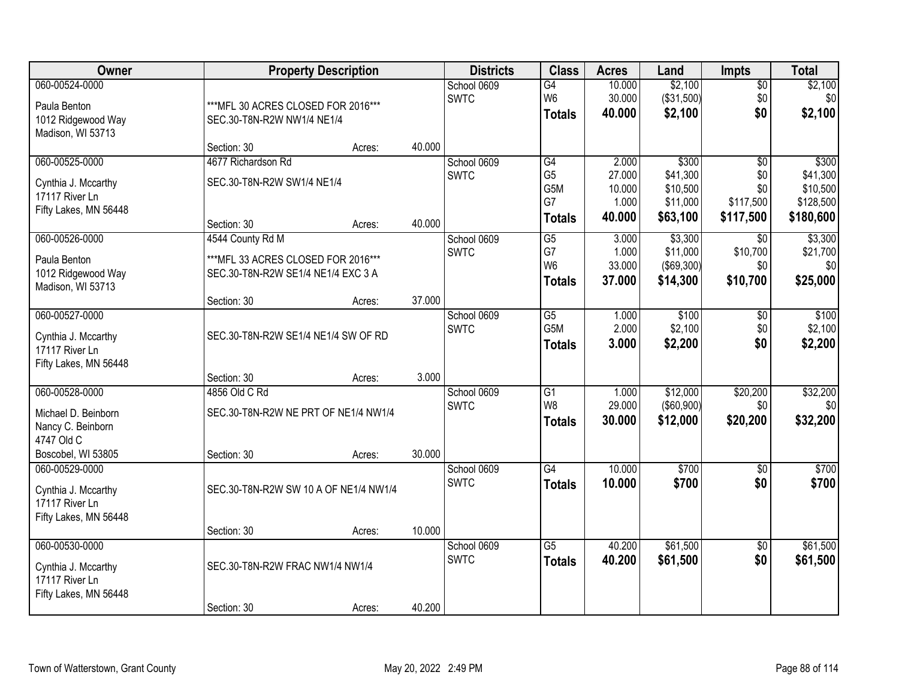| Owner                 |                                       | <b>Property Description</b> |        | <b>Districts</b>           | <b>Class</b>                      | <b>Acres</b>     | Land                          | <b>Impts</b>           | <b>Total</b>         |
|-----------------------|---------------------------------------|-----------------------------|--------|----------------------------|-----------------------------------|------------------|-------------------------------|------------------------|----------------------|
| 060-00524-0000        |                                       |                             |        | School 0609                | G4                                | 10.000           | \$2,100                       | $\sqrt{$0}$            | \$2,100              |
| Paula Benton          | *** MFL 30 ACRES CLOSED FOR 2016***   |                             |        | <b>SWTC</b>                | W <sub>6</sub>                    | 30.000           | (\$31,500)                    | \$0                    | \$0                  |
| 1012 Ridgewood Way    | SEC.30-T8N-R2W NW1/4 NE1/4            |                             |        |                            | <b>Totals</b>                     | 40.000           | \$2,100                       | \$0                    | \$2,100              |
| Madison, WI 53713     |                                       |                             |        |                            |                                   |                  |                               |                        |                      |
|                       | Section: 30                           | Acres:                      | 40.000 |                            |                                   |                  |                               |                        |                      |
| 060-00525-0000        | 4677 Richardson Rd                    |                             |        | School 0609                | $\overline{G4}$                   | 2.000            | \$300                         | $\overline{50}$        | \$300                |
| Cynthia J. Mccarthy   | SEC.30-T8N-R2W SW1/4 NE1/4            |                             |        | <b>SWTC</b>                | G <sub>5</sub><br>G5M             | 27.000<br>10.000 | \$41,300<br>\$10,500          | \$0<br>\$0             | \$41,300<br>\$10,500 |
| 17117 River Ln        |                                       |                             |        |                            | G7                                | 1.000            | \$11,000                      | \$117,500              | \$128,500            |
| Fifty Lakes, MN 56448 |                                       |                             |        |                            | <b>Totals</b>                     | 40.000           | \$63,100                      | \$117,500              | \$180,600            |
|                       | Section: 30                           | Acres:                      | 40.000 |                            |                                   |                  |                               |                        |                      |
| 060-00526-0000        | 4544 County Rd M                      |                             |        | School 0609                | G5                                | 3.000            | \$3,300                       | $\overline{50}$        | \$3,300              |
| Paula Benton          | *** MFL 33 ACRES CLOSED FOR 2016***   |                             |        | <b>SWTC</b>                | G7<br>W <sub>6</sub>              | 1.000<br>33.000  | \$11,000<br>$($ \$69,300) $ $ | \$10,700<br>\$0        | \$21,700<br>\$0      |
| 1012 Ridgewood Way    | SEC.30-T8N-R2W SE1/4 NE1/4 EXC 3 A    |                             |        |                            | <b>Totals</b>                     | 37,000           | \$14,300                      | \$10,700               | \$25,000             |
| Madison, WI 53713     |                                       |                             |        |                            |                                   |                  |                               |                        |                      |
|                       | Section: 30                           | Acres:                      | 37.000 |                            |                                   |                  |                               |                        |                      |
| 060-00527-0000        |                                       |                             |        | School 0609                | G5                                | 1.000<br>2.000   | \$100                         | $\sqrt{6}$             | \$100                |
| Cynthia J. Mccarthy   | SEC.30-T8N-R2W SE1/4 NE1/4 SW OF RD   |                             |        | <b>SWTC</b>                | G <sub>5</sub> M                  | 3.000            | \$2,100                       | \$0<br>\$0             | \$2,100              |
| 17117 River Ln        |                                       |                             |        |                            | <b>Totals</b>                     |                  | \$2,200                       |                        | \$2,200              |
| Fifty Lakes, MN 56448 |                                       |                             |        |                            |                                   |                  |                               |                        |                      |
|                       | Section: 30                           | Acres:                      | 3.000  |                            |                                   |                  |                               |                        |                      |
| 060-00528-0000        | 4856 Old C Rd                         |                             |        | School 0609                | $\overline{G1}$<br>W <sub>8</sub> | 1.000<br>29.000  | \$12,000                      | \$20,200<br>\$0        | \$32,200<br>\$0      |
| Michael D. Beinborn   | SEC.30-T8N-R2W NE PRT OF NE1/4 NW1/4  |                             |        | <b>SWTC</b>                | <b>Totals</b>                     | 30.000           | (\$60,900)<br>\$12,000        | \$20,200               | \$32,200             |
| Nancy C. Beinborn     |                                       |                             |        |                            |                                   |                  |                               |                        |                      |
| 4747 Old C            |                                       |                             |        |                            |                                   |                  |                               |                        |                      |
| Boscobel, WI 53805    | Section: 30                           | Acres:                      | 30.000 |                            |                                   |                  |                               |                        |                      |
| 060-00529-0000        |                                       |                             |        | School 0609<br><b>SWTC</b> | $\overline{G4}$                   | 10.000           | \$700                         | $\overline{50}$<br>\$0 | \$700<br>\$700       |
| Cynthia J. Mccarthy   | SEC.30-T8N-R2W SW 10 A OF NE1/4 NW1/4 |                             |        |                            | <b>Totals</b>                     | 10.000           | \$700                         |                        |                      |
| 17117 River Ln        |                                       |                             |        |                            |                                   |                  |                               |                        |                      |
| Fifty Lakes, MN 56448 |                                       |                             |        |                            |                                   |                  |                               |                        |                      |
| 060-00530-0000        | Section: 30                           | Acres:                      | 10.000 | School 0609                | $\overline{G5}$                   | 40.200           | \$61,500                      |                        | \$61,500             |
|                       |                                       |                             |        | <b>SWTC</b>                | <b>Totals</b>                     | 40.200           | \$61,500                      | $\overline{60}$<br>\$0 | \$61,500             |
| Cynthia J. Mccarthy   | SEC.30-T8N-R2W FRAC NW1/4 NW1/4       |                             |        |                            |                                   |                  |                               |                        |                      |
| 17117 River Ln        |                                       |                             |        |                            |                                   |                  |                               |                        |                      |
| Fifty Lakes, MN 56448 |                                       |                             |        |                            |                                   |                  |                               |                        |                      |
|                       | Section: 30                           | Acres:                      | 40.200 |                            |                                   |                  |                               |                        |                      |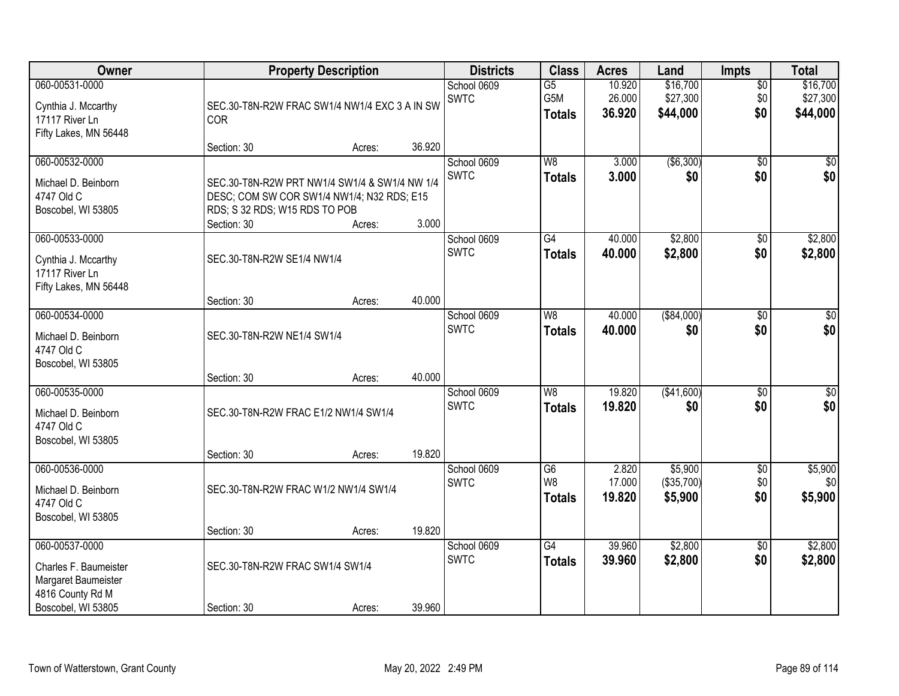| Owner                                                                                                    |                                                                                                                                             | <b>Property Description</b>                   | <b>Districts</b> | <b>Class</b>               | <b>Acres</b>                            | Land                       | <b>Impts</b>                     | <b>Total</b>                  |                                  |
|----------------------------------------------------------------------------------------------------------|---------------------------------------------------------------------------------------------------------------------------------------------|-----------------------------------------------|------------------|----------------------------|-----------------------------------------|----------------------------|----------------------------------|-------------------------------|----------------------------------|
| 060-00531-0000<br>Cynthia J. Mccarthy<br>17117 River Ln<br>Fifty Lakes, MN 56448                         | <b>COR</b>                                                                                                                                  | SEC.30-T8N-R2W FRAC SW1/4 NW1/4 EXC 3 A IN SW |                  | School 0609<br><b>SWTC</b> | $\overline{G5}$<br>G5M<br><b>Totals</b> | 10.920<br>26.000<br>36.920 | \$16,700<br>\$27,300<br>\$44,000 | $\overline{50}$<br>\$0<br>\$0 | \$16,700<br>\$27,300<br>\$44,000 |
|                                                                                                          | Section: 30                                                                                                                                 | Acres:                                        | 36.920           |                            |                                         |                            |                                  |                               |                                  |
| 060-00532-0000<br>Michael D. Beinborn<br>4747 Old C<br>Boscobel, WI 53805                                | SEC.30-T8N-R2W PRT NW1/4 SW1/4 & SW1/4 NW 1/4<br>DESC; COM SW COR SW1/4 NW1/4; N32 RDS; E15<br>RDS; S 32 RDS; W15 RDS TO POB<br>Section: 30 | Acres:                                        | 3.000            | School 0609<br><b>SWTC</b> | W8<br><b>Totals</b>                     | 3.000<br>3.000             | ( \$6,300)<br>\$0                | $\overline{50}$<br>\$0        | \$0<br>\$0                       |
| 060-00533-0000                                                                                           |                                                                                                                                             |                                               |                  | School 0609                | G4                                      | 40.000                     | \$2,800                          | \$0                           | \$2,800                          |
| Cynthia J. Mccarthy<br>17117 River Ln<br>Fifty Lakes, MN 56448                                           | SEC.30-T8N-R2W SE1/4 NW1/4                                                                                                                  |                                               |                  | <b>SWTC</b>                | <b>Totals</b>                           | 40.000                     | \$2,800                          | \$0                           | \$2,800                          |
|                                                                                                          | Section: 30                                                                                                                                 | Acres:                                        | 40.000           |                            |                                         |                            |                                  |                               |                                  |
| 060-00534-0000<br>Michael D. Beinborn<br>4747 Old C<br>Boscobel, WI 53805                                | SEC.30-T8N-R2W NE1/4 SW1/4                                                                                                                  |                                               |                  | School 0609<br><b>SWTC</b> | W8<br><b>Totals</b>                     | 40.000<br>40.000           | ( \$84,000)<br>\$0               | \$0<br>\$0                    | $\overline{50}$<br>\$0           |
|                                                                                                          | Section: 30                                                                                                                                 | Acres:                                        | 40.000           |                            |                                         |                            |                                  |                               |                                  |
| 060-00535-0000<br>Michael D. Beinborn<br>4747 Old C<br>Boscobel, WI 53805                                | SEC.30-T8N-R2W FRAC E1/2 NW1/4 SW1/4<br>Section: 30                                                                                         | Acres:                                        | 19.820           | School 0609<br><b>SWTC</b> | W8<br><b>Totals</b>                     | 19.820<br>19.820           | ( \$41,600)<br>\$0               | $\overline{50}$<br>\$0        | \$0<br>\$0                       |
| 060-00536-0000                                                                                           |                                                                                                                                             |                                               |                  | School 0609                | G6                                      | 2.820                      | \$5,900                          | $\overline{60}$               | \$5,900                          |
| Michael D. Beinborn<br>4747 Old C<br>Boscobel, WI 53805                                                  |                                                                                                                                             | SEC.30-T8N-R2W FRAC W1/2 NW1/4 SW1/4          |                  | <b>SWTC</b>                | W8<br><b>Totals</b>                     | 17.000<br>19.820           | (\$35,700)<br>\$5,900            | \$0<br>\$0                    | \$0<br>\$5,900                   |
|                                                                                                          | Section: 30                                                                                                                                 | Acres:                                        | 19.820           |                            |                                         |                            |                                  |                               |                                  |
| 060-00537-0000<br>Charles F. Baumeister<br>Margaret Baumeister<br>4816 County Rd M<br>Boscobel, WI 53805 | SEC.30-T8N-R2W FRAC SW1/4 SW1/4<br>Section: 30                                                                                              | Acres:                                        | 39.960           | School 0609<br><b>SWTC</b> | $\overline{G4}$<br><b>Totals</b>        | 39.960<br>39.960           | \$2,800<br>\$2,800               | $\overline{30}$<br>\$0        | \$2,800<br>\$2,800               |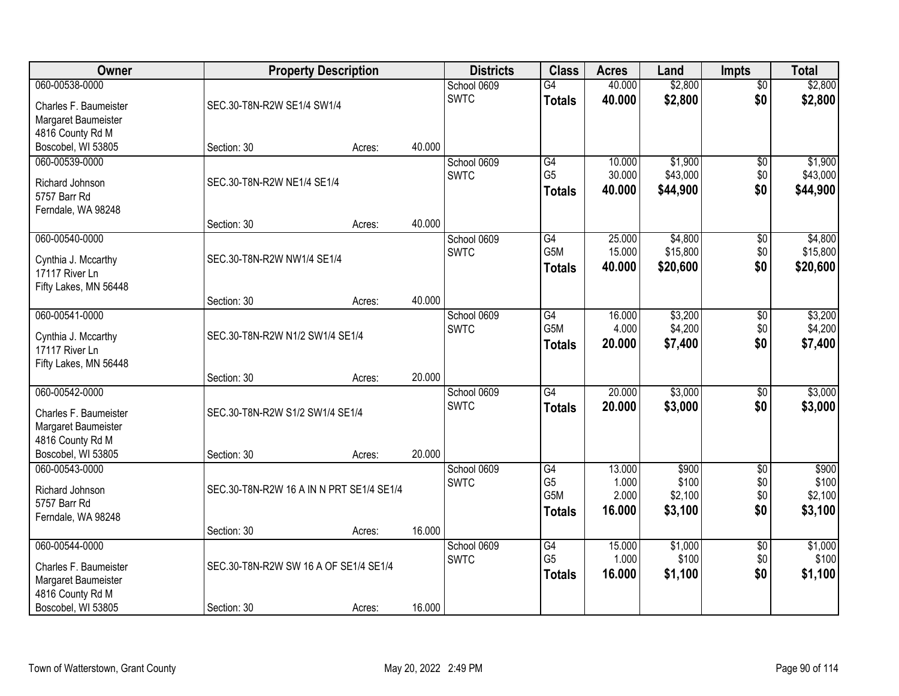| <b>Owner</b>                            | <b>Property Description</b>              |        |        | <b>Districts</b>           | <b>Class</b>           | <b>Acres</b>     | Land                | <b>Impts</b>    | <b>Total</b>         |
|-----------------------------------------|------------------------------------------|--------|--------|----------------------------|------------------------|------------------|---------------------|-----------------|----------------------|
| 060-00538-0000                          |                                          |        |        | School 0609                | $\overline{G4}$        | 40.000           | \$2,800             | $\overline{50}$ | \$2,800              |
| Charles F. Baumeister                   | SEC.30-T8N-R2W SE1/4 SW1/4               |        |        | <b>SWTC</b>                | <b>Totals</b>          | 40.000           | \$2,800             | \$0             | \$2,800              |
| Margaret Baumeister                     |                                          |        |        |                            |                        |                  |                     |                 |                      |
| 4816 County Rd M                        |                                          |        |        |                            |                        |                  |                     |                 |                      |
| Boscobel, WI 53805                      | Section: 30                              | Acres: | 40.000 |                            |                        |                  |                     |                 |                      |
| 060-00539-0000                          |                                          |        |        | School 0609                | G4                     | 10.000           | \$1,900             | \$0             | \$1,900              |
| Richard Johnson                         | SEC.30-T8N-R2W NE1/4 SE1/4               |        |        | <b>SWTC</b>                | G <sub>5</sub>         | 30.000           | \$43,000            | \$0             | \$43,000             |
| 5757 Barr Rd                            |                                          |        |        |                            | Totals                 | 40.000           | \$44,900            | \$0             | \$44,900             |
| Ferndale, WA 98248                      |                                          |        |        |                            |                        |                  |                     |                 |                      |
|                                         | Section: 30                              | Acres: | 40.000 |                            |                        |                  |                     |                 |                      |
| 060-00540-0000                          |                                          |        |        | School 0609                | G4<br>G5M              | 25.000           | \$4,800<br>\$15,800 | \$0             | \$4,800              |
| Cynthia J. Mccarthy                     | SEC.30-T8N-R2W NW1/4 SE1/4               |        |        | <b>SWTC</b>                | <b>Totals</b>          | 15.000<br>40.000 | \$20,600            | \$0<br>\$0      | \$15,800<br>\$20,600 |
| 17117 River Ln                          |                                          |        |        |                            |                        |                  |                     |                 |                      |
| Fifty Lakes, MN 56448                   |                                          |        |        |                            |                        |                  |                     |                 |                      |
| 060-00541-0000                          | Section: 30                              | Acres: | 40.000 |                            |                        |                  |                     |                 |                      |
|                                         |                                          |        |        | School 0609<br><b>SWTC</b> | $\overline{G4}$<br>G5M | 16.000<br>4.000  | \$3,200<br>\$4,200  | \$0<br>\$0      | \$3,200<br>\$4,200   |
| Cynthia J. Mccarthy                     | SEC.30-T8N-R2W N1/2 SW1/4 SE1/4          |        |        |                            | <b>Totals</b>          | 20.000           | \$7,400             | \$0             | \$7,400              |
| 17117 River Ln                          |                                          |        |        |                            |                        |                  |                     |                 |                      |
| Fifty Lakes, MN 56448                   | Section: 30                              | Acres: | 20.000 |                            |                        |                  |                     |                 |                      |
| 060-00542-0000                          |                                          |        |        | School 0609                | $\overline{G4}$        | 20.000           | \$3,000             | \$0             | \$3,000              |
|                                         |                                          |        |        | <b>SWTC</b>                | <b>Totals</b>          | 20,000           | \$3,000             | \$0             | \$3,000              |
| Charles F. Baumeister                   | SEC.30-T8N-R2W S1/2 SW1/4 SE1/4          |        |        |                            |                        |                  |                     |                 |                      |
| Margaret Baumeister<br>4816 County Rd M |                                          |        |        |                            |                        |                  |                     |                 |                      |
| Boscobel, WI 53805                      | Section: 30                              | Acres: | 20.000 |                            |                        |                  |                     |                 |                      |
| 060-00543-0000                          |                                          |        |        | School 0609                | G4                     | 13.000           | \$900               | $\overline{60}$ | \$900                |
|                                         |                                          |        |        | <b>SWTC</b>                | G <sub>5</sub>         | 1.000            | \$100               | \$0             | \$100                |
| Richard Johnson<br>5757 Barr Rd         | SEC.30-T8N-R2W 16 A IN N PRT SE1/4 SE1/4 |        |        |                            | G <sub>5</sub> M       | 2.000            | \$2,100             | \$0             | \$2,100              |
| Ferndale, WA 98248                      |                                          |        |        |                            | <b>Totals</b>          | 16.000           | \$3,100             | \$0             | \$3,100              |
|                                         | Section: 30                              | Acres: | 16.000 |                            |                        |                  |                     |                 |                      |
| 060-00544-0000                          |                                          |        |        | School 0609                | G4                     | 15.000           | \$1,000             | $\overline{30}$ | \$1,000              |
| Charles F. Baumeister                   | SEC.30-T8N-R2W SW 16 A OF SE1/4 SE1/4    |        |        | <b>SWTC</b>                | G <sub>5</sub>         | 1.000            | \$100               | \$0             | \$100                |
| Margaret Baumeister                     |                                          |        |        |                            | <b>Totals</b>          | 16.000           | \$1,100             | \$0             | \$1,100              |
| 4816 County Rd M                        |                                          |        |        |                            |                        |                  |                     |                 |                      |
| Boscobel, WI 53805                      | Section: 30                              | Acres: | 16.000 |                            |                        |                  |                     |                 |                      |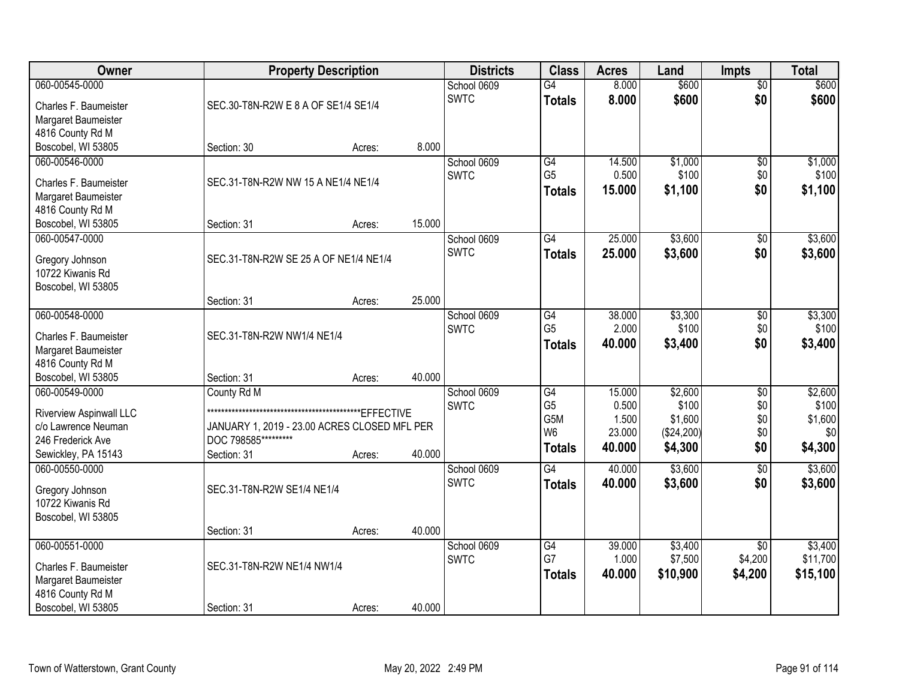| <b>Owner</b>            | <b>Property Description</b>                  |        |        | <b>Districts</b> | <b>Class</b>     | <b>Acres</b> | Land       | <b>Impts</b>    | <b>Total</b> |
|-------------------------|----------------------------------------------|--------|--------|------------------|------------------|--------------|------------|-----------------|--------------|
| 060-00545-0000          |                                              |        |        | School 0609      | $\overline{G4}$  | 8.000        | \$600      | $\overline{60}$ | \$600        |
| Charles F. Baumeister   | SEC.30-T8N-R2W E 8 A OF SE1/4 SE1/4          |        |        | <b>SWTC</b>      | <b>Totals</b>    | 8.000        | \$600      | \$0             | \$600        |
| Margaret Baumeister     |                                              |        |        |                  |                  |              |            |                 |              |
| 4816 County Rd M        |                                              |        |        |                  |                  |              |            |                 |              |
| Boscobel, WI 53805      | Section: 30                                  | Acres: | 8.000  |                  |                  |              |            |                 |              |
| 060-00546-0000          |                                              |        |        | School 0609      | G4               | 14.500       | \$1,000    | \$0             | \$1,000      |
| Charles F. Baumeister   | SEC.31-T8N-R2W NW 15 A NE1/4 NE1/4           |        |        | <b>SWTC</b>      | G <sub>5</sub>   | 0.500        | \$100      | \$0             | \$100        |
| Margaret Baumeister     |                                              |        |        |                  | <b>Totals</b>    | 15.000       | \$1,100    | \$0             | \$1,100      |
| 4816 County Rd M        |                                              |        |        |                  |                  |              |            |                 |              |
| Boscobel, WI 53805      | Section: 31                                  | Acres: | 15.000 |                  |                  |              |            |                 |              |
| 060-00547-0000          |                                              |        |        | School 0609      | $\overline{G4}$  | 25.000       | \$3,600    | \$0             | \$3,600      |
| Gregory Johnson         | SEC.31-T8N-R2W SE 25 A OF NE1/4 NE1/4        |        |        | <b>SWTC</b>      | <b>Totals</b>    | 25.000       | \$3,600    | \$0             | \$3,600      |
| 10722 Kiwanis Rd        |                                              |        |        |                  |                  |              |            |                 |              |
| Boscobel, WI 53805      |                                              |        |        |                  |                  |              |            |                 |              |
|                         | Section: 31                                  | Acres: | 25.000 |                  |                  |              |            |                 |              |
| 060-00548-0000          |                                              |        |        | School 0609      | G4               | 38.000       | \$3,300    | $\sqrt[6]{3}$   | \$3,300      |
| Charles F. Baumeister   | SEC.31-T8N-R2W NW1/4 NE1/4                   |        |        | <b>SWTC</b>      | G <sub>5</sub>   | 2.000        | \$100      | \$0             | \$100        |
| Margaret Baumeister     |                                              |        |        |                  | <b>Totals</b>    | 40.000       | \$3,400    | \$0             | \$3,400      |
| 4816 County Rd M        |                                              |        |        |                  |                  |              |            |                 |              |
| Boscobel, WI 53805      | Section: 31                                  | Acres: | 40.000 |                  |                  |              |            |                 |              |
| 060-00549-0000          | County Rd M                                  |        |        | School 0609      | $\overline{G4}$  | 15.000       | \$2,600    | $\overline{50}$ | \$2,600      |
| Riverview Aspinwall LLC |                                              |        |        | <b>SWTC</b>      | G <sub>5</sub>   | 0.500        | \$100      | \$0             | \$100        |
| c/o Lawrence Neuman     | JANUARY 1, 2019 - 23.00 ACRES CLOSED MFL PER |        |        |                  | G <sub>5</sub> M | 1.500        | \$1,600    | \$0             | \$1,600      |
| 246 Frederick Ave       | DOC 798585*********                          |        |        |                  | W <sub>6</sub>   | 23.000       | (\$24,200) | \$0             | \$0          |
| Sewickley, PA 15143     | Section: 31                                  | Acres: | 40.000 |                  | <b>Totals</b>    | 40.000       | \$4,300    | \$0             | \$4,300      |
| 060-00550-0000          |                                              |        |        | School 0609      | $\overline{G4}$  | 40.000       | \$3,600    | $\overline{50}$ | \$3,600      |
| Gregory Johnson         | SEC.31-T8N-R2W SE1/4 NE1/4                   |        |        | <b>SWTC</b>      | <b>Totals</b>    | 40.000       | \$3,600    | \$0             | \$3,600      |
| 10722 Kiwanis Rd        |                                              |        |        |                  |                  |              |            |                 |              |
| Boscobel, WI 53805      |                                              |        |        |                  |                  |              |            |                 |              |
|                         | Section: 31                                  | Acres: | 40.000 |                  |                  |              |            |                 |              |
| 060-00551-0000          |                                              |        |        | School 0609      | $\overline{G4}$  | 39.000       | \$3,400    | $\overline{50}$ | \$3,400      |
| Charles F. Baumeister   | SEC.31-T8N-R2W NE1/4 NW1/4                   |        |        | <b>SWTC</b>      | G7               | 1.000        | \$7,500    | \$4,200         | \$11,700     |
| Margaret Baumeister     |                                              |        |        |                  | <b>Totals</b>    | 40.000       | \$10,900   | \$4,200         | \$15,100     |
| 4816 County Rd M        |                                              |        |        |                  |                  |              |            |                 |              |
| Boscobel, WI 53805      | Section: 31                                  | Acres: | 40.000 |                  |                  |              |            |                 |              |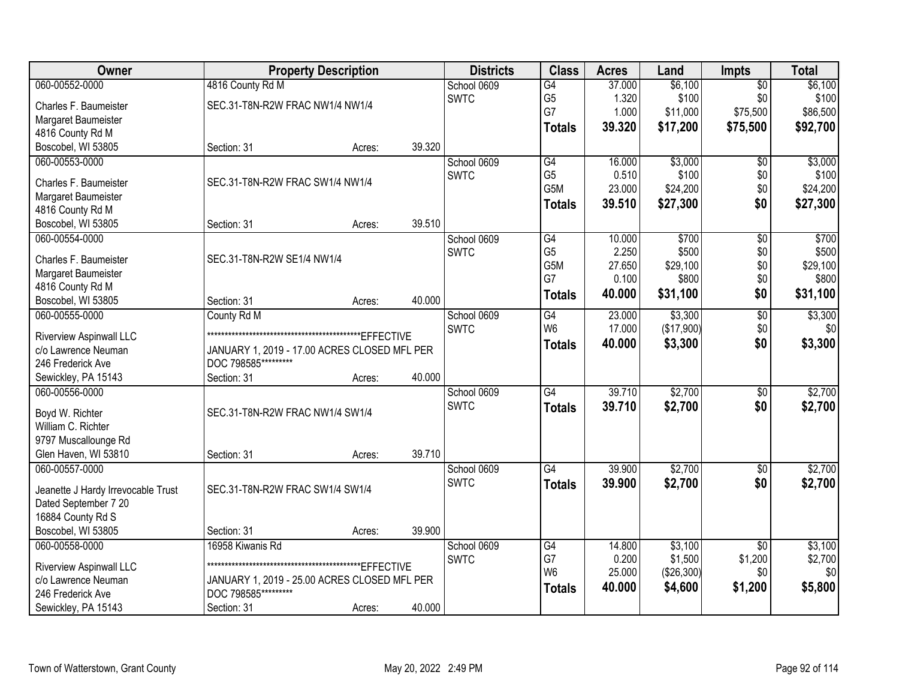| Owner                                          | <b>Property Description</b>                  |        |        | <b>Districts</b> | <b>Class</b>         | <b>Acres</b>    | Land           | <b>Impts</b>    | <b>Total</b>   |
|------------------------------------------------|----------------------------------------------|--------|--------|------------------|----------------------|-----------------|----------------|-----------------|----------------|
| 060-00552-0000                                 | 4816 County Rd M                             |        |        | School 0609      | $\overline{G4}$      | 37.000          | \$6,100        | $\overline{50}$ | \$6,100        |
| Charles F. Baumeister                          | SEC.31-T8N-R2W FRAC NW1/4 NW1/4              |        |        | <b>SWTC</b>      | G <sub>5</sub>       | 1.320           | \$100          | \$0             | \$100          |
| Margaret Baumeister                            |                                              |        |        |                  | G7                   | 1.000           | \$11,000       | \$75,500        | \$86,500       |
| 4816 County Rd M                               |                                              |        |        |                  | <b>Totals</b>        | 39.320          | \$17,200       | \$75,500        | \$92,700       |
| Boscobel, WI 53805                             | Section: 31                                  | Acres: | 39.320 |                  |                      |                 |                |                 |                |
| 060-00553-0000                                 |                                              |        |        | School 0609      | G4                   | 16.000          | \$3,000        | $\overline{50}$ | \$3,000        |
|                                                |                                              |        |        | <b>SWTC</b>      | G <sub>5</sub>       | 0.510           | \$100          | \$0             | \$100          |
| Charles F. Baumeister                          | SEC.31-T8N-R2W FRAC SW1/4 NW1/4              |        |        |                  | G5M                  | 23.000          | \$24,200       | \$0             | \$24,200       |
| Margaret Baumeister                            |                                              |        |        |                  | <b>Totals</b>        | 39.510          | \$27,300       | \$0             | \$27,300       |
| 4816 County Rd M                               | Section: 31                                  |        | 39.510 |                  |                      |                 |                |                 |                |
| Boscobel, WI 53805                             |                                              | Acres: |        |                  |                      |                 |                |                 |                |
| 060-00554-0000                                 |                                              |        |        | School 0609      | G4<br>G <sub>5</sub> | 10.000<br>2.250 | \$700<br>\$500 | \$0             | \$700<br>\$500 |
| Charles F. Baumeister                          | SEC.31-T8N-R2W SE1/4 NW1/4                   |        |        | <b>SWTC</b>      | G5M                  | 27.650          | \$29,100       | \$0<br>\$0      | \$29,100       |
| Margaret Baumeister                            |                                              |        |        |                  | G7                   | 0.100           | \$800          | \$0             | \$800          |
| 4816 County Rd M                               |                                              |        |        |                  |                      | 40.000          |                | \$0             | \$31,100       |
| Boscobel, WI 53805                             | Section: 31                                  | Acres: | 40.000 |                  | <b>Totals</b>        |                 | \$31,100       |                 |                |
| 060-00555-0000                                 | County Rd M                                  |        |        | School 0609      | G4                   | 23.000          | \$3,300        | $\overline{50}$ | \$3,300        |
| Riverview Aspinwall LLC                        |                                              |        |        | <b>SWTC</b>      | W <sub>6</sub>       | 17.000          | (\$17,900)     | \$0             | \$0            |
| c/o Lawrence Neuman                            | JANUARY 1, 2019 - 17.00 ACRES CLOSED MFL PER |        |        |                  | <b>Totals</b>        | 40.000          | \$3,300        | \$0             | \$3,300        |
| 246 Frederick Ave                              | DOC 798585*********                          |        |        |                  |                      |                 |                |                 |                |
| Sewickley, PA 15143                            | Section: 31                                  | Acres: | 40.000 |                  |                      |                 |                |                 |                |
| 060-00556-0000                                 |                                              |        |        | School 0609      | $\overline{G4}$      | 39.710          | \$2,700        | \$0             | \$2,700        |
|                                                |                                              |        |        | <b>SWTC</b>      | <b>Totals</b>        | 39.710          | \$2,700        | \$0             | \$2,700        |
| Boyd W. Richter                                | SEC.31-T8N-R2W FRAC NW1/4 SW1/4              |        |        |                  |                      |                 |                |                 |                |
| William C. Richter                             |                                              |        |        |                  |                      |                 |                |                 |                |
| 9797 Muscallounge Rd                           |                                              |        |        |                  |                      |                 |                |                 |                |
| Glen Haven, WI 53810                           | Section: 31                                  | Acres: | 39.710 |                  |                      |                 |                |                 |                |
| 060-00557-0000                                 |                                              |        |        | School 0609      | G4                   | 39.900          | \$2,700        | $\sqrt{6}$      | \$2,700        |
| Jeanette J Hardy Irrevocable Trust             | SEC.31-T8N-R2W FRAC SW1/4 SW1/4              |        |        | <b>SWTC</b>      | <b>Totals</b>        | 39.900          | \$2,700        | \$0             | \$2,700        |
| Dated September 7 20                           |                                              |        |        |                  |                      |                 |                |                 |                |
| 16884 County Rd S                              |                                              |        |        |                  |                      |                 |                |                 |                |
| Boscobel, WI 53805                             | Section: 31                                  | Acres: | 39.900 |                  |                      |                 |                |                 |                |
| 060-00558-0000                                 | 16958 Kiwanis Rd                             |        |        | School 0609      | G4                   | 14.800          | \$3,100        | $\overline{50}$ | \$3,100        |
|                                                |                                              |        |        | <b>SWTC</b>      | G7                   | 0.200           | \$1,500        | \$1,200         | \$2,700        |
| Riverview Aspinwall LLC<br>c/o Lawrence Neuman | JANUARY 1, 2019 - 25.00 ACRES CLOSED MFL PER |        |        |                  | W <sub>6</sub>       | 25.000          | (\$26,300)     | \$0             | \$0            |
| 246 Frederick Ave                              | DOC 798585**                                 |        |        |                  | <b>Totals</b>        | 40.000          | \$4,600        | \$1,200         | \$5,800        |
| Sewickley, PA 15143                            | Section: 31                                  |        | 40.000 |                  |                      |                 |                |                 |                |
|                                                |                                              | Acres: |        |                  |                      |                 |                |                 |                |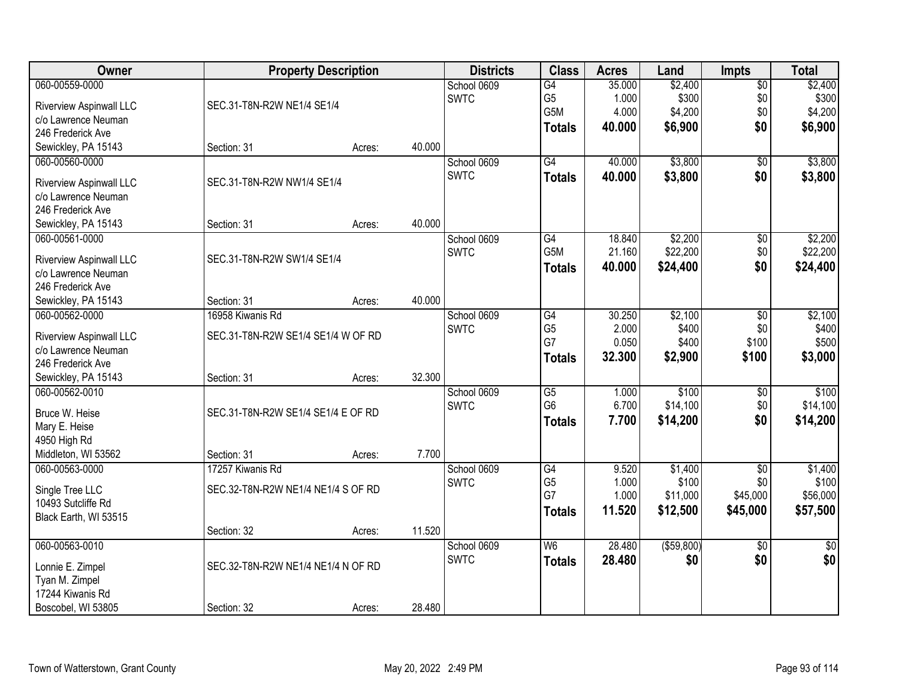| Owner                   | <b>Property Description</b>        |        |        | <b>Districts</b> | <b>Class</b>           | <b>Acres</b>     | Land                | <b>Impts</b>    | <b>Total</b>        |
|-------------------------|------------------------------------|--------|--------|------------------|------------------------|------------------|---------------------|-----------------|---------------------|
| 060-00559-0000          |                                    |        |        | School 0609      | G4                     | 35.000           | \$2,400             | $\overline{60}$ | \$2,400             |
| Riverview Aspinwall LLC | SEC.31-T8N-R2W NE1/4 SE1/4         |        |        | <b>SWTC</b>      | G <sub>5</sub>         | 1.000            | \$300               | \$0             | \$300               |
| c/o Lawrence Neuman     |                                    |        |        |                  | G5M                    | 4.000            | \$4,200             | \$0             | \$4,200             |
| 246 Frederick Ave       |                                    |        |        |                  | <b>Totals</b>          | 40.000           | \$6,900             | \$0             | \$6,900             |
| Sewickley, PA 15143     | Section: 31                        | Acres: | 40.000 |                  |                        |                  |                     |                 |                     |
| 060-00560-0000          |                                    |        |        | School 0609      | G4                     | 40.000           | \$3,800             | \$0             | \$3,800             |
|                         |                                    |        |        | <b>SWTC</b>      | <b>Totals</b>          | 40.000           | \$3,800             | \$0             | \$3,800             |
| Riverview Aspinwall LLC | SEC.31-T8N-R2W NW1/4 SE1/4         |        |        |                  |                        |                  |                     |                 |                     |
| c/o Lawrence Neuman     |                                    |        |        |                  |                        |                  |                     |                 |                     |
| 246 Frederick Ave       |                                    |        | 40.000 |                  |                        |                  |                     |                 |                     |
| Sewickley, PA 15143     | Section: 31                        | Acres: |        |                  |                        |                  |                     |                 |                     |
| 060-00561-0000          |                                    |        |        | School 0609      | G4<br>G5M              | 18.840<br>21.160 | \$2,200<br>\$22,200 | \$0             | \$2,200<br>\$22,200 |
| Riverview Aspinwall LLC | SEC.31-T8N-R2W SW1/4 SE1/4         |        |        | <b>SWTC</b>      |                        |                  |                     | \$0<br>\$0      |                     |
| c/o Lawrence Neuman     |                                    |        |        |                  | <b>Totals</b>          | 40.000           | \$24,400            |                 | \$24,400            |
| 246 Frederick Ave       |                                    |        |        |                  |                        |                  |                     |                 |                     |
| Sewickley, PA 15143     | Section: 31                        | Acres: | 40.000 |                  |                        |                  |                     |                 |                     |
| 060-00562-0000          | 16958 Kiwanis Rd                   |        |        | School 0609      | G4                     | 30.250           | \$2,100             | \$0             | \$2,100             |
| Riverview Aspinwall LLC | SEC.31-T8N-R2W SE1/4 SE1/4 W OF RD |        |        | <b>SWTC</b>      | G <sub>5</sub>         | 2.000            | \$400               | \$0             | \$400               |
| c/o Lawrence Neuman     |                                    |        |        |                  | G7                     | 0.050            | \$400               | \$100           | \$500               |
| 246 Frederick Ave       |                                    |        |        |                  | <b>Totals</b>          | 32.300           | \$2,900             | \$100           | \$3,000             |
| Sewickley, PA 15143     | Section: 31                        | Acres: | 32.300 |                  |                        |                  |                     |                 |                     |
| 060-00562-0010          |                                    |        |        | School 0609      | $\overline{\text{G5}}$ | 1.000            | \$100               | \$0             | \$100               |
|                         |                                    |        |        | <b>SWTC</b>      | G <sub>6</sub>         | 6.700            | \$14,100            | \$0             | \$14,100            |
| Bruce W. Heise          | SEC.31-T8N-R2W SE1/4 SE1/4 E OF RD |        |        |                  | <b>Totals</b>          | 7.700            | \$14,200            | \$0             | \$14,200            |
| Mary E. Heise           |                                    |        |        |                  |                        |                  |                     |                 |                     |
| 4950 High Rd            |                                    |        |        |                  |                        |                  |                     |                 |                     |
| Middleton, WI 53562     | Section: 31                        | Acres: | 7.700  |                  |                        |                  |                     |                 |                     |
| 060-00563-0000          | 17257 Kiwanis Rd                   |        |        | School 0609      | G4                     | 9.520            | \$1,400             | $\overline{50}$ | \$1,400             |
| Single Tree LLC         | SEC.32-T8N-R2W NE1/4 NE1/4 S OF RD |        |        | <b>SWTC</b>      | G <sub>5</sub><br>G7   | 1.000            | \$100               | \$0             | \$100               |
| 10493 Sutcliffe Rd      |                                    |        |        |                  |                        | 1.000            | \$11,000            | \$45,000        | \$56,000            |
| Black Earth, WI 53515   |                                    |        |        |                  | <b>Totals</b>          | 11.520           | \$12,500            | \$45,000        | \$57,500            |
|                         | Section: 32                        | Acres: | 11.520 |                  |                        |                  |                     |                 |                     |
| 060-00563-0010          |                                    |        |        | School 0609      | W <sub>6</sub>         | 28.480           | ( \$59, 800)        | $\overline{50}$ | $\overline{50}$     |
| Lonnie E. Zimpel        | SEC.32-T8N-R2W NE1/4 NE1/4 N OF RD |        |        | <b>SWTC</b>      | <b>Totals</b>          | 28.480           | \$0                 | \$0             | \$0                 |
| Tyan M. Zimpel          |                                    |        |        |                  |                        |                  |                     |                 |                     |
| 17244 Kiwanis Rd        |                                    |        |        |                  |                        |                  |                     |                 |                     |
| Boscobel, WI 53805      | Section: 32                        | Acres: | 28.480 |                  |                        |                  |                     |                 |                     |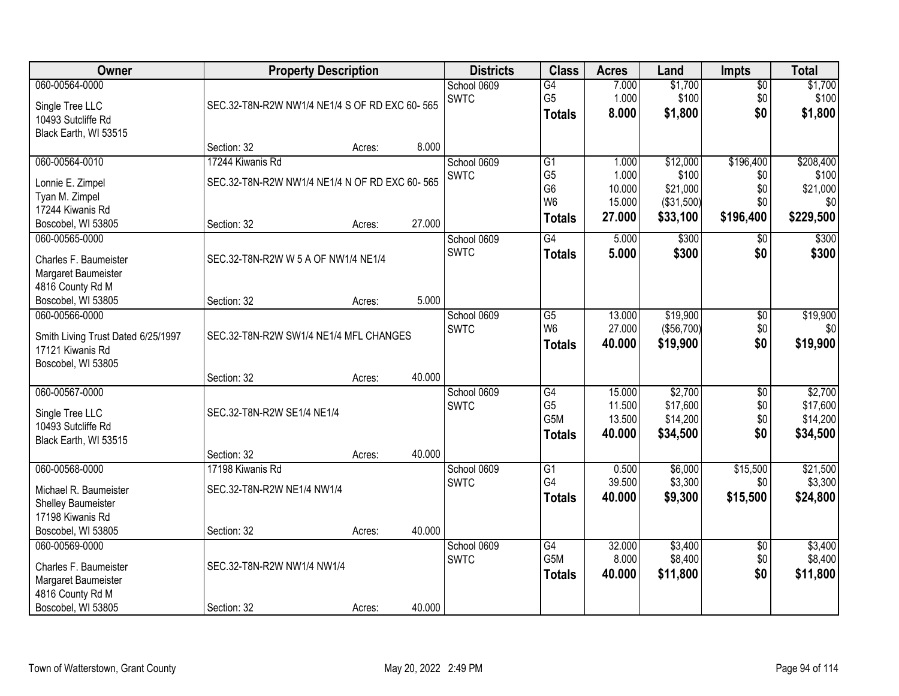| <b>Owner</b>                                                                                             | <b>Property Description</b>                                                      |        |        | <b>Districts</b>           | <b>Class</b>                                                                           | <b>Acres</b>                                 | Land                                                    | <b>Impts</b>                                | <b>Total</b>                                       |
|----------------------------------------------------------------------------------------------------------|----------------------------------------------------------------------------------|--------|--------|----------------------------|----------------------------------------------------------------------------------------|----------------------------------------------|---------------------------------------------------------|---------------------------------------------|----------------------------------------------------|
| 060-00564-0000<br>Single Tree LLC<br>10493 Sutcliffe Rd<br>Black Earth, WI 53515                         | SEC.32-T8N-R2W NW1/4 NE1/4 S OF RD EXC 60-565                                    |        |        | School 0609<br><b>SWTC</b> | $\overline{G4}$<br>G <sub>5</sub><br><b>Totals</b>                                     | 7.000<br>1.000<br>8.000                      | \$1,700<br>\$100<br>\$1,800                             | $\sqrt{$0}$<br>\$0<br>\$0                   | \$1,700<br>\$100<br>\$1,800                        |
|                                                                                                          | Section: 32                                                                      | Acres: | 8.000  |                            |                                                                                        |                                              |                                                         |                                             |                                                    |
| 060-00564-0010<br>Lonnie E. Zimpel<br>Tyan M. Zimpel<br>17244 Kiwanis Rd<br>Boscobel, WI 53805           | 17244 Kiwanis Rd<br>SEC.32-T8N-R2W NW1/4 NE1/4 N OF RD EXC 60-565<br>Section: 32 | Acres: | 27.000 | School 0609<br><b>SWTC</b> | $\overline{G1}$<br>G <sub>5</sub><br>G <sub>6</sub><br>W <sub>6</sub><br><b>Totals</b> | 1.000<br>1.000<br>10.000<br>15.000<br>27.000 | \$12,000<br>\$100<br>\$21,000<br>(\$31,500)<br>\$33,100 | \$196,400<br>\$0<br>\$0<br>\$0<br>\$196,400 | \$208,400<br>\$100<br>\$21,000<br>\$0<br>\$229,500 |
| 060-00565-0000<br>Charles F. Baumeister<br>Margaret Baumeister<br>4816 County Rd M<br>Boscobel, WI 53805 | SEC.32-T8N-R2W W 5 A OF NW1/4 NE1/4<br>Section: 32                               | Acres: | 5.000  | School 0609<br><b>SWTC</b> | G4<br><b>Totals</b>                                                                    | 5.000<br>5.000                               | \$300<br>\$300                                          | $\sqrt[6]{3}$<br>\$0                        | \$300<br>\$300                                     |
| 060-00566-0000<br>Smith Living Trust Dated 6/25/1997<br>17121 Kiwanis Rd<br>Boscobel, WI 53805           | SEC.32-T8N-R2W SW1/4 NE1/4 MFL CHANGES<br>Section: 32                            | Acres: | 40.000 | School 0609<br><b>SWTC</b> | G5<br>W <sub>6</sub><br><b>Totals</b>                                                  | 13.000<br>27.000<br>40.000                   | \$19,900<br>(\$56,700)<br>\$19,900                      | \$0<br>\$0<br>\$0                           | \$19,900<br>\$0<br>\$19,900                        |
| 060-00567-0000<br>Single Tree LLC<br>10493 Sutcliffe Rd<br>Black Earth, WI 53515                         | SEC.32-T8N-R2W SE1/4 NE1/4<br>Section: 32                                        | Acres: | 40.000 | School 0609<br><b>SWTC</b> | G4<br>G <sub>5</sub><br>G5M<br><b>Totals</b>                                           | 15.000<br>11.500<br>13.500<br>40.000         | \$2,700<br>\$17,600<br>\$14,200<br>\$34,500             | $\overline{50}$<br>\$0<br>\$0<br>\$0        | \$2,700<br>\$17,600<br>\$14,200<br>\$34,500        |
| 060-00568-0000<br>Michael R. Baumeister<br>Shelley Baumeister<br>17198 Kiwanis Rd<br>Boscobel, WI 53805  | 17198 Kiwanis Rd<br>SEC.32-T8N-R2W NE1/4 NW1/4<br>Section: 32                    | Acres: | 40.000 | School 0609<br><b>SWTC</b> | G1<br>G4<br><b>Totals</b>                                                              | 0.500<br>39.500<br>40.000                    | \$6,000<br>\$3,300<br>\$9,300                           | \$15,500<br>\$0<br>\$15,500                 | \$21,500<br>\$3,300<br>\$24,800                    |
| 060-00569-0000<br>Charles F. Baumeister<br>Margaret Baumeister<br>4816 County Rd M<br>Boscobel, WI 53805 | SEC.32-T8N-R2W NW1/4 NW1/4<br>Section: 32                                        | Acres: | 40.000 | School 0609<br><b>SWTC</b> | G4<br>G5M<br><b>Totals</b>                                                             | 32.000<br>8.000<br>40.000                    | \$3,400<br>\$8,400<br>\$11,800                          | $\overline{60}$<br>\$0<br>\$0               | \$3,400<br>\$8,400<br>\$11,800                     |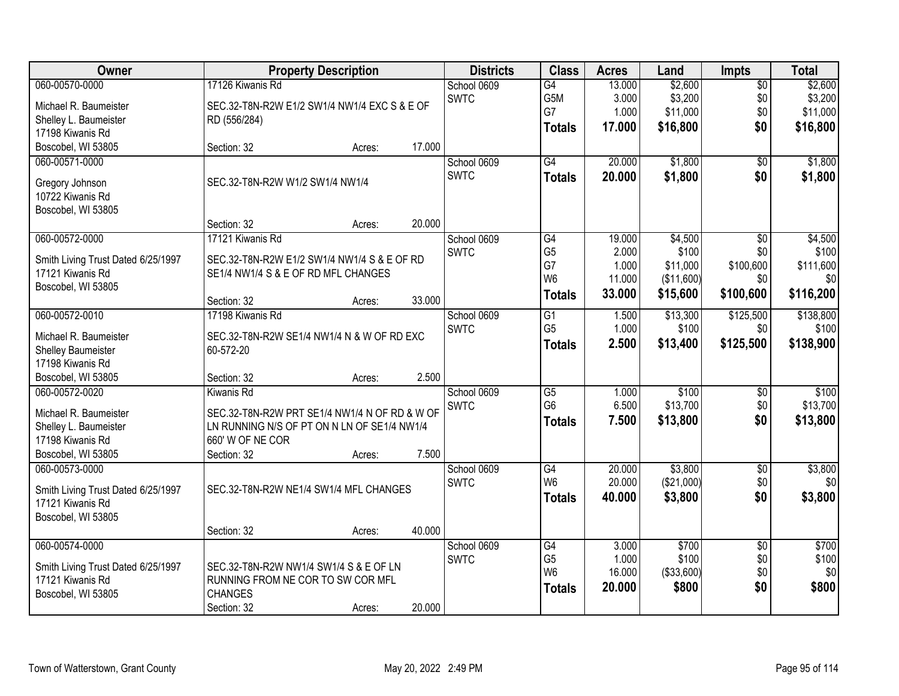| Owner                                                  |                                               | <b>Property Description</b> |        | <b>Districts</b> | <b>Class</b>    | <b>Acres</b> | Land       | <b>Impts</b>    | <b>Total</b> |
|--------------------------------------------------------|-----------------------------------------------|-----------------------------|--------|------------------|-----------------|--------------|------------|-----------------|--------------|
| 060-00570-0000                                         | 17126 Kiwanis Rd                              |                             |        | School 0609      | $\overline{G4}$ | 13.000       | \$2,600    | $\overline{60}$ | \$2,600      |
| Michael R. Baumeister                                  | SEC.32-T8N-R2W E1/2 SW1/4 NW1/4 EXC S & E OF  |                             |        | <b>SWTC</b>      | G5M             | 3.000        | \$3,200    | \$0             | \$3,200      |
| Shelley L. Baumeister                                  | RD (556/284)                                  |                             |        |                  | G7              | 1.000        | \$11,000   | \$0             | \$11,000     |
| 17198 Kiwanis Rd                                       |                                               |                             |        |                  | <b>Totals</b>   | 17.000       | \$16,800   | \$0             | \$16,800     |
| Boscobel, WI 53805                                     | Section: 32                                   | Acres:                      | 17.000 |                  |                 |              |            |                 |              |
| 060-00571-0000                                         |                                               |                             |        | School 0609      | G4              | 20.000       | \$1,800    | $\overline{50}$ | \$1,800      |
| Gregory Johnson                                        | SEC.32-T8N-R2W W1/2 SW1/4 NW1/4               |                             |        | <b>SWTC</b>      | <b>Totals</b>   | 20.000       | \$1,800    | \$0             | \$1,800      |
| 10722 Kiwanis Rd                                       |                                               |                             |        |                  |                 |              |            |                 |              |
| Boscobel, WI 53805                                     |                                               |                             |        |                  |                 |              |            |                 |              |
|                                                        | Section: 32                                   | Acres:                      | 20.000 |                  |                 |              |            |                 |              |
| 060-00572-0000                                         | 17121 Kiwanis Rd                              |                             |        | School 0609      | G4              | 19.000       | \$4,500    | \$0             | \$4,500      |
| Smith Living Trust Dated 6/25/1997                     | SEC.32-T8N-R2W E1/2 SW1/4 NW1/4 S & E OF RD   |                             |        | <b>SWTC</b>      | G <sub>5</sub>  | 2.000        | \$100      | \$0             | \$100        |
| 17121 Kiwanis Rd                                       | SE1/4 NW1/4 S & E OF RD MFL CHANGES           |                             |        |                  | G7              | 1.000        | \$11,000   | \$100,600       | \$111,600    |
| Boscobel, WI 53805                                     |                                               |                             |        |                  | W <sub>6</sub>  | 11.000       | (\$11,600) | \$0             | \$0          |
|                                                        | Section: 32                                   | Acres:                      | 33.000 |                  | <b>Totals</b>   | 33.000       | \$15,600   | \$100,600       | \$116,200    |
| 060-00572-0010                                         | 17198 Kiwanis Rd                              |                             |        | School 0609      | G1              | 1.500        | \$13,300   | \$125,500       | \$138,800    |
| Michael R. Baumeister                                  | SEC.32-T8N-R2W SE1/4 NW1/4 N & W OF RD EXC    |                             |        | <b>SWTC</b>      | G <sub>5</sub>  | 1.000        | \$100      | \$0             | \$100        |
| <b>Shelley Baumeister</b>                              | 60-572-20                                     |                             |        |                  | <b>Totals</b>   | 2.500        | \$13,400   | \$125,500       | \$138,900    |
| 17198 Kiwanis Rd                                       |                                               |                             |        |                  |                 |              |            |                 |              |
| Boscobel, WI 53805                                     | Section: 32                                   | Acres:                      | 2.500  |                  |                 |              |            |                 |              |
| 060-00572-0020                                         | <b>Kiwanis Rd</b>                             |                             |        | School 0609      | $\overline{G5}$ | 1.000        | \$100      | $\overline{50}$ | \$100        |
| Michael R. Baumeister                                  | SEC.32-T8N-R2W PRT SE1/4 NW1/4 N OF RD & W OF |                             |        | <b>SWTC</b>      | G <sub>6</sub>  | 6.500        | \$13,700   | \$0             | \$13,700     |
| Shelley L. Baumeister                                  | LN RUNNING N/S OF PT ON N LN OF SE1/4 NW1/4   |                             |        |                  | <b>Totals</b>   | 7.500        | \$13,800   | \$0             | \$13,800     |
| 17198 Kiwanis Rd                                       | 660' W OF NE COR                              |                             |        |                  |                 |              |            |                 |              |
| Boscobel, WI 53805                                     | Section: 32                                   | Acres:                      | 7.500  |                  |                 |              |            |                 |              |
| 060-00573-0000                                         |                                               |                             |        | School 0609      | G4              | 20.000       | \$3,800    | $\overline{60}$ | \$3,800      |
|                                                        | SEC.32-T8N-R2W NE1/4 SW1/4 MFL CHANGES        |                             |        | <b>SWTC</b>      | W <sub>6</sub>  | 20.000       | (\$21,000) | \$0             | \$0          |
| Smith Living Trust Dated 6/25/1997<br>17121 Kiwanis Rd |                                               |                             |        |                  | <b>Totals</b>   | 40.000       | \$3,800    | \$0             | \$3,800      |
| Boscobel, WI 53805                                     |                                               |                             |        |                  |                 |              |            |                 |              |
|                                                        | Section: 32                                   | Acres:                      | 40.000 |                  |                 |              |            |                 |              |
| 060-00574-0000                                         |                                               |                             |        | School 0609      | G4              | 3.000        | \$700      | $\overline{50}$ | \$700        |
| Smith Living Trust Dated 6/25/1997                     | SEC.32-T8N-R2W NW1/4 SW1/4 S & E OF LN        |                             |        | <b>SWTC</b>      | G <sub>5</sub>  | 1.000        | \$100      | \$0             | \$100        |
| 17121 Kiwanis Rd                                       | RUNNING FROM NE COR TO SW COR MFL             |                             |        |                  | W <sub>6</sub>  | 16.000       | (\$33,600) | \$0             | \$0          |
| Boscobel, WI 53805                                     | <b>CHANGES</b>                                |                             |        |                  | <b>Totals</b>   | 20.000       | \$800      | \$0             | \$800        |
|                                                        | Section: 32                                   | Acres:                      | 20.000 |                  |                 |              |            |                 |              |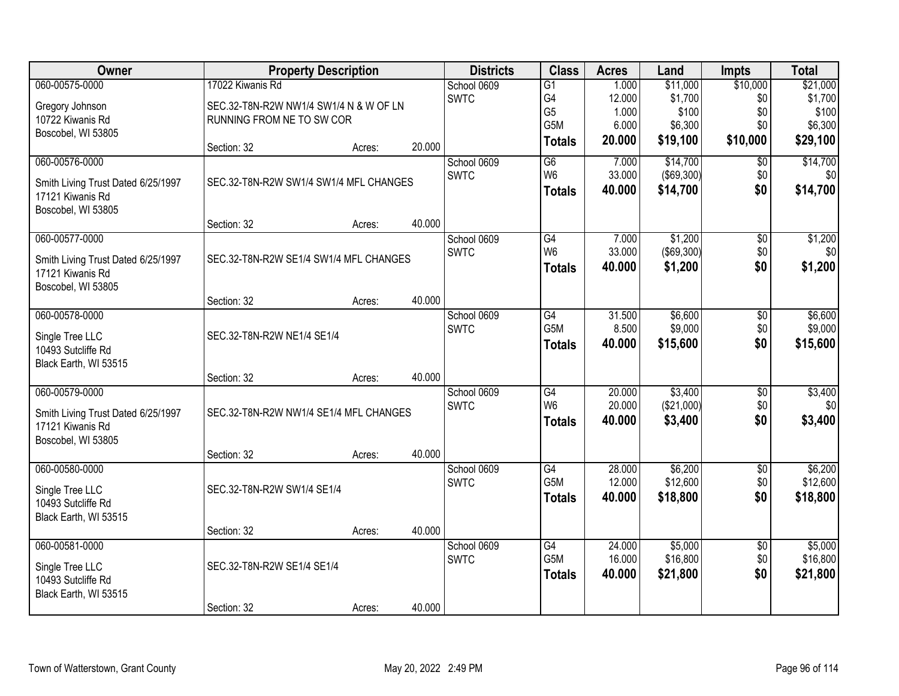| Owner                                       | <b>Property Description</b>            |        |        | <b>Districts</b> | <b>Class</b>    | <b>Acres</b> | Land              | <b>Impts</b>    | <b>Total</b> |
|---------------------------------------------|----------------------------------------|--------|--------|------------------|-----------------|--------------|-------------------|-----------------|--------------|
| 060-00575-0000                              | 17022 Kiwanis Rd                       |        |        | School 0609      | $\overline{G1}$ | 1.000        | \$11,000          | \$10,000        | \$21,000     |
| Gregory Johnson                             | SEC.32-T8N-R2W NW1/4 SW1/4 N & W OF LN |        |        | <b>SWTC</b>      | G4              | 12.000       | \$1,700           | \$0             | \$1,700      |
| 10722 Kiwanis Rd                            | RUNNING FROM NE TO SW COR              |        |        |                  | G <sub>5</sub>  | 1.000        | \$100             | \$0             | \$100        |
| Boscobel, WI 53805                          |                                        |        |        |                  | G5M             | 6.000        | \$6,300           | \$0             | \$6,300      |
|                                             | Section: 32                            | Acres: | 20.000 |                  | <b>Totals</b>   | 20.000       | \$19,100          | \$10,000        | \$29,100     |
| 060-00576-0000                              |                                        |        |        | School 0609      | G6              | 7.000        | \$14,700          | \$0             | \$14,700     |
| Smith Living Trust Dated 6/25/1997          | SEC.32-T8N-R2W SW1/4 SW1/4 MFL CHANGES |        |        | <b>SWTC</b>      | W <sub>6</sub>  | 33.000       | $($ \$69,300) $ $ | \$0             | \$0          |
| 17121 Kiwanis Rd<br>Boscobel, WI 53805      |                                        |        |        |                  | <b>Totals</b>   | 40.000       | \$14,700          | \$0             | \$14,700     |
|                                             | Section: 32                            | Acres: | 40.000 |                  |                 |              |                   |                 |              |
| 060-00577-0000                              |                                        |        |        | School 0609      | G4              | 7.000        | \$1,200           | \$0             | \$1,200      |
| Smith Living Trust Dated 6/25/1997          | SEC.32-T8N-R2W SE1/4 SW1/4 MFL CHANGES |        |        | <b>SWTC</b>      | W <sub>6</sub>  | 33.000       | $($ \$69,300) $ $ | \$0             | \$0          |
| 17121 Kiwanis Rd<br>Boscobel, WI 53805      |                                        |        |        |                  | <b>Totals</b>   | 40.000       | \$1,200           | \$0             | \$1,200      |
|                                             | Section: 32                            | Acres: | 40.000 |                  |                 |              |                   |                 |              |
| 060-00578-0000                              |                                        |        |        | School 0609      | G4              | 31.500       | \$6,600           | \$0             | \$6,600      |
| Single Tree LLC                             | SEC.32-T8N-R2W NE1/4 SE1/4             |        |        | <b>SWTC</b>      | G5M             | 8.500        | \$9,000           | \$0             | \$9,000      |
| 10493 Sutcliffe Rd<br>Black Earth, WI 53515 |                                        |        |        |                  | <b>Totals</b>   | 40.000       | \$15,600          | \$0             | \$15,600     |
|                                             | Section: 32                            | Acres: | 40.000 |                  |                 |              |                   |                 |              |
| 060-00579-0000                              |                                        |        |        | School 0609      | G4              | 20.000       | \$3,400           | \$0             | \$3,400      |
| Smith Living Trust Dated 6/25/1997          | SEC.32-T8N-R2W NW1/4 SE1/4 MFL CHANGES |        |        | <b>SWTC</b>      | W <sub>6</sub>  | 20.000       | (\$21,000)        | \$0             | \$0          |
| 17121 Kiwanis Rd                            |                                        |        |        |                  | <b>Totals</b>   | 40.000       | \$3,400           | \$0             | \$3,400      |
| Boscobel, WI 53805                          |                                        |        |        |                  |                 |              |                   |                 |              |
|                                             | Section: 32                            | Acres: | 40.000 |                  |                 |              |                   |                 |              |
| 060-00580-0000                              |                                        |        |        | School 0609      | G4              | 28.000       | \$6,200           | $\sqrt{6}$      | \$6,200      |
| Single Tree LLC                             | SEC.32-T8N-R2W SW1/4 SE1/4             |        |        | <b>SWTC</b>      | G5M             | 12.000       | \$12,600          | \$0             | \$12,600     |
| 10493 Sutcliffe Rd                          |                                        |        |        |                  | <b>Totals</b>   | 40.000       | \$18,800          | \$0             | \$18,800     |
| Black Earth, WI 53515                       |                                        |        |        |                  |                 |              |                   |                 |              |
|                                             | Section: 32                            | Acres: | 40.000 |                  |                 |              |                   |                 |              |
| 060-00581-0000                              |                                        |        |        | School 0609      | G4              | 24.000       | \$5,000           | $\overline{30}$ | \$5,000      |
| Single Tree LLC                             | SEC.32-T8N-R2W SE1/4 SE1/4             |        |        | <b>SWTC</b>      | G5M             | 16.000       | \$16,800          | \$0             | \$16,800     |
| 10493 Sutcliffe Rd                          |                                        |        |        |                  | <b>Totals</b>   | 40.000       | \$21,800          | \$0             | \$21,800     |
| Black Earth, WI 53515                       |                                        |        |        |                  |                 |              |                   |                 |              |
|                                             | Section: 32                            | Acres: | 40.000 |                  |                 |              |                   |                 |              |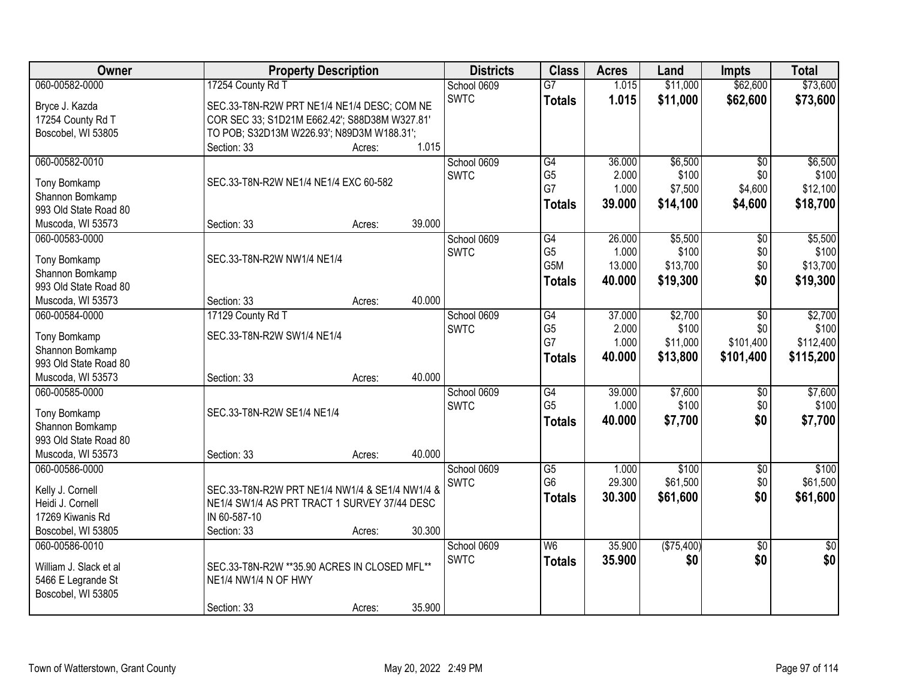| Owner                  | <b>Property Description</b>                    |        |        | <b>Districts</b> | <b>Class</b>    | <b>Acres</b> | Land       | <b>Impts</b>    | <b>Total</b>  |
|------------------------|------------------------------------------------|--------|--------|------------------|-----------------|--------------|------------|-----------------|---------------|
| 060-00582-0000         | 17254 County Rd T                              |        |        | School 0609      | $\overline{G7}$ | 1.015        | \$11,000   | \$62,600        | \$73,600      |
| Bryce J. Kazda         | SEC.33-T8N-R2W PRT NE1/4 NE1/4 DESC; COM NE    |        |        | <b>SWTC</b>      | <b>Totals</b>   | 1.015        | \$11,000   | \$62,600        | \$73,600      |
| 17254 County Rd T      | COR SEC 33; S1D21M E662.42'; S88D38M W327.81'  |        |        |                  |                 |              |            |                 |               |
| Boscobel, WI 53805     | TO POB; S32D13M W226.93'; N89D3M W188.31';     |        |        |                  |                 |              |            |                 |               |
|                        | Section: 33                                    | Acres: | 1.015  |                  |                 |              |            |                 |               |
| 060-00582-0010         |                                                |        |        | School 0609      | $\overline{G4}$ | 36.000       | \$6,500    | $\overline{50}$ | \$6,500       |
|                        |                                                |        |        | <b>SWTC</b>      | G <sub>5</sub>  | 2.000        | \$100      | \$0             | \$100         |
| Tony Bomkamp           | SEC.33-T8N-R2W NE1/4 NE1/4 EXC 60-582          |        |        |                  | G7              | 1.000        | \$7,500    | \$4,600         | \$12,100      |
| Shannon Bomkamp        |                                                |        |        |                  | <b>Totals</b>   | 39.000       | \$14,100   | \$4,600         | \$18,700      |
| 993 Old State Road 80  |                                                |        |        |                  |                 |              |            |                 |               |
| Muscoda, WI 53573      | Section: 33                                    | Acres: | 39.000 |                  |                 |              |            |                 |               |
| 060-00583-0000         |                                                |        |        | School 0609      | G4              | 26.000       | \$5,500    | $\overline{50}$ | \$5,500       |
|                        | SEC.33-T8N-R2W NW1/4 NE1/4                     |        |        | <b>SWTC</b>      | G <sub>5</sub>  | 1.000        | \$100      | \$0             | \$100         |
| Tony Bomkamp           |                                                |        |        |                  | G5M             | 13.000       | \$13,700   | \$0             | \$13,700      |
| Shannon Bomkamp        |                                                |        |        |                  | <b>Totals</b>   | 40.000       | \$19,300   | \$0             | \$19,300      |
| 993 Old State Road 80  |                                                |        |        |                  |                 |              |            |                 |               |
| Muscoda, WI 53573      | Section: 33                                    | Acres: | 40.000 |                  |                 |              |            |                 |               |
| 060-00584-0000         | 17129 County Rd T                              |        |        | School 0609      | G4              | 37.000       | \$2,700    | \$0             | \$2,700       |
| Tony Bomkamp           | SEC.33-T8N-R2W SW1/4 NE1/4                     |        |        | <b>SWTC</b>      | G <sub>5</sub>  | 2.000        | \$100      | \$0             | \$100         |
| Shannon Bomkamp        |                                                |        |        |                  | G7              | 1.000        | \$11,000   | \$101,400       | \$112,400     |
| 993 Old State Road 80  |                                                |        |        |                  | <b>Totals</b>   | 40.000       | \$13,800   | \$101,400       | \$115,200     |
| Muscoda, WI 53573      | Section: 33                                    | Acres: | 40.000 |                  |                 |              |            |                 |               |
| 060-00585-0000         |                                                |        |        | School 0609      | $\overline{G4}$ | 39.000       | \$7,600    | $\overline{50}$ | \$7,600       |
|                        |                                                |        |        | <b>SWTC</b>      | G <sub>5</sub>  | 1.000        | \$100      | \$0             | \$100         |
| Tony Bomkamp           | SEC.33-T8N-R2W SE1/4 NE1/4                     |        |        |                  | <b>Totals</b>   | 40.000       | \$7,700    | \$0             | \$7,700       |
| Shannon Bomkamp        |                                                |        |        |                  |                 |              |            |                 |               |
| 993 Old State Road 80  |                                                |        |        |                  |                 |              |            |                 |               |
| Muscoda, WI 53573      | Section: 33                                    | Acres: | 40.000 |                  |                 |              |            |                 |               |
| 060-00586-0000         |                                                |        |        | School 0609      | $\overline{G5}$ | 1.000        | \$100      | $\sqrt{$0}$     | \$100         |
| Kelly J. Cornell       | SEC.33-T8N-R2W PRT NE1/4 NW1/4 & SE1/4 NW1/4 & |        |        | <b>SWTC</b>      | G <sub>6</sub>  | 29.300       | \$61,500   | \$0             | \$61,500      |
| Heidi J. Cornell       | NE1/4 SW1/4 AS PRT TRACT 1 SURVEY 37/44 DESC   |        |        |                  | <b>Totals</b>   | 30.300       | \$61,600   | \$0             | \$61,600      |
| 17269 Kiwanis Rd       | IN 60-587-10                                   |        |        |                  |                 |              |            |                 |               |
| Boscobel, WI 53805     | Section: 33                                    | Acres: | 30.300 |                  |                 |              |            |                 |               |
| 060-00586-0010         |                                                |        |        | School 0609      | W <sub>6</sub>  | 35.900       | (\$75,400) |                 |               |
|                        |                                                |        |        |                  |                 |              |            | $\overline{50}$ | $\frac{1}{6}$ |
| William J. Slack et al | SEC.33-T8N-R2W **35.90 ACRES IN CLOSED MFL**   |        |        | <b>SWTC</b>      | <b>Totals</b>   | 35.900       | \$0        | \$0             | \$0           |
| 5466 E Legrande St     | NE1/4 NW1/4 N OF HWY                           |        |        |                  |                 |              |            |                 |               |
| Boscobel, WI 53805     |                                                |        |        |                  |                 |              |            |                 |               |
|                        | Section: 33                                    | Acres: | 35.900 |                  |                 |              |            |                 |               |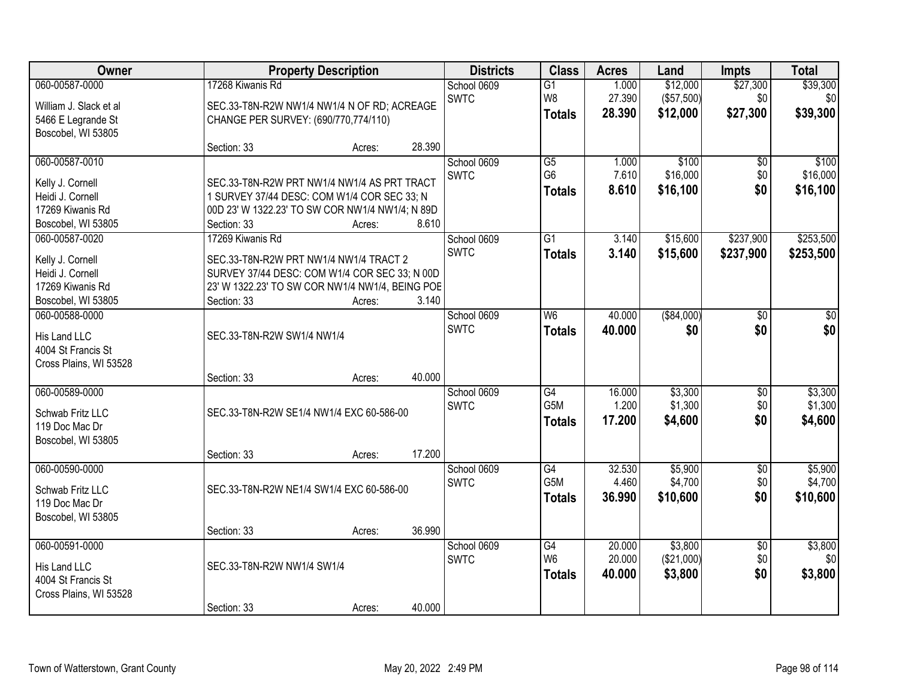| Owner                                  | <b>Property Description</b>                                    |                  | <b>Districts</b> | <b>Class</b>                      | <b>Acres</b>   | Land                 | <b>Impts</b>    | <b>Total</b>         |
|----------------------------------------|----------------------------------------------------------------|------------------|------------------|-----------------------------------|----------------|----------------------|-----------------|----------------------|
| 060-00587-0000                         | 17268 Kiwanis Rd                                               |                  | School 0609      | $\overline{G1}$                   | 1.000          | \$12,000             | \$27,300        | \$39,300             |
| William J. Slack et al                 | SEC.33-T8N-R2W NW1/4 NW1/4 N OF RD; ACREAGE                    |                  | <b>SWTC</b>      | W8                                | 27.390         | (\$57,500)           | \$0             | \$0                  |
| 5466 E Legrande St                     | CHANGE PER SURVEY: (690/770,774/110)                           |                  |                  | <b>Totals</b>                     | 28.390         | \$12,000             | \$27,300        | \$39,300             |
| Boscobel, WI 53805                     |                                                                |                  |                  |                                   |                |                      |                 |                      |
|                                        | Section: 33                                                    | 28.390<br>Acres: |                  |                                   |                |                      |                 |                      |
| 060-00587-0010                         |                                                                |                  | School 0609      | $\overline{G5}$<br>G <sub>6</sub> | 1.000          | \$100                | \$0             | \$100                |
| Kelly J. Cornell                       | SEC.33-T8N-R2W PRT NW1/4 NW1/4 AS PRT TRACT                    |                  | <b>SWTC</b>      | <b>Totals</b>                     | 7.610<br>8.610 | \$16,000<br>\$16,100 | \$0<br>\$0      | \$16,000<br>\$16,100 |
| Heidi J. Cornell                       | 1 SURVEY 37/44 DESC: COM W1/4 COR SEC 33: N                    |                  |                  |                                   |                |                      |                 |                      |
| 17269 Kiwanis Rd                       | 00D 23' W 1322.23' TO SW COR NW1/4 NW1/4; N 89D                |                  |                  |                                   |                |                      |                 |                      |
| Boscobel, WI 53805<br>060-00587-0020   | Section: 33<br>17269 Kiwanis Rd                                | 8.610<br>Acres:  | School 0609      | G1                                | 3.140          | \$15,600             | \$237,900       | \$253,500            |
|                                        |                                                                |                  | <b>SWTC</b>      | <b>Totals</b>                     | 3.140          | \$15,600             | \$237,900       | \$253,500            |
| Kelly J. Cornell                       | SEC.33-T8N-R2W PRT NW1/4 NW1/4 TRACT 2                         |                  |                  |                                   |                |                      |                 |                      |
| Heidi J. Cornell                       | SURVEY 37/44 DESC: COM W1/4 COR SEC 33; N 00D                  |                  |                  |                                   |                |                      |                 |                      |
| 17269 Kiwanis Rd<br>Boscobel, WI 53805 | 23' W 1322.23' TO SW COR NW1/4 NW1/4, BEING POE<br>Section: 33 | 3.140<br>Acres:  |                  |                                   |                |                      |                 |                      |
| 060-00588-0000                         |                                                                |                  | School 0609      | W6                                | 40.000         | ( \$84,000)          | $\overline{50}$ | $\overline{50}$      |
|                                        |                                                                |                  | <b>SWTC</b>      | <b>Totals</b>                     | 40.000         | \$0                  | \$0             | \$0                  |
| His Land LLC<br>4004 St Francis St     | SEC.33-T8N-R2W SW1/4 NW1/4                                     |                  |                  |                                   |                |                      |                 |                      |
| Cross Plains, WI 53528                 |                                                                |                  |                  |                                   |                |                      |                 |                      |
|                                        | Section: 33                                                    | 40.000<br>Acres: |                  |                                   |                |                      |                 |                      |
| 060-00589-0000                         |                                                                |                  | School 0609      | G4                                | 16.000         | \$3,300              | $\overline{60}$ | \$3,300              |
| Schwab Fritz LLC                       | SEC.33-T8N-R2W SE1/4 NW1/4 EXC 60-586-00                       |                  | <b>SWTC</b>      | G <sub>5</sub> M                  | 1.200          | \$1,300              | \$0             | \$1,300              |
| 119 Doc Mac Dr                         |                                                                |                  |                  | <b>Totals</b>                     | 17.200         | \$4,600              | \$0             | \$4,600              |
| Boscobel, WI 53805                     |                                                                |                  |                  |                                   |                |                      |                 |                      |
|                                        | Section: 33                                                    | 17.200<br>Acres: |                  |                                   |                |                      |                 |                      |
| 060-00590-0000                         |                                                                |                  | School 0609      | G4                                | 32.530         | \$5,900              | $\sqrt{6}$      | \$5,900              |
| Schwab Fritz LLC                       | SEC.33-T8N-R2W NE1/4 SW1/4 EXC 60-586-00                       |                  | <b>SWTC</b>      | G5M                               | 4.460          | \$4,700              | \$0             | \$4,700              |
| 119 Doc Mac Dr                         |                                                                |                  |                  | <b>Totals</b>                     | 36.990         | \$10,600             | \$0             | \$10,600             |
| Boscobel, WI 53805                     |                                                                |                  |                  |                                   |                |                      |                 |                      |
|                                        | Section: 33                                                    | 36.990<br>Acres: |                  |                                   |                |                      |                 |                      |
| 060-00591-0000                         |                                                                |                  | School 0609      | $\overline{G4}$                   | 20.000         | \$3,800              | $\overline{50}$ | \$3,800              |
| His Land LLC                           | SEC.33-T8N-R2W NW1/4 SW1/4                                     |                  | <b>SWTC</b>      | W <sub>6</sub>                    | 20.000         | (\$21,000)           | \$0             | \$0                  |
| 4004 St Francis St                     |                                                                |                  |                  | <b>Totals</b>                     | 40.000         | \$3,800              | \$0             | \$3,800              |
| Cross Plains, WI 53528                 |                                                                |                  |                  |                                   |                |                      |                 |                      |
|                                        | Section: 33                                                    | 40.000<br>Acres: |                  |                                   |                |                      |                 |                      |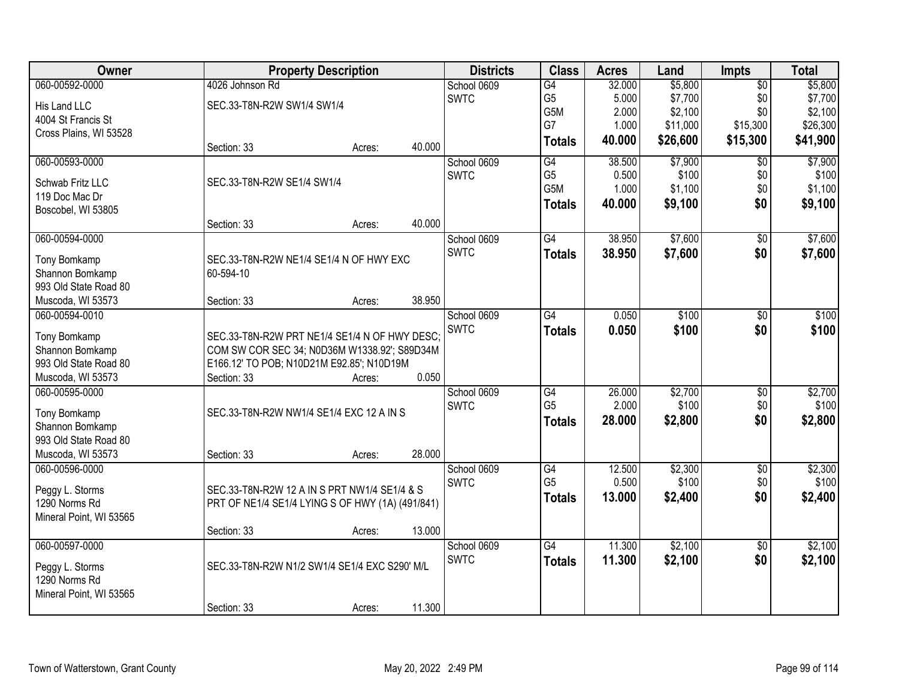| Owner                              |                                                  | <b>Property Description</b> |        | <b>Districts</b> | <b>Class</b>    | <b>Acres</b> | Land     | <b>Impts</b>    | <b>Total</b> |
|------------------------------------|--------------------------------------------------|-----------------------------|--------|------------------|-----------------|--------------|----------|-----------------|--------------|
| 060-00592-0000                     | 4026 Johnson Rd                                  |                             |        | School 0609      | G4              | 32.000       | \$5,800  | $\overline{50}$ | \$5,800      |
| His Land LLC                       | SEC.33-T8N-R2W SW1/4 SW1/4                       |                             |        | <b>SWTC</b>      | G <sub>5</sub>  | 5.000        | \$7,700  | \$0             | \$7,700      |
| 4004 St Francis St                 |                                                  |                             |        |                  | G5M             | 2.000        | \$2,100  | \$0             | \$2,100      |
| Cross Plains, WI 53528             |                                                  |                             |        |                  | G7              | 1.000        | \$11,000 | \$15,300        | \$26,300     |
|                                    | Section: 33                                      | Acres:                      | 40.000 |                  | <b>Totals</b>   | 40.000       | \$26,600 | \$15,300        | \$41,900     |
| 060-00593-0000                     |                                                  |                             |        | School 0609      | $\overline{G4}$ | 38.500       | \$7,900  | $\overline{50}$ | \$7,900      |
|                                    | SEC.33-T8N-R2W SE1/4 SW1/4                       |                             |        | <b>SWTC</b>      | G <sub>5</sub>  | 0.500        | \$100    | \$0             | \$100        |
| Schwab Fritz LLC<br>119 Doc Mac Dr |                                                  |                             |        |                  | G5M             | 1.000        | \$1,100  | \$0             | \$1,100      |
|                                    |                                                  |                             |        |                  | <b>Totals</b>   | 40.000       | \$9,100  | \$0             | \$9,100      |
| Boscobel, WI 53805                 | Section: 33                                      | Acres:                      | 40.000 |                  |                 |              |          |                 |              |
| 060-00594-0000                     |                                                  |                             |        | School 0609      | G4              | 38.950       | \$7,600  | $\overline{50}$ | \$7,600      |
|                                    |                                                  |                             |        | <b>SWTC</b>      | <b>Totals</b>   | 38.950       | \$7,600  | \$0             | \$7,600      |
| Tony Bomkamp                       | SEC.33-T8N-R2W NE1/4 SE1/4 N OF HWY EXC          |                             |        |                  |                 |              |          |                 |              |
| Shannon Bomkamp                    | 60-594-10                                        |                             |        |                  |                 |              |          |                 |              |
| 993 Old State Road 80              |                                                  |                             |        |                  |                 |              |          |                 |              |
| Muscoda, WI 53573                  | Section: 33                                      | Acres:                      | 38.950 |                  |                 |              |          |                 |              |
| 060-00594-0010                     |                                                  |                             |        | School 0609      | $\overline{G4}$ | 0.050        | \$100    | $\overline{30}$ | \$100        |
| Tony Bomkamp                       | SEC.33-T8N-R2W PRT NE1/4 SE1/4 N OF HWY DESC;    |                             |        | <b>SWTC</b>      | <b>Totals</b>   | 0.050        | \$100    | \$0             | \$100        |
| Shannon Bomkamp                    | COM SW COR SEC 34; N0D36M W1338.92'; S89D34M     |                             |        |                  |                 |              |          |                 |              |
| 993 Old State Road 80              | E166.12' TO POB; N10D21M E92.85'; N10D19M        |                             |        |                  |                 |              |          |                 |              |
| Muscoda, WI 53573                  | Section: 33                                      | Acres:                      | 0.050  |                  |                 |              |          |                 |              |
| 060-00595-0000                     |                                                  |                             |        | School 0609      | $\overline{G4}$ | 26.000       | \$2,700  | \$0             | \$2,700      |
| Tony Bomkamp                       | SEC.33-T8N-R2W NW1/4 SE1/4 EXC 12 A IN S         |                             |        | <b>SWTC</b>      | G <sub>5</sub>  | 2.000        | \$100    | \$0             | \$100        |
| Shannon Bomkamp                    |                                                  |                             |        |                  | <b>Totals</b>   | 28.000       | \$2,800  | \$0             | \$2,800      |
| 993 Old State Road 80              |                                                  |                             |        |                  |                 |              |          |                 |              |
| Muscoda, WI 53573                  | Section: 33                                      | Acres:                      | 28.000 |                  |                 |              |          |                 |              |
| 060-00596-0000                     |                                                  |                             |        | School 0609      | G4              | 12.500       | \$2,300  | $\sqrt{6}$      | \$2,300      |
|                                    |                                                  |                             |        | <b>SWTC</b>      | G <sub>5</sub>  | 0.500        | \$100    | \$0             | \$100        |
| Peggy L. Storms                    | SEC.33-T8N-R2W 12 A IN S PRT NW1/4 SE1/4 & S     |                             |        |                  | <b>Totals</b>   | 13.000       | \$2,400  | \$0             | \$2,400      |
| 1290 Norms Rd                      | PRT OF NE1/4 SE1/4 LYING S OF HWY (1A) (491/841) |                             |        |                  |                 |              |          |                 |              |
| Mineral Point, WI 53565            |                                                  |                             |        |                  |                 |              |          |                 |              |
|                                    | Section: 33                                      | Acres:                      | 13.000 |                  |                 |              |          |                 |              |
| 060-00597-0000                     |                                                  |                             |        | School 0609      | $\overline{G4}$ | 11.300       | \$2,100  | $\overline{50}$ | \$2,100      |
| Peggy L. Storms                    | SEC.33-T8N-R2W N1/2 SW1/4 SE1/4 EXC S290' M/L    |                             |        | <b>SWTC</b>      | <b>Totals</b>   | 11.300       | \$2,100  | \$0             | \$2,100      |
| 1290 Norms Rd                      |                                                  |                             |        |                  |                 |              |          |                 |              |
| Mineral Point, WI 53565            |                                                  |                             |        |                  |                 |              |          |                 |              |
|                                    | Section: 33                                      | Acres:                      | 11.300 |                  |                 |              |          |                 |              |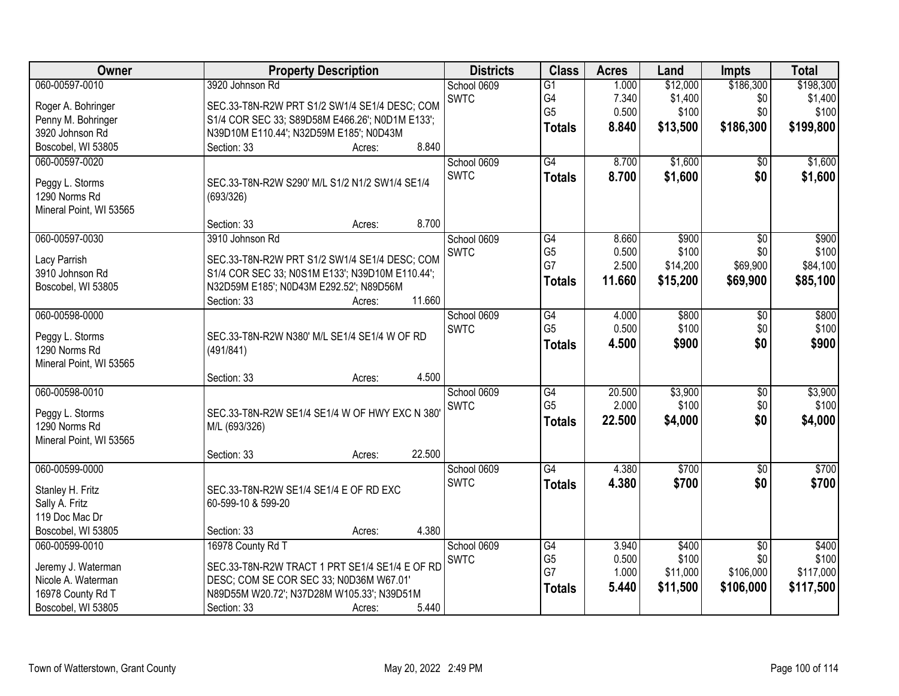| $\overline{G1}$<br>1.000<br>G4<br>\$1,400<br><b>SWTC</b><br>7.340<br>\$0<br>\$1,400<br>SEC.33-T8N-R2W PRT S1/2 SW1/4 SE1/4 DESC; COM<br>Roger A. Bohringer<br>G <sub>5</sub><br>0.500<br>\$100<br>\$0<br>\$100<br>Penny M. Bohringer<br>S1/4 COR SEC 33; S89D58M E466.26'; N0D1M E133';<br>\$199,800<br>8.840<br>\$13,500<br>\$186,300<br><b>Totals</b><br>3920 Johnson Rd<br>N39D10M E110.44'; N32D59M E185'; N0D43M<br>Boscobel, WI 53805<br>8.840<br>Section: 33<br>Acres:<br>$\overline{G4}$<br>8.700<br>\$1,600<br>\$1,600<br>060-00597-0020<br>School 0609<br>$\overline{50}$<br><b>SWTC</b><br>8.700<br>\$1,600<br>\$0<br>\$1,600<br><b>Totals</b><br>Peggy L. Storms<br>SEC.33-T8N-R2W S290' M/L S1/2 N1/2 SW1/4 SE1/4<br>1290 Norms Rd<br>(693/326)<br>Mineral Point, WI 53565<br>8.700<br>Section: 33<br>Acres:<br>060-00597-0030<br>3910 Johnson Rd<br>School 0609<br>$\overline{G4}$<br>8.660<br>\$900<br>\$900<br>\$0<br>G <sub>5</sub><br>\$100<br>0.500<br>\$100<br>\$0<br><b>SWTC</b><br>SEC.33-T8N-R2W PRT S1/2 SW1/4 SE1/4 DESC; COM<br>Lacy Parrish<br>G7<br>2.500<br>\$14,200<br>\$69,900<br>\$84,100<br>3910 Johnson Rd<br>S1/4 COR SEC 33; N0S1M E133'; N39D10M E110.44';<br>11.660<br>\$15,200<br>\$69,900<br>\$85,100<br><b>Totals</b><br>Boscobel, WI 53805<br>N32D59M E185'; N0D43M E292.52'; N89D56M<br>11.660<br>Section: 33<br>Acres:<br>060-00598-0000<br>\$800<br>\$800<br>School 0609<br>G4<br>4.000<br>\$0<br>G <sub>5</sub><br>0.500<br>\$100<br>\$100<br>\$0<br><b>SWTC</b><br>SEC.33-T8N-R2W N380' M/L SE1/4 SE1/4 W OF RD<br>Peggy L. Storms<br>\$0<br>4.500<br>\$900<br>\$900<br><b>Totals</b><br>1290 Norms Rd<br>(491/841)<br>Mineral Point, WI 53565<br>4.500<br>Section: 33<br>Acres:<br>060-00598-0010<br>$\overline{G4}$<br>20.500<br>\$3,900<br>\$0<br>School 0609<br>G <sub>5</sub><br>2.000<br>\$100<br>\$0<br><b>SWTC</b><br>Peggy L. Storms<br>SEC.33-T8N-R2W SE1/4 SE1/4 W OF HWY EXC N 380'<br>\$0<br>\$4,000<br>22.500<br>\$4,000<br><b>Totals</b><br>1290 Norms Rd<br>M/L (693/326)<br>Mineral Point, WI 53565<br>22.500<br>Section: 33<br>Acres:<br>$\overline{G4}$<br>060-00599-0000<br>School 0609<br>4.380<br>\$700<br>\$700<br>$\sqrt{6}$<br><b>SWTC</b><br>4.380<br>\$700<br>\$0<br><b>Totals</b><br>Stanley H. Fritz<br>SEC.33-T8N-R2W SE1/4 SE1/4 E OF RD EXC<br>Sally A. Fritz<br>60-599-10 & 599-20<br>119 Doc Mac Dr<br>4.380<br>Boscobel, WI 53805<br>Section: 33<br>Acres:<br>060-00599-0010<br>\$400<br>16978 County Rd T<br>School 0609<br>G4<br>3.940<br>\$400<br>$\overline{50}$<br>0.500<br>\$100<br>G <sub>5</sub><br>\$0<br><b>SWTC</b><br>SEC.33-T8N-R2W TRACT 1 PRT SE1/4 SE1/4 E OF RD<br>Jeremy J. Waterman | Owner          | <b>Property Description</b> | <b>Districts</b> | <b>Class</b> | <b>Acres</b> | Land     | <b>Impts</b> | <b>Total</b> |
|------------------------------------------------------------------------------------------------------------------------------------------------------------------------------------------------------------------------------------------------------------------------------------------------------------------------------------------------------------------------------------------------------------------------------------------------------------------------------------------------------------------------------------------------------------------------------------------------------------------------------------------------------------------------------------------------------------------------------------------------------------------------------------------------------------------------------------------------------------------------------------------------------------------------------------------------------------------------------------------------------------------------------------------------------------------------------------------------------------------------------------------------------------------------------------------------------------------------------------------------------------------------------------------------------------------------------------------------------------------------------------------------------------------------------------------------------------------------------------------------------------------------------------------------------------------------------------------------------------------------------------------------------------------------------------------------------------------------------------------------------------------------------------------------------------------------------------------------------------------------------------------------------------------------------------------------------------------------------------------------------------------------------------------------------------------------------------------------------------------------------------------------------------------------------------------------------------------------------------------------------------------------------------------------------------------------------------------------------------------------------------------------------------------------------------------------------------------------------------------------------------------------------------------------------------------------------------------------------------------------------------------------------------------------------------------|----------------|-----------------------------|------------------|--------------|--------------|----------|--------------|--------------|
|                                                                                                                                                                                                                                                                                                                                                                                                                                                                                                                                                                                                                                                                                                                                                                                                                                                                                                                                                                                                                                                                                                                                                                                                                                                                                                                                                                                                                                                                                                                                                                                                                                                                                                                                                                                                                                                                                                                                                                                                                                                                                                                                                                                                                                                                                                                                                                                                                                                                                                                                                                                                                                                                                          | 060-00597-0010 | 3920 Johnson Rd             | School 0609      |              |              | \$12,000 | \$186,300    | \$198,300    |
|                                                                                                                                                                                                                                                                                                                                                                                                                                                                                                                                                                                                                                                                                                                                                                                                                                                                                                                                                                                                                                                                                                                                                                                                                                                                                                                                                                                                                                                                                                                                                                                                                                                                                                                                                                                                                                                                                                                                                                                                                                                                                                                                                                                                                                                                                                                                                                                                                                                                                                                                                                                                                                                                                          |                |                             |                  |              |              |          |              |              |
|                                                                                                                                                                                                                                                                                                                                                                                                                                                                                                                                                                                                                                                                                                                                                                                                                                                                                                                                                                                                                                                                                                                                                                                                                                                                                                                                                                                                                                                                                                                                                                                                                                                                                                                                                                                                                                                                                                                                                                                                                                                                                                                                                                                                                                                                                                                                                                                                                                                                                                                                                                                                                                                                                          |                |                             |                  |              |              |          |              |              |
|                                                                                                                                                                                                                                                                                                                                                                                                                                                                                                                                                                                                                                                                                                                                                                                                                                                                                                                                                                                                                                                                                                                                                                                                                                                                                                                                                                                                                                                                                                                                                                                                                                                                                                                                                                                                                                                                                                                                                                                                                                                                                                                                                                                                                                                                                                                                                                                                                                                                                                                                                                                                                                                                                          |                |                             |                  |              |              |          |              |              |
|                                                                                                                                                                                                                                                                                                                                                                                                                                                                                                                                                                                                                                                                                                                                                                                                                                                                                                                                                                                                                                                                                                                                                                                                                                                                                                                                                                                                                                                                                                                                                                                                                                                                                                                                                                                                                                                                                                                                                                                                                                                                                                                                                                                                                                                                                                                                                                                                                                                                                                                                                                                                                                                                                          |                |                             |                  |              |              |          |              |              |
|                                                                                                                                                                                                                                                                                                                                                                                                                                                                                                                                                                                                                                                                                                                                                                                                                                                                                                                                                                                                                                                                                                                                                                                                                                                                                                                                                                                                                                                                                                                                                                                                                                                                                                                                                                                                                                                                                                                                                                                                                                                                                                                                                                                                                                                                                                                                                                                                                                                                                                                                                                                                                                                                                          |                |                             |                  |              |              |          |              |              |
|                                                                                                                                                                                                                                                                                                                                                                                                                                                                                                                                                                                                                                                                                                                                                                                                                                                                                                                                                                                                                                                                                                                                                                                                                                                                                                                                                                                                                                                                                                                                                                                                                                                                                                                                                                                                                                                                                                                                                                                                                                                                                                                                                                                                                                                                                                                                                                                                                                                                                                                                                                                                                                                                                          |                |                             |                  |              |              |          |              |              |
|                                                                                                                                                                                                                                                                                                                                                                                                                                                                                                                                                                                                                                                                                                                                                                                                                                                                                                                                                                                                                                                                                                                                                                                                                                                                                                                                                                                                                                                                                                                                                                                                                                                                                                                                                                                                                                                                                                                                                                                                                                                                                                                                                                                                                                                                                                                                                                                                                                                                                                                                                                                                                                                                                          |                |                             |                  |              |              |          |              |              |
|                                                                                                                                                                                                                                                                                                                                                                                                                                                                                                                                                                                                                                                                                                                                                                                                                                                                                                                                                                                                                                                                                                                                                                                                                                                                                                                                                                                                                                                                                                                                                                                                                                                                                                                                                                                                                                                                                                                                                                                                                                                                                                                                                                                                                                                                                                                                                                                                                                                                                                                                                                                                                                                                                          |                |                             |                  |              |              |          |              |              |
|                                                                                                                                                                                                                                                                                                                                                                                                                                                                                                                                                                                                                                                                                                                                                                                                                                                                                                                                                                                                                                                                                                                                                                                                                                                                                                                                                                                                                                                                                                                                                                                                                                                                                                                                                                                                                                                                                                                                                                                                                                                                                                                                                                                                                                                                                                                                                                                                                                                                                                                                                                                                                                                                                          |                |                             |                  |              |              |          |              |              |
|                                                                                                                                                                                                                                                                                                                                                                                                                                                                                                                                                                                                                                                                                                                                                                                                                                                                                                                                                                                                                                                                                                                                                                                                                                                                                                                                                                                                                                                                                                                                                                                                                                                                                                                                                                                                                                                                                                                                                                                                                                                                                                                                                                                                                                                                                                                                                                                                                                                                                                                                                                                                                                                                                          |                |                             |                  |              |              |          |              |              |
|                                                                                                                                                                                                                                                                                                                                                                                                                                                                                                                                                                                                                                                                                                                                                                                                                                                                                                                                                                                                                                                                                                                                                                                                                                                                                                                                                                                                                                                                                                                                                                                                                                                                                                                                                                                                                                                                                                                                                                                                                                                                                                                                                                                                                                                                                                                                                                                                                                                                                                                                                                                                                                                                                          |                |                             |                  |              |              |          |              |              |
|                                                                                                                                                                                                                                                                                                                                                                                                                                                                                                                                                                                                                                                                                                                                                                                                                                                                                                                                                                                                                                                                                                                                                                                                                                                                                                                                                                                                                                                                                                                                                                                                                                                                                                                                                                                                                                                                                                                                                                                                                                                                                                                                                                                                                                                                                                                                                                                                                                                                                                                                                                                                                                                                                          |                |                             |                  |              |              |          |              |              |
|                                                                                                                                                                                                                                                                                                                                                                                                                                                                                                                                                                                                                                                                                                                                                                                                                                                                                                                                                                                                                                                                                                                                                                                                                                                                                                                                                                                                                                                                                                                                                                                                                                                                                                                                                                                                                                                                                                                                                                                                                                                                                                                                                                                                                                                                                                                                                                                                                                                                                                                                                                                                                                                                                          |                |                             |                  |              |              |          |              |              |
|                                                                                                                                                                                                                                                                                                                                                                                                                                                                                                                                                                                                                                                                                                                                                                                                                                                                                                                                                                                                                                                                                                                                                                                                                                                                                                                                                                                                                                                                                                                                                                                                                                                                                                                                                                                                                                                                                                                                                                                                                                                                                                                                                                                                                                                                                                                                                                                                                                                                                                                                                                                                                                                                                          |                |                             |                  |              |              |          |              |              |
|                                                                                                                                                                                                                                                                                                                                                                                                                                                                                                                                                                                                                                                                                                                                                                                                                                                                                                                                                                                                                                                                                                                                                                                                                                                                                                                                                                                                                                                                                                                                                                                                                                                                                                                                                                                                                                                                                                                                                                                                                                                                                                                                                                                                                                                                                                                                                                                                                                                                                                                                                                                                                                                                                          |                |                             |                  |              |              |          |              |              |
|                                                                                                                                                                                                                                                                                                                                                                                                                                                                                                                                                                                                                                                                                                                                                                                                                                                                                                                                                                                                                                                                                                                                                                                                                                                                                                                                                                                                                                                                                                                                                                                                                                                                                                                                                                                                                                                                                                                                                                                                                                                                                                                                                                                                                                                                                                                                                                                                                                                                                                                                                                                                                                                                                          |                |                             |                  |              |              |          |              |              |
|                                                                                                                                                                                                                                                                                                                                                                                                                                                                                                                                                                                                                                                                                                                                                                                                                                                                                                                                                                                                                                                                                                                                                                                                                                                                                                                                                                                                                                                                                                                                                                                                                                                                                                                                                                                                                                                                                                                                                                                                                                                                                                                                                                                                                                                                                                                                                                                                                                                                                                                                                                                                                                                                                          |                |                             |                  |              |              |          |              |              |
|                                                                                                                                                                                                                                                                                                                                                                                                                                                                                                                                                                                                                                                                                                                                                                                                                                                                                                                                                                                                                                                                                                                                                                                                                                                                                                                                                                                                                                                                                                                                                                                                                                                                                                                                                                                                                                                                                                                                                                                                                                                                                                                                                                                                                                                                                                                                                                                                                                                                                                                                                                                                                                                                                          |                |                             |                  |              |              |          |              |              |
| \$3,900<br>\$100<br>\$700<br>\$100                                                                                                                                                                                                                                                                                                                                                                                                                                                                                                                                                                                                                                                                                                                                                                                                                                                                                                                                                                                                                                                                                                                                                                                                                                                                                                                                                                                                                                                                                                                                                                                                                                                                                                                                                                                                                                                                                                                                                                                                                                                                                                                                                                                                                                                                                                                                                                                                                                                                                                                                                                                                                                                       |                |                             |                  |              |              |          |              |              |
|                                                                                                                                                                                                                                                                                                                                                                                                                                                                                                                                                                                                                                                                                                                                                                                                                                                                                                                                                                                                                                                                                                                                                                                                                                                                                                                                                                                                                                                                                                                                                                                                                                                                                                                                                                                                                                                                                                                                                                                                                                                                                                                                                                                                                                                                                                                                                                                                                                                                                                                                                                                                                                                                                          |                |                             |                  |              |              |          |              |              |
|                                                                                                                                                                                                                                                                                                                                                                                                                                                                                                                                                                                                                                                                                                                                                                                                                                                                                                                                                                                                                                                                                                                                                                                                                                                                                                                                                                                                                                                                                                                                                                                                                                                                                                                                                                                                                                                                                                                                                                                                                                                                                                                                                                                                                                                                                                                                                                                                                                                                                                                                                                                                                                                                                          |                |                             |                  |              |              |          |              |              |
|                                                                                                                                                                                                                                                                                                                                                                                                                                                                                                                                                                                                                                                                                                                                                                                                                                                                                                                                                                                                                                                                                                                                                                                                                                                                                                                                                                                                                                                                                                                                                                                                                                                                                                                                                                                                                                                                                                                                                                                                                                                                                                                                                                                                                                                                                                                                                                                                                                                                                                                                                                                                                                                                                          |                |                             |                  |              |              |          |              |              |
|                                                                                                                                                                                                                                                                                                                                                                                                                                                                                                                                                                                                                                                                                                                                                                                                                                                                                                                                                                                                                                                                                                                                                                                                                                                                                                                                                                                                                                                                                                                                                                                                                                                                                                                                                                                                                                                                                                                                                                                                                                                                                                                                                                                                                                                                                                                                                                                                                                                                                                                                                                                                                                                                                          |                |                             |                  |              |              |          |              |              |
|                                                                                                                                                                                                                                                                                                                                                                                                                                                                                                                                                                                                                                                                                                                                                                                                                                                                                                                                                                                                                                                                                                                                                                                                                                                                                                                                                                                                                                                                                                                                                                                                                                                                                                                                                                                                                                                                                                                                                                                                                                                                                                                                                                                                                                                                                                                                                                                                                                                                                                                                                                                                                                                                                          |                |                             |                  |              |              |          |              |              |
|                                                                                                                                                                                                                                                                                                                                                                                                                                                                                                                                                                                                                                                                                                                                                                                                                                                                                                                                                                                                                                                                                                                                                                                                                                                                                                                                                                                                                                                                                                                                                                                                                                                                                                                                                                                                                                                                                                                                                                                                                                                                                                                                                                                                                                                                                                                                                                                                                                                                                                                                                                                                                                                                                          |                |                             |                  |              |              |          |              |              |
|                                                                                                                                                                                                                                                                                                                                                                                                                                                                                                                                                                                                                                                                                                                                                                                                                                                                                                                                                                                                                                                                                                                                                                                                                                                                                                                                                                                                                                                                                                                                                                                                                                                                                                                                                                                                                                                                                                                                                                                                                                                                                                                                                                                                                                                                                                                                                                                                                                                                                                                                                                                                                                                                                          |                |                             |                  |              |              |          |              |              |
|                                                                                                                                                                                                                                                                                                                                                                                                                                                                                                                                                                                                                                                                                                                                                                                                                                                                                                                                                                                                                                                                                                                                                                                                                                                                                                                                                                                                                                                                                                                                                                                                                                                                                                                                                                                                                                                                                                                                                                                                                                                                                                                                                                                                                                                                                                                                                                                                                                                                                                                                                                                                                                                                                          |                |                             |                  |              |              |          |              |              |
|                                                                                                                                                                                                                                                                                                                                                                                                                                                                                                                                                                                                                                                                                                                                                                                                                                                                                                                                                                                                                                                                                                                                                                                                                                                                                                                                                                                                                                                                                                                                                                                                                                                                                                                                                                                                                                                                                                                                                                                                                                                                                                                                                                                                                                                                                                                                                                                                                                                                                                                                                                                                                                                                                          |                |                             |                  |              |              |          |              |              |
|                                                                                                                                                                                                                                                                                                                                                                                                                                                                                                                                                                                                                                                                                                                                                                                                                                                                                                                                                                                                                                                                                                                                                                                                                                                                                                                                                                                                                                                                                                                                                                                                                                                                                                                                                                                                                                                                                                                                                                                                                                                                                                                                                                                                                                                                                                                                                                                                                                                                                                                                                                                                                                                                                          |                |                             |                  |              |              |          |              |              |
|                                                                                                                                                                                                                                                                                                                                                                                                                                                                                                                                                                                                                                                                                                                                                                                                                                                                                                                                                                                                                                                                                                                                                                                                                                                                                                                                                                                                                                                                                                                                                                                                                                                                                                                                                                                                                                                                                                                                                                                                                                                                                                                                                                                                                                                                                                                                                                                                                                                                                                                                                                                                                                                                                          |                |                             |                  |              |              |          |              |              |
|                                                                                                                                                                                                                                                                                                                                                                                                                                                                                                                                                                                                                                                                                                                                                                                                                                                                                                                                                                                                                                                                                                                                                                                                                                                                                                                                                                                                                                                                                                                                                                                                                                                                                                                                                                                                                                                                                                                                                                                                                                                                                                                                                                                                                                                                                                                                                                                                                                                                                                                                                                                                                                                                                          |                |                             |                  |              |              |          |              |              |
|                                                                                                                                                                                                                                                                                                                                                                                                                                                                                                                                                                                                                                                                                                                                                                                                                                                                                                                                                                                                                                                                                                                                                                                                                                                                                                                                                                                                                                                                                                                                                                                                                                                                                                                                                                                                                                                                                                                                                                                                                                                                                                                                                                                                                                                                                                                                                                                                                                                                                                                                                                                                                                                                                          |                |                             |                  |              |              |          |              |              |
| DESC; COM SE COR SEC 33; N0D36M W67.01'<br>Nicole A. Waterman                                                                                                                                                                                                                                                                                                                                                                                                                                                                                                                                                                                                                                                                                                                                                                                                                                                                                                                                                                                                                                                                                                                                                                                                                                                                                                                                                                                                                                                                                                                                                                                                                                                                                                                                                                                                                                                                                                                                                                                                                                                                                                                                                                                                                                                                                                                                                                                                                                                                                                                                                                                                                            |                |                             |                  | G7           | 1.000        | \$11,000 | \$106,000    | \$117,000    |
| 5.440<br>\$11,500<br>\$106,000<br>\$117,500<br><b>Totals</b><br>N89D55M W20.72'; N37D28M W105.33'; N39D51M<br>16978 County Rd T                                                                                                                                                                                                                                                                                                                                                                                                                                                                                                                                                                                                                                                                                                                                                                                                                                                                                                                                                                                                                                                                                                                                                                                                                                                                                                                                                                                                                                                                                                                                                                                                                                                                                                                                                                                                                                                                                                                                                                                                                                                                                                                                                                                                                                                                                                                                                                                                                                                                                                                                                          |                |                             |                  |              |              |          |              |              |
| 5.440<br>Boscobel, WI 53805<br>Section: 33<br>Acres:                                                                                                                                                                                                                                                                                                                                                                                                                                                                                                                                                                                                                                                                                                                                                                                                                                                                                                                                                                                                                                                                                                                                                                                                                                                                                                                                                                                                                                                                                                                                                                                                                                                                                                                                                                                                                                                                                                                                                                                                                                                                                                                                                                                                                                                                                                                                                                                                                                                                                                                                                                                                                                     |                |                             |                  |              |              |          |              |              |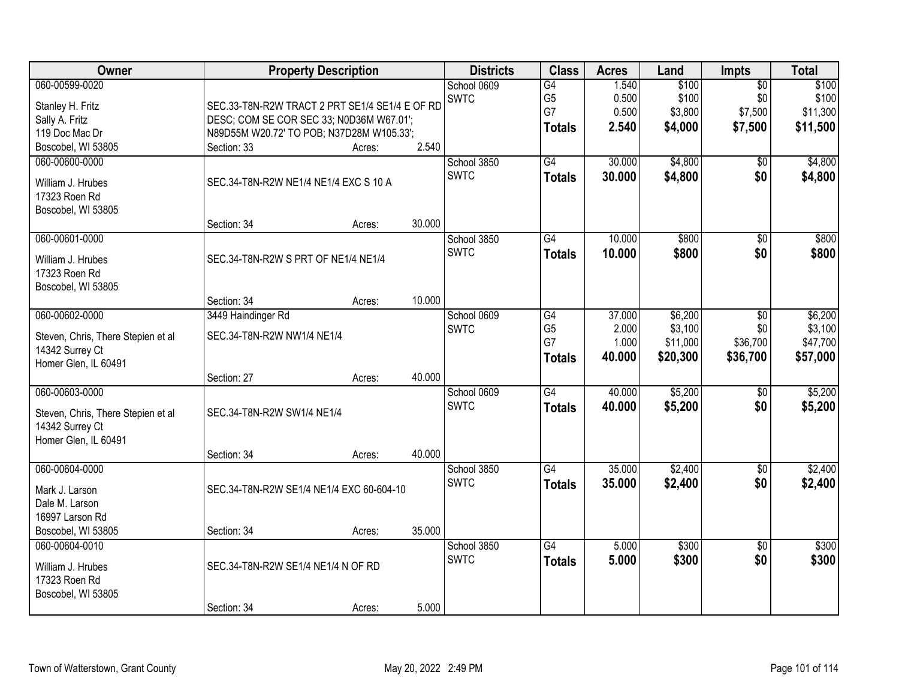| Owner                              |                                                | <b>Property Description</b> |        | <b>Districts</b> | <b>Class</b>    | <b>Acres</b> | Land     | <b>Impts</b>    | <b>Total</b> |
|------------------------------------|------------------------------------------------|-----------------------------|--------|------------------|-----------------|--------------|----------|-----------------|--------------|
| 060-00599-0020                     |                                                |                             |        | School 0609      | $\overline{G4}$ | 1.540        | \$100    | $\overline{60}$ | \$100        |
| Stanley H. Fritz                   | SEC.33-T8N-R2W TRACT 2 PRT SE1/4 SE1/4 E OF RD |                             |        | <b>SWTC</b>      | G <sub>5</sub>  | 0.500        | \$100    | \$0             | \$100        |
| Sally A. Fritz                     | DESC; COM SE COR SEC 33; N0D36M W67.01';       |                             |        |                  | G7              | 0.500        | \$3,800  | \$7,500         | \$11,300     |
| 119 Doc Mac Dr                     | N89D55M W20.72' TO POB; N37D28M W105.33';      |                             |        |                  | <b>Totals</b>   | 2.540        | \$4,000  | \$7,500         | \$11,500     |
| Boscobel, WI 53805                 | Section: 33                                    | Acres:                      | 2.540  |                  |                 |              |          |                 |              |
| 060-00600-0000                     |                                                |                             |        | School 3850      | G4              | 30.000       | \$4,800  | $\overline{50}$ | \$4,800      |
| William J. Hrubes                  | SEC.34-T8N-R2W NE1/4 NE1/4 EXC S 10 A          |                             |        | <b>SWTC</b>      | <b>Totals</b>   | 30.000       | \$4,800  | \$0             | \$4,800      |
| 17323 Roen Rd                      |                                                |                             |        |                  |                 |              |          |                 |              |
| Boscobel, WI 53805                 |                                                |                             |        |                  |                 |              |          |                 |              |
|                                    | Section: 34                                    | Acres:                      | 30.000 |                  |                 |              |          |                 |              |
| 060-00601-0000                     |                                                |                             |        | School 3850      | G4              | 10.000       | \$800    | \$0             | \$800        |
| William J. Hrubes                  | SEC.34-T8N-R2W S PRT OF NE1/4 NE1/4            |                             |        | <b>SWTC</b>      | <b>Totals</b>   | 10.000       | \$800    | \$0             | \$800        |
| 17323 Roen Rd                      |                                                |                             |        |                  |                 |              |          |                 |              |
| Boscobel, WI 53805                 |                                                |                             |        |                  |                 |              |          |                 |              |
|                                    | Section: 34                                    | Acres:                      | 10.000 |                  |                 |              |          |                 |              |
| 060-00602-0000                     | 3449 Haindinger Rd                             |                             |        | School 0609      | $\overline{G4}$ | 37.000       | \$6,200  | \$0             | \$6,200      |
| Steven, Chris, There Stepien et al | SEC.34-T8N-R2W NW1/4 NE1/4                     |                             |        | <b>SWTC</b>      | G <sub>5</sub>  | 2.000        | \$3,100  | \$0             | \$3,100      |
| 14342 Surrey Ct                    |                                                |                             |        |                  | G7              | 1.000        | \$11,000 | \$36,700        | \$47,700     |
| Homer Glen, IL 60491               |                                                |                             |        |                  | <b>Totals</b>   | 40.000       | \$20,300 | \$36,700        | \$57,000     |
|                                    | Section: 27                                    | Acres:                      | 40.000 |                  |                 |              |          |                 |              |
| 060-00603-0000                     |                                                |                             |        | School 0609      | G4              | 40.000       | \$5,200  | \$0             | \$5,200      |
| Steven, Chris, There Stepien et al | SEC.34-T8N-R2W SW1/4 NE1/4                     |                             |        | <b>SWTC</b>      | <b>Totals</b>   | 40.000       | \$5,200  | \$0             | \$5,200      |
| 14342 Surrey Ct                    |                                                |                             |        |                  |                 |              |          |                 |              |
| Homer Glen, IL 60491               |                                                |                             |        |                  |                 |              |          |                 |              |
|                                    | Section: 34                                    | Acres:                      | 40.000 |                  |                 |              |          |                 |              |
| 060-00604-0000                     |                                                |                             |        | School 3850      | $\overline{G4}$ | 35.000       | \$2,400  | $\overline{60}$ | \$2,400      |
| Mark J. Larson                     | SEC.34-T8N-R2W SE1/4 NE1/4 EXC 60-604-10       |                             |        | <b>SWTC</b>      | <b>Totals</b>   | 35.000       | \$2,400  | \$0             | \$2,400      |
| Dale M. Larson                     |                                                |                             |        |                  |                 |              |          |                 |              |
| 16997 Larson Rd                    |                                                |                             |        |                  |                 |              |          |                 |              |
| Boscobel, WI 53805                 | Section: 34                                    | Acres:                      | 35.000 |                  |                 |              |          |                 |              |
| 060-00604-0010                     |                                                |                             |        | School 3850      | $\overline{G4}$ | 5.000        | \$300    | $\overline{50}$ | \$300        |
| William J. Hrubes                  | SEC.34-T8N-R2W SE1/4 NE1/4 N OF RD             |                             |        | <b>SWTC</b>      | <b>Totals</b>   | 5.000        | \$300    | \$0             | \$300        |
| 17323 Roen Rd                      |                                                |                             |        |                  |                 |              |          |                 |              |
| Boscobel, WI 53805                 |                                                |                             |        |                  |                 |              |          |                 |              |
|                                    | Section: 34                                    | Acres:                      | 5.000  |                  |                 |              |          |                 |              |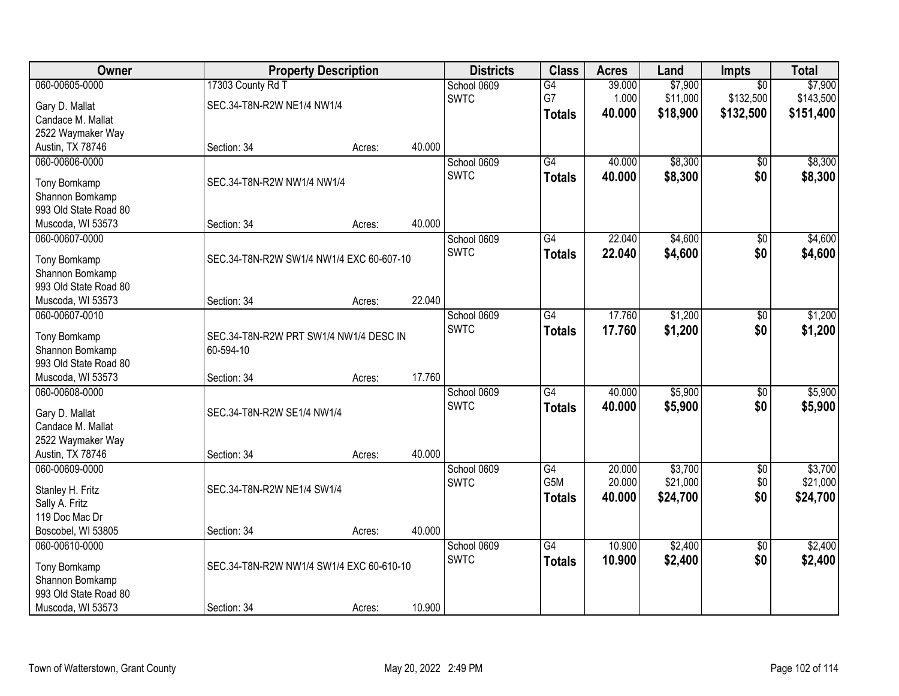| Owner                           | <b>Property Description</b>                         |        |        | <b>Districts</b> | <b>Class</b>    | <b>Acres</b> | Land     | Impts           | <b>Total</b> |
|---------------------------------|-----------------------------------------------------|--------|--------|------------------|-----------------|--------------|----------|-----------------|--------------|
| 060-00605-0000                  | 17303 County Rd T                                   |        |        | School 0609      | $\overline{G4}$ | 39.000       | \$7,900  | $\overline{50}$ | \$7,900      |
| Gary D. Mallat                  | SEC.34-T8N-R2W NE1/4 NW1/4                          |        |        | <b>SWTC</b>      | G7              | 1.000        | \$11,000 | \$132,500       | \$143,500    |
| Candace M. Mallat               |                                                     |        |        |                  | <b>Totals</b>   | 40.000       | \$18,900 | \$132,500       | \$151,400    |
| 2522 Waymaker Way               |                                                     |        |        |                  |                 |              |          |                 |              |
| Austin, TX 78746                | Section: 34                                         | Acres: | 40.000 |                  |                 |              |          |                 |              |
| 060-00606-0000                  |                                                     |        |        | School 0609      | $\overline{G4}$ | 40.000       | \$8,300  | \$0             | \$8,300      |
|                                 |                                                     |        |        | <b>SWTC</b>      | <b>Totals</b>   | 40.000       | \$8,300  | \$0             | \$8,300      |
| Tony Bomkamp                    | SEC.34-T8N-R2W NW1/4 NW1/4                          |        |        |                  |                 |              |          |                 |              |
| Shannon Bomkamp                 |                                                     |        |        |                  |                 |              |          |                 |              |
| 993 Old State Road 80           |                                                     |        |        |                  |                 |              |          |                 |              |
| Muscoda, WI 53573               | Section: 34                                         | Acres: | 40.000 |                  |                 |              |          |                 |              |
| 060-00607-0000                  |                                                     |        |        | School 0609      | G4              | 22.040       | \$4,600  | \$0             | \$4,600      |
| Tony Bomkamp                    | SEC.34-T8N-R2W SW1/4 NW1/4 EXC 60-607-10            |        |        | <b>SWTC</b>      | <b>Totals</b>   | 22.040       | \$4,600  | \$0             | \$4,600      |
| Shannon Bomkamp                 |                                                     |        |        |                  |                 |              |          |                 |              |
| 993 Old State Road 80           |                                                     |        |        |                  |                 |              |          |                 |              |
| Muscoda, WI 53573               | Section: 34                                         | Acres: | 22.040 |                  |                 |              |          |                 |              |
| 060-00607-0010                  |                                                     |        |        | School 0609      | $\overline{G4}$ | 17.760       | \$1,200  | \$0             | \$1,200      |
|                                 |                                                     |        |        | <b>SWTC</b>      | <b>Totals</b>   | 17.760       | \$1,200  | \$0             | \$1,200      |
| Tony Bomkamp<br>Shannon Bomkamp | SEC.34-T8N-R2W PRT SW1/4 NW1/4 DESC IN<br>60-594-10 |        |        |                  |                 |              |          |                 |              |
| 993 Old State Road 80           |                                                     |        |        |                  |                 |              |          |                 |              |
| Muscoda, WI 53573               | Section: 34                                         | Acres: | 17.760 |                  |                 |              |          |                 |              |
| 060-00608-0000                  |                                                     |        |        | School 0609      | $\overline{G4}$ | 40.000       | \$5,900  | $\overline{50}$ | \$5,900      |
|                                 |                                                     |        |        | <b>SWTC</b>      |                 | 40.000       |          |                 |              |
| Gary D. Mallat                  | SEC.34-T8N-R2W SE1/4 NW1/4                          |        |        |                  | <b>Totals</b>   |              | \$5,900  | \$0             | \$5,900      |
| Candace M. Mallat               |                                                     |        |        |                  |                 |              |          |                 |              |
| 2522 Waymaker Way               |                                                     |        |        |                  |                 |              |          |                 |              |
| Austin, TX 78746                | Section: 34                                         | Acres: | 40.000 |                  |                 |              |          |                 |              |
| 060-00609-0000                  |                                                     |        |        | School 0609      | $\overline{G4}$ | 20.000       | \$3,700  | $\overline{60}$ | \$3,700      |
| Stanley H. Fritz                | SEC.34-T8N-R2W NE1/4 SW1/4                          |        |        | <b>SWTC</b>      | G5M             | 20.000       | \$21,000 | \$0             | \$21,000     |
| Sally A. Fritz                  |                                                     |        |        |                  | <b>Totals</b>   | 40.000       | \$24,700 | \$0             | \$24,700     |
| 119 Doc Mac Dr                  |                                                     |        |        |                  |                 |              |          |                 |              |
| Boscobel, WI 53805              | Section: 34                                         | Acres: | 40.000 |                  |                 |              |          |                 |              |
| 060-00610-0000                  |                                                     |        |        | School 0609      | $\overline{G4}$ | 10.900       | \$2,400  | $\overline{50}$ | \$2,400      |
|                                 |                                                     |        |        | <b>SWTC</b>      | <b>Totals</b>   | 10.900       | \$2,400  | \$0             | \$2,400      |
| Tony Bomkamp                    | SEC.34-T8N-R2W NW1/4 SW1/4 EXC 60-610-10            |        |        |                  |                 |              |          |                 |              |
| Shannon Bomkamp                 |                                                     |        |        |                  |                 |              |          |                 |              |
| 993 Old State Road 80           |                                                     |        |        |                  |                 |              |          |                 |              |
| Muscoda, WI 53573               | Section: 34                                         | Acres: | 10.900 |                  |                 |              |          |                 |              |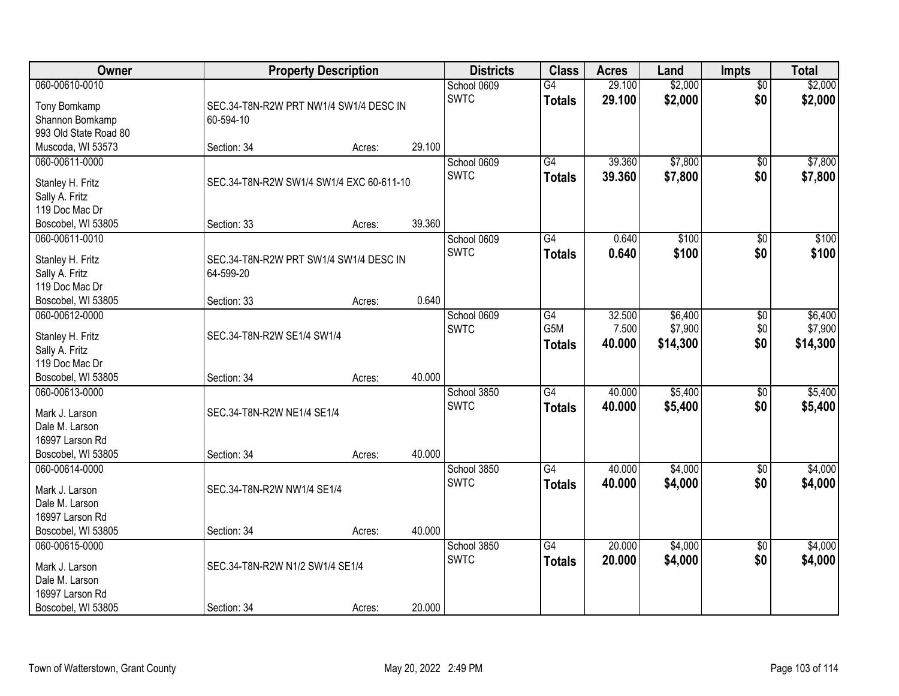| Owner                              | <b>Property Description</b>                         |        |        | <b>Districts</b>           | <b>Class</b>                     | <b>Acres</b>     | Land               | <b>Impts</b>           | <b>Total</b>       |
|------------------------------------|-----------------------------------------------------|--------|--------|----------------------------|----------------------------------|------------------|--------------------|------------------------|--------------------|
| 060-00610-0010                     |                                                     |        |        | School 0609<br><b>SWTC</b> | $\overline{G4}$<br><b>Totals</b> | 29.100<br>29.100 | \$2,000<br>\$2,000 | $\overline{50}$<br>\$0 | \$2,000<br>\$2,000 |
| Tony Bomkamp                       | SEC.34-T8N-R2W PRT NW1/4 SW1/4 DESC IN              |        |        |                            |                                  |                  |                    |                        |                    |
| Shannon Bomkamp                    | 60-594-10                                           |        |        |                            |                                  |                  |                    |                        |                    |
| 993 Old State Road 80              |                                                     |        |        |                            |                                  |                  |                    |                        |                    |
| Muscoda, WI 53573                  | Section: 34                                         | Acres: | 29.100 |                            |                                  |                  |                    |                        |                    |
| 060-00611-0000                     |                                                     |        |        | School 0609                | G4                               | 39.360           | \$7,800            | \$0                    | \$7,800            |
| Stanley H. Fritz                   | SEC.34-T8N-R2W SW1/4 SW1/4 EXC 60-611-10            |        |        | <b>SWTC</b>                | <b>Totals</b>                    | 39.360           | \$7,800            | \$0                    | \$7,800            |
| Sally A. Fritz                     |                                                     |        |        |                            |                                  |                  |                    |                        |                    |
| 119 Doc Mac Dr                     |                                                     |        |        |                            |                                  |                  |                    |                        |                    |
| Boscobel, WI 53805                 | Section: 33                                         | Acres: | 39.360 |                            |                                  |                  |                    |                        |                    |
| 060-00611-0010                     |                                                     |        |        | School 0609                | $\overline{G4}$                  | 0.640            | \$100              | \$0                    | \$100              |
|                                    |                                                     |        |        | <b>SWTC</b>                | <b>Totals</b>                    | 0.640            | \$100              | \$0                    | \$100              |
| Stanley H. Fritz<br>Sally A. Fritz | SEC.34-T8N-R2W PRT SW1/4 SW1/4 DESC IN<br>64-599-20 |        |        |                            |                                  |                  |                    |                        |                    |
| 119 Doc Mac Dr                     |                                                     |        |        |                            |                                  |                  |                    |                        |                    |
| Boscobel, WI 53805                 | Section: 33                                         | Acres: | 0.640  |                            |                                  |                  |                    |                        |                    |
| 060-00612-0000                     |                                                     |        |        | School 0609                | G4                               | 32.500           | \$6,400            | \$0                    | \$6,400            |
|                                    |                                                     |        |        | <b>SWTC</b>                | G5M                              | 7.500            | \$7,900            | \$0                    | \$7,900            |
| Stanley H. Fritz                   | SEC.34-T8N-R2W SE1/4 SW1/4                          |        |        |                            | <b>Totals</b>                    | 40.000           | \$14,300           | \$0                    | \$14,300           |
| Sally A. Fritz                     |                                                     |        |        |                            |                                  |                  |                    |                        |                    |
| 119 Doc Mac Dr                     |                                                     |        |        |                            |                                  |                  |                    |                        |                    |
| Boscobel, WI 53805                 | Section: 34                                         | Acres: | 40.000 |                            |                                  |                  |                    |                        |                    |
| 060-00613-0000                     |                                                     |        |        | School 3850                | $\overline{G4}$                  | 40.000           | \$5,400            | \$0                    | \$5,400            |
| Mark J. Larson                     | SEC.34-T8N-R2W NE1/4 SE1/4                          |        |        | <b>SWTC</b>                | <b>Totals</b>                    | 40.000           | \$5,400            | \$0                    | \$5,400            |
| Dale M. Larson                     |                                                     |        |        |                            |                                  |                  |                    |                        |                    |
| 16997 Larson Rd                    |                                                     |        |        |                            |                                  |                  |                    |                        |                    |
| Boscobel, WI 53805                 | Section: 34                                         | Acres: | 40.000 |                            |                                  |                  |                    |                        |                    |
| 060-00614-0000                     |                                                     |        |        | School 3850                | $\overline{G4}$                  | 40.000           | \$4,000            | $\overline{50}$        | \$4,000            |
|                                    |                                                     |        |        | <b>SWTC</b>                | <b>Totals</b>                    | 40.000           | \$4,000            | \$0                    | \$4,000            |
| Mark J. Larson                     | SEC.34-T8N-R2W NW1/4 SE1/4                          |        |        |                            |                                  |                  |                    |                        |                    |
| Dale M. Larson                     |                                                     |        |        |                            |                                  |                  |                    |                        |                    |
| 16997 Larson Rd                    |                                                     |        | 40.000 |                            |                                  |                  |                    |                        |                    |
| Boscobel, WI 53805                 | Section: 34                                         | Acres: |        |                            |                                  | 20.000           |                    |                        | \$4,000            |
| 060-00615-0000                     |                                                     |        |        | School 3850                | $\overline{G4}$                  |                  | \$4,000            | $\overline{50}$        |                    |
| Mark J. Larson                     | SEC.34-T8N-R2W N1/2 SW1/4 SE1/4                     |        |        | <b>SWTC</b>                | <b>Totals</b>                    | 20.000           | \$4,000            | \$0                    | \$4,000            |
| Dale M. Larson                     |                                                     |        |        |                            |                                  |                  |                    |                        |                    |
| 16997 Larson Rd                    |                                                     |        |        |                            |                                  |                  |                    |                        |                    |
| Boscobel, WI 53805                 | Section: 34                                         | Acres: | 20.000 |                            |                                  |                  |                    |                        |                    |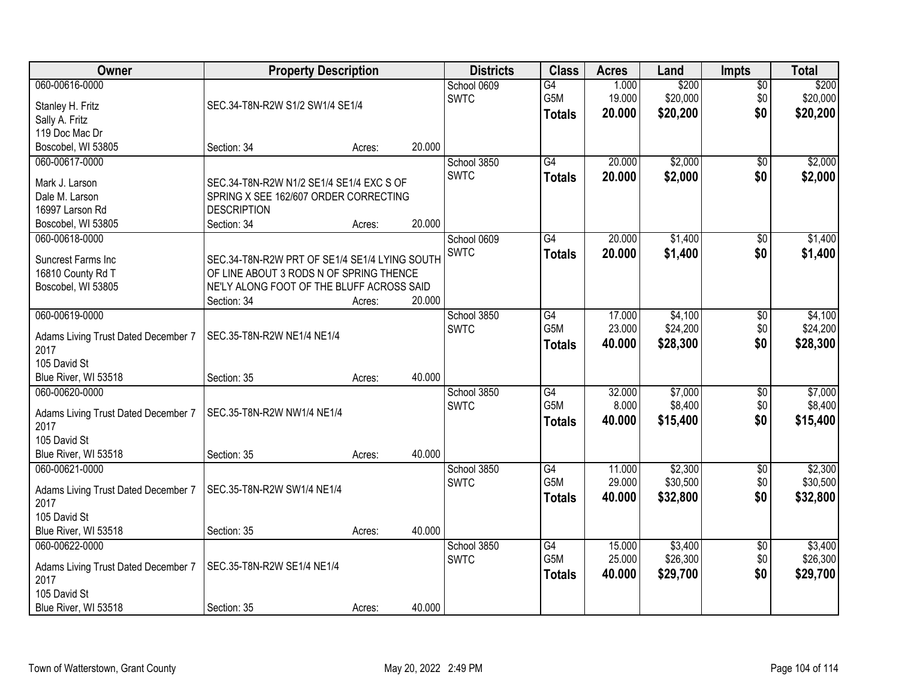| Owner                                | <b>Property Description</b>                                 |        |        | <b>Districts</b>           | <b>Class</b>               | <b>Acres</b>              | Land                          | <b>Impts</b>                  | <b>Total</b>                  |
|--------------------------------------|-------------------------------------------------------------|--------|--------|----------------------------|----------------------------|---------------------------|-------------------------------|-------------------------------|-------------------------------|
| 060-00616-0000<br>Stanley H. Fritz   | SEC.34-T8N-R2W S1/2 SW1/4 SE1/4                             |        |        | School 0609<br><b>SWTC</b> | G4<br>G5M<br><b>Totals</b> | 1.000<br>19.000<br>20.000 | \$200<br>\$20,000<br>\$20,200 | $\overline{50}$<br>\$0<br>\$0 | \$200<br>\$20,000<br>\$20,200 |
| Sally A. Fritz<br>119 Doc Mac Dr     |                                                             |        |        |                            |                            |                           |                               |                               |                               |
| Boscobel, WI 53805                   | Section: 34                                                 | Acres: | 20.000 |                            |                            |                           |                               |                               |                               |
| 060-00617-0000                       |                                                             |        |        | School 3850                | $\overline{G4}$            | 20.000                    | \$2,000                       | \$0                           | \$2,000                       |
|                                      |                                                             |        |        | <b>SWTC</b>                | <b>Totals</b>              | 20.000                    | \$2,000                       | \$0                           | \$2,000                       |
| Mark J. Larson<br>Dale M. Larson     | SEC.34-T8N-R2W N1/2 SE1/4 SE1/4 EXC S OF                    |        |        |                            |                            |                           |                               |                               |                               |
| 16997 Larson Rd                      | SPRING X SEE 162/607 ORDER CORRECTING<br><b>DESCRIPTION</b> |        |        |                            |                            |                           |                               |                               |                               |
| Boscobel, WI 53805                   | Section: 34                                                 | Acres: | 20.000 |                            |                            |                           |                               |                               |                               |
| 060-00618-0000                       |                                                             |        |        | School 0609                | G4                         | 20.000                    | \$1,400                       | $\overline{50}$               | \$1,400                       |
|                                      |                                                             |        |        | <b>SWTC</b>                | <b>Totals</b>              | 20.000                    | \$1,400                       | \$0                           | \$1,400                       |
| Suncrest Farms Inc                   | SEC.34-T8N-R2W PRT OF SE1/4 SE1/4 LYING SOUTH               |        |        |                            |                            |                           |                               |                               |                               |
| 16810 County Rd T                    | OF LINE ABOUT 3 RODS N OF SPRING THENCE                     |        |        |                            |                            |                           |                               |                               |                               |
| Boscobel, WI 53805                   | NE'LY ALONG FOOT OF THE BLUFF ACROSS SAID                   |        |        |                            |                            |                           |                               |                               |                               |
|                                      | Section: 34                                                 | Acres: | 20.000 |                            |                            |                           |                               |                               |                               |
| 060-00619-0000                       |                                                             |        |        | School 3850                | G4                         | 17.000                    | \$4,100                       | \$0                           | \$4,100                       |
| Adams Living Trust Dated December 7  | SEC.35-T8N-R2W NE1/4 NE1/4                                  |        |        | <b>SWTC</b>                | G5M                        | 23.000                    | \$24,200                      | \$0                           | \$24,200                      |
| 2017                                 |                                                             |        |        |                            | <b>Totals</b>              | 40.000                    | \$28,300                      | \$0                           | \$28,300                      |
| 105 David St                         |                                                             |        |        |                            |                            |                           |                               |                               |                               |
| Blue River, WI 53518                 | Section: 35                                                 | Acres: | 40.000 |                            |                            |                           |                               |                               |                               |
| 060-00620-0000                       |                                                             |        |        | School 3850                | $\overline{G4}$            | 32.000                    | \$7,000                       | \$0                           | \$7,000                       |
| Adams Living Trust Dated December 7  | SEC.35-T8N-R2W NW1/4 NE1/4                                  |        |        | <b>SWTC</b>                | G <sub>5</sub> M           | 8.000                     | \$8,400                       | \$0                           | \$8,400                       |
| 2017                                 |                                                             |        |        |                            | <b>Totals</b>              | 40.000                    | \$15,400                      | \$0                           | \$15,400                      |
| 105 David St                         |                                                             |        |        |                            |                            |                           |                               |                               |                               |
| Blue River, WI 53518                 | Section: 35                                                 | Acres: | 40.000 |                            |                            |                           |                               |                               |                               |
| 060-00621-0000                       |                                                             |        |        | School 3850                | G4                         | 11.000                    | \$2,300                       | $\sqrt{$0}$                   | \$2,300                       |
|                                      |                                                             |        |        | <b>SWTC</b>                | G5M                        | 29.000                    | \$30,500                      | \$0                           | \$30,500                      |
| Adams Living Trust Dated December 7  | SEC.35-T8N-R2W SW1/4 NE1/4                                  |        |        |                            | <b>Totals</b>              | 40.000                    | \$32,800                      | \$0                           | \$32,800                      |
| 2017                                 |                                                             |        |        |                            |                            |                           |                               |                               |                               |
| 105 David St<br>Blue River, WI 53518 |                                                             |        | 40.000 |                            |                            |                           |                               |                               |                               |
| 060-00622-0000                       | Section: 35                                                 | Acres: |        |                            | $\overline{G4}$            | 15.000                    | \$3,400                       |                               | \$3,400                       |
|                                      |                                                             |        |        | School 3850<br><b>SWTC</b> | G5M                        | 25.000                    | \$26,300                      | \$0<br>\$0                    | \$26,300                      |
| Adams Living Trust Dated December 7  | SEC.35-T8N-R2W SE1/4 NE1/4                                  |        |        |                            |                            |                           |                               | \$0                           |                               |
| 2017                                 |                                                             |        |        |                            | <b>Totals</b>              | 40.000                    | \$29,700                      |                               | \$29,700                      |
| 105 David St                         |                                                             |        |        |                            |                            |                           |                               |                               |                               |
| Blue River, WI 53518                 | Section: 35                                                 | Acres: | 40.000 |                            |                            |                           |                               |                               |                               |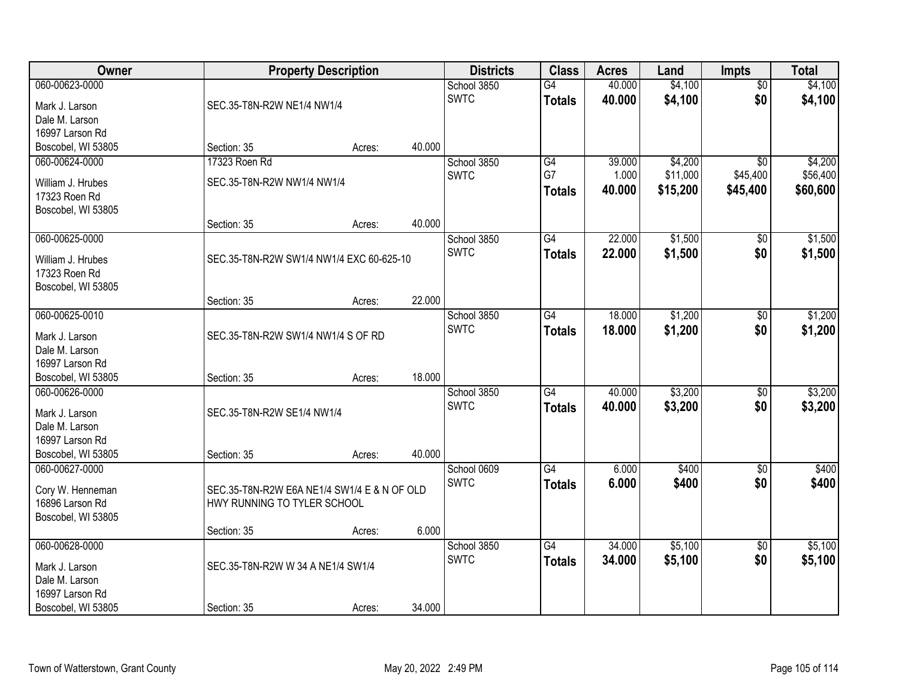| Owner                                |                                             | <b>Property Description</b> |        | <b>Districts</b>           | <b>Class</b>        | <b>Acres</b>     | Land               | Impts                  | <b>Total</b>       |
|--------------------------------------|---------------------------------------------|-----------------------------|--------|----------------------------|---------------------|------------------|--------------------|------------------------|--------------------|
| 060-00623-0000<br>Mark J. Larson     | SEC.35-T8N-R2W NE1/4 NW1/4                  |                             |        | School 3850<br><b>SWTC</b> | G4<br><b>Totals</b> | 40.000<br>40.000 | \$4,100<br>\$4,100 | $\overline{50}$<br>\$0 | \$4,100<br>\$4,100 |
| Dale M. Larson                       |                                             |                             |        |                            |                     |                  |                    |                        |                    |
| 16997 Larson Rd                      |                                             |                             | 40.000 |                            |                     |                  |                    |                        |                    |
| Boscobel, WI 53805<br>060-00624-0000 | Section: 35<br>17323 Roen Rd                | Acres:                      |        | School 3850                | G4                  | 39.000           | \$4,200            | $\overline{50}$        | \$4,200            |
|                                      |                                             |                             |        | <b>SWTC</b>                | G7                  | 1.000            | \$11,000           | \$45,400               | \$56,400           |
| William J. Hrubes                    | SEC.35-T8N-R2W NW1/4 NW1/4                  |                             |        |                            | <b>Totals</b>       | 40.000           | \$15,200           | \$45,400               | \$60,600           |
| 17323 Roen Rd                        |                                             |                             |        |                            |                     |                  |                    |                        |                    |
| Boscobel, WI 53805                   | Section: 35                                 | Acres:                      | 40.000 |                            |                     |                  |                    |                        |                    |
| 060-00625-0000                       |                                             |                             |        | School 3850                | G4                  | 22.000           | \$1,500            | \$0                    | \$1,500            |
| William J. Hrubes<br>17323 Roen Rd   | SEC.35-T8N-R2W SW1/4 NW1/4 EXC 60-625-10    |                             |        | <b>SWTC</b>                | <b>Totals</b>       | 22.000           | \$1,500            | \$0                    | \$1,500            |
| Boscobel, WI 53805                   | Section: 35                                 | Acres:                      | 22.000 |                            |                     |                  |                    |                        |                    |
| 060-00625-0010                       |                                             |                             |        | School 3850                | $\overline{G4}$     | 18.000           | \$1,200            | \$0                    | \$1,200            |
|                                      |                                             |                             |        | <b>SWTC</b>                | <b>Totals</b>       | 18.000           | \$1,200            | \$0                    | \$1,200            |
| Mark J. Larson<br>Dale M. Larson     | SEC.35-T8N-R2W SW1/4 NW1/4 S OF RD          |                             |        |                            |                     |                  |                    |                        |                    |
| 16997 Larson Rd                      |                                             |                             |        |                            |                     |                  |                    |                        |                    |
| Boscobel, WI 53805                   | Section: 35                                 | Acres:                      | 18.000 |                            |                     |                  |                    |                        |                    |
| 060-00626-0000                       |                                             |                             |        | School 3850                | $\overline{G4}$     | 40.000           | \$3,200            | \$0                    | \$3,200            |
| Mark J. Larson                       | SEC.35-T8N-R2W SE1/4 NW1/4                  |                             |        | <b>SWTC</b>                | <b>Totals</b>       | 40.000           | \$3,200            | \$0                    | \$3,200            |
| Dale M. Larson                       |                                             |                             |        |                            |                     |                  |                    |                        |                    |
| 16997 Larson Rd                      |                                             |                             |        |                            |                     |                  |                    |                        |                    |
| Boscobel, WI 53805                   | Section: 35                                 | Acres:                      | 40.000 |                            |                     |                  |                    |                        |                    |
| 060-00627-0000                       |                                             |                             |        | School 0609                | $\overline{G4}$     | 6.000            | \$400              | $\sqrt{6}$             | \$400              |
| Cory W. Henneman                     | SEC.35-T8N-R2W E6A NE1/4 SW1/4 E & N OF OLD |                             |        | <b>SWTC</b>                | <b>Totals</b>       | 6.000            | \$400              | \$0                    | \$400              |
| 16896 Larson Rd                      | HWY RUNNING TO TYLER SCHOOL                 |                             |        |                            |                     |                  |                    |                        |                    |
| Boscobel, WI 53805                   |                                             |                             |        |                            |                     |                  |                    |                        |                    |
|                                      | Section: 35                                 | Acres:                      | 6.000  |                            |                     |                  |                    |                        |                    |
| 060-00628-0000                       |                                             |                             |        | School 3850<br><b>SWTC</b> | $\overline{G4}$     | 34.000           | \$5,100            | $\overline{50}$        | \$5,100            |
| Mark J. Larson                       | SEC.35-T8N-R2W W 34 A NE1/4 SW1/4           |                             |        |                            | <b>Totals</b>       | 34.000           | \$5,100            | \$0                    | \$5,100            |
| Dale M. Larson                       |                                             |                             |        |                            |                     |                  |                    |                        |                    |
| 16997 Larson Rd                      |                                             |                             |        |                            |                     |                  |                    |                        |                    |
| Boscobel, WI 53805                   | Section: 35                                 | Acres:                      | 34.000 |                            |                     |                  |                    |                        |                    |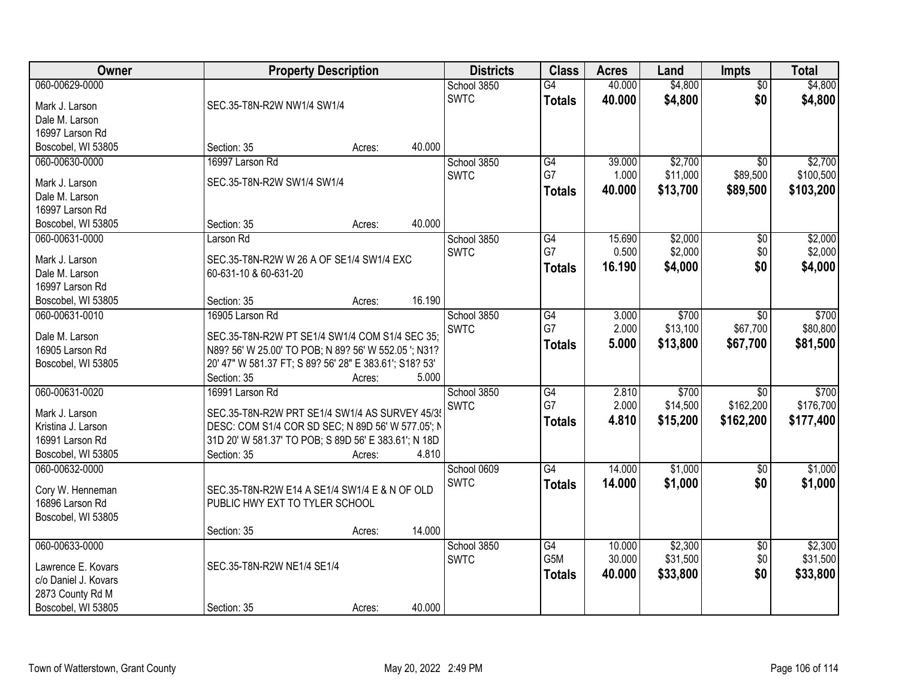| <b>Owner</b>         | <b>Property Description</b>                            | <b>Districts</b> | <b>Class</b>    | <b>Acres</b> | Land     | Impts           | <b>Total</b> |
|----------------------|--------------------------------------------------------|------------------|-----------------|--------------|----------|-----------------|--------------|
| 060-00629-0000       |                                                        | School 3850      | G4              | 40.000       | \$4,800  | $\overline{50}$ | \$4,800      |
| Mark J. Larson       | SEC.35-T8N-R2W NW1/4 SW1/4                             | <b>SWTC</b>      | <b>Totals</b>   | 40.000       | \$4,800  | \$0             | \$4,800      |
| Dale M. Larson       |                                                        |                  |                 |              |          |                 |              |
| 16997 Larson Rd      |                                                        |                  |                 |              |          |                 |              |
| Boscobel, WI 53805   | 40.000<br>Section: 35<br>Acres:                        |                  |                 |              |          |                 |              |
| 060-00630-0000       | 16997 Larson Rd                                        | School 3850      | G4              | 39.000       | \$2,700  | $\overline{50}$ | \$2,700      |
|                      |                                                        | <b>SWTC</b>      | G7              | 1.000        | \$11,000 | \$89,500        | \$100,500    |
| Mark J. Larson       | SEC.35-T8N-R2W SW1/4 SW1/4                             |                  | <b>Totals</b>   | 40.000       | \$13,700 | \$89,500        | \$103,200    |
| Dale M. Larson       |                                                        |                  |                 |              |          |                 |              |
| 16997 Larson Rd      |                                                        |                  |                 |              |          |                 |              |
| Boscobel, WI 53805   | 40.000<br>Section: 35<br>Acres:                        |                  |                 |              |          |                 |              |
| 060-00631-0000       | Larson Rd                                              | School 3850      | G4              | 15.690       | \$2,000  | \$0             | \$2,000      |
| Mark J. Larson       | SEC.35-T8N-R2W W 26 A OF SE1/4 SW1/4 EXC               | <b>SWTC</b>      | G7              | 0.500        | \$2,000  | \$0             | \$2,000      |
| Dale M. Larson       | 60-631-10 & 60-631-20                                  |                  | <b>Totals</b>   | 16.190       | \$4,000  | \$0             | \$4,000      |
| 16997 Larson Rd      |                                                        |                  |                 |              |          |                 |              |
| Boscobel, WI 53805   | 16.190<br>Section: 35<br>Acres:                        |                  |                 |              |          |                 |              |
| 060-00631-0010       | 16905 Larson Rd                                        | School 3850      | G4              | 3.000        | \$700    | \$0             | \$700        |
|                      |                                                        | <b>SWTC</b>      | G7              | 2.000        | \$13,100 | \$67,700        | \$80,800     |
| Dale M. Larson       | SEC.35-T8N-R2W PT SE1/4 SW1/4 COM S1/4 SEC 35;         |                  | <b>Totals</b>   | 5.000        | \$13,800 | \$67,700        | \$81,500     |
| 16905 Larson Rd      | N89? 56' W 25.00' TO POB; N 89? 56' W 552.05 '; N31?   |                  |                 |              |          |                 |              |
| Boscobel, WI 53805   | 20' 47" W 581.37 FT; S 89? 56' 28" E 383.61'; S18? 53' |                  |                 |              |          |                 |              |
|                      | 5.000<br>Section: 35<br>Acres:                         |                  |                 |              |          |                 |              |
| 060-00631-0020       | 16991 Larson Rd                                        | School 3850      | $\overline{G4}$ | 2.810        | \$700    | $\overline{30}$ | \$700        |
| Mark J. Larson       | SEC.35-T8N-R2W PRT SE1/4 SW1/4 AS SURVEY 45/35         | <b>SWTC</b>      | G7              | 2.000        | \$14,500 | \$162,200       | \$176,700    |
| Kristina J. Larson   | DESC: COM S1/4 COR SD SEC; N 89D 56' W 577.05'; N      |                  | <b>Totals</b>   | 4.810        | \$15,200 | \$162,200       | \$177,400    |
| 16991 Larson Rd      | 31D 20' W 581.37' TO POB; S 89D 56' E 383.61'; N 18D   |                  |                 |              |          |                 |              |
| Boscobel, WI 53805   | Section: 35<br>4.810<br>Acres:                         |                  |                 |              |          |                 |              |
| 060-00632-0000       |                                                        | School 0609      | $\overline{G4}$ | 14.000       | \$1,000  | $\overline{50}$ | \$1,000      |
|                      |                                                        |                  |                 |              |          |                 |              |
| Cory W. Henneman     | SEC.35-T8N-R2W E14 A SE1/4 SW1/4 E & N OF OLD          | <b>SWTC</b>      | <b>Totals</b>   | 14.000       | \$1,000  | \$0             | \$1,000      |
| 16896 Larson Rd      | PUBLIC HWY EXT TO TYLER SCHOOL                         |                  |                 |              |          |                 |              |
| Boscobel, WI 53805   |                                                        |                  |                 |              |          |                 |              |
|                      | 14.000<br>Section: 35<br>Acres:                        |                  |                 |              |          |                 |              |
| 060-00633-0000       |                                                        | School 3850      | $\overline{G4}$ | 10.000       | \$2,300  | $\overline{60}$ | \$2,300      |
|                      | SEC.35-T8N-R2W NE1/4 SE1/4                             | <b>SWTC</b>      | G5M             | 30.000       | \$31,500 | \$0             | \$31,500     |
| Lawrence E. Kovars   |                                                        |                  | <b>Totals</b>   | 40.000       | \$33,800 | \$0             | \$33,800     |
| c/o Daniel J. Kovars |                                                        |                  |                 |              |          |                 |              |
| 2873 County Rd M     |                                                        |                  |                 |              |          |                 |              |
| Boscobel, WI 53805   | 40.000<br>Section: 35<br>Acres:                        |                  |                 |              |          |                 |              |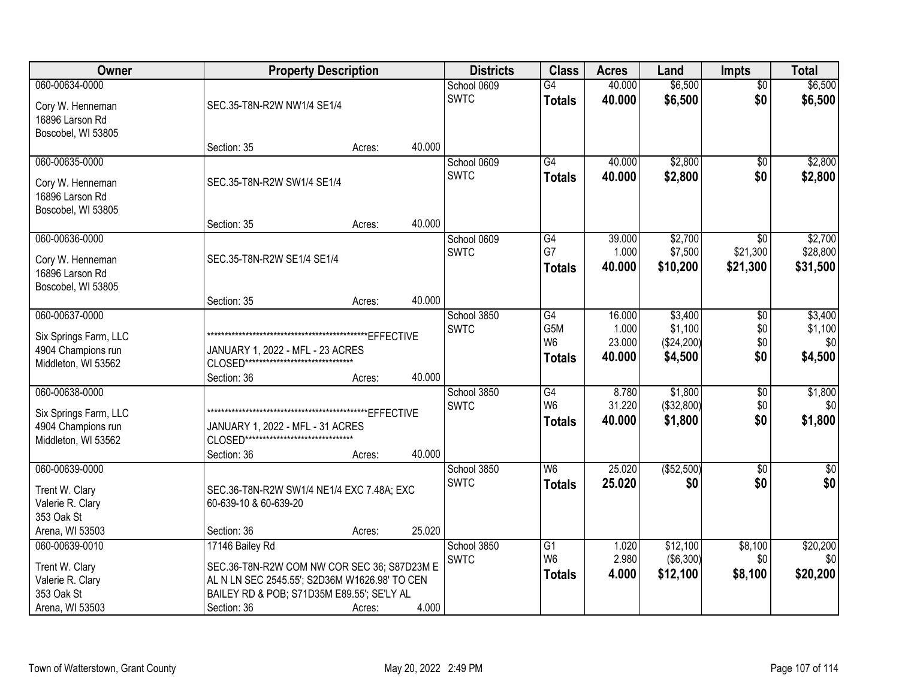| Owner                                                                                 | <b>Property Description</b>                                                                                                                                                  |        |        | <b>Districts</b>           | <b>Class</b>                                       | <b>Acres</b>                        | Land                                        | <b>Impts</b>                  | <b>Total</b>                         |
|---------------------------------------------------------------------------------------|------------------------------------------------------------------------------------------------------------------------------------------------------------------------------|--------|--------|----------------------------|----------------------------------------------------|-------------------------------------|---------------------------------------------|-------------------------------|--------------------------------------|
| 060-00634-0000<br>Cory W. Henneman<br>16896 Larson Rd                                 | SEC.35-T8N-R2W NW1/4 SE1/4                                                                                                                                                   |        |        | School 0609<br><b>SWTC</b> | $\overline{G4}$<br><b>Totals</b>                   | 40.000<br>40.000                    | \$6,500<br>\$6,500                          | $\overline{50}$<br>\$0        | \$6,500<br>\$6,500                   |
| Boscobel, WI 53805                                                                    | Section: 35                                                                                                                                                                  | Acres: | 40.000 |                            |                                                    |                                     |                                             |                               |                                      |
| 060-00635-0000<br>Cory W. Henneman<br>16896 Larson Rd<br>Boscobel, WI 53805           | SEC.35-T8N-R2W SW1/4 SE1/4                                                                                                                                                   |        |        | School 0609<br><b>SWTC</b> | $\overline{G4}$<br><b>Totals</b>                   | 40.000<br>40.000                    | \$2,800<br>\$2,800                          | \$0<br>\$0                    | \$2,800<br>\$2,800                   |
|                                                                                       | Section: 35                                                                                                                                                                  | Acres: | 40.000 |                            |                                                    |                                     |                                             |                               |                                      |
| 060-00636-0000<br>Cory W. Henneman<br>16896 Larson Rd<br>Boscobel, WI 53805           | SEC.35-T8N-R2W SE1/4 SE1/4                                                                                                                                                   |        |        | School 0609<br><b>SWTC</b> | G4<br>G7<br><b>Totals</b>                          | 39.000<br>1.000<br>40.000           | \$2,700<br>\$7,500<br>\$10,200              | \$0<br>\$21,300<br>\$21,300   | \$2,700<br>\$28,800<br>\$31,500      |
|                                                                                       | Section: 35                                                                                                                                                                  | Acres: | 40.000 |                            |                                                    |                                     |                                             |                               |                                      |
| 060-00637-0000<br>Six Springs Farm, LLC<br>4904 Champions run<br>Middleton, WI 53562  | JANUARY 1, 2022 - MFL - 23 ACRES<br>CLOSED********************************<br>Section: 36                                                                                    | Acres: | 40.000 | School 3850<br><b>SWTC</b> | G4<br>G5M<br>W <sub>6</sub><br><b>Totals</b>       | 16.000<br>1.000<br>23.000<br>40.000 | \$3,400<br>\$1,100<br>(\$24,200)<br>\$4,500 | \$0<br>\$0<br>\$0<br>\$0      | \$3,400<br>\$1,100<br>\$0<br>\$4,500 |
| 060-00638-0000<br>Six Springs Farm, LLC<br>4904 Champions run<br>Middleton, WI 53562  | JANUARY 1, 2022 - MFL - 31 ACRES<br>CLOSED********************************<br>Section: 36                                                                                    | Acres: | 40.000 | School 3850<br><b>SWTC</b> | $\overline{G4}$<br>W <sub>6</sub><br><b>Totals</b> | 8.780<br>31.220<br>40.000           | \$1,800<br>(\$32,800)<br>\$1,800            | $\overline{50}$<br>\$0<br>\$0 | \$1,800<br>\$0<br>\$1,800            |
| 060-00639-0000<br>Trent W. Clary<br>Valerie R. Clary<br>353 Oak St<br>Arena, WI 53503 | SEC.36-T8N-R2W SW1/4 NE1/4 EXC 7.48A; EXC<br>60-639-10 & 60-639-20<br>Section: 36                                                                                            | Acres: | 25.020 | School 3850<br><b>SWTC</b> | W <sub>6</sub><br><b>Totals</b>                    | 25.020<br>25.020                    | ( \$52,500)<br>\$0                          | $\sqrt{6}$<br>\$0             | $\sqrt{30}$<br>\$0                   |
| 060-00639-0010<br>Trent W. Clary<br>Valerie R. Clary<br>353 Oak St<br>Arena, WI 53503 | 17146 Bailey Rd<br>SEC.36-T8N-R2W COM NW COR SEC 36; S87D23M E<br>AL N LN SEC 2545.55'; S2D36M W1626.98' TO CEN<br>BAILEY RD & POB; S71D35M E89.55'; SE'LY AL<br>Section: 36 | Acres: | 4.000  | School 3850<br><b>SWTC</b> | $\overline{G1}$<br>W <sub>6</sub><br><b>Totals</b> | 1.020<br>2.980<br>4.000             | \$12,100<br>( \$6,300)<br>\$12,100          | \$8,100<br>\$0<br>\$8,100     | \$20,200<br>\$0<br>\$20,200          |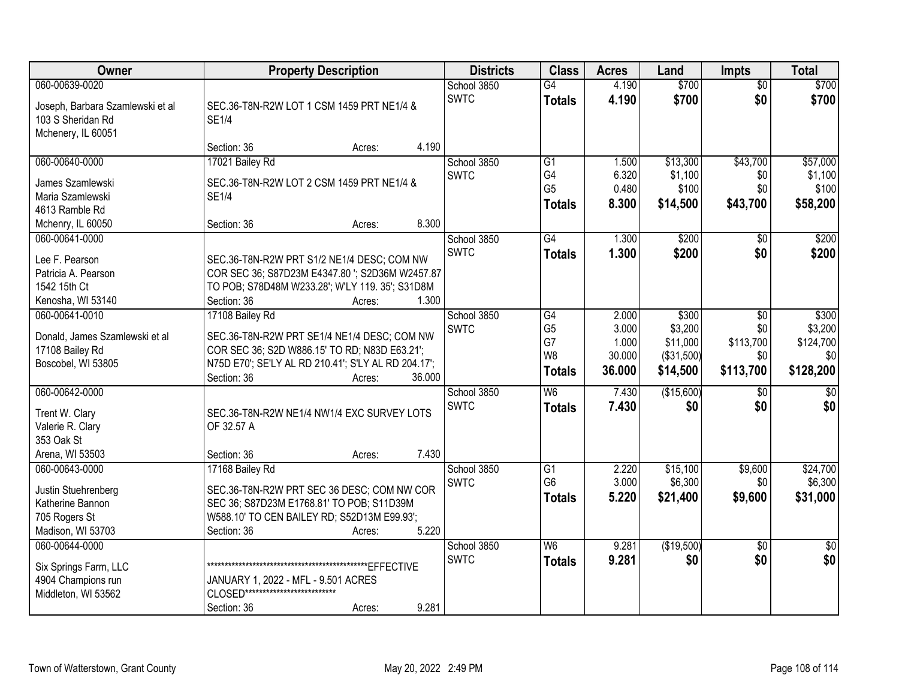| Owner                                                                                           | <b>Property Description</b>                                                                                                                                                                               | <b>Districts</b>           | <b>Class</b>                                                   | <b>Acres</b>                                | Land                                                   | <b>Impts</b>                                | <b>Total</b>                                      |
|-------------------------------------------------------------------------------------------------|-----------------------------------------------------------------------------------------------------------------------------------------------------------------------------------------------------------|----------------------------|----------------------------------------------------------------|---------------------------------------------|--------------------------------------------------------|---------------------------------------------|---------------------------------------------------|
| 060-00639-0020<br>Joseph, Barbara Szamlewski et al<br>103 S Sheridan Rd<br>Mchenery, IL 60051   | SEC.36-T8N-R2W LOT 1 CSM 1459 PRT NE1/4 &<br><b>SE1/4</b>                                                                                                                                                 | School 3850<br><b>SWTC</b> | $\overline{G4}$<br><b>Totals</b>                               | 4.190<br>4.190                              | \$700<br>\$700                                         | $\overline{50}$<br>\$0                      | \$700<br>\$700                                    |
|                                                                                                 | 4.190<br>Section: 36<br>Acres:                                                                                                                                                                            |                            |                                                                |                                             |                                                        |                                             |                                                   |
| 060-00640-0000<br>James Szamlewski<br>Maria Szamlewski<br>4613 Ramble Rd<br>Mchenry, IL 60050   | 17021 Bailey Rd<br>SEC.36-T8N-R2W LOT 2 CSM 1459 PRT NE1/4 &<br><b>SE1/4</b><br>8.300<br>Section: 36<br>Acres:                                                                                            | School 3850<br><b>SWTC</b> | G1<br>G4<br>G <sub>5</sub><br><b>Totals</b>                    | 1.500<br>6.320<br>0.480<br>8.300            | \$13,300<br>\$1,100<br>\$100<br>\$14,500               | \$43,700<br>\$0<br>\$0<br>\$43,700          | \$57,000<br>\$1,100<br>\$100<br>\$58,200          |
| 060-00641-0000<br>Lee F. Pearson<br>Patricia A. Pearson<br>1542 15th Ct<br>Kenosha, WI 53140    | SEC.36-T8N-R2W PRT S1/2 NE1/4 DESC; COM NW<br>COR SEC 36; S87D23M E4347.80 '; S2D36M W2457.87<br>TO POB; S78D48M W233.28'; W'LY 119. 35'; S31D8M<br>1.300<br>Section: 36<br>Acres:                        | School 3850<br><b>SWTC</b> | G4<br><b>Totals</b>                                            | 1.300<br>1.300                              | \$200<br>\$200                                         | \$0<br>\$0                                  | \$200<br>\$200                                    |
| 060-00641-0010<br>Donald, James Szamlewski et al<br>17108 Bailey Rd<br>Boscobel, WI 53805       | 17108 Bailey Rd<br>SEC.36-T8N-R2W PRT SE1/4 NE1/4 DESC; COM NW<br>COR SEC 36; S2D W886.15' TO RD; N83D E63.21';<br>N75D E70'; SE'LY AL RD 210.41'; S'LY AL RD 204.17';<br>36.000<br>Section: 36<br>Acres: | School 3850<br><b>SWTC</b> | $\overline{G4}$<br>G <sub>5</sub><br>G7<br>W8<br><b>Totals</b> | 2.000<br>3.000<br>1.000<br>30.000<br>36.000 | \$300<br>\$3,200<br>\$11,000<br>(\$31,500)<br>\$14,500 | \$0<br>\$0<br>\$113,700<br>\$0<br>\$113,700 | \$300<br>\$3,200<br>\$124,700<br>\$0<br>\$128,200 |
| 060-00642-0000<br>Trent W. Clary<br>Valerie R. Clary<br>353 Oak St<br>Arena, WI 53503           | SEC.36-T8N-R2W NE1/4 NW1/4 EXC SURVEY LOTS<br>OF 32.57 A<br>7.430<br>Section: 36<br>Acres:                                                                                                                | School 3850<br><b>SWTC</b> | W6<br><b>Totals</b>                                            | 7.430<br>7.430                              | (\$15,600)<br>\$0                                      | $\overline{50}$<br>\$0                      | $\sqrt{50}$<br>\$0                                |
| 060-00643-0000<br>Justin Stuehrenberg<br>Katherine Bannon<br>705 Rogers St<br>Madison, WI 53703 | 17168 Bailey Rd<br>SEC.36-T8N-R2W PRT SEC 36 DESC; COM NW COR<br>SEC 36; S87D23M E1768.81' TO POB; S11D39M<br>W588.10' TO CEN BAILEY RD; S52D13M E99.93';<br>5.220<br>Section: 36<br>Acres:               | School 3850<br><b>SWTC</b> | G1<br>G <sub>6</sub><br><b>Totals</b>                          | 2.220<br>3.000<br>5.220                     | \$15,100<br>\$6,300<br>\$21,400                        | \$9,600<br>\$0<br>\$9,600                   | \$24,700<br>\$6,300<br>\$31,000                   |
| 060-00644-0000<br>Six Springs Farm, LLC<br>4904 Champions run<br>Middleton, WI 53562            | JANUARY 1, 2022 - MFL - 9.501 ACRES<br>CLOSED***************************<br>9.281<br>Section: 36<br>Acres:                                                                                                | School 3850<br><b>SWTC</b> | W <sub>6</sub><br><b>Totals</b>                                | 9.281<br>9.281                              | (\$19,500)<br>\$0                                      | $\overline{50}$<br>\$0                      | $\overline{30}$<br>\$0                            |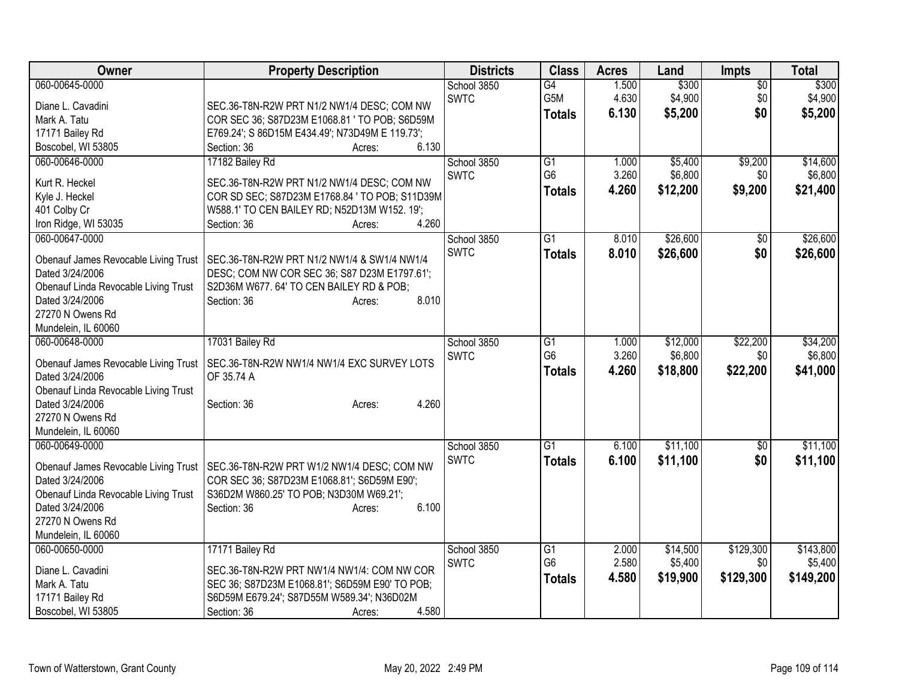| Owner                                                   | <b>Property Description</b>                                                            | <b>Districts</b>           | <b>Class</b>     | <b>Acres</b> | Land     | <b>Impts</b>    | <b>Total</b> |
|---------------------------------------------------------|----------------------------------------------------------------------------------------|----------------------------|------------------|--------------|----------|-----------------|--------------|
| 060-00645-0000                                          |                                                                                        | School 3850                | $\overline{G4}$  | 1.500        | \$300    | $\overline{50}$ | \$300        |
| Diane L. Cavadini                                       | SEC.36-T8N-R2W PRT N1/2 NW1/4 DESC; COM NW                                             | <b>SWTC</b>                | G <sub>5</sub> M | 4.630        | \$4,900  | \$0             | \$4,900      |
| Mark A. Tatu                                            | COR SEC 36; S87D23M E1068.81 ' TO POB; S6D59M                                          |                            | <b>Totals</b>    | 6.130        | \$5,200  | \$0             | \$5,200      |
| 17171 Bailey Rd                                         | E769.24'; S 86D15M E434.49'; N73D49M E 119.73';                                        |                            |                  |              |          |                 |              |
| Boscobel, WI 53805                                      | 6.130<br>Section: 36<br>Acres:                                                         |                            |                  |              |          |                 |              |
| 060-00646-0000                                          | 17182 Bailey Rd                                                                        | School 3850                | $\overline{G1}$  | 1.000        | \$5,400  | \$9,200         | \$14,600     |
|                                                         |                                                                                        | <b>SWTC</b>                | G <sub>6</sub>   | 3.260        | \$6,800  | \$0             | \$6,800      |
| Kurt R. Heckel                                          | SEC.36-T8N-R2W PRT N1/2 NW1/4 DESC; COM NW                                             |                            | <b>Totals</b>    | 4.260        | \$12,200 | \$9,200         | \$21,400     |
| Kyle J. Heckel                                          | COR SD SEC; S87D23M E1768.84 ' TO POB; S11D39M                                         |                            |                  |              |          |                 |              |
| 401 Colby Cr                                            | W588.1' TO CEN BAILEY RD; N52D13M W152. 19';<br>4.260<br>Section: 36                   |                            |                  |              |          |                 |              |
| Iron Ridge, WI 53035<br>060-00647-0000                  | Acres:                                                                                 |                            | $\overline{G1}$  | 8.010        | \$26,600 |                 | \$26,600     |
|                                                         |                                                                                        | School 3850<br><b>SWTC</b> |                  |              |          | $\sqrt{6}$      |              |
| Obenauf James Revocable Living Trust                    | SEC.36-T8N-R2W PRT N1/2 NW1/4 & SW1/4 NW1/4                                            |                            | <b>Totals</b>    | 8.010        | \$26,600 | \$0             | \$26,600     |
| Dated 3/24/2006                                         | DESC; COM NW COR SEC 36; S87 D23M E1797.61';                                           |                            |                  |              |          |                 |              |
| Obenauf Linda Revocable Living Trust                    | S2D36M W677.64' TO CEN BAILEY RD & POB;                                                |                            |                  |              |          |                 |              |
| Dated 3/24/2006                                         | 8.010<br>Section: 36<br>Acres:                                                         |                            |                  |              |          |                 |              |
| 27270 N Owens Rd                                        |                                                                                        |                            |                  |              |          |                 |              |
| Mundelein, IL 60060                                     |                                                                                        |                            |                  |              |          |                 |              |
| 060-00648-0000                                          | 17031 Bailey Rd                                                                        | School 3850                | $\overline{G1}$  | 1.000        | \$12,000 | \$22,200        | \$34,200     |
| Obenauf James Revocable Living Trust                    | SEC.36-T8N-R2W NW1/4 NW1/4 EXC SURVEY LOTS                                             | <b>SWTC</b>                | G <sub>6</sub>   | 3.260        | \$6,800  | \$0             | \$6,800      |
| Dated 3/24/2006                                         | OF 35.74 A                                                                             |                            | <b>Totals</b>    | 4.260        | \$18,800 | \$22,200        | \$41,000     |
| Obenauf Linda Revocable Living Trust                    |                                                                                        |                            |                  |              |          |                 |              |
| Dated 3/24/2006                                         | 4.260<br>Section: 36<br>Acres:                                                         |                            |                  |              |          |                 |              |
| 27270 N Owens Rd                                        |                                                                                        |                            |                  |              |          |                 |              |
| Mundelein, IL 60060                                     |                                                                                        |                            |                  |              |          |                 |              |
| 060-00649-0000                                          |                                                                                        | School 3850                | G1               | 6.100        | \$11,100 | \$0             | \$11,100     |
|                                                         |                                                                                        | <b>SWTC</b>                | <b>Totals</b>    | 6.100        | \$11,100 | \$0             | \$11,100     |
| Obenauf James Revocable Living Trust                    | SEC.36-T8N-R2W PRT W1/2 NW1/4 DESC; COM NW                                             |                            |                  |              |          |                 |              |
| Dated 3/24/2006                                         | COR SEC 36; S87D23M E1068.81'; S6D59M E90';<br>S36D2M W860.25' TO POB; N3D30M W69.21'; |                            |                  |              |          |                 |              |
| Obenauf Linda Revocable Living Trust<br>Dated 3/24/2006 | 6.100<br>Section: 36                                                                   |                            |                  |              |          |                 |              |
| 27270 N Owens Rd                                        | Acres:                                                                                 |                            |                  |              |          |                 |              |
| Mundelein, IL 60060                                     |                                                                                        |                            |                  |              |          |                 |              |
| 060-00650-0000                                          | 17171 Bailey Rd                                                                        | School 3850                | G1               | 2.000        | \$14,500 | \$129,300       | \$143,800    |
|                                                         |                                                                                        | <b>SWTC</b>                | G <sub>6</sub>   | 2.580        | \$5,400  | \$0             | \$5,400      |
| Diane L. Cavadini                                       | SEC.36-T8N-R2W PRT NW1/4 NW1/4: COM NW COR                                             |                            | <b>Totals</b>    | 4.580        | \$19,900 | \$129,300       | \$149,200    |
| Mark A. Tatu                                            | SEC 36; S87D23M E1068.81'; S6D59M E90' TO POB;                                         |                            |                  |              |          |                 |              |
| 17171 Bailey Rd                                         | S6D59M E679.24'; S87D55M W589.34'; N36D02M                                             |                            |                  |              |          |                 |              |
| Boscobel, WI 53805                                      | 4.580<br>Section: 36<br>Acres:                                                         |                            |                  |              |          |                 |              |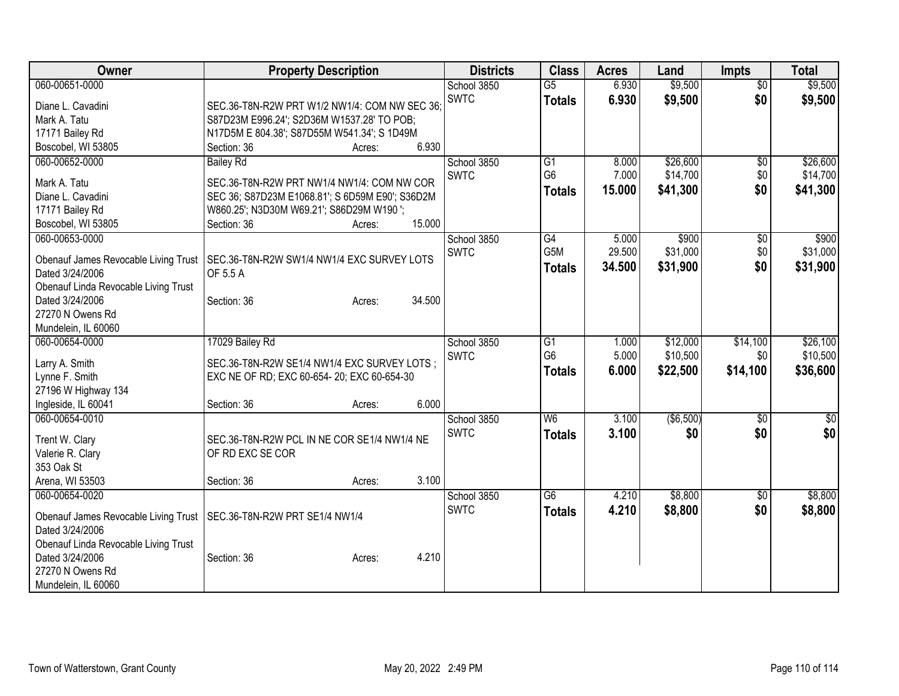| Owner                                                   | <b>Property Description</b>                     | <b>Districts</b> | <b>Class</b>     | <b>Acres</b> | Land      | <b>Impts</b>    | <b>Total</b>    |
|---------------------------------------------------------|-------------------------------------------------|------------------|------------------|--------------|-----------|-----------------|-----------------|
| 060-00651-0000                                          |                                                 | School 3850      | G5               | 6.930        | \$9,500   | $\overline{30}$ | \$9,500         |
| Diane L. Cavadini                                       | SEC.36-T8N-R2W PRT W1/2 NW1/4: COM NW SEC 36;   | <b>SWTC</b>      | <b>Totals</b>    | 6.930        | \$9,500   | \$0             | \$9,500         |
| Mark A. Tatu                                            | S87D23M E996.24'; S2D36M W1537.28' TO POB;      |                  |                  |              |           |                 |                 |
| 17171 Bailey Rd                                         | N17D5M E 804.38'; S87D55M W541.34'; S 1D49M     |                  |                  |              |           |                 |                 |
| Boscobel, WI 53805                                      | 6.930<br>Section: 36<br>Acres:                  |                  |                  |              |           |                 |                 |
| 060-00652-0000                                          | <b>Bailey Rd</b>                                | School 3850      | G1               | 8.000        | \$26,600  | $\overline{50}$ | \$26,600        |
| Mark A. Tatu                                            | SEC.36-T8N-R2W PRT NW1/4 NW1/4: COM NW COR      | <b>SWTC</b>      | G <sub>6</sub>   | 7.000        | \$14,700  | \$0             | \$14,700        |
| Diane L. Cavadini                                       | SEC 36; S87D23M E1068.81'; S 6D59M E90'; S36D2M |                  | <b>Totals</b>    | 15.000       | \$41,300  | \$0             | \$41,300        |
| 17171 Bailey Rd                                         | W860.25'; N3D30M W69.21'; S86D29M W190';        |                  |                  |              |           |                 |                 |
| Boscobel, WI 53805                                      | 15.000<br>Section: 36<br>Acres:                 |                  |                  |              |           |                 |                 |
| 060-00653-0000                                          |                                                 | School 3850      | G4               | 5.000        | \$900     | \$0             | \$900           |
|                                                         |                                                 | <b>SWTC</b>      | G <sub>5</sub> M | 29.500       | \$31,000  | \$0             | \$31,000        |
| Obenauf James Revocable Living Trust                    | SEC.36-T8N-R2W SW1/4 NW1/4 EXC SURVEY LOTS      |                  | <b>Totals</b>    | 34.500       | \$31,900  | \$0             | \$31,900        |
| Dated 3/24/2006                                         | OF 5.5 A                                        |                  |                  |              |           |                 |                 |
| Obenauf Linda Revocable Living Trust<br>Dated 3/24/2006 | 34.500<br>Section: 36<br>Acres:                 |                  |                  |              |           |                 |                 |
| 27270 N Owens Rd                                        |                                                 |                  |                  |              |           |                 |                 |
| Mundelein, IL 60060                                     |                                                 |                  |                  |              |           |                 |                 |
| 060-00654-0000                                          | 17029 Bailey Rd                                 | School 3850      | $\overline{G1}$  | 1.000        | \$12,000  | \$14,100        | \$26,100        |
|                                                         |                                                 | <b>SWTC</b>      | G <sub>6</sub>   | 5.000        | \$10,500  | \$0             | \$10,500        |
| Larry A. Smith                                          | SEC.36-T8N-R2W SE1/4 NW1/4 EXC SURVEY LOTS;     |                  | <b>Totals</b>    | 6.000        | \$22,500  | \$14,100        | \$36,600        |
| Lynne F. Smith                                          | EXC NE OF RD; EXC 60-654- 20; EXC 60-654-30     |                  |                  |              |           |                 |                 |
| 27196 W Highway 134                                     |                                                 |                  |                  |              |           |                 |                 |
| Ingleside, IL 60041                                     | 6.000<br>Section: 36<br>Acres:                  |                  |                  |              |           |                 |                 |
| 060-00654-0010                                          |                                                 | School 3850      | W6               | 3.100        | (\$6,500) | \$0             | $\overline{50}$ |
| Trent W. Clary                                          | SEC.36-T8N-R2W PCL IN NE COR SE1/4 NW1/4 NE     | <b>SWTC</b>      | <b>Totals</b>    | 3.100        | \$0       | \$0             | \$0             |
| Valerie R. Clary                                        | OF RD EXC SE COR                                |                  |                  |              |           |                 |                 |
| 353 Oak St                                              |                                                 |                  |                  |              |           |                 |                 |
| Arena, WI 53503                                         | 3.100<br>Section: 36<br>Acres:                  |                  |                  |              |           |                 |                 |
| 060-00654-0020                                          |                                                 | School 3850      | $\overline{G6}$  | 4.210        | \$8,800   | $\sqrt{$0}$     | \$8,800         |
| Obenauf James Revocable Living Trust                    | SEC.36-T8N-R2W PRT SE1/4 NW1/4                  | <b>SWTC</b>      | <b>Totals</b>    | 4.210        | \$8,800   | \$0             | \$8,800         |
| Dated 3/24/2006                                         |                                                 |                  |                  |              |           |                 |                 |
| Obenauf Linda Revocable Living Trust                    |                                                 |                  |                  |              |           |                 |                 |
| Dated 3/24/2006                                         | 4.210<br>Section: 36<br>Acres:                  |                  |                  |              |           |                 |                 |
| 27270 N Owens Rd                                        |                                                 |                  |                  |              |           |                 |                 |
| Mundelein, IL 60060                                     |                                                 |                  |                  |              |           |                 |                 |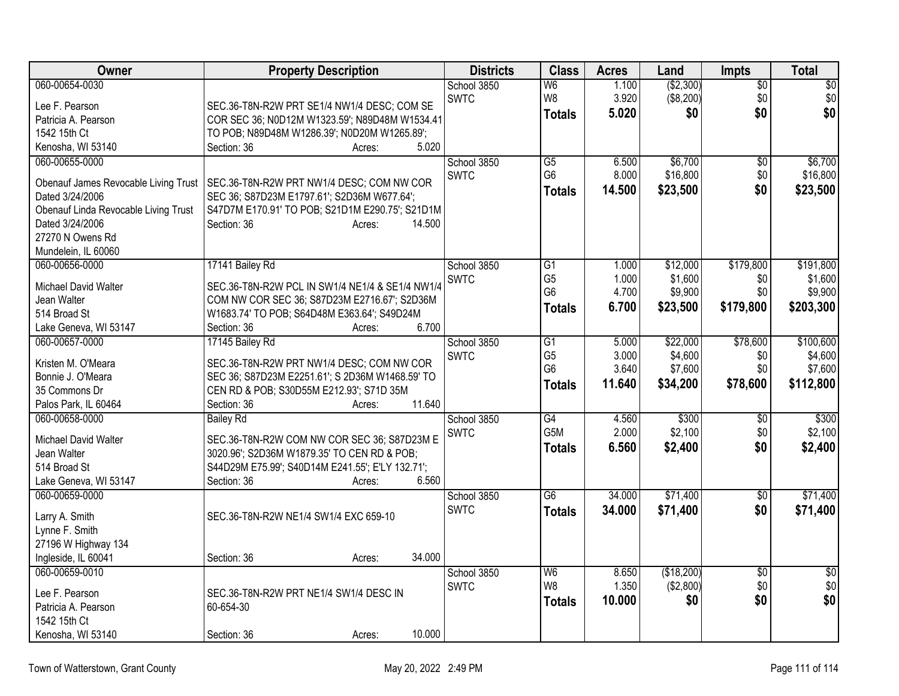| Owner                                 | <b>Property Description</b>                      | <b>Districts</b> | <b>Class</b>     | <b>Acres</b> | Land       | <b>Impts</b>    | Total           |
|---------------------------------------|--------------------------------------------------|------------------|------------------|--------------|------------|-----------------|-----------------|
| 060-00654-0030                        |                                                  | School 3850      | W <sub>6</sub>   | 1.100        | ( \$2,300) | $\overline{60}$ | $\overline{50}$ |
| Lee F. Pearson                        | SEC.36-T8N-R2W PRT SE1/4 NW1/4 DESC; COM SE      | <b>SWTC</b>      | W8               | 3.920        | (\$8,200)  | \$0             | \$0             |
| Patricia A. Pearson                   | COR SEC 36; N0D12M W1323.59'; N89D48M W1534.41   |                  | <b>Totals</b>    | 5.020        | \$0        | \$0             | \$0             |
| 1542 15th Ct                          | TO POB; N89D48M W1286.39'; N0D20M W1265.89';     |                  |                  |              |            |                 |                 |
| Kenosha, WI 53140                     | Section: 36<br>5.020<br>Acres:                   |                  |                  |              |            |                 |                 |
| 060-00655-0000                        |                                                  | School 3850      | $\overline{G5}$  | 6.500        | \$6,700    | $\overline{50}$ | \$6,700         |
| Obenauf James Revocable Living Trust  | SEC.36-T8N-R2W PRT NW1/4 DESC; COM NW COR        | <b>SWTC</b>      | G <sub>6</sub>   | 8.000        | \$16,800   | \$0             | \$16,800        |
| Dated 3/24/2006                       | SEC 36; S87D23M E1797.61'; S2D36M W677.64';      |                  | <b>Totals</b>    | 14.500       | \$23,500   | \$0             | \$23,500        |
| Obenauf Linda Revocable Living Trust  | S47D7M E170.91' TO POB; S21D1M E290.75'; S21D1M  |                  |                  |              |            |                 |                 |
| Dated 3/24/2006                       | Section: 36<br>14.500<br>Acres:                  |                  |                  |              |            |                 |                 |
| 27270 N Owens Rd                      |                                                  |                  |                  |              |            |                 |                 |
| Mundelein, IL 60060                   |                                                  |                  |                  |              |            |                 |                 |
| 060-00656-0000                        | 17141 Bailey Rd                                  | School 3850      | G1               | 1.000        | \$12,000   | \$179,800       | \$191,800       |
| Michael David Walter                  | SEC.36-T8N-R2W PCL IN SW1/4 NE1/4 & SE1/4 NW1/4  | <b>SWTC</b>      | G <sub>5</sub>   | 1.000        | \$1,600    | \$0             | \$1,600         |
| Jean Walter                           | COM NW COR SEC 36; S87D23M E2716.67'; S2D36M     |                  | G <sub>6</sub>   | 4.700        | \$9,900    | \$0             | \$9,900         |
| 514 Broad St                          | W1683.74' TO POB; S64D48M E363.64'; S49D24M      |                  | <b>Totals</b>    | 6.700        | \$23,500   | \$179,800       | \$203,300       |
| Lake Geneva, WI 53147                 | 6.700<br>Section: 36<br>Acres:                   |                  |                  |              |            |                 |                 |
| 060-00657-0000                        | 17145 Bailey Rd                                  | School 3850      | G1               | 5.000        | \$22,000   | \$78,600        | \$100,600       |
| Kristen M. O'Meara                    | SEC.36-T8N-R2W PRT NW1/4 DESC; COM NW COR        | <b>SWTC</b>      | G <sub>5</sub>   | 3.000        | \$4,600    | \$0             | \$4,600         |
| Bonnie J. O'Meara                     | SEC 36; S87D23M E2251.61'; S 2D36M W1468.59' TO  |                  | G <sub>6</sub>   | 3.640        | \$7,600    | \$0             | \$7,600         |
| 35 Commons Dr                         | CEN RD & POB; S30D55M E212.93'; S71D 35M         |                  | <b>Totals</b>    | 11.640       | \$34,200   | \$78,600        | \$112,800       |
| Palos Park, IL 60464                  | 11.640<br>Section: 36<br>Acres:                  |                  |                  |              |            |                 |                 |
| 060-00658-0000                        | <b>Bailey Rd</b>                                 | School 3850      | G4               | 4.560        | \$300      | $\overline{30}$ | \$300           |
| <b>Michael David Walter</b>           | SEC.36-T8N-R2W COM NW COR SEC 36; S87D23M E      | <b>SWTC</b>      | G <sub>5</sub> M | 2.000        | \$2,100    | \$0             | \$2,100         |
| Jean Walter                           | 3020.96'; S2D36M W1879.35' TO CEN RD & POB;      |                  | <b>Totals</b>    | 6.560        | \$2,400    | \$0             | \$2,400         |
| 514 Broad St                          | S44D29M E75.99'; S40D14M E241.55'; E'LY 132.71'; |                  |                  |              |            |                 |                 |
| Lake Geneva, WI 53147                 | 6.560<br>Section: 36<br>Acres:                   |                  |                  |              |            |                 |                 |
| 060-00659-0000                        |                                                  | School 3850      | $\overline{G6}$  | 34.000       | \$71,400   | $\overline{60}$ | \$71,400        |
|                                       |                                                  | <b>SWTC</b>      | <b>Totals</b>    | 34.000       | \$71,400   | \$0             | \$71,400        |
| Larry A. Smith                        | SEC.36-T8N-R2W NE1/4 SW1/4 EXC 659-10            |                  |                  |              |            |                 |                 |
| Lynne F. Smith<br>27196 W Highway 134 |                                                  |                  |                  |              |            |                 |                 |
| Ingleside, IL 60041                   | 34.000<br>Section: 36<br>Acres:                  |                  |                  |              |            |                 |                 |
| 060-00659-0010                        |                                                  | School 3850      | W <sub>6</sub>   | 8.650        | (\$18,200) | $\overline{50}$ | $\frac{1}{2}$   |
|                                       |                                                  | <b>SWTC</b>      | W8               | 1.350        | (\$2,800)  | \$0             | \$0             |
| Lee F. Pearson                        | SEC.36-T8N-R2W PRT NE1/4 SW1/4 DESC IN           |                  | <b>Totals</b>    | 10.000       | \$0        | \$0             | \$0             |
| Patricia A. Pearson                   | 60-654-30                                        |                  |                  |              |            |                 |                 |
| 1542 15th Ct                          |                                                  |                  |                  |              |            |                 |                 |
| Kenosha, WI 53140                     | 10.000<br>Section: 36<br>Acres:                  |                  |                  |              |            |                 |                 |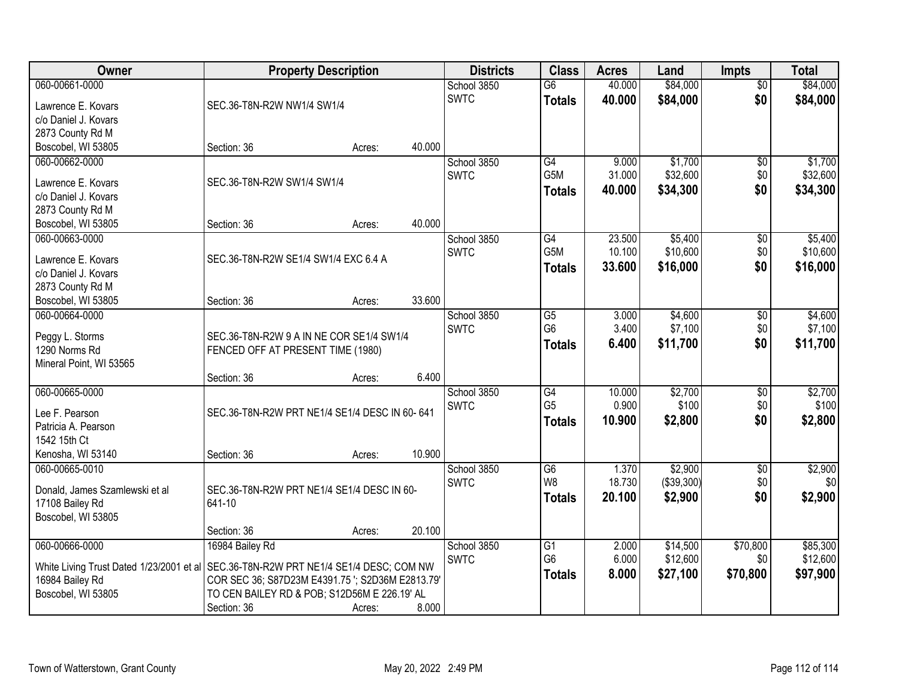| Owner                                                                                | <b>Property Description</b>                      |        |        | <b>Districts</b> | <b>Class</b>                      | <b>Acres</b>    | Land             | <b>Impts</b>           | <b>Total</b>     |
|--------------------------------------------------------------------------------------|--------------------------------------------------|--------|--------|------------------|-----------------------------------|-----------------|------------------|------------------------|------------------|
| 060-00661-0000                                                                       |                                                  |        |        | School 3850      | $\overline{G6}$                   | 40.000          | \$84,000         | $\overline{50}$        | \$84,000         |
| Lawrence E. Kovars                                                                   | SEC.36-T8N-R2W NW1/4 SW1/4                       |        |        | <b>SWTC</b>      | <b>Totals</b>                     | 40.000          | \$84,000         | \$0                    | \$84,000         |
| c/o Daniel J. Kovars                                                                 |                                                  |        |        |                  |                                   |                 |                  |                        |                  |
| 2873 County Rd M                                                                     |                                                  |        |        |                  |                                   |                 |                  |                        |                  |
| Boscobel, WI 53805                                                                   | Section: 36                                      | Acres: | 40.000 |                  |                                   |                 |                  |                        |                  |
| 060-00662-0000                                                                       |                                                  |        |        | School 3850      | G4                                | 9.000           | \$1,700          | \$0                    | \$1,700          |
| Lawrence E. Kovars                                                                   | SEC.36-T8N-R2W SW1/4 SW1/4                       |        |        | <b>SWTC</b>      | G <sub>5</sub> M                  | 31.000          | \$32,600         | \$0                    | \$32,600         |
| c/o Daniel J. Kovars                                                                 |                                                  |        |        |                  | <b>Totals</b>                     | 40.000          | \$34,300         | \$0                    | \$34,300         |
| 2873 County Rd M                                                                     |                                                  |        |        |                  |                                   |                 |                  |                        |                  |
| Boscobel, WI 53805                                                                   | Section: 36                                      | Acres: | 40.000 |                  |                                   |                 |                  |                        |                  |
| 060-00663-0000                                                                       |                                                  |        |        | School 3850      | $\overline{G4}$                   | 23.500          | \$5,400          | \$0                    | \$5,400          |
|                                                                                      |                                                  |        |        | <b>SWTC</b>      | G5M                               | 10.100          | \$10,600         | \$0                    | \$10,600         |
| Lawrence E. Kovars                                                                   | SEC.36-T8N-R2W SE1/4 SW1/4 EXC 6.4 A             |        |        |                  | <b>Totals</b>                     | 33,600          | \$16,000         | \$0                    | \$16,000         |
| c/o Daniel J. Kovars<br>2873 County Rd M                                             |                                                  |        |        |                  |                                   |                 |                  |                        |                  |
| Boscobel, WI 53805                                                                   | Section: 36                                      | Acres: | 33.600 |                  |                                   |                 |                  |                        |                  |
| 060-00664-0000                                                                       |                                                  |        |        | School 3850      | G5                                | 3.000           | \$4,600          | $\sqrt[6]{3}$          | \$4,600          |
|                                                                                      |                                                  |        |        | <b>SWTC</b>      | G <sub>6</sub>                    | 3.400           | \$7,100          | \$0                    | \$7,100          |
| Peggy L. Storms                                                                      | SEC.36-T8N-R2W 9 A IN NE COR SE1/4 SW1/4         |        |        |                  | <b>Totals</b>                     | 6.400           | \$11,700         | \$0                    | \$11,700         |
| 1290 Norms Rd                                                                        | FENCED OFF AT PRESENT TIME (1980)                |        |        |                  |                                   |                 |                  |                        |                  |
| Mineral Point, WI 53565                                                              |                                                  |        |        |                  |                                   |                 |                  |                        |                  |
|                                                                                      | Section: 36                                      | Acres: | 6.400  |                  |                                   |                 |                  |                        |                  |
| 060-00665-0000                                                                       |                                                  |        |        | School 3850      | $\overline{G4}$<br>G <sub>5</sub> | 10.000<br>0.900 | \$2,700<br>\$100 | $\overline{50}$<br>\$0 | \$2,700<br>\$100 |
| Lee F. Pearson                                                                       | SEC.36-T8N-R2W PRT NE1/4 SE1/4 DESC IN 60-641    |        |        | <b>SWTC</b>      |                                   | 10.900          |                  | \$0                    |                  |
| Patricia A. Pearson                                                                  |                                                  |        |        |                  | <b>Totals</b>                     |                 | \$2,800          |                        | \$2,800          |
| 1542 15th Ct                                                                         |                                                  |        |        |                  |                                   |                 |                  |                        |                  |
| Kenosha, WI 53140                                                                    | Section: 36                                      | Acres: | 10.900 |                  |                                   |                 |                  |                        |                  |
| 060-00665-0010                                                                       |                                                  |        |        | School 3850      | G6                                | 1.370           | \$2,900          | $\sqrt{6}$             | \$2,900          |
| Donald, James Szamlewski et al                                                       | SEC.36-T8N-R2W PRT NE1/4 SE1/4 DESC IN 60-       |        |        | <b>SWTC</b>      | W <sub>8</sub>                    | 18.730          | (\$39,300)       | \$0                    | \$0              |
| 17108 Bailey Rd                                                                      | 641-10                                           |        |        |                  | <b>Totals</b>                     | 20.100          | \$2,900          | \$0                    | \$2,900          |
| Boscobel, WI 53805                                                                   |                                                  |        |        |                  |                                   |                 |                  |                        |                  |
|                                                                                      | Section: 36                                      | Acres: | 20.100 |                  |                                   |                 |                  |                        |                  |
| 060-00666-0000                                                                       | 16984 Bailey Rd                                  |        |        | School 3850      | G1                                | 2.000           | \$14,500         | \$70,800               | \$85,300         |
| White Living Trust Dated 1/23/2001 et al SEC.36-T8N-R2W PRT NE1/4 SE1/4 DESC; COM NW |                                                  |        |        | <b>SWTC</b>      | G <sub>6</sub>                    | 6.000           | \$12,600         | \$0                    | \$12,600         |
| 16984 Bailey Rd                                                                      | COR SEC 36; S87D23M E4391.75 '; S2D36M E2813.79' |        |        |                  | <b>Totals</b>                     | 8.000           | \$27,100         | \$70,800               | \$97,900         |
| Boscobel, WI 53805                                                                   | TO CEN BAILEY RD & POB; S12D56M E 226.19' AL     |        |        |                  |                                   |                 |                  |                        |                  |
|                                                                                      | Section: 36                                      | Acres: | 8.000  |                  |                                   |                 |                  |                        |                  |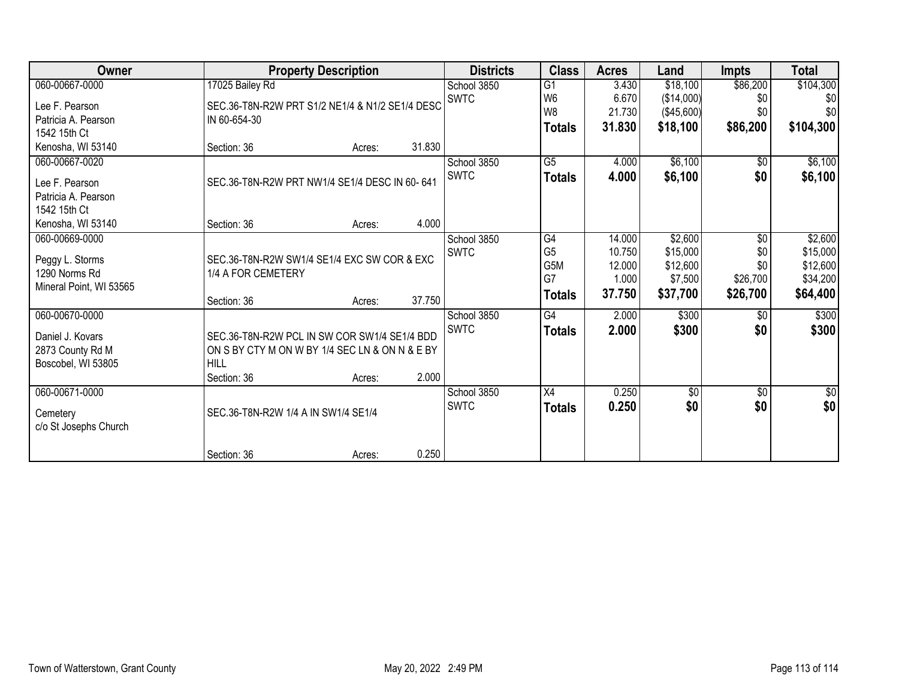| Owner                   |                                                               | <b>Property Description</b> |        | <b>Districts</b> | <b>Class</b>    | <b>Acres</b> | Land            | <b>Impts</b> | <b>Total</b> |
|-------------------------|---------------------------------------------------------------|-----------------------------|--------|------------------|-----------------|--------------|-----------------|--------------|--------------|
| 060-00667-0000          | 17025 Bailey Rd                                               |                             |        | School 3850      | G1              | 3.430        | \$18,100        | \$86,200     | \$104,300    |
| Lee F. Pearson          | SEC.36-T8N-R2W PRT S1/2 NE1/4 & N1/2 SE1/4 DESC               |                             |        | <b>SWTC</b>      | W <sub>6</sub>  | 6.670        | (\$14,000)      | \$0          | \$0          |
| Patricia A. Pearson     | IN 60-654-30                                                  |                             |        |                  | W8              | 21.730       | (\$45,600)      | \$0          | \$0          |
| 1542 15th Ct            |                                                               |                             |        |                  | <b>Totals</b>   | 31.830       | \$18,100        | \$86,200     | \$104,300    |
| Kenosha, WI 53140       | Section: 36                                                   | Acres:                      | 31.830 |                  |                 |              |                 |              |              |
| 060-00667-0020          |                                                               |                             |        | School 3850      | $\overline{G5}$ | 4.000        | \$6,100         | $\sqrt{6}$   | \$6,100      |
|                         |                                                               |                             |        | <b>SWTC</b>      | <b>Totals</b>   | 4.000        | \$6,100         | \$0          | \$6,100      |
| Lee F. Pearson          | SEC.36-T8N-R2W PRT NW1/4 SE1/4 DESC IN 60-641                 |                             |        |                  |                 |              |                 |              |              |
| Patricia A. Pearson     |                                                               |                             |        |                  |                 |              |                 |              |              |
| 1542 15th Ct            |                                                               |                             |        |                  |                 |              |                 |              |              |
| Kenosha, WI 53140       | Section: 36                                                   | Acres:                      | 4.000  |                  |                 |              |                 |              |              |
| 060-00669-0000          |                                                               |                             |        | School 3850      | G4              | 14.000       | \$2,600         | $\sqrt{6}$   | \$2,600      |
| Peggy L. Storms         | SEC.36-T8N-R2W SW1/4 SE1/4 EXC SW COR & EXC                   |                             |        | <b>SWTC</b>      | G <sub>5</sub>  | 10.750       | \$15,000        | \$0          | \$15,000     |
| 1290 Norms Rd           | 1/4 A FOR CEMETERY                                            |                             |        |                  | G5M             | 12.000       | \$12,600        | \$0          | \$12,600     |
| Mineral Point, WI 53565 |                                                               |                             |        |                  | G7              | 1.000        | \$7,500         | \$26,700     | \$34,200     |
|                         | Section: 36                                                   | Acres:                      | 37.750 |                  | <b>Totals</b>   | 37.750       | \$37,700        | \$26,700     | \$64,400     |
| 060-00670-0000          |                                                               |                             |        | School 3850      | G4              | 2.000        | \$300           | $\sqrt{6}$   | \$300        |
|                         |                                                               |                             |        | <b>SWTC</b>      | <b>Totals</b>   | 2.000        | \$300           | \$0          | \$300        |
| Daniel J. Kovars        | SEC.36-T8N-R2W PCL IN SW COR SW1/4 SE1/4 BDD                  |                             |        |                  |                 |              |                 |              |              |
| 2873 County Rd M        | ON S BY CTY M ON W BY 1/4 SEC LN & ON N & E BY<br><b>HILL</b> |                             |        |                  |                 |              |                 |              |              |
| Boscobel, WI 53805      | Section: 36                                                   |                             | 2.000  |                  |                 |              |                 |              |              |
| 060-00671-0000          |                                                               | Acres:                      |        |                  | X4              |              | $\overline{50}$ |              |              |
|                         |                                                               |                             |        | School 3850      |                 | 0.250        |                 | \$0          | $\sqrt{30}$  |
| Cemetery                | SEC.36-T8N-R2W 1/4 A IN SW1/4 SE1/4                           |                             |        | <b>SWTC</b>      | <b>Totals</b>   | 0.250        | \$0             | \$0          | \$0          |
| c/o St Josephs Church   |                                                               |                             |        |                  |                 |              |                 |              |              |
|                         | Section: 36                                                   | Acres:                      | 0.250  |                  |                 |              |                 |              |              |